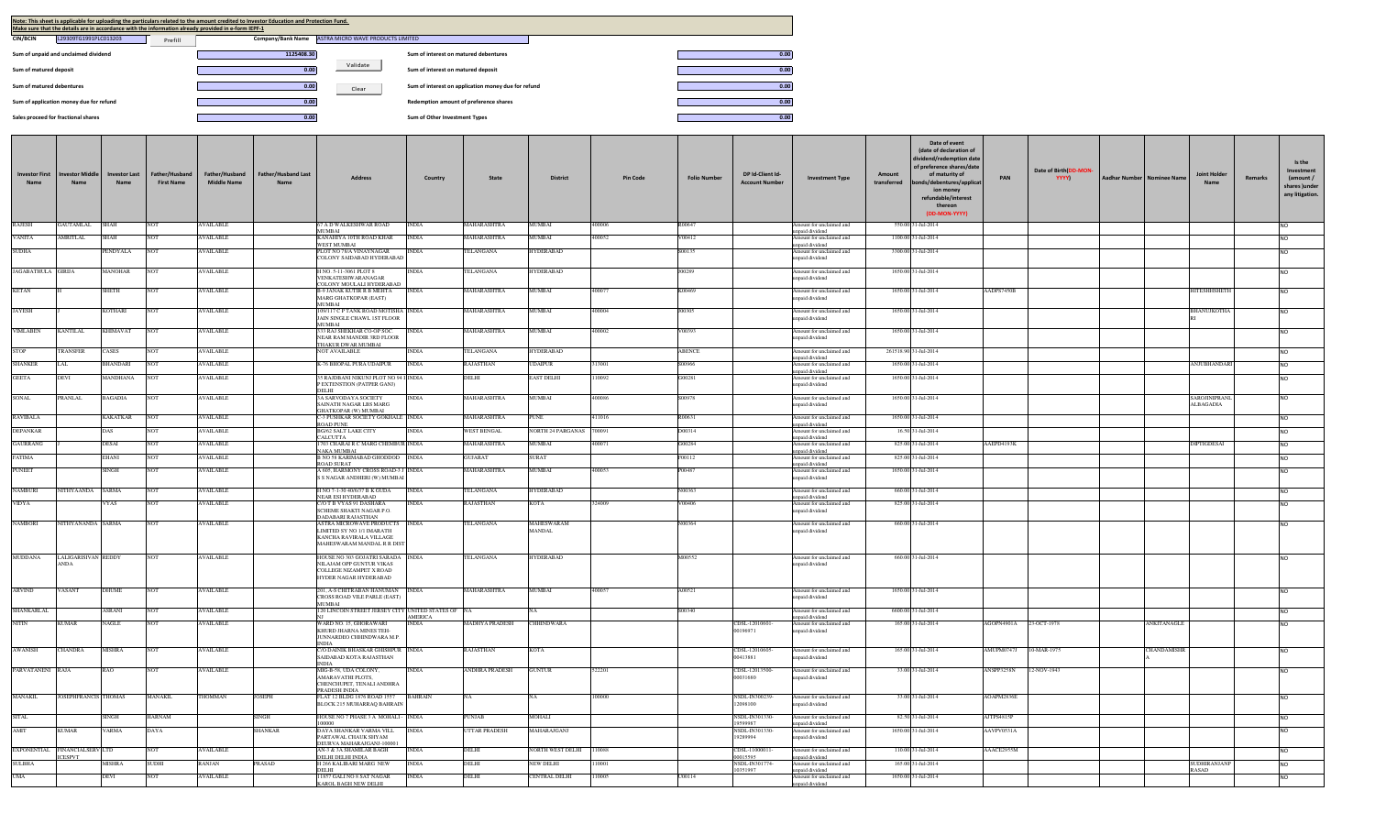| Note: This sheet is applicable for uploading the particulars related to the amount credited to Investor Education and Protection Fund.<br>Make sure that the details are in accordance with the information already provided in e-form IEPF-1 |                   |                                   |                                                     |      |
|-----------------------------------------------------------------------------------------------------------------------------------------------------------------------------------------------------------------------------------------------|-------------------|-----------------------------------|-----------------------------------------------------|------|
| L29309TG1991PLC013203<br><b>CIN/BCIN</b><br>Prefill                                                                                                                                                                                           | Company/Bank Name | ASTRA MICRO WAVE PRODUCTS LIMITED |                                                     |      |
| Sum of unpaid and unclaimed dividend                                                                                                                                                                                                          | 1125408.30        |                                   | Sum of interest on matured debentures               | 0.00 |
| Sum of matured deposit                                                                                                                                                                                                                        | 0.00              | Validate                          | Sum of interest on matured deposit                  | 0.00 |
| Sum of matured debentures                                                                                                                                                                                                                     | 0.00              | Clear                             | Sum of interest on application money due for refund | 0.00 |
| Sum of application money due for refund                                                                                                                                                                                                       | 0.00              |                                   | Redemption amount of preference shares              | 0.00 |
| Sales proceed for fractional shares                                                                                                                                                                                                           | 0.00              |                                   | Sum of Other Investment Types                       | 0.00 |

| vestor First<br>Name          | tor Middl<br>Name                         | nvestor Last<br>Name | Father/Husband<br><b>First Name</b> | Father/Husband<br><b>Middle Name</b> | <b>Father/Husband Last</b><br><b>Name</b> | <b>Address</b>                                                                                                       | Country        | State                 | <b>District</b>             | <b>Pin Code</b> | <b>Folio Number</b> | DP Id-Client Id-<br><b>Account Number</b> | <b>Investment Type</b>                                       | Date of event<br>(date of declaration of<br>ividend/redemption date<br>of preference shares/date<br>of maturity of<br>Amount<br>transferred<br>bonds/debentures/applicat<br>ion money<br>refundable/interest<br>thereon<br>(DD-MON-YYYY) | PAN                    | Date of Birth(DD-MON-<br>YYYY) | Aadhar Number   Nominee Name | <b>Joint Holder</b><br>Name      | Remarks | Is the<br>Investment<br>(amount /<br>shares )under<br>any litigation. |
|-------------------------------|-------------------------------------------|----------------------|-------------------------------------|--------------------------------------|-------------------------------------------|----------------------------------------------------------------------------------------------------------------------|----------------|-----------------------|-----------------------------|-----------------|---------------------|-------------------------------------------|--------------------------------------------------------------|------------------------------------------------------------------------------------------------------------------------------------------------------------------------------------------------------------------------------------------|------------------------|--------------------------------|------------------------------|----------------------------------|---------|-----------------------------------------------------------------------|
| <b>RAJESH</b>                 | <b>GAUTAMLAL</b>                          | SHAH                 |                                     | <b>VAILABLE</b>                      |                                           | 67 A D WALKESHWAR ROAD                                                                                               | <b>INDIA</b>   | MAHARASHTRA           | MUMBAI                      | 400006          | R00647              |                                           | nount for unclaimed and                                      | 550.00 31-Jul-2014                                                                                                                                                                                                                       |                        |                                |                              |                                  |         | NO.                                                                   |
| <b>VANITA</b>                 | AMRITLAL                                  | SHAH                 |                                     | <b>WAILABLE</b>                      |                                           | <b>MUMBAI</b><br>KANAHIYA 10TH ROAD KHAR                                                                             | <b>INDIA</b>   | <b>AHARASHTRA</b>     | <b>MUMBAL</b>               | 400052          | V00412              |                                           | unpaid dividend<br>bunt for unclaimed and                    | 1100.00 31-Jul-2014                                                                                                                                                                                                                      |                        |                                |                              |                                  |         | <b>NO</b>                                                             |
| <b>SUDHA</b>                  |                                           |                      |                                     |                                      |                                           | WEST MUMBAI                                                                                                          |                |                       |                             |                 | 500135              |                                           | unpaid dividend                                              |                                                                                                                                                                                                                                          |                        |                                |                              |                                  |         |                                                                       |
|                               |                                           | <b>ENDYALA</b>       |                                     | <b>AVAILABLE</b>                     |                                           | PLOT NO 78/A VINAYNAGAR<br>COLONY SAIDABAD HYDERABAD                                                                 | <b>INDIA</b>   | <b>ELANGANA</b>       | <b>HYDERABAD</b>            |                 |                     |                                           | mount for unclaimed and<br>inpaid dividend                   | 3300.00 31-Jul-2014                                                                                                                                                                                                                      |                        |                                |                              |                                  |         | NO                                                                    |
| JAGABATHULA GIRIJA            |                                           | <b>MANOHAR</b>       |                                     | AVAILABLE                            |                                           | H NO 5-11-3061 PLOT 8<br>VENKATESHWARANAGAR                                                                          | <b>INDIA</b>   | <b>ELANGANA</b>       | <b>HYDERABAD</b>            |                 | J00289              |                                           | Amount for unclaimed and<br>npaid dividend                   | 1650.00 31-Jul-2014                                                                                                                                                                                                                      |                        |                                |                              |                                  |         | <b>NO</b>                                                             |
| <b>KETAN</b>                  |                                           | SHETH                |                                     | AVAILABLE                            |                                           | COLONY MOULALI HYDERABAD<br><b>3-9 JANAK KUTIR R B MEHTA</b>                                                         | <b>INDIA</b>   | MAHARASHTRA           | <b>MUMBAL</b>               | 10007           | K00469              |                                           | mount for unclaimed and                                      | 1650.00 31-Jul-2014                                                                                                                                                                                                                      | AADPS7450B             |                                |                              | <b>TESHHSHET</b>                 |         | <b>NO</b>                                                             |
|                               |                                           |                      |                                     |                                      |                                           | MARG GHATKOPAR (EAST)<br><b>MUMBAL</b>                                                                               |                |                       |                             |                 |                     |                                           | inpaid dividend                                              |                                                                                                                                                                                                                                          |                        |                                |                              |                                  |         |                                                                       |
| <b>JAYESH</b>                 |                                           | KOTHARI              |                                     | <b>AVAILABLE</b>                     |                                           | 109/117 C P TANK ROAD MOTISHA INDIA<br>JAIN SINGLE CHAWL 1ST FLOOR<br>MUMBAI                                         |                | MAHARASHTRA           | <b>MUMBAI</b>               | 400004          | J00305              |                                           | Amount for unclaimed and<br>inpaid dividend                  | 1650.00 31-Jul-2014                                                                                                                                                                                                                      |                        |                                |                              | BHANUJKOTHA                      |         | N <sub>O</sub>                                                        |
| <b>VIMLABEN</b>               | <b>KANTILAL</b>                           | <b>KHIMAVAT</b>      | <b>NOT</b>                          | <b>AVAILABLE</b>                     |                                           | 333 RAJ SHEKHAR CO-OP SOC.                                                                                           | <b>INDIA</b>   | MAHARASHTRA           | MUMBAI                      | 400002          | V00393              |                                           | Amount for unclaimed and                                     | 1650.00 31-Jul-2014                                                                                                                                                                                                                      |                        |                                |                              |                                  |         | <b>NO</b>                                                             |
|                               |                                           |                      |                                     |                                      |                                           | NEAR RAM MANDIR 3RD FLOOR<br>THAKUR DWAR MUMBAI                                                                      |                |                       |                             |                 |                     |                                           | inpaid dividend                                              |                                                                                                                                                                                                                                          |                        |                                |                              |                                  |         |                                                                       |
| <b>STOP</b>                   | TRANSFER                                  | CASES                | NOT                                 | <b>AVAILABLE</b>                     |                                           | NOT AVAILABLE                                                                                                        | <b>INDIA</b>   | TELANGANA             | <b>HYDERABAD</b>            |                 | ABENCE              |                                           | Amount for unclaimed and<br>npaid dividend                   | 261518.90 31-Jul-2014                                                                                                                                                                                                                    |                        |                                |                              |                                  |         | <b>NO</b>                                                             |
| <b>SHANKER</b>                | LAI.                                      | 3HANDARI             |                                     | <b>VAILABLE</b>                      |                                           | K-76 BHOPAL PURA UDAIPUR                                                                                             | <b>INDIA</b>   | <b>AJASTHAN</b>       | UDAIPUR                     | 313001          | S00966              |                                           | mount for unclaimed an                                       | 1650.00 31-Jul-2014                                                                                                                                                                                                                      |                        |                                |                              | ANJUBHANDAF                      |         | <b>NO</b>                                                             |
| <b>GEETA</b>                  | DEVI                                      | MANDHANA             |                                     | <b>VAILABLE</b>                      |                                           | 35 RAJDBANI NIKUNJ PLOT NO 94 I INDIA<br>P EXTENSTION (PATPER GANJ)                                                  |                | DELHI                 | <b>EAST DELHI</b>           | 110092          | G00281              |                                           | npaid dividend<br>mount for unclaimed an<br>npaid dividend   | 1650.00 31-Jul-2014                                                                                                                                                                                                                      |                        |                                |                              |                                  |         | <b>NO</b>                                                             |
| SONAL                         | PRANLAL                                   | 3AGADIA              |                                     | AVAILABLE                            |                                           | DELHI<br>3A SARVODAYA SOCIETY<br>SAINATH NAGAR LBS MARG<br><b>GHATKOPAR (W) MUMBAI</b>                               | <b>INDIA</b>   | MAHARASHTRA           | MUMBAI                      | 400086          | S00978              |                                           | Amount for unclaimed and<br>inpaid dividend                  | 1650.00 31-Jul-2014                                                                                                                                                                                                                      |                        |                                |                              | SAROJINIPRAN<br><b>ALBAGADIA</b> |         | <b>NO</b>                                                             |
| <b>RAVIBALA</b>               |                                           | KAKATKAR             |                                     | <b>AVAILABLE</b>                     |                                           | C-3 PUSHKAR SOCIETY GOKHALE INDIA<br><b>ROAD PUNE</b>                                                                |                | MAHARASHTRA           | <b>PUNE</b>                 | 411016          | R00631              |                                           | Amount for unclaimed and                                     | 1650.00 31-Jul-2014                                                                                                                                                                                                                      |                        |                                |                              |                                  |         | <b>NO</b>                                                             |
| DEPANKAR                      |                                           | <b>DAS</b>           |                                     | AVAILABLE                            |                                           | <b>BG/62 SALT LAKE CITY</b>                                                                                          | <b>INDIA</b>   | WEST BENGAL           | <b>NORTH 24 PARGANAS</b>    | 700091          | D00314              |                                           | inpaid dividend<br>Amount for unclaimed an                   | 16.50 31-Jul-2014                                                                                                                                                                                                                        |                        |                                |                              |                                  |         | <b>NO</b>                                                             |
| <b>GAURRANG</b>               |                                           | DESAI                |                                     | AVAILABLE                            |                                           | CALCUTTA<br>1703 CHARAI R C MARG CHEMBUR INDIA                                                                       |                | MAHARASHTRA           | MUMBAI                      | 400071          | G00284              |                                           | npaid dividend<br>Amount for unclaimed and                   | 825.00 31-Jul-2014                                                                                                                                                                                                                       | AAEPD4193K             |                                |                              | <b>DIPTIGDESAI</b>               |         | <b>NO</b>                                                             |
| <b>FATIMA</b>                 |                                           | EHANI                |                                     |                                      |                                           | NAKA MUMBAI                                                                                                          |                | <b>GUJARAT</b>        | <b>SURAT</b>                |                 | F00112              |                                           | npaid dividend                                               |                                                                                                                                                                                                                                          |                        |                                |                              |                                  |         |                                                                       |
|                               |                                           |                      |                                     | AVAILABLE                            |                                           | <b>B NO 58 KARIMABAD GHODDOD</b> INDIA<br>ROAD SURAT                                                                 |                |                       |                             |                 |                     |                                           | Amount for unclaimed and<br>npaid dividend                   | 825.00 31-Jul-2014                                                                                                                                                                                                                       |                        |                                |                              |                                  |         | <b>NO</b>                                                             |
| <b>PUNEET</b>                 |                                           | SINGH                |                                     | AVAILABLE                            |                                           | A 605, HARMONY CROSS ROAD-3 J INDIA<br>S S NAGAR ANDHERI (W) MUMBAI                                                  |                | MAHARASHTRA           | <b>MUMBAI</b>               | 400053          | P00487              |                                           | Amount for unclaimed and<br>inpaid dividend                  | 1650.00 31-Jul-2014                                                                                                                                                                                                                      |                        |                                |                              |                                  |         | N <sub>O</sub>                                                        |
| NAMBURI                       | <b>IITHYAANDA</b>                         | SARMA                |                                     | AVAILABLE                            |                                           | H NO 7-1-30 40/6/37 B K GUDA<br>NEAR ESI HYDERABAD                                                                   | <b>INDIA</b>   | <b>ELANGANA</b>       | HYDERABAD                   |                 | N00363              |                                           | Amount for unclaimed and<br>inpaid dividend                  | 660.00 31-Jul-2014                                                                                                                                                                                                                       |                        |                                |                              |                                  |         | N <sub>O</sub>                                                        |
| VIDYA                         |                                           | <b>YYAS</b>          |                                     | AVAILABLE                            |                                           | C/O T B VYAS 91 DASHARA<br>SCHEME SHAKTI NAGAR P.O.<br>DADABARI RAJASTHAN                                            | <b>INDIA</b>   | RAJASTHAN             | KOTA                        | 24009           | V00406              |                                           | Amount for unclaimed and<br>inpaid dividend                  | 825.00 31-Jul-2014                                                                                                                                                                                                                       |                        |                                |                              |                                  |         | N <sub>O</sub>                                                        |
| <b>NAMBORI</b>                | NITHYANANDA SARMA                         |                      |                                     | AVAILABLE                            |                                           | ASTRA MICROWAVE PRODUCTS INDIA<br>LIMITED SY NO 1/1 IMARATH<br>KANCHA RAVIRALA VILLAGE<br>MAHESWARAM MANDAL R R DIST |                | <b>ELANGANA</b>       | MAHESWARAM<br><b>MANDAL</b> |                 | N00364              |                                           | Amount for unclaimed and<br>inpaid dividend                  | 660.00 31-Jul-2014                                                                                                                                                                                                                       |                        |                                |                              |                                  |         | <b>NO</b>                                                             |
| MUDDANA                       | <b>LALIGARISIVAN REDDY</b><br><b>ANDA</b> |                      | NOT                                 | <b>AVAILABLE</b>                     |                                           | HOUSE NO 303 GOJATRI SARADA NDIA<br>NILAJAM OPP GUNTUR VIKAS<br>COLLEGE NIZAMPET X ROAD<br>HYDER NAGAR HYDERABAD     |                | TELANGANA             | <b>HYDERABAD</b>            |                 | M00552              |                                           | Amount for unclaimed and<br>npaid dividend                   | 660.00 31-Jul-2014                                                                                                                                                                                                                       |                        |                                |                              |                                  |         | <b>NO</b>                                                             |
| <b>ARVIND</b>                 | VASANT                                    | <b>DHUME</b>         | <b>NOT</b>                          | <b>AVAILABLE</b>                     |                                           | 201, A-S CHITRABAN HANUMAN INDIA<br>CROSS ROAD VILE PARLE (EAST)<br><b>MUMBAL</b>                                    |                | MAHARASHTRA           | <b>MUMBAI</b>               | 400057          | A00521              |                                           | Amount for unclaimed and<br>npaid dividend                   | 1650.00 31-Jul-2014                                                                                                                                                                                                                      |                        |                                |                              |                                  |         | <b>NO</b>                                                             |
| SHANKARLAL                    |                                           | ASRANI               | NOT                                 | <b>AVAILABLE</b>                     |                                           | 120 LINCOIN STREET JERSEY CITY UNITED STATES OF NA                                                                   | <b>AMERICA</b> |                       | NLA.                        |                 | S00340              |                                           | mount for unclaimed and<br>npaid dividend                    | 6600.00 31-Jul-2014                                                                                                                                                                                                                      |                        |                                |                              |                                  |         | <b>NO</b>                                                             |
| <b>NITIN</b>                  | <b>KUMAR</b>                              | NAGLE                | NOT                                 | <b>AVAILABLE</b>                     |                                           | WARD NO. 15, GHORAWARI<br>KHURD JHARNA MINES TEH-<br>JUNNARDEO CHHINDWARA M.P.<br><b>INDIA</b>                       | <b>INDIA</b>   | <b>MADHYA PRADESH</b> | <b>CHHINDWARA</b>           |                 |                     | CDSL-12010601-<br>00196971                | Amount for unclaimed and<br>npaid dividend                   | 165.00 31-Jul-2014                                                                                                                                                                                                                       | AGOPN4901A 23-OCT-1978 |                                |                              | ANKITANAGLE                      |         | <b>NO</b>                                                             |
| <b>AWANISH</b>                | CHANDRA                                   | <b>MISHRA</b>        | <b>NOT</b>                          | <b>AVAILABLE</b>                     |                                           | C/O DAINIK BHASKAR GHISHPUR INDIA<br>SAIDABAD KOTA RAJASTHAN<br><b>INDIA</b>                                         |                | RAJASTHAN             | <b>KOTA</b>                 |                 |                     | CDSL-12010605<br>00413881                 | mount for unclaimed and<br>paid dividend                     | 165.00 31-Jul-2014                                                                                                                                                                                                                       | <b>AMUPM07471</b>      | 10-MAR-1975                    |                              | <b>CHANDAMISHR</b>               |         | <b>NO</b>                                                             |
| PARVATANENI RAJA              |                                           | R AO                 | NOT                                 | <b>AVAILABLE</b>                     |                                           | MIG-B-58, UDA COLONY,<br>AMARAVATHI PLOTS.<br>CHENCHUPET, TENALI ANDHRA<br>PRADESH INDIA                             | <b>INDIA</b>   | ANDHRA PRADESH        | <b>GUNTUR</b>               | 522201          |                     | CDSL-12013500<br>00031680                 | mount for unclaimed and<br>npaid dividend                    | 33.00 31-Jul-2014                                                                                                                                                                                                                        | ANSPP3258N             | 12-NOV-1943                    |                              |                                  |         |                                                                       |
| <b>MANAKIL</b>                | JOSEPHFRANCIS THOMAS                      |                      | <b>MANAKIL</b>                      | THOMMAN                              | <b>IOSEPH</b>                             | FLAT 12 BLDG 1876 ROAD 1557<br>BLOCK 215 MUHARRAQ BAHRAIN                                                            | <b>BAHRAIN</b> |                       | NA                          | 100000          |                     | NSDL-IN300239-<br>12098100                | Amount for unclaimed and<br>npaid dividend                   | 33.00 31-Jul-2014                                                                                                                                                                                                                        | AOAPM2836E             |                                |                              |                                  |         | <b>NO</b>                                                             |
| <b>SITAL</b>                  |                                           | SINGH                | HARNAM                              |                                      | SINGH                                     | HOUSE NO 7 PHASE 3 A MOHALI - INDIA                                                                                  |                | PUNJAB                | MOHALI                      |                 |                     | NSDL-IN301330-                            | mount for unclaimed and                                      | 82.50 31-Jul-2014                                                                                                                                                                                                                        | AJTPS4815P             |                                |                              |                                  |         | N <sub>O</sub>                                                        |
| AMIT                          | <b>KUMAR</b>                              | <b>VARMA</b>         | <b>DAYA</b>                         |                                      | <b>SHANKAR</b>                            | 100000<br>DAYA SHANKAR VARMA VILL<br>PARTAWAL CHAUK SHYAM                                                            | <b>INDIA</b>   | <b>UTTAR PRADESH</b>  | MAHARAJGANJ                 |                 |                     | 10500087<br>NSDL-IN301330-<br>19289994    | npaid dividend<br>Amount for unclaimed and<br>npaid dividend | 1650.00 31-Jul-2014                                                                                                                                                                                                                      | AAVPV0531A             |                                |                              |                                  |         | <b>NO</b>                                                             |
| EXPONENTIAL FINANCIALSERV LTD |                                           |                      |                                     | <b>VAILABLE</b>                      |                                           | DEURVA MAHARAJGANJ-100001<br>AN-3 & 3A SHAMILAR BAGH                                                                 | <b>INDIA</b>   | DELHI                 | NORTH WEST DELHI            | 10088           |                     | CDSL-11000011                             | mount for unclaimed and                                      | 110.00 31-Jul-2014                                                                                                                                                                                                                       | AACE2955M              |                                |                              |                                  |         | <b>NO</b>                                                             |
| <b>SULBHA</b>                 | <b>CESPVT</b>                             | <b>MISHRA</b>        | SUDHI                               | RANJAN                               | <b>RASAD</b>                              | DELHI DELHI INDIA<br>H 266 KALIBARI MARG NEW                                                                         | <b>INDIA</b>   | DELHI                 | <b>NEW DELHI</b>            | 10001           |                     | 00015595<br>NSDL-IN301774-                | inpaid dividend<br>mount for unclaimed and                   | 165.00 31-Jul-2014                                                                                                                                                                                                                       |                        |                                |                              | SUDHIRANJANP                     |         | <b>NO</b>                                                             |
|                               |                                           |                      |                                     |                                      |                                           | DELHI.                                                                                                               |                |                       |                             |                 |                     | 0351997                                   | inpaid dividend                                              |                                                                                                                                                                                                                                          |                        |                                |                              | RASAD                            |         |                                                                       |
|                               |                                           | DEVI                 |                                     | VAILABLE                             |                                           | 1857 GALI NO 8 SAT NAGAR<br><b>KAROL BAGH NEW DELHI</b>                                                              | <b>INDIA</b>   | DELHI                 | CENTRAL DELHI               | 10005           | U00114              |                                           | mount for unclaimed and<br>npaid dividend                    | 1650.00 31-Jul-2014                                                                                                                                                                                                                      |                        |                                |                              |                                  |         |                                                                       |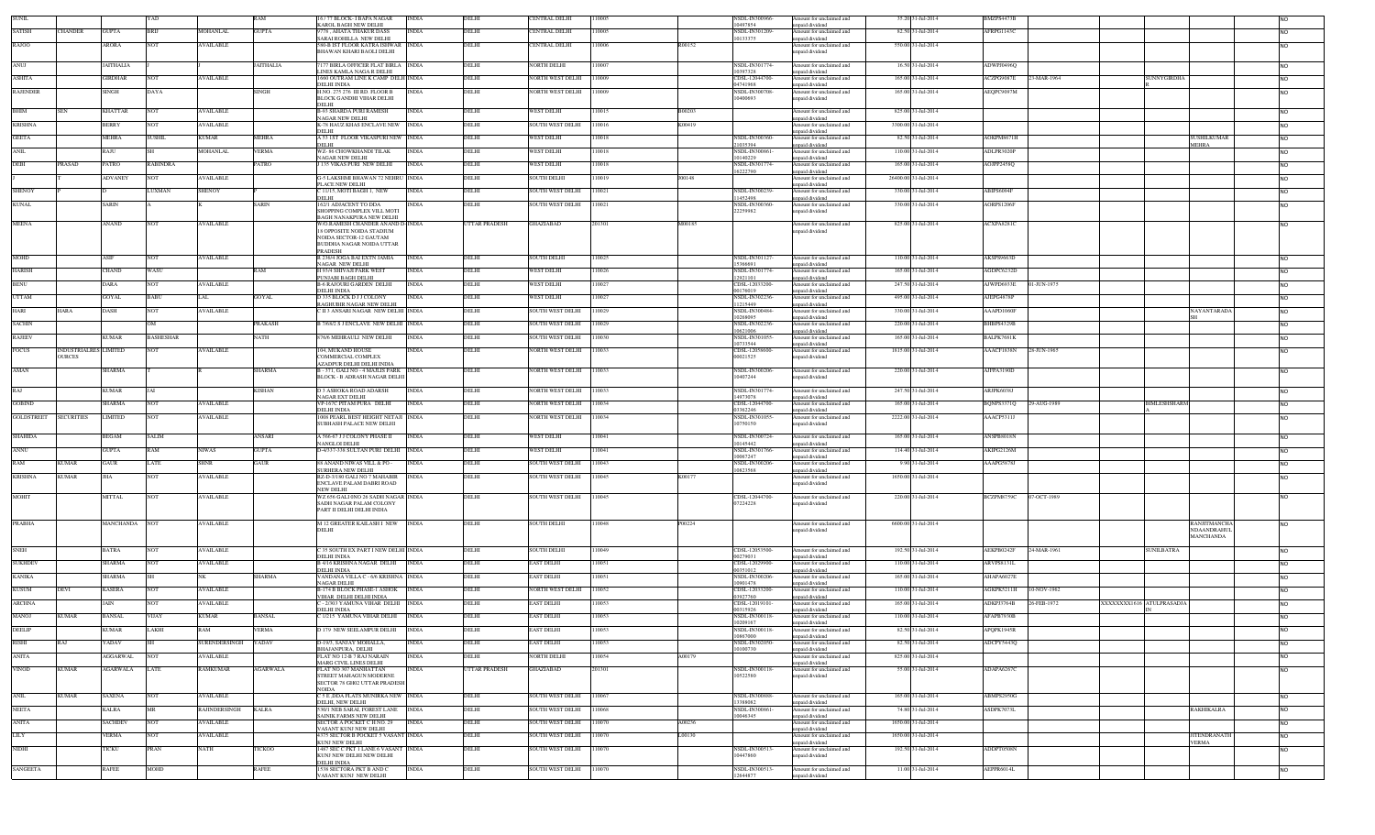| UNII                                                                |                              |                 |                  |                  |                 | 6 / 77 BLOCK- I BAPA NAGAR<br>KAROL BAGH NEW DELHI                   | INDIA        | DELHI         | CENTRAL DELHI             | 11000: |        | NSDL-IN300966<br>10497854       | Amount for unclaimed and<br>npaid dividend  |                      | 35.20 31-Jul-2014   | BMZPS4473E        |             |                          |                     |                                 |           |
|---------------------------------------------------------------------|------------------------------|-----------------|------------------|------------------|-----------------|----------------------------------------------------------------------|--------------|---------------|---------------------------|--------|--------|---------------------------------|---------------------------------------------|----------------------|---------------------|-------------------|-------------|--------------------------|---------------------|---------------------------------|-----------|
| <b>SATISH</b>                                                       | CHANDER                      | <b>GUPTA</b>    | <b>BRU</b>       | <b>MOHANLAL</b>  | <b>GUPTA</b>    | 778, AHATA THAKUR DASS                                               | <b>INDIA</b> | DELHI         | ENTRAL DELHI              | 110005 |        | NSDL-IN301209                   | Amount for unclaimed and                    |                      | 82.50 31-Jul-2014   | AFRPG1143C        |             |                          |                     |                                 |           |
| RAJOO                                                               |                              | ARORA           | NOT              | <b>AVAILABLE</b> |                 | SARAI ROHILLA NEW DELHI<br><b>580-B IST FLOOR KATRA ISHWAR</b> INDIA |              | DELHI         | ENTRAL DELHI              | 110006 | R00152 | 10133375                        | nnaid dividend<br>mount for unclaimed and   |                      | 550.00 31-Jul-2014  |                   |             |                          |                     |                                 |           |
|                                                                     |                              |                 |                  |                  |                 | BHAWAN KHARI BAOLI DELHI                                             |              |               |                           |        |        |                                 | unpaid dividend                             |                      |                     |                   |             |                          |                     |                                 |           |
| ANUJ                                                                |                              | <b>AITHALIA</b> |                  |                  | AITHALIA        | 177 BIRLA OFFICER FLAT BIRLA INDIA                                   |              | DELHI         | VORTH DELHI               | 110007 |        | NSDL-IN301774                   |                                             |                      | 16.50 31-Jul-2014   | ADWPJ0496Q        |             |                          |                     |                                 |           |
|                                                                     |                              |                 |                  |                  |                 | LINES KAMLA NAGA R DELHI                                             |              |               |                           |        |        | 10397328                        | Amount for unclaimed and<br>unpaid dividend |                      |                     |                   |             |                          |                     |                                 |           |
| ASHITA                                                              |                              | <b>GIRDHAR</b>  |                  | <b>AVAILABLE</b> |                 | 660 OUTRAM LINE K CAMP DELH INDIA<br>DELHI INDIA                     |              | DELHI         | VORTH WEST DELHI          | 110009 |        | CDSL-12044700-<br>04741968      | Amount for unclaimed and                    |                      | 165.00 31-Jul-2014  | ACZPG9087E        | 23-MAR-1964 |                          | SUNNYGIRDHA         |                                 | NO.       |
| <b>RAJENDER</b>                                                     |                              | <b>SINGH</b>    | DAYA             |                  | <b>SINGH</b>    | H NO 275 276 III RD FLOOR B                                          | <b>INDIA</b> | DELHI         | NORTH WEST DELHI   110009 |        |        | <b>NSDL-IN300708</b>            | unpaid dividend<br>Amount for unclaimed and |                      | 165.00 31-Jul-2014  | AEQPC9097M        |             |                          |                     |                                 | NO.       |
|                                                                     |                              |                 |                  |                  |                 | BLOCK GANDHI VIHAR DELHI                                             |              |               |                           |        |        | 10400693                        | unpaid dividend                             |                      |                     |                   |             |                          |                     |                                 |           |
| BHIM                                                                | <b>SEN</b>                   | <b>KHATTAR</b>  | NOT              | AVAILABLE        |                 | DELHI<br><b>B-93 SHARDA PURI RAMESH</b>                              | <b>INDIA</b> | DELHI         | WEST DELHI                | 110015 | B00203 |                                 | Amount for unclaimed and                    |                      | 825.00 31-Jul-2014  |                   |             |                          |                     |                                 | <b>NO</b> |
|                                                                     |                              |                 |                  |                  |                 | NAGAR NEW DELHI                                                      |              |               |                           |        |        |                                 | unpaid dividend                             |                      |                     |                   |             |                          |                     |                                 |           |
| <b>KRISHNA</b>                                                      |                              | <b>BERRY</b>    | NOT              | <b>AVAILABLE</b> |                 | K-78 HAUZ KHAS ENCLAVE NEW INDIA<br>DELHI                            |              | DELHI         | SOUTH WEST DELHI          | 110016 | K00419 |                                 | Amount for unclaimed and<br>unpaid dividend |                      | 3300.00 31-Jul-2014 |                   |             |                          |                     |                                 | NO.       |
| <b>GEETA</b>                                                        |                              | <b>MEHRA</b>    | <b>SUSHIL</b>    | <b>KUMAR</b>     | <b>MEHRA</b>    | A 53 IST FLOOR VIKASPURI NEW INDIA                                   |              | DELHI         | <b>WEST DELHI</b>         | 110018 |        | <b>NSDL-IN300360</b>            | Amount for unclaimed and                    |                      | 82.50 31-Jul-2014   | AOKPM8671H        |             |                          |                     | <b>SUSHILKUMAR</b>              | <b>NO</b> |
|                                                                     |                              |                 |                  |                  |                 | DELHI.                                                               |              |               |                           |        |        | 21035394                        | unpaid dividend                             |                      |                     |                   |             |                          |                     | MEHRA                           |           |
| <b>ANIL</b>                                                         |                              | RAJU            |                  | MOHANLAL         | VERMA           | WZ-86 CHOWKHANDI TILAK<br>NAGAR NEW DELHI                            | <b>INDIA</b> | DELHI         | WEST DELHI                | 110018 |        | NSDL-IN300861<br>0140229        | Amount for unclaimed and<br>unpaid dividend |                      | 110.00 31-Jul-2014  | ADLPR3020P        |             |                          |                     |                                 | NO.       |
| <b>DEBI</b>                                                         | PRASAD                       | PATRO           | <b>RABINDRA</b>  |                  | PATRO           | <b>135 VIKAS PURI NEW DELHI</b>                                      | <b>INDIA</b> | DELHI         | WEST DELHI                | 110018 |        | NSDL-IN301774-                  | Amount for unclaimed and                    |                      | 165.00 31-Jul-2014  | <b>AOJPP2458Q</b> |             |                          |                     |                                 | NO.       |
|                                                                     |                              | ADVANEY         | <b>NOT</b>       | <b>AVAILABLE</b> |                 | G-5 LAKSHMI BHAWAN 72 NEHRU INDIA                                    |              | DELHI         | SOUTH DELHI               | 110019 | J00148 | 6222790                         | unpaid dividend<br>Amount for unclaimed and | 26400.00 31-Jul-2014 |                     |                   |             |                          |                     |                                 | NO.       |
|                                                                     |                              |                 |                  |                  |                 | PLACE NEW DELHI                                                      |              |               |                           |        |        |                                 | unpaid dividend                             |                      |                     |                   |             |                          |                     |                                 |           |
| <b>SHENOY</b>                                                       |                              |                 | <b>LUXMAN</b>    | <b>SHENOY</b>    |                 | C 11/15, MOTI BAGH 1, NEW<br>DEL HI                                  | <b>INDIA</b> | DELHI         | <b>SOUTH WEST DELHI</b>   | 110021 |        | NSDL-IN300239<br>1452498        | Amount for unclaimed and<br>unpaid dividend |                      | 330.00 31-Jul-2014  | ABIPS6094F        |             |                          |                     |                                 | NO.       |
| <b>KUNAL</b>                                                        |                              | SARIN           |                  |                  | SARIN           | 162/1 ADJACENT TO DDA                                                | <b>INDIA</b> | DELHI         | SOUTH WEST DELHI          | 110021 |        | NSDL-IN300360                   | Amount for unclaimed and                    |                      | 330.00 31-Jul-2014  | AORPS1206F        |             |                          |                     |                                 |           |
|                                                                     |                              |                 |                  |                  |                 | SHOPPING COMPLEX VILL MOTI<br>BAGH NANAKPURA NEW DELHI               |              |               |                           |        |        | 22259982                        | unpaid dividend                             |                      |                     |                   |             |                          |                     |                                 |           |
| <b>MEENA</b>                                                        |                              | ANAND           | <b>NOT</b>       | <b>AVAILABLE</b> |                 | W/O.RAMESH CHANDER ANAND D-INDIA                                     |              | UTTAR PRADESH | GHAZIABAD                 | 201301 | M00185 |                                 | Amount for unclaimed and                    |                      | 825.00 31-Jul-2014  | ACXPA8281C        |             |                          |                     |                                 | NO.       |
|                                                                     |                              |                 |                  |                  |                 | 18 OPPOSITE NOIDA STADIUM                                            |              |               |                           |        |        |                                 | unpaid dividend                             |                      |                     |                   |             |                          |                     |                                 |           |
|                                                                     |                              |                 |                  |                  |                 | NOIDA SECTOR-12 GAUTAM<br>BUDDHA NAGAR NOIDA UTTAR                   |              |               |                           |        |        |                                 |                                             |                      |                     |                   |             |                          |                     |                                 |           |
|                                                                     |                              |                 |                  |                  |                 | PRADESH                                                              |              |               |                           |        |        |                                 |                                             |                      |                     |                   |             |                          |                     |                                 |           |
| MOHD                                                                |                              | ASIF            | <b>NOT</b>       | AVAILABLE        |                 | R 236/4 JOGA BAI EXTN JAMIA<br>NAGAR NEW DELHI                       | <b>INDIA</b> | DELHI         | SOUTH DELHI               | 110025 |        | NSDL-IN301127-<br>5366691       | Amount for unclaimed and<br>unpaid dividend |                      | 110.00 31-Jul-2014  | AKSPS9663D        |             |                          |                     |                                 |           |
| <b>HARISH</b>                                                       |                              | CHAND           | WASU             |                  | RAM             | H 93/4 SHIVAJI PARK WEST                                             | <b>INDIA</b> | DELHI         | WEST DELHI                | 110026 |        | NSDL-IN301774-                  | Amount for unclaimed and                    |                      | 165.00 31-Jul-2014  | AGDPC6232D        |             |                          |                     |                                 | NO.       |
| <b>BENU</b>                                                         |                              | DARA            | <b>NOT</b>       | <b>AVAILABLE</b> |                 | PUNJABI BAGH DELHI<br>B-6 RAJOURI GARDEN DELHI                       | <b>INDIA</b> | DELHI         | WEST DELHI                | 110027 |        | 12921101<br>CDSL-12033200-      | unpaid dividend<br>Amount for unclaimed and |                      | 247.50 31-Jul-2014  | AJWPD6933E        | 01-JUN-1975 |                          |                     |                                 | NO.       |
|                                                                     |                              |                 |                  |                  |                 | DELHI INDIA                                                          |              |               |                           |        |        | 00176019                        | unpaid dividend                             |                      |                     |                   |             |                          |                     |                                 |           |
| <b>UTTAM</b>                                                        |                              | <b>GOYAL</b>    | <b>BABU</b>      | LAL              | <b>GOYAL</b>    | D 335 BLOCK D J J COLONY<br>RAGHUBIR NAGAR NEW DELHI                 | <b>INDIA</b> | DELHI         | WEST DELHI                | 110027 |        | <b>NSDL-IN302236</b><br>1215449 | Amount for unclaimed and<br>unpaid dividend |                      | 495.00 31-Jul-2014  | AJEPG4878P        |             |                          |                     |                                 | NO.       |
| HARI                                                                | HARA                         | DASH            | <b>NOT</b>       | <b>AVAILABLE</b> |                 | II 3 ANSARI NAGAR NEW DELHI INDIA                                    |              | DELHI         | SOUTH WEST DELHI          | 110029 |        | NSDL-IN300484                   | Amount for unclaimed and                    |                      | 330.00 31-Jul-2014  | AAAPD1060F        |             |                          |                     | NAYANTARADA                     | NO.       |
| <b>SACHIN</b>                                                       |                              |                 |                  |                  | PRAKASH         | 7/68/2 S J ENCLAVE NEW DELHI INDIA                                   |              | DELHI         | SOUTH WEST DELHI          | 110029 |        | 10268095<br>NSDL-IN302236       | unpaid dividend<br>Amount for unclaimed and |                      | 220.00 31-Jul-2014  | 3HBPS4329B        |             |                          |                     |                                 | NO.       |
|                                                                     |                              |                 |                  |                  |                 |                                                                      |              |               |                           |        |        | 10621006                        | unpaid dividend                             |                      |                     |                   |             |                          |                     |                                 |           |
| <b>RAJEEV</b>                                                       |                              | KUMAR           | <b>BASHESHAR</b> |                  | NATH            | <b>876/6 MEHRAULI NEW DELHI</b>                                      | <b>INDIA</b> | DELHI         | SOUTH WEST DELHI          | 110030 |        | NSDL-IN301055<br>10733544       | Amount for unclaimed and<br>npaid dividend  |                      | 165.00 31-Jul-2014  | <b>BALPK7681K</b> |             |                          |                     |                                 | NO.       |
| <b>FOCUS</b>                                                        | <b>INDUSTRIALRES LIMITED</b> |                 | <b>NOT</b>       | <b>AVAILABLE</b> |                 | 104, MUKAND HOUSE                                                    | <b>INDIA</b> | DELHI         | VORTH WEST DELHI          | 110033 |        | CDSL-12058600                   | Amount for unclaimed and                    | 1815.00 31-Jul-2014  |                     | AAACF1838N        | 28-JUN-1965 |                          |                     |                                 | NO.       |
|                                                                     | <b>OURCES</b>                |                 |                  |                  |                 | COMMERCIAL COMPLEX<br>AZADPUR DELHI DELHI INDIA                      |              |               |                           |        |        | 00021525                        | unpaid dividend                             |                      |                     |                   |             |                          |                     |                                 |           |
| AMAN                                                                |                              | <b>SHARMA</b>   |                  |                  | SHARMA          | 3 - 371, GALI NO - 4 MAJLIS PARK INDIA                               |              | DELHI         | NORTH WEST DELHI 110033   |        |        | NSDL-IN300206                   | Amount for unclaimed and                    |                      | 220.00 31-Jul-2014  | AJFPA3190D        |             |                          |                     |                                 | <b>NO</b> |
|                                                                     |                              |                 |                  |                  |                 | BLOCK - B ADRASH NAGAR DELHI                                         |              |               |                           |        |        | 0407244                         | unpaid dividend                             |                      |                     |                   |             |                          |                     |                                 |           |
| RAJ                                                                 |                              | <b>KUMAR</b>    | IAI              |                  | KISHAN          | <b>D 3 ASHOKA ROAD ADARSH</b>                                        | INDIA        | DELHI         | NORTH WEST DELHI 110033   |        |        | NSDL-IN301774                   | Amount for unclaimed and                    |                      | 247.50 31-Jul-2014  | ARJPK6038J        |             |                          |                     |                                 | NO.       |
| <b>GOBIND</b>                                                       |                              |                 | <b>NOT</b>       |                  |                 | NAGAR EXT DELHI                                                      |              |               |                           |        |        | 14973078                        | unpaid dividend                             |                      |                     |                   |             |                          | <b>BIMLESHSHARM</b> |                                 |           |
|                                                                     |                              | SHARMA          |                  | <b>AVAILABLE</b> |                 | VP-167C PITAM PURA DELHI<br>DELHI INDIA                              | <b>INDIA</b> | DELHI         | VORTH WEST DELHI          | 110034 |        | CDSL-12044700-<br>03362246      | Amount for unclaimed and<br>npaid dividend  |                      | 165.00 31-Jul-2014  | BQNPS3371Q        | 29-AUG-1989 |                          |                     |                                 | NO.       |
| <b>GOLDSTREET</b>                                                   | <b>SECURITIES</b>            | <b>LIMITED</b>  | <b>NOT</b>       | <b>AVAILABLE</b> |                 | 1008 PEARL BEST HEIGHT NETAJI INDIA                                  |              | DELHI         | NORTH WEST DELHI 110034   |        |        | NSDL-IN30105:                   | Amount for unclaimed and                    | 2222.00 31-Jul-2014  |                     | AAACP5311J        |             |                          |                     |                                 |           |
|                                                                     |                              |                 |                  |                  |                 | SUBHASH PALACE NEW DELHI                                             |              |               |                           |        |        | 10750150                        | unpaid dividend                             |                      |                     |                   |             |                          |                     |                                 |           |
| <b>SHAHIDA</b>                                                      |                              | BEGAM           | SALIM            |                  | ANSARI          | A 566-67 J J COLONY PHASE II<br>NANGLOI DELHI                        | <b>INDIA</b> | DELHI         | WEST DELHI                | 110041 |        | NSDL-IN300724                   | Amount for unclaimed and                    |                      | 165,00 31-Jul-2014  | ANSPB8018N        |             |                          |                     |                                 | <b>NO</b> |
| ANNU                                                                |                              | GUPTA           | RAM              | NIWAS            | <b>GUPTA</b>    | D-4/337-338 SULTAN PURI DELHI INDIA                                  |              | DELHI         | WEST DELHI                | 110041 |        | 0145442<br>NSDL-IN301766        | unpaid dividend<br>Amount for unclaimed and |                      | 114.40 31-Jul-2014  | AKIPG2126M        |             |                          |                     |                                 | NO.       |
|                                                                     |                              |                 |                  |                  |                 |                                                                      |              |               |                           |        |        | 0067247                         | unpaid dividend                             |                      |                     |                   |             |                          |                     |                                 |           |
| RAM                                                                 | <b>KUMAR</b>                 | GAUR            | <b>ATE</b>       | <b>SHNR</b>      | <b>GAUR</b>     | 88 ANAND NIWAS VILL & PO -<br>SURHERA NEW DELHI                      | <b>INDIA</b> | DELHI         | SOUTH WEST DELHI          | 110043 |        | NSDL-IN300206<br>0823568        | Amount for unclaimed and<br>unpaid dividend |                      | 9.90 31-Jul-2014    | AAAPG5878J        |             |                          |                     |                                 | <b>NO</b> |
| <b>KRISHNA</b>                                                      | <b>KUMAR</b>                 | JHA             | NOT              | <b>AVAILABLE</b> |                 | RZ-D-3/180 GALI NO 7 MAHABIR                                         | <b>INDIA</b> | DELHI         | SOUTH WEST DELHI          | 110045 | K00177 |                                 | Amount for unclaimed and                    |                      | 1650.00 31-Jul-2014 |                   |             |                          |                     |                                 | NO.       |
|                                                                     |                              |                 |                  |                  |                 | ENCLAVE PALAM DABRI ROAD<br>NEW DELHI                                |              |               |                           |        |        |                                 | unpaid dividend                             |                      |                     |                   |             |                          |                     |                                 |           |
| <b>MOHIT</b>                                                        |                              | MITTAL          | <b>NOT</b>       |                  |                 |                                                                      |              |               |                           |        |        |                                 |                                             |                      |                     |                   |             |                          |                     |                                 |           |
|                                                                     |                              |                 |                  | <b>AVAILABLE</b> |                 | WZ 656 GALI 0NO 26 SADH NAGAR INDIA                                  |              | DELHI         | <b>SOUTH WEST DELHI</b>   | 110045 |        | CDSL-12044700-                  | Amount for unclaimed and                    |                      | 220.00 31-Jul-2014  | BCZPM8759C        | 07-OCT-1989 |                          |                     |                                 | NO.       |
|                                                                     |                              |                 |                  |                  |                 | SADH NAGAR PALAM COLONY                                              |              |               |                           |        |        | 07224228                        | unpaid dividend                             |                      |                     |                   |             |                          |                     |                                 |           |
| <b>PRABHA</b>                                                       |                              |                 |                  |                  |                 | PART II DELHI DELHI INDIA                                            |              |               |                           |        |        |                                 |                                             |                      |                     |                   |             |                          |                     |                                 |           |
|                                                                     |                              | MANCHANDA NOT   |                  | <b>AVAILABLE</b> |                 | <b>M 12 GREATER KAILASH I NEW INDIA</b>                              |              | DELHI         | <b>SOUTH DELHI</b>        | 110048 | P00224 |                                 | Amount for unclaimed and                    |                      | 6600.00 31-Jul-2014 |                   |             |                          |                     | <b>RANJITMANCHA</b>             | NO.       |
|                                                                     |                              |                 |                  |                  |                 | DELHI                                                                |              |               |                           |        |        |                                 | unpaid dividend                             |                      |                     |                   |             |                          |                     | <b>NDAANDRAHUL</b><br>MANCHANDA |           |
|                                                                     |                              |                 |                  |                  |                 |                                                                      |              |               |                           |        |        |                                 |                                             |                      |                     |                   |             |                          |                     |                                 |           |
|                                                                     |                              | BATRA           | NOT              | <b>AVAILABLE</b> |                 | C 35 SOUTH EX PART I NEW DELHI INDIA<br>DELHI INDIA                  |              | DELHI         | SOUTH DELHI               | 110049 |        | CDSL-12053500<br>00279031       | Amount for unclaimed and                    |                      | 192.50 31-Jul-2014  | AEKPB0242F        | 24-MAR-1961 |                          | <b>SUNILBATRA</b>   |                                 | NO.       |
| <b>SUKHDEV</b>                                                      |                              | SHARMA          | <b>NOT</b>       | <b>AVAILABLE</b> |                 | <b>B 4/16 KRISHNA NAGAR DELHI</b>                                    | <b>INDIA</b> | DELHI         | EAST DELHI                | 110051 |        | CDSL-12029900                   | npaid dividend<br>Amount for unclaimed and  |                      | 110.00 31-Jul-2014  | ARVPS8131L        |             |                          |                     |                                 | NO.       |
| KANIKA                                                              |                              | <b>SHARMA</b>   |                  |                  |                 | DELHI INDIA                                                          |              |               | EAST DELHI                | 110051 |        | 00351012                        | npaid dividend                              |                      | 165.00 31-Jul-2014  | AHAPA6027E        |             |                          |                     |                                 |           |
|                                                                     |                              |                 |                  |                  | SHARMA          | VANDANA VILLA C - 6/6 KRISHNA NDIA<br>NAGAR DELHI                    |              | DELHI         |                           |        |        | NSDL-IN300206-<br>10901478      | Amount for unclaimed and<br>unpaid dividend |                      |                     |                   |             |                          |                     |                                 | NO.       |
| <b>KUSUM</b>                                                        | DEVI                         | <b>CASERA</b>   | NОT              | <b>AVAILABLE</b> |                 | 3-174 B BLOCK PHASE-1 ASHOK<br>VIHAR DELHI DELHI INDIA               | <b>INDIA</b> | DELHI         | VORTH WEST DELHI          | 110052 |        | CDSL-12033200-<br>03927760      | Amount for unclaimed and                    |                      | 110.00 31-Jul-2014  | AGKPK5211H        | 10-NOV-1962 |                          |                     |                                 | NO.       |
| <b>ARCHNA</b>                                                       |                              | AIN             | VOT              | <b>AVAILABLE</b> |                 | : - 2/303 YAMUNA VIHAR DELHI INDIA                                   |              | DELHI         | EAST DELHI                | 110053 |        | CDSL-12019101                   | unpaid dividend<br>Amount for unclaimed and |                      | 165.00 31-Jul-2014  | ADKPJ3764B        | 26-FEB-1972 | XXXXXXX1616 ATULPRASADJA |                     |                                 | NO.       |
|                                                                     |                              |                 |                  |                  |                 | <b>DELHI INDIA</b>                                                   |              |               |                           |        |        | 00315926                        | unpaid dividend                             |                      |                     |                   |             |                          |                     |                                 |           |
| MANOJ                                                               | <b>KUMAR</b>                 | <b>BANSAL</b>   | VIJAY            | <b>KUMAR</b>     | <b>BANSAL</b>   | C 1/215 YAMUNA VIHAR DELHI INDIA                                     |              | DELHI         | EAST DELHI                | 110053 |        | NSDL-IN300118-<br>0209167       | Amount for unclaimed and<br>unpaid dividend |                      | 110.00 31-Jul-2014  | AFAPB7930B        |             |                          |                     |                                 |           |
| :FI IP                                                              |                              |                 |                  |                  |                 | 170 NEW CEET AMBU                                                    |              |               |                           |        |        | NSDL-IN300118                   | unt for une                                 |                      |                     |                   |             |                          |                     |                                 |           |
| <b>RISHI</b>                                                        | RAJ                          | 'ADAV           |                  | SURENDERSINGH    | YADAV           | D-19/3, SANJAY MOHALLA,                                              | <b>INDIA</b> | DELHI         | <b>AST DELHI</b>          | 110053 |        | 0867000<br>NSDL-IN302050        | unpaid dividend<br>Amount for unclaimed and |                      | 82.50 31-Jul-2014   | ADCPY5443Q        |             |                          |                     |                                 | NO.       |
|                                                                     |                              |                 |                  |                  |                 | BHAJANPURA, DELHI                                                    |              |               |                           |        |        | 0100730                         | unpaid dividend                             |                      |                     |                   |             |                          |                     |                                 |           |
|                                                                     |                              | <b>AGGARWAL</b> | <b>NOT</b>       | <b>AVAILABLE</b> |                 | FLAT NO 12-B 7 RAJ NARAIN<br>MARG CIVIL LINES DELHI                  | <b>INDIA</b> | DELHI         | NORTH DELHI               | 110054 | A00179 |                                 | Amount for unclaimed and<br>unpaid dividend |                      | 825.00 31-Jul-2014  |                   |             |                          |                     |                                 | NO.       |
| VINOD                                                               | <b>KUMAR</b>                 | AGARWALA        | LATE             | RAMKUMAR         | <b>AGARWALA</b> | FLAT NO 307 MANHATTAN                                                | <b>INDIA</b> | UTTAR PRADESH | GHAZIABAD                 | 201301 |        | NSDL-IN300118-                  | Amount for unclaimed and                    |                      | 55.00 31-Jul-2014   | ADAPA6267C        |             |                          |                     |                                 | NO.       |
|                                                                     |                              |                 |                  |                  |                 | STREET MAHAGUN MODERNE<br>SECTOR 78 GH02 UTTAR PRADESH               |              |               |                           |        |        | 10522580                        | unpaid dividend                             |                      |                     |                   |             |                          |                     |                                 |           |
|                                                                     |                              |                 |                  |                  |                 | <b>NOIDA</b>                                                         |              |               |                           |        |        |                                 |                                             |                      |                     |                   |             |                          |                     |                                 |           |
|                                                                     | KUMAR                        | SAXENA          | NOT              | AVAILABLE        |                 | C 5 E ,DDA FLATS MUNIRKA NEW INDIA<br>DELHI, NEW DELHI               |              | DELHI         | SOUTH WEST DELHI          | 110067 |        | NSDL-IN300888-<br>3388082       | Amount for unclaimed and                    |                      | 165.00 31-Jul-2014  | ABMPS2950G        |             |                          |                     |                                 | NO.       |
|                                                                     |                              | KALRA           | MR               | RAJINDERSINGH    | <b>KALRA</b>    | 530/1 NEB SARAI, FOREST LANE NDIA                                    |              | DELHI         | SOUTH WEST DELHI 110068   |        |        | NSDL-IN300861-                  | unpaid dividend<br>Amount for unclaimed and |                      | 74.80 31-Jul-2014   | ASDPK7073L        |             |                          |                     | <b>RAKHIKALRA</b>               | NO.       |
|                                                                     |                              |                 |                  |                  |                 | SAINIK FARMS NEW DELHI                                               |              |               |                           |        |        | 0046345                         | unpaid dividend                             |                      |                     |                   |             |                          |                     |                                 |           |
| <b>ANIL</b>                                                         |                              | <b>SACHDEV</b>  | <b>NOT</b>       | <b>AVAILABLE</b> |                 | SECTOR A POCKET C H NO. 29<br>VASANT KUNJ NEW DELHI                  | <b>INDIA</b> | DELHI         | SOUTH WEST DELHI 110070   |        | A00236 |                                 | Amount for unclaimed and<br>unpaid dividend |                      | 1650.00 31-Jul-2014 |                   |             |                          |                     |                                 | NO.       |
| <b>SNEH</b><br><b>ANITA</b><br><b>NEETA</b><br>ANITA<br><b>LILY</b> |                              | VERMA           | <b>NOT</b>       | <b>AVAILABLE</b> |                 | 4375 SECTOR B POCKET 5 VASANT INDIA                                  |              | DELHI         | SOUTH WEST DELHI 110070   |        | L00130 |                                 | Amount for unclaimed and                    |                      | 1650.00 31-Jul-2014 |                   |             |                          |                     | <b>JITENDRANATH</b>             | <b>NO</b> |
| NIDHI                                                               |                              | <b>ICKU</b>     | <b>RAN</b>       | VATH             | ICKOO           | <b>KUNJ NEW DELHI</b><br>487 SEC C PKT 1 LANE 6 VASANT INDIA         |              | DELHI         | <b>OUTH WEST DELHI</b>    | 110070 |        | VSDL-IN300513                   | unpaid dividend<br>Amount for unclaimed and |                      | 192.50 31-Jul-2014  | ADDPT0508N        |             |                          |                     | <b>VERMA</b>                    | NO.       |
|                                                                     |                              |                 |                  |                  |                 | KUNJ NEW DELHI NEW DELHI                                             |              |               |                           |        |        | 10447860                        | unpaid dividend                             |                      |                     |                   |             |                          |                     |                                 |           |
| SANGEETA                                                            |                              | RAFEE           | MOHD             |                  | RAFEE           | DELHI INDIA<br>538 SECTORA PKT B AND C<br>ASANT KUNJ NEW DELHI       | <b>INDIA</b> | DELHI         | SOUTH WEST DELHI          | 110070 |        | NSDL-IN300513<br>2644877        | Amount for unclaimed and<br>npaid dividend  |                      | 11.00 31-Jul-2014   | AEPPR6014L        |             |                          |                     |                                 | NO.       |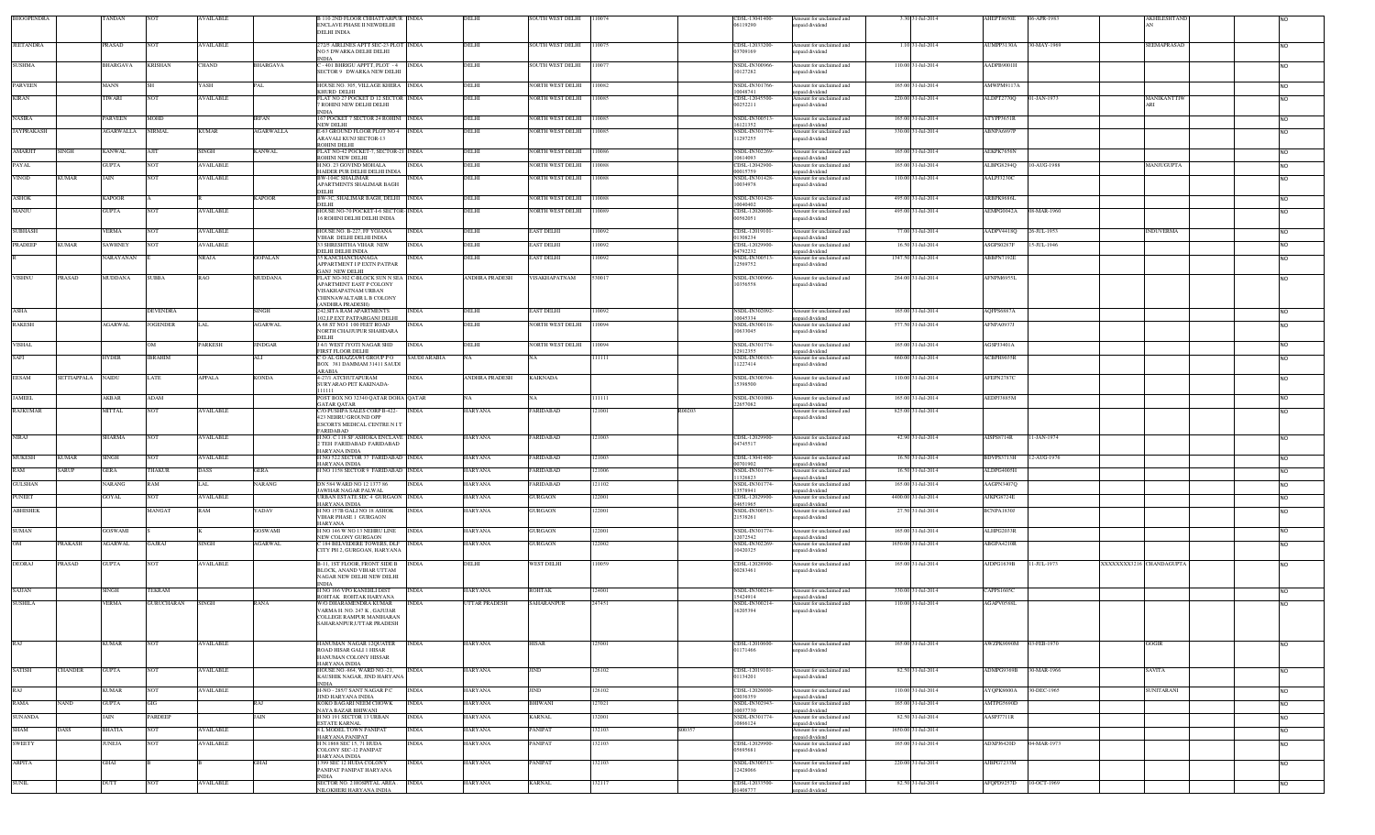| BHOOPENDRA        |               | TANDAN          | <b>NOT</b>        | <b>AVAILABLE</b> |                 | <b>B 110 2ND FLOOR CHHATTARPUR INDIA</b><br>ENCLAVE PHASE II NEWDELHI<br>DELHI INDIA |                     | DELHI                | <b>SOUTH WEST DELHI</b> | 110074 |        | CDSL-13041400-<br>06119290            | Amount for unclaimed and<br>unpaid dividend                    | 3.30 31-Jul-2014    | AHEPT8050E             | 06-APR-1983 |                         | AKHILESHTAND              |                        |
|-------------------|---------------|-----------------|-------------------|------------------|-----------------|--------------------------------------------------------------------------------------|---------------------|----------------------|-------------------------|--------|--------|---------------------------------------|----------------------------------------------------------------|---------------------|------------------------|-------------|-------------------------|---------------------------|------------------------|
| <b>JEETANDRA</b>  |               | PRASAD          | <b>NOT</b>        | <b>AVAILABLE</b> |                 | 72/5 AIRLINES APTT SEC-23 PLOT INDIA<br>NO 5 DWARKA DELHI DELHI                      |                     | DELHI                | <b>SOUTH WEST DELHI</b> | 10075  |        | CDSL-12033200-<br>03709169            | Amount for unclaimed and<br>inpaid dividend                    | 1.10 31-Jul-2014    | AUMPP3130A             | 30-MAY-1969 |                         | SEEMAPRASAD               |                        |
| <b>SUSHMA</b>     |               | <b>BHARGAVA</b> | <b>KRISHAN</b>    | <b>CHAND</b>     | <b>BHARGAVA</b> | -401 BHRIGU APPTT, PLOT -4 INDIA<br>SECTOR 9 DWARKA NEW DELHI                        |                     | DELHI                | <b>SOUTH WEST DELHI</b> | 110077 |        | NSDL-IN300966<br>10127282             | Amount for unclaimed and<br>npaid dividend                     | 110.00 31-Jul-2014  | AADPB9001H             |             |                         |                           | N <sub>O</sub>         |
| PARVEEN           |               | MANN            |                   | YASH             | PAL             | <b>IOUSE NO. 305, VILLAGE KHERA</b> INDIA                                            |                     | DELHI                | <b>VORTH WEST DELHI</b> | 10082  |        | <b>NSDL-IN301766-</b>                 | Amount for unclaimed and                                       | 165.00 31-Jul-2014  | <b>MWPM9117A</b>       |             |                         |                           | <b>NO</b>              |
| <b>KIRAN</b>      |               | TWARI           | NOT               | AVAILABLE        |                 | HURD DELHI<br>LAT NO 27 POCKET D 12 SECTOR INDIA<br>ROHINI NEW DELHI DELHI           |                     | DELHI                | VORTH WEST DELHI        | 110085 |        | 0048741<br>CDSL-12045500-<br>00252211 | unpaid dividend<br>Amount for unclaimed and<br>inpaid dividend | 220.00 31-Jul-2014  | ALDPT2770Q             | 01-JAN-1973 |                         | <b>MANIKANTTIW</b><br>ARI | <b>NO</b>              |
| <b>NASIRA</b>     |               | PARVEEN         | <b>MOHD</b>       |                  | <b>IRFAN</b>    | 67 POCKET 7 SECTOR 24 ROHINI INDIA                                                   |                     | DELHI                | VORTH WEST DELHI        | 110085 |        | NSDL-IN300513                         | Amount for unclaimed and                                       | 165.00 31-Jul-2014  | ATYPP3651R             |             |                         |                           | <b>NO</b>              |
| <b>JAYPRAKASH</b> |               | AGARWALLA       | <b>NIRMAL</b>     | <b>KUMAR</b>     | AGARWALLA       | <b>VEW DELHI</b><br><b>E-63 GROUND FLOOR PLOT NO 4 INDIA</b>                         |                     | DELHI                | <b>VORTH WEST DELHI</b> | 110085 |        | 5121357<br><b>NSDL-IN301774</b>       | unpaid dividend<br>Amount for unclaimed and                    | 330.00 31-Jul-2014  | ABNPA6897F             |             |                         |                           | <b>NO</b>              |
|                   |               |                 |                   |                  |                 | ARAVALI KUNJ SECTOR-13<br><b>ROHINI DELHI</b>                                        |                     |                      |                         |        |        | 1297255                               | unpaid dividend                                                |                     |                        |             |                         |                           |                        |
| <b>AMARJIT</b>    | <b>SINGH</b>  | <b>KANWAL</b>   | AJIT              | <b>SINGH</b>     | KANWAL          | LAT NO-42 POCKET-7, SECTOR-21 INDIA                                                  |                     | DELHI                | VORTH WEST DELHI        | 10086  |        | NSDL-IN302269<br>10614093             | Amount for unclaimed and                                       | 165.00 31-Jul-2014  | AEKPK7656N             |             |                         |                           | <b>NO</b>              |
| PAYAL             |               | GUPTA           |                   | AVAILABLE        |                 | <b>ROHINI NEW DELHI</b><br>I.NO. 23 GOVIND MOHALA                                    | <b>INDIA</b>        | DELHI                | NORTH WEST DELHI        | 110088 |        | CDSL-12042900-                        | inpaid dividend<br>Amount for unclaimed and                    | 165.00 31-Jul-2014  | ALBPG8294Q             | 10-AUG-1988 |                         | MANJUGUPTA                | <b>NO</b>              |
| <b>VINOD</b>      | <b>KUMAR</b>  | JAIN            | <b>NOT</b>        | <b>AVAILABLE</b> |                 | HAIDER PUR DELHI DELHI INDIA<br>BW-104C SHALIMAR                                     | <b>INDIA</b>        | DELHI                | NORTH WEST DELHI        | 110088 |        | 00015759<br><b>NSDL-IN301428</b>      | npaid dividend<br>Amount for unclaimed and                     | 110.00 31-Jul-2014  | AALPJ3230C             |             |                         |                           | <b>NO</b>              |
|                   |               |                 |                   |                  |                 | APARTMENTS SHALIMAR BAGH<br>DELHI                                                    |                     |                      |                         |        |        | 10034978                              | unpaid dividend                                                |                     |                        |             |                         |                           |                        |
| ASHOK             |               | <b>KAPOOR</b>   |                   |                  | KAPOOR          | BW-3C, SHALIMAR BAGH, DELHI INDIA<br>DELHI                                           |                     | DELHI                | NORTH WEST DELHI        | 110088 |        | NSDL-IN301428<br>0040402              | Amount for unclaimed and<br>npaid dividend                     | 495.00 31-Jul-2014  | ARBPK9686L             |             |                         |                           | <b>NO</b>              |
| MANJU             |               | <b>GUPTA</b>    | <b>NOT</b>        | <b>AVAILABLE</b> |                 | HOUSE NO-70 POCKET-I-6 SECTOR- INDIA<br>16 ROHINI DELHI DELHI INDIA                  |                     | DELHI                | NORTH WEST DELHI        | 110089 |        | CDSL-12020600<br>00562051             | Amount for unclaimed and<br>inpaid dividend                    | 495.00 31-Jul-2014  | AEMPG0042A 08-MAR-1960 |             |                         |                           | <b>NO</b>              |
| <b>SUBHASH</b>    |               | VERMA           | NOT               | <b>AVAILABLE</b> |                 | HOUSE NO. B-227, FF YOJANA                                                           | <b>INDIA</b>        | DELHI                | EAST DELHI              | 10092  |        | CDSL-12019101                         | Amount for unclaimed and                                       | 77.00 31-Jul-2014   | AADPV4418O             | 26-JUL-1953 |                         | <b>INDUVERMA</b>          | <b>NO</b>              |
| <b>PRADEEP</b>    | <b>KUMAR</b>  | SAWHNEY         |                   | AVAILABLE        |                 | VIHAR DELHI DELHI INDIA<br>3 SHRESHTHA VIHAR NEW                                     | <b>INDIA</b>        | DELHI                | <b>EAST DELHI</b>       | 10092  |        | 01308234<br>CDSL-12029900             | npaid dividend<br>Amount for unclaimed and                     | 16.50 31-Jul-2014   | ASGPS0287F             | 15-JUL-1946 |                         |                           | <b>NO</b>              |
|                   |               | VARAYANAN       |                   | <b>NRAJA</b>     | <b>GOPALAN</b>  | DELHI DELHI INDIA<br>5 KANCHANCHANAGA                                                | <b>INDIA</b>        | DELHI                | EAST DELHI              | 110092 |        | 04792232<br>NSDL-IN300513             | npaid dividend<br>Amount for unclaimed and                     | 1347.50 31-Jul-2014 | ABBPN7192E             |             |                         |                           | <b>NO</b>              |
|                   |               |                 |                   |                  |                 | APPARTMENT I P EXTN PATPAR<br><b>JANJ NEW DELHI</b>                                  |                     |                      |                         |        |        | 12569752                              | npaid dividend                                                 |                     |                        |             |                         |                           |                        |
| <b>VISHNU</b>     | PRASAD        | MUDDANA         | <b>SUBBA</b>      | <b>RAO</b>       | MUDDANA         | LAT NO-302 C-BLOCK SUN N SEA INDIA<br><b>APARTMENT EAST P COLONY</b>                 |                     | ANDHRA PRADESH       | VISAKHAPATNAM           | 30017  |        | NSDL-IN300966<br>0356558              | Amount for unclaimed and<br>unpaid dividend                    | 264.00 31-Jul-2014  | AFNPM6955L             |             |                         |                           | <b>NO</b>              |
|                   |               |                 |                   |                  |                 | VISAKHAPATNAM URBAN<br><b>HINNAWALTAIR L B COLONY</b>                                |                     |                      |                         |        |        |                                       |                                                                |                     |                        |             |                         |                           |                        |
| ASHA              |               |                 | DEVENDRA          |                  | SINGH           | <b>ANDHRA PRADESH)</b><br><b>42.SITA RAM APARTMENTS</b>                              | <b>INDIA</b>        | DELHI                | <b>AST DELHI</b>        | 10092  |        | <b>NSDL-IN302092</b>                  | Amount for unclaimed and                                       | 165.00 31-Jul-2014  | AQFPS6887A             |             |                         |                           | N <sub>O</sub>         |
| RAKESH            |               | <b>AGARWAL</b>  | <b>JOGENDER</b>   | LAL              | <b>AGARWAL</b>  | 02, I.P. EXT PATPARGANJ DELHI<br>A 68 ST NO I 100 FEET ROAD                          | <b>INDIA</b>        | DELHI                | NORTH WEST DELHI        | 110094 |        | 10045334<br>NSDL-IN300118             | inpaid dividend<br>Amount for unclaimed and                    | 577.50 31-Jul-2014  | AFNPA0937J             |             |                         |                           | <b>NO</b>              |
|                   |               |                 |                   |                  |                 | NORTH CHAJJUPUR SHAHDARA<br>DELHI                                                    |                     |                      |                         |        |        | 10633045                              | unpaid dividend                                                |                     |                        |             |                         |                           |                        |
| <b>VISHAL</b>     |               |                 |                   | PARKESH          | JINDGAR         | 4/1 WEST JYOTI NAGAR SHD<br>IRST FLOOR DELHI                                         | <b>INDIA</b>        | DELHI                | VORTH WEST DELHI        | 10094  |        | <b>NSDL-IN301774</b><br>2912355       | Amount for unclaimed and<br>npaid dividend                     | 165.00 31-Jul-2014  | AGSPJ3401A             |             |                         |                           | <b>NO</b>              |
| SAFI              |               | HYDER           | <b>IBRAHIM</b>    |                  | ALI             | O AL GHAZZAWI GROUP P O<br>BOX 381 DAMMAM 31411 SAUDI                                | <b>SAUDI ARABIA</b> |                      |                         | 11111  |        | <b>NSDL-IN300183</b><br>11227414      | Amount for unclaimed and<br>unpaid dividend                    | 660.00 31-Jul-2014  | ACBPH9035R             |             |                         |                           | <b>NO</b>              |
| EESAM             | SETTIAPPALA   | NAIDU           | LATE              | APPALA           | KONDA           | <b>ARABIA</b><br>-27/1 ATCHUTAPURAM                                                  | INDIA               | ANDHRA PRADESH       | <b>KAIKNADA</b>         |        |        | <b>NSDL-IN300394</b>                  | Amount for unclaimed and                                       | 110.00 31-Jul-2014  | AFEPN2787C             |             |                         |                           | <b>NO</b>              |
|                   |               |                 |                   |                  |                 | SURYARAO PET KAKINADA-                                                               |                     |                      |                         |        |        | 5398500                               | unpaid dividend                                                |                     |                        |             |                         |                           |                        |
| <b>JAMEEL</b>     |               | AKBAR           | ADAM              |                  |                 | OST BOX NO 32340 QATAR DOHA QATAR<br><b>GATAR QATAR</b>                              |                     |                      |                         | 11111  |        | <b>NSDL-IN301080</b><br>22657082      | Amount for unclaimed and<br>unpaid dividend                    | 165.00 31-Jul-2014  | AEDPJ3885M             |             |                         |                           | <b>NO</b>              |
| <b>RAJKUMAR</b>   |               | MITTAL          | <b>NOT</b>        | <b>AVAILABLE</b> |                 | 70 PUSHPA SALES CORP B-422-<br>423 NEHRU GROUND OPP                                  | <b>INDIA</b>        | HARYANA              | ARIDABAD                | 21001  | R00203 |                                       | Amount for unclaimed and<br>unpaid dividend                    | 825.00 31-Jul-2014  |                        |             |                         |                           | <b>NO</b>              |
|                   |               |                 |                   |                  |                 | ESCORTS MEDICAL CENTRE N IT<br>ARIDABAD                                              |                     |                      |                         |        |        |                                       |                                                                |                     |                        |             |                         |                           |                        |
| <b>NIRAJ</b>      |               | <b>SHARMA</b>   | <b>NOT</b>        | <b>AVAILABLE</b> |                 | H.NO. C 118 SF ASHOKA ENCLAVE INDIA<br>2 TEH FARIDABAD FARIDABAD                     |                     | HARYANA              | ARIDABAD                | 121003 |        | CDSL-12029900-<br>04745517            | Amount for unclaimed and<br>npaid dividend                     | 42.90 31-Jul-2014   | AISPS8714R             | 11-JAN-1974 |                         |                           | <b>NO</b>              |
| <b>MUKESH</b>     | <b>KUMAR</b>  | SINGH           | NOT               | <b>AVAILABLE</b> |                 | IARYANA INDIA<br>INO 522 SECTOR 37 FARIDABAD INDIA                                   |                     | HARYANA              | ARIDABAD                | 121003 |        | CDSL-13041400-                        | Amount for unclaimed and                                       | 16.50 31-Jul-2014   | BDVPS3713H             | 12-AUG-1976 |                         |                           | <b>NO</b>              |
| <b>RAM</b>        | <b>SARUP</b>  | <b>GERA</b>     | THAKUR            | DASS             | <b>GERA</b>     | <b>JARYANA INDIA</b><br>INO 1158 SECTOR 9 FARIDABAD INDIA                            |                     | HARYANA              | ARIDABAD                | 21006  |        | 00701902<br>NSDL-IN301774             | inpaid dividend<br>Amount for unclaimed and                    | 16.50 31-Jul-2014   | ALDPG4005F             |             |                         |                           | <b>NO</b>              |
| <b>GULSHAN</b>    |               | NARANG          | RAM               | LAL              | NARANG          | DN 584 WARD NO 12 1377 86                                                            | <b>INDIA</b>        | HARYANA              | ARIDABAD                | 121102 |        | 1326823<br>NSDL-IN301774              | inpaid dividend<br>Amount for unclaimed and                    | 165.00 31-Jul-2014  | AAGPN3407Q             |             |                         |                           | <b>NO</b>              |
| <b>PUNEET</b>     |               | <b>GOYAL</b>    | <b>NOT</b>        | <b>AVAILABLE</b> |                 | AWHAR NAGAR PALWAL<br>URBAN ESTATE SEC 4 GURGAON INDIA                               |                     | HARYANA              | GURGAON                 | 122001 |        | 3578941<br>CDSL-12029900              | npaid dividend<br>Amount for unclaimed and                     | 4400.00 31-Jul-2014 | AJKPG8724E             |             |                         |                           |                        |
| <b>ABHISHEK</b>   |               |                 | MANGAT            | RAM              | 'ADAV           | HARYANA INDIA<br>I NO 157B GALI NO 18 ASHOK                                          | <b>INDIA</b>        | <b>HARYANA</b>       | <b>JURGAON</b>          | 122001 |        | 04651965<br>NSDL-IN30051              | inpaid dividend<br>Amount for unclaimed and                    | 27.50 31-Jul-2014   | BCNPA1830J             |             |                         |                           | <b>NO</b><br><b>NO</b> |
|                   |               |                 |                   |                  |                 | <b>/IHAR PHASE 1 GURGAON</b><br><b>IARYANA</b>                                       |                     |                      |                         |        |        | 21538261                              | unpaid dividend                                                |                     |                        |             |                         |                           |                        |
| SUMAN             |               | <b>GOSWAMI</b>  |                   |                  | <b>GOSWAMI</b>  | I NO 146 W NO 13 NEHRU LINE                                                          | <b>INDIA</b>        | HARYANA              | <b>JURGAON</b>          | 122001 |        | NSDL-IN301774<br>12072542             | Amount for unclaimed and                                       | 165.00 31-Jul-2014  | ALHPG2033R             |             |                         |                           | <b>NO</b>              |
| $^{OM}$           | PRAKASH       | <b>GARWAL</b>   | GAJRAJ            | SINGH            | <b>AGARWAL</b>  | NEW COLONY GURGAON<br>184 BELVEDERE TOWERS, DLF                                      | <b>INDIA</b>        | <b>ARYANA</b>        | <b>JURGAON</b>          | 22002  |        | NSDL-IN302269                         | unpaid dividend<br>Amount for unclaimed and                    | 1650.00 31-Jul-2014 | <b>ABGPA4210R</b>      |             |                         |                           | <b>NO</b>              |
|                   |               |                 |                   |                  |                 | CITY PH 2. GURGOAN, HARYANA                                                          |                     |                      |                         |        |        | 10420325                              | inpaid dividend                                                |                     |                        |             |                         |                           |                        |
| <b>DEORAJ</b>     | <b>PRASAD</b> | <b>GUPTA</b>    | <b>NOT</b>        | <b>AVAILABLE</b> |                 | 3-11, IST FLOOR, FRONT SIDE B<br>BLOCK, ANAND VIHAR UTTAM                            | <b>INDIA</b>        | DELHI                | WEST DELHI              | 10059  |        | CDSL-12028900-<br>00283461            | Amount for unclaimed and<br>unpaid dividend                    | 165.00 31-Jul-2014  | AJDPG1639B             | 11-JUL-1973 | XXXXXXX3216 CHANDAGUPTA |                           |                        |
|                   |               |                 |                   |                  |                 | NAGAR NEW DELHI NEW DELHI<br><b>INDIA</b>                                            |                     |                      |                         |        |        |                                       |                                                                |                     |                        |             |                         |                           |                        |
| SAJJAN            |               | SINGH           | TEKRAM            |                  |                 | I NO 166 VPO KANEHLI DIST<br>ROHTAK ROHTAK HARYANA                                   | <b>INDIA</b>        | HARYANA              | <b>ROHTAK</b>           | 124001 |        | VSDL-IN300214<br>5424914              | Amount for unclaimed and<br>npaid dividend                     | 330.00 31-Jul-2014  | CAPPS1605C             |             |                         |                           | <b>NO</b>              |
| <b>SUSHILA</b>    |               | VERMA           | <b>GURUCHARAN</b> | <b>SINGH</b>     | RANA            | W/O DHARAMENDRA KUMAR<br>ARMA H. NO. 247 K. GAJUJAR                                  | <b>INDIA</b>        | <b>JTTAR PRADESH</b> | SAHARANPUR              | 247451 |        | NSDL-IN300214<br>16205394             | Amount for unclaimed and<br>unpaid dividend                    | 110.00 31-Jul-2014  | AGAPV0588L             |             |                         |                           | <b>NO</b>              |
|                   |               |                 |                   |                  |                 | COLLEGE RAMPUR MANIHARAN<br>SAHAR ANPUR UTTAR PRADESH                                |                     |                      |                         |        |        |                                       |                                                                |                     |                        |             |                         |                           |                        |
|                   |               |                 |                   |                  |                 |                                                                                      |                     |                      |                         |        |        |                                       |                                                                |                     |                        |             |                         |                           |                        |
| RAJ               |               | KUMAR           | <b>NOT</b>        | <b>AVAILABLE</b> |                 | HANUMAN NAGAR 12QUATER<br>ROAD HISAR GALI 1 HISAR                                    | <b>INDIA</b>        | HARYANA              | HISAR                   | 25001  |        | CDSL-12010600-<br>01171466            | Amount for unclaimed and<br>unpaid dividend                    | 165.00 31-Jul-2014  | AWZPK9090M             | 03-FEB-1970 |                         | GOGIR                     | <b>NO</b>              |
|                   |               |                 |                   |                  |                 | HANUMAN COLONY HISSAR<br>IARYANA INDIA                                               |                     |                      |                         |        |        |                                       |                                                                |                     |                        |             |                         |                           |                        |
| <b>SATISH</b>     | CHANDER       | <b>GUPTA</b>    | <b>NOT</b>        | <b>AVAILABLE</b> |                 | HOUSE NO.-864, WARD NO.-21,<br>KAUSHIK NAGAR, JIND HARYANA                           | <b>INDIA</b>        | <b>IARYANA</b>       | <b>IND</b>              | 126102 |        | CDSL-12019101-<br>01134201            | Amount for unclaimed and<br>inpaid dividend                    | 82.50 31-Jul-2014   | ADMPG9369B             | 30-MAR-1966 |                         | SAVITA                    | <b>NO</b>              |
| RAJ               |               | <b>KUMAR</b>    | <b>NOT</b>        | AVAILABLE        |                 | NDIA<br>H-NO - 285/7 SANT NAGAR P.C                                                  | <b>INDIA</b>        | HARYANA              | IND                     | 126102 |        | CDSL-12026000-                        | Amount for unclaimed and                                       | 110.00 31-Jul-2014  | <b>AYQPK8600A</b>      | 30-DEC-1965 |                         | <b>SUNITARANI</b>         | <b>NO</b>              |
| RAMA              | <b>NAND</b>   | GUPTA           | GIG               |                  | RAJ             | JIND HARYANA INDIA<br>KOKO BAGARI NEEM CHOWK                                         | <b>INDIA</b>        | HARYANA              | <b>HIWANI</b>           | 127021 |        | 00036359<br>NSDL-IN302943             | unpaid dividend<br>Amount for unclaimed and                    | 165.00 31-Jul-2014  | AMTPG5690D             |             |                         |                           | <b>NO</b>              |
| <b>SUNANDA</b>    |               | JAIN            | PARDEEP           |                  | JAIN            | NAYA BAZAR BHIWANI<br>I NO 191 SECTOR 13 URBAN                                       | <b>INDIA</b>        | HARYANA              | KARNAL                  | 32001  |        | 0037730<br><b>NSDL-IN301774</b>       | unpaid dividend<br>Amount for unclaimed and                    | 82.50 31-Jul-2014   | AASPJ7711R             |             |                         |                           | <b>NO</b>              |
| SHAM              | DASS          | <b>BHATIA</b>   | <b>NOT</b>        | <b>AVAILABLE</b> |                 | <b>STATE KARNAL</b><br>8 L MODEL TOWN PANIPAT                                        | <b>INDIA</b>        | HARYANA              | ANIPAT                  | 132103 | S00357 | 0866124                               | unpaid dividend<br>Amount for unclaimed and                    | 1650.00 31-Jul-2014 |                        |             |                         |                           | <b>NO</b>              |
| <b>SWEETY</b>     |               | JUNEJA          | <b>NOT</b>        | <b>AVAILABLE</b> |                 | <b>JARYANA PANIPAT</b><br>H N.1868 SEC 15, 71 HUDA                                   | <b>INDIA</b>        | HARYANA              | ANIPAT                  | 32103  |        | CDSL-12029900                         | unpaid dividend<br>Amount for unclaimed and                    | 165.00 31-Jul-2014  | ADXPJ6420D             | 04-MAR-1973 |                         |                           | <b>NO</b>              |
|                   |               |                 |                   |                  |                 | COLONY SEC-12 PANIPAT<br>IARYANA INDIA                                               |                     |                      |                         |        |        | 05695681                              | unpaid dividend                                                |                     |                        |             |                         |                           |                        |
| <b>ARPITA</b>     |               | GHAI            |                   |                  | <b>GHAI</b>     | 399 SEC 12 HUDA COLONY<br>PANIPAT PANIPAT HARYANA                                    | <b>INDIA</b>        | HARYANA              | PANIPAT                 | 132103 |        | NSDL-IN300513<br>12428066             | Amount for unclaimed and<br>unpaid dividend                    | 220.00 31-Jul-2014  | AJBPG7233M             |             |                         |                           | <b>NO</b>              |
| <b>SUNIL</b>      |               | <b>DUTT</b>     | <b>NOT</b>        | <b>AVAILABLE</b> |                 | <b>INDIA</b><br>SECTOR NO. 2 HOSPITAL AREA.                                          | <b>INDIA</b>        | <b>HARYANA</b>       | <b>KARNAL</b>           | 132117 |        | CDSL-12033500                         | Amount for unclaimed and                                       | 82.50 31-Jul-2014   | AFQPD9257D             | 10-OCT-1969 |                         |                           | <b>NO</b>              |
|                   |               |                 |                   |                  |                 | NILOKHERI HARYANA INDIA                                                              |                     |                      |                         |        |        | 01408777                              | npaid dividend                                                 |                     |                        |             |                         |                           |                        |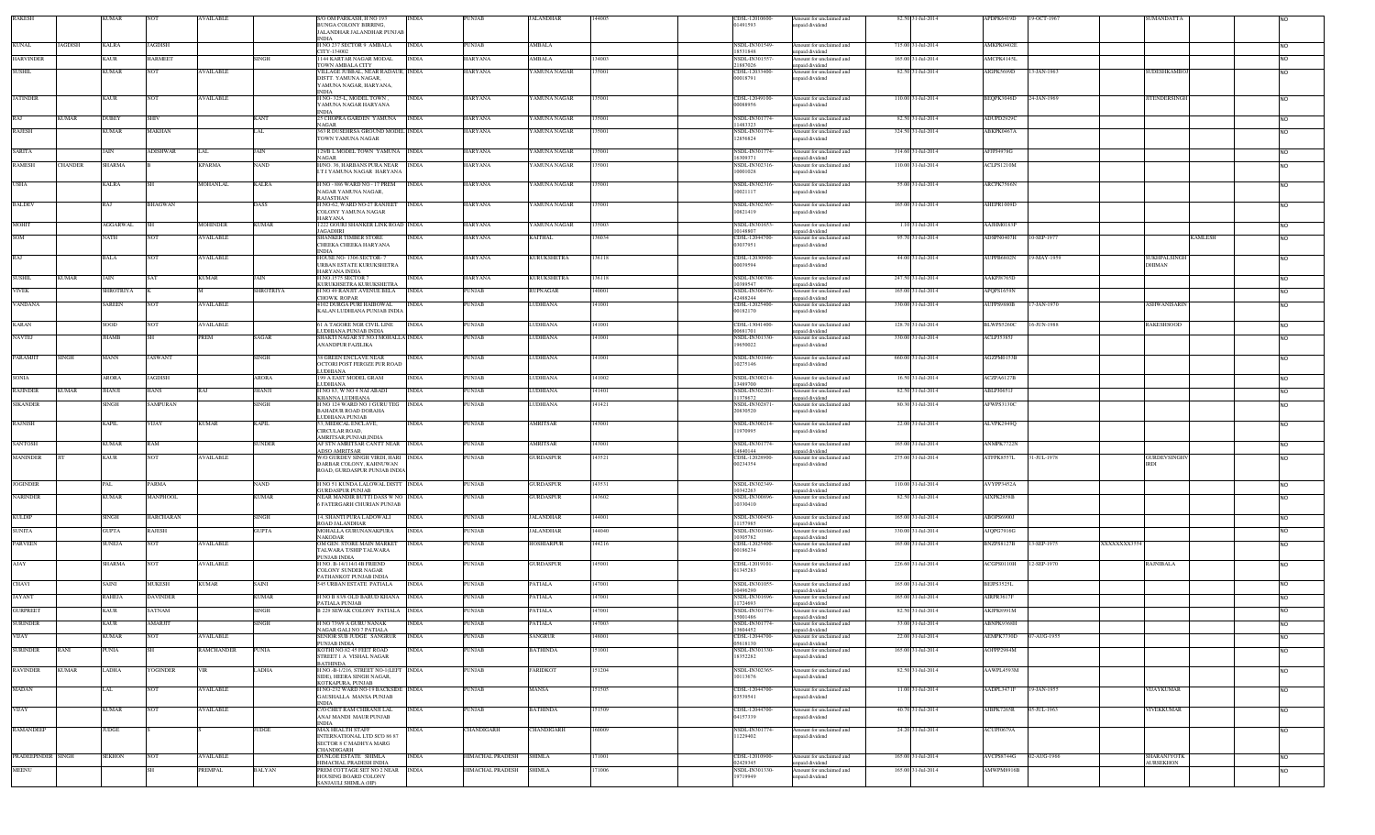| <b>RAKESH</b>      |                | <b>KUMAR</b>     | <b>NOT</b>       | <b>AVAILABLE</b>  |                  | S/O OM PARKASH, H NO 193<br><b>BUNGA COLONY BIRRING</b><br>ALANDHAR JALANDHAR PUNJAB                | <b>INDIA</b> | <b>PUNJAB</b>           | <b>JALANDHAR</b>   | 144005 | CDSL-12010600-<br>01491593            | Amount for unclaimed and<br>inpaid dividend                   | 82.50 31-Jul-2014  | APDPK6419D             | 19-OCT-1967 |             | <b>SUMANDATTA</b>      |                |                 |
|--------------------|----------------|------------------|------------------|-------------------|------------------|-----------------------------------------------------------------------------------------------------|--------------|-------------------------|--------------------|--------|---------------------------------------|---------------------------------------------------------------|--------------------|------------------------|-------------|-------------|------------------------|----------------|-----------------|
| <b>KUNAL</b>       | JAGDISH        | KALRA            | <b>JAGDISH</b>   |                   |                  | NDIA<br><b>I NO 237 SECTOR 9 AMBALA</b>                                                             | <b>INDIA</b> | PUNJAB                  | AMBALA             |        | <b>NSDL-IN301549-</b>                 | Amount for unclaimed and                                      | 715.00 31-Jul-2014 | AMKPK0402E             |             |             |                        |                |                 |
| <b>HARVINDER</b>   |                | KAUR             | <b>HARMEET</b>   |                   | SINGH            | CITY-134002<br>144 KARTAR NAGAR MODAL                                                               | <b>INDIA</b> | HARYANA                 | AMBALA             | 34003  | 18531848<br><b>NSDL-IN301557</b>      | npaid dividend<br>Amount for unclaimed and                    | 165.00 31-Jul-2014 | AMCPK4145L             |             |             |                        |                | NO.             |
| <b>SUSHIL</b>      |                | KUMAR            | <b>NOT</b>       | <b>AVAILABLE</b>  |                  | <b>TOWN AMBALA CITY</b><br><b>ILLAGE JUBBAL, NEAR RADAUR, INDIA</b>                                 |              | HARYANA                 | YAMUNA NAGAR       | 135001 | 21887026<br>CDSL-12033400-            | inpaid dividend<br>Amount for unclaimed and                   | 82.50 31-Jul-2014  | AIGPK5699D             | 13-JAN-1963 |             | SUDESHKAMBOJ           |                | <b>NO</b>       |
|                    |                |                  |                  |                   |                  | DISTT. YAMUNA NAGAR,<br>AMUNA NAGAR, HARYANA,                                                       |              |                         |                    |        | 00018791                              | unpaid dividend                                               |                    |                        |             |             |                        |                |                 |
| <b>JATINDER</b>    |                | KAUR             | <b>NOT</b>       | <b>AVAILABLE</b>  |                  | H NO-325-L, MODEL TOWN,<br>YAMUNA NAGAR HARYANA<br>NDIA                                             | INDIA        | HARYANA                 | <b>AMUNA NAGAR</b> | 135001 | CDSL-12049100-<br>00088956            | Amount for unclaimed and<br>npaid dividend                    | 110.00 31-Jul-2014 | BEQPK3046D             | 24-JAN-1969 |             | TENDERSINGH            |                | <b>NO</b>       |
| RAJ                | <b>KUMAR</b>   | <b>DUBEY</b>     | SHIV             |                   | <b>KANT</b>      | 5 CHOPRA GARDEN YAMUNA<br>AGAR                                                                      | <b>INDIA</b> | HARYANA                 | <b>AMUNA NAGAR</b> | 135001 | NSDL-IN301774-<br>1483323             | Amount for unclaimed and<br>npaid dividend                    | 82.50 31-Jul-2014  | ADUPD2929C             |             |             |                        |                | NO.             |
| <b>RAJESH</b>      |                | <b>KUMAR</b>     | MAKHAN           |                   | LAL              | 363 R DUSEHRSA GROUND MODEL INDIA<br>TOWN YAMUNA NAGAR                                              |              | HARYANA                 | YAMUNA NAGAR       | 135001 | <b>NSDL-IN301774-</b><br>12856824     | Amount for unclaimed and<br>inpaid dividend                   | 324.50 31-Jul-2014 | ABKPK0467A             |             |             |                        |                | <b>NO</b>       |
| SARITA             |                | JAIN             | <b>ADISHWAR</b>  | LAL               | JAIN             | 29/B L MODEL TOWN YAMUNA INDIA<br><b>AGAR</b>                                                       |              | HARYANA                 | <b>AMUNA NAGAR</b> | 35001  | NSDL-IN301774-<br>6309371             | Amount for unclaimed and                                      | 314.60 31-Jul-2014 | AFJPJ4978G             |             |             |                        |                | <b>NO</b>       |
| <b>RAMESH</b>      | <b>CHANDER</b> | <b>SHARMA</b>    |                  | <b>KPARMA</b>     | NAND             | H/NO. 36, HARBANS PURA NEAR<br>LT.I YAMUNA NAGAR HARYANA                                            | <b>INDIA</b> | HARYANA                 | YAMUNA NAGAR       | 135001 | NSDL-IN302316-<br>10001028            | npaid dividend<br>Amount for unclaimed and<br>inpaid dividend | 110.00 31-Jul-2014 | ACLPS1210M             |             |             |                        |                | <b>NO</b>       |
| <b>USHA</b>        |                | <b>KALRA</b>     | SH               | <b>MOHANLAL</b>   | KALRA            | H NO - 886 WARD NO - 17 PREM<br>VAGAR YAMUNA NAGAR,<br>RAJASTHAN                                    | <b>INDIA</b> | HARYANA                 | <b>AMUNA NAGAR</b> | 135001 | NSDL-IN302316<br>10021117             | Amount for unclaimed and<br>inpaid dividend                   | 55.00 31-Jul-2014  | <b>ARCPK7566N</b>      |             |             |                        |                | <b>NO</b>       |
| <b>BALDEV</b>      |                | RAJ              | <b>BHAGWAN</b>   |                   | <b>DASS</b>      | H.NO-62, WARD NO-27 RANJEET<br>COLONY YAMUNA NAGAR<br>HARYANA                                       | <b>INDIA</b> | HARYANA                 | <b>AMUNA NAGAR</b> | 135001 | NSDL-IN302365<br>10821419             | Amount for unclaimed and<br>npaid dividend                    | 165.00 31-Jul-2014 | AHEPR1009D             |             |             |                        |                | NO <sub>1</sub> |
| MOHIT              |                | AGGARWAL         |                  | <b>MOHINDER</b>   | <b>KUMAR</b>     | 222 GOURI SHANKER LINK ROAD INDIA<br>AGADHRI                                                        |              | <b>HARYANA</b>          | <b>AMUNA NAGAR</b> | 135003 | NSDL-IN301653-<br>0148807             | Amount for unclaimed and<br>npaid dividend                    | 1.10 31-Jul-2014   | AAJHM0183P             |             |             |                        |                | NO.             |
| SOM                |                | NATH             | <b>NOT</b>       | <b>AVAILABLE</b>  |                  | <b>SHANKER TIMBER STORE</b><br>CHEEKA CHEEKA HARYANA<br>INDIA                                       | <b>INDIA</b> | HARYANA                 | <b>KAITHAL</b>     | 136034 | CDSL-12044700<br>3037951              | Amount for unclaimed and<br>npaid dividend                    | 95.70 31-Jul-2014  | ADSPN0407H             | 10-SEP-1977 |             |                        | <b>KAMLESH</b> | <b>NO</b>       |
| RAJ                |                | BALA             | <b>NOT</b>       | <b>AVAILABLE</b>  |                  | HOUSE NO-1306 SECTOR-7<br>URBAN ESTATE KURUKSHETRA<br>HARYANA INDIA                                 | <b>INDIA</b> | HARYANA                 | <b>KURUKSHETRA</b> | 136118 | CDSL-12030900-<br>00039594            | Amount for unclaimed and<br>inpaid dividend                   | 44.00 31-Jul-2014  | AUPPB6802N             | 19-MAY-1959 |             | SUKHPALSINGH<br>DHIMAN |                | NO <sub>1</sub> |
| <b>SUSHIL</b>      | <b>KUMAR</b>   | JAIN             | <b>SAT</b>       | <b>KUMAR</b>      | JAIN             | <b>I.NO.1575 SECTOR 7</b><br>KURUKHSETRA KURUKSHETRA                                                | <b>INDIA</b> | <b>HARYANA</b>          | <b>KURUKSHETRA</b> | 136118 | <b>NSDL-IN300708</b><br>0389547       | Amount for unclaimed and<br>paid dividend                     | 247.50 31-Jul-2014 | AAKPJ8765D             |             |             |                        |                | <b>NO</b>       |
| <b>VIVEK</b>       |                | <b>SHROTRIYA</b> |                  |                   | <b>SHROTRIYA</b> | I NO 49 RANJIT AVENUE BELA<br><b>HOWK ROPAR</b>                                                     | <b>INDIA</b> | PUNJAB                  | <b>RUPNAGAR</b>    | 140001 | <b>NSDL-IN300476</b><br>12488244      | mount for unclaimed and<br>npaid dividend                     | 165.00 31-Jul-2014 | APQPS1659N             |             |             |                        |                | <b>NO</b>       |
| VANDANA            |                | SAREEN           | <b>NOT</b>       | <b>AVAILABLE</b>  |                  | 4102 DURGA PURI HAIBOWAL<br>KALAN LUDHIANA PUNJAB INDIA                                             | <b>INDIA</b> | PUNJAB                  | <b>JUDHIANA</b>    | 141001 | CDSL-12025400<br>00182170             | Amount for unclaimed and<br>npaid dividend                    | 330.00 31-Jul-2014 | AUFPS9880B             | 17-JAN-1970 |             | ASHWANISARIN           |                | <b>NO</b>       |
| KARAN              |                | SOOD             | NOT              | <b>AVAILABLE</b>  |                  | 1 A TAGORE NGR CIVIL LINE<br>UDHIANA PUNJAB INDIA                                                   | <b>INDIA</b> | PUNJAB                  | <b>JUDHIANA</b>    | 141001 | CDSL-13041400-<br>00681701            | Amount for unclaimed and<br>npaid dividend                    | 128.70 31-Jul-2014 | BLWPS5260C             | 16-JUN-1988 |             | RAKESHSOOD             |                | <b>NO</b>       |
| NAVTEJ             |                | JHAMB            |                  | PREM              | SAGAR            | SHAKTI NAGAR ST.NO.I MOHALLA INDIA<br>ANANDPUR FAZILIKA                                             |              | PUNJAB                  | <b>JUDHIANA</b>    | 141001 | NSDL-IN301330<br>19650022             | Amount for unclaimed and<br>npaid dividend                    | 330.00 31-Jul-2014 | ACLPJ5385J             |             |             |                        |                | <b>NO</b>       |
| PARAMJIT           | <b>SINGH</b>   | <b>MANN</b>      | <b>JASWANT</b>   |                   | SINGH            | 38 GREEN ENCLAVE NEAR<br><b>DCTORI POST FEROZE PUR ROAD</b><br><b>UDHIANA</b>                       | <b>INDIA</b> | <b>PUNJAB</b>           | <b>JUDHIANA</b>    | 141001 | <b>NSDL-IN301846</b><br>10275146      | Amount for unclaimed and<br>inpaid dividend                   | 660.00 31-Jul-2014 | AGZPM0153B             |             |             |                        |                | <b>NO</b>       |
| SONIA              |                | ARORA            | <b>JAGDISH</b>   |                   | <b>ARORA</b>     | 99 A EAST MODEL GRAM<br><b>UDHIANA</b>                                                              | <b>NDIA</b>  | PUNJAB                  | <b>JUDHIANA</b>    | 141002 | <b>NSDL-IN300214</b><br>3489700       | Amount for unclaimed and<br>unpaid dividend                   | 16.50 31-Jul-2014  | ACZPA6127B             |             |             |                        |                | NO.             |
| <b>RAJINDER</b>    | <b>KUMAR</b>   | JHANJI           | <b>HANS</b>      | <b>RAJ</b>        | JHANJI           | I NO 83. W NO 4 NAI ABADI<br>KHANNA LUDHIANA                                                        | INDIA        | PUNJAB                  | <b>JUDHIANA</b>    | 141401 | NSDL-IN302201<br>1378672              | Amount for unclaimed and<br>inpaid dividend                   | 82.50 31-Jul-2014  | ABLPJ0651J             |             |             |                        |                | <b>NO</b>       |
| <b>SIKANDER</b>    |                | SINGH            | <b>SAMPURAN</b>  |                   | SINGH            | I NO 124 WARD NO 1 GURU TEG<br>BAHADUR ROAD DORAHA<br>UDHIANA PUNJAB                                | <b>INDIA</b> | UNJAB                   | <b>UDHIANA</b>     | 41421  | <b>NSDL-IN30287</b><br>20830520       | Amount for unclaimed and<br>npaid dividend                    | 80.30 31-Jul-2014  | AFWPS3130C             |             |             |                        |                | <b>NO</b>       |
| <b>RAJNISH</b>     |                | <b>KAPIL</b>     | VIJAY            | <b>KUMAR</b>      | <b>KAPIL</b>     | 3, MEDICAL ENCLAVE<br>IRCULAR ROAD,<br>MRITSAR, PUNJAB, INDIA                                       | <b>INDIA</b> | PUNJAB                  | AMRITSAR           | 143001 | NSDL-IN300214<br>11970995             | Amount for unclaimed and<br>inpaid dividend                   | 22.00 31-Jul-2014  | ALVPK2949Q             |             |             |                        |                | <b>NO</b>       |
| <b>SANTOSH</b>     |                | <b>KUMAR</b>     | RAM              |                   | <b>SUNDER</b>    | AF STN AMRITSAR CANTT NEAR NDIA<br><b>IDSO AMRITSAR</b>                                             |              | <b>PUNJAB</b>           | AMRITSAR           | 143001 | NSDL-IN301774<br>14840144             | Amount for unclaimed and<br>npaid dividend                    | 165.00 31-Jul-2014 | ANMPK7722N             |             |             |                        |                | NO <sub>1</sub> |
| <b>MANINDER</b>    |                | KAUR             |                  | <b>AVAILABLE</b>  |                  | <b>WO GURDEV SINGH VIRDI, HARI INDIA</b><br>DARBAR COLONY, KAHNUWAN<br>ROAD, GURDASPUR PUNJAB INDIA |              | PUNJAB                  | <b>JURDASPUR</b>   | 143521 | CDSL-12028900<br>00234354             | Amount for unclaimed and<br>npaid dividend                    | 275.00 31-Jul-2014 | ATFPK8557L             | 31-JUL-1978 |             | <b>GURDEVSINGHV</b>    |                | <b>NO</b>       |
| <b>JOGINDER</b>    |                | <b>PAL</b>       | PARMA            |                   | <b>NAND</b>      | I NO 51 KUNDA LALOWAL DISTT NDIA                                                                    |              | <b>PUNJAB</b>           | GURDASPUR          | 143531 | NSDL-IN302349-                        | Amount for unclaimed and                                      | 110.00 31-Jul-2014 | AVYPP3452A             |             |             |                        |                | <b>NO</b>       |
| <b>NARINDER</b>    |                | <b>KUMAR</b>     | MANPHOOL         |                   | <b>KUMAR</b>     | <b>JURDASPUR PUNJAB</b><br>NEAR MANDIR BUTTI DASS W NO INDIA<br>FATERGARH CHURIAN PUNJAB            |              | <b>PUNJAB</b>           | GURDASPUR          | 143602 | 0342263<br>NSDL-IN300896<br>10330410  | paid dividend<br>Amount for unclaimed and<br>npaid dividend   | 82.50 31-Jul-2014  | AIXPK2858B             |             |             |                        |                | <b>NO</b>       |
| <b>KULDIP</b>      |                | <b>SINGH</b>     | <b>HARCHARAN</b> |                   | SINGH            | 14, SHANTI PURA LADOWALI                                                                            | <b>INDIA</b> | <b>PUNJAB</b>           | JALANDHAR          | 144001 | NSDL-IN300450                         | Amount for unclaimed and                                      | 165.00 31-Jul-2014 | ABOPS6900J             |             |             |                        |                | <b>NO</b>       |
| <b>SUNITA</b>      |                | <b>GUPTA</b>     | <b>RAJESH</b>    |                   | GUPTA            | <b>ROAD JALANDHAR</b><br>MOHALLA GURUNANAKPURA                                                      | <b>INDIA</b> | PUNJAB                  | <b>ALANDHAR</b>    | 144040 | 1157985<br>NSDL-IN301846              | paid dividend<br>Amount for unclaimed and                     | 330.00 31-Jul-2014 | AJQPG7916G             |             |             |                        |                | <b>NO</b>       |
| <b>PARVEEN</b>     |                | UNEJA            | NOT              | <b>WAILABLE</b>   |                  | NAKODAR<br><b>DM GEN. STORE MAIN MARKET</b><br>TALWARA T/SHIP TALWARA                               | <b>INDIA</b> | UNJAB                   | <b>IOSHIARPUR</b>  | 144216 | 10305782<br>CDSL-12025400<br>00186234 | paid dividend<br>Amount for unclaimed and<br>npaid dividend   | 165.00 31-Jul-2014 | <b>BNZPS8127B</b>      | 13-SEP-1975 | (XXXXXXX355 |                        |                | NO.             |
| AJAY               |                | SHARMA           | <b>NOT</b>       | <b>AVAILABLE</b>  |                  | PUNJAR INDIA<br>H NO. B-14/114/14B FRIEND<br>COLONY SUNDER NAGAR                                    | <b>INDIA</b> | <b>PUNJAB</b>           | <b>GURDASPUR</b>   | 145001 | CDSL-12019101<br>01345283             | Amount for unclaimed and<br>npaid dividend                    | 226.60 31-Jul-2014 | ACGPS0110H             | 12-SEP-1970 |             | RAJNIBALA              |                | N <sub>O</sub>  |
| CHAVI              |                | SAINI            | MUKESH           | <b>KUMAR</b>      | SAINI            | ATHANKOT PUNJAB INDIA<br>45 URBAN ESTATE PATIALA                                                    | <b>INDIA</b> | PUNJAB                  | <b>ATIALA</b>      | 147001 | NSDL-IN301055                         | Amount for unclaimed and                                      | 165.00 31-Jul-2014 | BEJPS3525L             |             |             |                        |                | <b>NO</b>       |
| <b>JAYANT</b>      |                | AHEJA:           | <b>DAVINDER</b>  |                   | KUMAR            | I NO B 83/8 OLD BARUD KHANA                                                                         | <b>INDIA</b> | UNJAB                   | <b>ATIALA</b>      | 147001 | 0496290<br>NSDL-IN301696              | paid dividend<br>Amount for unclaimed and                     | 165.00 31-Jul-2014 | <b>AIRPR3617F</b>      |             |             |                        |                | <b>NO</b>       |
| <b>GURPREET</b>    |                | <b>KAUR</b>      | SATNAM           |                   | SINGH            | ATIALA PUNJAB<br>229 SEWAK COLONY PATIALA                                                           | <b>INDIA</b> | PUNJAB                  | <b>ATIALA</b>      | 147001 | 1724693<br><b>NSDL-IN301774</b>       | paid dividend<br>mount for unclaimed and                      | 82.50 31-Jul-2014  | AKJPK8991M             |             |             |                        |                | <b>NO</b>       |
| <b>SURINDER</b>    |                | <b>KAUR</b>      | AMARJIT          |                   | <b>SINGH</b>     | H NO 739/9 A GURU NANAK                                                                             | <b>INDIA</b> | <b>PUNJAB</b>           | PATIALA            | 147003 | 15001486<br>NSDL-IN301774-            | inpaid dividend<br>Amount for unclaimed and                   | 33.00 31-Jul-2014  | ABNPK9368H             |             |             |                        |                | <b>NO</b>       |
| <b>VIJAY</b>       |                | <b>KUMAR</b>     | <b>NOT</b>       | <b>AVAILABLE</b>  |                  | NAGAR GALI NO 7 PATIALA<br>SENIOR SUB JUDGE SANGRUR INDIA                                           |              | PUNJAB                  | <b>SANGRUR</b>     | 148001 | 13604452<br>CDSL-12044700-            | inpaid dividend<br>Amount for unclaimed and                   | 22.00 31-Jul-2014  | AEMPK7730D 07-AUG-1955 |             |             |                        |                | NO.             |
| <b>SURINDER</b>    | RANI           | <b>PUNIA</b>     | <b>SH</b>        | <b>RAMCHANDER</b> | PUNIA            | PUNJAB INDIA<br>KOTHI NO.82 45 FEET ROAD                                                            | <b>INDIA</b> | PUNJAB                  | <b>BATHINDA</b>    | 151001 | 05618130<br>NSDL-IN301330-            | unpaid dividend<br>Amount for unclaimed and                   | 165.00 31-Jul-2014 | AOFPP2984M             |             |             |                        |                | <b>NO</b>       |
| <b>RAVINDER</b>    | <b>KUMAR</b>   | LADHA            | YOGINDER         | <b>VIR</b>        | LADHA            | STREET 1 A VISHAL NAGAR<br>RATHINDA<br>H.NO.-B-1/216, STREET NO-1(LEFT INDIA                        |              | <b>PUNJAB</b>           | <b>FARIDKOT</b>    | 151204 | 18352282<br>NSDL-IN302365-            | inpaid dividend<br>Amount for unclaimed and                   | 82.50 31-Jul-2014  | AAWPL4593M             |             |             |                        |                | <b>NO</b>       |
|                    |                |                  |                  |                   |                  | SIDE), HEERA SINGH NAGAR,<br>KOTKAPURA, PUNJAB                                                      |              |                         |                    |        | 10113676                              | unpaid dividend                                               | 11.00 31-Jul-2014  |                        |             |             |                        |                |                 |
| <b>MADAN</b>       |                | LAL              | NOT              | <b>AVAILABLE</b>  |                  | H NO-232 WARD NO-19 BACKSIDE INDIA<br>GAUSHALLA MANSA PUNJAB<br><b>INDIA</b>                        |              | <b>PUNJAB</b>           | MANSA              | 151505 | CDSL-12044700-<br>03539541            | Amount for unclaimed and<br>unpaid dividend                   |                    | AADPL3471F             | 19-JAN-1955 |             | VIJAYKUMAR             |                | NO.             |
| VIJAY              |                | <b>KUMAR</b>     | <b>NOT</b>       | <b>AVAILABLE</b>  |                  | C/O CHET RAM CHIRANJI LAL<br>ANAJ MANDI MAUR PUNJAB<br><b>INDIA</b>                                 | <b>INDIA</b> | <b>PUNJAB</b>           | <b>BATHINDA</b>    | 151509 | CDSL-12044700-<br>04157339            | Amount for unclaimed and<br>unpaid dividend                   | 40.70 31-Jul-2014  | AJBPK7265R             | 05-JUL-1963 |             | VIVEKKUMAR             |                | NO <sub>1</sub> |
| RAMANDEEP          |                | JUDGE            |                  |                   | <b>JUDGE</b>     | <b>MAX HEALTH STAFF</b><br>INTERNATIONAL LTD SCO 86 87<br>SECTOR 8 C MADHYA MARG                    | INDIA        | CHANDIGARH              | CHANDIGARH         | 160009 | NSDL-IN301774-<br>11229402            | Amount for unclaimed and<br>unpaid dividend                   | 24.20 31-Jul-2014  | ACUPJ0679A             |             |             |                        |                | NO <sub>1</sub> |
| PRADEEPINDER SINGH |                | SEKHON           | <b>NOT</b>       | AVAILABLE         |                  | CHANDIGARH<br><b>DUNLOE ESTATE SHIMLA</b>                                                           | INDIA        | HIMACHAL PRADESH        | <b>SHIMLA</b>      | 71001  | CDSL-12010900-                        | Amount for unclaimed and                                      | 165.00 31-Jul-2014 | AVCPS8744G             | 02-AUG-1966 |             | SHARANJYOTK            |                | <b>NO</b>       |
| <b>MEENU</b>       |                |                  | SH               | PREMPAL           | BALYAN           | <b>IIMACHAL PRADESH INDIA</b><br>PREM COTTAGE SET NO 2 NEAR INDIA                                   |              | HIMACHAL PRADESH SHIMLA |                    | 171006 | 02429345<br>NSDL-IN301330-            | npaid dividend<br>Amount for unclaimed and                    | 165.00 31-Jul-2014 | AMWPM8916B             |             |             | <b>AURSEKHON</b>       |                | <b>NO</b>       |
|                    |                |                  |                  |                   |                  | HOUSING BOARD COLONY<br>SANJAULI SHIMLA (HP)                                                        |              |                         |                    |        | 19719949                              | npaid dividend                                                |                    |                        |             |             |                        |                |                 |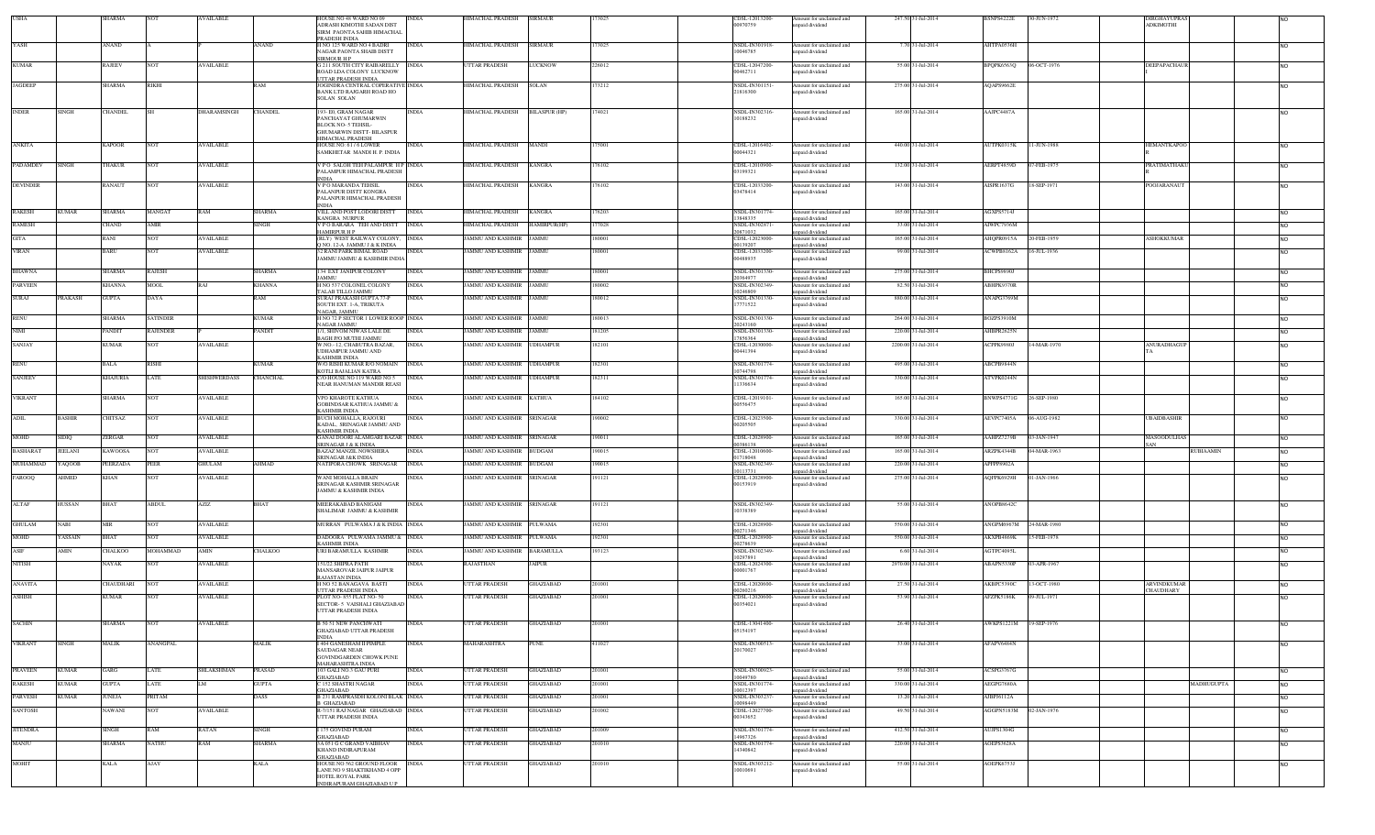|                 |                | SHARMA          |                       | <b>WAILABLE</b>     |                | <b>HOUSE NO 48 WARD NO 09</b><br>ADRASH KIMOTHI SADAN DIST     | INDIA        | HIMACHAL PRADESH                  | <b>SIRMAUR</b>   |        | CDSL-12013200<br>00970759  | mount for unclaimed and<br>inpaid dividend  | 247.50 31-Jul-2014  | BSNPS4222E             | 0-JUN-1972  | DIRGHAYUPRA:<br><b>ADKIMOTHI</b>        |                |
|-----------------|----------------|-----------------|-----------------------|---------------------|----------------|----------------------------------------------------------------|--------------|-----------------------------------|------------------|--------|----------------------------|---------------------------------------------|---------------------|------------------------|-------------|-----------------------------------------|----------------|
|                 |                |                 |                       |                     |                | SIRM PAONTA SAHIB HIMACHAL                                     |              |                                   |                  |        |                            |                                             |                     |                        |             |                                         |                |
| YASH            |                | ANAND           |                       |                     | ANAND          | PRADESH INDIA<br>H NO 125 WARD NO 4 BADRI                      | <b>INDIA</b> | HIMACHAL PRADESH                  | <b>SIRMAUR</b>   | 173025 | NSDL-IN301918-             |                                             | 7.70 31-Jul-2014    | AHTPA0536H             |             |                                         |                |
|                 |                |                 |                       |                     |                | NAGAR PAONTA SHAIB DISTT                                       |              |                                   |                  |        | 10046785                   | Amount for unclaimed and<br>npaid dividend  |                     |                        |             |                                         | N <sub>O</sub> |
|                 |                |                 |                       |                     |                | SIRMOUR H P                                                    |              |                                   |                  |        |                            |                                             |                     |                        |             |                                         |                |
| <b>KUMAR</b>    |                | <b>RAJEEV</b>   | NOT                   | <b>AVAILABLE</b>    |                | <b>G211 SOUTH CITY RAIBARELLY</b><br>ROAD LDA COLONY LUCKNOW   | <b>INDIA</b> | UTTAR PRADESH                     | LUCKNOW          | 226012 | CDSL-12047200-<br>0462711  | Amount for unclaimed and<br>npaid dividend  | 55.00 31-Jul-2014   | BPQPK6563Q             | 06-OCT-1976 | DEEPAPACHAUR                            | <b>NO</b>      |
|                 |                |                 |                       |                     |                | UTTAR PRADESH INDIA                                            |              |                                   |                  |        |                            |                                             |                     |                        |             |                                         |                |
| <b>JAGDEEP</b>  |                | SHARMA          | RIKHI                 |                     | RAM            | JOGINDRA CENTRAL COPERATIVE INDIA<br>BANK LTD RAJGARH ROAD HO  |              | HIMACHAL PRADESH                  | SOLAN            | 173212 | NSDL-IN301151<br>21816300  | Amount for unclaimed and<br>npaid dividend  | 275.00 31-Jul-2014  | AQAPS9662E             |             |                                         | <b>NO</b>      |
|                 |                |                 |                       |                     |                | SOLAN SOLAN                                                    |              |                                   |                  |        |                            |                                             |                     |                        |             |                                         |                |
| INDER           | SINGH          | CHANDEL         |                       | DHARAMSINGH         | <b>CHANDEL</b> | 193-E0, GRAM NAGAR                                             | <b>INDIA</b> | HIMACHAL PRADESH                  | BILASPUR (HP)    | 174021 | NSDL-IN302316              | Amount for unclaimed and                    | 165.00 31-Jul-2014  | AAJPC4487A             |             |                                         |                |
|                 |                |                 |                       |                     |                | PANCHAYAT GHUMARWIN                                            |              |                                   |                  |        | 10188232                   | npaid dividend                              |                     |                        |             |                                         |                |
|                 |                |                 |                       |                     |                | <b>BLOCK NO-5 TEHSIL</b><br><b>GHUMARWIN DISTT- BILASPUR</b>   |              |                                   |                  |        |                            |                                             |                     |                        |             |                                         |                |
|                 |                |                 |                       |                     |                | <b>HIMACHAL PRADESH</b>                                        |              |                                   |                  |        |                            |                                             |                     |                        |             |                                         |                |
| ANKITA          |                | KAPOOR          | NOT                   | <b>AVAILABLE</b>    |                | HOUSE NO: 61 / 6 LOWER<br>SAMKHETAR MANDI H. P. INDIA          | INDIA        | HIMACHAL PRADESH                  | MANDI            | 75001  | CDSL-12016402<br>00044321  | Amount for unclaimed and<br>inpaid dividend | 440.00 31-Jul-2014  | AUTPK0315K             | 1-JUN-1988  | <b>HEMANTKAPOO</b>                      | <b>NO</b>      |
|                 |                |                 |                       |                     |                |                                                                |              |                                   |                  |        |                            |                                             |                     |                        |             |                                         |                |
| PADAMDEV        | SINGH          | THAKUR          | <b>NOT</b>            | <b>AVAILABLE</b>    |                | VPO SALOH TEH PALAMPUR HP INDIA<br>PALAMPUR HIMACHAL PRADESH   |              | HIMACHAL PRADESH                  | <b>KANGRA</b>    | 176102 | CDSL-12010900<br>03199321  | Amount for unclaimed and<br>npaid dividend  | 132.00 31-Jul-2014  | AERPT4859D             | 07-FEB-1975 | PRATIMATHAKI                            | N <sub>O</sub> |
|                 |                |                 |                       |                     |                | NDIA                                                           |              |                                   |                  |        |                            |                                             |                     |                        |             |                                         |                |
| <b>DEVINDER</b> |                | RANAUT          | <b>NOT</b>            | <b>AVAILABLE</b>    |                | V P O MARANDA TEHSIL<br>PALANPUR DISTT KONGRA                  | <b>INDIA</b> | HIMACHAL PRADESH                  | KANGRA           | 176102 | CDSL-12033200<br>03478414  | Amount for unclaimed and<br>inpaid dividend | 143.00 31-Jul-2014  | AISPR1637G             | 18-SEP-1971 | POOJARANAUT                             | <b>NO</b>      |
|                 |                |                 |                       |                     |                | PALANPUR HIMACHAL PRADESH                                      |              |                                   |                  |        |                            |                                             |                     |                        |             |                                         |                |
| <b>RAKESH</b>   | <b>KUMAR</b>   | <b>SHARMA</b>   | <b>MANGAT</b>         | RAM                 | SHARMA         | <b>INDIA</b><br>VILL AND POST LODORI DISTT                     | <b>INDIA</b> | HIMACHAL PRADESH                  | <b>KANGRA</b>    | 176203 | NSDL-IN301774-             | Amount for unclaimed and                    | 165,00 31-Jul-2014  | AGXPS5714J             |             |                                         | <b>NO</b>      |
|                 |                |                 |                       |                     |                | KANGRA NURPUR                                                  |              |                                   |                  |        | 13848335                   | nnaid dividend                              |                     |                        |             |                                         |                |
| <b>RAMESH</b>   |                | CHAND           | AMIR                  |                     | SINGH          | VPOBARARA TEH AND DISTT INDIA<br><b>IAMIRPUR H P</b>           |              | HIMACHAL PRADESH                  | HAMIRPUR(HP)     | 77028  | NSDL-IN302871<br>20871032  | Amount for unclaimed and<br>npaid dividend  | 33.00 31-Jul-2014   | AIWPC7936M             |             |                                         | <b>NO</b>      |
| <b>GITA</b>     |                | RANI            | NOT                   | <b>AVAILABLE</b>    |                | (RLY) WEST RAILWAY COLONY. INDIA                               |              | JAMMU AND KASHMIR JAMMU           |                  | 180001 | CDSL-12023000              | Amount for unclaimed and                    | 165.00 31-Jul-2014  | AHQPR0915A             | 20-FEB-1959 | <b>ASHOKKUMAR</b>                       | <b>NO</b>      |
| <b>VIRAN</b>    |                | BARU            | NOT                   | <b>AVAILABLE</b>    |                | Q NO. 12-A JAMMU J & K INDIA<br>32 RANI PARK BIMAL ROAD        | INDIA        | AMMU AND KASHMIR                  | <b>JAMMU</b>     | 180001 | 10139207<br>CDSL-12033200  | inpaid dividend<br>Amount for unclaimed and | 99.00 31-Jul-2014   | ACWPB8162A             | 6-JUL-1936  |                                         | N <sub>O</sub> |
|                 |                |                 |                       |                     |                | AMMU JAMMU & KASHMIR INDIA                                     |              |                                   |                  |        | 00488935                   | npaid dividend                              |                     |                        |             |                                         |                |
| BHAWNA          |                | SHARMA          | RAJESH                |                     | SHARMA         | 134 EXT JANIPUR COLONY                                         | <b>INDIA</b> | JAMMU AND KASHMIR JAMMU           |                  | 180001 | NSDL-IN301330-             | Amount for unclaimed and                    | 275.00 31-Jul-2014  | BHCPS9890J             |             |                                         | <b>NO</b>      |
|                 |                |                 |                       |                     |                | AMMU                                                           |              |                                   |                  |        | 20364977                   | unpaid dividend                             |                     |                        |             |                                         |                |
| PARVEEN         |                | <b>CHANNA</b>   | <b>MOOL</b>           |                     | KHANNA         | <b>HNO 537 COLONEL COLONY</b><br>TALAB TILLO JAMMU             | INDIA        | AMMU AND KASHMIR                  | <b>JAMMU</b>     | 180002 | NSDL-IN302349-<br>10246809 | Amount for unclaimed and<br>inpaid dividend | 82.50 31-Jul-2014   | ABHPK9370R             |             |                                         | <b>NO</b>      |
| <b>SURAJ</b>    | PRAKASH        | <b>GUPTA</b>    | DAYA                  |                     | RAM            | SURAJ PRAKASH GUPTA 77-P                                       | <b>INDIA</b> | <b>JAMMU AND KASHMIR JAMMU</b>    |                  | 180012 | NSDL-IN301330-             | Amount for unclaimed and                    | 880.00 31-Jul-2014  | ANAPG3769M             |             |                                         | <b>NO</b>      |
|                 |                |                 |                       |                     |                | SOUTH EXT. 1-A, TRIKUTA<br>NAGAR, JAMMU                        |              |                                   |                  |        | 7771522                    | npaid dividend                              |                     |                        |             |                                         |                |
| <b>RENU</b>     |                | <b>SHARMA</b>   | <b>SATINDER</b>       |                     | <b>KUMAR</b>   | H NO 72 P SECTOR 1 LOWER ROOP INDIA                            |              | <b>JAMMU AND KASHMIR</b>          | <b>JAMMU</b>     | 180013 | NSDL-IN301330-             | Amount for unclaimed and                    | 264.00 31-Jul-2014  | <b>BOZPS3910M</b>      |             |                                         | <b>NO</b>      |
| <b>NIMI</b>     |                | PANDIT          | <b>RAJENDER</b>       |                     | <b>ANDIT</b>   | NAGAR JAMMU<br>/1, SHIVOM NIWAS LALE DE                        | <b>INDIA</b> | JAMMU AND KASHMIR                 | <b>JAMMU</b>     | 181205 | 20243160<br>NSDL-IN301330- | npaid dividend<br>Amount for unclaimed and  | 220.00 31-Jul-2014  | AHBPR2625N             |             |                                         | <b>NO</b>      |
|                 |                |                 |                       |                     |                | <b>BAGH P/O MUTHI JAMMU</b>                                    |              | <b>JAMMU AND KASHMIR UDHAMPUR</b> |                  |        | 7856364                    | inpaid dividend                             | 2200.00 31-Jul-2014 |                        |             |                                         |                |
| SANJAY          |                | <b>KUMAR</b>    | <b>NOT</b>            | <b>AVAILABLE</b>    |                | W.NO.-12, CHABUTRA BAZAR,<br><b>UDHAMPUR JAMMU AND</b>         | <b>INDIA</b> |                                   |                  | 182101 | CDSL-12030000-<br>00441394 | Amount for unclaimed and<br>npaid dividend  |                     | ACPPK9980J             | 14-MAR-1970 | ANURADHAGUP                             | <b>NO</b>      |
|                 |                |                 |                       |                     |                | <b>KASHMIR INDIA</b>                                           |              |                                   |                  |        |                            |                                             |                     |                        |             |                                         |                |
| RENU            |                | BALA            | <b>RISHI</b>          |                     | KUMAR          | W/O RISHI KUMAR R/O NOMAIN<br>KOTLI BAJALIAN KATRA             | <b>INDIA</b> | JAMMU AND KASHMIR                 | <b>UDHAMPUR</b>  | 182301 | NSDL-IN301774-<br>10744798 | Amount for unclaimed and<br>npaid dividend  | 495.00 31-Jul-2014  | ABCPB9844N             |             |                                         | <b>NO</b>      |
| <b>SANJEEV</b>  |                | <b>KHAJURIA</b> | LATE                  | <b>SHISHWERDASS</b> | CHANCHAL       | C/O HOUSE NO 119 WARD NO 5                                     | <b>INDIA</b> | JAMMU AND KASHMIR UDHAMPUR        |                  | 182311 | NSDL-IN301774-             | Amount for unclaimed and                    | 330.00 31-Jul-2014  | ATVPK0244N             |             |                                         | <b>NO</b>      |
|                 |                |                 |                       |                     |                | NEAR HANUMAN MANDIR REASI                                      |              |                                   |                  |        | 11336634                   | npaid dividend                              |                     |                        |             |                                         |                |
| <b>VIKRANT</b>  |                | <b>SHARMA</b>   | <b>NOT</b>            | <b>AVAILABLE</b>    |                | VPO KHAROTE KATHUA                                             | <b>INDIA</b> | JAMMU AND KASHMIR KATHUA          |                  | 184102 | CDSL-12019101              | Amount for unclaimed and                    | 165.00 31-Jul-2014  | BNWPS4771G             | 26-SEP-1980 |                                         | <b>NO</b>      |
|                 |                |                 |                       |                     |                | <b>GOBINDSAR KATHUA JAMMU &amp;</b><br>KASHMIR INDIA           |              |                                   |                  |        | 00556475                   | npaid dividend                              |                     |                        |             |                                         |                |
| ADIL            | <b>BASHIR</b>  | CHITSAZ         | <b>NOT</b>            | <b>AVAILABLE</b>    |                | BUCH MOHALLA, RAJOURI                                          | <b>INDIA</b> | JAMMU AND KASHMIR SRINAGAR        |                  | 190002 | CDSL-12023500-             | Amount for unclaimed and                    | 330.00 31-Jul-2014  | AEVPC7405A             | 06-AUG-1982 | <b>UBAIDBASHIR</b>                      | <b>NO</b>      |
|                 |                |                 |                       |                     |                | KADAL. SRINAGAR JAMMU AND<br><b>KASHMIR INDIA</b>              |              |                                   |                  |        | 00205505                   | npaid dividend                              |                     |                        |             |                                         |                |
| MOHD            | SIDIQ          | ZERGAR          | NOT                   | <b>AVAILABLE</b>    |                | GANAI DOORI ALAMGARI BAZAR INDIA                               |              | JAMMU AND KASHMIR                 | SRINAGAR         | 190011 | CDSL-12028900-             | Amount for unclaimed and                    | 165.00 31-Jul-2014  | AAHPZ7279B             | 03-JAN-1947 | MASOODULHAS                             | <b>NO</b>      |
| <b>BASHARAT</b> | <b>JEELANI</b> | <b>KAWOOSA</b>  | <b>NOT</b>            | <b>AVAILABLE</b>    |                | SRINAGAR J & K INDIA<br><b>BAZAZ MANZIL NOWSHERA</b>           | <b>INDIA</b> | JAMMU AND KASHMIR BUDGAM          |                  | 190015 | 00386138<br>CDSL-12010600- | npaid dividend<br>Amount for unclaimed and  | 165.00 31-Jul-2014  | ARZPK4344B             | 04-MAR-1963 | SAN<br><b>RUBIAAMIN</b>                 | <b>NO</b>      |
|                 |                |                 |                       |                     |                | <b>SRINAGAR J&amp;K INDIA</b>                                  |              |                                   |                  |        | 1718048                    | npaid dividend                              |                     |                        |             |                                         |                |
| MUHAMMAD        | AQOOB          | PEERZADA        | PEER                  | <b>GHULAM</b>       | AHMAD          | NATIPORA CHOWK SRINAGAR                                        | <b>INDIA</b> | JAMMU AND KASHMIR                 | <b>BUDGAM</b>    | 190015 | NSDL-IN302349-<br>0113731  | mount for unclaimed and<br>inpaid dividend  | 220.00 31-Jul-2014  | APFPP8902A             |             |                                         | <b>NO</b>      |
| <b>FAROOO</b>   | AHMED          | KHAN            | <b>NOT</b>            | <b>AVAILABLE</b>    |                | WANI MOHALLA BRAIN                                             | INDIA        | JAMMU AND KASHMIR SRINAGAR        |                  | 191121 | CDSL-12028900              | Amount for unclaimed and                    | 275.00 31-Jul-2014  | AOFPK6929H             | 01-JAN-1966 |                                         | <b>NO</b>      |
|                 |                |                 |                       |                     |                | SRINAGAR KASHMIR SRINAGAR<br><b>JAMMU &amp; KASHMIR INDIA</b>  |              |                                   |                  |        | 00153919                   | npaid dividend                              |                     |                        |             |                                         |                |
|                 |                |                 |                       |                     |                |                                                                |              |                                   |                  |        |                            |                                             |                     |                        |             |                                         |                |
| <b>ALTAF</b>    | HUSSAN         | <b>BHAT</b>     | <b>ABDUL</b>          | <b>AZIZ</b>         | <b>BHAT</b>    | MEERAKABAD BANIGAM<br>SHALIMAR JAMMU & KASHMIR                 | <b>INDIA</b> | JAMMU AND KASHMIR SRINAGAR        |                  | 191121 | NSDL-IN302349-<br>10338389 | Amount for unclaimed and<br>npaid dividend  | 55.00 31-Jul-2014   | ANOPB8642C             |             |                                         | <b>NO</b>      |
|                 |                |                 |                       |                     |                |                                                                |              |                                   |                  |        |                            |                                             |                     |                        |             |                                         |                |
| <b>GHULAM</b>   | NABI           | MIR             | NOT                   | <b>AVAILABLE</b>    |                | MURRAN PULWAMA J & K INDIA INDIA                               |              | JAMMU AND KASHMIR                 | PULWAMA          | 192301 | CDSL-12028900-<br>0271346  | Amount for unclaimed and<br>npaid dividend  | 550.00 31-Jul-2014  | ANGPM6967M             | 24-MAR-1980 |                                         | <b>NO</b>      |
| MOHD            | YASSAIN        | <b>BHAT</b>     | <b>NOT</b>            | <b>AVAILABLE</b>    |                | DADOORA PULWAMA JAMMU & INDIA                                  |              | JAMMU AND KASHMIR                 | PULWAMA          | 192301 | CDSL-12028900-             | Amount for unclaimed and                    | 550.00 31-Jul-2014  | AKXPB4869K             | 15-FEB-1978 |                                         | <b>NO</b>      |
| ${\rm ASIF}$    | AMIN           | HALKOO          | MOHAMMAD              | AMIN                | HALKOO         | <b>KASHMIR INDIA</b><br>JRI BARAMULLA KASHMIR                  | INDIA        | AMMU AND KASHMIR                  | <b>BARAMULLA</b> | 193123 | 00278639<br>NSDL-IN302349- | inpaid dividend<br>mount for unclaimed and  | 6.60 31-Jul-2014    | AGTPC4095L             |             |                                         | N <sub>O</sub> |
|                 |                |                 |                       |                     |                |                                                                |              |                                   |                  |        | 10297891                   | npaid dividend                              |                     |                        |             |                                         |                |
| <b>NITISH</b>   |                | NAYAK           | <b>NOT</b>            | <b>AVAILABLE</b>    |                | 151/22 SHIPRA PATH<br>MANSAROVAR JAIPUR JAIPUR                 | INDIA        | RAJASTHAN                         | JAIPUR           |        | CDSL-12024300<br>00001767  | Amount for unclaimed and<br>npaid dividend  | 2970.00 31-Jul-2014 | ABAPN5330P             | 03-APR-1967 |                                         | N <sub>O</sub> |
|                 |                |                 |                       |                     |                | RAJASTAN INDIA                                                 |              |                                   |                  |        |                            |                                             |                     |                        |             |                                         |                |
| <b>ANAVITA</b>  |                | CHAUDHARI       | VOT                   | <b>AVAILABLE</b>    |                | H NO 52 BANAGAVA BASTI<br>UTTAR PRADESH INDIA                  | <b>INDIA</b> | <b>TTAR PRADESH</b>               | <b>GHAZIABAD</b> | 201001 | CDSL-12020600<br>10260216  | Amount for unclaimed and<br>npaid dividend  | 27.50 31-Jul-2014   | AKBPC5390C             | 3-OCT-1980  | <b>ARVINDKUMAR</b><br><b>CHALIDHARY</b> | <b>NO</b>      |
| ASHISH          |                | KUMAR           | NO <sub>1</sub>       | <b>AVAILABLE</b>    |                | PLOT NO-855 FLAT NO-50                                         | <b>INDIA</b> | <b>JTTAR PRADESH</b>              | GHAZIABAD        | 201001 | CDSL-12020600              | Amount for unclaimed and                    | 53.90 31-Jul-2014   | AFZPK5186K             | 09-JUL-1971 |                                         |                |
|                 |                |                 |                       |                     |                | SECTOR- 5 VAISHALI GHAZIABAD<br><b>UTTAR PRADESH INDIA</b>     |              |                                   |                  |        | 00354021                   | inpaid dividend                             |                     |                        |             |                                         |                |
|                 |                |                 |                       |                     |                |                                                                |              |                                   |                  |        |                            |                                             |                     | AWKPS1221M 19-SEP-1976 |             |                                         |                |
| <b>SACHIN</b>   |                | SHARMA          | NO <sub>1</sub>       | <b>AVAILABLE</b>    |                | <b>B 50 51 NEW PANCHWATI</b><br>GHAZIABAD UTTAR PRADESH        | <b>INDIA</b> | UTTAR PRADESH                     | GHAZIABAD        | 201001 | CDSL-13041400-<br>05154197 | Amount for unclaimed and<br>unpaid dividend | 26.40 31-Jul-2014   |                        |             |                                         |                |
|                 |                |                 |                       |                     |                | <b>INDIA</b>                                                   |              |                                   |                  |        |                            |                                             |                     |                        |             |                                         |                |
| <b>VIKRANT</b>  | <b>SINGH</b>   | MALIK           | ANANGPAL              |                     | <b>MALIK</b>   | I 404 GANESHAM II PIMPLE<br>SAUDAGAR NEAR                      | <b>INDIA</b> | MAHARASHTRA                       | <b>PUNE</b>      | 411027 | NSDL-IN300513-<br>20170027 | Amount for unclaimed and<br>inpaid dividend | 33.00 31-Jul-2014   | AFAPV6484N             |             |                                         | <b>NO</b>      |
|                 |                |                 |                       |                     |                | <b>GOVINDGARDEN CHOWK PUNE</b>                                 |              |                                   |                  |        |                            |                                             |                     |                        |             |                                         |                |
| <b>PRAVEEN</b>  | <b>KUMAR</b>   | GARG            | LATE                  | SHLAKSHMAN          | PRASAD         | MAHARASHTRA INDIA<br>03 GALI NO.3 GAU PURI                     | INDIA        | <b>JTTAR PRADESH</b>              | GHAZIABAD        | 201001 | NSDL-IN300923-             | Amount for unclaimed and                    | 55.00 31-Jul-2014   | ACSPG3767G             |             |                                         | <b>NO</b>      |
|                 |                |                 |                       |                     |                | GHAZIABAD                                                      |              |                                   |                  |        | 10049780                   | npaid dividend                              |                     |                        |             |                                         |                |
| <b>RAKESH</b>   | <b>KUMAR</b>   | <b>GUPTA</b>    | LATE                  | LM.                 | <b>GUPTA</b>   | C 152 SHASTRI NAGAR<br>GHAZIABAD                               | INDIA        | <b>TTAR PRADESH</b>               | GHAZIABAD        | 201001 | NSDL-IN301774-<br>10012397 | Amount for unclaimed and<br>unpaid dividend | 330.00 31-Jul-2014  | AEGPG7680A             |             | MADHUGUPTA                              | <b>NO</b>      |
| <b>PARVESH</b>  | <b>KUMAR</b>   | JUNEJA          | PRITAM                |                     | DASS           | <b>B 231 RAMPRASDH KOLONI BLAK INDIA</b>                       |              | <b>JTTAR PRADESH</b>              | GHAZIABAD        | 201001 | <b>NSDL-IN303237</b>       | Amount for unclaimed and                    | 13.20 31-Jul-2014   | AJBPJ6112A             |             |                                         | <b>NO</b>      |
| <b>SANTOSH</b>  |                | AWANI           | TOV                   | <b>AVAILABLE</b>    |                | 3 GHAZIABAD<br>R-7/151 RAJ NAGAR GHAZIABAD INDIA               |              | <b>TTAR PRADESH</b>               | <b>HAZIABAD</b>  | 201002 | 10098449<br>CDSL-12027700- | unpaid dividend<br>Amount for unclaimed and | 49.50 31-Jul-2014   | AGGPN5183M             | 02-JAN-1976 |                                         | N <sub>O</sub> |
|                 |                |                 |                       |                     |                | <b>UTTAR PRADESH INDIA</b>                                     |              |                                   |                  |        | 00343652                   | inpaid dividend                             |                     |                        |             |                                         |                |
| <b>JITENDRA</b> |                | SINGH           | RAM                   | RATAN               | SINGH          | 175 GOVIND PURAM                                               | INDIA        | <b>JTTAR PRADESH</b>              | <b>HAZIABAD</b>  | 201009 | NSDL-IN301774-             | Amount for unclaimed and                    | 412.50 31-Jul-2014  | AUJPS1304G             |             |                                         | <b>NO</b>      |
|                 |                |                 |                       |                     |                | GHAZIABAD                                                      |              |                                   |                  |        | 4967326                    | unpaid dividend                             |                     |                        |             |                                         |                |
| <b>MANJU</b>    |                | <b>HARMA</b>    | NATHU                 | RAM                 | <b>SHARMA</b>  | 3A 051 G C GRAND VAIBHAV<br><b>KHAND INDIRAPURAM</b>           | <b>INDIA</b> | <b>JTTAR PRADESH</b>              | GHAZIABAD        | 201010 | NSDL-IN301774-<br>14340842 | Amount for unclaimed and<br>npaid dividend  | 220.00 31-Jul-2014  | AOEPS3628A             |             |                                         | N <sub>O</sub> |
|                 |                |                 |                       |                     |                | GHAZIABAD                                                      |              |                                   |                  |        |                            |                                             |                     |                        |             |                                         |                |
| MOHIT           |                | <b>CALA</b>     | $\operatorname{AJAY}$ |                     | KALA           | HOUSE NO 562 GROUND FLOOR INDIA<br>LANE NO 9 SHAKTIKHAND 4 OPP |              | <b>TTAR PRADESH</b>               | <b>HAZIABAD</b>  | 201010 | NSDL-IN303212-<br>10010691 | Amount for unclaimed and<br>inpaid dividend | 55.00 31-Jul-2014   | AOEPK6753J             |             |                                         | N <sub>O</sub> |
|                 |                |                 |                       |                     |                | HOTEL ROYAL PARK                                               |              |                                   |                  |        |                            |                                             |                     |                        |             |                                         |                |
|                 |                |                 |                       |                     |                | INDIRAPURAM GHAZIABAD U P                                      |              |                                   |                  |        |                            |                                             |                     |                        |             |                                         |                |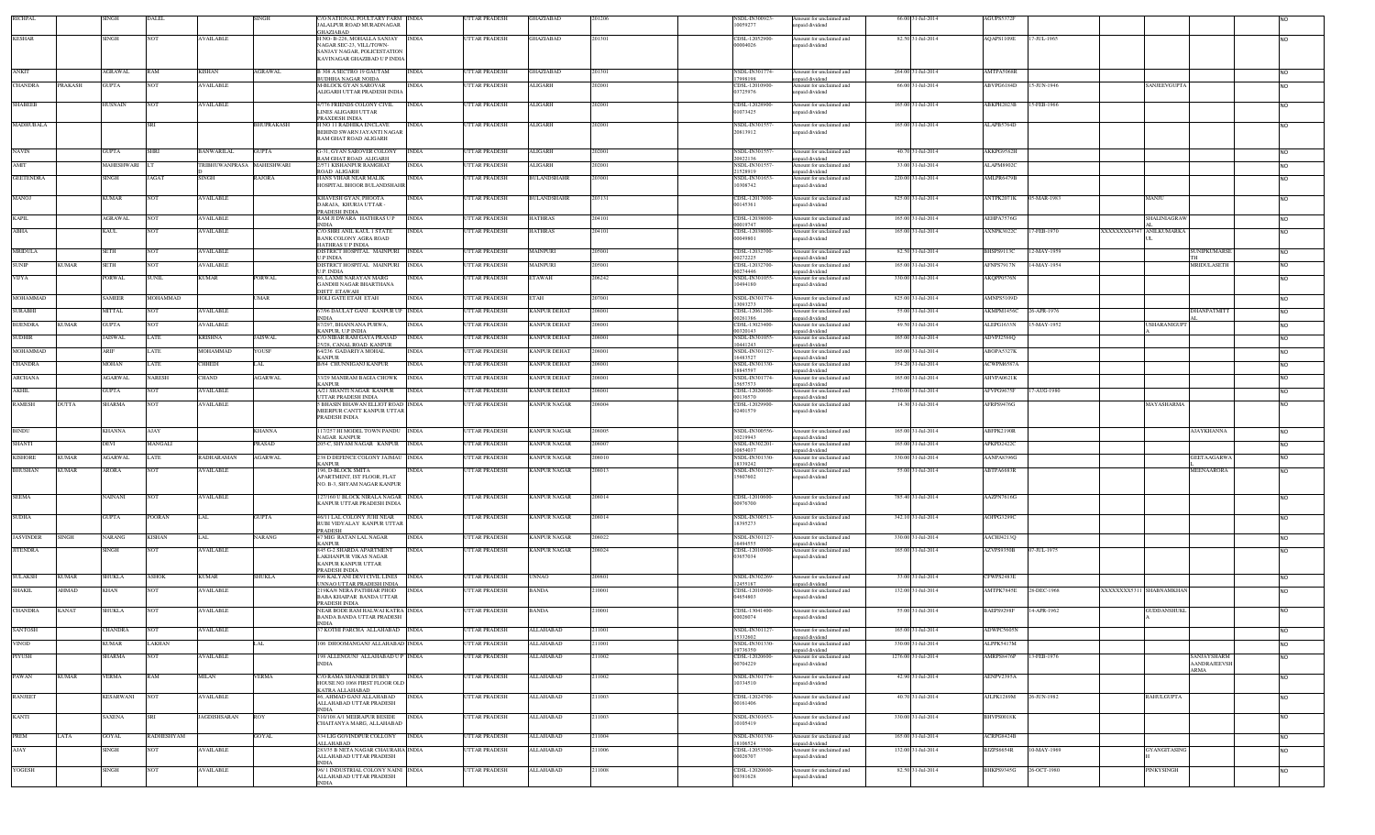| RICHPAL                          | SINGH            | DALEI         |                           |                | O NATIONAL POULTARY FARM INDIA<br>JALALPUR ROAD MURADNAGAR              | UTTAR PRADESH              | <b>GHAZIABAD</b>    | 201206 | NSDL-IN300923<br>10059277        | Amount for unclaimed and<br>unpaid dividend | 66,00 31-Jul-2014   | AGUPS5372F        |             |                         |                     |                                    |                |
|----------------------------------|------------------|---------------|---------------------------|----------------|-------------------------------------------------------------------------|----------------------------|---------------------|--------|----------------------------------|---------------------------------------------|---------------------|-------------------|-------------|-------------------------|---------------------|------------------------------------|----------------|
| <b>KESHAR</b>                    | <b>SINGH</b>     | <b>NOT</b>    | <b>AVAILABLE</b>          |                | GHAZIARAD<br>H NO- B-226, MOHALLA SANJAY INDIA                          | UTTAR PRADESH              | <b>GHAZIABAD</b>    | 201301 | CDSL-12052900                    | Amount for unclaimed and                    | 82.50 31-Jul-2014   | AQAPS1109E        | 17-JUL-1965 |                         |                     |                                    |                |
|                                  |                  |               |                           |                | NAGAR SEC-23, VILL/TOWN-                                                |                            |                     |        | 00004026                         | inpaid dividend                             |                     |                   |             |                         |                     |                                    |                |
|                                  |                  |               |                           |                | SANJAY NAGAR, POLICESTATION<br>KAVINAGAR GHAZIBAD U P INDIA             |                            |                     |        |                                  |                                             |                     |                   |             |                         |                     |                                    |                |
| ANKIT                            | <b>AGRAWAL</b>   | RAM           | KISHAN                    | <b>AGRAWAL</b> | <b>B 308 A SECTRO 19 GAUTAM</b><br><b>INDIA</b>                         | <b>JTTAR PRADESH</b>       | GHAZIABAD           | 201301 | NSDL-IN301774-                   | Amount for unclaimed and                    | 264.00 31-Jul-2014  | AMTPA5068R        |             |                         |                     |                                    | NO.            |
| <b>CHANDRA</b><br><b>PRAKASH</b> | <b>GUPTA</b>     | NOT           | AVAILABLE                 |                | BUDHHA NAGAR NOIDA<br><b>M-BLOCK GYAN SAROVAR</b><br><b>INDIA</b>       | UTTAR PRADESH              | ALIGARH             | 202001 | 17998198<br>CDSL-12010900-       | inpaid dividend                             | 66.00 31-Jul-2014   | ABVPG6184D        | 15-JUN-1946 |                         | <b>SANJEEVGUPTA</b> |                                    | NO.            |
|                                  |                  |               |                           |                | ALIGARH UTTAR PRADESH INDIA                                             |                            |                     |        | 03725976                         | Amount for unclaimed and<br>unpaid dividend |                     |                   |             |                         |                     |                                    |                |
| <b>SHABEEB</b>                   | <b>HUSNAIN</b>   | <b>NOT</b>    | <b>AVAILABLE</b>          |                | 4/776 FRIENDS COLONY CIVIL<br><b>INDIA</b>                              | <b>UTTAR PRADESH</b>       | <b>ALIGARH</b>      | 202001 | CDSL-12028900                    | Amount for unclaimed and                    | 165.00 31-Jul-2014  | ABKPH2023B        | 15-FEB-1966 |                         |                     |                                    | N <sub>O</sub> |
|                                  |                  |               |                           |                | LINES ALIGARH UTTAR<br>PRAXDESH INDIA                                   |                            |                     |        | 01073425                         | inpaid dividend                             |                     |                   |             |                         |                     |                                    |                |
| MADHUBALA                        |                  | SRI           |                           | BHUPRAKASH     | H NO 11 RADHIKA ENCLAVE<br><b>INDIA</b>                                 | <b>JTTAR PRADESH</b>       | ALIGARH             | 202001 | NSDL-IN301557                    | Amount for unclaimed and                    | 165.00 31-Jul-2014  | ALAPB5764D        |             |                         |                     |                                    | NO.            |
|                                  |                  |               |                           |                | BEHIND SWARN JAYANTI NAGAR<br>RAM GHAT ROAD ALIGARH                     |                            |                     |        | 20813912                         | unpaid dividend                             |                     |                   |             |                         |                     |                                    |                |
| <b>NAVIN</b>                     | <b>GUPTA</b>     | SHRI          | <b>ANWARILAL</b>          | GUPTA          | G-31, GYAN SAROVER COLONY<br><b>INDIA</b>                               | <b>JTTAR PRADESH</b>       | ALIGARH             | 202001 | NSDL-IN301557-                   | Amount for unclaimed and                    | 40.70 31-Jul-2014   | AKKPG9582H        |             |                         |                     |                                    | NO.            |
|                                  |                  |               |                           |                | RAM GHAT ROAD ALIGARH                                                   |                            |                     |        | 20922136                         | npaid dividend                              |                     |                   |             |                         |                     |                                    |                |
| AMIT                             | MAHESHWARI       |               | TRIBHUWANPRASA MAHESHWARI |                | 2/571 KISHANPUR RAMGHAT<br>INDIA<br>ROAD ALIGARH                        | UTTAR PRADESH              | ALIGARH             | 202001 | NSDL-IN301557<br>21528919        | Amount for unclaimed and<br>inpaid dividend | 33.00 31-Jul-2014   | ALAPM8902C        |             |                         |                     |                                    | <b>NO</b>      |
| <b>GEETENDRA</b>                 | <b>SINGH</b>     | <b>JAGAT</b>  | SINGH                     | RAJORA         | HANS VIHAR NEAR MALIK<br><b>INDIA</b><br>HOSPITAL BHOOR BULANDSHAHR     | <b>JTTAR PRADESH</b>       | <b>BULANDSHAHR</b>  | 203001 | NSDL-IN301653-<br>10308742       | Amount for unclaimed and<br>unpaid dividend | 220.00 31-Jul-2014  | AMLPR6479B        |             |                         |                     |                                    | N <sub>O</sub> |
|                                  |                  |               |                           |                | KHAVESH GYAN, PHOOTA                                                    |                            |                     |        |                                  |                                             |                     |                   |             |                         |                     |                                    |                |
| MANOJ                            | <b>KUMAR</b>     | <b>NOT</b>    | AVAILABLE                 |                | <b>INDIA</b><br>DARAJA, KHURJA UTTAR -                                  | UTTAR PRADESH              | <b>BULANDSHAHR</b>  | 203131 | CDSL-12017000-<br>00145361       | Amount for unclaimed and<br>inpaid dividend | 825.00 31-Jul-2014  | ANTPK2071K        | 05-MAR-1983 |                         | MANJU               |                                    | NO.            |
| <b>KAPIL</b>                     | <b>AGRAWAL</b>   | <b>NOT</b>    | AVAILABLE                 |                | PRADESH INDIA<br>RAM JI DWARA HATHRAS U P<br><b>INDIA</b>               | UTTAR PRADESH              | HATHRAS             | 204101 | CDSL-12038000-                   | Amount for unclaimed and                    | 165.00 31-Jul-2014  | AEHPA7576G        |             |                         | SHALINIAGRAW        |                                    | <b>NO</b>      |
| ABHA                             | <b>KAUL</b>      | <b>NOT</b>    | AVAILABLE                 |                | <b>INDIA</b><br>C/O SHRI ANIL KAUL 1 STATE<br><b>INDIA</b>              | UTTAR PRADESH              | <b>HATHRAS</b>      | 204101 | 00019747<br>CDSL-12038000-       | unpaid dividend<br>Amount for unclaimed and | 165.00 31-Jul-2014  | AXNPK3022C        | 17-FEB-1970 | XXXXXXX4747 ANILKUMARKA |                     |                                    | <b>NO</b>      |
|                                  |                  |               |                           |                | <b>BANK COLONY AGRA ROAD</b>                                            |                            |                     |        | 00049801                         | unpaid dividend                             |                     |                   |             |                         |                     |                                    |                |
| <b>MRIDULA</b>                   | SETH             | <b>NOT</b>    | AVAILABLE                 |                | HATHRAS U P INDIA<br>DISTRICT HOSPITAL MAINPURI INDIA                   | UTTAR PRADESH              | MAINPURI            | 205001 | CDSL-12032700-                   | Amount for unclaimed and                    | 82.50 31-Jul-2014   | <b>BHSPS9113C</b> | 12-MAY-1959 |                         |                     | <b>SUNIPKUMARS</b>                 | NO.            |
| <b>SUNIP</b><br><b>KUMAR</b>     | <b>SETH</b>      | <b>NOT</b>    | <b>AVAILABLE</b>          |                | J.P INDIA<br>DISTRICT HOSPITAL MAINPURI INDIA                           | <b>UTTAR PRADESH</b>       | MAINPURI            | 205001 | 00272225<br>CDSL-12032700-       | inpaid dividend<br>Amount for unclaimed and | 165.00 31-Jul-2014  | AFNPS7917N        | 14-MAY-1954 |                         |                     | MRIDULASETH                        | NO.            |
|                                  |                  |               |                           |                | LI P. INDIA                                                             |                            |                     |        | 00274446                         | unpaid dividend                             |                     |                   |             |                         |                     |                                    |                |
| <b>VIJYA</b>                     | <b>PORWAL</b>    | <b>SUNIL</b>  | <b>KUMAR</b>              | <b>PORWAL</b>  | 86, LAXMI NARAYAN MARG<br><b>INDIA</b><br><b>GANDHI NAGAR BHARTHANA</b> | UTTAR PRADESH              | <b>ETAWAH</b>       | 206242 | NSDL-IN301055<br>10494180        | Amount for unclaimed and<br>unpaid dividend | 330.00 31-Jul-2014  | AKQPP0576N        |             |                         |                     |                                    |                |
| MOHAMMAD                         | <b>SAMEER</b>    | MOHAMMAD      |                           | UMAR           | DISTT. ETAWAH<br>HOLI GATE ETAH ETAH<br><b>INDIA</b>                    | UTTAR PRADESH              | ETAH                | 207001 | NSDL-IN301774                    | Amount for unclaimed and                    | 825.00 31-Jul-2014  | AMNPS5109D        |             |                         |                     |                                    | NO.            |
| <b>SURABHI</b>                   | <b>MITTAL</b>    |               | VAILABLE                  |                | 57/96 DAULAT GANJ . KANPUR UP INDIA                                     | <b>JTTAR PRADESH</b>       | KANPUR DEHAT        | 208001 | 13093273<br>CDSL-12061200        | unpaid dividend<br>Amount for unclaimed and | 55.00 31-Jul-2014   | AKMPM1456C        | 26-APR-1976 |                         |                     | DHANPATMITT                        |                |
|                                  |                  |               |                           |                | INDIA                                                                   |                            |                     |        | 00261386                         | inpaid dividend                             |                     |                   |             |                         |                     |                                    | NO.            |
| <b>BIJENDRA</b><br>CUMAR         | <b>GUPTA</b>     | NOT           | <b>AVAILABLE</b>          |                | 87/297. BHANNANA PURWA.<br><b>INDIA</b><br>KANPUR, U.P INDIA            | UTTAR PRADESH              | <b>KANPUR DEHAT</b> | 208001 | CDSL-13023400-<br>00320143       | Amount for unclaimed and<br>unpaid dividend | 49.50 31-Jul-2014   | ALEPG1633N        | 15-MAY-1952 |                         | <b>JSHARANIGUP</b>  |                                    | <b>NO</b>      |
| <b>SUDHIR</b>                    | <b>JAISWAL</b>   | LATE          | KRISHNA                   | AISWAL         | C/O NIBAR RAM GAYA PRASAD<br><b>INDIA</b><br>25/28, CANAL ROAD KANPUR   | <b>JTTAR PRADESH</b>       | KANPUR DEHAT        | 208001 | NSDL-IN301055<br>10441243        | Amount for unclaimed and<br>npaid dividend  | 165.00 31-Jul-2014  | ADVPJ2586Q        |             |                         |                     |                                    | <b>NO</b>      |
| MOHAMMAD                         | ARIF             | LATE          | MOHAMMAD                  | YOUSF          | <b>INDIA</b><br>64/236 GADARIYA MOHAL                                   | UTTAR PRADESH              | <b>KANPUR DEHAT</b> | 208001 | <b>NSDL-IN30112</b>              | Amount for unclaimed and                    | 165.00 31-Jul-2014  | ABOPA5327K        |             |                         |                     |                                    | N <sub>O</sub> |
| <b>CHANDRA</b>                   | MOHAN            | LATE          | <b>HHEDI</b>              |                | KANPUR<br>B/64 CHUNNIGANJ KANPUR<br><b>INDIA</b>                        | <b>TTAR PRADESH</b>        | KANPUR DEHAT        | 208001 | 16483527<br>NSDL-IN301330        | unpaid dividend<br>Amount for unclaimed and | 354.20 31-Jul-2014  | ACWPM6587A        |             |                         |                     |                                    | <b>NO</b>      |
| <b>ARCHANA</b>                   | <b>AGARWAL</b>   | <b>NARESH</b> | CHAND                     | <b>GARWAL</b>  | 33/29 MANIRAM BAGIA CHOWK INDIA                                         | <b>JTTAR PRADESH</b>       | <b>KANPUR DEHAT</b> | 208001 | 18845597<br>NSDL-IN301774        | unpaid dividend<br>Amount for unclaimed and | 165.00 31-Jul-2014  | AHVPA0621K        |             |                         |                     |                                    | NO.            |
|                                  |                  |               |                           |                | <b>CANPUR</b>                                                           |                            |                     |        | 15657573                         | inpaid dividend                             |                     |                   |             |                         |                     |                                    |                |
| <b>AKHIL</b>                     | GUPTA            | NOT           | <b>VAILABLE</b>           |                | V21 SHANTI NAGAR KANPUR<br><b>INDIA</b><br>JTTAR PRADESH INDIA          | <b>JTTAR PRADESH</b>       | <b>KANPUR DEHAT</b> | 208001 | CDSL-12020600<br>00136570        | Amount for unclaimed and<br>inpaid dividend | 2750.00 31-Jul-2014 | AFVPG9675F        | 7-AUG-1980  |                         |                     |                                    | NO.            |
| <b>DUTTA</b><br><b>RAMESH</b>    | <b>SHARMA</b>    | <b>NOT</b>    | <b>AVAILABLE</b>          |                | <b>5 BHASIN BHAWAN ELLIOT ROAD INDIA</b><br>MEERPUR CANTT KANPUR UTTAR  | <b>JTTAR PRADESH</b>       | <b>KANPUR NAGAR</b> | 208004 | CDSL-12029900-<br>02401579       | Amount for unclaimed and<br>unpaid dividend | 14.30 31-Jul-2014   | AFRPS9476G        |             |                         | MAYASHARMA          |                                    | NO.            |
|                                  |                  |               |                           |                | PRADESH INDIA                                                           |                            |                     |        |                                  |                                             |                     |                   |             |                         |                     |                                    |                |
| <b>BINDU</b>                     | <b>KHANNA</b>    | AJAY          |                           | <b>KHANNA</b>  | 17/257 HI MODEL TOWN PANDU INDIA                                        | <b>JTTAR PRADESH</b>       | <b>KANPUR NAGAR</b> | 208005 | NSDL-IN300556                    | Amount for unclaimed and                    | 165.00 31-Jul-2014  | ABFPK2190R        |             |                         |                     | <b>AJAYKHANNA</b>                  | NO.            |
| SHANTI                           | DEVI             | MANGALI       |                           | PRASAD         | NAGAR KANPUR<br>205-C, SHYAM NAGAR KANPUR INDIA                         | <b>JTTAR PRADESH</b>       | <b>KANPUR NAGAR</b> | 208007 | 10219943<br>NSDL-IN302201        | npaid dividend<br>Amount for unclaimed and  | 165.00 31-Jul-2014  | APKPD2422C        |             |                         |                     |                                    | NO.            |
| <b>KUMAR</b><br><b>KISHORE</b>   | <b>AGARWAL</b>   | LATE          | <b>RADHARAMAN</b>         | <b>AGARWAL</b> | 238 D DEFENCE COLONY JAJMAU INDIA                                       | <b>TTAR PRADESH</b>        | <b>KANPUR NAGAR</b> | 208010 | 10854037<br>NSDL-IN301330        | inpaid dividend<br>Amount for unclaimed and | 330.00 31-Jul-2014  | AANPA8396G        |             |                         |                     | <b>GEETAAGARWA</b>                 | NO.            |
|                                  |                  |               |                           |                | <b>CANPUR</b>                                                           |                            |                     |        | 18339242                         | inpaid dividend                             |                     |                   |             |                         |                     |                                    |                |
| <b>BHUSHAN</b><br>CUMAR          | <b>ARORA</b>     | NOT           | <b>AVAILABLE</b>          |                | 196, D-BLOCK SMITA<br><b>INDIA</b><br>APARTMENT, IST FLOOR, FLAT        | <b>JTTAR PRADESH</b>       | KANPUR NAGAR        | 208013 | NSDL-IN301127<br>15607602        | Amount for unclaimed and<br>unpaid dividend | 55.00 31-Jul-2014   | ABTPA6683R        |             |                         |                     | MEENAARORA                         |                |
|                                  |                  |               |                           |                | NO. B-3, SHYAM NAGAR KANPUR                                             |                            |                     |        |                                  |                                             |                     |                   |             |                         |                     |                                    |                |
| <b>SEEMA</b>                     | <b>NAINANI</b>   | <b>NOT</b>    | AVAILABLE                 |                | 127/160 U BLOCK NIRALA NAGAR INDIA<br>KANPUR UTTAR PRADESH INDIA        | UTTAR PRADESH              | <b>KANPUR NAGAR</b> | 208014 | CDSL-12010600<br>00976700        | Amount for unclaimed and<br>inpaid dividend | 785.40 31-Jul-2014  | AAZPN7616G        |             |                         |                     |                                    | NO.            |
|                                  |                  |               |                           |                |                                                                         |                            |                     |        |                                  |                                             |                     |                   |             |                         |                     |                                    |                |
| <b>SUDHA</b>                     | <b>GUPTA</b>     | POORAN        | LAL.                      | <b>GUPTA</b>   | 46/11 LAL COLONY JUHI NEAR INDIA<br>RUBI VIDYALAY KANPUR UTTAR          | UTTAR PRADESH              | <b>KANPUR NAGAR</b> | 208014 | NSDL-IN300513<br>18395273        | Amount for unclaimed and<br>npaid dividend  | 342.10 31-Jul-2014  | AOFPG3299C        |             |                         |                     |                                    | NO.            |
| <b>JASVINDER</b><br><b>INGH</b>  | NARANG           | <b>KISHAN</b> | LAL                       | <b>NARANG</b>  | <b>PRADESH</b><br>47 MIG RATAN LAL NAGAR<br><b>INDIA</b>                | <b>JTTAR PRADESH</b>       | <b>KANPUR NAGAR</b> | 208022 | NSDL-IN301127                    | Amount for unclaimed and                    | 330.00 31-Jul-2014  | AACHJ4213Q        |             |                         |                     |                                    | <b>NO</b>      |
|                                  |                  |               |                           |                | KANPUR                                                                  |                            |                     |        | 16494555                         | npaid dividend                              |                     |                   |             |                         |                     |                                    |                |
| <b>JITENDRA</b>                  | <b>SINGH</b>     | <b>NOT</b>    | <b>AVAILABLE</b>          |                | 845 G-2 SHARDA APARTMENT<br><b>INDIA</b><br>LAKHANPUR VIKAS NAGAR       | UTTAR PRADESH              | <b>KANPUR NAGAR</b> | 208024 | CDSL-12010900-<br>03657034       | Amount for unclaimed and<br>unpaid dividend | 165.00 31-Jul-2014  | AZVPS9350B        | 07-JUL-1975 |                         |                     |                                    |                |
|                                  |                  |               |                           |                | KANPUR KANPUR UTTAR<br>PRADESH INDIA                                    |                            |                     |        |                                  |                                             |                     |                   |             |                         |                     |                                    |                |
| <b>SULAKSH</b><br>UMAR           | SHUKLA           | ASHOK         | CUMAR                     | HUKLA          | <b>896 KALYANI DEVI CIVIL LINES</b> INDIA<br>UNNAO UTTAR PRADESH INDIA  | <b><i>TTAR PRADESE</i></b> | JNNAO               | 109801 | <b>NSDL-IN302269</b><br>12455187 | mount for unclaimed and<br>unpaid dividend  | 33.00 31-Jul-2014   | FWPS2483E         |             |                         |                     |                                    | NO.            |
| <b>SHAKIL</b><br>AHMAD           | KHAN             | <b>NOT</b>    | AVAILABLE                 |                | 219KA/8 NERA PATHHAR PHOD INDIA                                         | <b>UTTAR PRADESH</b>       | <b>BANDA</b>        | 210001 | CDSL-12010900-                   | Amount for unclaimed and                    | 132.00 31-Jul-2014  | AMTPK7845E        | 28-DEC-1968 | XXXXXXX5311 SHABNAMKHAN |                     |                                    | <b>NO</b>      |
|                                  |                  |               |                           |                | BABA KHAIPAR BANDA UTTAR<br>PRADESH INDIA                               |                            |                     |        | 04654803                         | paid dividend                               |                     |                   |             |                         |                     |                                    |                |
| <b>CHANDRA</b><br>KANAT          | SHUKLA           | NOT           | VAILABLE                  |                | <b>NEAR BODE RAM HALWAI KATRA INDIA</b><br>BANDA BANDA UTTAR PRADESH    | <b>JTTAR PRADESH</b>       | BANDA               | :10001 | CDSL-13041400-<br>00026074       | Amount for unclaimed and<br>npaid dividend  | 55.00 31-Jul-2014   | BAEPS9298F        | 14-APR-1962 |                         | <b>GUDDANSHUKL</b>  |                                    | NO.            |
|                                  |                  |               |                           |                | <b>INDIA</b>                                                            |                            |                     |        |                                  |                                             |                     |                   |             |                         |                     |                                    |                |
| NTUSH                            | 1ANDRA           |               | AILABLE                   |                | OTHI PARCHA ALLAHABAD<br>NDIA                                           | I LAR PRADESH              | LLAHABAD            |        | NSDL-1N501127<br>15332602        | t for unclaimed and<br>unpaid dividend      | 102.0<br>-Jul-2014  | WFC30U3N          |             |                         |                     |                                    |                |
| <b>VINOD</b>                     | <b>KUMAR</b>     | LAKHAN        |                           | .AL            | 106 DHOOMANGANJ ALLAHABAD INDIA                                         | <b>UTTAR PRADESH</b>       | ALLAHABAD           | 211001 | NSDL-IN301330-<br>19736350       | Amount for unclaimed and<br>unpaid dividend | 330.00 31-Jul-2014  | ALPPK5417M        |             |                         |                     |                                    | NO.            |
| PIYUSH                           | <b>SHARMA</b>    | <b>NOT</b>    | AVAILABLE                 |                | 198 ALLENGUNJ ALLAHABAD U PINDIA<br>NDIA                                | UTTAR PRADESH              | ALLAHABAD           | 211002 | CDSL-12020600-<br>00704229       | Amount for unclaimed and<br>unpaid dividend | 1276.00 31-Jul-2014 | AMRPS8476P        | 13-FEB-1976 |                         |                     | SANJAYSHARM<br><b>AANDRAJEEVSH</b> | NO.            |
|                                  |                  |               |                           |                |                                                                         |                            |                     |        |                                  |                                             |                     |                   |             |                         |                     | ARMA                               |                |
| PAWAN<br><b>KUMAR</b>            | <b>VERMA</b>     | RAM           | MILAN                     | VERMA          | C/O RAMA SHANKER DUBEY<br><b>INDIA</b><br>HOUSE NO 1068 FIRST FLOOR OLD | UTTAR PRADESH              | ALLAHABAD           | 211002 | NSDL-IN301774-<br>10334510       | Amount for unclaimed and<br>inpaid dividend | 42.90 31-Jul-2014   | AENPV2395A        |             |                         |                     |                                    | <b>NO</b>      |
| <b>RANJEET</b>                   | <b>KESARWANI</b> | <b>NOT</b>    | <b>AVAILABLE</b>          |                | KATRA ALLAHABAD<br><b>INDIA</b><br>46. AHMAD GANJ ALLAHABAD             | <b>UTTAR PRADESH</b>       | <b>ALLAHABAD</b>    | 211003 | CDSL-12024700-                   | Amount for unclaimed and                    | 40.70 31-Jul-2014   | AJLPK1289M        | 26-JUN-1982 |                         | RAHULGUPTA          |                                    | <b>NO</b>      |
|                                  |                  |               |                           |                | ALLAHABAD UTTAR PRADESH                                                 |                            |                     |        | 00161406                         | npaid dividend                              |                     |                   |             |                         |                     |                                    |                |
| <b>KANTI</b>                     | SAXENA           |               | JAGDISHSARAN              |                | <b>INDIA</b><br>10/108 A/1 MEERAPUR BESIDE INDIA                        | <b>JTTAR PRADESH</b>       | ALLAHABAD           | 11003  | NSDL-IN301653                    | Amount for unclaimed and                    | 330.00 31-Jul-2014  | BHVPS0018K        |             |                         |                     |                                    | NO.            |
|                                  |                  |               |                           |                | CHAITANYA MARG, ALLAHABAD                                               |                            |                     |        | 10105419                         | inpaid dividend                             |                     |                   |             |                         |                     |                                    |                |
| PREM<br>ATA                      | <b>GOYAL</b>     | RADHESHYAM    |                           | <b>GOYAL</b>   | 334 LIG GOVINDPUR COLLONY<br><b>INDIA</b>                               | <b>JTTAR PRADESH</b>       | ALLAHABAD           | 11004  | NSDL-IN301330                    | mount for unclaimed and                     | 165.00 31-Jul-2014  | ACRPG8424B        |             |                         |                     |                                    | NO.            |
| AJAY                             | <b>SINGH</b>     | NOT           | <b>AVAILABLE</b>          |                | ALLAHABAD<br>283/35 B NETA NAGAR CHAURAHA INDIA                         | <b>UTTAR PRADESH</b>       | ALLAHABAD           | 211006 | 18106524<br>CDSL-12053500-       | unpaid dividend<br>Amount for unclaimed and | 132.00 31-Jul-2014  | BJZPS6654R        | 10-MAY-1969 |                         | <b>GYANGITASING</b> |                                    | <b>NO</b>      |
|                                  |                  |               |                           |                | ALLAHABAD UTTAR PRADESH<br><b>INDIA</b>                                 |                            |                     |        | 00026707                         | npaid dividend                              |                     |                   |             |                         |                     |                                    |                |
| YOGESH                           | <b>SINGH</b>     |               | VAILABLE                  |                | 96/1 INDUSTRIAL COLONY NAINI INDIA<br>ALLAHABAD UTTAR PRADESH           | UTTAR PRADESH              | ALLAHABAD           | 11008  | CDSL-12020600-<br>00381628       | Amount for unclaimed and<br>inpaid dividend | 82.50 31-Jul-2014   | BHKPS9345G        | 26-OCT-1980 |                         | PINKYSINGH          |                                    | <b>NO</b>      |
|                                  |                  |               |                           |                | INDIA                                                                   |                            |                     |        |                                  |                                             |                     |                   |             |                         |                     |                                    |                |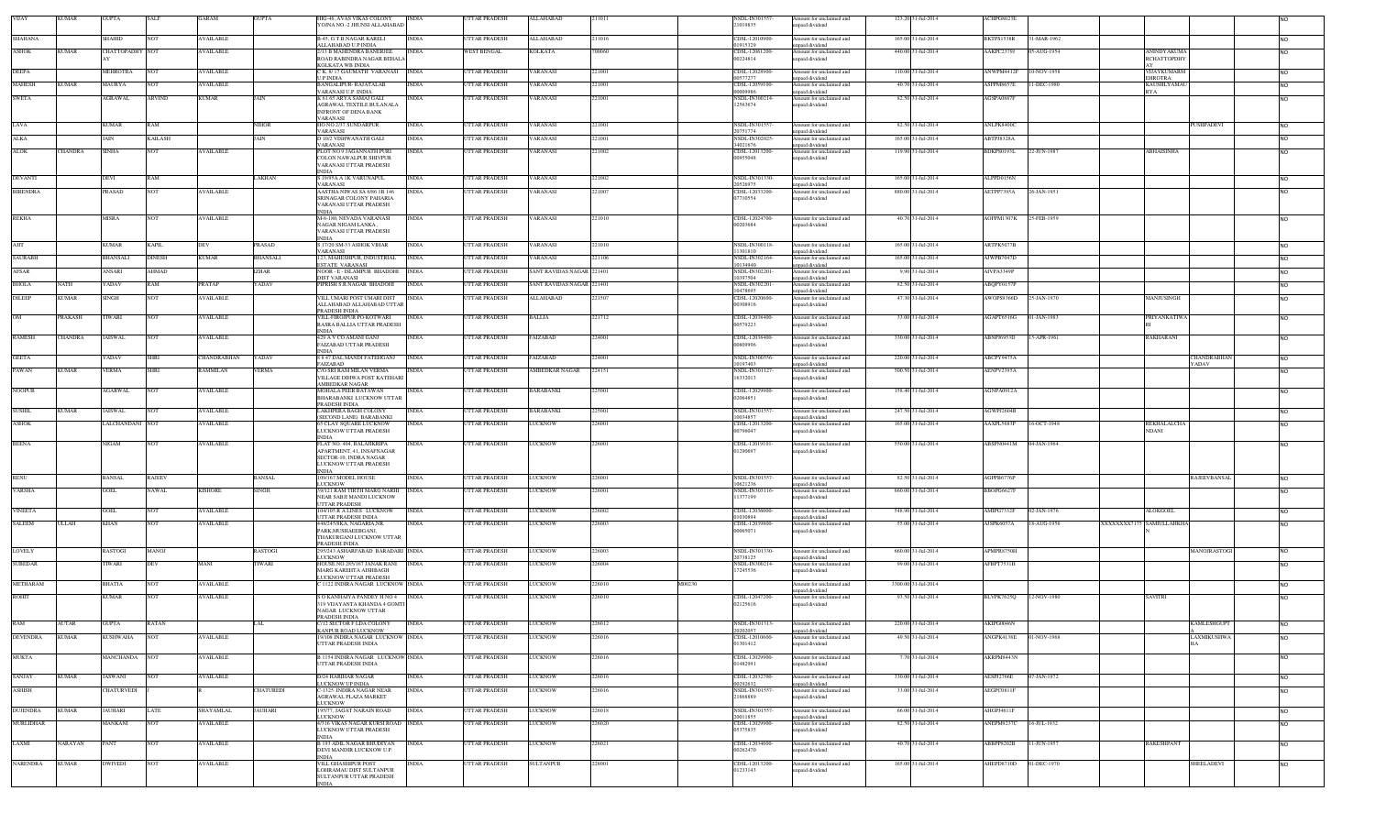| VIJAY           | <b>KUMAR</b>   | <b>GUPTA</b>           | SALF            | <b>GARAM</b>           | <b>GUPTA</b>    | HIG-46 AVAS VIKAS COLONY<br>YOJNA NO.-2 JHUNSI ALLAHABAD        | <b>INDIA</b> | UTTAR PRADESH        | ALLAHABAD                 | 211011           | NSDL-IN301557-<br>21019835      | Amount for unclaimed and<br>inpaid dividend | 123.20 31-Jul-2014  | ACHPG8023E        |             |                                    |                |
|-----------------|----------------|------------------------|-----------------|------------------------|-----------------|-----------------------------------------------------------------|--------------|----------------------|---------------------------|------------------|---------------------------------|---------------------------------------------|---------------------|-------------------|-------------|------------------------------------|----------------|
|                 |                |                        |                 |                        |                 |                                                                 |              |                      |                           |                  |                                 |                                             |                     |                   |             |                                    |                |
| <b>SHAHANA</b>  |                | SHAHID                 | <b>NOT</b>      | <b>AVAILABLE</b>       |                 | <b>B-45, G.T.B.NAGAR KARELI</b><br>ALLAHABAD U.P INDIA          | <b>INDIA</b> | <b>JTTAR PRADESH</b> | ALLAHABAD                 | :11016           | CDSL-12010900<br>01915329       | Amount for unclaimed and<br>npaid dividend  | 165.00 31-Jul-2014  | BKTPS1538R        | 1-MAR-1962  |                                    | <b>NO</b>      |
| ASHOK           | KUMAR          | <b>CHATTOPADHY</b> NOT |                 | <b>AVAILABLE</b>       |                 | 2/13 B MAHENDRA BANERJEE                                        | <b>INDIA</b> | WEST BENGAL          | KOLKATA                   | 700060           | CDSL-12061200                   | Amount for unclaimed and                    | 440.00 31-Jul-2014  | AAKPC2379J        | 05-AUG-1954 | <b>ANINDYAKUMA</b>                 | <b>NO</b>      |
|                 |                |                        |                 |                        |                 | ROAD RABINDRA NAGAR BEHALA<br>KOLKATA WB INDIA                  |              |                      |                           |                  | 00224814                        | inpaid dividend                             |                     |                   |             | <b>RCHATTOPDHY</b>                 |                |
| <b>DEEPA</b>    |                | MEHROTRA               | NOT             | <b>AVAILABLE</b>       |                 | C K. 8/17 GAUMATH VARANASI INDIA                                |              | <b>TTAR PRADESH</b>  | <b>ARANASI</b>            | 21001            | CDSL-12028900                   | Amount for unclaimed and                    | 110.00 31-Jul-2014  | ANWPM4412F        | 0-NOV-1958  | VIJAYKUMARM                        | <b>NO</b>      |
| MAHESH          | KUMAR          | MAURYA                 |                 | <b><i>NAILABLE</i></b> |                 | U P INDIA<br><b>BANGALIPUR-RAJATALAB</b>                        | <b>INDIA</b> | <b>TTAR PRADESH</b>  | <b>ARANASI</b>            | 21001            | 00577277<br>CDSL-12059100       | npaid dividend<br>Amount for unclaimed and  | 40.70 31-Jul-2014   | ASFPM8657E        | 1-DEC-1980  | <b>EHROTRA</b><br>KAUSHLYAMAL      | N <sub>O</sub> |
|                 |                |                        |                 |                        |                 | VARANASI U.P. INDIA                                             |              |                      |                           |                  | 00009986                        | npaid dividend                              |                     |                   |             | <b>RYA</b>                         |                |
| <b>SWETA</b>    |                | <b>AGRAWAL</b>         | <b>ARVIND</b>   | <b>KUMAR</b>           | AIN             | K 61 65 ARYA SAMAJ GALI<br>AGRAWAL TEXTILE BULANALA             | <b>INDIA</b> | <b>TTAR PRADESH</b>  | <b><i>VARANASI</i></b>    | 221001           | NSDL-IN300214-<br>12563674      | Amount for unclaimed and<br>npaid dividend  | 82.50 31-Jul-2014   | AGSPA0887E        |             |                                    | N <sub>O</sub> |
|                 |                |                        |                 |                        |                 | INFRONT OF DENA BANK                                            |              |                      |                           |                  |                                 |                                             |                     |                   |             |                                    |                |
| LAVA            |                | KUMAR                  | RAM             |                        | NIHOR           | VARANASI<br>HO NO 2/37 SUNDARPUR                                | <b>INDIA</b> | <b>JTTAR PRADESH</b> | VARANASI                  | 21001            | NSDL-IN30155                    | Amount for unclaimed and                    | 82.50 31-Jul-2014   | ANLPK8400C        |             | PUSHPADEVI                         | <b>NO</b>      |
|                 |                |                        |                 |                        |                 | VARANASI                                                        |              |                      |                           |                  | 20751774                        | inpaid dividend                             |                     |                   |             |                                    |                |
| ALKA            |                |                        | <b>AILASH</b>   |                        |                 | <b>D 10/2 VISHWANATH GALI</b><br>VARANASI                       |              | <b>TTAR PRADESH</b>  | <b>ARANASI</b>            | 21001            | <b>NSDL-IN30202</b><br>34021676 | Amount for unclaimed and<br>inpaid dividend | 165.00 31-Jul-2014  | ABTPJ8328A        |             |                                    | <b>NO</b>      |
| <b>ALOK</b>     | CHANDRA        | SINHA                  | NOT             | <b>AVAILABLE</b>       |                 | PLOT NO 9 JAGANNATH PURI                                        | <b>INDIA</b> | <b>TTAR PRADESH</b>  | <b><i>VARANASI</i></b>    | 21002            | CDSL-12013200                   | Amount for unclaimed and                    | 119.90 31-Jul-2014  | BDKPS0193L        | 22-JUN-1987 | <b>ABHAISINHA</b>                  |                |
|                 |                |                        |                 |                        |                 | COLON NAWALPUR SHIVPUR<br>VARANASI UTTAR PRADESH                |              |                      |                           |                  | 00955048                        | npaid dividend                              |                     |                   |             |                                    |                |
|                 |                |                        |                 |                        |                 | INDIA                                                           |              |                      |                           |                  |                                 |                                             |                     |                   |             |                                    |                |
| <b>DEVANTI</b>  |                | DEVI                   | RAM             |                        | AKHAN           | S 19/95A A 1K VARUNAPUL<br>VARANASI                             | <b>INDIA</b> | <b>TTAR PRADESH</b>  | <b>ARANASI</b>            | 21002            | NSDL-IN301330-<br>20526975      | Amount for unclaimed and<br>unpaid dividend | 165.00 31-Jul-2014  | ALPPD0156N        |             |                                    | <b>NO</b>      |
| <b>BIRENDRA</b> |                | <b>RASAD</b>           |                 | AVAILABLE              |                 | AASTHA NIWAS SA 6/86 1B 146                                     | INDIA        | <b>TTAR PRADESH</b>  | <b>ARANASI</b>            | 21007            | CDSL-12033200                   | mount for unclaimed and                     | 880.00 31-Jul-2014  | AETPP7395A        | 26-JAN-1951 |                                    | <b>NO</b>      |
|                 |                |                        |                 |                        |                 | SRINAGAR COLONY PAHARIA<br>VARANASI UTTAR PRADESH               |              |                      |                           |                  | 07710554                        | unpaid dividend                             |                     |                   |             |                                    |                |
|                 |                |                        |                 |                        |                 | NDIA                                                            |              |                      |                           |                  |                                 |                                             |                     |                   |             |                                    |                |
| <b>REKHA</b>    |                | MISRA                  | NOT             | <b>AVAILABLE</b>       |                 | M-8-180, NEVADA VARANASI<br>NAGAR NIGAM LANKA,                  | INDIA        | UTTAR PRADESH        | VARANASI                  | 221010           | CDSL-12024700<br>00203684       | Amount for unclaimed and<br>inpaid dividend | 40.70 31-Jul-2014   | AOFPM1307K        | 25-FEB-1959 |                                    | <b>NO</b>      |
|                 |                |                        |                 |                        |                 | VARANASI UTTAR PRADESH                                          |              |                      |                           |                  |                                 |                                             |                     |                   |             |                                    |                |
| AJIT            |                | <b>KUMAR</b>           | KAPIL.          | <b>DEV</b>             | PRASAD          | NDIA<br>S 17/20 SM-33 ASHOK VIHAR                               | <b>INDIA</b> | <b>JTTAR PRADESH</b> | VARANASI                  | 221010           | NSDL-IN300118-                  | Amount for unclaimed and                    | 165.00 31-Jul-2014  | ARTPK5077B        |             |                                    |                |
|                 |                |                        |                 |                        |                 | VARANASI                                                        |              |                      |                           |                  | 1301810                         | upaid dividend                              |                     |                   |             |                                    | <b>NO</b>      |
| <b>SAURABH</b>  |                | <b>BHANSALI</b>        | DINESH          | <b>KUMAR</b>           | BHANSALI        | 123, MAHESHPUR, INDUSTRIAL                                      | <b>INDIA</b> | <b>TTAR PRADESH</b>  | <b>ARANASI</b>            | 221106           | NSDL-IN302164<br>0134940        | Amount for unclaimed and                    | 165.00 31-Jul-2014  | AJWPB7047D        |             |                                    | <b>NO</b>      |
| AFSAR           |                | ANSARI                 | AHMAD           |                        | ZHAR            | ESTATE VARANASI<br>NOOR - E - ISLAMPUR BHADOHI                  | <b>INDIA</b> | <b>JTTAR PRADESH</b> | SANT RAVIDAS NAGAR 221401 |                  | NSDL-IN302201                   | inpaid dividend<br>Amount for unclaimed and | 9.90 31-Jul-2014    | AIVPA3349P        |             |                                    | <b>NO</b>      |
|                 | NATH           | YADAV                  | RAM             |                        | <b>ADAV</b>     | DIST VARANASI                                                   | <b>INDIA</b> | <b>TTAR PRADESH</b>  | SANT RAVIDAS NAGAR 221401 |                  | 1397504                         | npaid dividend                              |                     |                   |             |                                    |                |
| <b>BHOLA</b>    |                |                        |                 | <b>PRATAP</b>          |                 | PIPRISH S.R.NAGAR BHADOHI                                       |              |                      |                           |                  | NSDL-IN30220<br>10478695        | Amount for unclaimed and<br>inpaid dividend | 82.50 31-Jul-2014   | ABQPY0157P        |             |                                    | <b>NO</b>      |
| DILEEP          | <b>KUMAR</b>   | SINGH                  | NOT             | AVAILABLE              |                 | VILL UMARI POST UMARI DIST                                      | <b>INDIA</b> | <b>TTAR PRADESH</b>  | ALLAHABAD                 | 21507            | CDSL-1202060                    | Amount for unclaimed and                    | 47.30 31-Jul-2014   | AWOPS9366D        | 25-JAN-1970 | MANJUSINGH                         | N <sub>O</sub> |
|                 |                |                        |                 |                        |                 | ALLAHABAD ALLAHABAD UTTAR<br>PRADESH INDIA                      |              |                      |                           |                  | 00308916                        | inpaid dividend                             |                     |                   |             |                                    |                |
| OM              | PRAKASH        | TIWARI                 | NOT             | <b>AVAILABLE</b>       |                 | VILL-FIROJPUR PO-KOTWARI                                        | <b>INDIA</b> | UTTAR PRADESH        | <b>BALLIA</b>             | 221712           | CDSL-12038400                   | Amount for unclaimed and                    | 33.00 31-Jul-2014   | AGAPT6516G        | 01-JAN-1983 | <b>PRIYANKATIWA</b>                | <b>NO</b>      |
|                 |                |                        |                 |                        |                 | RASRA BALLIA UTTAR PRADESH<br><b>INDIA</b>                      |              |                      |                           |                  | 00579223                        | inpaid dividend                             |                     |                   |             |                                    |                |
| <b>RAMESH</b>   | <b>CHANDRA</b> | <b>JAISWAL</b>         | <b>NOT</b>      | <b>AVAILABLE</b>       |                 | 429 A V CO AMANI GANJ                                           | <b>INDIA</b> | <b>JTTAR PRADESH</b> | FAIZABAD                  | 224001           | CDSL-12038400                   | Amount for unclaimed and                    | 330.00 31-Jul-2014  | ABNPJ6953D        | 15-APR-1961 | RAKHARANI                          | <b>NO</b>      |
|                 |                |                        |                 |                        |                 | FAIZABAD UTTAR PRADESH<br><b>INDIA</b>                          |              |                      |                           |                  | 00809996                        | npaid dividend                              |                     |                   |             |                                    |                |
| <b>GEETA</b>    |                | <b>ADAV</b>            | SHRI            | CHANDRABHAN            | <b>ADAV</b>     | 8 8 47 DAL MANDI FATEHGANJ                                      | <b>INDIA</b> | <b>TTAR PRADESH</b>  | AIZABAD                   | 224001           | NSDL-IN300556                   | Amount for unclaimed and                    | 220.00 31-Jul-2014  | ABCPY9475A        |             | CHANDRABHAN                        | <b>NO</b>      |
| PAWAN           | <b>KUMAR</b>   | <b>VERMA</b>           | <b>SHRI</b>     | <b>RAMMILAN</b>        | <b>/ERMA</b>    | FAIZABAD<br>C/O SRI RAM MILAN VERMA                             | <b>INDIA</b> | <b>JTTAR PRADESH</b> | AMBEDKAR NAGAR            | 224151           | 10197403<br>NSDL-IN30112        | npaid dividend<br>Amount for unclaimed and  | 500.50 31-Jul-2014  | AENPV2395A        |             | YADAV                              | N <sub>O</sub> |
|                 |                |                        |                 |                        |                 | VILLAGE DIHWA POST KATEHARI                                     |              |                      |                           |                  | 16332013                        | npaid dividend                              |                     |                   |             |                                    |                |
| <b>NOOPUR</b>   |                | <b>AGARWAL</b>         | <b>NOT</b>      | <b>AVAILABLE</b>       |                 | AMBEDKAR NAGAR<br><b>MOHALA PEER BATAWAN</b>                    | <b>INDIA</b> | UTTAR PRADESH        | <b>BARABANKI</b>          | 225001           | CDSL-12029900                   | Amount for unclaimed and                    | 158.40 31-Jul-2014  | AGNPA0912A        |             |                                    | <b>NO</b>      |
|                 |                |                        |                 |                        |                 | BHARABANKI LUCKNOW UTTAR                                        |              |                      |                           |                  | 02064851                        | inpaid dividend                             |                     |                   |             |                                    |                |
| <b>SUSHIL</b>   | KUMAR          | <b>JAISWAL</b>         | NO <sub>1</sub> | <b>AVAILABLE</b>       |                 | PRADESH INDIA<br>LAKHPERA BAGH COLONY                           | <b>INDIA</b> | <b>TTAR PRADESH</b>  | BARABANKI                 | 225001           | NSDL-IN30155                    | Amount for unclaimed and                    | 247.50 31-Jul-2014  | AGWPJ2604B        |             |                                    | <b>NO</b>      |
|                 |                |                        |                 |                        |                 | (SECOND LANE) BARABANKI                                         |              |                      |                           |                  | 10034857                        | npaid dividend                              |                     |                   |             |                                    |                |
| <b>ASHOK</b>    |                | LALCHANDANI NOT        |                 | <b>AVAILABLE</b>       |                 | 65 CLAY SQUARE LUCKNOW<br>LUCKNOW UTTAR PRADESH                 | INDIA        | <b>JTTAR PRADESH</b> | LUCKNOW                   | 226001           | CDSL-12013200<br>00796047       | Amount for unclaimed and<br>npaid dividend  | 165.00 31-Jul-2014  | AAXPL5683P        | 16-OCT-1948 | <b>REKHALALCHA</b><br><b>NDANI</b> | N <sub>O</sub> |
|                 |                |                        |                 |                        |                 | <b>INDIA</b>                                                    |              |                      |                           |                  |                                 |                                             |                     |                   |             |                                    |                |
| <b>BEENA</b>    |                | NIGAM                  | <b>NOT</b>      | <b>AVAILABLE</b>       |                 | FLAT NO. 404, BALAJIKRIPA<br>APARTMENT, 41, INSAFNAGAR          | <b>INDIA</b> | UTTAR PRADESH        | <b>LUCKNOW</b>            | 226001           | CDSL-12019101-<br>01290697      | Amount for unclaimed and<br>inpaid dividend | 550.00 31-Jul-2014  | ABSPN0441M        | 04-JAN-1964 |                                    | <b>NO</b>      |
|                 |                |                        |                 |                        |                 | SECTOR-10, INDRA NAGAR                                          |              |                      |                           |                  |                                 |                                             |                     |                   |             |                                    |                |
|                 |                |                        |                 |                        |                 | LUCKNOW UTTAR PRADESH<br><b>INDIA</b>                           |              |                      |                           |                  |                                 |                                             |                     |                   |             |                                    |                |
| RENU            |                | <b>BANSAL</b>          | RAJEEV          |                        | <b>BANSAL</b>   | 109/167 MODEL HOUSE                                             | INDIA        | <b>JTTAR PRADESH</b> | LUCKNOW                   | 226001           | NSDL-IN301557-                  | Amount for unclaimed and                    | 82.50 31-Jul-2014   | AGPPB6776P        |             | <b>RAJEEVBANSAL</b>                | <b>NO</b>      |
| <b>VARSHA</b>   |                | GOEL                   | <b>NAWAL</b>    | <b>KISHORE</b>         | SINGH           | LUCKNOW<br>39/121 RAM TIRTH MARG NARHI INDIA                    |              | <b>JTTAR PRADESH</b> | LUCKNOW                   | 226001           | 0621236<br>NSDL-IN303116-       | inpaid dividend                             | 660.00 31-Jul-2014  | BBOPG6627F        |             |                                    | N <sub>O</sub> |
|                 |                |                        |                 |                        |                 | NEAR SABJI MANDI LUCKNOW                                        |              |                      |                           |                  | 11377199                        | Amount for unclaimed and<br>npaid dividend  |                     |                   |             |                                    |                |
|                 |                |                        |                 |                        |                 | UTTAR PRADESH                                                   |              |                      |                           |                  |                                 |                                             |                     |                   |             |                                    |                |
| <b>VINEETA</b>  |                | GOEL                   | NOT             | <b>AVAILABLE</b>       |                 | 04/105 R A LINES LUCKNOW<br>UTTAR PRADESH INDIA                 | <b>INDIA</b> | <b>TTAR PRADESH</b>  | <b>LUCKNOW</b>            | 226002           | CDSL-12036000-<br>1030894       | Amount for unclaimed and<br>npaid dividend  | 548.90 31-Jul-2014  | AMIPG7332F        | 2-JAN-1976  | <b>ALOKGOEL</b>                    | <b>NO</b>      |
| <b>SALEEM</b>   | ULLAH          | KHAN                   | NOT             | <b>AVAILABLE</b>       |                 | 448/245/8KA, NAGARIA, NR.                                       | <b>INDIA</b> | UTTAR PRADESH        | LUCKNOW                   | 226003           | CDSL-12039800-                  | Amount for unclaimed and                    | 55.00 31-Jul-2014   | AJSPK6057A        | 18-AUG-1956 | XXXXXXXX7175 SAMIULLAHKHA          | N <sub>O</sub> |
|                 |                |                        |                 |                        |                 | PARK, MUSHAEEBGANJ,<br>THAKURGANJ LUCKNOW UTTAR                 |              |                      |                           |                  | 00065071                        | unpaid dividend                             |                     |                   |             |                                    |                |
|                 |                |                        |                 |                        |                 | PRADESH INDIA                                                   |              |                      |                           |                  |                                 |                                             |                     |                   |             |                                    |                |
| <b>LOVELY</b>   |                | RASTOGI                | <b>MANOJ</b>    |                        | RASTOGI         | 295/243 ASHARFABAD BARADARI INDIA<br><b>JICKNOW</b>             |              | UTTAR PRADESH        | LUCKNOW                   | 226003           | NSDL-IN301330-<br>0738125       | Amount for unclaimed and<br>inpaid dividend | 660.00 31-Jul-2014  | APMPR8750H        |             | MANOJRASTOGI                       | <b>NO</b>      |
| <b>SUBEDAR</b>  |                | IWARI                  | DEV             | MANI                   | IWARI           | HOUSE NO 285/167 JANAK RANI                                     | <b>INDIA</b> | TTAR PRADESH         | <b>LUCKNOW</b>            | 226004           | NSDL-IN300214-                  | Amount for unclaimed and                    | 99.00 31-Jul-2014   | AFBPT7531H        |             |                                    | <b>NO</b>      |
|                 |                |                        |                 |                        |                 | MARG KAREHTA AISHBAGH<br><b>LUCKNOW UTTAR PRADESH</b>           |              |                      |                           |                  | 17245536                        | mpaid dividend                              |                     |                   |             |                                    |                |
| METHARAM        |                | <b>BHATIA</b>          | NO <sub>1</sub> | <b>AVAILABLE</b>       |                 | 1122 INDIRA NAGAR LUCKNOW INDIA                                 |              | <b>JTTAR PRADESH</b> | <b>LUCKNOW</b>            | 226010<br>M00230 |                                 | mount for unclaimed and                     | 3300.00 31-Jul-2014 |                   |             |                                    | N <sub>O</sub> |
| <b>ROHIT</b>    |                | KUMAR                  | NOT             | <b>AVAILABLE</b>       |                 | <b>SO KANHAIYA PANDEY H NO 4 INDIA</b>                          |              | <b>JTTAR PRADESH</b> | LUCKNOW                   | 226010           | CDSL-12047200-                  | inpaid dividend<br>Amount for unclaimed and | 93.50 31-Jul-2014   | <b>BLVPK7625Q</b> | 12-NOV-1980 | <b>SAVITRI</b>                     |                |
|                 |                |                        |                 |                        |                 | <b>319 VIJAYANTA KHANDA 4 GOMTI</b>                             |              |                      |                           |                  | 02125616                        | npaid dividend                              |                     |                   |             |                                    |                |
|                 |                |                        |                 |                        |                 | NAGAR LUCKNOW UTTAR<br>PRADESH INDIA                            |              |                      |                           |                  |                                 |                                             |                     |                   |             |                                    |                |
| RAM             | <b>AUTAR</b>   | <b>GUPTA</b>           | RATAN           |                        | LAL             | C/12 SECTOR F LDA COLONY                                        | <b>INDIA</b> | <b>UTTAR PRADESH</b> | <b>LUCKNOW</b>            | 226012           | NSDL-IN301313-                  | Amount for unclaimed and                    | 220.00 31-Jul-2014  | AKIPG0046N        |             | <b>KAMLESHGUPT</b>                 | N <sub>O</sub> |
| <b>DEVENDRA</b> | <b>KUMAR</b>   | KUSHWAHA               | <b>NOT</b>      | <b>AVAILABLE</b>       |                 | KANPUR ROAD LUCKNOW<br>9/108 INDIRA NAGAR LUCKNOW INDIA         |              | <b>JTTAR PRADESH</b> | LUCKNOW                   | 226016           | 202057<br>CDSL-12010600-        | unpaid dividend<br>Amount for unclaimed and | 49.50 31-Jul-2014   | ANGPK4138E        | 01-NOV-1968 | LAXMIKUSHWA                        | N <sub>O</sub> |
|                 |                |                        |                 |                        |                 | UTTAR PRADESH INDIA                                             |              |                      |                           |                  | 01301412                        | unpaid dividend                             |                     |                   |             |                                    |                |
|                 |                |                        |                 |                        |                 |                                                                 |              |                      |                           | 226016           |                                 |                                             | 7.70 31-Jul-2014    | AKRPM8443N        |             |                                    |                |
| <b>MUKTA</b>    |                | MANCHANDA NOT          |                 | <b>AVAILABLE</b>       |                 | <b>B 1154 INDIRA NAGAR LUCKNOW INDIA</b><br>UTTAR PRADESH INDIA |              | <b>JTTAR PRADESH</b> | <b>LUCKNOW</b>            |                  | CDSL-12029900-<br>01482991      | Amount for unclaimed and<br>unpaid dividend |                     |                   |             |                                    | <b>NO</b>      |
|                 |                |                        |                 |                        |                 |                                                                 |              |                      |                           |                  |                                 |                                             |                     |                   |             |                                    |                |
| <b>SANJAY</b>   | <b>KUMAR</b>   | <b>JASWANI</b>         | <b>NOT</b>      | <b>AVAILABLE</b>       |                 | D/24 HARIHAR NAGAR<br><b>JUCKNOW UP INDIA</b>                   | <b>INDIA</b> | UTTAR PRADESH        | <b>LUCKNOW</b>            | 226016           | CDSL-12032700<br>00292632       | Amount for unclaimed and<br>unpaid dividend | 330.00 31-Jul-2014  | AESPJ2766E        | 07-JAN-1972 |                                    | <b>NO</b>      |
| ASHISH          |                | CHATURVEDI             |                 |                        | <b>HATUREDI</b> | C-1325 INDIRA NAGAR NEAR                                        | <b>INDIA</b> | <b>JTTAR PRADESH</b> | <b>LUCKNOW</b>            | 226016           | NSDL-IN301557                   | Amount for unclaimed and                    | 33.00 31-Jul-2014   | AEGPC0811F        |             |                                    | <b>NO</b>      |
|                 |                |                        |                 |                        |                 | AGRAWAL PLAZA MARKET<br>LUCKNOW                                 |              |                      |                           |                  | 21668889                        | unpaid dividend                             |                     |                   |             |                                    |                |
| <b>DUJENDRA</b> | <b>KUMAR</b>   | <b>JAUHARI</b>         | LATE            | SHAYAMLAL              | JAUHARI         | 195/77, JAGAT NARAIN ROAD                                       | <b>INDIA</b> | <b>UTTAR PRADESH</b> | <b>LUCKNOW</b>            | 226018           | <b>NSDL-IN301557</b>            | Amount for unclaimed and                    | 66.00 31-Jul-2014   | AHGPJ4611F        |             |                                    | <b>NO</b>      |
| MURLIDHAR       |                | MANKANI                | NOT             | <b>AVAILABLE</b>       |                 | <b>LUCKNOW</b><br>4/316 VIKAS NAGAR KURSI ROAD INDIA            |              | <b>TTAR PRADESH</b>  | <b>LUCKNOW</b>            | 226020           | 20011855<br>CDSL-12029900-      | unpaid dividend<br>Amount for unclaimed and | 82.50 31-Jul-2014   | ANEPM9237C        | 16-JUL-1932 |                                    | <b>NO</b>      |
|                 |                |                        |                 |                        |                 | LUCKNOW UTTAR PRADESH                                           |              |                      |                           |                  | 05375835                        | unpaid dividend                             |                     |                   |             |                                    |                |
| LAXMI           | VARAYAN        | PANT                   | NOT             | <b>AVAILABLE</b>       |                 | INDIA<br><b>B 193 ADIL NAGAR BHUDIYAN</b>                       | <b>INDIA</b> | <b>JTTAR PRADESH</b> | LUCKNOW                   | 226021           | CDSL-12034600                   | Amount for unclaimed and                    | 40.70 31-Jul-2014   | ABBPP8202B        | 11-JUN-1957 | RAKESHPANT                         | <b>NO</b>      |
|                 |                |                        |                 |                        |                 | DEVI MANDIR LUCKNOW U.P.                                        |              |                      |                           |                  | 00262470                        | unpaid dividend                             |                     |                   |             |                                    |                |
| <b>NARENDRA</b> | <b>KUMAR</b>   | <b>DWIVEDI</b>         | <b>NOT</b>      | <b>AVAILABLE</b>       |                 | INDIA<br>VILL GHASHIPUR POST                                    | INDIA        | UTTAR PRADESH        | <b>SULTANPUR</b>          | 228001           | CDSL-12013200                   | Amount for unclaimed and                    | 165.00 31-Jul-2014  | AHEPD8710D        | 01-DEC-1970 | SHEELADEVI                         |                |
|                 |                |                        |                 |                        |                 | LOHRAMAU DIST SULTANPUR                                         |              |                      |                           |                  | 01233143                        | unpaid dividend                             |                     |                   |             |                                    | <b>NO</b>      |
|                 |                |                        |                 |                        |                 | SULTANPUR UTTAR PRADESH                                         |              |                      |                           |                  |                                 |                                             |                     |                   |             |                                    |                |
|                 |                |                        |                 |                        |                 | NDIA                                                            |              |                      |                           |                  |                                 |                                             |                     |                   |             |                                    |                |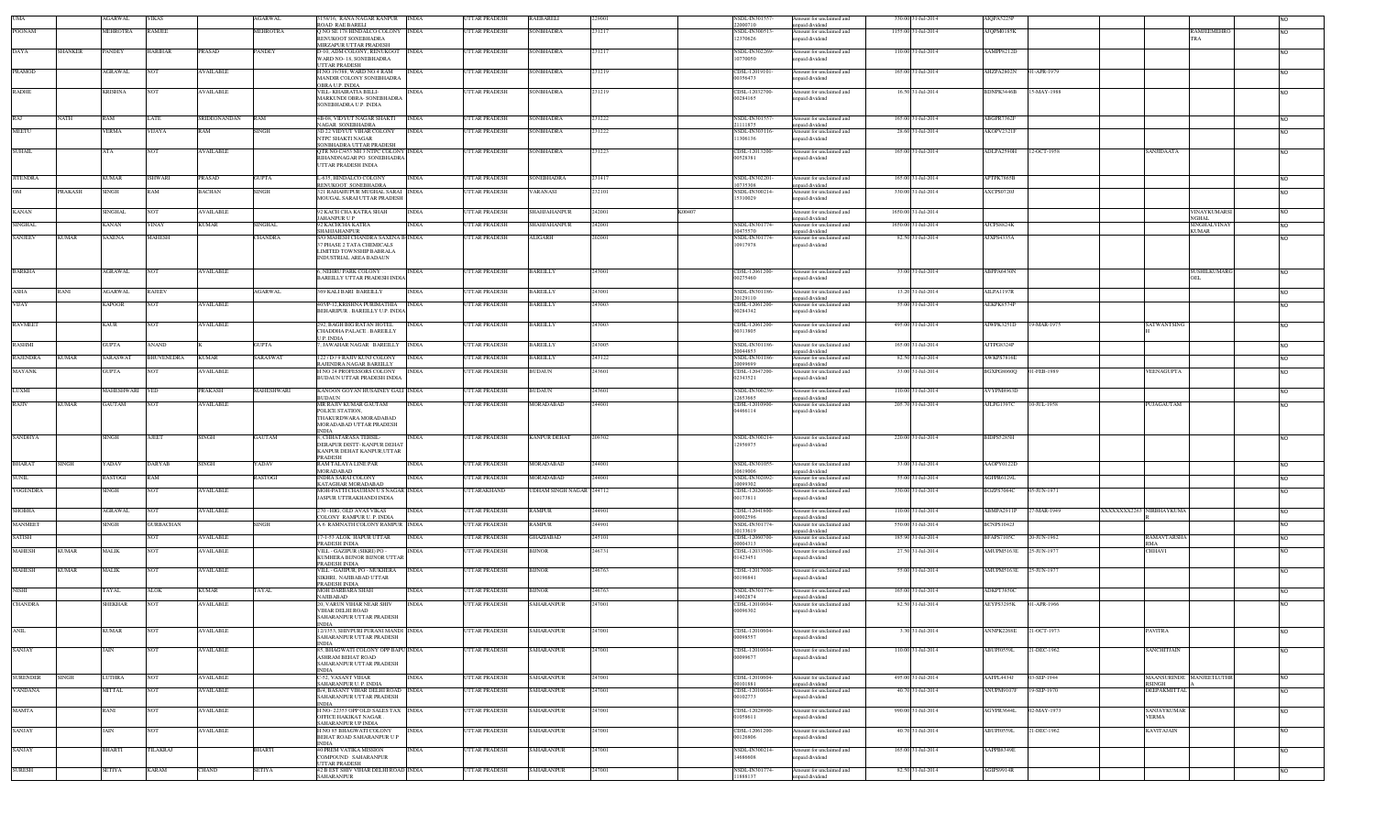|                 |              | AGARWAL             | <b>VIKAS</b>     |                  | GARWAL            | 158/16, RANA NAGAR KANPUR INDIA<br>ROAD RAE BARELI                                                  |              | <b>TTAR PRADESH</b>  | RAEBARELI                | 2900   | NSDL-IN30155<br>22000710               | Amount for unclaimed and<br>apaid dividend                     | 330.00 31-Jul-2014  | AIQPA5225F             |             |                                    |                             |
|-----------------|--------------|---------------------|------------------|------------------|-------------------|-----------------------------------------------------------------------------------------------------|--------------|----------------------|--------------------------|--------|----------------------------------------|----------------------------------------------------------------|---------------------|------------------------|-------------|------------------------------------|-----------------------------|
| <b>POONAM</b>   |              | MEHROTRA            | <b>RAMJEE</b>    |                  | <b>MEHROTRA</b>   | Q NO SE 178 HINDALCO COLONY INDIA<br>RENUKOOT SONEBHADRA                                            |              | <b>TTAR PRADESH</b>  | SONBHADRA                | 231217 | NSDL-IN300513<br>12370626              | Amount for unclaimed and<br>npaid dividend                     | 1155.00 31-Jul-2014 | AJQPM0185K             |             | RAMJEEMEHRC<br>TRA                 | N <sub>O</sub>              |
| DAYA            | SHANKER      | <b>PANDEY</b>       | <b>HARIHAR</b>   | <b>PRASAD</b>    | <b>ANDEY</b>      | MIRZAPUR UTTAR PRADESH<br>D-10, ADM COLONY, RENUKOOT INDIA<br>WARD NO-18, SONEBHADRA                |              | <b>TTAR PRADESH</b>  | <b>SONBHADRA</b>         | 231217 | NSDL-IN302269<br>10770050              | Amount for unclaimed and<br>npaid dividend                     | 110.00 31-Jul-2014  | AAMPP8212D             |             |                                    | <b>NO</b>                   |
| PRAMOD          |              | AGRAWAL             | <b>NOT</b>       | AVAILABLE        |                   | UTTAR PRADESH<br>H.NO.19/388, WARD NO.4 RAM<br>MANDIR COLONY SONEBHADRA                             | <b>INDIA</b> | <b>TTAR PRADESH</b>  | SONBHADRA                | 231219 | CDSL-12019101<br>00356473              | Amount for unclaimed and<br>npaid dividend                     | 165.00 31-Jul-2014  | AHZPA2802N             | 1-APR-1979  |                                    | <b>NO</b>                   |
| RADHE           |              | <b>KRISHNA</b>      | <b>NOT</b>       | AVAILABLE        |                   | OBRA U.P. INDIA<br>VILL- KHAIRATIA BILLI<br>MARKUNDI OBRA- SONEBHADRA                               | <b>INDIA</b> | <b>TTAR PRADESH</b>  | SONBHADRA                | 231219 | CDSL-12032700<br>00284165              | Amount for unclaimed and<br>inpaid dividend                    | 16.50 31-Jul-2014   | BDNPK3446B             | 15-MAY-1988 |                                    | <b>NO</b>                   |
| <b>RAJ</b>      | NATH         | RAM                 | LATE             | SRIDEONANDAN     | RAM               | SONEBHADRA U.P. INDIA<br>4B-08, VIDYUT NAGAR SHAKTI                                                 | <b>INDIA</b> | <b>JTTAR PRADESH</b> | <b>SONBHADRA</b>         | 231222 | NSDL-IN301557                          | Amount for unclaimed and                                       | 165.00 31-Jul-2014  | ABGPR7362F             |             |                                    | <b>NO</b>                   |
| <b>MEETU</b>    |              | <b>VERMA</b>        | VIJAYA           | <b>RAM</b>       | <b>SINGH</b>      | NAGAR SONEBHADRA<br><b>3D 22 VIDYUT VIHAR COLONY</b>                                                | <b>INDIA</b> | <b>TTAR PRADESH</b>  | <b>SONBHADRA</b>         | 231222 | 21111875<br>NSDL-IN303116              | npaid dividend<br>Amount for unclaimed and                     | 28.60 31-Jul-2014   | AKOPV2321F             |             |                                    |                             |
|                 |              |                     |                  |                  |                   | NTPC SHAKTI NAGAR<br>SONBHADRA UTTAR PRADESH                                                        |              |                      |                          |        | 11306136                               | inpaid dividend                                                |                     |                        |             |                                    | <b>NO</b>                   |
| <b>SUHAIL</b>   |              | ATA                 | <b>NOT</b>       | <b>AVAILABLE</b> |                   | QTR NO C/453 NH 3 NTPC COLONY INDIA<br>RIHANDNAGAR PO SONEBHADRA<br>UTTAR PRADESH INDIA             |              | <b>TTAR PRADESH</b>  | SONBHADRA                | 231223 | CDSL-12013200<br>00528381              | Amount for unclaimed and<br>inpaid dividend                    | 165.00 31-Jul-2014  | ADLPA2590H             | 12-OCT-1958 | SANJIDAATA                         | <b>NO</b>                   |
| <b>JITENDRA</b> |              | <b>KUMAR</b>        | <b>ISHWARI</b>   | PRASAD           | GUPTA             | L-635. HINDALCO COLONY                                                                              | <b>INDIA</b> | <b>JTTAR PRADESH</b> | <b>SONEBHADRA</b>        | 231417 | NSDL-IN302201                          | Amount for unclaimed and                                       | 165.00 31-Jul-2014  | APTPK7865B             |             |                                    | <b>NO</b>                   |
| OM              | PRAKASH      | <b>SINGH</b>        | RAM              | <b>BACHAN</b>    | SINGH             | RENUKOOT SONEBHADRA<br>321 RAHAHUPUR MUGHAL SARAI INDIA<br>MOUGAL SARAI UTTAR PRADESH               |              | UTTAR PRADESH        | VARANASI                 | 232101 | 10735308<br>NSDL-IN300214-<br>15310029 | apaid dividend<br>Amount for unclaimed and<br>inpaid dividend  | 330.00 31-Jul-2014  | AXCPS0720J             |             |                                    | N <sub>O</sub>              |
| <b>KANAN</b>    |              | SINGHAL             | <b>NOT</b>       | AVAILABLE        |                   | 92 KACH CHA KATRA SHAH                                                                              | <b>INDIA</b> | <b>TTAR PRADESH</b>  | SHAHJAHANPUR             | 242001 | K00407                                 | Amount for unclaimed and                                       | 1650.00 31-Jul-2014 |                        |             | <b>VINAYKUMARSI</b>                | <b>NO</b>                   |
| <b>SINGHAL</b>  |              | KANAN               | <b>VINAY</b>     | <b>KUMAR</b>     | SINGHAL           | JAHANPUR U P<br>92 KACHCHA KATRA                                                                    | <b>INDIA</b> | <b>TTAR PRADESH</b>  | SHAHJAHANPUR             | 242001 | NSDL-IN301774-                         | apaid dividend<br>Amount for unclaimed and                     | 1650.00 31-Jul-2014 | AJCPS8824K             |             | <b>NGHAL</b><br>SINGHALVINAY       | <b>NO</b>                   |
| <b>SANJEEV</b>  | KUMAR        | <b>SAXENA</b>       | <b>MAHESH</b>    |                  | CHANDRA           | <b>SHAHJAHANPUR</b><br>S/O MAHESH CHANDRA SAXENA B-INDIA                                            |              | <b>TTAR PRADESH</b>  | <b>ALIGARH</b>           | 202001 | 10475570<br>NSDL-IN301774-             | apaid dividend<br>Amount for unclaimed and                     | 82.50 31-Jul-2014   | <b>AJXPS4335A</b>      |             | <b>KUMAR</b>                       | <b>NO</b>                   |
|                 |              |                     |                  |                  |                   | 37 PHASE 2 TATA CHEMICALS<br>LIMITED TOWNSHIP BABRALA<br>INDUSTRIAL AREA BADAUN                     |              |                      |                          |        | 10917978                               | unpaid dividend                                                |                     |                        |             |                                    |                             |
| <b>BARKHA</b>   |              | <b>AGRAWAL</b>      | <b>NOT</b>       | AVAILABLE        |                   | 6, NEHRU PARK COLONY<br>BAREILLY UTTAR PRADESH INDIA                                                | <b>INDIA</b> | <b>TTAR PRADESH</b>  | BAREILLY                 | 243001 | CDSL-12061200-<br>00275460             | Amount for unclaimed and<br>inpaid dividend                    | 33.00 31-Jul-2014   | ABPPA6430N             |             | SUSHILKUMARG                       | N <sub>O</sub>              |
| ASHA            | RANI         | <b>AGARWAL</b>      | <b>RAJEEV</b>    |                  | <b>AGARWAL</b>    | 369 KALI BARI BAREILLY                                                                              | <b>INDIA</b> | <b>TTAR PRADESH</b>  | BAREILLY                 | 243001 | NSDL-IN301186<br>20129110              | Amount for unclaimed and<br>npaid dividend                     | 13.20 31-Jul-2014   | AILPA1197R             |             |                                    | <b>NO</b>                   |
| VIJAY           |              | KAPOOR              | <b>NOT</b>       | <b>WAILABLE</b>  |                   | 405/P-12, KRISHNA PURIMATHIA INDIA<br>BEHARIPUR . BAREILLY U.P. INDIA                               |              | <b>TTAR PRADESH</b>  | BAREILLY                 | 243003 | CDSL-12061200-<br>00284342             | Amount for unclaimed and<br>npaid dividend                     | 55.00 31-Jul-2014   | AEKPK8574P             |             |                                    | <b>NO</b>                   |
| <b>RAVMEET</b>  |              | KAUR                | <b>NOT</b>       | <b>AVAILABLE</b> |                   | 292, BAGH BIG RATAN HOTEL<br>CHADDHA PALACE . BAREILLY                                              | <b>INDIA</b> | <b>TTAR PRADESH</b>  | BAREILLY                 | 243003 | CDSL-12061200-<br>00313805             | Amount for unclaimed and<br>inpaid dividend                    | 495.00 31-Jul-2014  | AIWPK3251D             | 19-MAR-1975 | SATWANTSING                        | N <sub>O</sub>              |
| RASHMI          |              | <b>GUPTA</b>        | <b>ANAND</b>     |                  | GUPTA             | U.P. INDIA<br>, JAWAHAR NAGAR BAREILLY INDIA                                                        |              | <b>TTAR PRADESH</b>  | BAREILLY                 | 243005 | NSDL-IN301186-<br>20044853             | Amount for unclaimed and                                       | 165.00 31-Jul-2014  | AJTPG8324F             |             |                                    | <b>NO</b>                   |
| <b>RAJENDRA</b> | CUMAR        | SARASWAT            | BHUVENEDRA       | <b>KUMAR</b>     | <b>SARASWAT</b>   | 122 / D / 9 RAJIV KUNJ COLONY<br>RAJENDRA NAGAR BAREILLY                                            | <b>INDIA</b> | <b>TTAR PRADESH</b>  | BAREILLY                 | 243122 | NSDL-IN301186-<br>20099699             | npaid dividend<br>Amount for unclaimed and<br>npaid dividend   | 82.50 31-Jul-2014   | AWKPS7816E             |             |                                    | N <sub>O</sub>              |
| MAYANK          |              | GUPTA               | <b>NOT</b>       | AVAILABLE        |                   | H NO 24 PROFESSORS COLONY<br>BUDAUN UTTAR PRADESH INDIA                                             | <b>INDIA</b> | <b>TTAR PRADESH</b>  | <b>BUDAUN</b>            | 243601 | CDSL-12047200-<br>02343521             | Amount for unclaimed and<br>npaid dividend                     | 33.00 31-Jul-2014   | <b>BGXPG8060Q</b>      | 01-FEB-1989 | VEENAGUPTA                         |                             |
| LUXMI           |              | <b>MAHESHWARI</b>   | <b>VED</b>       | PRAKASH          | <b>MAHESHWARI</b> | KANOON GOYAN HUSAINEY GALI INDIA<br><b>BUDAUN</b>                                                   |              | <b>TTAR PRADESH</b>  | <b>BUDAUN</b>            | 243601 | NSDL-IN300239-<br>12653665             | Amount for unclaimed and                                       | 110.00 31-Jul-2014  | AVYPM8963D             |             |                                    | <b>NO</b>                   |
| RAJIV           | KUMAR        | GAUTAM              | <b>NOT</b>       | <b>AVAILABLE</b> |                   | MR RAJIV KUMAR GAUTAM<br>POLICE STATION,<br>THAKURDWARA MORADABAD<br>MORADABAD UTTAR PRADESH        | <b>INDIA</b> | <b>TTAR PRADESH</b>  | MORADABAD                | 244001 | CDSL-12010900-<br>04466114             | apaid dividend<br>Amount for unclaimed and<br>inpaid dividend  | 205.70 31-Jul-2014  | AJLPG1397C             | 10-JUL-1958 | PUJAGAUTAM                         |                             |
| SANDHYA         |              | <b>SINGH</b>        | <b>AJEET</b>     | <b>SINGH</b>     | GAUTAM            | <b>INDIA</b><br>8, CHHATARASA TEHSIL-<br>DERAPUR DISTT- KANPUR DEHAT                                | <b>INDIA</b> | <b>JTTAR PRADESH</b> | KANPUR DEHAT             | 209302 | NSDL-IN300214-<br>12956975             | Amount for unclaimed and<br>inpaid dividend                    | 220.00 31-Jul-2014  | BIDPS5285H             |             |                                    | <b>NO</b>                   |
| <b>BHARAT</b>   | <b>INGH</b>  | <b><i>FADAV</i></b> | DARYAB           | <b>SINGH</b>     | <b>ADAV</b>       | KANPUR DEHAT KANPUR.UTTAR<br>PRADESH<br>RAM TALAYA LINE PAR                                         | <b>INDIA</b> | <b>TTAR PRADESH</b>  | MORADABAD                | 244001 | NSDL-IN301055-                         | Amount for unclaimed and                                       | 33.00 31-Jul-2014   | AAOPY0122D             |             |                                    | <b>NO</b>                   |
| <b>SUNIL</b>    |              | RASTOGI             | <b>RAM</b>       |                  | <b>ASTOGI</b>     | <b>MORADABAD</b><br><b>INDRA SARAI COLONY</b>                                                       | <b>INDIA</b> | <b>TTAR PRADESH</b>  | MORADABAD                | 244001 | 10619006<br>NSDL-IN302092-             | npaid dividend<br>Amount for unclaimed and                     | 55.00 31-Jul-2014   | AGFPR6129L             |             |                                    | N <sub>O</sub>              |
| YOGENDRA        |              | SINGH               | <b>NOT</b>       | AVAILABLE        |                   | KATAGHAR MORADABAD<br>MOH-PATTI CHAUHAN U S NAGAR INDIA<br>JASPUR UTTRAKHANDI INDIA                 |              | <b>JTTARAKHAND</b>   | UDHAM SINGH NAGAR 244712 |        | 10099302<br>CDSL-12020600-<br>00173811 | inpaid dividend<br>Amount for unclaimed and<br>inpaid dividend | 330.00 31-Jul-2014  | BOZPS7064C             | 05-JUN-1971 |                                    | N <sub>O</sub>              |
| SHOBHA          |              | <b>AGRAWAL</b>      | <b>NOT</b>       | <b>WAILABLE</b>  |                   | 270 - HIG, OLD AVAS VIKAS                                                                           | <b>INDIA</b> | <b>TTAR PRADESH</b>  | RAMPUR                   | 244901 | CDSL-12041800-                         | Amount for unclaimed and                                       | 110.00 31-Jul-2014  | ABMPA2911P             | 7-MAR-1949  | KXXXXXXX2263 NIRBHAYKUMA           | <b>NO</b>                   |
| <b>MANMEET</b>  |              | <b>SINGH</b>        | <b>GURBACHAN</b> |                  | SINGH             | COLONY RAMPUR U. P. INDIA<br>A 6 RAMNATH COLONY RAMPUR INDIA                                        |              | <b>JTTAR PRADESH</b> | RAMPUR                   | 244901 | 00002596<br>NSDL-IN301774-             | npaid dividend<br>Amount for unclaimed and                     | 550.00 31-Jul-2014  | <b>BCNPS1042J</b>      |             |                                    | <b>NO</b>                   |
| <b>ATISH</b>    |              |                     | NOT              | VAILABLE         |                   | 7-1-53 ALOK HAPUR UTTAR                                                                             | INDIA        | <b>TTAR PRADESH</b>  | GHAZIABAD                | 245101 | 10133619<br>CDSL-12060700              | inpaid dividend<br>mount for unclaimed and                     | 185.90 31-Jul-2014  | FAPS7105C              | 20-JUN-1962 | RAMAVTARSHA                        | <b>NO</b>                   |
| <b>MAHESH</b>   | <b>KUMAR</b> | <b>MALIK</b>        | <b>NOT</b>       | AVAILABLE        |                   | PRADESH INDIA<br>VILL - GAZIPUR (SIKRI) PO -                                                        | <b>INDIA</b> | <b>TTAR PRADESH</b>  | BIJNOR                   | 246731 | 00004313<br>CDSL-12033500-             | npaid dividend<br>Amount for unclaimed and                     | 27.50 31-Jul-2014   | AMUPM5163E             | 25-JUN-1977 | :MA<br>CHHAVI                      | <b>NO</b>                   |
| MAHESH          | <b>KUMAR</b> | <b>MALIK</b>        | <b>NOT</b>       | AVAILABLE        |                   | KUMHERA BIJNOR BIJNOR UTTAR<br>PRADESH INDIA<br>VILL - GAJIPUR, PO - MUKHERA                        | <b>INDIA</b> | <b>TTAR PRADESH</b>  | <b>BIJNOR</b>            | 246763 | 01423451<br>CDSL-12017000-             | npaid dividend<br>Amount for unclaimed and                     | 55.00 31-Jul-2014   | AMUPM5163E             | 25-JUN-1977 |                                    | N <sub>O</sub>              |
| NISHI           |              | <b>TAYAL</b>        | ALOK             | KUMAR            | TAYAL.            | SIKHRI. NAJIBABAD UTTAR<br>PRADESH INDIA<br>MOH DARBARA SHAH                                        | INDIA        | <b>TTAR PRADESH</b>  | BIJNOR                   | 246763 | 00196841<br>NSDL-IN301774-             | npaid dividend<br>mount for unclaimed and                      | 165.00 31-Jul-2014  | ADKPT3850C             |             |                                    |                             |
| <b>CHANDRA</b>  |              | SHEKHAR             | <b>NOT</b>       | AVAILABLE        |                   | NAJIBABAD<br>20. VARUN VIHAR NEAR SHIV                                                              | <b>INDIA</b> | <b>JTTAR PRADESH</b> | SAHARANPUR               | 247001 | 14002874<br>CDSL-12010604-             | npaid dividend<br>Amount for unclaimed and                     | 82.50 31-Jul-2014   | AEYPS3295K             | 01-APR-1966 |                                    | <b>NO</b><br>N <sub>O</sub> |
|                 |              |                     |                  |                  |                   | VIHAR DELHI ROAD<br>SAHARANPUR UTTAR PRADESH<br>NDIA                                                |              |                      |                          |        | 00096302                               | npaid dividend                                                 |                     |                        |             |                                    |                             |
| <b>ANIL</b>     |              | <b>KUMAR</b>        | <b>NOT</b>       | <b>AVAILABLE</b> |                   | 12/1353, SHIVPURI PURANI MANDI INDIA<br>SAHARANPUR UTTAR PRADESH<br>INDIA                           |              | <b>UTTAR PRADESH</b> | SAHARANPUR               | 247001 | CDSL-12010604-<br>00098557             | Amount for unclaimed and<br>unpaid dividend                    | 3.30 31-Jul-2014    | ANNPK2268E 21-OCT-1973 |             | <b>PAVITRA</b>                     | <b>NO</b>                   |
| SANJAY          |              | JAIN                | <b>NOT</b>       | <b>AVAILABLE</b> |                   | 85, BHAGWATI COLONY OPP BAPU INDIA<br>ASHRAM BEHAT ROAD<br>SAHARANPUR UTTAR PRADESH<br><b>INDIA</b> |              | <b>UTTAR PRADESH</b> | SAHARANPUR               | 247001 | CDSL-12010604-<br>00099677             | Amount for unclaimed and<br>unpaid dividend                    | 110.00 31-Jul-2014  | ABUPJ0559L             | 21-DEC-1962 | <b>SANCHITJAIN</b>                 | <b>NO</b>                   |
| <b>SURENDER</b> | SINGH        | LUTHRA              | <b>NOT</b>       | AVAILABLE        |                   | C-52, VASANT VIHAR<br>SAHARANPUR U. P. INDIA                                                        | <b>INDIA</b> | <b>TTAR PRADESH</b>  | SAHARANPUR               | 247001 | CDSL-12010604-<br>00101881             | Amount for unclaimed and                                       | 495.00 31-Jul-2014  | AAFPL4434J             | 03-SEP-1944 | MAANSURINDE MANJEETLUTHR<br>RSINGH | N <sub>O</sub>              |
| <b>VANDANA</b>  |              | <b>MITTAL</b>       | <b>NOT</b>       | <b>AVAILABLE</b> |                   | B/4, BASANT VIHAR DELHI ROAD INDIA<br>SAHARANPUR UTTAR PRADESH<br>INDIA                             |              | UTTAR PRADESH        | SAHARANPUR               | 247001 | CDSL-12010604-<br>00102773             | npaid dividend<br>Amount for unclaimed and<br>unpaid dividend  | 40.70 31-Jul-2014   | ANUPM9107F             | 19-SEP-1970 | <b>DEEPAKMITTAL</b>                | <b>NO</b>                   |
| <b>MAMTA</b>    |              | RANI                | <b>NOT</b>       | <b>AVAILABLE</b> |                   | H NO-22353 OPP OLD SALES TAX INDIA<br>OFFICE HAKIKAT NAGAR.                                         |              | <b>JTTAR PRADESH</b> | <b>SAHARANPUR</b>        | 247001 | CDSL-12028900-<br>01058611             | Amount for unclaimed and<br>npaid dividend                     | 990.00 31-Jul-2014  | AGVPR3644L             | 02-MAY-1973 | <b>SANJAYKUMAR</b><br><b>VERMA</b> | <b>NO</b>                   |
| SANJAY          |              | JAIN                | <b>NOT</b>       | AVAILABLE        |                   | SAHARANPUR UP INDIA<br>H NO 85 BHAGWATI COLONY<br>BEHAT ROAD SAHARANPUR U P<br><b>INDIA</b>         | <b>INDIA</b> | <b>TTAR PRADESH</b>  | SAHARANPUR               | 247001 | CDSL-12061200-<br>00126806             | Amount for unclaimed and<br>inpaid dividend                    | 40.70 31-Jul-2014   | ABUPJ0559L             | 21-DEC-1962 | KAVITAJAIN                         | <b>NO</b>                   |
|                 |              |                     |                  |                  |                   |                                                                                                     |              |                      |                          |        |                                        |                                                                |                     |                        |             |                                    |                             |
| SANJAY          |              | <b>BHARTI</b>       | TILAKRAJ         |                  | BHARTI            | 40 PREM VATIKA MISSION<br>COMPOUND SAHARANPUR<br>UTTAR PRADESH                                      | <b>INDIA</b> | UTTAR PRADESH        | SAHARANPUR               | 247001 | NSDL-IN300214-<br>14686608             | Amount for unclaimed and<br>inpaid dividend                    | 165.00 31-Jul-2014  | AAPPB8349E             |             |                                    | <b>NO</b>                   |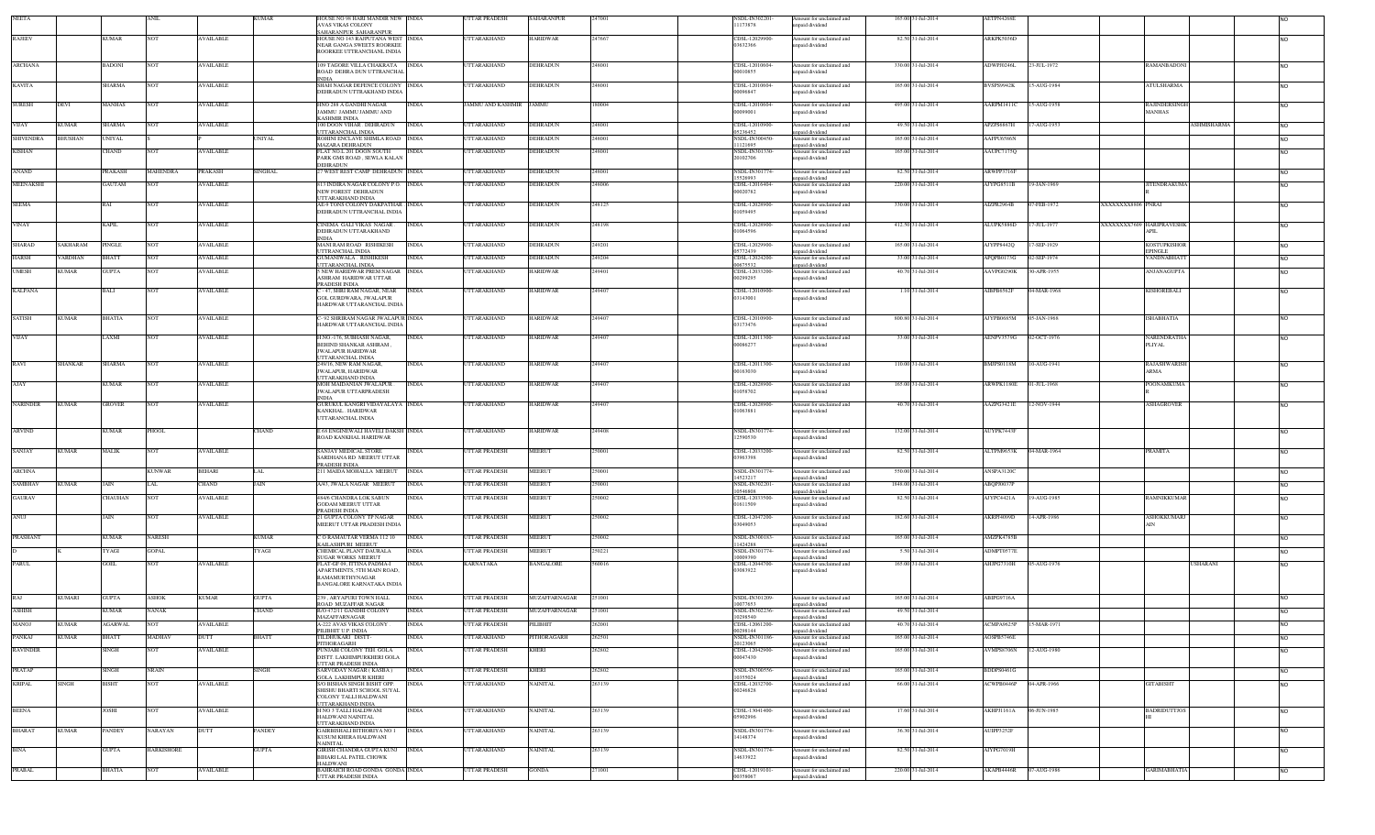| <b>NEETA</b>     |                 |                |                   |                  | KUMAR        | HOUSE NO 98 HARI MANDIR NEW INDIA<br>AVAS VIKAS COLONY                |              | <b>JTTAR PRADESH</b> | SAHARANPUR           |        | <b>NSDL-IN30220</b><br>11173878  | Amount for unclaimed and<br>inpaid dividend | 165.00 31-Jul-2014  | AETPN4268E             |                                            |                              |
|------------------|-----------------|----------------|-------------------|------------------|--------------|-----------------------------------------------------------------------|--------------|----------------------|----------------------|--------|----------------------------------|---------------------------------------------|---------------------|------------------------|--------------------------------------------|------------------------------|
|                  |                 |                |                   |                  |              | AHARANPUR SAHARANPUR                                                  |              |                      |                      |        |                                  |                                             |                     |                        |                                            |                              |
| <b>RAJEEV</b>    |                 | <b>KUMAR</b>   | <b>NOT</b>        | <b>AVAILABLE</b> |              | HOUSE NO 143 RAJPUTANA WEST INDIA<br><b>NEAR GANGA SWEETS ROORKEE</b> |              | <b>UTTARAKHAND</b>   | <b>HARIDWAR</b>      | 47667  | CDSL-12029900<br>03632366        | Amount for unclaimed and<br>inpaid dividend | 82.50 31-Jul-2014   | ARKPK5036D             |                                            | NO.                          |
|                  |                 |                |                   |                  |              | ROORKEE UTTRANCHANL INDIA                                             |              |                      |                      |        |                                  |                                             |                     |                        |                                            |                              |
| ARCHANA          |                 | <b>BADONI</b>  | <b>NOT</b>        | <b>AVAILABLE</b> |              | 109 TAGORE VILLA CHAKRATA INDIA                                       |              | <b>UTTARAKHAND</b>   | <b>DEHRADUN</b>      | 248001 | CDSL-12010604-                   | Amount for unclaimed and                    | 330.00 31-Jul-2014  | ADWPJ0246L             | 23-JUL-1972<br>RAMANBADONI                 | <b>NO</b>                    |
|                  |                 |                |                   |                  |              | ROAD DEHRA DUN UTTRANCHAL<br><b>NDIA</b>                              |              |                      |                      |        | 00010855                         | npaid dividend                              |                     |                        |                                            |                              |
| <b>KAVITA</b>    |                 | SHARMA         | <b>NOT</b>        | <b>AVAILABLE</b> |              | SHAH NAGAR DEFENCE COLONY INDIA                                       |              | <b>JTTARAKHAND</b>   | <b>DEHRADUN</b>      | 248001 | CDSL-12010604-                   | Amount for unclaimed and                    | 165.00 31-Jul-2014  | BVSPS9942K             | <b>ATULSHARMA</b><br>15-AUG-1984           | NO.                          |
|                  |                 |                |                   |                  |              | DEHRADUN UTTRAKHAND INDIA                                             |              |                      |                      |        | 00096847                         | npaid dividend                              |                     |                        |                                            |                              |
| <b>SURESH</b>    | DEVI            | MANHAS         | <b>NOT</b>        | <b>AVAILABLE</b> |              | HNO 288 A GANDHI NAGAR                                                | <b>INDIA</b> | JAMMU AND KASHMIR    | <b>JAMMU</b>         | 180004 | CDSL-12010604-                   | Amount for unclaimed and                    | 495.00 31-Jul-2014  | AARPM1411C             | 15-AUG-1958<br>RAJINDERSINGE               | NO.                          |
|                  |                 |                |                   |                  |              | JAMMU JAMMU JAMMU AND<br><b>CASHMIR INDIA</b>                         |              |                      |                      |        | 00099001                         | npaid dividend                              |                     |                        | <b>MANHAS</b>                              |                              |
| VIJAY            | <b>KUMAR</b>    | SHARMA         | NOT               | <b>AVAILABLE</b> |              | 00 DOON VIHAR . DEHRADUN<br><b>TTARANCHAL INDIA</b>                   | <b>INDIA</b> | <b>JTTARAKHAND</b>   | DEHRADUN             | 248001 | CDSL-12010900-<br>15236452       | mount for unclaimed and<br>npaid dividend   | 49.50 31-Jul-2014   | APZPS6867H             | 7-AUG-1953                                 | SHMISHARMA<br>N <sub>O</sub> |
| <b>SHIVENDRA</b> | <b>BHUSHAN</b>  | UNIYAL         |                   |                  | UNIYAL       | ROHINI ENCLAVE SHIMLA ROAD INDIA                                      |              | TTARAKHAND           | DEHRADUN             | 248001 | <b>NSDL-IN300450</b>             | mount for unclaimed and                     | 165.00 31-Jul-2014  | AAFPU6586N             |                                            | N <sub>O</sub>               |
| <b>KISHAN</b>    |                 | CHAND          |                   | <b>AVAILABLE</b> |              | <b>AZARA DEHRADUN</b><br>LAT NO.L 201 DOON SOUTH                      | <b>INDIA</b> | <b>JTTARAKHAND</b>   | DEHRADUN             | 48001  | 11121695<br>NSDL-IN301330        | npaid dividend<br>mount for unclaimed and   | 165.00 31-Jul-2014  | AAUPC7175Q             |                                            |                              |
|                  |                 |                |                   |                  |              | ARK GMS ROAD, SEWLA KALAN                                             |              |                      |                      |        | 20102706                         | npaid dividend                              |                     |                        |                                            |                              |
| ANAND            |                 | PRAKASH        | MAHENDRA          | <b>PRAKASH</b>   | SINGHAL      | DEHRADUN<br>7 WEST REST CAMP DEHRADUN INDIA                           |              | UTTARAKHAND          | <b>DEHRADUN</b>      | 248001 | NSDL-IN301774                    | Amount for unclaimed and                    | 82.50 31-Jul-2014   | ARWPP3716F             |                                            | NO                           |
| MEENAKSHI        |                 | <b>GAUTAM</b>  |                   | <b>AVAILABLE</b> |              | 13 INDIRA NAGAR COLONY P.O. INDIA                                     |              | <b>JTTARAKHAND</b>   | <b>DEHRADUN</b>      | 248006 | 15526993<br>CDSL-12016404        | npaid dividend<br>mount for unclaimed and   | 220.00 31-Jul-2014  | AJYPG8511B             | 19-JAN-1969<br><b>ITENDRAKUMA</b>          | NO.                          |
|                  |                 |                |                   |                  |              | NEW FOREST DEHRADUN                                                   |              |                      |                      |        | 00020782                         | npaid dividend                              |                     |                        |                                            |                              |
| <b>SEEMA</b>     |                 | RAI            | NOT               | <b>AVAILABLE</b> |              | <b>JTTARAKHAND INDIA</b><br>AE-9 TONS COLONY DAKPATHAR . INDIA        |              | <b>JTTARAKHAND</b>   | DEHRADUN             | 248125 | CDSL-12028900                    | Amount for unclaimed and                    | 330.00 31-Jul-2014  | AIZPR2964B             | 07-FEB-1972<br>XXXXXXX8806 PNRAI           | <b>NO</b>                    |
|                  |                 |                |                   |                  |              | DEHRADUN UTTRANCHAL INDIA                                             |              |                      |                      |        | 01059495                         | apaid dividend                              |                     |                        |                                            |                              |
| VINAY            |                 | <b>KAPIL</b>   | <b>NOT</b>        | <b>AVAILABLE</b> |              | CINEMA GALI VIKAS NAGAR.                                              | <b>INDIA</b> | <b>UTTARAKHAND</b>   | <b>DEHRADUN</b>      | 248198 | CDSL-12028900-                   | Amount for unclaimed and                    | 412.50 31-Jul-2014  | ALUPK5886D             | 17-JUL-1977<br>XXXXXXXX7609 HARIPRAVESHK   | <b>NO</b>                    |
|                  |                 |                |                   |                  |              | DEHRADUN UTTARAKHAND<br><b>INDIA</b>                                  |              |                      |                      |        | 01064596                         | apaid dividend                              |                     |                        | APIL                                       |                              |
| <b>SHARAD</b>    | <b>SAKHARAM</b> | PINGLE         | <b>NOT</b>        | <b>AVAILABLE</b> |              | MANI RAM ROAD RISHIKESH                                               | <b>INDIA</b> | UTTARAKHAND          | <b>DEHRADUN</b>      | 249201 | CDSL-12029900-                   | Amount for unclaimed and                    | 165.00 31-Jul-2014  | AJYPP8442Q             | 7-SEP-1929<br><b>KOSTUPKISHOF</b>          | NO.                          |
| <b>HARSH</b>     | VARDHAN         | BHATT          | NOT               | <b>AVAILABLE</b> |              | <b>JTTRANCHAL INDIA</b><br><b>JUMANIWALA, RISHIKESH</b>               | <b>INDIA</b> | UTTARAKHAND          | DEHRADUN             | 249204 | 05772439<br>CDSL-12024200        | npaid dividend<br>mount for unclaimed and   | 33.00 31-Jul-2014   | APQPB0173G             | <b>EPINGLE</b><br>02-SEP-1974<br>ANDNABHAT | <b>NO</b>                    |
| <b>UMESH</b>     | <b>KUMAR</b>    | GUPTA          |                   | <b>AVAILABLE</b> |              | <b>JTTARANCHAL INDIA</b><br>NEW HARIDWAR PREM NAGAR INDIA             |              | TTARAKHAND           | HARIDWAR             | 249401 | 00675532<br>CDSL-12033200        | npaid dividend                              | 40.70 31-Jul-2014   | AAVPG0290K             | 60-APR-1955<br>ANJANAGUPTA                 |                              |
|                  |                 |                |                   |                  |              | <b>SHRAM HARIDWAR UTTAR</b>                                           |              |                      |                      |        | 00299295                         | Amount for unclaimed and<br>npaid dividend  |                     |                        |                                            | N <sub>O</sub>               |
| <b>KALPANA</b>   |                 | BALI           | <b>NOT</b>        | <b>AVAILABLE</b> |              | PRADESH INDIA<br>- 47, SHRI RAM NAGAR, NEAR                           | <b>INDIA</b> | UTTARAKHAND          | HARIDWAR             | 249407 | CDSL-12010900-                   | Amount for unclaimed and                    | 1.10 31-Jul-2014    | AIBPB6562F             | 04-MAR-1968<br>KISHOREBALI                 | NO                           |
|                  |                 |                |                   |                  |              | <b>GOL GURDWARA, JWALAPUR</b>                                         |              |                      |                      |        | 03143001                         | npaid dividend                              |                     |                        |                                            |                              |
|                  |                 |                |                   |                  |              | HARDWAR UTTARANCHAL INDIA                                             |              |                      |                      |        |                                  |                                             |                     |                        |                                            |                              |
| SATISH           | <b>KUMAR</b>    | BHATIA         | NOT               | <b>AVAILABLE</b> |              | - 92 SHRIRAM NAGAR JWALAPUR INDIA<br>HARDWAR UTTARANCHAL INDIA        |              | TTARAKHAND           | <b>IARIDWAR</b>      | 249407 | CDSL-12010900-<br>03173476       | Amount for unclaimed and<br>npaid dividend  | 800.80 31-Jul-2014  | AJYPB0685M             | 05-JAN-1968<br>ISHABHATIA                  | NO.                          |
|                  |                 |                |                   |                  |              |                                                                       |              |                      |                      |        |                                  |                                             |                     |                        |                                            |                              |
| VIJAY            |                 | <b>AXMI</b>    | NOT               | <b>AVAILABLE</b> |              | H.NO.-176, SUBHASH NAGAR,<br>BEHIND SHANKAR ASHRAM,                   | <b>INDIA</b> | TTARAKHAND           | HARIDWAR             | 49407  | CDSL-12011300-<br>00086277       | mount for unclaimed and<br>npaid dividend   | 33.00 31-Jul-2014   | AENPV3579G             | 02-OCT-1976<br>NARENDRATHA<br>PLIYAL       |                              |
|                  |                 |                |                   |                  |              | <b>JWALAPUR HARIDWAR</b>                                              |              |                      |                      |        |                                  |                                             |                     |                        |                                            |                              |
| RAVI             | <b>SHANKAR</b>  | SHARMA         | <b>NOT</b>        | <b>AVAILABLE</b> |              | <b>JTTARANCHAL INDIA</b><br>49/16, NEW RAM NAGAR,                     | <b>INDIA</b> | UTTARAKHAND          | HARIDWAR             | 249407 | CDSL-12011300-                   | Amount for unclaimed and                    | 110.00 31-Jul-2014  | BMJPS0118M             | 0-AUG-1941<br>RAJASHWARIS                  | NO.                          |
|                  |                 |                |                   |                  |              | JWALAPUR, HARIDWAR                                                    |              |                      |                      |        | 00163030                         | apaid dividend                              |                     |                        | ARMA                                       |                              |
| AJAY             |                 | <b>KUMAR</b>   | <b>NOT</b>        | <b>AVAILABLE</b> |              | JTTARAKHAND INDIA<br>MOH MAIDANIAN JWALAPUR.                          | <b>INDIA</b> | UTTARAKHAND          | <b>HARIDWAR</b>      | 249407 | CDSL-12028900-                   | Amount for unclaimed and                    | 165.00 31-Jul-2014  | ARWPK1180E             | 01-JUL-1968<br>POONAMKUMA                  | <b>NO</b>                    |
|                  |                 |                |                   |                  |              | <b>JWALAPUR UTTARPRADESH</b><br>NDIA                                  |              |                      |                      |        | 01058702                         | paid dividend                               |                     |                        |                                            |                              |
| <b>NARINDER</b>  | <b>KUMAR</b>    | <b>GROVER</b>  | <b>NOT</b>        | <b>AVAILABLE</b> |              | GURUKUL KANGRI VIDAYALAYA INDIA                                       |              | UTTARAKHAND          | <b>HARIDWAR</b>      | 249407 | CDSL-12028900-                   | Amount for unclaimed and                    | 40.70 31-Jul-2014   | AAZPG3421E             | <b>ASHAGROVER</b><br>12-NOV-1944           | NO.                          |
|                  |                 |                |                   |                  |              | KANKHAL . HARIDWAR<br>UTTARANCHAL INDIA                               |              |                      |                      |        | 01063881                         | npaid dividend                              |                     |                        |                                            |                              |
| <b>ARVIND</b>    |                 | <b>KUMAR</b>   |                   |                  | <b>CHAND</b> | E 68 ENGINEWALI HAVELI DAKSH INDIA                                    |              | <b>UTTARAKHAND</b>   | <b>HARIDWAR</b>      | 249408 | <b>NSDL-IN301774</b>             |                                             | 132.00 31-Jul-2014  | AUYPK7443F             |                                            |                              |
|                  |                 |                | PHOOL             |                  |              | ROAD KANKHAL HARIDWAR                                                 |              |                      |                      |        | 12590530                         | Amount for unclaimed and<br>npaid dividend  |                     |                        |                                            | <b>NO</b>                    |
| SANJAY           | <b>KUMAR</b>    | MALIK          | <b>NOT</b>        | <b>AVAILABLE</b> |              | SANJAY MEDICAL STORE                                                  | <b>INDIA</b> | UTTAR PRADESH        | MEERUT               | 250001 | CDSL-12033200-                   | Amount for unclaimed and                    | 82.50 31-Jul-2014   | ALTPM9653K             | 04-MAR-1964<br>PRAMITA                     | <b>NO</b>                    |
|                  |                 |                |                   |                  |              | ARDHANA RD MEERUT UTTAR                                               |              |                      |                      |        | 03963398                         | npaid dividend                              |                     |                        |                                            |                              |
| <b>ARCHNA</b>    |                 |                | KUNWAR            | <b>BEHARI</b>    |              | PRADESH INDIA<br>11 MAIDA MOHALLA MEERUT                              | <b>INDIA</b> | <b>JTTAR PRADESH</b> | MEERUT               | 250001 | NSDL-IN301774                    | mount for unclaimed and                     | 550.00 31-Jul-2014  | ANSPA3120C             |                                            | <b>NO</b>                    |
| <b>SAMBHAV</b>   |                 | JAIN           | LAL               |                  | JAIN         |                                                                       | <b>INDIA</b> | <b>UTTAR PRADESH</b> | <b>MEERUT</b>        | 250001 | 14523217<br><b>NSDL-IN302201</b> | npaid dividend                              |                     |                        |                                            |                              |
|                  | <b>KUMAR</b>    |                |                   | CHAND            |              | A/43, JWALA NAGAR MEERUT                                              |              |                      |                      |        | 10546808                         | Amount for unclaimed and<br>apaid dividend  | 1848.00 31-Jul-2014 | ABQPJ0037P             |                                            | <b>NO</b>                    |
| <b>GAURAV</b>    |                 | CHAUHAN        | <b>NOT</b>        | <b>AVAILABLE</b> |              | 484/6 CHANDRA LOK SABUN<br><b>GODAM MEERUT UTTAR</b>                  | <b>INDIA</b> | <b>TTAR PRADESH</b>  | MEERUT               | 250002 | CDSL-12033500-<br>01611509       | mount for unclaimed and<br>npaid dividend   | 82.50 31-Jul-2014   | AJYPC4421A             | 19-AUG-1985<br>RAMNIKKUMAR                 | NO.                          |
|                  |                 |                |                   |                  |              | PRADESH INDIA                                                         |              |                      |                      |        |                                  |                                             |                     |                        |                                            |                              |
| ANUJ             |                 | JAIN           | <b>NOT</b>        | <b>AVAILABLE</b> |              | 21 GUPTA COLONY TP NAGAR<br>MEERUT UTTAR PRADESH INDIA                | <b>INDIA</b> | <b>JTTAR PRADESH</b> | <b>MEERUT</b>        | 250002 | CDSL-12047200<br>03049053        | Amount for unclaimed and<br>inpaid dividend | 182.60 31-Jul-2014  | AKRPJ4099D             | 14-APR-1986<br>ASHOKKUMARJ                 | NO                           |
| <b>PRASHANT</b>  |                 | <b>KUMAR</b>   | <b>NARESH</b>     |                  | <b>KUMAR</b> | CORAMAUTAR VERMA 112 10                                               | <b>INDIA</b> | <b>UTTAR PRADESH</b> | <b>MEERUT</b>        | 250002 | NSDL-IN300183                    |                                             | 165.00 31-Jul-2014  | AMZPK4785B             |                                            |                              |
|                  |                 |                |                   |                  |              | CAILASHPURI MEERUT                                                    |              |                      |                      |        | 1424288                          | Amount for unclaimed and<br>npaid dividend  |                     |                        |                                            | <b>NO</b>                    |
|                  |                 | YAGI           | <b>GOPAL</b>      |                  | YAGI         | HEMICAL PLANT DAURALA<br><b>UGAR WORKS MEERUT</b>                     | <b>INDIA</b> | <b>TTAR PRADESH</b>  | <b>MEERUT</b>        | 250221 | NSDL-IN301774<br>10009390        | mount for unclaimed and<br>npaid dividend   | 5.50 31-Jul-2014    | ADMPT0577E             |                                            | <b>NO</b>                    |
| <b>PARUL</b>     |                 | GOEL           | <b>NOT</b>        | <b>AVAILABLE</b> |              | LAT-GF 09. ITTINA PADMA-I                                             | <b>INDIA</b> | <b>KARNATAKA</b>     | <b>BANGALORE</b>     | 60016  | CDSL-12044700-                   | Amount for unclaimed and                    | 165.00 31-Jul-2014  | AHJPG7310H             | 05-AUG-1976                                | <b>JSHARANI</b>              |
|                  |                 |                |                   |                  |              | APARTMENTS, 5TH MAIN ROAD,<br>RAMAMURTHYNAGAR                         |              |                      |                      |        | 03083922                         | npaid dividend                              |                     |                        |                                            |                              |
|                  |                 |                |                   |                  |              | BANGALORE KARNATAKA INDIA                                             |              |                      |                      |        |                                  |                                             |                     |                        |                                            |                              |
| RAJ              | <b>KUMARI</b>   | <b>GUPTA</b>   | ASHOK             | <b>KUMAR</b>     | <b>GUPTA</b> | 39 . ARYAPURI TOWN HALL                                               | <b>INDIA</b> | UTTAR PRADESH        | <b>MUZAFFARNAGAR</b> | 251001 | NSDL-IN301209                    | Amount for unclaimed and                    | 165.00 31-Jul-2014  | ABIPG9716A             |                                            | NO.                          |
| <b>ASHISH</b>    |                 | <b>KUMAR</b>   | <b>NANAK</b>      |                  | CHAND        | OAD MUZAFFAR NAGAR<br>R/O 472/11 GANDHI COLONY                        | <b>INDIA</b> | <b>UTTAR PRADESH</b> | MUZAFFARNAGAR        | 251001 | 10077653<br>NSDL-IN302236        | npaid dividend<br>Amount for unclaimed and  | 49.50 31-Jul-2014   |                        |                                            | <b>NO</b>                    |
|                  |                 |                |                   |                  |              | MAZAFFARNAGAR                                                         |              |                      |                      |        | 10298540                         | inpaid dividend                             |                     |                        |                                            |                              |
| MANOJ            | <b>KUMAR</b>    | <b>AGARWAL</b> | <b>NOT</b>        | <b>AVAILABLE</b> |              | A-222 AVAS VIKAS COLONY<br>PILIBHIT U.P. INDIA                        | <b>INDIA</b> | <b>UTTAR PRADESH</b> | PILIBHIT             | 262001 | CDSL-12061200-<br>00298144       | Amount for unclaimed and<br>unpaid dividend | 40.70 31-Jul-2014   | ACMPA9625P 15-MAR-1971 |                                            |                              |
| PANKAJ           | <b>KUMAR</b>    | <b>BHATT</b>   | MADHAV            | DUTT             | <b>BHATT</b> | TILDHUKARI DISTT-<br>PITHORAGARH                                      | <b>INDIA</b> | UTTARAKHAND          | PITHORAGARH          | 262501 | NSDL-IN301186-<br>20123065       | Amount for unclaimed and                    | 165.00 31-Jul-2014  | AOSPB5746E             |                                            | NO.                          |
| <b>RAVINDER</b>  |                 | <b>SINGH</b>   | <b>NOT</b>        | <b>AVAILABLE</b> |              | PUNJABI COLONY TEH. GOLA                                              | <b>INDIA</b> | <b>UTTAR PRADESH</b> | <b>KHERI</b>         | 262802 | CDSL-12042900-                   | inpaid dividend<br>Amount for unclaimed and | 165.00 31-Jul-2014  | <b>AVMPS8706N</b>      | 12-AUG-1980                                | <b>NO</b>                    |
|                  |                 |                |                   |                  |              | DISTT. LAKHIMPURKHERI GOLA<br>UTTAR PRADESH INDIA                     |              |                      |                      |        | 00047430                         | npaid dividend                              |                     |                        |                                            |                              |
| <b>PRATAP</b>    |                 | <b>SINGH</b>   | <b>NRAIN</b>      |                  | SINGH        | SARVODAY NAGAR (KASBA)                                                | <b>INDIA</b> | UTTAR PRADESH        | <b>KHERI</b>         | 262802 | NSDL-IN300556-                   | Amount for unclaimed and                    | 165.00 31-Jul-2014  | BDDPS0461G             |                                            | <b>NO</b>                    |
| <b>KRIPAL</b>    | <b>SINGH</b>    | <b>BISHT</b>   | <b>NOT</b>        | <b>AVAILABLE</b> |              | <b>GOLA LAKHIMPUR KHERI</b><br>S/O BISHAN SINGH BISHT OPP.            | <b>INDIA</b> | UTTARAKHAND          | <b>NAINITAL</b>      | 263139 | 10355024<br>CDSL-12032700-       | npaid dividend<br>Amount for unclaimed and  | 66.00 31-Jul-2014   | ACWPB0446P             | 04-APR-1966<br><b>GITABISHT</b>            | <b>NO</b>                    |
|                  |                 |                |                   |                  |              | SHISHU BHARTI SCHOOL SUYAL                                            |              |                      |                      |        | 00246828                         | inpaid dividend                             |                     |                        |                                            |                              |
|                  |                 |                |                   |                  |              | COLONY TALLI HALDWANI<br><b>JTTARAKHAND INDIA</b>                     |              |                      |                      |        |                                  |                                             |                     |                        |                                            |                              |
| <b>BEENA</b>     |                 | <b>IOSHI</b>   | <b>NOT</b>        | <b>AVAILABLE</b> |              | H NO 3 TALLI HALDWANI                                                 | <b>INDIA</b> | <b>JTTARAKHAND</b>   | <b>NAINITAL</b>      | 263139 | CDSL-13041400-                   | Amount for unclaimed and                    | 17.60 31-Jul-2014   | AKHPJ1161A             | 06-JUN-1985<br><b>BADRIDUTTJOS</b>         | <b>NO</b>                    |
|                  |                 |                |                   |                  |              | HALDWANI NAINITAL<br><b>JTTARAKHAND INDIA</b>                         |              |                      |                      |        | 05902996                         | npaid dividend                              |                     |                        |                                            |                              |
| <b>BHARAT</b>    | <b>KUMAR</b>    | PANDEY         | NARAYAN           | DUTT             | PANDEY       | GAIRBISHALI BITHORIYA NO 1<br>KUSUM KHERA HALDWANI                    | <b>INDIA</b> | <b>JTTARAKHAND</b>   | NAINITAL             | 263139 | NSDL-IN301774<br>14148374        | Amount for unclaimed and<br>inpaid dividend | 36.30 31-Jul-2014   | AUIPP3252F             |                                            | <b>NO</b>                    |
|                  |                 |                |                   |                  |              | <b>AINITAL</b>                                                        |              |                      |                      |        |                                  |                                             |                     |                        |                                            |                              |
| <b>BINA</b>      |                 | <b>GUPTA</b>   | <b>HARKISHORE</b> |                  | <b>GUPTA</b> | GIRISH CHANDRA GUPTA KUNJ INDIA<br>BIHARI LAL PATEL CHOWK             |              | <b>UTTARAKHAND</b>   | <b>NAINITAL</b>      | 263139 | <b>NSDL-IN301774</b><br>14633922 | Amount for unclaimed and<br>npaid dividend  | 82.50 31-Jul-2014   | AIYPG7019H             |                                            | NO.                          |
|                  |                 |                |                   |                  |              | HALDWANI                                                              |              |                      |                      |        |                                  |                                             |                     |                        |                                            |                              |
| PRABAL           |                 | <b>BHATIA</b>  | <b>NOT</b>        | <b>AVAILABLE</b> |              | BAHRAICH ROAD GONDA GONDA INDIA<br><b>TTAR PRADESH INDIA</b>          |              | UTTAR PRADESH        | <b>GONDA</b>         | 271001 | CDSL-12019101-<br>0358067        | Amount for unclaimed and<br>npaid dividend  | 220.00 31-Jul-2014  | AKAPB4446R             | 07-AUG-1986<br><b>GARIMABHATIA</b>         | <b>NO</b>                    |
|                  |                 |                |                   |                  |              |                                                                       |              |                      |                      |        |                                  |                                             |                     |                        |                                            |                              |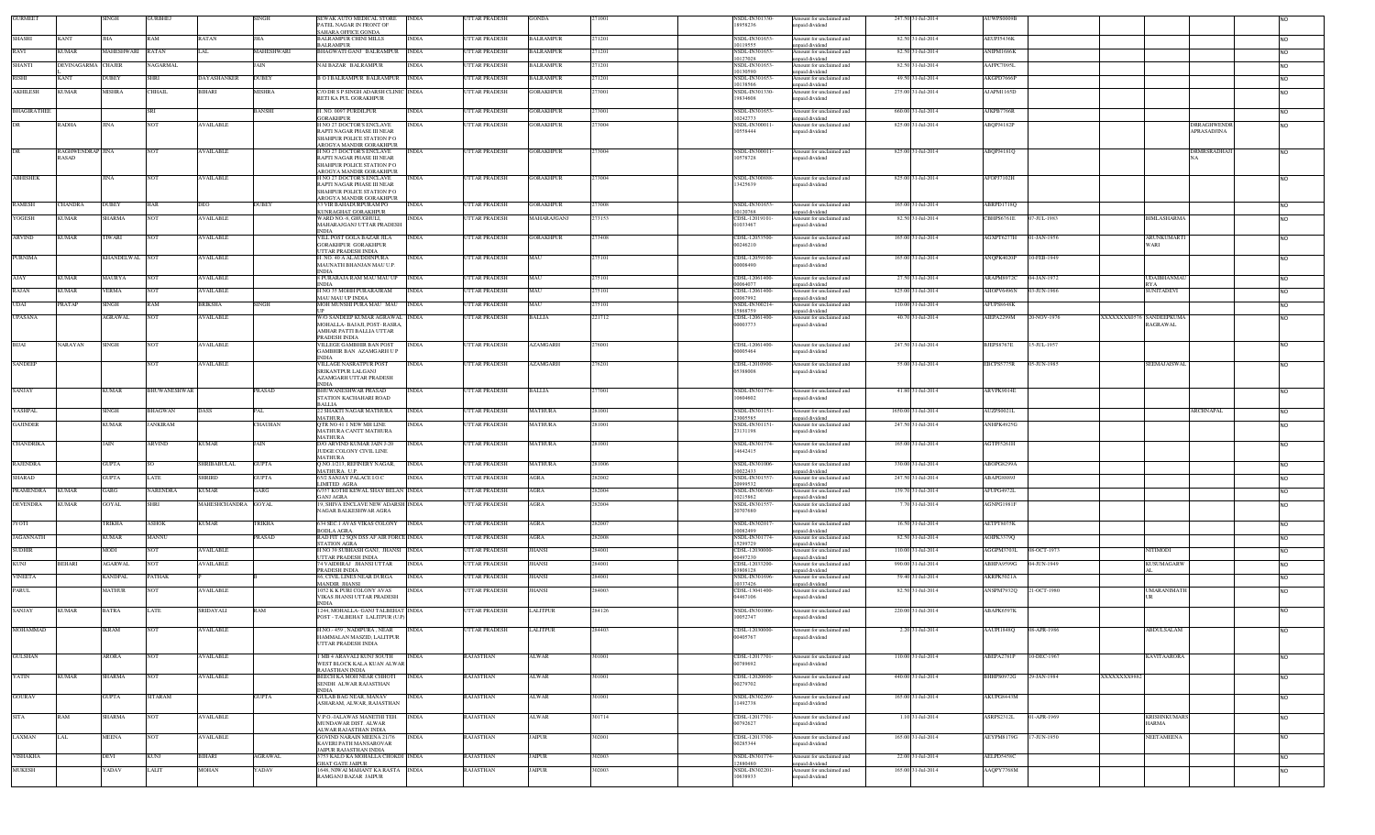| <b>GURMEET</b>     |                    | <b>SINGH</b>   | <b>GURBHEJ</b>      |                     | <b>SINGH</b>   | SEWAK AUTO MEDICAL STORE<br>PATEL NAGAR IN FRONT OF             | INDIA        | UTTAR PRADESH        | <b>GONDA</b>     | 71001  | NSDL-IN301330<br>18958236       | Amount for unclaimed and<br>unpaid dividend | 247.50 31-Jul-2014  | AUWPS0009E |                                                                   |                |
|--------------------|--------------------|----------------|---------------------|---------------------|----------------|-----------------------------------------------------------------|--------------|----------------------|------------------|--------|---------------------------------|---------------------------------------------|---------------------|------------|-------------------------------------------------------------------|----------------|
| <b>SHASHI</b>      | <b>KANT</b>        | <b>THA</b>     | <b>RAM</b>          | RATAN               | IHA            | SAHARA OFFICE GONDA<br>BALRAMPUR CHINI MILLS                    | <b>INDIA</b> | UTTAR PRADESH        | BALRAMPUR        | 271201 | NSDL-IN301652                   | Amount for unclaimed and                    | 82.50 31-Jul-2014   | AEUPJ5436K |                                                                   | <b>NO</b>      |
| RAVI               | CUMAR              | MAHESHWARI     | RATAN               |                     | MAHESHWARI     | BALRAMPUR<br>BHAGWATI GANJ BALRAMPUR                            | <b>INDIA</b> | <b>TTAR PRADESH</b>  | <b>BALRAMPUR</b> | 71201  | 0119555<br>NSDL-IN301653        | unpaid dividend<br>Amount for unclaimed and | 82.50 31-Jul-2014   | ANIPM1686K |                                                                   | N <sub>O</sub> |
| <b>SHANTI</b>      | DEVINAGARMA CHAJER |                | <b>VAGARMAL</b>     |                     | AIN            | NAI BAZAR BALRAMPUR                                             | <b>INDIA</b> | <b>JTTAR PRADESH</b> | BALRAMPUR        | 271201 | 0127028<br>NSDL-IN301653        | unpaid dividend<br>Amount for unclaimed and | 82.50 31-Jul-2014   | AAFPC7095L |                                                                   | <b>NO</b>      |
| <b>RISHI</b>       | KANT               | DUBEY          | <b>SHRI</b>         | DAYASHANKER         | <b>DUBEY</b>   | <b>BOI BALRAMPUR BALRAMPUR</b>                                  | <b>INDIA</b> | <b>JTTAR PRADESH</b> | <b>BALRAMPUR</b> | 271201 | 10130590<br>NSDL-IN301653       | npaid dividend<br>Amount for unclaimed and  | 49.50 31-Jul-2014   | AKGPD7666P |                                                                   | <b>NO</b>      |
| <b>AKHILESH</b>    | <b>KUMAR</b>       | <b>MISHRA</b>  | <b>CHHAIL</b>       | <b>BIHARI</b>       | <b>MISHRA</b>  | C/O DR S P SINGH ADARSH CLINIC INDIA                            |              | <b>JTTAR PRADESH</b> | <b>GORAKHPUR</b> | 273001 | 0138566<br>NSDL-IN301330        | unpaid dividend<br>Amount for unclaimed and | 275.00 31-Jul-2014  | AJAPM1165D |                                                                   |                |
|                    |                    |                |                     |                     |                | RETI KA PUL GORAKHPUR                                           |              |                      |                  |        | 19834608                        | unpaid dividend                             |                     |            |                                                                   | <b>NO</b>      |
| <b>BHAGIRATHEE</b> |                    |                | SRI                 |                     | <b>BANSHI</b>  | H. NO. 0097 PURDILPUR<br><b>GORAKHPUR</b>                       | <b>INDIA</b> | <b>TTAR PRADESH</b>  | <b>GORAKHPUR</b> | 73001  | NSDL-IN301653<br>0242773        | Amount for unclaimed and                    | 660.00 31-Jul-2014  | AJKPB7766R |                                                                   | <b>NO</b>      |
|                    | RADHA              | JINA           | <b>NOT</b>          | <b>AVAILABLE</b>    |                | H NO 27 DOCTOR'S ENCLAVE                                        | INDIA        | UTTAR PRADESH        | <b>GORAKHPUR</b> | 73004  | NSDL-IN300011                   | unpaid dividend<br>Amount for unclaimed and | 825.00 31-Jul-2014  | ABQPJ4182P | <b>DRRAGHWENDF</b>                                                | <b>NO</b>      |
|                    |                    |                |                     |                     |                | RAPTI NAGAR PHASE III NEAR<br>SHAHPUR POLICE STATION PO         |              |                      |                  |        | 10558444                        | unpaid dividend                             |                     |            | APRASADJINA                                                       |                |
| DR                 | RAGHWENDRAP JINA   |                | NOT                 | AVAILABLE           |                | AROGYA MANDIR GORAKHPUR<br>H NO 27 DOCTOR'S ENCLAVE             | INDIA        | UTTAR PRADESH        | <b>GORAKHPUR</b> | 273004 | NSDL-IN300011                   | Amount for unclaimed and                    | 825.00 31-Jul-2014  | ABQPJ4181Q | <b>DRMRSRADHAJ</b>                                                | N <sub>O</sub> |
|                    | RASAD              |                |                     |                     |                | RAPTI NAGAR PHASE III NEAR<br>SHAHPUR POLICE STATION PO         |              |                      |                  |        | 10578728                        | unpaid dividend                             |                     |            | NA                                                                |                |
| <b>ABHISHEK</b>    |                    | <b>JINA</b>    | NOT                 | AVAILABLE           |                | AROGYA MANDIR GORAKHPUR<br>H NO 27 DOCTOR'S ENCLAVE             | INDIA        | UTTAR PRADESH        | <b>GORAKHPUR</b> | 273004 | <b>NSDL-IN300888</b>            | Amount for unclaimed and                    | 825.00 31-Jul-2014  | AFOPJ7102H |                                                                   | <b>NO</b>      |
|                    |                    |                |                     |                     |                | RAPTI NAGAR PHASE III NEAR<br>SHAHPUR POLICE STATION PO         |              |                      |                  |        | 13425639                        | unpaid dividend                             |                     |            |                                                                   |                |
| <b>RAMESH</b>      | CHANDRA            | <b>DUBEY</b>   | HAR                 | DEO                 | <b>DUBEY</b>   | AROGYA MANDIR GORAKHPUR<br><b>53 VIR BAHADURPURAM PO</b>        | INDIA        | <b>UTTAR PRADESH</b> | <b>GORAKHPUR</b> | 273008 | NSDL-IN301653                   | Amount for unclaimed and                    | 165.00 31-Jul-2014  | ABRPD1718Q |                                                                   | <b>NO</b>      |
| YOGESH             | KUMAR              | <b>SHARMA</b>  | <b>NOT</b>          | AVAILABLE           |                | KUNRAGHAT GORAKHPUR<br>WARD NO.-8, GHUGHULI,                    | <b>INDIA</b> | UTTAR PRADESH        | MAHARAJGANJ      | 273153 | 0120768<br>CDSL-12019101        | npaid dividend<br>Amount for unclaimed and  | 82.50 31-Jul-2014   | CBHPS6761E | 07-JUL-1983<br><b>BIMLASHARMA</b>                                 | <b>NO</b>      |
|                    |                    |                |                     |                     |                | MAHARAJGANJ UTTAR PRADESH<br><b>INDIA</b>                       |              |                      |                  |        | 01033467                        | npaid dividend                              |                     |            |                                                                   |                |
| <b>ARVIND</b>      | KUMAR              | TIWARI         | <b>NOT</b>          | AVAILABLE           |                | VILL POST GOLA BAZAR JILA<br><b>GORAKHPUR GORAKHPUR</b>         | <b>INDIA</b> | UTTAR PRADESH        | GORAKHPUR        | 273408 | CDSL-12053500-<br>00246210      | Amount for unclaimed and<br>inpaid dividend | 165.00 31-Jul-2014  | AGXPT6277H | 01-JAN-1956<br>ARUNKUMARTI<br>WARI                                | <b>NO</b>      |
| <b>PURNIMA</b>     |                    | KHANDELWAL NOT |                     | AVAILABLE           |                | UTTAR PRADESH INDIA<br>H. NO. 40 A ALAUDDINPURA                 | <b>INDIA</b> | UTTAR PRADESH        | MAU              | 275101 | CDSL-12059100                   | Amount for unclaimed and                    | 165.00 31-Jul-2014  | ANQPK4020P | 10-FEB-1949                                                       | <b>NO</b>      |
|                    |                    |                |                     |                     |                | MAUNATH BHANJAN MAU U.P.<br><b>INDIA</b>                        |              |                      |                  |        | 00008490                        | unpaid dividend                             |                     |            |                                                                   |                |
| AJAY               | <b>KUMAR</b>       | <b>MAURYA</b>  | NOT                 | <b>VAILABLE</b>     |                | 8 PURARAJA RAM MAU MAU UP<br>NDIA                               | <b>INDIA</b> | UTTAR PRADESH        | MAU              | 275101 | CDSL-12061400-<br>00064077      | Amount for unclaimed and<br>npaid dividend  | 27.50 31-Jul-2014   | ARAPM8972C | 04-JAN-1972<br><b>UDAIBHANMAL</b><br><b>RYA</b>                   | <b>NO</b>      |
| RAJAN              | KUMAR              | VERMA          | NOT                 | <b>WAILABLE</b>     |                | H NO 35 MOHH PURARAJRAM<br>MAU MAU UP INDIA                     | <b>INDIA</b> | UTTAR PRADESH        | MAU              | 275101 | CDSL-12061400-<br>00067992      | mount for unclaimed and<br>npaid dividend   | 825.00 31-Jul-2014  | AHOPV6496N | 03-JUN-1966<br><b>SUNITADEVI</b>                                  | N <sub>O</sub> |
| <b>UDAI</b>        | PRATAP             | <b>SINGH</b>   | RAM                 | BRIKSHA             | SINGH          | MOH MUNSHI PURA MAU MAU INDIA<br>I IP.                          |              | UTTAR PRADESH        | MAU              | 275101 | NSDL-IN300214-<br>15868759      | Amount for unclaimed and<br>npaid dividend  | 110.00 31-Jul-2014  | AFUPS8648K |                                                                   | <b>NO</b>      |
| <b>UPASANA</b>     |                    | AGRAWAL        |                     | VAILABLE            |                | W/O SANDEEP KUMAR AGRAWAL INDIA<br>MOHALLA- BAJAJI, POST-RASRA, |              | <b>JTTAR PRADESH</b> | BALLIA           | 221712 | CDSL-12061400<br>00003773       | Amount for unclaimed and<br>unpaid dividend | 40.70 31-Jul-2014   | AIEPA2299M | 20-NOV-1976<br><b>CXXXXXXX0576 SANDEEPKUMA</b><br><b>RAGRAWAL</b> | N <sub>O</sub> |
|                    |                    |                |                     |                     |                | AMHAR PATTI BALLIA UTTAR<br>PRADESH INDIA                       |              |                      |                  |        |                                 |                                             |                     |            |                                                                   |                |
| <b>BIJAI</b>       | VARAYAN            | <b>SINGH</b>   | NOT                 | <b>WAILABLE</b>     |                | VILLEGE GAMBHIR BAN POST<br>GAMBHIR BAN AZAMGARH U P            | <b>INDIA</b> | UTTAR PRADESH        | <b>AZAMGARH</b>  | 276001 | CDSL-12061400-<br>00005464      | Amount for unclaimed and                    | 247.50 31-Jul-2014  | BJEPS8767E | 15-JUL-1957                                                       | N <sub>O</sub> |
| SANDEEP            |                    |                | <b>NOT</b>          | AVAILABLE           |                | <b>NDIA</b><br><b>VILLAGE NASRATPUR POST</b>                    | INDIA        | UTTAR PRADESH        | AZAMGARH         | 276201 | CDSL-12010900-                  | npaid dividend                              | 55.00 31-Jul-2014   | EBCPS5775R | 05-JUN-1985<br>SEEMAJAISWAL                                       |                |
|                    |                    |                |                     |                     |                | SRIKANTPUR LALGANJ                                              |              |                      |                  |        | 05388008                        | Amount for unclaimed and<br>unpaid dividend |                     |            |                                                                   | <b>NO</b>      |
|                    |                    |                |                     |                     |                | AZAMGARH UTTAR PRADESH<br>NDIA                                  |              |                      |                  |        |                                 |                                             |                     |            |                                                                   |                |
| SANJAY             |                    | <b>KUMAR</b>   | <b>BHUWANESHWAR</b> |                     | PRASAD         | BHUWANESHWAR PRASAD<br>STATION KACHAHARI ROAD                   | <b>INDIA</b> | <b>JTTAR PRADESH</b> | <b>BALLIA</b>    | 277001 | NSDL-IN301774<br>10604602       | Amount for unclaimed and<br>unpaid dividend | 41.80 31-Jul-2014   | ARVPK9014E |                                                                   | <b>NO</b>      |
| YASHPAL            |                    | <b>SINGH</b>   | <b>BHAGWAN</b>      | DASS                | PAL.           | BALLIA<br>22 SHAKTI NAGAR MATHURA                               | INDIA        | UTTAR PRADESH        | MATHURA          | 281001 | <b>NSDL-IN301151</b>            | Amount for unclaimed and                    | 1650.00 31-Jul-2014 | AUZPS0021L | <b>ARCHNAPAL</b>                                                  | <b>NO</b>      |
| <b>GAJINDER</b>    |                    | KUMAR          | <b>ANKIRAM</b>      |                     | CHAUHAN        | MATHURA<br>QTR NO 41 1 NEW MH LINE                              | <b>INDIA</b> | <b>TTAR PRADESH</b>  | MATHURA          | 281001 | 23005585<br>NSDL-IN301151       | unpaid dividend<br>Amount for unclaimed and | 247.50 31-Jul-2014  | ANHPK4925G |                                                                   | <b>NO</b>      |
|                    |                    |                |                     |                     |                | <b>MATHURA CANTT MATHURA</b><br>MATHURA                         |              |                      |                  |        | 23131198                        | unpaid dividend                             |                     |            |                                                                   |                |
| <b>CHANDRIKA</b>   |                    | JAIN           | ARVIND              | KUMAR               | JAIN           | D/O ARVIND KUMAR JAIN J-20<br>JUDGE COLONY CIVIL LINE           | <b>INDIA</b> | <b>JTTAR PRADESH</b> | MATHURA          | 281001 | NSDL-IN301774-<br>14642415      | Amount for unclaimed and<br>unpaid dividend | 165.00 31-Jul-2014  | AGTPJ5261H |                                                                   | N <sub>O</sub> |
| RAJENDRA           |                    | <b>GUPTA</b>   |                     | SHRIBABULAL         | <b>GUPTA</b>   | MATHURA<br>Q.NO.1/213, REFINERY NAGAR,                          | <b>INDIA</b> | UTTAR PRADESH        | <b>MATHURA</b>   | 281006 | NSDL-IN301006                   | Amount for unclaimed and                    | 330.00 31-Jul-2014  | ABOPG8299A |                                                                   | <b>NO</b>      |
| SHARAD             |                    | GUPTA          | .ATE                | HRIRD               | <b>GUPTA</b>   | MATHURA. U.P.<br>55/2 SANJAY PALACE I.O.C                       | <b>INDIA</b> | <b>TTAR PRADESH</b>  | AGRA             | 282002 | 10022433<br>NSDL-IN301557       | unpaid dividend<br>Amount for unclaimed and | 247.50 31-Jul-2014  | ABAPG8889J |                                                                   | <b>NO</b>      |
| PRAMENDRA          | <b>KUMAR</b>       | GARG           | NARENDRA            | KUMAR               | GARG           | LIMITED AGRA<br>5/357 KOTHI KEWAL SHAY BELAN INDIA              |              | <b>UTTAR PRADESH</b> | AGRA             | 282004 | 20999532<br>NSDL-IN300360       | unpaid dividend<br>Amount for unclaimed and | 139.70 31-Jul-2014  | AFUPG4972L |                                                                   | <b>NO</b>      |
| <b>DEVENDRA</b>    | CUMAR              | <b>GOYAL</b>   | SHRI                | MAHESHCHANDRA GOYAL |                | GANJ AGRA<br>9, SHIVA ENCLAVE NEW ADARSH INDIA                  |              | <b>TTAR PRADESH</b>  | AGRA             | 282004 | 0215862<br><b>NSDL-IN301557</b> | unpaid dividend<br>Amount for unclaimed and | 7.70 31-Jul-2014    | AGNPG1981F |                                                                   | N <sub>O</sub> |
|                    |                    |                |                     |                     |                | NAGAR BALKESHWAR AGRA                                           |              |                      |                  |        | 20707680                        | inpaid dividend                             |                     |            |                                                                   |                |
| JYOTI              |                    | TRIKHA         | ASHOK               | KUMAR               | <b>RIKHA</b>   | 534 SEC.1 AVAS VIKAS COLONY<br>BODLA AGRA.                      | <b>INDIA</b> | <b>UTTAR PRADESH</b> | AGRA             | 282007 | NSDL-IN302017<br>0082499        | Amount for unclaimed and<br>inpaid dividend | 16.50 31-Jul-2014   | AETPT8075K |                                                                   | <b>NO</b>      |
| <b>JAGANNATH</b>   |                    | KUMAR          | MANNU               |                     | PRASAD         | RAD FIT 12 SQN DSS AF AIR FORCE INDIA<br>STATION AGRA           |              | <b>TTAR PRADESH</b>  | AGRA             | 282008 | NSDL-IN301774<br>5299729        | Amount for unclaimed and<br>unpaid dividend | 82.50 31-Jul-2014   | AOIPK3379Q |                                                                   | <b>NO</b>      |
| <b>SUDHIR</b>      |                    | MODI           | <b>NOT</b>          | <b>WAILABLE</b>     |                | H NO 39 SUBHASH GANJ, JHANSI NDIA<br>UTTAR PRADESH INDIA        |              | <b>TTAR PRADESH</b>  | HANSI            | 284001 | CDSL-12030000<br>00497230       | Amount for unclaimed and<br>unpaid dividend | 110.00 31-Jul-2014  | AGGPM3703L | 08-OCT-1973<br>NITIMODI                                           | N <sub>O</sub> |
| KUNJ               | EHARI              | <b>AGARWAL</b> | ю                   | VAILABLE            |                | 4 VAIDHRAJ JHANSI UTTAR<br>PRADESH INDIA                        | <b>INDIA</b> | <b>TTAR PRADESH</b>  | HANSI            | 284001 | CDSL-12033200<br>03808128       | Amount for unclaimed and<br>inpaid dividend | 990.00 31-Jul-2014  | ABHPA9599G | 04-JUN-1949<br><b>KUSUMAGARW</b>                                  | <b>NO</b>      |
| VINEETA            |                    | KANDPAL        | <b>ATHAK</b>        |                     |                | <b>86, CIVIL LINES NEAR DURGA</b><br>MANDIR JHANSI              | <b>INDIA</b> | <b>UTTAR PRADESH</b> | HANSI            | 284001 | NSDL-IN301696<br>10337426       | Amount for unclaimed and<br>unpaid dividend | 59.40 31-Jul-2014   | AKRPK5021A |                                                                   | <b>NO</b>      |
| PARUL              |                    | MATHUR         | <b>NOT</b>          | <b>VAILABLE</b>     |                | 1052 K K PURI COLONY AVAS<br>VIKAS JHANSI UTTAR PRADESH         | <b>INDIA</b> | <b>JTTAR PRADESH</b> | JHANSI           | 284003 | CDSL-13041400-<br>04467106      | Amount for unclaimed and<br>unpaid dividend | 82.50 31-Jul-2014   | ANSPM7932Q | 21-OCT-1980<br>UMARANIMATH                                        | N <sub>O</sub> |
| SANJAY             | KUMAR              | BATRA          | LATE                | SRIDAYALI           | RAM            | <b>INDIA</b><br>1244, MOHALLA- GANJ TALBEHAT INDIA              |              | UTTAR PRADESH        | LALITPUR         | 284126 | NSDL-IN301006                   | Amount for unclaimed and                    | 220.00 31-Jul-2014  | ABAPK6597K |                                                                   | <b>NO</b>      |
|                    |                    |                |                     |                     |                | POST - TALBEHAT LALITPUR (U.P)                                  |              |                      |                  |        | 10052747                        | unpaid dividend                             |                     |            |                                                                   |                |
| MOHAMMAD           |                    | <b>IKRAM</b>   |                     | AVAILABLE           |                | H.NO.- 459 , NADIPURA , NEAR<br>HAMMALAN MASZID, LALITPUR       | INDIA        | <b>UTTAR PRADESH</b> | LALITPUR         | 284403 | CDSL-12030000-<br>00405767      | Amount for unclaimed and<br>unpaid dividend | 2.20 31-Jul-2014    | AAUPI1848Q | 08-APR-1986<br>ABDULSALAM                                         |                |
|                    |                    |                |                     |                     |                | UTTAR PRADESH INDIA                                             |              |                      |                  |        |                                 |                                             |                     |            |                                                                   |                |
| <b>GULSHAN</b>     |                    | ARORA          | <b>NOT</b>          | AVAILABLE           |                | I MB 4 ARAVALI KUNJ SOUTH INDIA<br>WEST BLOCK KALA KUAN ALWAR   |              | RAJASTHAN            | ALWAR            | 301001 | CDSL-12017701-<br>00789692      | Amount for unclaimed and<br>unpaid dividend | 110.00 31-Jul-2014  | ABEPA2781P | 10-DEC-1967<br>KAVITAARORA                                        | <b>NO</b>      |
| YATIN              | KUMAR              | <b>SHARMA</b>  | <b>NOT</b>          | AVAILABLE           |                | RAJASTHAN INDIA<br>BEECH KA MOH NEAR CHHOTI                     | <b>INDIA</b> | <b>RAJASTHAN</b>     | ALWAR            | 301001 | CDSL-12020600-                  | Amount for unclaimed and                    | 440.00 31-Jul-2014  | BHHPS0972G | XXXXXXX9882<br>29-JAN-1984                                        | <b>NO</b>      |
|                    |                    |                |                     |                     |                | SENDH ALWAR RAJASTHAN<br>INDIA                                  |              |                      |                  |        | 00279702                        | unpaid dividend                             |                     |            |                                                                   |                |
| <b>GOURAV</b>      |                    | <b>GUPTA</b>   | <b>SITARAM</b>      |                     | <b>GUPTA</b>   | GULAB BAG NEAR, MANAV<br>ASHARAM, ALWAR, RAJASTHAN              | <b>INDIA</b> | RAJASTHAN            | ALWAR            | 301001 | NSDL-IN302269<br>11492738       | Amount for unclaimed and<br>unpaid dividend | 165.00 31-Jul-2014  | AKUPG8443M |                                                                   | <b>NO</b>      |
| <b>SITA</b>        | RAM                | <b>SHARMA</b>  | NOT                 | AVAILABLE           |                | V.P.O.-JALAWAS MANETHI TEH. INDIA                               |              | RAJASTHAN            | ALWAR            | 301714 | CDSL-12017701-                  | Amount for unclaimed and                    | 1.10 31-Jul-2014    | ASRPS2312L | 01-APR-1969<br><b>KRISHNKUMARS</b>                                | <b>NO</b>      |
|                    |                    |                |                     |                     |                | MUNDAWAR DIST. ALWAR<br>ALWAR RAJASTHAN INDIA                   |              |                      |                  |        | 00792627                        | unpaid dividend                             |                     |            | HARMA                                                             |                |
| <b>LAXMAN</b>      | LAL.               | <b>MEENA</b>   | <b>NOT</b>          | AVAILABLE           |                | GOVIND NARAIN MEENA 21/76<br>KAVERI PATH MANSAROVAR             | <b>INDIA</b> | RAJASTHAN            | JAIPUR           | 302001 | CDSL-12013700-<br>00285344      | Amount for unclaimed and<br>unpaid dividend | 165.00 31-Jul-2014  | AEYPM8179G | 17-JUN-1950<br>NEETAMEENA                                         | <b>NO</b>      |
| <b>VISHAKHA</b>    |                    | DEVI           | <b>KUNJ</b>         | BIHARI              | <b>AGRAWAL</b> | AIPUR RAJASTHAN INDIA<br>3753 KALO KA MOHALLA CHOKDI INDIA      |              | RAJASTHAN            | JAIPUR           | 302003 | NSDL-IN301774-                  | Amount for unclaimed and                    | 22.00 31-Jul-2014   | AELPD5458C |                                                                   | <b>NO</b>      |
| <b>MUKESH</b>      |                    | YADAV          | LALIT               | <b>MOHAN</b>        | r ADAV         | GHAT GATE JAIPUR<br>1648, NIWAI MAHANT KA RASTA INDIA           |              | RAJASTHAN            | JAIPUR           | 302003 | 12880480<br>NSDL-IN302201       | unpaid dividend<br>Amount for unclaimed and | 165.00 31-Jul-2014  | AAQPY7768M |                                                                   | <b>NO</b>      |
|                    |                    |                |                     |                     |                | RAMGANJ BAZAR JAIPUR                                            |              |                      |                  |        | 10638933                        | unpaid dividend                             |                     |            |                                                                   |                |
|                    |                    |                |                     |                     |                |                                                                 |              |                      |                  |        |                                 |                                             |                     |            |                                                                   |                |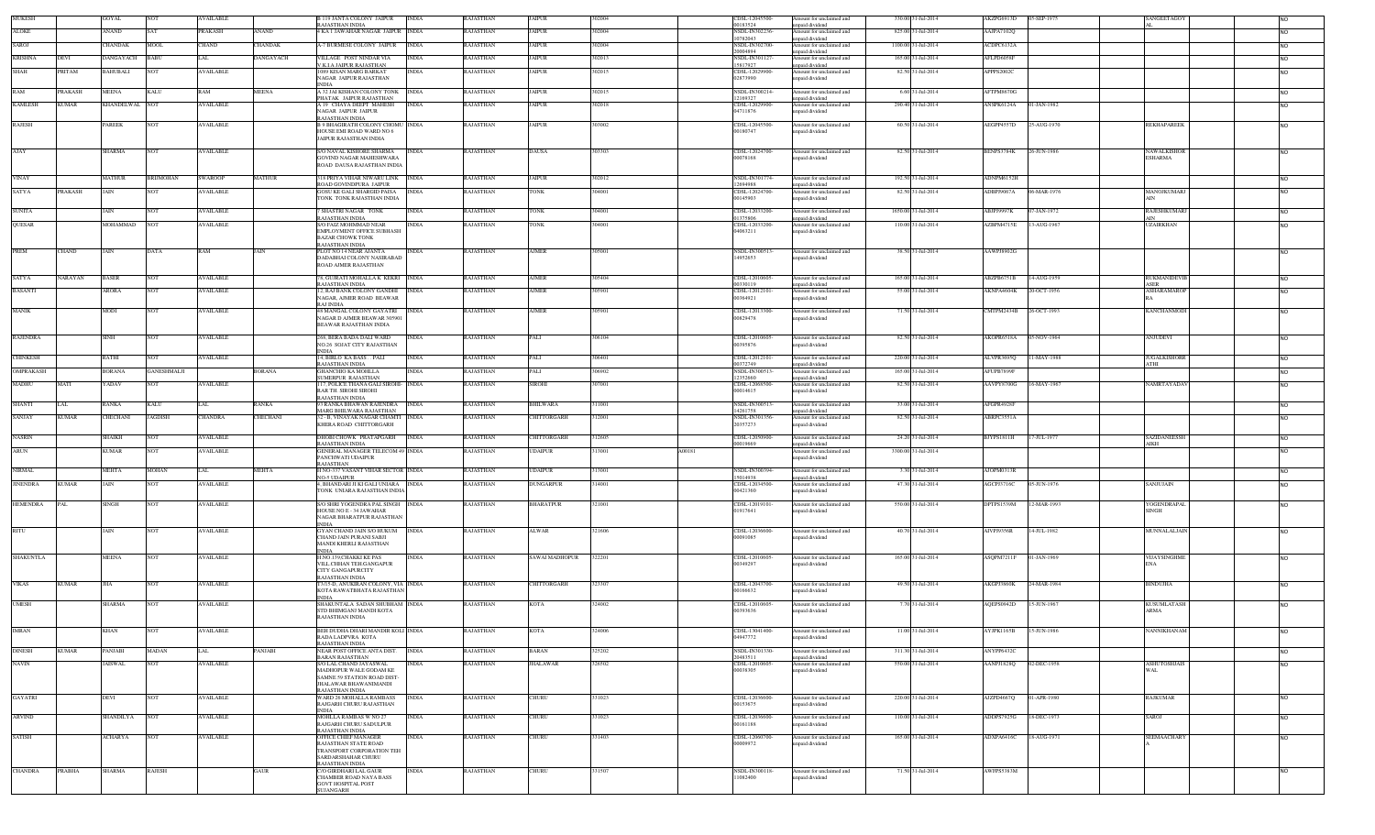| <b>MUKESE</b>    |              | GOYAL             |                   | VAILABLE         |                | 9 JANTA COLONY JAIPUR<br>RAJASTHAN INDIA                                                                 | <b>INDIA</b> | <b>AJASTHAN</b>  | <b>JAIPUR</b>         | 302004           | <b>IDSL-12045500</b><br>0183524       | mount for unclaimed and<br>npaid dividend                    | 330.00 | 1-Jul-2014          | AKZPG6913D        | S-SEP-1975  |              | SANGEETAGO'         | <b>NO</b>       |  |
|------------------|--------------|-------------------|-------------------|------------------|----------------|----------------------------------------------------------------------------------------------------------|--------------|------------------|-----------------------|------------------|---------------------------------------|--------------------------------------------------------------|--------|---------------------|-------------------|-------------|--------------|---------------------|-----------------|--|
| <b>ALOKE</b>     |              | <b>ANAND</b>      |                   | PRAKASH          | ANAND          | <b>4 KA I JAWAHAR NAGAR JAIPUR INDIA</b>                                                                 |              | RAJASTHAN        | <b>JAIPUR</b>         | 302004           | <b>NSDL-IN302236</b><br>10782043      | Amount for unclaimed and<br>nnaid dividend                   |        | 825,00 31-Jul-2014  | AAJPA7102Q        |             |              |                     | <b>NO</b>       |  |
| SAROJ            |              | CHANDAK           | MOOL              | CHAND            | <b>HANDAK</b>  | <b>A-7 BURMESE COLONY JAIPUR</b>                                                                         | <b>INDIA</b> | RAJASTHAN        | <b>JAIPUR</b>         | 302004           | NSDL-IN302700                         | Amount for unclaimed and                                     |        | 1100.00 31-Jul-2014 | ACDPC6132A        |             |              |                     | <b>NO</b>       |  |
| <b>KRISHNA</b>   | DEVI         | DANGAYACH         | <b>BABU</b>       | LAL              | DANGAYACH      | VILLAGE POST NINDAR VIA                                                                                  | <b>INDIA</b> | <b>RAJASTHAN</b> | JAIPUR                | 302013           | 20004894<br>NSDL-IN301127             | npaid dividend<br>Amount for unclaimed and                   |        | 165,00 31-Jul-2014  | AFLPD6058F        |             |              |                     | <b>NO</b>       |  |
| SHAH             | PRITAM       | BAHUBALI          | <b>NOT</b>        | <b>AVAILABLE</b> |                | V.K.I.A JAIPUR RAJASTHAN<br>1089 KISAN MARG BARKAT                                                       | <b>INDIA</b> | RAJASTHAN        | <b>JAIPUR</b>         | 302015           | 15817927<br>CDSL-12029900             | npaid dividend<br>mount for unclaimed and                    |        | 82.50 31-Jul-2014   | APPPS2002C        |             |              |                     | N <sub>O</sub>  |  |
|                  |              |                   |                   |                  |                | NAGAR JAIPUR RAJASTHAN<br><b>INDIA</b>                                                                   |              |                  |                       |                  | 02873990                              | npaid dividend                                               |        |                     |                   |             |              |                     |                 |  |
| RAM              | PRAKASH      | <b>MEENA</b>      | KALU              | RAM              | <b>MEENA</b>   | A 32 JAI KISHAN COLONY TONK INDIA                                                                        |              | <b>RAJASTHAN</b> | <b>JAIPUR</b>         | 302015           | NSDL-IN300214                         | Amount for unclaimed and                                     |        | 6.60 31-Jul-2014    | AFTPM8670G        |             |              |                     | <b>NO</b>       |  |
| <b>KAMLESH</b>   | <b>CUMAR</b> | <b>KHANDELWAL</b> | <b>NOT</b>        | <b>VAILABLE</b>  |                | PHATAK JAIPUR RAJASTHAN<br>A 19 CHAYA DEEPT MAHESH                                                       | <b>INDIA</b> | <b>AJASTHAN</b>  | <b>JAIPUR</b>         | 302018           | 2169327<br>CDSL-12029900              | npaid dividend<br>Amount for unclaimed and                   |        | 290.40 31-Jul-2014  | ANSPK6124A        | 1-JAN-1982  |              |                     | N <sub>O</sub>  |  |
|                  |              |                   |                   |                  |                | NAGAR JAIPUR JAIPUR<br>RAJASTHAN INDIA                                                                   |              |                  |                       |                  | 04711876                              | npaid dividend                                               |        |                     |                   |             |              |                     |                 |  |
| <b>RAJESH</b>    |              | PAREEK            | <b>NOT</b>        | <b>AVAILABLE</b> |                | <b>B 9 BHAGIRATH COLONY CHOMU INDIA</b><br>HOUSE EMI ROAD WARD NO 6<br>JAIPUR RAJASTHAN INDIA            |              | RAJASTHAN        | JAIPUR                | 303002           | CDSL-12045500<br>00180747             | mount for unclaimed and<br>npaid dividend                    |        | 60.50 31-Jul-2014   | AEGPP4557D        | 25-AUG-1970 |              | <b>REKHAPAREEK</b>  | <b>NO</b>       |  |
| AJAY             |              | SHARMA            | NOT               | AVAILABLE        |                | S/O NAVAL KISHORE SHARMA                                                                                 | <b>INDIA</b> | RAJASTHAN        | DAUSA                 | 303303           | CDSL-12024700                         | Amount for unclaimed and                                     |        | 82.50 31-Jul-2014   | BENPS3784K        | 26-JUN-1986 |              | NAWALKISH           | <b>NO</b>       |  |
|                  |              |                   |                   |                  |                | GOVIND NAGAR MAHESHWARA<br>ROAD DAUSA RAJASTHAN INDIA                                                    |              |                  |                       |                  | 00078168                              | npaid dividend                                               |        |                     |                   |             |              | <b>ESHARMA</b>      |                 |  |
| VINAY            |              | MATHUR            | RIJMOHAN          | <b>SWAROOP</b>   | MATHUR         | <b>818 PRIYA VIHAR NIWARU LINK</b><br>ROAD GOVINDPURA JAIPUR                                             | <b>INDIA</b> | RAJASTHAN        | <b>JAIPUR</b>         | 302012           | NSDL-IN30177<br>12694988              | mount for unclaimed and<br>npaid dividend                    |        | 192.50 31-Jul-2014  | ADNPM6152H        |             |              |                     | <b>NO</b>       |  |
| <b>SATYA</b>     | PRAKASH      | JAIN              | NOT               | AVAILABLE        |                | GOSU KE GALI SHARGID PAISA<br>TONK TONK RAJASTHAN INDIA                                                  | <b>INDIA</b> | RAJASTHAN        | <b>TONK</b>           | 304001           | CDSL-12024700<br>00145903             | mount for unclaimed and<br>npaid dividend                    |        | 82.50 31-Jul-2014   | ADBPJ9067A        | 06-MAR-1976 | AIN          | MANOJKUMARJ         | <b>NO</b>       |  |
| <b>SUNITA</b>    |              | JAIN              |                   | <b>VAILABLE</b>  |                | <b>SHASTRI NAGAR TONK</b><br>RAJASTHAN INDIA                                                             | <b>INDIA</b> | <b>AJASTHAN</b>  | TONK                  | 304001           | CDSL-12033200<br>01375806             | mount for unclaimed and<br>apaid dividend                    |        | 1650.00 31-Jul-2014 | ABJPJ9997K        | -JAN-1972   | AIN          | RAJESHKUMARJ        | <b>NO</b>       |  |
| <b>OUESAR</b>    |              | MOHAMMAD          | NOT               | <b>AVAILABLE</b> |                | S/O FAIZ MOHMMAD NEAR                                                                                    | <b>INDIA</b> | RAJASTHAN        | TONK                  | 304001           | CDSL-12033200                         | Amount for unclaimed and                                     |        | 110.00 31-Jul-2014  | AZBPM4715E        | 13-AUG-1967 |              | <b>UZAIRKHAN</b>    | N <sub>O</sub>  |  |
|                  |              |                   |                   |                  |                | EMPLOYMENT OFFICE SUBHASH<br><b>BAZAR CHOWK TONK</b><br>RAJASTHAN INDIA                                  |              |                  |                       |                  | 04063211                              | apaid dividend                                               |        |                     |                   |             |              |                     |                 |  |
| PREM             | CHAND        | JAIN              | DATA              | RAM              | JAIN           | PLOT NO 14 NEAR AJANTA<br>DADABHAI COLONY NASIRABAD                                                      | <b>INDIA</b> | <b>RAJASTHAN</b> | <b>AJMER</b>          | 305001           | NSDL-IN300513<br>14952653             | Amount for unclaimed and<br>npaid dividend                   |        | 38.50 31-Jul-2014   | AAWPJ8902G        |             |              |                     | N <sub>O</sub>  |  |
|                  |              |                   |                   |                  |                | ROAD AJMER RAJASTHAN                                                                                     |              |                  |                       |                  |                                       |                                                              |        |                     |                   |             |              |                     |                 |  |
| SATYA            | NARAYAN      | <b>BASER</b>      | NOT               | <b>AVAILABLE</b> |                | 78, GUJRATI MOHALLA K KEKRI INDIA<br><b>RAJASTHAN INDIA</b>                                              |              | RAJASTHAN        | AJMER                 | 305404           | CDSL-12010605<br>0330119              | Amount for unclaimed and<br>apaid dividend                   |        | 165.00 31-Jul-2014  | ABZPB6751B        | 14-AUG-1959 | <b>ASER</b>  | RUKMANIDEVIB        | <b>NO</b>       |  |
| <b>BASANTI</b>   |              | ARORA             | NOT               | AVAILABLE        |                | 2, RAJ BANK COLONY GANDHI                                                                                | <b>INDIA</b> | RAJASTHAN        | AJMER                 | 305901           | CDSL-12012101                         | Amount for unclaimed and                                     |        | 55.00 31-Jul-2014   | AKNPA4604K        | 20-OCT-1956 |              | <b>ASHARAMAROF</b>  | N <sub>O</sub>  |  |
|                  |              |                   |                   |                  |                | NAGAR, AJMER ROAD BEAWAR<br>RAI INDIA                                                                    |              |                  |                       |                  | 00364921                              | npaid dividend                                               |        |                     |                   |             |              |                     |                 |  |
| <b>MANIK</b>     |              | MODI              | NO <sub>1</sub>   | AVAILABLE        |                | 48 MANGAL COLONY GAY ATRI<br>NAGAR D AJMER BEAWAR 305901<br><b>BEAWAR RAJASTHAN INDIA</b>                | <b>INDIA</b> | RAJASTHAN        | AJMER                 | 305901           | CDSL-12013300-<br>00829478            | Amount for unclaimed and<br>npaid dividend                   |        | 71.50 31-Jul-2014   | CMTPM2434B        | 26-OCT-1993 |              | <b>KANCHANMOD</b>   | <b>NO</b>       |  |
| <b>RAJENDRA</b>  |              | <b>SINH</b>       | NOT               | <b>AVAILABLE</b> |                | 268, BERA BADA DALI WARD<br>NO.26 SOJAT CITY RAJASTHAN                                                   | <b>INDIA</b> | RAJASTHAN        | PALI                  | 306104           | CDSL-12010605<br>00395876             | mount for unclaimed and<br>npaid dividend                    |        | 82.50 31-Jul-2014   | AKOPR6518A        | 05-NOV-1964 |              | ANJUDEVI            | N <sub>O</sub>  |  |
| <b>CHINKESH</b>  |              | RATHI             |                   | <b>AVAILABLE</b> |                | INDIA<br>14, BIRLO KA BASS PALI                                                                          | <b>INDIA</b> | <b>AJASTHAN</b>  | PALI                  | 306401           | CDSL-12012101                         | mount for unclaimed and                                      |        | 220.00 31-Jul-2014  | ALVPR3695Q        | $-MAY-1988$ |              | <b>JUGALKISHORR</b> | N <sub>O</sub>  |  |
| OMPRAKASH        |              | BORANA            | <b>ANESHMALJI</b> |                  | <b>BORANA</b>  | RAJASTHAN INDIA<br><b>GHANCHIO KA MOHLLA</b>                                                             | <b>INDIA</b> | RAJASTHAN        | PALI                  | 306902           | 0372749<br><b>NSDL-IN300513</b>       | npaid dividend<br>mount for unclaimed and                    |        | 165.00 31-Jul-2014  | AFUPB7899F        |             | ATHI         |                     | <b>NO</b>       |  |
|                  |              |                   |                   |                  |                | <b>SUMERPUR RAJASTHAN</b>                                                                                |              |                  |                       |                  | 2352660                               | apaid dividend                                               |        |                     |                   |             |              |                     |                 |  |
| MADHU            | MATI         | YADAV             | NOT               | <b>AVAILABLE</b> |                | 117, POLICE THANA GALI SIROHI- INDIA<br>RAR TH. SIROHI SIROHI<br>RAJASTHAN INDIA                         |              | RAJASTHAN        | SIROHI                | 307001           | CDSL-12068500<br>0014615              | mount for unclaimed and<br>npaid dividend                    |        | 82.50 31-Jul-2014   | AAVPY8700G        | 16-MAY-1967 |              | NAMRTAYADA          | <b>NO</b>       |  |
| <b>SHANTI</b>    | LAL          | RANKA             | KALU              | LAL              | RANKA          | 93 RANKA BHAWAN RAJENDRA   INDIA                                                                         |              | RAJASTHAN        | BHILWARA              | 311001           | NSDL-IN300513                         | Amount for unclaimed and                                     |        | 33.00 31-Jul-2014   | AFGPR4928F        |             |              |                     | <b>NO</b>       |  |
| SANJAY           | KUMAR        | CHECHANI          | JAGDISH           | CHANDRA          | <b>HECHANI</b> | MARG BHILWARA RAJASTHAN<br>32 - B, VINAYAK NAGAR CHAMTI INDIA                                            |              | RAJASTHAN        | <b>HITTORGARH</b>     | 12001            | 14261758<br>NSDL-IN301356             | apaid dividend<br>mount for unclaimed and                    |        | 82.50 31-Jul-2014   | ABRPC3551A        |             |              |                     | N <sub>O</sub>  |  |
|                  |              |                   |                   |                  |                | KHERA ROAD CHITTORGARH                                                                                   |              |                  |                       |                  | 20357273                              | apaid dividend                                               |        |                     |                   |             |              |                     |                 |  |
| <b>NASRIN</b>    |              | SHAIKH            | NOT               | <b>AVAILABLE</b> |                | DHOBI CHOWK PRATAPGARH<br>RAJASTHAN INDIA                                                                | <b>INDIA</b> | RAJASTHAN        | CHITTORGARH           | 312605           | CDSL-12050900<br>0019669              | Amount for unclaimed and<br>apaid dividend                   |        | 24.20 31-Jul-2014   | BJYPS1811H        | 17-JUL-1977 |              | SAZIDANEESS<br>AIKH | <b>NO</b>       |  |
| ARUN             |              | KUMAR             | NOT               | AVAILABLE        |                | <b>GENERAL MANAGER TELECOM 49 INDIA</b><br>PANCHWATI UDAIPUR<br>RAJASTHAN                                |              | RAJASTHAN        | UDAIPUR               | A00181<br>313001 |                                       | Amount for unclaimed and<br>npaid dividend                   |        | 3300.00 31-Jul-2014 |                   |             |              |                     | <b>NO</b>       |  |
| <b>NIRMAL</b>    |              | MEHTA             | MOHAN             | LAL              | MEHTA          | H NO-337 VASANT VIHAR SECTOR INDIA                                                                       |              | RAJASTHAN        | UDAIPUR               | 313001           | NSDL-IN300394                         | mount for unclaimed and                                      |        | 3.30 31-Jul-2014    | AJOPM0313F        |             |              |                     | <b>NO</b>       |  |
| <b>JINENDRA</b>  | <b>KUMAR</b> | JAIN              | NOT               | AVAILABLE        |                | <b>NO-5 UDAIPUR</b><br>4. BHANDARI JI KI GALI UNIARA INDIA<br>TONK UNIARA RAJASTHAN INDIA                |              | RAJASTHAN        | DUNGARPUR             | 314001           | 15014938<br>CDSL-12034500<br>00421360 | npaid dividend<br>Amount for unclaimed and<br>npaid dividend |        | 47.30 31-Jul-2014   | <b>AGCPJ3716C</b> | 05-JUN-1976 |              | SANJUJAIN           | <b>NO</b>       |  |
| <b>HEMENDRA</b>  |              | SINGH             | <b>NOT</b>        | <b>AVAILABLE</b> |                | S/O SHRI YOGENDRA PAL SINGH INDIA<br>HOUSE NO E - 34 JAWAHAR                                             |              | RAJASTHAN        | BHARATPUR             | 321001           | CDSL-12019101<br>11917641             | Amount for unclaimed and<br>npaid dividend                   |        | 550.00 31-Jul-2014  | DPTPS1539M        | 12-MAR-1993 | <b>SINGH</b> | YOGENDRAPAI         | <b>NO</b>       |  |
|                  |              |                   |                   |                  |                | NAGAR BHARATPUR RAJASTHAN<br><b>INDIA</b>                                                                |              |                  |                       |                  |                                       |                                                              |        |                     |                   |             |              |                     |                 |  |
| RITU             |              | JAIN              | NOT               | <b>AVAILABLE</b> |                | <b>GYAN CHAND JAIN S/O HUKUM</b> INDIA<br>CHAND JAIN PURANI SABJI                                        |              | RAJASTHAN        | <b>ALWAR</b>          | 321606           | CDSL-12036600<br>00091085             | Amount for unclaimed and<br>npaid dividend                   |        | 40.70 31-Jul-2014   | AIVPJ9356R        | 14-JUL-1982 |              | MUNNALALJAIN        | <b>NO</b>       |  |
|                  |              |                   |                   |                  |                | MANDI KHERLI RAJASTHAN<br><b>INDIA</b>                                                                   |              |                  |                       |                  |                                       |                                                              |        |                     |                   |             |              |                     |                 |  |
| <b>SHAKUNTLA</b> |              | <b>MEENA</b>      | NOT               | <b>AVAILABLE</b> |                | H.NO.139,CHAKKI KE PAS<br>VILL.CHHAN TEH.GANGAPUR<br><b>CITY GANGAPURCITY</b>                            | <b>INDIA</b> | RAJASTHAN        | <b>SAWAI MADHOPUR</b> | 322201           | CDSL-12010605<br>00349297             | Amount for unclaimed and<br>npaid dividend                   |        | 165.00 31-Jul-2014  | ASQPM7211F        | 01-JAN-1969 | <b>ENA</b>   | VIJAYSINGHME        | <b>NO</b>       |  |
| <b>VIKAS</b>     | <b>KUMAR</b> | <b>JHA</b>        | NOT               | <b>AVAILABLE</b> |                | RAJASTHAN INDIA<br>T3/15-D, ANUKIRAN COLONY, VIA INDIA<br>KOTA RAWATBHATA RAJASTHAN                      |              | RAJASTHAN        | CHITTORGARH           | 323307           | CDSL-12043700<br>00166632             | Amount for unclaimed and<br>npaid dividend                   |        | 49.50 31-Jul-2014   | AKGPJ3860K        | 24-MAR-1984 |              | <b>BINDUJHA</b>     | <b>NO</b>       |  |
| <b>UMESH</b>     |              | SHARMA            | NOT               | <b>AVAILABLE</b> |                | <b>INDIA</b><br>SHAKUNTALA SADAN SHUBHAM INDIA                                                           |              | RAJASTHAN        | KOTA                  | 324002           | CDSL-12010605                         | Amount for unclaimed and                                     |        | 7.70 31-Jul-2014    | AQEPS0942D        | 5-JUN-1967  |              | <b>KUSUMLATASH</b>  | <b>NO</b>       |  |
|                  |              |                   |                   |                  |                | STD BHIMGANJ MANDI KOTA<br>RAJASTHAN INDIA                                                               |              |                  |                       |                  | 00393636                              | npaid dividend                                               |        |                     |                   |             | <b>ARMA</b>  |                     |                 |  |
| <b>IMRAN</b>     |              | KHAN              | <b>NOT</b>        | <b>AVAILABLE</b> |                | BEH DUDHA DHARI MANDIR KOLI INDIA<br>RADA LADPVRA KOTA                                                   |              | RAJASTHAN        | KOTA                  | 324006           | CDSL-13041400-<br>04947772            | Amount for unclaimed and<br>unpaid dividend                  |        | 11.00 31-Jul-2014   | AYJPK1165B        | 15-JUN-1986 |              | NANNIKHANAM         | NO <sub>1</sub> |  |
|                  |              |                   |                   |                  |                | RAJASTHAN INDIA                                                                                          |              |                  |                       |                  |                                       |                                                              |        |                     |                   |             |              |                     |                 |  |
| <b>DINESH</b>    | <b>KUMAR</b> | PANJABI           | MADAN             | LAL              | PANJABI        | NEAR POST OFFICE ANTA DIST.<br><b>BARAN RAJASTHAN</b>                                                    | <b>INDIA</b> | RAJASTHAN        | BARAN                 | 325202           | NSDL-IN301330-<br>20483511            | Amount for unclaimed and<br>unpaid dividend                  |        | 311.30 31-Jul-2014  | ANYPP6432C        |             |              |                     | <b>NO</b>       |  |
| <b>NAVIN</b>     |              | <b>JAISWAL</b>    | <b>NOT</b>        | <b>AVAILABLE</b> |                | S/O LAL CHAND JAYASWAL<br>MADHOPUR WALE GODAM KE<br>SAMNE 59 STATION ROAD DIST-<br>JHALAWAR BHAWANIMANDI | <b>INDIA</b> | RAJASTHAN        | <b>JHALAWAR</b>       | 326502           | CDSL-12010605-<br>00038305            | Amount for unclaimed and<br>unpaid dividend                  |        | 550.00 31-Jul-2014  | AANPJ1828Q        | 02-DEC-1958 | <b>WAL</b>   | <b>ASHUTOSHJAIS</b> | <b>NO</b>       |  |
| <b>GAYATRI</b>   |              | DEVI              | NOT               | AVAILABLE        |                | RAJASTHAN INDIA<br>WARD 26 MOHALLA RAMBASS<br>RAJGARH CHURU RAJASTHAN                                    | <b>INDIA</b> | RAJASTHAN        | CHURU                 | 331023           | CDSL-12036600<br>00153675             | Amount for unclaimed and<br>unpaid dividend                  |        | 220.00 31-Jul-2014  | AJZPD4667Q        | 01-APR-1980 |              | <b>RAJKUMAR</b>     | <b>NO</b>       |  |
| <b>ARVIND</b>    |              | SHANDILYA         | <b>NOT</b>        | <b>AVAILABLE</b> |                | <b>INDIA</b><br>MOHLLA RAMBAS W NO 27                                                                    | <b>INDIA</b> | RAJASTHAN        | CHURU                 | 331023           | CDSL-12036600-                        | Amount for unclaimed and                                     |        | 110.00 31-Jul-2014  | ADDPS7925G        | 18-DEC-1973 |              | SAROJ               | <b>NO</b>       |  |
|                  |              |                   |                   |                  |                | RAJGARH CHURU SADULPUR<br>RAJASTHAN INDIA                                                                |              |                  |                       |                  | 00161188                              | unpaid dividend                                              |        |                     |                   |             |              |                     |                 |  |
| <b>SATISH</b>    |              | ACHARYA           | <b>NOT</b>        | AVAILABLE        |                | OFFICE CHIEF MANAGER<br>RAJASTHAN STATE ROAD                                                             | <b>INDIA</b> | <b>RAJASTHAN</b> | CHURU                 | 331403           | CDSL-12060700<br>00009972             | Amount for unclaimed and<br>inpaid dividend                  |        | 165.00 31-Jul-2014  | ADXPA6416C        | 18-AUG-1971 |              | <b>SEEMAACHARY</b>  | <b>NO</b>       |  |
|                  |              |                   |                   |                  |                | TRANSPORT CORPORATION TEH<br>SARDARSHAHAR CHURU<br>RAJASTHAN INDIA                                       |              |                  |                       |                  |                                       |                                                              |        |                     |                   |             |              |                     |                 |  |
| <b>CHANDRA</b>   | PRABHA       | <b>SHARMA</b>     | <b>RAJESH</b>     |                  | GAUR           | C/O GIRDHARI LAL GAUR                                                                                    | <b>INDIA</b> | RAJASTHAN        | CHURU                 | 331507           | NSDL-IN300118-                        | Amount for unclaimed and                                     |        | 71.50 31-Jul-2014   | AWFPS5383M        |             |              |                     | <b>NO</b>       |  |
|                  |              |                   |                   |                  |                | CHAMBER ROAD NAYA BASS<br>GOVT HOSPITAL POST<br><b>SUJANGARH</b>                                         |              |                  |                       |                  | 11082400                              | unpaid dividend                                              |        |                     |                   |             |              |                     |                 |  |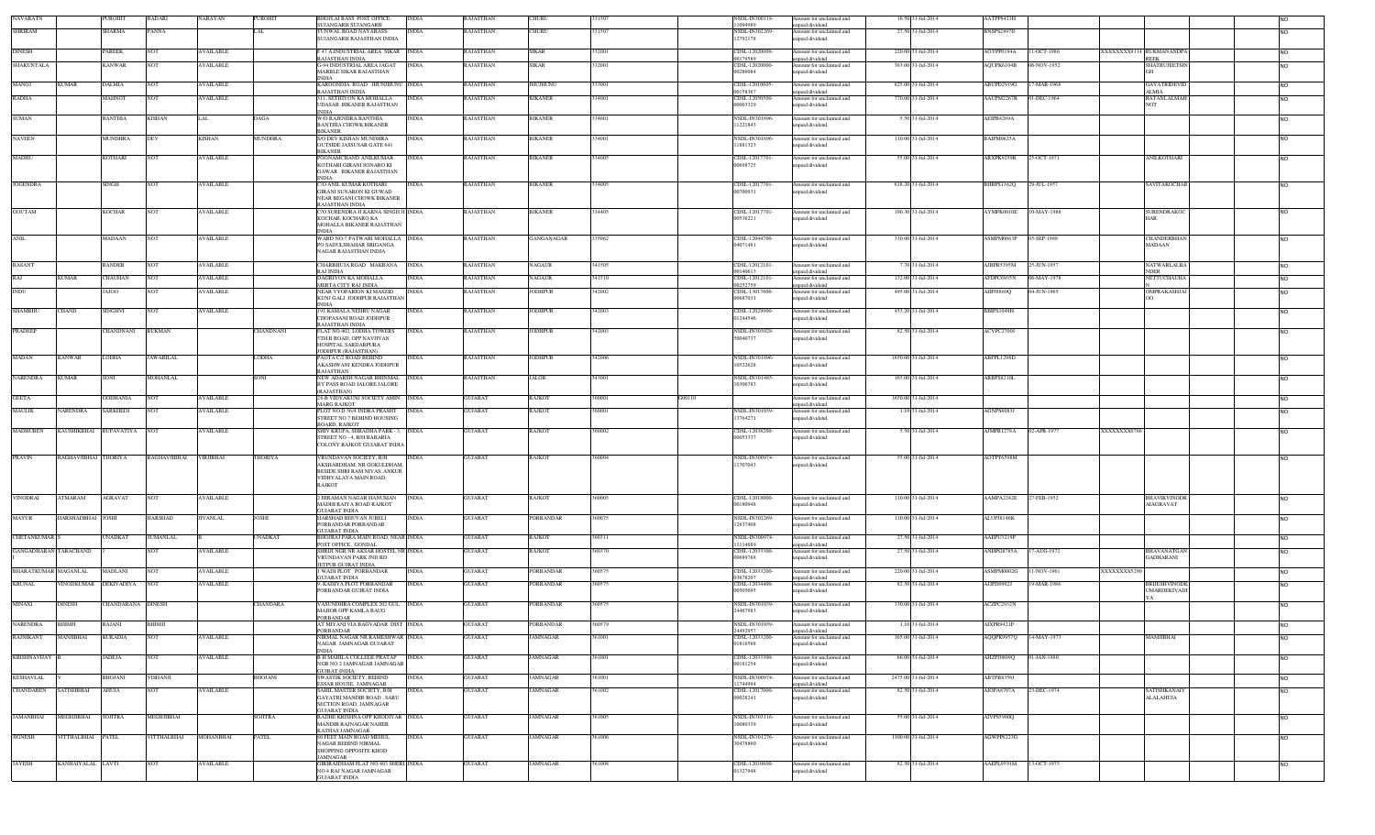| NAVARATN                     |                      | <b>UROHIT</b>     | <b>BADARI</b>    | NARAYAN          | PUROHIT        | <b>HOJLAI BASS POST OFFICE</b><br>SUJANGARH SUJANGARH         | <b>INDIA</b> | RAJASTHAN        | CHURU           |        |        | <b>NSDL-IN300118</b><br>1094989 | mount for unclaimed and<br>npaid dividend   | 16.50 31-Jul-2014   | AATPP8423F        |             |                                        | <b>NO</b>       |
|------------------------------|----------------------|-------------------|------------------|------------------|----------------|---------------------------------------------------------------|--------------|------------------|-----------------|--------|--------|---------------------------------|---------------------------------------------|---------------------|-------------------|-------------|----------------------------------------|-----------------|
| <b>SHRIRAM</b>               |                      | <b>SHARMA</b>     | <b>PANNA</b>     |                  | .AL            | <b>UNWAL ROAD NAYABASS</b><br>SUJANGARH RAJASTHAN INDIA       | <b>INDIA</b> | <b>RAJASTHAN</b> | CHURU           | 31507  |        | NSDL-IN302269<br>12792178       | Amount for unclaimed and<br>paid dividend   | 27.50 31-Jul-2014   | BNSPS2897D        |             |                                        | <b>NO</b>       |
| <b>DINESH</b>                |                      | PAREEK            |                  | AVAILABLE        |                | 47 A INDUSTRIAL AREA SIKAR INDIA                              |              | RAJASTHAN        | SIKAR           | 32001  |        |                                 | mount for unclaimed and                     | 220.00 31-Jul-2014  | <b>AOYPP0194A</b> | 1-OCT-1986  |                                        |                 |
|                              |                      |                   |                  |                  |                | RAJASTHAN INDIA                                               |              |                  |                 |        |        | CDSL-12020000-<br>00179589      | npaid dividend                              |                     |                   |             | XXXXXXX9114 RUKMANANDPA<br><b>REEK</b> | <b>NO</b>       |
| <b>SHAKUNTALA</b>            |                      | KANWAR            |                  | <b>AVAILABLE</b> |                | <b>G-94 INDUSTRIAL AREA JAGAT</b><br>MARBLE SIKAR RAJASTHAN   | <b>INDIA</b> | RAJASTHAN        | SIKAR           | 32001  |        | CDSL-12020000-<br>00286084      | mount for unclaimed and<br>npaid dividend   | 363.00 31-Jul-2014  | AQUPK6104B        | 6-NOV-1952  | <b>SHATRUJEETSIN</b>                   | <b>NO</b>       |
| MANOJ                        | <b>KUMAR</b>         | <b>DALMIA</b>     |                  | <b>AVAILABLE</b> |                | <b>INDIA</b><br>KAROONDIA ROAD JHUNJHUNU INDIA                |              | RAJASTHAN        | HUJHUNU         | 33001  |        | CDSL-12010605                   | Amount for unclaimed and                    | 825.00 31-Jul-2014  | ABUPD2919G        | $-MAR-1968$ | GAYATRIDEVIL                           | NO              |
| <b>RADHA</b>                 |                      | <b>AAHNOT</b>     |                  | <b>AVAILABLE</b> |                | RAIASTHAN INDIA<br>311, SETHIYON KA MOHALLA                   | INDIA        | RAJASTHAN        | BIKANER         | 34001  |        | 00158367<br>CDSL-12050500       | npaid dividend<br>Amount for unclaimed and  | 770.00 31-Jul-2014  | AAUPM2267R        | -DEC-1964   | ALMIA.<br>RATANLALMAH                  | <b>NO</b>       |
|                              |                      |                   |                  |                  |                | UDASAR BIKANER RAJASTHAN<br>INDIA                             |              |                  |                 |        |        | 00003329                        | inpaid dividend                             |                     |                   |             | NOT                                    |                 |
| SUMAN                        |                      | BANTHIA           | <b>KISHAN</b>    | LAL              | DAGA           | <b>W/O RAJENDRA BANTHIA</b><br><b>BANTHIA CHOWK BIKANER</b>   | INDIA        | <b>RAJASTHAN</b> | <b>BIKANER</b>  | 34001  |        | NSDL-IN301696<br>11221843       | Amount for unclaimed and<br>npaid dividend  | 5.50 31-Jul-2014    | AEIPB4269A        |             |                                        | <b>NO</b>       |
| <b>NAVEEN</b>                |                      | MUNDHRA           |                  | <b>KISHAN</b>    | MUNDHRA        | <b>BIKANER</b><br>S/O DEV KISHAN MUNDHRA                      |              | <b>RAJASTHAN</b> | <b>BIKANER</b>  | 334001 |        | NSDL-IN301696                   |                                             | 110.00 31-Jul-2014  | BAIPM0625A        |             |                                        |                 |
|                              |                      |                   | DEV              |                  |                | OUTSIDE JASSUSAR GATE 641                                     | <b>INDIA</b> |                  |                 |        |        | 11881323                        | Amount for unclaimed and<br>paid dividend   |                     |                   |             |                                        | NO              |
| MADHU                        |                      | <b>COTHARI</b>    | VOT              | <b>AVAILABLE</b> |                | <b>BIKANER</b><br>POONAMCHAND ANILKUMAR                       | INDIA        | RAJASTHAN        | BIKANER         | 34005  |        | CDSL-12017701-                  | Amount for unclaimed and                    | 55.00 31-Jul-2014   | ARXPK9259R        | 25-OCT-1971 | ANILKOTHARI                            | <b>NO</b>       |
|                              |                      |                   |                  |                  |                | KOTHARI GIRANI SONARO KI<br><b>GAWAR . BIKANER RAJASTHAN</b>  |              |                  |                 |        |        | 00698725                        | inpaid dividend                             |                     |                   |             |                                        |                 |
| <b>JOGENDRA</b>              |                      | SINGH             | NOT              | <b>AVAILABLE</b> |                | <b>INDIA</b><br>C/O ANIL KUMAR KOTHARI                        | <b>INDIA</b> | <b>RAJASTHAN</b> | <b>BIKANER</b>  | 334005 |        | CDSL-12017701-                  | Amount for unclaimed and                    | 618.20 31-Jul-2014  | BHBPS1362Q        | 29-JUL-1957 | SAVITAKOCHAR                           | <b>NO</b>       |
|                              |                      |                   |                  |                  |                | GIRANI SUNARON KI GUWAD<br>NEAR BEGANI CHOWK BIKANER          |              |                  |                 |        |        | 00700931                        | unpaid dividend                             |                     |                   |             |                                        |                 |
| <b>GOUTAM</b>                |                      | <b>KOCHAR</b>     | <b>NOT</b>       | <b>AVAILABLE</b> |                | RAJASTHAN INDIA<br>C/O SURENDRA JI KARNA SINGH JI INDIA       |              | <b>RAJASTHAN</b> | <b>BIKANER</b>  | 334405 |        | CDSL-12017701-                  | Amount for unclaimed and                    | 190.30 31-Jul-2014  | AYMPK0010E        | 10-MAY-1988 | <b>SURENDRAKOC</b>                     | <b>NO</b>       |
|                              |                      |                   |                  |                  |                | KOCHAR, KOCHARO KA                                            |              |                  |                 |        |        | 00536221                        | npaid dividend                              |                     |                   |             | HAR                                    |                 |
|                              |                      |                   |                  |                  |                | MOHALLA BIKANER RAJASTHAN<br><b>NDIA</b>                      |              |                  |                 |        |        |                                 |                                             |                     |                   |             |                                        |                 |
| <b>ANIL</b>                  |                      | MADAAN            | NOT              | <b>AVAILABLE</b> |                | WARD NO-7 PATWARI MOHALLA INDIA<br>PO SADULSHAHAR SRIGANGA    |              | <b>RAJASTHAN</b> | GANGANAGAR      | 335062 |        | CDSL-12044700-<br>04071481      | Amount for unclaimed and<br>inpaid dividend | 330.00 31-Jul-2014  | ASMPM0663P        | 05-SEP-1988 | CHANDERBHAN<br>MADAAN                  | <b>NO</b>       |
|                              |                      |                   |                  |                  |                | NAGAR RAJASTHAN INDIA                                         |              |                  |                 |        |        |                                 |                                             |                     |                   |             |                                        |                 |
| <b>BASANT</b>                |                      | RANDER            | NOT              | <b>AVAILABLE</b> |                | CHARBHUJA ROAD MAKRANA<br>RAJ INDIA                           | <b>INDIA</b> | <b>RAJASTHAN</b> | <b>VAGAUR</b>   | 341505 |        | CDSL-12012101<br>10140613       | Amount for unclaimed and<br>inpaid dividend | 7.70 31-Jul-2014    | <b>JBPR5395M</b>  | 25-JUN-1957 | NATWARLALRA<br><b>NDER</b>             | <b>NO</b>       |
| RAJ                          | <b>KUMAR</b>         | CHAUHAN           | VOT              | <b>AVAILABLE</b> |                | DAGRIYON KA MOHALLA<br>MERTA CITY RAJ INDIA                   | INDIA        | RAJASTHAN        | <b>AGAUR</b>    | 41510  |        | CDSL-12012101-<br>0252759       | Amount for unclaimed and<br>inpaid dividend | 132.00 31-Jul-2014  | AFDPC6935N        | 6-MAY-1978  | NETTUCHAUHA                            | NO              |
| <b>INDU</b>                  |                      | <b>JAJOO</b>      | <b>NOT</b>       | <b>AVAILABLE</b> |                | NEAR VYOPARION KI MASZID<br>KUNJ GALI JODHPUR RAJASTHAN       | <b>INDIA</b> | <b>RAJASTHAN</b> | <b>JODHPUR</b>  | 342002 |        | CDSL-13017600<br>00687031       | Amount for unclaimed and<br>inpaid dividend | 495.00 31-Jul-2014  | AIIPJ8869Q        | 04-JUN-1965 | OMPRAKASHJAJ                           | <b>NO</b>       |
|                              |                      |                   | <b>NOT</b>       |                  |                | <b>NDIA</b>                                                   |              |                  |                 |        |        |                                 |                                             |                     |                   |             |                                        |                 |
| <b>SHAMBHU</b>               | CHAND                | <b>SINGHVI</b>    |                  | <b>AVAILABLE</b> |                | 191 KAMALA NEHRU NAGAR<br>CHOPASANI ROAD JODHPUR              | <b>INDIA</b> | <b>RAJASTHAN</b> | <b>JODHPUR</b>  | 342003 |        | CDSL-12029900-<br>01244546      | Amount for unclaimed and<br>npaid dividend  | 453.20 31-Jul-2014  | BBIPS1049H        |             |                                        | <b>NO</b>       |
| PRADEEP                      |                      | CHANDNANI         | <b>RUKMAN</b>    |                  | CHANDNANI      | RAJASTHAN INDIA<br>FLAT NO.402, LODHA TOWERS                  | <b>INDIA</b> | <b>RAJASTHAN</b> | <b>JODHPUR</b>  | 342003 |        | NSDL-IN303028                   | Amount for unclaimed and                    | 82.50 31-Jul-2014   | ACVPC2700J        |             |                                        | <b>NO</b>       |
|                              |                      |                   |                  |                  |                | 5TH B ROAD, OPP NAVJIVAN<br>HOSPITAL SARDARPURA               |              |                  |                 |        |        | 50040737                        | inpaid dividend                             |                     |                   |             |                                        |                 |
| <b>MADAN</b>                 | <b>KANWAR</b>        | <b>LODHA</b>      | <b>JAWARILAL</b> |                  | LODHA          | <b>JODHPUR (RAJASTHAN)</b><br>PAOTA C/2 ROAD BEHIND           | <b>INDIA</b> | <b>RAJASTHAN</b> | JODHPUR         | 342006 |        | NSDL-IN301696                   | Amount for unclaimed and                    | 1650.00 31-Jul-2014 | ABFPL1296D        |             |                                        | <b>NO</b>       |
|                              |                      |                   |                  |                  |                | AKASHWANI KENDRA JODHPUR<br>RAJASTHAN                         |              |                  |                 |        |        | 0522628                         | inpaid dividend                             |                     |                   |             |                                        |                 |
| <b>NARENDRA</b>              | KUMAR                | SONI              | MOHANLAL         |                  | SONI           | NEW ADARSH NAGAR BHINMAL INDIA<br>BY PASS ROAD JALORE JALORE  |              | <b>RAJASTHAN</b> | JALOR           | 343001 |        | NSDL-IN301485<br>10306783       | Amount for unclaimed and<br>unpaid dividend | 165.00 31-Jul-2014  | ARBPS8210L        |             |                                        | NO              |
| <b>GEETA</b>                 |                      | <b>GODHANIA</b>   | NOT              | <b>AVAILABLE</b> |                | (RAJASTHAN)<br>28-B VIDYAKUNJ SOCIETY AMIN INDIA              |              | <b>GUJARAT</b>   | <b>RAJKOT</b>   | 360001 | G00110 |                                 | Amount for unclaimed and                    | 1650.00 31-Jul-2014 |                   |             |                                        |                 |
| <b>MAULIK</b>                | <b>VARENDRA</b>      | SARKHEDI          | NOT              | <b>AVAILABLE</b> |                | <b>MARG RAIKOT</b><br>PLOT NO D 36/4 INDRA PRASHT             | <b>INDIA</b> | <b>GUJARAT</b>   | RAJKOT          | 360001 |        |                                 | inpaid dividend                             | 1.10 31-Jul-2014    | <b>AGNPS8083J</b> |             |                                        | NO              |
|                              |                      |                   |                  |                  |                | STREET NO 7 BEHIND HOUSING                                    |              |                  |                 |        |        | NSDL-IN301039<br>3764271        | Amount for unclaimed and<br>unpaid dividend |                     |                   |             |                                        | <b>NO</b>       |
| <b>MADHUBEN</b>              | KAUSHIKBHAI          | RUPAVATIYA        | <b>NOT</b>       | <b>AVAILABLE</b> |                | BOARD, RAJKOT<br>SHIV KRUPA, SHRADHA PARK - 3, INDIA          |              | GUJARAT          | RAJKOT          | 360002 |        | CDSL-12038200                   | Amount for unclaimed and                    | 5.50 31-Jul-2014    | AJMPR1278A        | 02-APR-1977 | XXXXXXXX0766                           | <b>NO</b>       |
|                              |                      |                   |                  |                  |                | STREET NO - 4, B/H BABARIA<br>COLONY RAJKOT GUJARAT INDIA     |              |                  |                 |        |        | 00053337                        | inpaid dividend                             |                     |                   |             |                                        |                 |
| <b>PRAVIN</b>                | RAGHAVJIBHAI THORIYA |                   | RAGHAVJIBHAI     | <b>VIRJIBHAI</b> | THORIYA        | VRUNDAVAN SOCIETY, B/H                                        | <b>INDIA</b> | <b>GUJARAT</b>   | RAJKOT          | 60004  |        | NSDL-IN300974                   | Amount for unclaimed and                    | 55.00 31-Jul-2014   | AOTPT6598M        |             |                                        | <b>NO</b>       |
|                              |                      |                   |                  |                  |                | AKSHARDHAM, NR GOKULDHAM<br>BESIDE SHRI RAM NIVAS, ANKUR      |              |                  |                 |        |        | 11707043                        | unpaid dividend                             |                     |                   |             |                                        |                 |
|                              |                      |                   |                  |                  |                | VIDHYALAYA MAIN ROAD,<br>RAJKOT                               |              |                  |                 |        |        |                                 |                                             |                     |                   |             |                                        |                 |
| VINODRAI                     | <b>ATMARAM</b>       | <b>AGRAVAT</b>    |                  | <b>AVAILABLE</b> |                | HIRAMAN NAGAR HANUMAN                                         | <b>INDIA</b> | <b>GUJARAT</b>   | RAJKOT          | 60005  |        | CDSL-12018000-                  | Amount for unclaimed and                    | 110.00 31-Jul-2014  | AAMPA2242E        | 27-FEB-1952 | BHAVIKVINODR                           | <b>NO</b>       |
|                              |                      |                   |                  |                  |                | MADHI RAIYA ROAD RAJKOT<br><b>GUJARAT INDIA</b>               |              |                  |                 |        |        | 00180948                        | npaid dividend                              |                     |                   |             | <b>AIAGRAVAT</b>                       |                 |
| MAYUR                        | HARSHADBHAI JOSHI    |                   | <b>HARSHAD</b>   | <b>JIVANLAL</b>  | <b>JOSHI</b>   | HARSHAD BHUVAN JUBELI                                         | <b>INDIA</b> | <b>GUJARAT</b>   | PORBANDAR       | 60075  |        | NSDL-IN302269                   | Amount for unclaimed and                    | 110.00 31-Jul-2014  | ALUPJ8146K        |             |                                        | NO              |
|                              |                      |                   |                  |                  |                | PORBANDAR PORBANDAR<br>GUIARAT INDIA                          |              |                  |                 |        |        | 12637408                        | inpaid dividend                             |                     |                   |             |                                        |                 |
| CHETANKUMAR                  |                      | <b>JNADKAT</b>    | <b>SUMANLAL</b>  |                  | JNADKAT        | BHOJRAJ PARA MAIN ROAD, NEAR INDIA<br>POST OFFICE GONDAL      |              | <b>GUJARAT</b>   | <b>AJKOT</b>    | 60311  |        | NSDL-IN30097<br>11114689        | Amount for unclaimed and<br>unpaid dividend | 27.50 31-Jul-2014   | AAEPU3219F        |             |                                        | <b>NO</b>       |
| <b>GANGADHARAN TARACHAND</b> |                      |                   |                  | AVAILABLE        |                | SHRIJI NGR NR AKSAR HOSTEL NR INDIA<br>VRUNDAVAN PARK JND RD  |              | GUJARAT          | <b>AJKOT</b>    | 60370  |        | CDSL-12033300-<br>00689788      | Amount for unclaimed and<br>npaid dividend  | 27.50 31-Jul-2014   | <b>ANHPG8785A</b> | -AUG-1972   | BHAVANATGAN<br><b>GADHARANI</b>        | <b>INO</b>      |
| <b>BHARATKUMA</b>            | <b>AGANLAL</b>       | IADLANI           |                  | AVAILABLE        |                | ETPUR GUJRAT INDIA<br>WADI PLOT PORBANDAR                     | NDIA         | <b>JUJARAT</b>   | ORBANDAR        | 60575  |        | CDSL-12033200                   | mount for unclaimed and                     | 220.00 31-Jul-2014  | SMPM0002G         | $-NOV-1961$ | XXXXXXX5290                            | <b>NO</b>       |
| <b>KRUNAL</b>                | VINODKUMAR           | DEKIVADIYA        | <b>NOT</b>       | <b>AVAILABLE</b> |                | <b>GUJARAT INDIA</b><br><b>J. KADIYA PLOT PORBANDAR</b>       | <b>INDIA</b> | <b>GUJARAT</b>   | <b>ORBANDAR</b> | 60575  |        | 03678207<br>CDSL-12034400       | inpaid dividend<br>Amount for unclaimed and | 82.50 31-Jul-2014   | AJJPD0992J        | 9-MAR-1986  | BRIJESHVINODE                          | N <sub>O</sub>  |
|                              |                      |                   |                  |                  |                | PORBANDAR GUJRAT INDIA                                        |              |                  |                 |        |        | 00505095                        | npaid dividend                              |                     |                   |             | <b>UMARDEKIVADI</b>                    |                 |
| MINAXI                       | DINESH               | CHANDARANA DINESH |                  |                  | CHANDARA       | ASUNDHRA COMPLEX 202 GUL INDIA<br>MAHOR OPP KAMLA BAUG        |              | <b>GUJARAT</b>   | ORBANDAR        | 60575  |        | NSDL-IN301039<br>24467983       | Amount for unclaimed and<br>inpaid dividend | 330.00 31-Jul-2014  | ACZPC2932N        |             |                                        | <b>NO</b>       |
| NARENDRA BHIMJI              |                      |                   | <b>BHIMJ</b>     |                  |                | PORBANDAR                                                     |              |                  |                 | 60579  |        |                                 |                                             |                     |                   |             |                                        |                 |
|                              |                      | RAJANI            |                  |                  |                | AT MIYANI VIA BAGVADAR DIST INDIA<br><b>PORBANDAR</b>         |              | <b>GUJARAT</b>   | PORBANDAR       |        |        | NSDL-IN301039-<br>24492957      | Amount for unclaimed and<br>unpaid dividend | 1.10 31-Jul-2014    | AIXPR9421P        |             |                                        | <b>NO</b>       |
| <b>RAJNIKANT</b>             | MANJIBHAI            | <b>KUKADIA</b>    | <b>NOT</b>       | <b>AVAILABLE</b> |                | NIRMAL NAGAR NR RAMESHWAR INDIA<br>NAGAR JAMNAGAR GUJARAT     |              | <b>GUJARAT</b>   | JAMNAGAR        | 361001 |        | CDSL-12033200-<br>01816588      | Amount for unclaimed and<br>inpaid dividend | 165.00 31-Jul-2014  | AQQPK9957Q        | 14-MAY-1973 | MAMJIBHAI                              | NO              |
| <b>KRISHNAVIJAY</b>          |                      | ADEJA             | VOT              | AVAILABLE        |                | <b>INDIA</b><br>B H MAHILA COLLEGE PRATAP                     | <b>INDIA</b> | GUJARAT          | AMNAGAR         | 61001  |        | CDSL-12033300-                  | Amount for unclaimed and                    | 66.00 31-Jul-2014   | AHZPJ0809Q        | 01-JAN-1980 |                                        | <b>NO</b>       |
|                              |                      |                   |                  |                  |                | NGR NO 2 JAMNAGAR JAMNAGAR<br><b>GUIRAT INDIA</b>             |              |                  |                 |        |        | 00181254                        | unpaid dividend                             |                     |                   |             |                                        |                 |
| <b>KESHAVLAL</b>             |                      | BHOJANI           | VISHANJI         |                  | BHOJANI        | SWASTIK SOCIETY, BEHIND<br>ESSAR HOUSE, JAMNAGAR              | <b>INDIA</b> | <b>GUJARAT</b>   | AMNAGAR         | 361001 |        | NSDL-IN300974<br>11744994       | Amount for unclaimed and<br>unpaid dividend | 2475.00 31-Jul-2014 | ABTPB8356J        |             |                                        | NO              |
| CHANDABEN                    | <b>SATISHBHAI</b>    | AHUJA             | <b>NOT</b>       | <b>AVAILABLE</b> |                | SAHIL MASTER SOCIETY, B/H<br><b>GAYATRI MANDIR ROAD, SARU</b> | <b>INDIA</b> | <b>GUJARAT</b>   | AMNAGAR         | 361002 |        | CDSL-12017000-<br>00028241      | Amount for unclaimed and<br>unpaid dividend | 82.50 31-Jul-2014   | AIOPA8707A        | 23-DEC-1974 | SATISHKANAIY<br>ALALAHUJA              | <b>NO</b>       |
|                              |                      |                   |                  |                  |                | SECTION ROAD, JAMNAGAR<br><b>GUJARAT INDIA</b>                |              |                  |                 |        |        |                                 |                                             |                     |                   |             |                                        |                 |
| <b>JAMANBHAI</b>             | MEGHJIBHAI           | <b>SOJITRA</b>    | MEGHJIBHAI       |                  | <b>SOJITRA</b> | RADHE KRISHNA OPP KHODIYAR INDIA                              |              | <b>GUJARAT</b>   | AMNAGAR         | 361005 |        | NSDL-IN303116                   | Amount for unclaimed and                    | 55.00 31-Jul-2014   | AIVPS5980Q        |             |                                        | NO <sub>1</sub> |
|                              |                      |                   |                  |                  |                | <b>MANDIR RAJNAGAR NAHER</b><br>KATHAS JAMNAGAR               |              |                  |                 |        |        | 10080339                        | unpaid dividend                             |                     |                   |             |                                        |                 |
| <b>JIGNESH</b>               | VITTHALBHAI PATEL    |                   | VITTHALBHAI      | MOHANBHAI        | PATEL          | 80 FEET MAIN ROAD MEHUL<br>NAGAR BEHIND NIRMAL                | INDIA        | <b>GUJARAT</b>   | JAMNAGAR        | 361006 |        | NSDL-IN301276<br>30478860       | Amount for unclaimed and<br>unpaid dividend | 1100.00 31-Jul-2014 | AGWPP6223G        |             |                                        | <b>NO</b>       |
|                              |                      |                   |                  |                  |                | SHOPPING OPPOSITE KHOD<br>AMNAGAR                             |              |                  |                 |        |        |                                 |                                             |                     |                   |             |                                        |                 |
|                              |                      |                   | <b>NOT</b>       | <b>AVAILABLE</b> |                | <b>GIRIRAJDHAM FLAT NO 403 SHERI INDIA</b>                    |              | <b>GUJARAT</b>   | AMNAGAR         | 361008 |        | CDSL-12010600-                  | Amount for unclaimed and                    | 82.50 31-Jul-2014   | AAEPL9591M        | 3-OCT-1975  |                                        | NO.             |
| <b>JAYESH</b>                | KANHAIYALAL LAVTI    |                   |                  |                  |                | NO 4 RAJ NAGAR JAMNAGAR                                       |              |                  |                 |        |        | 01327948                        | inpaid dividend                             |                     |                   |             |                                        |                 |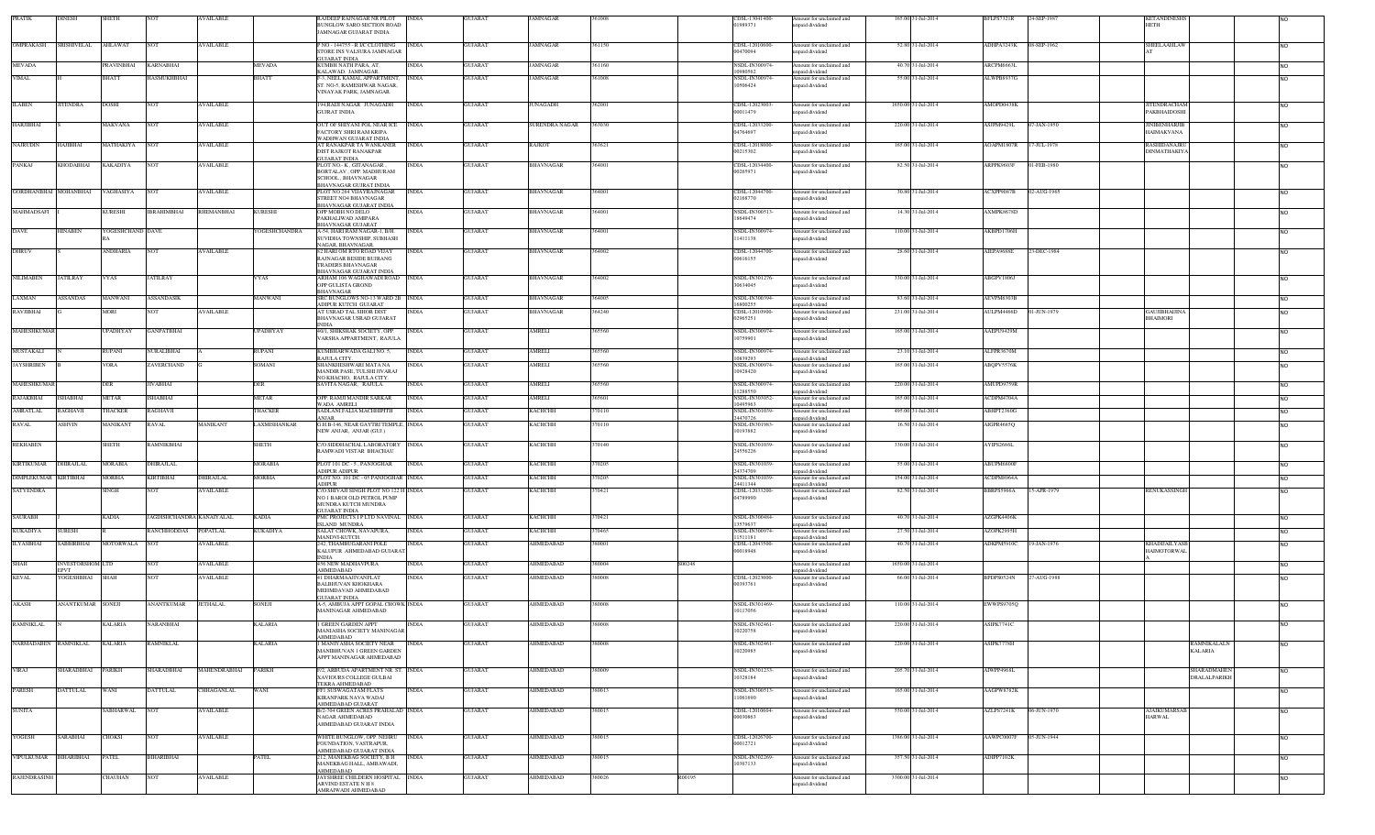| <b>PRATIK</b>         | <b>DINESH</b>           | SHETH             |                           | AVAILABLE         |                      | RAJDEEP RAJNAGAR NR PILOT<br>BUNGLOW SARO SECTION ROAD<br>JAMNAGAR GUJARAT INDIA           | INDIA        | <b>GUJARAT</b> | JAMNAGAR         | 361008           | CDSL-13041400-<br>01989371 | Amount for unclaimed and<br>inpaid dividend | 165.00 31-Jul-2014  | BFLPS7321R        | 24-SEP-1987<br><b>KETANDINESE</b><br>HETH                |                |
|-----------------------|-------------------------|-------------------|---------------------------|-------------------|----------------------|--------------------------------------------------------------------------------------------|--------------|----------------|------------------|------------------|----------------------------|---------------------------------------------|---------------------|-------------------|----------------------------------------------------------|----------------|
| <b>OMPRAKASH</b>      | SRISHIVELAL             | AHLAWAT           | <b>NOT</b>                | <b>AVAILABLE</b>  |                      | P NO - 144755 - R I/C CLOTHING<br>STORE INS VALSURA JAMNAGAR                               | <b>INDIA</b> | <b>GUJARAT</b> | JAMNAGAR         | 361150           | CDSL-12010600-<br>00470094 | Amount for unclaimed and<br>inpaid dividend | 52.80 31-Jul-2014   | ADHPA3243K        | 08-SEP-1962<br>SHEELAAHLAV                               | NO.            |
| <b>MEVADA</b>         |                         | <b>PRAVINBHAI</b> | <b>KARNABHAI</b>          |                   | <b>MEVADA</b>        | <b>GUJARAT INDIA</b><br>KUMBH NATH PARA, AT.                                               | <b>INDIA</b> | <b>GUJARAT</b> | JAMNAGAR         | 361160           | NSDL-IN300974-             | Amount for unclaimed and                    | 40.70 31-Jul-2014   | <b>ARCPM6663L</b> |                                                          | <b>NO</b>      |
| <b>VIMAL</b>          |                         | <b>BHATT</b>      | HASMUKHBHAI               |                   | BHATT                | KALAWAD. JAMNAGAR.<br>F-3, NEEL KAMAL APPARTMENT,                                          | <b>INDIA</b> | <b>GUJARAT</b> | JAMNAGAR         | 361008           | 0980562<br>NSDL-IN300974-  | npaid dividend<br>Amount for unclaimed and  | 55.00 31-Jul-2014   | ALWPB8937G        |                                                          | NO.            |
|                       |                         |                   |                           |                   |                      | ST. NO-5. RAMESHWAR NAGAR.<br>VINAYAK PARK, JAMNAGAR.                                      |              |                |                  |                  | 10506424                   | unpaid dividend                             |                     |                   |                                                          |                |
| <b>ILABEN</b>         | <b>JITENDRA</b>         | <b>DOSHI</b>      | <b>NOT</b>                | <b>AVAILABLE</b>  |                      | 194,RAIJI NAGAR JUNAGADH<br>GUJRAT INDIA                                                   | <b>INDIA</b> | <b>GUJARAT</b> | UNAGADH          | 362001           | CDSL-12023003-<br>00011479 | Amount for unclaimed and<br>npaid dividend  | 1650.00 31-Jul-2014 | AMOPD0438K        | <b>JITENDRACHAM</b><br>PAKBHAIDOSHI                      | NO.            |
| HARJIBHAI             |                         | MAKVANA           | <b>NOT</b>                | <b>AVAILABLE</b>  |                      | OUT OF SHIYANI POL NEAR ICE<br>ACTORY SHRI RAM KRIPA                                       | <b>INDIA</b> | <b>GUJARAT</b> | SURENDRA NAGAR   | 363030           | CDSL-12033200-<br>04764697 | Amount for unclaimed and<br>npaid dividend  | 220.00 31-Jul-2014  | ASJPM9429L        | 07-JAN-1950<br><b>JINIBENHARJIB</b><br>HAIMAKVANA        | <b>NO</b>      |
| NAJRUDIN              | HAJIBHAI                | MATHAKIYA         | <b>NOT</b>                | <b>AVAILABLE</b>  |                      | WADHWAN GUJARAT INDIA<br>AT RANAKPAR TA WANKANER<br>DIST RAJKOT RANAKPAR                   | <b>INDIA</b> | <b>GUJARAT</b> | <b>RAJKOT</b>    | 363621           | CDSL-12018000-<br>00215302 | Amount for unclaimed and<br>unpaid dividend | 165.00 31-Jul-2014  | AOAPM1807R        | 17-JUL-1978<br><b>RASHIDANAJRU</b><br>DINMATHAKIYA       | <b>NO</b>      |
| PANKAJ                | <b>KHODABHAI</b>        | KAKADIYA          | <b>NOT</b>                | <b>AVAILABLE</b>  |                      | <b>GUJARAT INDIA</b><br>PLOT NO - K GITANAGAR<br>BORTALAV. OPP. MADHURAM                   | <b>INDIA</b> | <b>GUJARAT</b> | <b>BHAVNAGAR</b> | 364001           | CDSL-12034400-<br>00265971 | Amount for unclaimed and<br>inpaid dividend | 82.50 31-Jul-2014   | ARPPK9603F        | 01-FEB-1980                                              | NO.            |
|                       |                         |                   |                           |                   |                      | SCHOOL, BHAVNAGAR<br>BHAVNAGAR GUJRAT INDIA                                                |              |                |                  |                  |                            |                                             |                     |                   |                                                          |                |
| GORDHANBHAI MOHANBHAI |                         | VAGHASIYA         | <b>NOT</b>                | <b>AVAILABLE</b>  |                      | PLOT NO 264 VIJAYRAJNAGAR<br>STREET NO4 BHAVNAGAR<br>BHAVNAGAR GUJARAT INDIA               | <b>INDIA</b> | <b>GUJARAT</b> | BHAVNAGAR        | 64001            | CDSL-12044700-<br>02168770 | Amount for unclaimed and<br>apaid dividend  | 30.80 31-Jul-2014   | ACXPP9087B        | 02-AUG-1965                                              | N <sub>O</sub> |
| MAHMADSAFI            |                         | KURESHI           | <b>IBRAHIMBHAI</b>        | RHEMANBHAI        | KURESHI              | OPP MOBH NO DELO<br>PAKHALIWAD AMIPARA<br><b>BHAVNAGAR GUJARAT</b>                         | INDIA        | <b>GUJARAT</b> | <b>HAVNAGAR</b>  | 64001            | NSDL-IN300513-<br>18649474 | Amount for unclaimed and<br>npaid dividend  | 14.30 31-Jul-2014   | <b>AXMPK8678D</b> |                                                          | NO.            |
| DAVE                  | <b>HINABEN</b>          | YOGESHCHAND DAVE  |                           |                   | <b>YOGESHCHANDRA</b> | A-54, HARI RAM NAGAR-1, B/H.<br>SUVIDHA TOWNSHIP, SUBHASH                                  | <b>INDIA</b> | <b>GUJARAT</b> | BHAVNAGAR        | 64001            | NSDL-IN300974<br>11411138  | Amount for unclaimed and<br>inpaid dividend | 110.00 31-Jul-2014  | AKBPD1706H        |                                                          | NO.            |
| <b>DHRUV</b>          |                         | ANDHARIA          | <b>NOT</b>                | <b>AVAILABLE</b>  |                      | NAGAR, BHAVNAGAR,<br>82 HARI OM RTO ROAD VIJAY<br>RAJNAGAR BESIDE BUJRANG                  | <b>INDIA</b> | <b>GUJARAT</b> | <b>BHAVNAGAR</b> | 364002           | CDSL-12044700-<br>00616155 | Amount for unclaimed and<br>inpaid dividend | 28.60 31-Jul-2014   | AIEPA9688E        | 23-DEC-1984                                              | <b>NO</b>      |
|                       |                         |                   |                           |                   |                      | TRADERS BHAVNAGAR<br>BHAVNAGAR GUJARAT INDIA                                               |              |                |                  |                  |                            |                                             |                     |                   |                                                          |                |
| <b>NILIMABEN</b>      | <b>JATILRAY</b>         | VYAS              | <b>JATILRAY</b>           |                   | VYAS                 | ARHAM 106 WAGHAWADI ROAD INDIA<br>OPP GULISTA GROND<br><b>BHAVNAGAR</b>                    |              | <b>GUJARAT</b> | <b>BHAVNAGAR</b> | 364002           | NSDL-IN301276-<br>30634045 | Amount for unclaimed and<br>apaid dividend  | 330.00 31-Jul-2014  | ABGPV1806J        |                                                          | <b>NO</b>      |
| LAXMAN                | <b>ASSANDAS</b>         | MANWANI           | <b>ASSANDASIK</b>         |                   | MANWANI              | SRC BUNGLOWS NO-13 WARD 2B INDIA<br>ADIPUR KUTCH GUIARAT                                   |              | <b>GUJARAT</b> | BHAVNAGAR        | 64005            | NSDL-IN300394-<br>16800255 | Amount for unclaimed and<br>nnaid dividend  | 83.60 31-Jul-2014   | AEVPM6303B        |                                                          | <b>NO</b>      |
| RAVJIBHAI             |                         | MORI              | NOT                       | <b>AVAILABLE</b>  |                      | AT USRAD TAL SIHOR DIST<br>BHAVNAGAR USRAD GUJARAT                                         | <b>INDIA</b> | <b>GUJARAT</b> | BHAVNAGAR        | 364240           | CDSL-12010900-<br>02965251 | Amount for unclaimed and<br>inpaid dividend | 231.00 31-Jul-2014  | AULPM4466D        | 01-JUN-1979<br><b>GAUJIBHADIN</b><br><b>BHAIMORI</b>     | <b>NO</b>      |
| <b>MAHESHKUMAR</b>    |                         | UPADHYAY          | <b>GANPATBHAI</b>         |                   | UPADHYAY             | <b>INDIA</b><br>40/1. SHIKSHAK SOCIETY, OPP.                                               | <b>INDIA</b> | <b>GUJARAT</b> | AMRELI           | 365560           | NSDL-IN300974-             | Amount for unclaimed and                    | 165.00 31-Jul-2014  | AAEPU9429M        |                                                          | NO.            |
|                       |                         |                   |                           |                   |                      | VARSHA APPARTMENT, RAJULA                                                                  |              |                |                  |                  | 10759901                   | inpaid dividend                             |                     |                   |                                                          |                |
| <b>MUSTAKALI</b>      |                         | RUPANI            | NURALIBHAI                |                   | RUPANI               | KUMBHARWADA GALI NO. 5,<br>RAILLA CITY                                                     | INDIA        | <b>GUJARAT</b> | AMRELI           | 65560            | NSDL-IN300974-<br>10839293 | Amount for unclaimed and<br>apaid dividend  | 23.10 31-Jul-2014   | ALFPR3670M        |                                                          | N <sub>O</sub> |
| <b>JAYSHRIBEN</b>     |                         | <b>VORA</b>       | ZAVERCHAND                |                   | SOMANI               | SHANKHESHWARI MATA NA<br>MANDIR PASE, TULSHI JIVARAJ<br>NO KHACHO. RAJULA CITY.            | INDIA        | <b>GUJARAT</b> | AMRELI           | 365560           | NSDL-IN300974-<br>10928420 | Amount for unclaimed and<br>inpaid dividend | 165.00 31-Jul-2014  | ABQPV5576K        |                                                          | NO.            |
| MAHESHKUMAF           |                         | <b>DER</b>        | <b>JIVABHAI</b>           |                   | <b>DER</b>           | SAVITA NAGAR, RAJULA.                                                                      | <b>NDIA</b>  | <b>GUJARAT</b> | AMRELI           | 65560            | NSDL-IN300974<br>11288550  | Amount for unclaimed and<br>npaid dividend  | 220.00 31-Jul-2014  | AMUPD9759R        |                                                          |                |
| RAJAKBHAI             | <b>ISHABHAI</b>         | METAR             | ISHABHAI                  |                   | METAR                | OPP. RAMJI MANDIR SARKAR<br>WADA AMRELI                                                    | <b>INDIA</b> | <b>GUJARAT</b> | AMRELI           | 365601           | NSDL-IN303052-<br>10495963 | Amount for unclaimed and<br>mpaid dividend  | 165.00 31-Jul-2014  | ACDPM4704A        |                                                          | <b>NO</b>      |
| AMRATLAL              | <b>RAGHAVJI</b>         | THACKER           | <b>RAGHAVJI</b>           |                   | THACKER              | SADLANI FALIA MACHHIPITH<br>ANIAR                                                          | <b>INDIA</b> | GUJARAT        | КАСНСНН          | 370110           | NSDL-IN301039<br>24470726  | Amount for unclaimed and<br>unpaid dividend | 495.00 31-Jul-2014  | ABHPT2360G        |                                                          | <b>NO</b>      |
| <b>RAVAL</b>          | ASHVIN                  | MANIKANT          | <b>RAVAL</b>              | <b>MANIKANT</b>   | LAXMISHANKAR         | G.H.B-146, NEAR GAYTRI TEMPLE, INDIA<br>NEW ANJAR, ANJAR (GUJ.)                            |              | <b>GUJARAT</b> | КАСНСНН          | 370110           | NSDL-IN301983-<br>10193882 | Amount for unclaimed and<br>inpaid dividend | 16.50 31-Jul-2014   | AIGPR4685Q        |                                                          | NO.            |
| <b>REKHABEN</b>       |                         | SHETH             | RAMNIKBHAI                |                   | SHETH                | C/O SIDDHACHAL LABORATORY<br>RAMWADI VISTAR BHACHAU                                        | <b>INDIA</b> | <b>GUJARAT</b> | КАСНСНН          | 370140           | NSDL-IN301039-<br>24556226 | Amount for unclaimed and<br>inpaid dividend | 330.00 31-Jul-2014  | AYIPS2686L        |                                                          | <b>NO</b>      |
| <b>KIRTIKUMAR</b>     | <b>DHIRAJLAL</b>        | MORABIA           | DHIRAJLAL                 |                   | MORABIA              | PLOT 101 DC - 5, PANJOGHAR<br>ADIPUR ADIPUR                                                | <b>INDIA</b> | <b>GUJARAT</b> | КАСНСНН          | 370205           | NSDL-IN301039<br>24374709  | Amount for unclaimed and<br>unpaid dividend | 55.00 31-Jul-2014   | ABUPM6800F        |                                                          | <b>NO</b>      |
| <b>DIMPLEKUMAR</b>    | IRTIBHAI                | MORBIA            | KIRTIBHAI                 | <b>HIRAJLAL</b>   | MORBIA               | PLOT NO. 101 DC - 05 PANJOGHAR INDIA<br>ADIPUR                                             |              | <b>GUJARAT</b> | <b>КАСНСНН</b>   | 70205            | NSDL-IN301039-<br>24411344 | Amount for unclaimed and<br>inpaid dividend | 154.00 31-Jul-2014  | ACDPM8964A        |                                                          | <b>NO</b>      |
| <b>SATYENDRA</b>      |                         | SINGH             | <b>NOT</b>                | <b>AVAILABLE</b>  |                      | C/O SHIVAJI SINGH PLOT NO 122 H INDIA<br>NO 1 BAROI OLD PETROL PUMP<br>MUNDRA KUTCH MUNDRA |              | <b>GUJARAT</b> | <b>КАСНСНН</b>   | 370421           | CDSL-12033200-<br>04789990 | Amount for unclaimed and<br>inpaid dividend | 82.50 31-Jul-2014   | <b>BBRPS5966A</b> | 15-APR-1979<br><b>RENUKASSINGE</b>                       | <b>NO</b>      |
| <b>SAURABH</b>        |                         | KADIA             | JAGDISHCHANDRA KANAIYALAL |                   | KADIA                | <b>GUJARAT INDIA</b><br>PMC PROJECTS I P LTD NAVINAL INDIA                                 |              | <b>GUJARAT</b> | КАСНСНН          | 370421           | NSDL-IN300484              | Amount for unclaimed and                    | 40.70 31-Jul-2014   | AZGPK4406K        |                                                          | <b>NO</b>      |
| KUKADIYA              | <b>SURESH</b>           |                   | <b>ANCHHODDAS</b>         | <b>POPATLAL</b>   | <b>CUKADIYA</b>      | <b>SLAND MUNDRA</b><br>SALAT CHOWK, NAVAPURA,                                              | <b>INDIA</b> | <b>GUJARAT</b> | <b>АСНСНН</b>    | 70465            | 13579637<br>NSDL-IN300974- | unpaid dividend<br>Amount for unclaimed and | 27.50 31-Jul-2014   | AZOPK2995H        |                                                          | NO.            |
| <b>ILYASBHAI</b>      | <b>SABBIRBHAI</b>       | MOTORWALA         | <b>INOT</b>               | <b>AVAILABLE</b>  |                      | MANDVI-KUTCH.<br>242. THAMBUGARANI POLE                                                    | <b>INDIA</b> | <b>GUJARAT</b> | AHMEDABAD        | 80001            | 11511181<br>CDSL-12043500- | unpaid dividend<br>Amount for unclaimed and | 40.70 31-Jul-2014   | ADKPM5910C        | 19-JAN-1976<br><b>KHADUAILYASI</b><br><b>HAIMOTORWAI</b> | NO.            |
| <b>SHAH</b>           | <b>INVESTORSHOM LTD</b> |                   | <b>NOT</b>                | <b>AVAILABLE</b>  |                      | KALUPUR AHMEDABAD GUJARA'<br>INDIA<br>456 NEW MADHAVPURA                                   | <b>INDIA</b> | <b>GUJARAT</b> | AHMEDABAD        | S00248<br>880004 | 00018948                   | npaid dividend<br>Amount for unclaimed and  | 1650.00.31-Jul-2014 |                   |                                                          | NO.            |
| <b>KEVAL</b>          | ₹PV⊤<br>YOGESHBHAI      | SHAH              | <b>NOT</b>                | <b>AVAILABLE</b>  |                      | AHMEDABAD<br>41 DHARMAAJIVANFLAT                                                           | INDIA        | <b>GUJARAT</b> | AHMEDABAD        | 80008            | CDSL-12023000-             | npaid dividend                              | 66.00 31-Jul-2014   | BPDPS0524N        | 27-AUG-1988                                              |                |
|                       |                         |                   |                           |                   |                      | BALBHUVAN KHOKHARA<br>MEHMDAVAD AHMEDARAD<br>GUJARAT INDIA                                 |              |                |                  |                  | 00393761                   | Amount for unclaimed and<br>inpaid dividend |                     |                   |                                                          |                |
| AKASH                 | ANANTKUMAR SONEJI       |                   | <b>ANANTKUMAR</b>         | <b>JETHALAL</b>   | SONEJI               | A-5, AMBUJA APPT GOPAL CHOWK INDIA<br>MANINAGAR AHMEDABAD                                  |              | <b>GUJARAT</b> | AHMEDABAD        | 380008           | NSDL-IN301469<br>10117056  | Amount for unclaimed and<br>inpaid dividend | 110.00 31-Jul-2014  | EWWPS9705Q        |                                                          | NO.            |
| <b>RAMNIKLAL</b>      |                         | <b>KALARIA</b>    | <b>NARANBHAI</b>          |                   | <b>KALARIA</b>       | 1 GREEN GARDEN APPT<br>AANIASHA SOCIETY MANINAGAR                                          | <b>INDIA</b> | <b>GUJARAT</b> | AHMEDABAD        | 380008           | NSDL-IN302461-<br>10220758 | Amount for unclaimed and<br>unpaid dividend | 220.00 31-Jul-2014  | ASIPK7741C        |                                                          |                |
| NARMADABEN RAMNIKLAL  |                         | <b>KALARIA</b>    | <b>RAMNIKLAL</b>          |                   | <b>KALARIA</b>       | AHMEDABAD<br>1 MANIYASHA SOCIETY NEAR INDIA<br>MANIBHUVAN 1 GREEN GARDEN                   |              | <b>GUJARAT</b> | AHMEDABAD        | 380008           | NSDL-IN302461<br>10220985  | Amount for unclaimed and<br>unpaid dividend | 220.00 31-Jul-2014  | ASIPK7778H        | <b>RAMNIKALALN</b><br><b>KALARIA</b>                     | <b>NO</b>      |
|                       |                         |                   |                           |                   |                      | APPT MANINAGAR AHMEDABAD                                                                   |              |                |                  |                  |                            |                                             |                     |                   |                                                          |                |
| <b>VIRAJ</b>          | SHARADBHAI              | PARIKH            | SHARADBHAI                | MAHENDRABHAI      | <b>PARIKH</b>        | /2, ARBUDA APARTMENT NR. ST. INDIA<br>XAVIOURS COLLEGE GULBAI<br>TEKRA AHMEDARAD           |              | <b>GUJARAT</b> | <b>HMEDABAD</b>  | 80009            | NSDL-IN301233-<br>10328184 | Amount for unclaimed and<br>apaid dividend  | 205.70 31-Jul-2014  | AIWPP4968L        | <b>SHARADMAHE</b><br>DRALALPARIKH                        | <b>NO</b>      |
| PARESH                | DATTULAL                | WANI              | <b>DATTULAL</b>           | <b>CHHAGANLAL</b> | WANI                 | FFI SUSWAGATAM FLATS<br>KIRANPARK NAVA WADAJ<br>AHMEDABAD GUIARAT                          | NDIA         | <b>GUJARAT</b> | AHMEDABAD        | 80013            | NSDL-IN300513<br>11061690  | Amount for unclaimed and<br>npaid dividend  | 165.00 31-Jul-2014  | <b>AAGPW8782K</b> |                                                          | NO.            |
| <b>SUNITA</b>         |                         | <b>ABHARWAL</b>   |                           | AVAILABLE         |                      | B/2-704 GREEN ACRES PRAHALAD INDIA<br>NAGAR AHMEDABAD                                      |              | <b>GUJARAT</b> | AHMEDABAD        | 80015            | CDSL-1201060<br>00030863   | Amount for unclaimed and<br>inpaid dividend | 550.00 31-Jul-2014  | AZLPS7241K        | 06-JUN-1970<br><b>AJAIKUMARSA</b><br><b>HARWAL</b>       | NO.            |
| YOGESH                | SARABHAI                | CHOKSI            | NOT                       | <b>AVAILABLE</b>  |                      | AHMEDABAD GUJARAT INDIA<br>WHITE BUNGLOW, OPP. NEHRU                                       | INDIA        | <b>GUJARAT</b> | AHMEDABAD        | 880015           | CDSL-12026700-             | Amount for unclaimed and                    | 1386.00 31-Jul-2014 | AAWPC0007F        | 05-JUN-1944                                              | <b>NO</b>      |
| VIPULKUMAR BIHARIBHAI |                         | PATEL             | <b>BIHARIBHAI</b>         |                   | PATEL                | FOUNDATION, VASTRAPUR,<br>AHMEDABAD GUJARAT INDIA<br>212, MANEKBAG SOCIETY, B H            | <b>INDIA</b> | <b>GUJARAT</b> | AHMEDABAD        | 380015           | 00012721<br>NSDL-IN302269- | npaid dividend<br>Amount for unclaimed and  | 357.50 31-Jul-2014  | ADIPP7102K        |                                                          | NO.            |
|                       |                         |                   |                           |                   |                      | MANEKBAG HALL, AMBAWADI,<br>AHMEDABAD<br>JAYSHREE CHILDERN HOSPITAL INDIA                  |              |                | AHMEDABAD        |                  | 10367133                   | inpaid dividend                             |                     |                   |                                                          |                |
| RAJENDRASINH          |                         | CHAUHAN           | <b>NOT</b>                | <b>AVAILABLE</b>  |                      | ARVIND ESTATE N H 8<br>AMRAIWADI AHMEDABAD                                                 |              | <b>GUJARAT</b> |                  | R00195<br>380026 |                            | Amount for unclaimed and<br>apaid dividend  | 3300.00 31-Jul-2014 |                   |                                                          | <b>NO</b>      |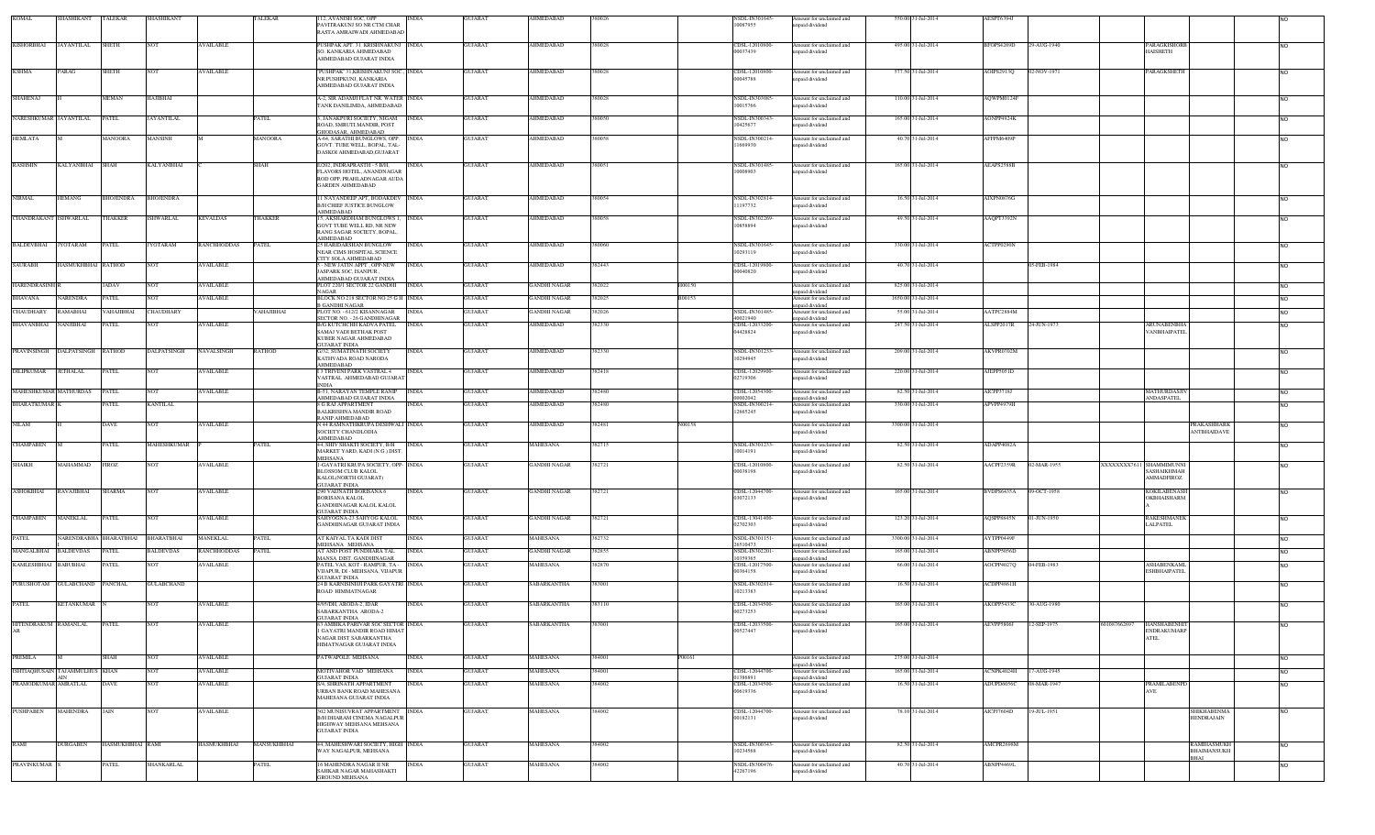| KOMAL                      | <b>SHASHIKANT</b>                     | TALEKAR           | <b>SHASHIKANT</b>  |                    | TALEKAR       | 112, AVANISH SOC, OPP<br>PAVITRAKUNJ SO NR CTM CHAR<br>RASTA AMRAIWADI AHMEDABAD                                        | <b>GUJARAT</b><br><b>INDIA</b> | AHMEDABAD           | 380026 |        | NSDL-IN301645-<br>10087955            | Amount for unclaimed and<br>inpaid dividend                  | 550.00 31-Jul-2014  | AESPT6394J |             |                                                                |                |
|----------------------------|---------------------------------------|-------------------|--------------------|--------------------|---------------|-------------------------------------------------------------------------------------------------------------------------|--------------------------------|---------------------|--------|--------|---------------------------------------|--------------------------------------------------------------|---------------------|------------|-------------|----------------------------------------------------------------|----------------|
| <b>KISHORBHAI</b>          | <b>JAYANTILAL</b>                     | <b>SHETH</b>      | <b>NOT</b>         | <b>AVAILABLE</b>   |               | PUSHPAK APT. 31. KRISHNAKUNJ INDIA<br>SO. KANKARIA AHMEDABAD<br>AHMEDABAD GUJARAT INDIA                                 | <b>GUJARAT</b>                 | AHMEDABAD           | 880028 |        | CDSL-12010800<br>00037439             | mount for unclaimed and<br>npaid dividend                    | 495.00 31-Jul-2014  | BFOPS4269D | 29-AUG-1940 | <b>PARAGKISHOR</b><br><b>HAISHETH</b>                          | <b>NO</b>      |
| <b>KSHMA</b>               | PARAG                                 | SHETH             | <b>NOT</b>         | <b>AVAILABLE</b>   |               | "PUSHPAK" 31, KRISHNAKUNJ SOC., INDIA<br>NR.PUSHPKUNJ, KANKARIA<br><b>HMEDABAD GUJARAT INDIA</b>                        | <b>GUJARAT</b>                 | AHMEDABAD           | 380028 |        | CDSL-12010800<br>00045788             | Amount for unclaimed and<br>npaid dividend                   | 577.50 31-Jul-2014  | AOIPS2913Q | 02-NOV-1971 | <b>PARAGKSHETH</b>                                             | <b>NO</b>      |
| <b>SHAHENAJ</b>            |                                       | MEMAN             | HAJIBHAI           |                    |               | A-2, SIR ADAMJI FLAT NR. WATER INDIA<br><b>TANK DANILIMDA, AHMEDABAD</b>                                                | <b>GUJARAT</b>                 | <b>AHMEDABAD</b>    | 380028 |        | NSDL-IN303085<br>10015766             | Amount for unclaimed and<br>paid dividend                    | 110.00 31-Jul-2014  | AQWPM0124F |             |                                                                | <b>NO</b>      |
| NARESHKUMAR JAYANTILAL     |                                       | PATEL             | <b>JAYANTILAL</b>  |                    | PATEL         | 3. JANAKPURI SOCIETY, NIGAM<br>ROAD, SMRUTI MANDIR, POST                                                                | <b>INDIA</b><br><b>GUJARAT</b> | <b>AHMEDABAD</b>    | 380050 |        | NSDL-IN300343<br>10425677             | Amount for unclaimed and<br>apaid dividend                   | 165.00 31-Jul-2014  | AONPP4924K |             |                                                                | <b>NO</b>      |
| <b>HEMLATA</b>             |                                       | MANOORA           | MANSINH            |                    | MANOORA       | GHODASAR, AHMEDABAD.<br>A-64, SARATHI BUNGLOWS, OPP.<br>GOVT. TUBE WELL, BOPAL, TAL-<br>DASKOI AHMEDABAD.GUJARAT        | <b>GUJARAT</b><br><b>INDIA</b> | <b>AHMEDABAD</b>    | 80058  |        | NSDL-IN300214-<br>11669930            | Amount for unclaimed and<br>apaid dividend                   | 40.70 31-Jul-2014   | AFFPM6409P |             |                                                                | <b>NO</b>      |
| <b>RASHMIN</b>             | <b>KALYANBHAI</b>                     | SHAH              | <b>KALYANBHAI</b>  |                    | SHAH          | E/202, INDRAPRASTH - 5 B/H,<br>FLAVORS HOTEL, ANANDNAGAR<br>ROD OPP. PRAHLADNAGAR AUDA<br>GARDEN AHMEDABAD              | <b>INDIA</b><br><b>GUJARAT</b> | AHMEDABAD           | 380051 |        | NSDL-IN301485-<br>10008903            | Amount for unclaimed and<br>npaid dividend                   | 165.00 31-Jul-2014  | AEAPS2588B |             |                                                                | <b>NO</b>      |
| <b>NIRMAL</b>              | HEMANG                                | BHOJENDRA         | <b>BHOJENDRA</b>   |                    |               | I NAYANDEEP APT. BODAKDEV INDIA<br><b>B/H CHIEF JUSTICE BUNGLOW</b>                                                     | <b>GUJARAT</b>                 | AHMEDABAD           | 380054 |        | NSDL-IN302814<br>11197732             | Amount for unclaimed and<br>apaid dividend                   | 16.50 31-Jul-2014   | AIXPN0876G |             |                                                                | <b>NO</b>      |
| CHANDRAKANT ISHWARLAL      |                                       | THAKKER           | <b>ISHWARLAL</b>   | <b>KEVALDAS</b>    | THAKKER       | <b>HMEDABAD</b><br>15, AKSHARDHAM BUNGLOWS 1,<br><b>GOVT TUBE WELL RD. NR NEW</b>                                       | <b>GUJARAT</b><br><b>INDIA</b> | AHMEDABAD           | 380058 |        | NSDL-IN302269<br>10858894             | Amount for unclaimed and<br>npaid dividend                   | 49.50 31-Jul-2014   | AAQPT3392N |             |                                                                | <b>NO</b>      |
| <b>BALDEVBHAI</b>          | <b>JYOTARAM</b>                       | PATEL             | <b>JYOTARAM</b>    | <b>RANCHHODDAS</b> | PATEL         | RANG SAGAR SOCIETY, BOPAL,<br>AHMEDABAD<br>25 HARIDARSHAN BUNGLOW<br><b>NEAR CIMS HOSPITAL SCIENCE</b>                  | <b>INDIA</b><br><b>GUJARAT</b> | <b>AHMEDABAD</b>    | 380060 |        | NSDL-IN301645<br>10293119             | Amount for unclaimed and<br>apaid dividend                   | 330.00 31-Jul-2014  | ACTPP0290N |             |                                                                | <b>NO</b>      |
| <b>SAURABH</b>             | <b>IASMUKHBHAI RATHOD</b>             |                   | <b>NOT</b>         | <b>AVAILABLE</b>   |               | ITY SOLA AHMEDABAD<br>- NEW JATIN APPT, OPP-NEW<br>JASPARK SOC. ISANPUR.                                                | <b>INDIA</b><br><b>GUJARAT</b> | <b>AHMEDABAD</b>    | 82443  |        | CDSL-12019800-<br>00040820            | Amount for unclaimed and<br>npaid dividend                   | 40.70 31-Jul-2014   |            | 5-FEB-1984  |                                                                | <b>NO</b>      |
| HARENDRASINE               |                                       | JADAV             | <b>NOT</b>         | <b>AVAILABLE</b>   |               | AHMEDABAD GUJARAT INDIA<br>PLOT 220/1 SECTOR 22 GANDHI                                                                  | <b>GUJARAT</b><br><b>INDIA</b> | <b>GANDHI NAGAR</b> | 382022 | H00150 |                                       | mount for unclaimed and                                      | 825.00 31-Jul-2014  |            |             |                                                                | N <sub>O</sub> |
| BHAVANA                    | <b>ARENDRA</b>                        | PATEL             | NOT                | <b>AVAILABLE</b>   |               | NAGAR<br>BLOCK NO 218 SECTOR NO 25 G H INDIA                                                                            | <b>GUJARAT</b>                 | <b>GANDHI NAGAR</b> | 382025 | B00153 |                                       | inpaid dividend<br>mount for unclaimed and                   | 1650.00 31-Jul-2014 |            |             |                                                                | <b>NO</b>      |
| CHAUDHARY                  | :AMABHA                               | <b>/AHAJIBHAI</b> | CHAUDHARY          |                    | AHAJIBHAI     | <b>B GANDHI NAGAR</b><br>PLOT NO. - 612/2 KISANNAGAR                                                                    | <b>INDIA</b><br><b>GUJARAT</b> | <b>GANDHI NAGAR</b> | 382026 |        | NSDL-IN301485                         | npaid dividend<br>mount for unclaimed and                    | 55.00 31-Jul-2014   | AATPC2884M |             |                                                                | <b>NO</b>      |
| BHAVANBHAI                 | NANJIBHAI                             | PATEL             | <b>NOT</b>         | <b>AVAILABLE</b>   |               | SECTOR NO. - 26 GANDHINAGAR<br>B/G KUTCHCHH KADVA PATEL                                                                 | <b>INDIA</b><br><b>GUJARAT</b> | AHMEDABAD           | 382330 |        | 10021940<br>CDSL-12033200             | apaid dividend<br>Amount for unclaimed and                   | 247.50 31-Jul-2014  | ALSPP2017R | 24-JUN-1973 | <b>ARUNABENBHA</b>                                             | <b>NO</b>      |
|                            |                                       |                   |                    |                    |               | <b>SAMAJ VADI BETHAK POST</b><br>KUBER NAGAR AHMEDABAD<br><b>GUJARAT INDIA</b>                                          |                                |                     |        |        | 04428824                              | inpaid dividend                                              |                     |            |             | <b>VANBHAIPATEL</b>                                            |                |
| PRAVINSINGH                | DALPATSINGH RATHOD                    |                   | <b>DALPATSINGH</b> | <b>NAVALSINGH</b>  | <b>RATHOD</b> | G/32, SUMATINATH SOCIETY<br>KATHVADA ROAD NARODA<br>AHMEDABAD                                                           | <b>INDIA</b><br><b>GUJARAT</b> | AHMEDABAD           | 382330 |        | NSDL-IN301233<br>10294945             | Amount for unclaimed and<br>paid dividend                    | 209.00 31-Jul-2014  | AKVPR0702M |             |                                                                | <b>NO</b>      |
| <b>DILIPKUMAR</b>          | <b>JETHALAL</b>                       | PATEL             | <b>NOT</b>         | <b>AVAILABLE</b>   |               | <b>13 TRIVENI PARK VASTRAL 4</b><br>VASTRAL AHMEDABAD GUJARAT<br>NDIA                                                   | <b>INDIA</b><br><b>GUJARAT</b> | AHMEDABAD           | 382418 |        | CDSL-12029900<br>02719306             | Amount for unclaimed and<br>npaid dividend                   | 220.00 31-Jul-2014  | AJEPP5051D |             |                                                                | N <sub>O</sub> |
| MAHESHKUMAR MATHURDAS      |                                       | PATEL             | <b>NOT</b>         | <b>AVAILABLE</b>   |               | B-51, NARAYAN TEMPLE RANIP<br>AHMEDABAD GUJARAT INDIA                                                                   | <b>INDIA</b><br><b>GUJARAT</b> | AHMEDABAD           | 382480 |        | CDSL-12054300<br>00002042             | mount for unclaimed and<br>inpaid dividend                   | 82.50 31-Jul-2014   | AICPP3718J |             | MATHURDASJIV<br><b>ANDASPATEL</b>                              | <b>NO</b>      |
| <b>BHARATKUMAR</b>         |                                       | PATEL             | <b>KANTILAL</b>    |                    |               | 8 G RAJ APPARTMENT<br><b>BALKRISHNA MANDIR ROAD</b>                                                                     | <b>GUJARAT</b><br>INDIA        | AHMEDABAD           | 382480 |        | NSDL-IN300214<br>12665245             | Amount for unclaimed and<br>npaid dividend                   | 330.00 31-Jul-2014  | APVPP4979H |             |                                                                | N <sub>O</sub> |
| <b>NILAM</b>               |                                       | DAVE              | <b>NOT</b>         | <b>AVAILABLE</b>   |               | RANIP AHMEDABAD<br>N 44 RAMNATHKRUPA DESHWALI INDIA<br>SOCIETY CHANDLODIA<br>AHMEDABAD                                  | <b>GUJARAT</b>                 | <b>AHMEDABAD</b>    | 382481 | N00158 |                                       | mount for unclaimed and<br>npaid dividend                    | 3300.00 31-Jul-2014 |            |             | PRAKASHHARK<br><b>ANTBHAIDAVE</b>                              | <b>NO</b>      |
| CHAMPABEN                  |                                       | ATEL              | MAHESHKUMAR        |                    | PATEL         | 44, SHIV SHAKTI SOCIETY, B/H<br>MARKET YARD, KADI (N.G.) DIST<br>MEHSANA                                                | <b>INDIA</b><br><b>GUJARAT</b> | MAHESANA            | 382715 |        | NSDL-IN301233<br>10014191             | Amount for unclaimed and<br>npaid dividend                   | 82.50 31-Jul-2014   | ADAPP4082A |             |                                                                | N <sub>O</sub> |
| <b>SHAIKH</b>              | MAHAMMAD                              | FIROZ             | NOT                | <b>AVAILABLE</b>   |               | 1-GAYATRI KRUPA SOCIETY, OPP- INDIA<br><b>BLOSSOM CLUB KALOL</b><br>KALOL(NORTH GUJARAT)<br><b>GUJARAT INDIA</b>        | <b>GUJARAT</b>                 | <b>GANDHI NAGAR</b> | 382721 |        | CDSL-12010800<br>00038198             | Amount for unclaimed and<br>npaid dividend                   | 82.50 31-Jul-2014   | AACPF2359R | 02-MAR-1955 | XXXXXXX7611 SHAMMIMUNNI<br>SASHAIKHMAH<br>AMMADFIROZ           | <b>NO</b>      |
| ASHOKBHAI                  | RAVAJIBHAI                            | SHARMA            | <b>NOT</b>         | <b>AVAILABLE</b>   |               | 290 VAIJNATH BORISANA 6<br><b>BORISANA KALOL</b><br>GANDHINAGAR KALOL KALOL                                             | <b>INDIA</b><br><b>GUJARAT</b> | <b>GANDHI NAGAR</b> | 382721 |        | CDSL-12044700<br>03072133             | Amount for unclaimed and<br>apaid dividend                   | 165.00 31-Jul-2014  | BVDPS6435A | 09-OCT-1958 | <b>KOKILARENASH</b><br>OKBHAISHARM                             | <b>NO</b>      |
| <b>CHAMPABEN</b>           | <b>MANEKLAL</b>                       | PATEL             | <b>NOT</b>         | <b>AVAILABLE</b>   |               | <b>GUJARAT INDIA</b><br>SAHYOGNA-23 SAHYOG KALOL<br>GANDHINAGAR GUJARAT INDIA                                           | <b>INDIA</b><br><b>GUJARAT</b> | <b>GANDHI NAGAR</b> | 382721 |        | CDSL-13041400<br>02702303             | Amount for unclaimed and<br>npaid dividend                   | 123.20 31-Jul-2014  | AOSPP8845N | 01-JUN-1950 | <b>RAKESHMANEK</b><br><b>LALPATEL</b>                          | N <sub>O</sub> |
| <b>PATEL</b>               | NARENDRABHA BHARATBHAI                |                   | <b>BHARATBHAI</b>  | <b>MANEKLAL</b>    | PATEL         | AT KAIYAL TA KADI DIST                                                                                                  | <b>INDIA</b><br><b>GUJARAT</b> | <b>MAHESANA</b>     | 382732 |        | NSDL-IN301151                         | Amount for unclaimed and                                     | 3300.00 31-Jul-2014 | AYTPP0449F |             |                                                                | <b>NO</b>      |
| MANGALBHAI                 | <b>BALDEVDAS</b>                      | ATEL.             | <b>BALDEVDAS</b>   | RANCHHODDAS        | ATEL          | MEHSANA MEHSANA<br>AT AND POST PUNDHARA TAL                                                                             | <b>INDIA</b><br><b>GUJARAT</b> | <b>GANDHI NAGAR</b> | 82855  |        | 26510473<br>NSDL-IN302201             | inpaid dividend<br>nount for unclaimed and                   | 165.00 31-Jul-2014  | ABNPP5056E |             |                                                                | N <sub>O</sub> |
| KAMLESHBHAI BABUBHAI       |                                       | PATEL             | NOT                | AVAILABLE          |               | MANSA DIST. GANDHINAGAR<br>PATEL VAS. KOT - RAMPUR. TA -<br>VIJAPUR, DI - MEHSANA, VIJAPUF                              | <b>INDIA</b><br><b>GUJARAT</b> | MAHESANA            | 382870 |        | 10359365<br>CDSL-12017500<br>00364158 | npaid dividend<br>Amount for unclaimed and<br>apaid dividend | 66.00 31-Jul-2014   | AOCPP4027Q | 04-FEB-1983 | <b>ASHABENKAML</b><br><b>ESHBHAIPATEL</b>                      | <b>NO</b>      |
| PURUSHOTAM                 | <b>GULABCHAND</b>                     | <b>PANCHAL</b>    | <b>GULABCHAND</b>  |                    |               | <b>JUJARAT INDIA</b><br>24 B KARNISINHJI PARK GAYATRI INDIA                                                             | <b>GUJARAT</b>                 | SABARKANTHA         | 383001 |        | NSDL-IN302814-                        | Amount for unclaimed and                                     | 16.50 31-Jul-2014   | ACDPP4861H |             |                                                                | N <sub>O</sub> |
| <b>PATEL</b>               | <b>KETANKUMAR</b>                     |                   | <b>NOT</b>         | <b>AVAILABLE</b>   |               | ROAD HIMMATNAGAR<br>4/95/DH, ARODA-2, IDAR                                                                              | <b>GUJARAT</b><br>INDIA        | SABARKANTHA         | 383110 |        | 10213383<br>CDSL-12034500             | npaid dividend<br>mount for unclaimed and                    | 165.00 31-Jul-2014  | AKOPP5433C | 30-AUG-1980 |                                                                | <b>NO</b>      |
|                            |                                       |                   |                    |                    |               | SABARKANTHA ARODA-2<br><b>GUJARAT INDIA</b>                                                                             |                                |                     |        |        | 00273253                              | npaid dividend                                               |                     |            |             |                                                                |                |
| HITENDRAKUM RAMANLAL<br>AR |                                       | PATEL             | <b>NOT</b>         | <b>AVAILABLE</b>   |               | 83 AMBIKA PARIVAR SOC SECTOR INDIA<br>I GAYATRI MANDIR ROAD HIMA'<br>NAGAR DIST SABARKANTHA<br>HIMATNAGAR GUJARAT INDIA | <b>GUJARAT</b>                 | SABARKANTHA         | 383001 |        | CDSL-12033500<br>00527447             | Amount for unclaimed and<br>unpaid dividend                  | 165.00 31-Jul-2014  | AEVPP5806J | 12-SEP-1975 | 601087662697 HANSHABENHIT<br><b>ENDRAKUMARP</b><br><b>ATEL</b> | <b>NO</b>      |
| PREMILA                    |                                       | SHAH              | <b>NOT</b>         | <b>AVAILABLE</b>   |               | ATWAPOLE MEHSANA                                                                                                        | INDIA<br>GUJARAT               | MAHESANA            | 884001 | P00161 |                                       | mount for unclaimed and<br>unpaid dividend                   | 275.00 31-Jul-2014  |            |             |                                                                | N <sub>O</sub> |
|                            | ISHTIAQHUSAIN TAJAMMULHUS KHAN<br>AIN |                   | NOT                | AVAILABLE          |               | MOTIVAHOR VAD MEHSANA<br><b>GUJARAT INDIA</b>                                                                           | GUJARAT<br><b>INDIA</b>        | MAHESANA            | 884001 |        | CDSL-12044700-<br>19858510            | Amount for unclaimed and<br>inpaid dividend                  | 165.00 31-Jul-2014  | ACNPK4024H | 17-AUG-1945 |                                                                | <b>NO</b>      |
| PRAMODKUMAR AMRATLAL       |                                       | DAVE              | <b>NOT</b>         | <b>AVAILABLE</b>   |               | S/4, SHRINATH APPARTMENT<br>URBAN BANK ROAD MAHESANA<br>MAHESANA GUJARAT INDIA                                          | <b>INDIA</b><br><b>GUJARAT</b> | <b>MAHESANA</b>     | 384002 |        | CDSL-12034500-<br>00619336            | Amount for unclaimed and<br>inpaid dividend                  | 16.50 31-Jul-2014   | ADUPD6056C | 08-MAR-1947 | <b>PRAMILABENPD</b><br>AVE                                     | <b>NO</b>      |
| PUSHPABEN                  | MAHENDRA                              | JAIN              | <b>NOT</b>         | <b>AVAILABLE</b>   |               | 02 MUNISUVRAT APPARTMENT INDIA<br>B/H DHARAM CINEMA NAGALPUR<br>HIGHWAY MEHSANA MEHSANA<br><b>GUJARAT INDIA</b>         | GUJARAT                        | MAHESANA            | 884002 |        | CDSL-12044700<br>00182131             | mount for unclaimed and<br>inpaid dividend                   | 78.10 31-Jul-2014   | AICPJ7604D | 19-JUL-1951 | HIKHABENMA<br><b>HENDRAJAIN</b>                                | N <sub>O</sub> |
| RAMI                       | <b>DURGABEN</b>                       | HASMUKHBHAI RAMI  |                    | HASMUKHBHAI        | MANSUKHBHAI   | 44, MAHESHWARI SOCIETY, HIGH INDIA<br>WAY NAGALPUR MEHSANA                                                              | <b>GUJARAT</b>                 | <b>MAHESANA</b>     | 384002 |        | <b>NSDL-IN300343</b><br>10234568      | Amount for unclaimed and<br>apaid dividend                   | 82.50 31-Jul-2014   | AMCPR2698M |             | <b>RAMIHASMUKH</b><br><b>BHAIMANSUKH</b>                       | <b>NO</b>      |
| PRAVINKUMAR                |                                       | ATEL.             | <b>SHANKARLAL</b>  |                    | PATEL         | 16 MAHENDRA NAGAR II NR<br>SAHKAR NAGAR MAHASHAKTI<br><b>GROUND MEHSANA</b>                                             | <b>INDIA</b><br><b>GUJARAT</b> | MAHESANA            | 384002 |        | <b>NSDL-IN300476</b><br>42267196      | Amount for unclaimed and<br>npaid dividend                   | 40.70 31-Jul-2014   | ABNPP4469L |             | BHAI                                                           | <b>NO</b>      |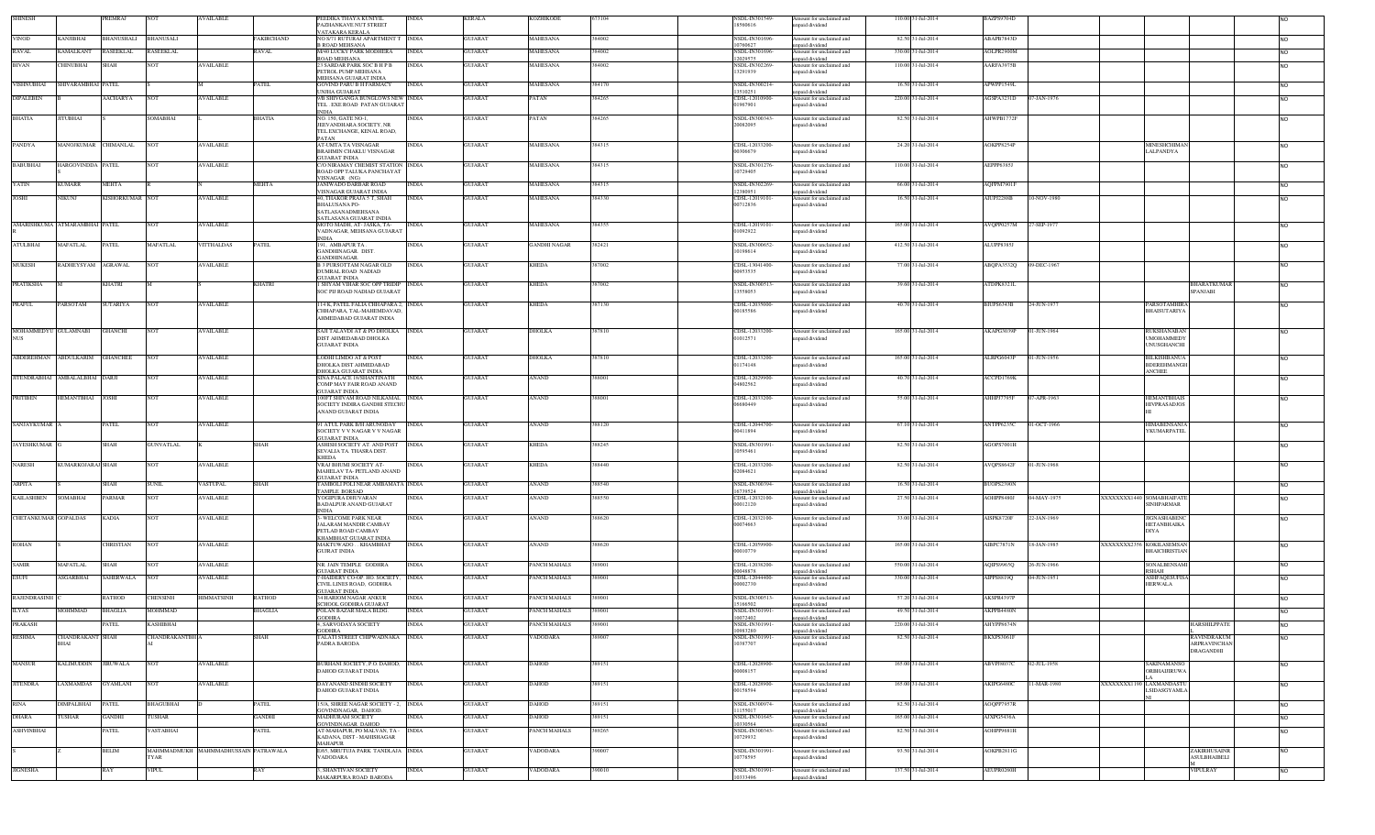| SHINESH                            |                                 | PREMRAJ              | <b>NOT</b>                           | <b>AVAILABLE</b>  |             | PEEDIKA THAYA KUNIYII<br>PAZHANKAVE NUT STREET                    | INDIA        | <b>KERALA</b>  | <b>KOZHIKODE</b>    | 73104   | NSDL-IN301549-<br>18560616       | Amount for unclaimed and<br>inpaid dividend | 110.00 31-Jul-2014 | BAZPS9704D        |             |                           |                                           | <b>INO</b>     |
|------------------------------------|---------------------------------|----------------------|--------------------------------------|-------------------|-------------|-------------------------------------------------------------------|--------------|----------------|---------------------|---------|----------------------------------|---------------------------------------------|--------------------|-------------------|-------------|---------------------------|-------------------------------------------|----------------|
| <b>VINOD</b>                       | <b>KANJIBHAI</b>                | BHANUSHALI BHANUSALI |                                      |                   | FAKIRCHAND  | VATAKARA KERALA<br>NO S/71 RUTURAJ APARTMENT T INDIA              |              | <b>GUJARAT</b> | <b>MAHESANA</b>     | 384002  | NSDL-IN301696                    | Amount for unclaimed and                    | 82.50 31-Jul-2014  | ABAPB7843D        |             |                           |                                           |                |
|                                    |                                 |                      |                                      |                   |             | <b>B ROAD MEHSANA</b>                                             |              |                |                     |         | 10760627                         | npaid dividend                              |                    |                   |             |                           |                                           | <b>NO</b>      |
| <b>RAVAL</b>                       | <b><i>AMALKANT</i></b>          | RASEEKLAL            | <b>RASEEKLAL</b>                     |                   | RAVAL       | <b>M/40 LUCKY PARK MODHERA</b><br>ROAD MEHSANA                    | <b>INDIA</b> | GUJARAT        | MAHESANA            | 884002  | NSDL-IN30169<br>12029575         | mount for unclaimed and<br>npaid dividend   | 330.00 31-Jul-2014 | AOLPR2900M        |             |                           |                                           | N <sub>O</sub> |
| <b>BIVAN</b>                       | <b>CHINUBHAI</b>                | SHAH                 | <b>NOT</b>                           | <b>AVAILABLE</b>  |             | 23 SARDAR PARK SOC B H P B<br>PETROL PUMP MEHSANA                 | <b>INDIA</b> | <b>GUJARAT</b> | <b>MAHESANA</b>     | 384002  | <b>NSDL-IN302269</b><br>13291939 | Amount for unclaimed and<br>apaid dividend  | 110.00 31-Jul-2014 | AARFA3975B        |             |                           |                                           | <b>NO</b>      |
| VISHNUBHAI                         | HIVARAMBHAI PATEL               |                      |                                      |                   | PATEL       | MEHSANA GUJARAT INDIA<br><b>GOVIND PARU B H FARMACY</b>           | <b>INDIA</b> | GUJARAT        | MAHESANA            | 884170  | NSDL-IN300214-                   | mount for unclaimed and                     | 16.50 31-Jul-2014  | APWPP1549L        |             |                           |                                           |                |
|                                    |                                 |                      |                                      |                   |             | UNJHA GUJARAT                                                     |              |                |                     |         | 13510251                         | npaid dividend                              |                    |                   |             |                           |                                           | N <sub>O</sub> |
| <b>DIPALEBEN</b>                   |                                 | AACHARYA             | <b>NOT</b>                           | <b>AVAILABLE</b>  |             | 9/B SHIVGANGA BUNGLOWS NEW INDIA<br>TEL. EXE ROAD PATAN GUJARA'   |              | <b>GUJARAT</b> | PATAN               | 384265  | CDSL-12010900<br>01967901        | Amount for unclaimed and<br>apaid dividend  | 220.00 31-Jul-2014 | AGSPA3231D        | 07-JAN-1976 |                           |                                           | N <sub>O</sub> |
| <b>BHATIA</b>                      | <b>JITUBHAI</b>                 |                      | SOMABHAI                             |                   | BHATIA      | <b>INDIA</b><br>NO. 150, GATE NO-1.                               | <b>INDIA</b> | <b>GUJARAT</b> | PATAN               | 384265  | <b>NSDL-IN300343</b>             | Amount for unclaimed and                    | 82.50 31-Jul-2014  | AHWPB1772F        |             |                           |                                           | <b>NO</b>      |
|                                    |                                 |                      |                                      |                   |             | JEEVANDHARA SOCIETY. NR                                           |              |                |                     |         | 20082095                         | npaid dividend                              |                    |                   |             |                           |                                           |                |
|                                    |                                 |                      |                                      |                   |             | TEL.EXCHANGE, KENAL ROAD,<br>PATAN                                |              |                |                     |         |                                  |                                             |                    |                   |             |                           |                                           |                |
| PANDYA                             | MANOJKUMAR CHIMANLAL            |                      | <b>NOT</b>                           | <b>AVAILABLE</b>  |             | <b>AT-UMTA TA VISNAGAR</b><br>BRAHMIN CHAKLU VISNAGAR             | <b>INDIA</b> | <b>GUJARAT</b> | <b>MAHESANA</b>     | 384315  | CDSL-12033200-<br>00306679       | Amount for unclaimed and<br>npaid dividend  | 24.20 31-Jul-2014  | AOKPP8254P        |             |                           | MINESHCHIMAN<br>LALPANDYA                 | <b>NO</b>      |
| <b>BABUBHAI</b>                    | HARGOVINDDA PATEL               |                      | <b>NOT</b>                           | AVAILABLE         |             | <b>GUJARAT INDIA</b><br>C/O NIRAMAY CHEMIST STATION INDIA         |              | <b>GUJARAT</b> | MAHESANA            | 384315  | NSDL-IN301276                    | Amount for unclaimed and                    | 110.00 31-Jul-2014 | AEPPP6385J        |             |                           |                                           | <b>NO</b>      |
|                                    |                                 |                      |                                      |                   |             | ROAD OPP TALUKA PANCHAYAT                                         |              |                |                     |         | 10729405                         | npaid dividend                              |                    |                   |             |                           |                                           |                |
| YATIN                              | KUMARR                          | MEHTA                |                                      |                   | MEHTA       | VISNAGAR (NG)<br><b>JANIWADO DARBAR ROAD</b>                      | <b>INDIA</b> | <b>GUJARAT</b> | MAHESANA            | 884315  | NSDL-IN302269                    | mount for unclaimed and                     | 66.00 31-Jul-2014  | AQFPM7901F        |             |                           |                                           | N <sub>O</sub> |
| <b>JOSHI</b>                       | VIKUNJ                          | KISHORKUMAR NOT      |                                      | <b>AVAILABLE</b>  |             | VISNAGAR GUJARAT INDIA<br>40, THAKOR PRAJA 5 T, SHAH              | <b>INDIA</b> | GUJARAT        | MAHESANA            | 384330  | 12380951<br>CDSL-12019101        | npaid dividend<br>Amount for unclaimed and  | 16.50 31-Jul-2014  | AIUPJ2288B        | 10-NOV-1980 |                           |                                           | <b>NO</b>      |
|                                    |                                 |                      |                                      |                   |             | <b>BHALUSANA PO-</b><br>SATLASANADMEHSANA                         |              |                |                     |         | 00712836                         | inpaid dividend                             |                    |                   |             |                           |                                           |                |
|                                    |                                 |                      |                                      |                   |             | SATLASANA GUJARAT INDIA                                           |              |                |                     |         |                                  |                                             |                    |                   |             |                           |                                           |                |
|                                    | AMARISHKUMA ATMARAMBHAI PATEL   |                      | <b>NOT</b>                           | <b>AVAILABLE</b>  |             | MOTO MADH, AT- JASKA, TA-<br>VADNAGAR, MEHSANA GUJARAT            | <b>INDIA</b> | <b>GUJARAT</b> | <b>MAHESANA</b>     | 384355  | CDSL-12019101<br>01092922        | Amount for unclaimed and<br>apaid dividend  | 165.00 31-Jul-2014 | AVQPP0257M        | 27-SEP-1977 |                           |                                           | <b>NO</b>      |
| <b>ATULBHAI</b>                    | MAFATLAL                        | PATEL                | <b>MAFATLAL</b>                      | <b>VITTHALDAS</b> | PATEL       | NDIA<br>191, AMBAPURTA.                                           | <b>INDIA</b> | <b>GUJARAT</b> | <b>GANDHI NAGAR</b> | 382421  | NSDL-IN300652                    | Amount for unclaimed and                    | 412.50 31-Jul-2014 | ALUPP8385J        |             |                           |                                           | N <sub>O</sub> |
|                                    |                                 |                      |                                      |                   |             | GANDHINAGAR, DIST<br><b>JANDHINAGAR.</b>                          |              |                |                     |         | 10198614                         | apaid dividend                              |                    |                   |             |                           |                                           |                |
| <b>MUKESH</b>                      | RADHEYSYAM                      | <b>AGRAWAL</b>       | <b>NOT</b>                           | <b>VAILABLE</b>   |             | B 3 PURSOTTAM NAGAR OLD<br>DUMRAL ROAD NADIAD                     | <b>INDIA</b> | <b>GUJARAT</b> | <b>KHEDA</b>        | 887002  | CDSL-13041400-<br>00953535       | Amount for unclaimed and<br>npaid dividend  | 77.00 31-Jul-2014  | ABQPA3532Q        | 9-DEC-1967  |                           |                                           | N <sub>O</sub> |
|                                    |                                 |                      |                                      |                   |             | GUJARAT INDIA                                                     |              |                |                     |         |                                  |                                             |                    |                   |             |                           |                                           |                |
| <b>PRATIKSHA</b>                   |                                 | KHATRI               |                                      |                   | KHATRI      | I SHYAM VIHAR SOC OPP TRIDIP INDIA<br>SOC PIJ ROAD NADIAD GUJARAT |              | <b>GUJARAT</b> | <b>KHEDA</b>        | 387002  | NSDL-IN300513<br>13558053        | mount for unclaimed and<br>npaid dividend   | 39.60 31-Jul-2014  | ATDPK8321L        |             |                           | <b>BHARATKUMAR</b><br><b>SPANJABI</b>     | N <sub>O</sub> |
| <b>PRAFUL</b>                      | PARSOTAM                        | SUTARIYA             | <b>NOT</b>                           | <b>AVAILABLE</b>  |             | 114 K, PATEL FALIA CHHAPARA 2, INDIA                              |              | <b>GUJARAT</b> | <b>KHEDA</b>        | 387130  | CDSL-12035000                    | Amount for unclaimed and                    | 40.70 31-Jul-2014  | <b>BIUPS6343B</b> | 24-JUN-1977 |                           | <b>PARSOTAMHIRA</b>                       | <b>NO</b>      |
|                                    |                                 |                      |                                      |                   |             | CHHAPARA, TAL-MAHEMDAVAD,<br><b>HMEDABAD GUJARAT INDIA</b>        |              |                |                     |         | 00185586                         | npaid dividend                              |                    |                   |             |                           | BHAISUTARIYA                              |                |
|                                    |                                 |                      |                                      |                   |             |                                                                   |              |                |                     |         |                                  |                                             |                    |                   |             |                           |                                           |                |
| MOHAMMEDYU GULAMNABI<br><b>NUS</b> |                                 | GHANCHI              | <b>NOT</b>                           | <b>AVAILABLE</b>  |             | SAJI TALAVDI AT & PO DHOLKA<br>DIST AHMEDABAD DHOLKA              | <b>INDIA</b> | <b>GUJARAT</b> | DHOLKA              | 387810  | CDSL-12033200<br>01012571        | Amount for unclaimed and<br>apaid dividend  | 165.00 31-Jul-2014 | AKAPG3039P        | 01-JUN-1964 |                           | RUKSHANABAN<br><b>UMOHAMMEDY</b>          | <b>NO</b>      |
|                                    |                                 |                      |                                      |                   |             | <b>GUJARAT INDIA</b>                                              |              |                |                     |         |                                  |                                             |                    |                   |             |                           | <b>UNUSGHANCHI</b>                        |                |
|                                    | ABDEREHMAN ABDULKARIM GHANCHEE  |                      | <b>NOT</b>                           | <b>AVAILABLE</b>  |             | LODHI LIMDO AT & POST                                             | <b>INDIA</b> | <b>GUJARAT</b> | <b>DHOLKA</b>       | 387810  | CDSL-12033200                    | Amount for unclaimed and                    | 165.00 31-Jul-2014 | ALRPG6043P        | 01-JUN-1956 |                           | <b>BILKISHBANUA</b>                       | <b>NO</b>      |
|                                    |                                 |                      |                                      |                   |             | DHOLKA DIST AHMEDABAD<br>DHOLKA GUJARAT INDIA                     |              |                |                     |         | 01174148                         | npaid dividend                              |                    |                   |             |                           | <b>BDEREHMANGH</b><br><b>ANCHEE</b>       |                |
|                                    | JITENDRABHAI AMBALALBHAI DARJI  |                      | <b>NOT</b>                           | <b>AVAILABLE</b>  |             | SINA PALACE 18/SHANTINATH<br>COMP MAY FAIR ROAD ANAND             | <b>INDIA</b> | <b>GUJARAT</b> | <b>ANAND</b>        | 388001  | CDSL-12029900<br>04802562        | Amount for unclaimed and<br>npaid dividend  | 40.70 31-Jul-2014  | ACCPD1769K        |             |                           |                                           | <b>NO</b>      |
| <b>PRITIBEN</b>                    | HEMANTBHAI                      | <b>JOSHI</b>         | <b>NOT</b>                           | <b>AVAILABLE</b>  |             | <b>GUJARAT INDIA</b><br>100FT SHIVAM ROAD NILKAMAL INDIA          |              | <b>GUJARAT</b> | ANAND               | 388001  | CDSL-12033200                    | Amount for unclaimed and                    | 55.00 31-Jul-2014  | AHHPJ7795F        | 07-APR-1963 |                           | <b>HEMANTBHAIS</b>                        | <b>NO</b>      |
|                                    |                                 |                      |                                      |                   |             | SOCIETY INDIRA GANDHI STECHL                                      |              |                |                     |         | 06680449                         | npaid dividend                              |                    |                   |             |                           | <b>HIVPRASADJOS</b>                       |                |
|                                    |                                 |                      |                                      |                   |             | ANAND GUJARAT INDIA                                               |              |                |                     |         |                                  |                                             |                    |                   |             |                           |                                           |                |
| SANJAYKUMAR                        |                                 | PATEL                | <b>NOT</b>                           | AVAILABLE         |             | 91 ATUL PARK B/H ARUNODAY<br>SOCIETY V V NAGAR V V NAGAR          | <b>INDIA</b> | <b>GUJARAT</b> | ANAND               | 388120  | CDSL-12044700<br>00411894        | Amount for unclaimed and<br>npaid dividend  | 67.10 31-Jul-2014  | ANTPP6235C        | 01-OCT-1966 |                           | <b>HIMABENSANJA</b><br><b>YKUMARPATEL</b> | <b>NO</b>      |
| <b>JAYESHKUMAR</b>                 |                                 | SHAH                 | <b>GUNVATLAL</b>                     |                   | SHAH        | GUIARAT INDIA<br>ASHISH SOCIETY AT. AND POST                      | <b>INDIA</b> | GUJARAT        | KHEDA               | 88245   | NSDL-IN301991                    | mount for unclaimed and                     | 82.50 31-Jul-2014  | AGOPS7001H        |             |                           |                                           | N <sub>O</sub> |
|                                    |                                 |                      |                                      |                   |             | SEVALIA TA. THASRA DIST.                                          |              |                |                     |         | 10595461                         | inpaid dividend                             |                    |                   |             |                           |                                           |                |
| <b>NARESH</b>                      | KUMARKOJARAJ SHAH               |                      | <b>NOT</b>                           | <b>AVAILABLE</b>  |             | KHEDA<br>VRAJ BHUMI SOCIETY AT-                                   | <b>INDIA</b> | GUJARAT        | <b>KHEDA</b>        | 888440  | CDSL-12033200                    | Amount for unclaimed and                    | 82.50 31-Jul-2014  | AVQPS8642F        | 01-JUN-1968 |                           |                                           | N <sub>O</sub> |
|                                    |                                 |                      |                                      |                   |             | MAHELAV TA- PETLAND ANAND<br><b>GUJARAT INDIA</b>                 |              |                |                     |         | 02084621                         | npaid dividend                              |                    |                   |             |                           |                                           |                |
| <b>ARPITA</b>                      |                                 | SHAH                 | <b>SUNIL</b>                         | VASTUPAL          | <b>SHAH</b> | TAMBOLI POLI NEAR AMBAMATA INDIA<br>TAMPLE BORSAD                 |              | <b>GUJARAT</b> | <b>ANAND</b>        | 388540  | NSDL-IN300394<br>16739524        | Amount for unclaimed and<br>apaid dividend  | 16.50 31-Jul-2014  | BUOPS2390N        |             |                           |                                           | <b>NO</b>      |
| <b>KAILASHBEN</b>                  | SOMABHAI                        | PARMAR               | <b>NOT</b>                           | <b>WAILABLE</b>   |             | YOGIPURA DHUVARAN<br>BADALPUR ANAND GUJARAT                       |              | GUJARAT        | ANAND               | 888550  | CDSL-12032100<br>00012120        | mount for unclaimed and<br>npaid dividend   | 27.50 31-Jul-2014  | AOHPP8480J        | )4-MAY-1975 | XXXXXXXX1440 SOMABHAIFATE | <b>SINHPARMAR</b>                         | N <sub>O</sub> |
|                                    |                                 |                      |                                      |                   |             | <b>NDIA</b>                                                       |              |                |                     |         |                                  |                                             |                    |                   |             |                           |                                           |                |
| CHETANKUMAR GOPALDAS               |                                 | KADIA                | <b>NOT</b>                           | <b>AVAILABLE</b>  |             | 3- WELCOME PARK NEAR<br>JALARAM MANDIR CAMBAY                     | INDIA        | <b>GUJARAT</b> | ANAND               | 88620   | CDSL-12032100<br>00074663        | Amount for unclaimed and<br>npaid dividend  | 33.00 31-Jul-2014  | AISPK8720F        | 22-JAN-1969 |                           | <b>JIGNASHABEN</b><br>HETANBHAIKA         | N <sub>O</sub> |
|                                    |                                 |                      |                                      |                   |             | PETLAD ROAD CAMBAY<br>KHAMBHAT GUJARAT INDIA                      |              |                |                     |         |                                  |                                             |                    |                   |             |                           | <b>DIYA</b>                               |                |
| <b>ROHAN</b>                       |                                 | CHRISTIAN            | <b>NOT</b>                           | <b>AVAILABLE</b>  |             | MAKTUWADO  KHAMBHAT<br><b>GUJRAT INDIA</b>                        | <b>INDIA</b> | <b>GUJARAT</b> | ANAND               | 388620  | CDSL-12059900<br>00010779        | Amount for unclaimed and<br>npaid dividend  | 165.00 31-Jul-2014 | AIBPC7871N        | 18-JAN-1985 | XXXXXXX2356 KOKILASEMSAN  | <b>BHAICHRISTIAN</b>                      | N <sub>O</sub> |
|                                    |                                 |                      |                                      |                   |             |                                                                   |              |                |                     |         |                                  |                                             |                    |                   |             |                           |                                           |                |
| <b>SAMIR</b>                       | MAFATLAL                        | SHAH                 | <b>NOT</b>                           | <b>AVAILABLE</b>  |             | NR. JAIN TEMPLE GODHRA<br><b>GUJARAT INDIA</b>                    | <b>INDIA</b> | <b>GUJARAT</b> | PANCH MAHALS        | 389001  | CDSL-12038200<br>00048878        | Amount for unclaimed and<br>npaid dividend  | 550.00 31-Jul-2014 | AQIPS9965Q        | 26-JUN-1966 |                           | <b>SONALBENSAM</b><br><b>RSHAH</b>        | <b>NO</b>      |
| <b>ESUFI</b>                       | ASGARBHAI                       | SAHERWALA            | NO <sub>T</sub>                      | <b>AVAILABLE</b>  |             | 7-HAIDERY CO-OP. HO. SOCIETY,<br>CIVIL LINES ROAD, GODHRA         | <b>INDIA</b> | <b>GUJARAT</b> | PANCH MAHALS        | 389001  | CDSL-12044400-<br>00002730       | mount for unclaimed and<br>npaid dividend   | 330.00 31-Jul-2014 | AIPPS8819Q        | 04-JUN-1951 |                           | <b>ASHFAQESUFISA</b><br><b>HERWALA</b>    | <b>NO</b>      |
| RAJENDRASINH                       |                                 | RATHOD               | <b>CHENSINH</b>                      | <b>HIMMATSINH</b> | RATHOD      | <b>GUJARAT INDIA</b><br><b>34 HARIOM NAGAR ANKUR</b>              | <b>INDIA</b> | <b>GUJARAT</b> | PANCH MAHALS        | 389001  | NSDL-IN300513                    | mount for unclaimed and                     | 57.20 31-Jul-2014  | AKSPR4397E        |             |                           |                                           | <b>NO</b>      |
| <b>ILYAS</b>                       | MOHMMAD                         | <b>BHAGLIA</b>       | <b>MOHMMAD</b>                       |                   | BHAGLIA     | <b>CHOOL GODHRA GUJARAT</b><br>POLAN BAZAR MALA BLDG.             | <b>INDIA</b> | <b>GUJARAT</b> | PANCH MAHALS        | 389001  | 15166502<br>NSDL-IN301991        | npaid dividend<br>Amount for unclaimed and  | 49.50 31-Jul-2014  | AKPPB4480N        |             |                           |                                           |                |
|                                    |                                 |                      |                                      |                   |             | <b>GODHRA</b>                                                     |              |                |                     |         | 10072402                         | unpaid dividend                             |                    |                   |             |                           |                                           | <b>NO</b>      |
| PRAKASH                            |                                 | PATEL                | <b>KASHIBHAI</b>                     |                   |             | 4, SARVODAYA SOCIETY<br><b>GODHRA</b>                             | <b>INDIA</b> | <b>GUJARAT</b> | PANCH MAHALS        | 389001  | NSDL-IN301991<br>10983280        | Amount for unclaimed and<br>unpaid dividend | 220.00 31-Jul-2014 | AHYPP8674N        |             |                           | HARSHILPPATE                              |                |
| <b>RESHMA</b>                      | CHANDRAKANT SHAH<br><b>BHAI</b> |                      | <b>CHANDRAKANTBH</b>                 |                   | SHAH        | TALATI STREET CHIPWADNAKA INDIA<br>PADRA BARODA                   |              | <b>GUJARAT</b> | VADODARA            |         | NSDL-IN301991<br>10387707        | Amount for unclaimed and<br>npaid dividend  | 82.50 31-Jul-2014  | BKXPS3061F        |             |                           | RAVINDRAKUM<br><b>ARPRAVINCHAN</b>        | <b>NO</b>      |
|                                    |                                 |                      |                                      |                   |             |                                                                   |              |                |                     |         |                                  |                                             |                    |                   |             |                           | DRAGANDHI                                 |                |
| <b>MANSUR</b>                      | <b>KALIMUDDIN</b>               | <b>JIRUWALA</b>      | <b>NOT</b>                           | <b>AVAILABLE</b>  |             | BURHANI SOCIETY, P.O. DAHOD, INDIA                                |              | <b>GUJARAT</b> | DAHOD               | 889151  | CDSL-12028900-                   | Amount for unclaimed and                    | 165.00 31-Jul-2014 | ABVPJ8037C        | 02-JUL-1958 |                           | SAKINAMANSO                               | <b>NO</b>      |
|                                    |                                 |                      |                                      |                   |             | DAHOD GUJARAT INDIA                                               |              |                |                     |         | 00008157                         | npaid dividend                              |                    |                   |             |                           | ORBHAIJIRUWA                              |                |
| <b>JITENDRA</b>                    | <b>AXMAMDAS</b>                 | GYAMLANI             | <b>NOT</b>                           | <b>AVAILABLE</b>  |             | DAYANAND SINDHI SOCIETY<br>DAHOD GUJARAT INDIA                    | INDIA        | <b>GUJARAT</b> | DAHOD               | 889151  | CDSL-12028900-<br>00158594       | mount for unclaimed and<br>npaid dividend   | 165.00 31-Jul-2014 | AKIPG6480C        | 1-MAR-1980  | XXXXXXXX1190 LAXMANDAST   | <b>LSIDASGYAMLA</b>                       | N <sub>O</sub> |
| <b>RINA</b>                        | <b>DIMPALBHAI</b>               | PATEL                | BHAGUBHAI                            |                   | PATEL       | 5/A, SHREE NAGAR SOCIETY - 2, INDIA                               |              | <b>GUJARAT</b> | DAHOD               | 889151  | NSDL-IN300974                    | mount for unclaimed and                     | 82.50 31-Jul-2014  | AOQPP7957R        |             |                           |                                           |                |
|                                    |                                 |                      |                                      |                   |             | GOVINDNAGAR, DAHOD.                                               |              |                |                     |         | 11155017                         | npaid dividend                              |                    |                   |             |                           |                                           | <b>NO</b>      |
| <b>DHARA</b>                       | <b>TUSHAR</b>                   | <b>GANDHI</b>        | TUSHAR                               |                   | GANDHI      | MADHURAM SOCIETY<br>GOVINDNAGAR DAHOD                             | INDIA        | <b>GUJARAT</b> | OAHOD               | 889151  | NSDL-IN301645<br>10330564        | mount for unclaimed and<br>inpaid dividend  | 165.00 31-Jul-2014 | AJXPG5436A        |             |                           |                                           | <b>NO</b>      |
| <b>ASHVINBHAI</b>                  |                                 | PATEL                | VASTABHAI                            |                   | PATEL       | AT-MAHAPUR, PO MALVAN, TA -<br>KADANA, DIST - MAHISHAGAR          | <b>INDIA</b> | GUJARAT        | PANCH MAHALS        | 89265   | NSDL-IN300343<br>10729932        | mount for unclaimed and<br>inpaid dividend  | 82.50 31-Jul-2014  | <b>AOHPP9681H</b> |             |                           |                                           | N <sub>O</sub> |
|                                    |                                 | BELIM                | MAHMMADMUKH MAHMMADHUSSAIN PATRAWALA |                   |             | MAHAPUR<br>E/65, MRUTUJA PARK TANDLAJA INDIA                      |              | <b>GUJARAT</b> | VADODARA            | \$90007 | <b>NSDL-IN30199</b>              | Amount for unclaimed and                    | 93.50 31-Jul-2014  | AOKPB2811G        |             |                           | ZAKIRHUSAINR                              |                |
|                                    |                                 |                      | TYAR                                 |                   |             | VADODARA                                                          |              |                |                     |         | 10778595                         | inpaid dividend                             |                    |                   |             |                           | <b>ASULBHAIBELI</b>                       | <b>NO</b>      |
| <b>JIGNESHA</b>                    |                                 | RAY                  | <b>VIPUL</b>                         |                   | RAY         | 3, SHANTIVAN SOCIETY                                              | INDIA        | <b>GUJARAT</b> | VADODARA            | 390010  | NSDL-IN301991                    | Amount for unclaimed and                    | 137.50 31-Jul-2014 | AEUPR0260H        |             |                           | VIPULRAY                                  | <b>NO</b>      |
|                                    |                                 |                      |                                      |                   |             | MAKARPURA ROAD BARODA                                             |              |                |                     |         | 10333496                         | inpaid dividend                             |                    |                   |             |                           |                                           |                |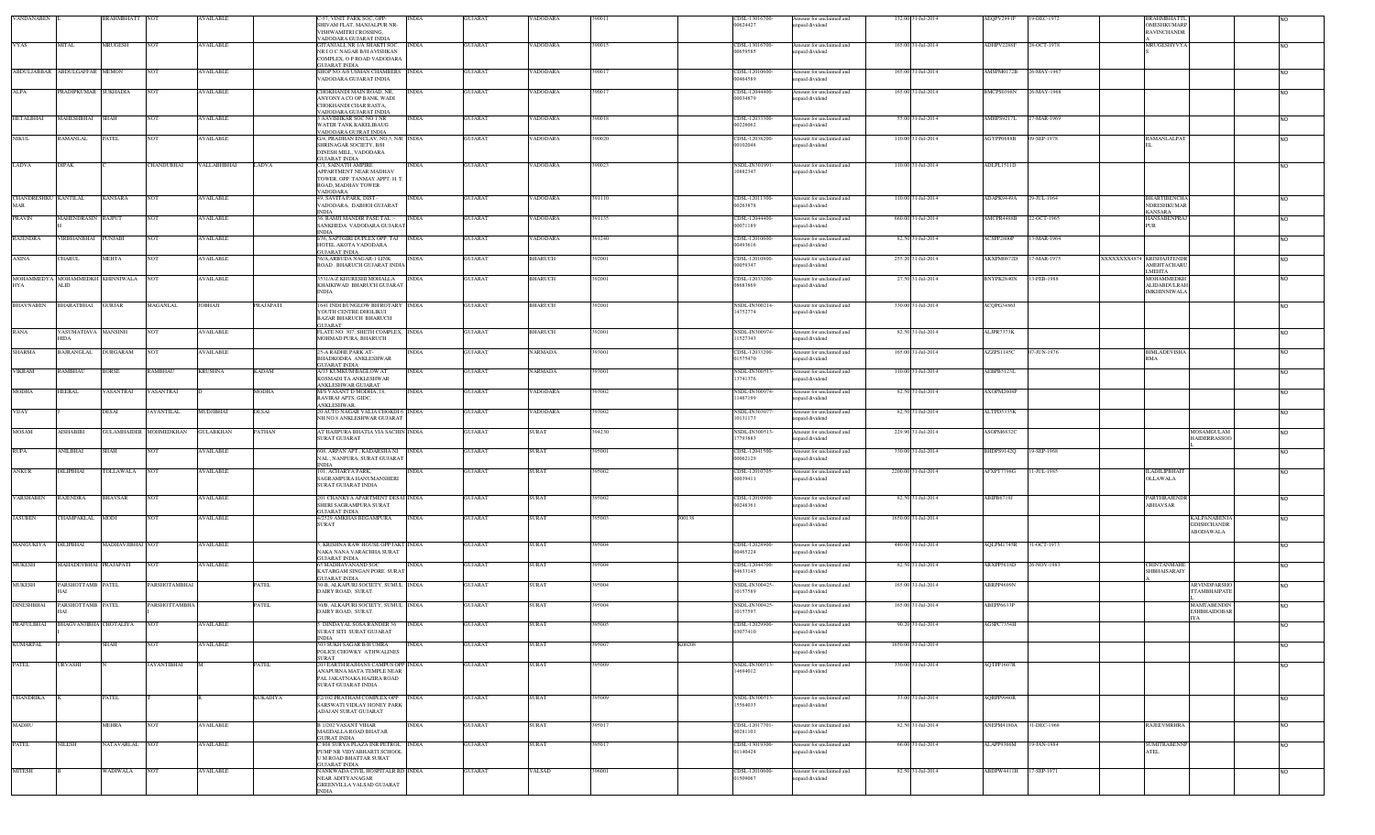| VANDANABEN                  |                                              | BRAHMBHATT NOT   |                               | <b>AVAILABLE</b> |              | -57, VINIT PARK SOC, OPP-<br>SHIVAM FLAT, MANJALPUR NR-<br>VISHWAMITRI CROSSING.                                     | <b>INDIA</b> | GUJARAT        | VADODARA       | 390011 |        | CDSL-13016700<br>00624427        | Amount for unclaimed and<br>apaid dividend | 132.00 31-Jul-2014  | AEQPV2991F | 19-DEC-1972 | <b>BRAHMBHAT</b><br>OMESHKUMARP<br><b>RAVINCHANDR</b>                            |                |
|-----------------------------|----------------------------------------------|------------------|-------------------------------|------------------|--------------|----------------------------------------------------------------------------------------------------------------------|--------------|----------------|----------------|--------|--------|----------------------------------|--------------------------------------------|---------------------|------------|-------------|----------------------------------------------------------------------------------|----------------|
| <b>VYAS</b>                 | MITAL                                        | <b>MRUGESH</b>   | <b>NOT</b>                    | <b>AVAILABLE</b> |              | VADODARA GUJARAT INDIA<br>GITANJALI, NR 1/A SHAKTI SOC.<br>NR I O C NAGAR B/H AVISHKAN<br>COMPLEX, O P ROAD VADODARA | <b>INDIA</b> | <b>GUJARAT</b> | VADODARA       | 390015 |        | CDSL-13016700<br>00659585        | Amount for unclaimed and<br>npaid dividend | 165.00 31-Jul-2014  | ADHPV2288F | 28-OCT-1978 | MRUGESHYVYA                                                                      | <b>NO</b>      |
| ABDULJABBAR                 | ABDULGAFFAR MEMON                            |                  | NOT                           | <b>AVAILABLE</b> |              | GUIARAT INDIA<br>SHOP NO.A/8 USMAN CHAMBERS INDIA<br>VADODARA GUJARAT INDIA                                          |              | <b>GUJARAT</b> | VADODARA       | 390017 |        | CDSL-12010600-<br>0464589        | Amount for unclaimed and<br>apaid dividend | 165.00 31-Jul-2014  | AMSPM0172B | 26-MAY-1967 |                                                                                  | <b>NO</b>      |
| ALPA                        | PRADIPKUMAR SUKHADIA                         |                  | NOT                           | <b>AVAILABLE</b> |              | CHOKHANDI MAIN ROAD, NR,<br>ANYONYA CO OP BANK, WADI                                                                 | <b>INDIA</b> | <b>GUJARAT</b> | VADODARA       | 390017 |        | CDSL-12044400<br>00034879        | Amount for unclaimed and<br>apaid dividend | 165.00 31-Jul-2014  | BMCPS0398N | 26-MAY-1968 |                                                                                  | <b>NO</b>      |
| <b>HETALBHAI</b>            | MAHESHBHAI                                   | <b>SHAH</b>      | <b>NOT</b>                    | <b>AVAILABLE</b> |              | CHOKHANDI CHAR RASTA,<br>VADODARA GUJARAT INDIA<br>3 AAVISHKAR SOC NO 1 NR                                           | <b>INDIA</b> | <b>GUJARAT</b> | VADODARA       | 390018 |        | CDSL-12033300                    | Amount for unclaimed and                   | 55.00 31-Jul-2014   | AMHPS9217L | 27-MAR-1969 |                                                                                  | <b>NO</b>      |
| <b>NIKUL</b>                | RAMANLAL                                     | <b>PATEL</b>     | <b>NOT</b>                    | <b>AVAILABLE</b> |              | WATER TANK KARELIBAUG<br>VADODARA GUJRAT INDIA<br>G/4, PRADHAN ENCLAV, NO.3, N/R INDIA                               |              | <b>GUJARAT</b> | VADODARA       | 390020 |        | 00226062<br>CDSL-12038200        | apaid dividend<br>Amount for unclaimed and | 110.00 31-Jul-2014  | AGYPP0688E | 09-SEP-1978 | <b>RAMANLALPAT</b>                                                               | <b>NO</b>      |
|                             |                                              |                  |                               |                  |              | SHRINAGAR SOCIETY, B/H<br>DINESH MILL, VADODARA<br><b>GUJARAT INDIA</b>                                              |              |                |                |        |        | 00102048                         | npaid dividend                             |                     |            |             |                                                                                  |                |
| LADVA                       | <b>DIPAK</b>                                 |                  | <b>HANDUBHAI</b>              | VALLABHBHAI      | LADVA        | C/I. SAINATH AMPIRE<br>APPARTMENT NEAR MADHAV<br>TOWER, OPP. TANMAY APPT. H. T.<br>ROAD, MADHAV TOWER<br>VADODARA    | <b>INDIA</b> | <b>GUJARAT</b> | VADODARA       | 390023 |        | NSDL-IN301991<br>10882347        | Amount for unclaimed and<br>npaid dividend | 110.00 31-Jul-2014  | ADLPL1511D |             |                                                                                  | N <sub>O</sub> |
| CHANDRESHKU KANTILAL<br>MAR |                                              | <b>KANSARA</b>   | NOT                           | AVAILABLE        |              | <b>49 SAVITA PARK DIST</b><br>VADODARA, DABHOI GUJARAT<br><b>INDIA</b>                                               | <b>INDIA</b> | <b>GUJARAT</b> | VADODARA       | 391110 |        | CDSL-12011300<br>00263878        | Amount for unclaimed and<br>apaid dividend | 110.00 31-Jul-2014  | ADAPK9449A | 29-JUL-1964 | <b>BHARTIBENCHA</b><br><b>NDRESHKUMAR</b><br><b>KANSARA</b>                      | <b>NO</b>      |
| <b>PRAVIN</b>               | <b>MAHENDRASIN RAJPUT</b>                    |                  | <b>NOT</b>                    | AVAILABLE        |              | 36, RAMJI MANDIR PASE TAL:-<br>SANKHEDA VADODARA GUJARAT<br><b>NDIA</b>                                              | <b>INDIA</b> | GUJARAT        | VADODARA       | 391135 |        | CDSL-12044400<br>00071189        | Amount for unclaimed and<br>npaid dividend | 660.00 31-Jul-2014  | AMCPR4488B | 22-OCT-1965 | <b>HANSABENPRAI</b><br>PUR                                                       | N <sub>O</sub> |
| <b>RAJENDRA</b>             | IRBHANBHAI PUNJABI                           |                  | NOT                           | <b>VAILABLE</b>  |              | 1/36, SAPTGIRI DUPLEX OPP: TAJ INDIA<br>HOTEL AKOTA VADODARA<br><b>GUJARAT INDIA</b>                                 |              | <b>JUJARAT</b> | <b>ADODARA</b> | 391240 |        | CDSL-12010600<br>00493616        | mount for unclaimed and<br>npaid dividend  | 82.50 31-Jul-2014   | ACSPP2800P | 3-MAR-1964  |                                                                                  | N <sub>O</sub> |
| AXINA                       | <b>HARUL</b>                                 | MEHTA            | NOT                           | AVAILABLE        |              | 66/A, ARBUDA NAGAR-1 LINK<br>ROAD . BHARUCH GUJARAT INDIA                                                            | <b>INDIA</b> | GUJARAT        | BHARUCH        | 392001 |        | CDSL-12010800<br>00059347        | mount for unclaimed and<br>npaid dividend  | 255.20 31-Jul-2014  | AKXPM0872D | 7-MAR-1975  | <b>CXXXXXXX4874 KRISHAJITENDR</b><br>AMEHTACHARU                                 | N <sub>O</sub> |
| HYA                         | MOHAMMEDYA MOHAMMEDKH KHINNIWALA NOT<br>ALID |                  |                               | AVAILABLE        |              | 531/A-Z KHURESHI MOHALLA<br>KHAIKIWAD BHARUCH GUJARAT<br>INDIA                                                       | <b>INDIA</b> | <b>GUJARAT</b> | <b>BHARUCH</b> | 392001 |        | CDSL-12033200<br>08683869        | mount for unclaimed and<br>npaid dividend  | 27.50 31-Jul-2014   | BNYPK2840N | 3-FEB-1988  | <b>LMEHTA</b><br><b>MOHAMMEDKE</b><br><b>ALIDABDULRAH</b><br><b>IMKHINNIWALA</b> | <b>NO</b>      |
| <b>BHAVNABEN</b>            | BHARATBHAI                                   | <b>GURJAR</b>    | MAGANLAL                      | <b>JOBHAJI</b>   | PRAJAPATI    | 1641 INDI BUNGLOW BH ROTARY INDIA<br>YOUTH CENTRE DHOLIKUI<br><b>BAZAR BHARUCH BHARUCH</b>                           |              | <b>GUJARAT</b> | BHARUCH        | 392001 |        | NSDL-IN300214<br>14752774        | Amount for unclaimed and<br>npaid dividend | 330.00 31-Jul-2014  | ACQPG3486J |             |                                                                                  | <b>NO</b>      |
| RANA                        | /ASUMATIAVA MANSINH                          |                  | NOT                           | <b>AVAILABLE</b> |              | GUJARAT<br>FLATE NO. 307, SHETH COMPLEX, INDIA<br>MOHMAD PURA, BHARUCH                                               |              | <b>JUJARAT</b> | <b>BHARUCH</b> | 392001 |        | NSDL-IN300974<br>1527343         | mount for unclaimed and<br>npaid dividend  | 82.50 31-Jul-2014   | ALJPR7373K |             |                                                                                  | <b>NO</b>      |
| <b>SHARMA</b>               | BAJRANGLAL                                   | DURGARAM         | <b>NOT</b>                    | <b>AVAILABLE</b> |              | 25-A RADHE PARK AT-<br>BHADKODRA ANKLESHWAR<br><b>GUJARAT INDIA</b>                                                  | INDIA        | <b>GUJARAT</b> | NARMADA        | 393001 |        | CDSL-12033200<br>01575470        | Amount for unclaimed and<br>npaid dividend | 165.00 31-Jul-2014  | AZZPS1145C | 07-JUN-1976 | <b>BIMLADEVISHA</b><br><b>RMA</b>                                                | <b>NO</b>      |
| <b>VIKRAM</b>               | RAMBHAU                                      | BORSE            | <b>RAMBHAU</b>                | <b>KRUSHNA</b>   | <b>KADAM</b> | A/13 KUMKUM BAGLOW AT<br>KOSMADI TA ANKLESHWAR<br>ANKLESHWAR GUJARAT                                                 | <b>INDIA</b> | <b>GUJARAT</b> | <b>NARMADA</b> | 393001 |        | NSDL-IN300513<br>13741376        | Amount for unclaimed and<br>npaid dividend | 110.00 31-Jul-2014  | AEBPB5123L |             |                                                                                  | <b>NO</b>      |
| <b>MODHA</b>                | <b>HEERAL</b>                                | VASANTRAI        | VASANTRAI                     |                  | MODHA        | M/S VASANT D MODHA, 18,<br>RAVIRAJ APTS, GIDC.<br>ANKLESHWAR.                                                        | <b>INDIA</b> | <b>GUJARAT</b> | VADODARA       | 393002 |        | NSDL-IN300974<br>11467199        | Amount for unclaimed and<br>npaid dividend | 82.50 31-Jul-2014   | AXOPM2608P |             |                                                                                  | <b>NO</b>      |
| VIJAY                       |                                              | DESAI            | <b>JAYANTILAL</b>             | MUDJIBHAI        | <b>DESAI</b> | 20 AUTO NAGAR VALIA CHOKDI 6 INDIA<br>NH NO 8 ANKLESHWAR GUJARAT                                                     |              | <b>GUJARAT</b> | VADODARA       | 393002 |        | NSDL-IN303077<br>10131173        | Amount for unclaimed and<br>npaid dividend | 82.50 31-Jul-2014   | ALTPD5335K |             |                                                                                  | N <sub>O</sub> |
| <b>MOSAM</b>                | AISHABIBI                                    |                  | <b>GULAMHAIDER MOHMEDKHAN</b> | <b>GULABKHAN</b> | PATHAN       | AT HAJIPURA BHATIA VIA SACHIN INDIA<br>SURAT GUJARAT                                                                 |              | <b>GUJARAT</b> | <b>SURAT</b>   | 394230 |        | NSDL-IN300513<br>7793883         | Amount for unclaimed and<br>apaid dividend | 229.90 31-Jul-2014  | ASOPM6832C |             | MOSAMGULAM<br><b>HAIDERRASSOO</b>                                                | <b>NO</b>      |
| <b>RUPA</b>                 | ANILBHAI                                     | <b>SHAH</b>      | NOT                           | <b>AVAILABLE</b> |              | 608. ARPAN APT., KADARSHA NI INDIA<br>NAL, NANPURA, SURAT GUJARAT<br><b>INDIA</b>                                    |              | <b>GUJARAT</b> | <b>SURAT</b>   | 395001 |        | CDSL-12041500<br>00062129        | Amount for unclaimed and<br>npaid dividend | 330.00 31-Jul-2014  | BHDPS9142O | 9-SEP-1968  |                                                                                  | N <sub>O</sub> |
| ANKUR                       | DILIPBHAI                                    | TOLLAWALA        | <b>NOT</b>                    | <b>AVAILABLE</b> |              | 101, ACHARYA PARK,<br>SAGRAMPURA HANUMANSHERI<br>SURAT GUJARAT INDIA                                                 | <b>INDIA</b> | <b>GUJARAT</b> | <b>SURAT</b>   | 395002 |        | CDSL-12010705<br>00039411        | Amount for unclaimed and<br>npaid dividend | 2200.00 31-Jul-2014 | AFXPT7798G | 11-JUL-1985 | <b>ILADILIPBHAIT</b><br>OLLAWALA                                                 | N <sub>O</sub> |
| VARSHABEN                   | RAJENDRA                                     | <b>BHAVSAR</b>   | NOT                           | AVAILABLE        |              | 201 CHANKYA APARTMENT DESAI INDIA<br>SHERI SAGRAMPURA SURAT<br><b>GUIARAT INDIA</b>                                  |              | GUJARAT        | SURAT          | 395002 |        | CDSL-12010900<br>0248361         | Amount for unclaimed and<br>npaid dividend | 82.50 31-Jul-2014   | ABIPB6719J |             | PARTHRAJENDR<br>ABHAVSAR                                                         | <b>NO</b>      |
| <b>JASUBEN</b>              | <b>HAMPAKLAL</b>                             | <b>MODI</b>      | NOT                           | AVAILABLE        |              | 4/2529 AMKHAS BEGAMPURA<br><b>SURAT</b>                                                                              | <b>INDIA</b> | GUJARAT        | SURAT          | 395003 | J00138 |                                  | mount for unclaimed and<br>npaid dividend  | 1650.00 31-Jul-2014 |            |             | <b>CALPANABENJ</b><br><b>GDISHCHANDR</b><br><b>ABODAWALA</b>                     | <b>NO</b>      |
| MANGUKIYA                   | DILIPBHAI                                    | MADHAVJIBHAI NOT |                               | <b>AVAILABLE</b> |              | 5, KRISHNA RAW HOUSE OPP JAKT INDIA<br>NAKA NANA VARACHHA SURAT<br><b>GUJARAT INDIA</b>                              |              | <b>JUJARAT</b> | SURAT          | 395004 |        | CDSL-12028900<br>00465224        | mount for unclaimed and<br>npaid dividend  | 440.00 31-Jul-2014  | AQLPM1745R | 31-OCT-1973 |                                                                                  | N <sub>O</sub> |
| <b>MUKESH</b>               | MAHADEVBHAI PRAJAPATI                        |                  | NOT                           | AVAILABLE        |              | 55 MADHAVANAND SOO<br>KATARGAM SINGAN PORE SURAT<br><b>GUJARAT INDIA</b>                                             | <b>INDIA</b> | <b>GUJARAT</b> | SURAT          | 395004 |        | CDSL-12044700<br>14633145        | Amount for unclaimed and<br>npaid dividend | 82.50 31-Jul-2014   | ARXPP5618E | 26-NOV-1983 | <b>CHINTANMAH</b><br>SHBHAISARAIY                                                | N <sub>O</sub> |
| <b>MUKESH</b>               | PARSHOTTAMB PATEL                            |                  | PARSHOTAMBHAI                 |                  | PATEL        | 30-B, ALKAPURI SOCIETY, SUMUL INDIA<br>DAIRY ROAD, SURAT.                                                            |              | <b>GUJARAT</b> | <b>SURAT</b>   | 395004 |        | NSDL-IN300425<br>10157589        | Amount for unclaimed and<br>apaid dividend | 165.00 31-Jul-2014  | ABRPP4699N |             | <b>ARVINDPARSHO</b><br>TTAMBHAIPATE                                              | <b>NO</b>      |
| <b>DINESHBHAI</b>           | PARSHOTTAMB PATEL                            |                  | <b>PARSHOTTAMBHA</b>          |                  | <b>PATEL</b> | 30/B, ALKAPURI SOCIETY, SUMUL INDIA<br>DAIRY ROAD, SURAT.                                                            |              | <b>GUJARAT</b> | <b>SURAT</b>   | 395004 |        | <b>NSDL-IN300425</b><br>10157597 | Amount for unclaimed and<br>npaid dividend | 165.00 31-Jul-2014  | ABEPP6633F |             | <b>MAMTABENDIN</b><br><b>ESHBHAIDOBAR</b>                                        | <b>NO</b>      |
| PRAFULBHAI                  | BHAGVANJIBHA CHOTALIYA                       |                  | <b>NOT</b>                    | <b>AVAILABLE</b> |              | DINDAYAL SOSA RANDER 36<br>SURAT SITI SURAT GUJARAT<br><b>INDIA</b>                                                  | <b>INDIA</b> | <b>GUJARAT</b> | <b>SURAT</b>   | 395005 |        | CDSL-12029900-<br>03077410       | Amount for unclaimed and<br>npaid dividend | 90.20 31-Jul-2014   | AGSPC7354H |             |                                                                                  | N <sub>O</sub> |
| <b>KUMARPAL</b>             |                                              | <b>SHAH</b>      | NOT                           | <b>AVAILABLE</b> |              | 503 SUKH SAGAR B/H UMRA<br>POLICE CHOWKY ATHWALINES<br>SURAT                                                         | <b>INDIA</b> | <b>GUJARAT</b> | <b>SURAT</b>   | 395007 | K00208 |                                  | Amount for unclaimed and<br>npaid dividend | 1650.00 31-Jul-2014 |            |             |                                                                                  | <b>NO</b>      |
| <b>PATEL</b>                | URVASHI                                      |                  | <b>JAYANTIBHAI</b>            |                  | PATEL        | 203 EARTH RAJHANS CAMPUS OPP INDIA<br>ANAPURNA MATA TEMPLE NEAR<br>PAL JAKATNAKA HAZIRA ROAD<br>SURAT GUJARAT INDIA  |              | <b>GUJARAT</b> | <b>SURAT</b>   | 395009 |        | NSDL-IN300513-<br>14694012       | Amount for unclaimed and<br>npaid dividend | 330.00 31-Jul-2014  | AQTPP1607R |             |                                                                                  | <b>NO</b>      |
| <b>CHANDRIKA</b>            |                                              | <b>PATEL</b>     |                               |                  | KUKADIYA     | F2/102 PRATHAM COMPLEX OPP INDIA<br>SARSWATI VIDLAY HONEY PARK<br>ADAJAN SURAT GUJARAT                               |              | <b>GUJARAT</b> | SURAT          | 395009 |        | NSDL-IN300513-<br>15564033       | Amount for unclaimed and<br>mpaid dividend | 33.00 31-Jul-2014   | AQRPP9940R |             |                                                                                  | <b>NO</b>      |
| MADHU                       |                                              | MEHRA            | NOT                           | AVAILABLE        |              | <b>B 1/202 VASANT VIHAR</b><br>MAGDALLA ROAD BHATAR                                                                  | <b>INDIA</b> | <b>GUJARAT</b> | <b>SURAT</b>   | 395017 |        | CDSL-12017701<br>00281101        | Amount for unclaimed and<br>npaid dividend | 82.50 31-Jul-2014   | ANEPM4180A | 31-DEC-1968 | RAJEEVMRHRA                                                                      | N <sub>O</sub> |
| <b>PATEL</b>                | NILESH                                       | NATAVARLAL NOT   |                               | <b>AVAILABLE</b> |              | GUJRAT INDIA<br>C 808 SURYA PLAZA INR PETROL INDIA<br>PUMP NR VIDYABHARTI SCHOOL<br>U M ROAD BHATTAR SURAT           |              | GUJARAT        | SURAT          | 395017 |        | CDSL-13019300<br>01140424        | Amount for unclaimed and<br>npaid dividend | 66.00 31-Jul-2014   | ALAPP9366M | 19-JAN-1984 | <b>SUMITRABENNE</b><br><b>ATEL</b>                                               | <b>NO</b>      |
| <b>MITESH</b>               |                                              | WADIWALA         | NOT                           | AVAILABLE        |              | <b>GUJARAT INDIA</b><br>NANKWADA CIVIL HOSPITALR RD INDIA<br>NEAR ADITYANAGAR                                        |              | <b>GUJARAT</b> | VALSAD         | 396001 |        | CDSL-12010600<br>1509067         | Amount for unclaimed and<br>apaid dividend | 82.50 31-Jul-2014   | ABDPW4411H | 17-SEP-1971 |                                                                                  | N <sub>O</sub> |
|                             |                                              |                  |                               |                  |              | <b>GREENVILLA VALSAD GUJARAT</b><br>INDIA                                                                            |              |                |                |        |        |                                  |                                            |                     |            |             |                                                                                  |                |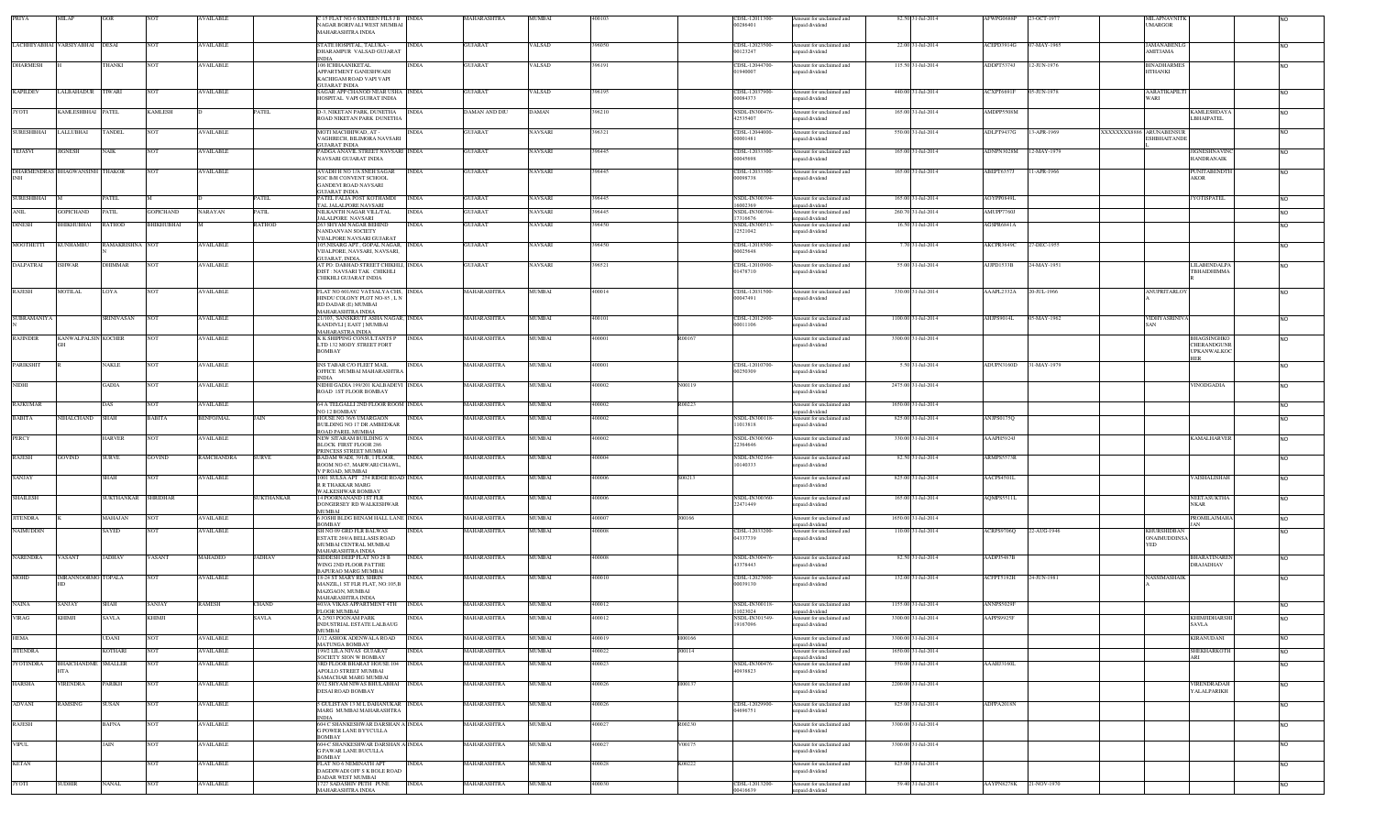| PRIYA                               | MILAP                          | GOR             | <b>NOT</b>       | <b>AVAILABLE</b>                     |                       | C 15 FLAT NO 6 SIXTEEN FILS J B NDIA<br>NAGAR BORIVALI WEST MUMBAI<br>MAHARASHTRA INDIA                         |                              | MAHARASHTRA                | MUMBAI           | 400103           |        | CDSL-12011300-<br>00286401                | Amount for unclaimed and<br>unpaid dividend                             | 82.50 31-Jul-2014                          | AFWPG0688P               | 23-OCT-1977 |                         | MILAPNAVNITK<br><b>UMARGOR</b>            |                                                  |                        |
|-------------------------------------|--------------------------------|-----------------|------------------|--------------------------------------|-----------------------|-----------------------------------------------------------------------------------------------------------------|------------------------------|----------------------------|------------------|------------------|--------|-------------------------------------------|-------------------------------------------------------------------------|--------------------------------------------|--------------------------|-------------|-------------------------|-------------------------------------------|--------------------------------------------------|------------------------|
|                                     | LACHHIYABHAI VARSIYABHAI DESAI |                 | NOT              | <b>AVAILABLE</b>                     |                       | STATE HOSPITAL, TALUKA -<br>DHARAMPUR VALSAD GUJARAT<br><b>NDIA</b>                                             | <b>INDIA</b>                 | GUJARAT                    | VALSAD           | 396050           |        | CDSL-12023500-<br>00123247                | Amount for unclaimed and<br>npaid dividend                              | 22.00 31-Jul-2014                          | ACEPD3914G               | 07-MAY-1965 |                         | <b>AMANABENLO</b><br>AMITJAMA             |                                                  | N <sub>O</sub>         |
| <b>DHARMESH</b>                     |                                | <b>THANKI</b>   | NOT              | <b>AVAILABLE</b>                     |                       | 106 ICHHAANIKETAL<br>APPARTMENT GANESHWADI<br>KACHIGAM ROAD VAPI VAPI                                           | <b>NDIA</b>                  | <b>GUJARAT</b>             | VALSAD           | 396191           |        | CDSL-12044700-<br>01940007                | Amount for unclaimed and<br>npaid dividend                              | 115.50 31-Jul-2014                         | ADDPT5374J               | 12-JUN-1976 |                         | <b>BINADHARMES</b><br><b>HTHANKI</b>      |                                                  | <b>NO</b>              |
| <b>KAPILDEV</b>                     | LALBAHADUR TIWARI              |                 | <b>NOT</b>       | <b>AVAILABLE</b>                     |                       | <b>JUJARAT INDIA</b><br>SAGAR APP CHANOD NEAR USHA INDIA<br>HOSPITAL VAPI GUJRAT INDIA                          |                              | <b>GUJARAT</b>             | VALSAD           | 396195           |        | CDSL-12037900-<br>00084373                | Amount for unclaimed and<br>npaid dividend                              | 440.00 31-Jul-2014                         | ACXPT6691F               | 05-JUN-1978 |                         | <b>AARATIKAPILT</b><br><b>WARI</b>        |                                                  | <b>NO</b>              |
| <b>JYOTI</b>                        | KAMLESHBHAI PATEL              |                 | KAMLESH          |                                      | PATEL                 | D-3, NIKETAN PARK, DUNETHA<br>ROAD NIKETAN PARK DUNETHA                                                         | <b>INDIA</b>                 | DAMAN AND DIU              | DAMAN            | 396210           |        | <b>NSDL-IN300476</b><br>42535407          | Amount for unclaimed and<br>npaid dividend                              | 165.00 31-Jul-2014                         | AMDPP5508M               |             |                         | <b>LBHAIPATEL</b>                         | KAMLESHDAYA                                      | <b>NO</b>              |
| <b>SURESHBHAI</b>                   | LALLUBHAI                      | <b>TANDEL</b>   | NOT              | <b>AVAILABLE</b>                     |                       | MOTI MACHHIWAD, AT -<br>AGHRECH, BILIMORA NAVSARI<br><b>GUJARAT INDIA</b>                                       | <b>INDIA</b>                 | <b>GUJARAT</b>             | VAVSARI          | 396321           |        | CDSL-12044000-<br>00001481                | Amount for unclaimed and<br>npaid dividend                              | 550.00 31-Jul-2014                         | ADLPT9437G               | 13-APR-1969 | XXXXXXX8886 ARUNABENSUR | <b>ESHBHAITANDE</b>                       |                                                  | <b>NO</b>              |
| <b>TEJASVI</b>                      | JIGNESH                        | NAIK            | NOT              | <b>AVAILABLE</b>                     |                       | PADGA ANAVIL STREET NAVSARI INDIA<br>NAVSARI GUJARAT INDIA                                                      |                              | <b>GUJARAT</b>             | NAVSARI          | 396445           |        | CDSL-12033300-<br>00045698                | Amount for unclaimed and<br>apaid dividend                              | 165.00 31-Jul-2014                         | ADNPN3028M               | 12-MAY-1979 |                         | <b>HANDRANAIK</b>                         | <b>JIGNESHNAVINC</b>                             | <b>NO</b>              |
|                                     | DHARMENDRAS BHAGWANSINH THAKOR |                 | NOT              | <b>AVAILABLE</b>                     |                       | AVADH H NO 1/A SNEH SAGAR<br><b>SOC B/H CONVENT SCHOOL</b><br><b>GANDEVI ROAD NAVSARI</b>                       | <b>INDIA</b>                 | <b>GUJARAT</b>             | NAVSARI          | 396445           |        | CDSL-12033300-<br>00098738                | Amount for unclaimed and<br>npaid dividend                              | 165.00 31-Jul-2014                         | ABEPT6357J               | 11-APR-1966 |                         | AKOR                                      | <b>PUNITABENDTH</b>                              | N <sub>O</sub>         |
| <b>SURESHBHAI</b>                   |                                | PATEL           |                  |                                      | PATEL                 | <b>GUJARAT INDIA</b><br>PATEL FALIA POST KOTHAMDI<br><b>TAL JALALPORE NAVSARI</b>                               | <b>INDIA</b>                 | <b>GUJARAT</b>             | <b>NAVSARI</b>   | 396445           |        | NSDL-IN300394<br>99550001                 | Amount for unclaimed and<br>unpaid dividend                             | 165.00 31-Jul-2014                         | AOYPP0849L               |             |                         | YOTISPATEL                                |                                                  | <b>NO</b>              |
| ANIL                                | OPICHAND                       | <b>PATIL</b>    | <b>GOPICHAND</b> | <b>NARAYAN</b>                       | <b>PATIL</b>          | NILKANTH NAGAR VILL/TAL<br>JALALPORE NAVSARI                                                                    | <b>INDIA</b>                 | <b>GUJARAT</b>             | VAVSARI          | 396445           |        | NSDL-IN300394<br>17316676                 | mount for unclaimed and<br>unpaid dividend                              | 260.70 31-Jul-2014                         | AMUPP7760J               |             |                         |                                           |                                                  | N <sub>O</sub>         |
| <b>DINESH</b>                       | <b>HIKHUBHAI</b>               | RATHOD          | BHIKHUBHAI       |                                      | RATHOD                | 263 SHYAM NAGAR BEHIND<br>NANDANVAN SOCIETY<br>VIJALPORE NAVSARI GUJARAT                                        | <b>INDIA</b>                 | <b>GUJARAT</b>             | NAVSARI          | 396450           |        | NSDL-IN300513<br>12521042                 | Amount for unclaimed and<br>npaid dividend                              | 16.50 31-Jul-2014                          | AGSPR6841A               |             |                         |                                           |                                                  | <b>NO</b>              |
| <b>MOOTHETTI</b>                    | <b>KUNHAMBU</b>                | RAMAKRISHNA NOT |                  | <b>AVAILABLE</b>                     |                       | 05, NISARG APT., GOPAL NAGAR, INDIA<br>VIJALPORE, NAVSARI, NAVSARI,<br><b>HIJARAT INDIA</b>                     |                              | <b>GUJARAT</b>             | <b>NAVSARI</b>   | 396450           |        | CDSL-12018500-<br>00025648                | Amount for unclaimed and<br>npaid dividend                              | 7.70 31-Jul-2014                           | AKCPR3649C               | 27-DEC-1955 |                         |                                           |                                                  | <b>NO</b>              |
| DALPATRAI                           | SHWAR                          | DHIMMAR         | NOT              | <b>AVAILABLE</b>                     |                       | AT PO: DABHAD STREET CHIKHLI, INDIA<br>DIST : NAVSARI TAK : CHIKHLI<br>CHIKHLI GUJARAT INDIA                    |                              | <b>GUJARAT</b>             | NAVSARI          | 396521           |        | CDSL-12010900-<br>01478710                | mount for unclaimed and<br>inpaid dividend                              | 55.00 31-Jul-2014                          | AJJPD1533B               | 24-MAY-1951 |                         |                                           | LILABENDALPA<br>TBHAIDHIMMA                      | <b>NO</b>              |
| RAJESH                              | <b>MOTILAL</b>                 | LOYA            | NOT              | <b>AVAILABLE</b>                     |                       | FLAT NO 601/602 VATSALYA CHS, INDIA<br>HINDU COLONY PLOT NO-85, L N<br>RD DADAR (E) MUMBAI<br>MAHARASHTRA INDIA |                              | MAHARASHTRA                | MUMBAI           | 400014           |        | CDSL-12031500-<br>00047491                | Amount for unclaimed and<br>npaid dividend                              | 330.00 31-Jul-2014                         | AAAPL2332A               | 20-JUL-1966 |                         | <b>ANUPRITARLOY</b>                       |                                                  | <b>NO</b>              |
| SUBRAMANIYA                         |                                | SRINIVASAN      |                  | <b>AVAILABLE</b>                     |                       | 1/103, SANSKRUTI ASHA NAGAR, INDIA<br>KANDIVLI [ EAST ] MUMBAI<br><b>MAHARASTRA INDIA</b>                       |                              | MAHARASHTRA                | MUMBAI           | 100101           |        | CDSL-12012900<br>00011106                 | mount for unclaimed and<br>inpaid dividend                              | 1100.00 31-Jul-2014                        | AHJPS9014L               | 05-MAY-1962 |                         | VIDHYASRINIV<br>SAN                       |                                                  | <b>NO</b>              |
| <b>RAJINDER</b>                     | <b>KANWALPALSIN KOCHER</b>     |                 | NOT              | <b>AVAILABLE</b>                     |                       | K K SHIPPING CONSULTANTS P<br>LTD 132 MODY STREET FORT<br><b>BOMBAY</b>                                         | <b>INDIA</b>                 | MAHARASHTRA                | MUMBAI           | 400001           | R00167 |                                           | Amount for unclaimed and<br>unpaid dividend                             | 3300.00 31-Jul-2014                        |                          |             |                         | <b>HER</b>                                | BHAGSINGHKO<br>CHERANDGUNR<br><b>UPKANWALKOC</b> | <b>NO</b>              |
| <b>PARIKSHIT</b>                    |                                | NAKLE           | NOT              | <b>AVAILABLE</b>                     |                       | INS TABAR C/O FLEET MAIL<br>OFFICE MUMBAI MAHARASHTRA<br><b>INDIA</b>                                           | INDIA                        | MAHARASHTRA                | MUMBAI           | 400001           |        | CDSL-12010700-<br>00250309                | Amount for unclaimed and<br>npaid dividend                              | 5.50 31-Jul-2014                           | ADUPN3160D               | 31-MAY-1979 |                         |                                           |                                                  | <b>NO</b>              |
| NIDHI                               |                                | <b>GADIA</b>    | NOT              | <b>AVAILABLE</b>                     |                       | NIDHI GADIA 199/201 KALBADEVI INDIA<br>ROAD IST FLOOR BOMBAY                                                    |                              | <b>MAHARASHTRA</b>         | <b>MUMBAI</b>    | 400002           | N00119 |                                           | Amount for unclaimed and<br>npaid dividend                              | 2475.00 31-Jul-2014                        |                          |             |                         |                                           | <b>INODGADIA</b>                                 | <b>NO</b>              |
| <b>RAJKUMAR</b>                     |                                | DAS             | <b>NOT</b>       | <b>AVAILABLE</b>                     |                       | 64 A TELGALLI 2ND FLOOR ROOM INDIA                                                                              |                              | MAHARASHTRA                | MUMBAI           | 400002           | R00223 |                                           | mount for unclaimed and                                                 | 1650.00 31-Jul-2014                        |                          |             |                         |                                           |                                                  | <b>NO</b>              |
| <b>BABITA</b>                       | IHALCHAND                      | SHAH            | BABITA           | <b>BENFOJMAL</b>                     | <b>AIN</b>            | NO 12 BOMBAY<br>HOUSE NO 36/6 UMARGAON<br>BUILDING NO 17 DR AMBEDKAR                                            | <b>INDIA</b>                 | MAHARASHTRA                | <b>MUMBAI</b>    | 400002           |        | NSDL-IN300118-<br>11013818                | npaid dividend<br>Amount for unclaimed and<br>npaid dividend            | 825.00 31-Jul-2014                         | ANJPS0175Q               |             |                         |                                           |                                                  | <b>NO</b>              |
| <b>PERCY</b>                        |                                | HARVER          | <b>NOT</b>       | <b>AVAILABLE</b>                     |                       | ROAD PAREL MUMBAI<br>NEW SITARAM BUILDING 'A'<br><b>BLOCK FIRST FLOOR 286</b>                                   | <b>INDIA</b>                 | MAHARASHTRA                | MUMBAI           | 400002           |        | <b>NSDL-IN300360</b><br>22364646          | Amount for unclaimed and<br>inpaid dividend                             | 330.00 31-Jul-2014                         | AAAPH5924J               |             |                         |                                           | KAMALHARVER                                      | <b>NO</b>              |
| RAJESH                              | <b>GOVIND</b>                  | SURVE           | GOVIND           | <b>RAMCHANDRA</b>                    | <b>SURVE</b>          | PRINCESS STREET MUMBAI<br>BADAM WADI, 391/B, 1 FLOOR.<br>ROOM NO 67, MARWARI CHAWL,                             | <b>INDIA</b>                 | MAHARASHTRA                | MUMBAI           | 400004           |        | <b>NSDL-IN302164</b><br>10140333          | Amount for unclaimed and<br>npaid dividend                              | 82.50 31-Jul-2014                          | ARMPS5573R               |             |                         |                                           |                                                  | <b>NO</b>              |
| SANJAY                              |                                | SHAH            | NOT              | <b>AVAILABLE</b>                     |                       | V P ROAD, MUMBAI<br>1001 SULSA APT 254 RIDGE ROAD INDIA<br><b>R R THAKKAR MARG</b>                              |                              | <b>MAHARASHTRA</b>         | MUMBAI           | 100006           | S00213 |                                           | Amount for unclaimed and<br>inpaid dividend                             | 825.00 31-Jul-2014                         | AACPS4501L               |             |                         |                                           | AISHALISHAH                                      | <b>NO</b>              |
| SHAILESH                            |                                | SUKTHANKAR      | SHRIDHAR         |                                      | SUKTHANKAR            | WALKESHWAR BOMBAY<br>14 POORNANAND 1ST FLR<br>DONGERSEY RD WALKESHWAR<br>MUMBAI                                 | <b>INDIA</b>                 | MAHARASHTRA                | MUMBAI           | 400006           |        | <b>NSDL-IN300360</b><br>22471449          | mount for unclaimed and<br>inpaid dividend                              | 165.00 31-Jul-2014                         | AQMPS5511L               |             |                         | <b>NKAR</b>                               | NEETASUKTHA                                      | <b>NO</b>              |
| <b>JITENDRA</b>                     |                                | MAHAJAN         | NOT              | <b>AVAILABLE</b>                     |                       | 6 JOSHI BLDG BENAM HALL LANE INDIA<br>BOMBAY                                                                    |                              | MAHARASHTRA                | MUMBAI           | 400007           | J00166 |                                           | Amount for unclaimed and                                                | 1650.00 31-Jul-2014                        |                          |             |                         |                                           | <b>PROMILAJMAHA</b>                              | <b>NO</b>              |
| NAIMUDDIN                           |                                | SAYED           | NOT              | <b>AVAILABLE</b>                     |                       | SH NO 09 GRD FLR BALWAS<br>ESTATE 269/A BELLASIS ROAD<br>MUMBAI CENTRAL MUMBAI                                  | <b>INDIA</b>                 | <b>MAHARASHTRA</b>         | MUMBAI           | 100008           |        | CDSL-12033200-<br>04337739                | unpaid dividend<br>Amount for unclaimed and<br>inpaid dividend          | 110.00 31-Jul-2014                         | ACRPS9706Q               | 22-AUG-1946 |                         | <b>KHURSHIDBAN</b><br>ONAIMUDDINSA<br>YED |                                                  | INO.                   |
| <b>NARENDRA</b>                     | VASANT                         | <b>JADHAV</b>   | VASANT           | MAHADEO                              | JADHAV                | <b>MAHARASHTRA INDIA</b><br>SIDDESH DEEP FLAT NO 28 B<br>WING 2ND FLOOR PATTHE                                  | <b>INDIA</b>                 | MAHARASHTRA                | MUMBAI           | 400008           |        | NSDL-IN300476<br>43378443                 | Amount for unclaimed and<br>npaid dividend                              | 82.50 31-Jul-2014                          | AADPJ5487B               |             |                         | DRAJADHAV                                 | <b>BHARATINAREN</b>                              | <b>NO</b>              |
| MOHD                                | IMRANNOORMO TOPALA             |                 | NOT              | <b>AVAILABLE</b>                     |                       | BAPURAO MARG MUMBAI<br>18-24 ST MARY RD, SHRIN<br>MANZIL, 1 ST FLR FLAT, NO:105,B                               | <b>INDIA</b>                 | MAHARASHTRA                | MUMBAI           | 400010           |        | CDSL-12027000-<br>00039130                | Amount for unclaimed and<br>inpaid dividend                             | 132.00 31-Jul-2014                         | ACFPT5192H               | 24-JUN-1981 |                         | NASSIMASHAIK                              |                                                  | <b>NO</b>              |
|                                     |                                |                 |                  |                                      |                       | <b>MAZGAON, MUMBAI</b><br>MAHARASHTRA INDIA                                                                     |                              |                            |                  |                  |        |                                           |                                                                         |                                            |                          |             |                         |                                           |                                                  |                        |
| <b>NAINA</b><br><b>VIRAG</b>        | <b>ANJAY</b><br><b>KHIMJI</b>  | SHAH<br>SAVLA   | SANJAY<br>KHIMJI | <b>RAMESH</b>                        | CHAND<br><b>SAVLA</b> | 403/A VIKAS APPARTMENT 4TH<br>FLOOR MUMBAI<br>A 2/503 POONAM PARK                                               | <b>INDIA</b><br><b>INDIA</b> | MAHARASHTRA<br>MAHARASHTRA | MUMBAI<br>MUMBAI | 400012<br>400012 |        | NSDL-IN300118<br>1023024<br>NSDL-IN301549 | mount for unclaimed and<br>unpaid dividend<br>Amount for unclaimed and  | 1155.00 31-Jul-2014<br>3300.00.31-Jul-2014 | ANNPS5029F<br>AAPPS9925F |             |                         |                                           | KHIMJIDHARSHI                                    | <b>NO</b>              |
|                                     |                                |                 |                  |                                      |                       | INDUSTRIAL ESTATE LALBAUG<br><b>MUMBAI</b>                                                                      |                              |                            |                  |                  |        | 19167096                                  | npaid dividend                                                          |                                            |                          |             |                         | <b>SAVLA</b>                              |                                                  |                        |
| <b>HEMA</b>                         |                                | UDANI           | NOT              | <b>AVAILABLE</b>                     |                       | /12 ASHOK ADENWALA ROAD<br><b>MATUNGA BOMBAY</b>                                                                | <b>INDIA</b>                 | MAHARASHTRA                | MUMBAI           | 400019           | H00166 |                                           | mount for unclaimed and<br>inpaid dividend                              | 3300.00 31-Jul-2014                        |                          |             |                         | KIRANUDANI                                |                                                  | <b>NO</b>              |
| <b>JITENDRA</b><br><b>JYOTINDRA</b> | BHAICHANDME SMALLER            | KOTHARI         | NOT<br>NOT       | <b>AVAILABLE</b><br><b>AVAILABLE</b> |                       | 199/2 LILA NIVAS GUJARAT<br>SOCIETY SION W BOMBAY<br>3RD FLOOR BHARAT HOUSE 104                                 | <b>INDIA</b><br><b>INDIA</b> | MAHARASHTRA<br>MAHARASHTRA | MUMBAI<br>MUMBAI | 400022<br>400023 | J00114 | NSDL-IN300476-                            | Amount for unclaimed and<br>unpaid dividend<br>Amount for unclaimed and | 1650.00 31-Jul-2014<br>550.00 31-Jul-2014  | AAAHJ3160L               |             |                         | ARL                                       | SHEKHARKOTH                                      | <b>NO</b><br><b>NO</b> |
| <b>HARSHA</b>                       | IT A<br>VIRENDRA               | PARIKH          | NOT              | <b>AVAILABLE</b>                     |                       | APOLLO STREET MUMBAI<br><b>SAMACHAR MARG MUMBAI</b><br>9/12 SHYAM NIWAS BHULABHAI INDIA                         |                              | MAHARASHTRA                | MUMBAI           | 400026           | H00137 | 10938823                                  | unpaid dividend<br>Amount for unclaimed and                             | 2200.00 31-Jul-2014                        |                          |             |                         |                                           | VIRENDRADAH                                      | <b>NO</b>              |
| <b>ADVANI</b>                       | <b>RAMSING</b>                 | SUSAN           | NOT              | <b>AVAILABLE</b>                     |                       | DESAI ROAD BOMBAY<br>5 GULISTAN 13 M L DAHANUKAR INDIA                                                          |                              | MAHARASHTRA                | MUMBAI           | 400026           |        | CDSL-12029900-                            | unpaid dividend<br>Amount for unclaimed and                             | 825.00 31-Jul-2014                         | ADFPA2018N               |             |                         |                                           | YALALPARIKH                                      | <b>NO</b>              |
| RAJESH                              |                                | <b>BAFNA</b>    | <b>NOT</b>       | <b>AVAILABLE</b>                     |                       | MARG MUMBAI MAHARASHTRA<br><b>INDIA</b><br>604 C SHANKESHWAR DARSHAN A INDIA                                    |                              | MAHARASHTRA                | MUMBAI           | 400027           | R00230 | 4696751                                   | inpaid dividend<br>Amount for unclaimed and                             | 3300.00 31-Jul-2014                        |                          |             |                         |                                           |                                                  | <b>NO</b>              |
| <b>VIPUL</b>                        |                                | JAIN            | NOT              | <b>AVAILABLE</b>                     |                       | <b>G POWER LANE BYYCULLA</b><br><b>BOMBAY</b><br>604-C SHANKESHWAR DARSHAN A-INDIA                              |                              | MAHARASHTRA                | MUMBAI           | 400027           | V00175 |                                           | unpaid dividend<br>Amount for unclaimed and                             | 3300.00 31-Jul-2014                        |                          |             |                         |                                           |                                                  | <b>NO</b>              |
|                                     |                                |                 |                  |                                      |                       | <b>G PAWAR LANE BUCULLA</b><br><b>BOMBAY</b>                                                                    |                              |                            |                  |                  |        |                                           | unpaid dividend                                                         |                                            |                          |             |                         |                                           |                                                  |                        |
| <b>KETAN</b>                        |                                |                 | NOT              | <b>AVAILABLE</b>                     |                       | FLAT NO 6 NEMINATH APT<br>DAGDIWADI OFF S K BOLE ROAD<br><b>DADAR WEST MUMBAI</b>                               | <b>INDIA</b>                 | MAHARASHTRA                | MUMBAI           | 400028           | K00222 |                                           | Amount for unclaimed and<br>unpaid dividend                             | 825.00 31-Jul-2014                         |                          |             |                         |                                           |                                                  | <b>NO</b>              |
| <b>JYOTI</b>                        | <b>SUDHIR</b>                  | NANAL           | NOT              | <b>AVAILABLE</b>                     |                       | 727 SADASHIV PETH PUNE<br>MAHARASHTRA INDIA                                                                     | <b>INDIA</b>                 | MAHARASHTRA                | MUMBAI           | 400030           |        | CDSL-12013200-<br>00416639                | Amount for unclaimed and<br>unpaid dividend                             | 59.40 31-Jul-2014                          | AAYPN8278K               | 21-NOV-1970 |                         |                                           |                                                  | <b>NO</b>              |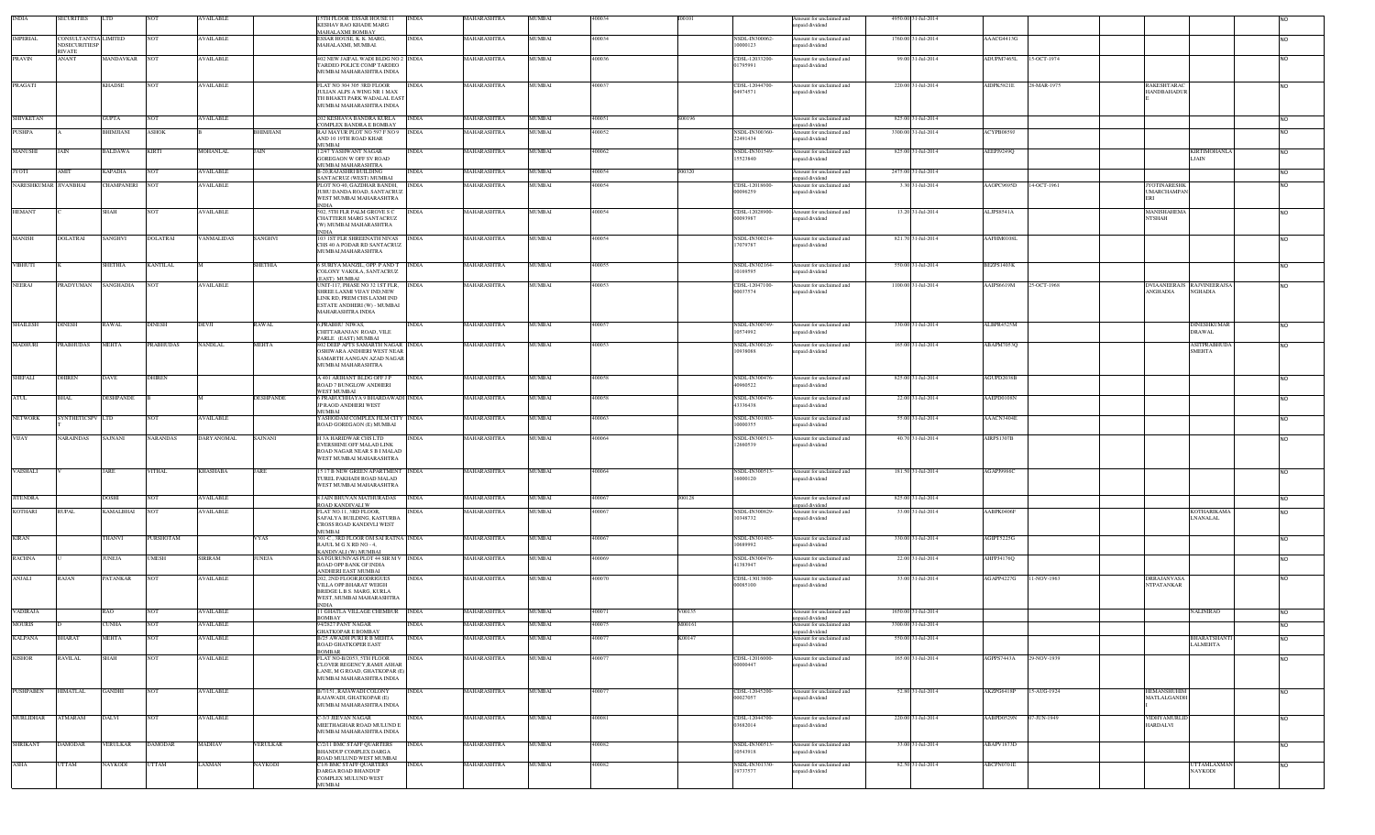| <b>INDIA</b>                          | <b>SECURITIES</b>                     |                                     |                          | AVAILABLE                            |                  | 5TH FLOOR ESSAR HOUSE 11<br><b>INDIA</b><br>KESHAV RAO KHADE MARG<br>MAHALAXMI ROMRAY                                                                                           | MAHARASHTRA                | MUMBAI           | 400034           |                  |                                  | Amount for unclaimed and<br>inpaid dividend | 4950.00 31-Jul-2014                     |                           |                                   |                                                     |                     |                        |
|---------------------------------------|---------------------------------------|-------------------------------------|--------------------------|--------------------------------------|------------------|---------------------------------------------------------------------------------------------------------------------------------------------------------------------------------|----------------------------|------------------|------------------|------------------|----------------------------------|---------------------------------------------|-----------------------------------------|---------------------------|-----------------------------------|-----------------------------------------------------|---------------------|------------------------|
| <b>IMPERIAL</b>                       | CONSULTANTSA LIMITED<br>NDSECURITIESP |                                     |                          | <b>AVAILABLE</b>                     |                  | <b>INDIA</b><br>ESSAR HOUSE, K. K. MARG<br>MAHALAXMI, MUMBAI.                                                                                                                   | MAHARASHTRA                | MUMBAI           | 400034           |                  | NSDL-IN300062-<br>10000123       | Amount for unclaimed and<br>npaid dividend  | 1760.00 31-Jul-2014                     | AAACG4413G                |                                   |                                                     |                     |                        |
| PRAVIN                                | RIVATE<br><b>ANANT</b>                | MANDAVKAR NOT                       |                          | <b>AVAILABLE</b>                     |                  | 02 NEW JAIFAL WADI BLDG NO 2 INDIA<br>TARDEO POLICE COMP TARDEO<br>MUMBAI MAHARASHTRA INDIA                                                                                     | MAHARASHTRA                | MUMBAI           | 400036           |                  | CDSL-12033200-<br>1795991        | Amount for unclaimed and<br>inpaid dividend | 99.00 31-Jul-2014                       | ADUPM7465L<br>15-OCT-1974 |                                   |                                                     |                     | <b>NO</b>              |
| PRAGATI                               |                                       | <b>KHADSE</b>                       | <b>NOT</b>               | <b>AVAILABLE</b>                     |                  | <b>INDIA</b><br>FLAT NO 304 305 3RD FLOOR<br>JULIAN ALPS A WING NR 1 MAX<br>TH BHAKTI PARK WADALAL EAST<br>MUMBAI MAHARASHTRA INDIA                                             | MAHARASHTRA                | MUMBAI           | 400037           |                  | CDSL-12044700<br>14974571        | mount for unclaimed and<br>npaid dividend   | 220.00 31-Jul-2014                      | AIDPK5821E<br>28-MAR-1975 | RAKESHTARAC<br><b>HANDBAHADUR</b> |                                                     |                     | <b>NO</b>              |
| SHIVKETAN                             |                                       | <b>GUPTA</b>                        | NOT                      | <b>AVAILABLE</b>                     |                  | 202 KESHAVA BANDRA KURLA<br><b>INDIA</b>                                                                                                                                        | MAHARASHTRA                | MUMBAI           | 400051           | S00196           |                                  | Amount for unclaimed and                    | 825.00 31-Jul-2014                      |                           |                                   |                                                     |                     | <b>NO</b>              |
| PUSHPA                                |                                       | BHIMJIANI                           | <b>ASHOK</b>             |                                      | BHIMJIANI        | COMPLEX BANDRA E BOMBAY<br>RAJ MAYUR PLOT NO 597 F NO 9 INDIA                                                                                                                   | <b>MAHARASHTRA</b>         | <b>MUMBAI</b>    | 400052           |                  | NSDL-IN300360-                   | npaid dividend<br>Amount for unclaimed and  | 3300.00 31-Jul-2014                     | ACYPB0859J                |                                   |                                                     |                     | <b>NO</b>              |
| MANUSHI                               | JAIN                                  | <b>BALDAWA</b>                      | <b>KIRTI</b>             | <b>MOHANLAL</b>                      | <b>JAIN</b>      | AND 10 19TH ROAD KHAR<br>MUMBAI<br>12/47 YASHWANT NAGAR<br><b>INDIA</b>                                                                                                         | MAHARASHTRA                | <b>MUMBAI</b>    | 400062           |                  | 22491434<br>NSDL-IN301549-       | inpaid dividend<br>Amount for unclaimed and | 825.00 31-Jul-2014                      | AEEPJ9249Q                |                                   |                                                     | <b>KIRTIMOHANLA</b> | <b>NO</b>              |
|                                       |                                       |                                     |                          |                                      |                  | <b>GOREGAON W OFF SV ROAD</b><br>MUMBAI MAHARASHTRA                                                                                                                             |                            |                  |                  |                  | 5523840                          | inpaid dividend                             |                                         |                           |                                   | LJAIN                                               |                     |                        |
| <b>JYOTI</b><br>NARESHKUMAR JIVANBHAI | AMIT                                  | <b>KAPADIA</b><br><b>CHAMPANERI</b> | <b>NOT</b><br><b>NOT</b> | <b>AVAILABLE</b><br><b>AVAILABLE</b> |                  | B-20, RAJASHRI BUILDING<br><b>INDIA</b><br>SANTACRUZ (WEST) MUMBAI<br><b>INDIA</b>                                                                                              | MAHARASHTRA<br>MAHARASHTRA | MUMBAI<br>MUMBAI | 400054<br>400054 | J00320           | CDSL-12018600-                   | Amount for unclaimed and<br>npaid dividend  | 2475.00 31-Jul-2014<br>3.30 31-Jul-2014 | 14-OCT-1961<br>AAOPC9695D | <b>JYOTINARESHK</b>               |                                                     |                     | <b>NO</b><br><b>NO</b> |
|                                       |                                       |                                     |                          |                                      |                  | PLOT NO 40, GAZDHAR BANDH,<br><b>IUHU DANDA ROAD SANTACRUZ</b><br>WEST MUMBAI MAHARASHTRA<br><b>INDIA</b>                                                                       |                            |                  |                  |                  | 00096259                         | Amount for unclaimed and<br>inpaid dividend |                                         |                           | <b>UMARCHAMPAN</b><br>ERI         |                                                     |                     |                        |
| <b>HEMANT</b>                         |                                       | <b>SHAH</b>                         | <b>NOT</b>               | <b>AVAILABLE</b>                     |                  | 502, 5TH FLR PALM GROVE S C<br><b>INDIA</b><br>CHATTERJI MARG SANTACRUZ<br>(W) MUMBAI MAHARASHTRA<br><b>INDIA</b>                                                               | MAHARASHTRA                | MUMBAI           | 400054           |                  | CDSL-12028900-<br>00093987       | Amount for unclaimed and<br>npaid dividend  | 13.20 31-Jul-2014                       | ALJPS8541A                | MANISHAHEMA<br><b>NTSHAH</b>      |                                                     |                     | <b>NO</b>              |
| <b>MANISH</b>                         | <b>DOLATRAI</b>                       | <b>SANGHVI</b>                      | <b>DOLATRAI</b>          | <b>VANMALIDAS</b>                    | SANGHVI          | 103 IST FLR SHREENATH NIVAS INDIA<br>CHS 40 A PODAR RD SANTACRUZ<br>MUMBAI, MAHARASHTRA                                                                                         | MAHARASHTRA                | MUMBAI           | 400054           |                  | NSDL-IN300214-<br>17079787       | Amount for unclaimed and<br>npaid dividend  | 821.70 31-Jul-2014                      | AAFHM0108L                |                                   |                                                     |                     | <b>NO</b>              |
| VIBHUTI                               |                                       | <b>SHETHIA</b>                      | <b>KANTILAL</b>          |                                      | SHETHIA          | 6 SURIYA MANZIL, OPP. P AND T<br><b>INDIA</b><br>COLONY VAKOLA, SANTACRUZ                                                                                                       | MAHARASHTRA                | <b>MUMBAI</b>    | 400055           |                  | <b>NSDL-IN302164</b><br>0169595  | Amount for unclaimed and<br>npaid dividend  | 550.00 31-Jul-2014                      | BEZPS1403K                |                                   |                                                     |                     | <b>NO</b>              |
| <b>NEERAJ</b>                         | PRADYUMAN                             | SANGHADIA                           |                          | AVAILABLE                            |                  | (EAST) MUMBAI<br>JNIT-117, PHASE NO 32 1ST FLR,<br><b>INDIA</b><br>SHREE LAXMI VIJAY IND.NEW<br>LINK RD, PREM CHS LAXMI IND<br>ESTATE ANDHERI (W) - MUMBAI<br>MAHARASHTRA INDIA | MAHARASHTRA                | MUMBAI           | 400053           |                  | CDSL-12047100-<br>00037574       | Amount for unclaimed and<br>npaid dividend  | 1100.00 31-Jul-2014                     | AAIPS6619M<br>25-OCT-1968 | ANGHADIA                          | <b>OVIAANEERAJS RAJVINEERAJSA</b><br><b>NGHADIA</b> |                     | N <sub>O</sub>         |
| <b>SHAILESH</b>                       | <b>DINESH</b>                         | <b>RAWAL</b>                        | DINESH                   | <b>DEVJI</b>                         | RAWAL.           | 6.PRABHU NIWAS.<br><b>NDIA</b><br>CHITTARANJAN ROAD, VILE                                                                                                                       | MAHARASHTRA                | <b>MUMBAI</b>    | 400057           |                  | NSDL-IN300749-<br>10574992       | Amount for unclaimed and<br>npaid dividend  | 330.00 31-Jul-2014                      | ALBPR4525M                |                                   | <b>DRAWAL</b>                                       | <b>DINESHKUMAR</b>  | <b>NO</b>              |
| MADHURI                               | <b>PRABHUDAS</b>                      | <b>MEHTA</b>                        | <b>PRABHUDAS</b>         | <b>NANDLAL</b>                       | MEHTA            | PARLE (EAST) MUMBAI<br>802 DEEP APTS SAMARTH NAGAR INDIA                                                                                                                        | MAHARASHTRA                | <b>MUMBAI</b>    | 400053           |                  | NSDL-IN300126-                   | Amount for unclaimed and                    | 165.00 31-Jul-2014                      | ABAPM7053Q                |                                   |                                                     | <b>ASITPRABHUDA</b> | <b>NO</b>              |
|                                       |                                       |                                     |                          |                                      |                  | OSHIWARA ANDHERI WEST NEAR<br>SAMARTH AANGAN AZAD NAGAR<br>MUMBAI MAHARASHTRA                                                                                                   |                            |                  |                  |                  | 10938088                         | inpaid dividend                             |                                         |                           |                                   | <b>SMEHTA</b>                                       |                     |                        |
| SHEFALI                               | DHIREN                                | DAVE                                | DHIREN                   |                                      |                  | A 401 ARIHANT BLDG OFF J P<br><b>NDIA</b><br>ROAD 7 BUNGLOW ANDHERI<br>WEST MUMBAI                                                                                              | MAHARASHTRA                | MUMBAI           | 400058           |                  | NSDL-IN300476-<br>10960522       | Amount for unclaimed and<br>npaid dividend  | 825.00 31-Jul-2014                      | AGUPD2038B                |                                   |                                                     |                     | <b>NO</b>              |
| ATUL                                  | BHAL.                                 | <b>DESHPANDE</b>                    |                          |                                      | <b>DESHPANDE</b> | 6 PRABUCHHAYA 9 BHARDAWADI INDIA<br>JP RAOD ANDHERI WEST<br><b>MUMBAI</b>                                                                                                       | MAHARASHTRA                | MUMBAI           | 400058           |                  | NSDL-IN300476<br>43336438        | Amount for unclaimed and<br>npaid dividend  | 22.00 31-Jul-2014                       | AAEPD0108N                |                                   |                                                     |                     | <b>NO</b>              |
| <b>NETWORK</b>                        | SYNTHETICSPV LTD                      |                                     | <b>NOT</b>               | <b>AVAILABLE</b>                     |                  | YASHODAM COMPLEX FILM CITY INDIA<br>ROAD GOREGAON (E) MUMBAI                                                                                                                    | <b>MAHARASHTRA</b>         | <b>MUMBAI</b>    | 400063           |                  | <b>NSDL-IN301803</b><br>10000355 | Amount for unclaimed and<br>npaid dividend  | 55.00 31-Jul-2014                       | AAACN3404E                |                                   |                                                     |                     | <b>NO</b>              |
| VIJAY                                 | <b>NARAINDAS</b>                      | SAJNANI                             | <b>NARANDAS</b>          | <b>DARYANOMAL</b>                    | SAJNANI          | H 3A HARIDWAR CHS LTD<br><b>INDIA</b><br>EVERSHINE OFF MALAD LINK<br>ROAD NAGAR NEAR S B I MALAD<br>WEST MUMBAI MAHARASHTRA                                                     | MAHARASHTRA                | MUMBAI           | 400064           |                  | NSDL-IN300513-<br>12660539       | Amount for unclaimed and<br>unpaid dividend | 40.70 31-Jul-2014                       | AIRPS1307B                |                                   |                                                     |                     | <b>NO</b>              |
| VAISHALI                              |                                       | <b>JARE</b>                         | <b>VITHAL</b>            | <b>KHASHABA</b>                      | <b>JARE</b>      | 15 17 B NEW GREEN APARTMENT INDIA<br><b>TUREL PAKHADI ROAD MALAD</b><br>WEST MUMBAI MAHARASHTRA                                                                                 | MAHARASHTRA                | MUMBAI           | 400064           |                  | NSDL-IN300513-<br>16000120       | Amount for unclaimed and<br>unpaid dividend | 181.50 31-Jul-2014                      | AGAPJ9986C                |                                   |                                                     |                     | <b>NO</b>              |
| <b>ITENDRA</b>                        |                                       | <b>DOSHI</b>                        |                          | <b>AVAILABLE</b>                     |                  | <b>GIAIN BHUVAN MATHURADAS</b><br><b>INDIA</b><br>ROAD KANDIVALI W                                                                                                              | MAHARASHTRA                | MUMBAI           | 400067           | J00128           |                                  | mount for unclaimed and<br>npaid dividend   | 825.00 31-Jul-2014                      |                           |                                   |                                                     |                     | <b>NO</b>              |
| <b>KOTHARI</b>                        | <b>RUPAL</b>                          | KAMALBHAI                           | NOT                      | <b>AVAILABLE</b>                     |                  | LAT NO.11, 3RD FLOOR<br>NDIA<br>SAFALYA BUILDING, KASTURBA<br>CROSS ROAD KANDIVLI WEST                                                                                          | MAHARASHTRA                | MUMBAI           | 400067           |                  | <b>SDL-IN300829-</b><br>10348732 | Amount for unclaimed and<br>inpaid dividend | 33.00 31-Jul-2014                       | AABPK0406F                |                                   | <b>COTHARIKAM</b><br><b>LNANALAL</b>                |                     | <b>NO</b>              |
| <b>KIRAN</b>                          |                                       | THANVI                              | PURSHOTAM                |                                      | VYAS             | MUMBAI<br>801-C, 3RD FLOOR OM SAI RATNA INDIA<br>RAJUL M G X RD NO - 4,<br><b>KANDIVALI (W) MUMBAI</b>                                                                          | MAHARASHTRA                | MUMBAI           | 400067           |                  | NSDL-IN301485<br>10689992        | Amount for unclaimed and<br>npaid dividend  | 330.00 31-Jul-2014                      | AGIPT5225G                |                                   |                                                     |                     | <b>NO</b>              |
| <b>RACHNA</b>                         |                                       | JUNEJA                              | UMESH                    | <b>SIRIRAM</b>                       | JUNEJA           | SATGURUNIVAS PLOT 44 SIR M V INDIA<br>ROAD OPP BANK OF INDIA<br><b>ANDHERI EAST MUMBAI</b>                                                                                      | MAHARASHTRA                | MUMBAI           | 400069           |                  | NSDL-IN300476-<br>11383947       | Amount for unclaimed and<br>npaid dividend  | 22.00 31-Jul-2014                       | AHFPJ4176Q                |                                   |                                                     |                     | <b>NO</b>              |
| ANJALI                                | <b>RAJAN</b>                          | <b>PATANKAR</b>                     | <b>NOT</b>               | <b>AVAILABLE</b>                     |                  | <b>INDIA</b><br>202. 2ND FLOOR.RODRIGUES<br>VILLA OPP.BHARAT WEIGH<br>BRIDGE L.B.S. MARG, KURLA<br>WEST, MUMBAI MAHARASHTRA<br><b>INDIA</b>                                     | MAHARASHTRA                | <b>MUMBAI</b>    | 400070           |                  | CDSL-13013800<br>00085100        | Amount for unclaimed and<br>inpaid dividend | 33.00 31-Jul-2014                       | AGAPP4227G<br>11-NOV-1963 | <b>DRRAJANVASA</b><br>NTPATANKAR  |                                                     |                     | <b>NO</b>              |
| <b>VADIRAJA</b>                       |                                       | <b>RAO</b>                          | <b>NOT</b>               | <b>AVAILABLE</b>                     |                  | 1 GHATLA VILLAGE CHEMBUR NDIA<br>BOMBAY                                                                                                                                         | MAHARASHTRA                | MUMBAI           | 400071           | V00135           |                                  | Amount for unclaimed and<br>unpaid dividend | 1650.00 31-Jul-2014                     |                           |                                   | NALINIRAO                                           |                     | <b>NO</b>              |
| <b>MOURIS</b>                         |                                       | <b>CUNHA</b>                        | <b>NOT</b><br><b>NOT</b> | <b>AVAILABLE</b>                     |                  | 94/2827 PANT NAGAR<br><b>INDIA</b><br><b>GHATKOPAR E BOMBAY</b>                                                                                                                 | MAHARASHTRA                | MUMBAI<br>MUMBAI | 400075           | M00161<br>K00147 |                                  | Amount for unclaimed and<br>unpaid dividend | 3300.00 31-Jul-2014                     |                           |                                   |                                                     |                     |                        |
| <b>KALPANA</b>                        | <b>BHARAT</b>                         | <b>MEHTA</b>                        |                          | <b>AVAILABLE</b>                     |                  | <b>INDIA</b><br>B/25 AWADH PURI R B MEHTA<br>ROAD GHATKOPER EAST<br><b>BOMBAR</b>                                                                                               | MAHARASHTRA                |                  | 400077           |                  |                                  | Amount for unclaimed and<br>inpaid dividend | 550.00 31-Jul-2014                      |                           |                                   | LALMEHTA                                            | BHARATSHANTI        | <b>NO</b>              |
| <b>KISHOR</b>                         | <b>RAVILAL</b>                        | <b>SHAH</b>                         | <b>NOT</b>               | <b>AVAILABLE</b>                     |                  | FLAT NO-B/2053, 5TH FLOOR<br><b>INDIA</b><br>CLOVER REGENCY, RAMJI ASHAR<br>LANE, M G ROAD, GHATKOPAR (E)<br>MUMBAI MAHARASHTRA INDIA                                           | MAHARASHTRA                | <b>MUMBAI</b>    | 400077           |                  | CDSL-12016000-<br>00000447       | Amount for unclaimed and<br>npaid dividend  | 165.00 31-Jul-2014                      | 29-NOV-1939<br>AGPPS7443A |                                   |                                                     |                     | <b>NO</b>              |
| PUSHPABEN                             | <b>HIMATLAL</b>                       | <b>GANDHI</b>                       | <b>NOT</b>               | <b>AVAILABLE</b>                     |                  | <b>INDIA</b><br>B/7/151, RAJAWADI COLONY<br>RAJAWADI, GHATKOPAR (E)<br>MUMBAI MAHARASHTRA INDIA                                                                                 | MAHARASHTRA                | MUMBAI           | 400077           |                  | CDSL-12045200-<br>00027057       | Amount for unclaimed and<br>inpaid dividend | 52.80 31-Jul-2014                       | AKZPG6418P<br>15-AUG-1924 | HEMANSHUHIM<br><b>MATLALGANDH</b> |                                                     |                     | N <sub>O</sub>         |
| <b>MURLIDHAR</b>                      | <b>ATMARAM</b>                        | DALVI                               | <b>NOT</b>               | <b>AVAILABLE</b>                     |                  | 3/3 JEEVAN NAGAR<br><b>INDIA</b><br>MEETHAGHAR ROAD MULUND E<br>MUMBAI MAHARASHTRA INDIA                                                                                        | MAHARASHTRA                | MUMBAI           | 400081           |                  | CDSL-12044700-<br>03682014       | Amount for unclaimed and<br>inpaid dividend | 220.00 31-Jul-2014                      | AABPD0529N<br>07-JUN-1949 | VIDHYAMURLID<br>HARDALVI          |                                                     |                     | <b>NO</b>              |
| <b>SHRIKANT</b>                       | <b>DAMODAR</b>                        | VERULKAR                            | <b>DAMODAR</b>           | MADHAV                               | VERULKAR         | C/2/11 BMC STAFF QUARTERS<br>INDIA<br>BHANDUP COMPLEX DARGA<br>ROAD MULUND WEST MUMBAI                                                                                          | MAHARASHTRA                | <b>MUMBAI</b>    | 400082           |                  | NSDL-IN300513-<br>0543918        | Amount for unclaimed and<br>inpaid dividend | 33.00 31-Jul-2014                       | ABAPV1873D                |                                   |                                                     |                     | <b>NO</b>              |
| <b>ASHA</b>                           | <b>UTTAM</b>                          | NAYKODI                             | UTTAM                    | LAXMAN                               | NAYKODI          | <b>I/6 BMC STAFF QUARTERS</b><br>INDIA<br>DARGA ROAD BHANDUP<br>COMPLEX MULUND WEST<br><b>MUMBAI</b>                                                                            | MAHARASHTRA                | MUMBAI           | 400082           |                  | NSDL-IN301330-<br>19737577       | mount for unclaimed and<br>npaid dividend   | 82.50 31-Jul-2014                       | ABCPN0701E                |                                   | NAYKODI                                             | TTAMLAXMAN          | N <sub>O</sub>         |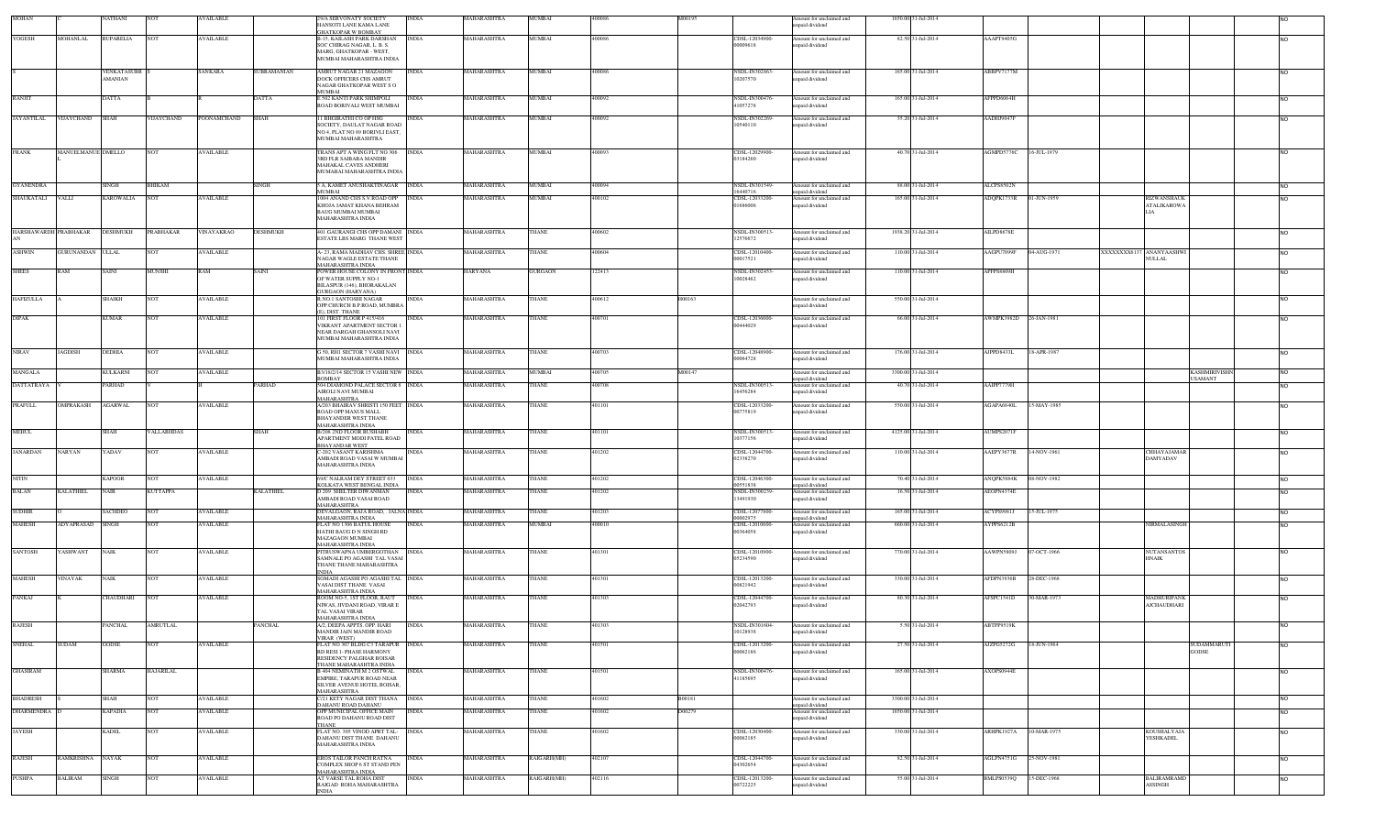| MOHAN                 |                    | VATHANI            |                   | <b>AVAILABLE</b> |                | 29/A SERVONATY SOCIETY                                              | INDIA        | MAHARASHTRA        | MUMBAI             | 400086 | M00195 |                                  | Amount for unclaimed and                    | 1650.00 31-Jul-2014 |                   |             |                                        |                 |
|-----------------------|--------------------|--------------------|-------------------|------------------|----------------|---------------------------------------------------------------------|--------------|--------------------|--------------------|--------|--------|----------------------------------|---------------------------------------------|---------------------|-------------------|-------------|----------------------------------------|-----------------|
|                       |                    |                    |                   |                  |                | HANSOTI LANE KAMA LANE<br><b>GHATKOPAR W BOMBAY</b>                 |              |                    |                    |        |        |                                  | npaid dividend                              |                     |                   |             |                                        |                 |
| YOGESH                | <b>MOHANLAL</b>    | <b>RUPARELIA</b>   |                   | AVAILABLE        |                | <b>B-15, KAILASH PARK DARSHAN</b>                                   | <b>INDIA</b> | MAHARASHTRA        | MUMBAI             | 100086 |        | CDSL-12034900-                   | Amount for unclaimed and                    | 82.50 31-Jul-2014   | AAAPT9405G        |             |                                        |                 |
|                       |                    |                    |                   |                  |                | SOC CHIRAG NAGAR, L. B. S.<br>MARG, GHATKOPAR - WEST,               |              |                    |                    |        |        | 00009618                         | npaid dividend                              |                     |                   |             |                                        |                 |
|                       |                    |                    |                   |                  |                | MUMBAI MAHARASHTRA INDIA                                            |              |                    |                    |        |        |                                  |                                             |                     |                   |             |                                        |                 |
|                       |                    | <b>VENKATASUBR</b> |                   | SANKARA          | SUBRAMANIAN    | AMRUT NAGAR 21 MAZAGON                                              | <b>INDIA</b> | MAHARASHTRA        | MUMBAI             | 400086 |        | NSDL-IN302863                    | Amount for unclaimed and                    | 165.00 31-Jul-2014  | ABBPV7177M        |             |                                        | N <sub>O</sub>  |
|                       |                    | AMANIAN            |                   |                  |                | DOCK OFFICERS CHS AMRUT                                             |              |                    |                    |        |        | 10207570                         | npaid dividend                              |                     |                   |             |                                        |                 |
|                       |                    |                    |                   |                  |                | NAGAR GHATKOPAR WEST SO<br><b>MUMBAI</b>                            |              |                    |                    |        |        |                                  |                                             |                     |                   |             |                                        |                 |
| RANJIT                |                    | <b>DATTA</b>       |                   |                  | DATTA          | E 502 KANTI PARK SHIMPOLI                                           | <b>INDIA</b> | MAHARASHTRA        | MUMBAI             | 400092 |        | NSDL-IN300476                    | Amount for unclaimed and                    | 165.00 31-Jul-2014  | AFPPD6064H        |             |                                        | <b>NO</b>       |
|                       |                    |                    |                   |                  |                | ROAD BORIVALI WEST MUMBAI                                           |              |                    |                    |        |        | 41057278                         | npaid dividend                              |                     |                   |             |                                        |                 |
| <b>JAYANTILAL</b>     | <b>VIJAYCHAND</b>  | <b>SHAH</b>        | <b>VIJAYCHAND</b> | POONAMCHAND      | SHAH           | 1 BHGIRATHI CO OP HSG<br>SOCIETY. DAULAT NAGAR ROAD                 | <b>INDIA</b> | MAHARASHTRA        | MUMBAI             | 400092 |        | <b>NSDL-IN302269</b><br>10540110 | Amount for unclaimed and<br>inpaid dividend | 35.20 31-Jul-2014   | AADHJ9047F        |             |                                        | <b>NO</b>       |
|                       |                    |                    |                   |                  |                | NO 4, PLAT NO 89 BORIVLI EAST,                                      |              |                    |                    |        |        |                                  |                                             |                     |                   |             |                                        |                 |
|                       |                    |                    |                   |                  |                | MUMBAI MAHARASHTRA                                                  |              |                    |                    |        |        |                                  |                                             |                     |                   |             |                                        |                 |
| <b>FRANK</b>          | MANUELMANUE DMELLO |                    | <b>NOT</b>        | <b>AVAILABLE</b> |                | TRANS APT A WING FLT NO 306 INDIA                                   |              | MAHARASHTRA        | MUMBAI             | 400093 |        | CDSL-12029900                    | Amount for unclaimed and                    | 40.70 31-Jul-2014   | AGMPD5776C        | 16-JUL-1979 |                                        | N <sub>O</sub>  |
|                       |                    |                    |                   |                  |                | 3RD FLR SAIBABA MANDIR<br>MAHAKAL CAVES ANDHERI                     |              |                    |                    |        |        | 03184260                         | inpaid dividend                             |                     |                   |             |                                        |                 |
|                       |                    |                    |                   |                  |                | MUMABAI MAHARASHTRA INDIA                                           |              |                    |                    |        |        |                                  |                                             |                     |                   |             |                                        |                 |
| <b>GYANENDRA</b>      |                    | SINGH              | <b>BHIKAM</b>     |                  | <b>SINGH</b>   | A, KAMET ANUSHAKTINAGAR INDIA                                       |              | MAHARASHTRA        | MUMBAI             | 400094 |        | NSDL-IN301549                    | mount for unclaimed and                     | 88.00 31-Jul-2014   | ALCPS8502N        |             |                                        | <b>NO</b>       |
| SHAUKATALI VALLI      |                    | <b>KAROWALIA</b>   |                   | <b>AVAILABLE</b> |                | MUMBAI<br>1004 ANAND CHS S.V.ROAD OPP                               | <b>INDIA</b> | MAHARASHTRA        | MUMBAI             | 400102 |        | 16440716<br>CDSL-12033200-       | npaid dividend                              | 165.00 31-Jul-2014  |                   | 01-JUN-1959 | RIZWANSHAUK                            |                 |
|                       |                    |                    |                   |                  |                | KHOJA JAMAT KHANA BEHRAM                                            |              |                    |                    |        |        | 01686006                         | Amount for unclaimed and<br>npaid dividend  |                     | ADQPK1733R        |             | <b>ATALIKAROWA</b>                     | <b>NO</b>       |
|                       |                    |                    |                   |                  |                | BAUG MUMBAI MUMBAI                                                  |              |                    |                    |        |        |                                  |                                             |                     |                   |             |                                        |                 |
|                       |                    |                    |                   |                  |                | MAHARASHTRA INDIA                                                   |              |                    |                    |        |        |                                  |                                             |                     |                   |             |                                        |                 |
| HARSHAWARDH PRABHAKAR |                    | DESHMUKH           | PRABHAKAR         | VINAYAKRAO       | DESHMUKH       | 401 GAURANGI CHS OPP DAMANI INDIA                                   |              | MAHARASHTRA        | THANE              | 400602 |        | NSDL-IN300513                    | Amount for unclaimed and                    | 1938.20 31-Jul-2014 | AILPD8678E        |             |                                        | NO              |
|                       |                    |                    |                   |                  |                | ESTATE LBS MARG THANE WEST                                          |              |                    |                    |        |        | 12576672                         | npaid dividend                              |                     |                   |             |                                        |                 |
| <b>ASHWIN</b>         | GURUNANDAN ULLAL   |                    | <b>NOT</b>        | <b>AVAILABLE</b> |                | A-23, RAMA MADHAV CHS. SHREE INDIA                                  |              | MAHARASHTRA        | THANE              | 400604 |        | CDSL-12010400                    | Amount for unclaimed and                    | 110.00 31-Jul-2014  | AAGPU7099F        | 04-AUG-1971 | XXXXXXXX6137 ANANYAASHWI               | <b>NO</b>       |
|                       |                    |                    |                   |                  |                | NAGAR WAGLE ESTATE THANE<br>MAHARASHTRA INDIA                       |              |                    |                    |        |        | 00017521                         | paid dividend                               |                     |                   |             | NULLAL                                 |                 |
| <b>SHEES</b>          | RAM                | <b>SAINI</b>       | <b>MUNSHI</b>     | RAM              | <b>SAINI</b>   | POWER HOUSE COLONY IN FRONT INDIA                                   |              | <b>HARYANA</b>     | <b>GURGAON</b>     | 122413 |        | NSDL-IN302453                    | Amount for unclaimed and                    | 110.00 31-Jul-2014  | APFPS8809H        |             |                                        | N <sub>O</sub>  |
|                       |                    |                    |                   |                  |                | OF WATER SUPPLY NO-1<br>BILASPUR (146), BHORAKALAN                  |              |                    |                    |        |        | 10028462                         | npaid dividend                              |                     |                   |             |                                        |                 |
| <b>HAFIZULLA</b>      |                    |                    | <b>NOT</b>        | <b>AVAILABLE</b> |                | <b>GURGAON (HARYANA)</b><br>R NO I SANTOSHI NAGAR                   |              | <b>MAHARASHTRA</b> | THANE              | 400612 | H00163 |                                  |                                             | 550.00 31-Jul-2014  |                   |             |                                        |                 |
|                       |                    | <b>SHAIKH</b>      |                   |                  |                | OPP.CHURCH B.P.ROAD, MUMBRA                                         | <b>INDIA</b> |                    |                    |        |        |                                  | Amount for unclaimed and<br>npaid dividend  |                     |                   |             |                                        | <b>NO</b>       |
| <b>DIPAK</b>          |                    | <b>KUMAR</b>       | <b>NOT</b>        | <b>AVAILABLE</b> |                | (), DIST. THANE<br>101 FIRST FLOOR P 415/416                        | <b>INDIA</b> | MAHARASHTRA        | THANE              | 400701 |        | CDSL-12036000-                   | Amount for unclaimed and                    | 66.00 31-Jul-2014   | AWMPK3982D        | 26-JAN-1981 |                                        |                 |
|                       |                    |                    |                   |                  |                | VIKRANT APARTMENT SECTOR 1                                          |              |                    |                    |        |        | 00444029                         | npaid dividend                              |                     |                   |             |                                        | <b>NO</b>       |
|                       |                    |                    |                   |                  |                | NEAR DARGAH GHANSOLI NAVI<br>MUMBAI MAHARASHTRA INDIA               |              |                    |                    |        |        |                                  |                                             |                     |                   |             |                                        |                 |
|                       |                    |                    |                   |                  |                |                                                                     |              |                    |                    |        |        |                                  |                                             |                     |                   |             |                                        |                 |
| <b>NIRAV</b>          | <b>JAGDISH</b>     | <b>DEDHIA</b>      | <b>NOT</b>        | <b>AVAILABLE</b> |                | <b>50, RHI SECTOR 7 VASHI NAVI NDIA</b><br>MUMBAI MAHARASHTRA INDIA |              | MAHARASHTRA        | THANE              | 400703 |        | CDSL-12048900-<br>00064728       | Amount for unclaimed and<br>npaid dividend  | 176.00 31-Jul-2014  | AJPPD8433L        | 18-APR-1987 |                                        | <b>NO</b>       |
|                       |                    |                    |                   |                  |                |                                                                     |              |                    |                    |        |        |                                  |                                             |                     |                   |             |                                        |                 |
| MANGALA               |                    | CULKARNI           |                   | <b>AVAILABLE</b> |                | B3/18/2/14 SECTOR 15 VASHI NEW INDIA<br>BOMBAY                      |              | MAHARASHTRA        | MUMBAI             | 400705 | M00147 |                                  | Amount for unclaimed and<br>apaid dividend  | 3300.00 31-Jul-2014 |                   |             | <b>KASHMIRIVISHI</b><br><b>USAMANT</b> | NO              |
| <b>DATTATRAYA</b>     |                    | <b>ARHAD</b>       |                   |                  | PARHAD         | 504 DIAMOND PALACE SECTOR 8 INDIA                                   |              | MAHARASHTRA        | HANE               | 400708 |        | NSDL-IN300513                    | mount for unclaimed and                     | 40.70 31-Jul-2014   | AAIPP7779H        |             |                                        |                 |
|                       |                    |                    |                   |                  |                | AIROLI NAVI MUMBAI<br>MAHARASHTRA                                   |              |                    |                    |        |        | 16456284                         | npaid dividend                              |                     |                   |             |                                        |                 |
| PRAFULL               | OMPRAKASH          | <b>AGARWAL</b>     | <b>NOT</b>        | <b>AVAILABLE</b> |                | A/203 BHAIRAV SHRISTI 150 FEET INDIA                                |              | MAHARASHTRA        | THANE              | 401101 |        | CDSL-12033200-                   | Amount for unclaimed and                    | 550.00 31-Jul-2014  | AGAPA6840L        | 15-MAY-1985 |                                        | N <sub>O</sub>  |
|                       |                    |                    |                   |                  |                | ROAD OPP MAXUS MALL<br><b>BHAYANDER WEST THANE</b>                  |              |                    |                    |        |        | 00775819                         | inpaid dividend                             |                     |                   |             |                                        |                 |
| <b>MEHUL</b>          |                    | <b>SHAH</b>        |                   |                  | SHAH           | <b>MAHARASHTRA INDIA</b><br>3/208 2ND FLOOR RUSHABH                 | <b>INDIA</b> |                    | THANE              | 401101 |        | NSDL-IN300513                    |                                             |                     | AUMPS2071F        |             |                                        |                 |
|                       |                    |                    | VALLABHDAS        |                  |                | APARTMENT MODI PATEL ROAD                                           |              | MAHARASHTRA        |                    |        |        | 10377156                         | Amount for unclaimed and<br>paid dividend   | 4125.00 31-Jul-2014 |                   |             |                                        | NO              |
| <b>JANARDAN</b>       |                    | YADAV              | NO <sub>1</sub>   | AVAILABLE        |                | <b>BHAYANDAR WEST</b><br>-202 VASANT KARISHMA                       | <b>INDIA</b> | MAHARASHTRA        | THANE              | 401202 |        | CDSL-12044700-                   |                                             | 110.00 31-Jul-2014  |                   | 14-NOV-1961 |                                        |                 |
|                       | NARYAN             |                    |                   |                  |                | AMBADI ROAD VASAI W MUMBAI                                          |              |                    |                    |        |        | 02338270                         | mount for unclaimed and<br>npaid dividend   |                     | AAEPY3677R        |             | <b>HHAYAJAMAR</b><br>DAMYADAV          | <b>NO</b>       |
|                       |                    |                    |                   |                  |                | MAHARASHTRA INDIA                                                   |              |                    |                    |        |        |                                  |                                             |                     |                   |             |                                        |                 |
| <b>NITIN</b>          |                    | <b>KAPOOR</b>      | <b>NOT</b>        | <b>AVAILABLE</b> |                | 69/C NALRAM DEY STREET 033 INDIA                                    |              | MAHARASHTRA        | <b>THANE</b>       | 401202 |        | CDSL-12046300                    | Amount for unclaimed and                    | 70.40 31-Jul-2014   | ANQPK5884K        | 08-NOV-1982 |                                        | <b>INO</b>      |
| BALAN                 | <b>KALATHIEL</b>   | NAIR               | KUTTAPPA          |                  | KALATHIEL      | KOLKATA WEST BENGAL INDIA<br><b>209 SHELTER DIWANMAN</b>            | <b>NDIA</b>  | MAHARASHTRA        | HANE               | 101202 |        | 00551838<br>NSDL-IN30023         | unpaid dividend<br>mount for unclaimed and  | 16.50 31-Jul-2014   | AEOPN4374E        |             |                                        | NO              |
|                       |                    |                    |                   |                  |                | AMBADI ROAD VASAI ROAD                                              |              |                    |                    |        |        | 13491930                         | inpaid dividend                             |                     |                   |             |                                        |                 |
| <b>SUDHIR</b>         |                    | SACHDEO            | NO <sub>1</sub>   | <b>AVAILABLE</b> |                | MAHARASHTRA<br>DEVALGAON, RAJA ROAD, . JALNA INDIA                  |              | MAHARASHTRA        | <b>THANE</b>       | 401203 |        | CDSL-12077800                    | Amount for unclaimed and                    | 165.00 31-Jul-2014  | ACYPS9981J        | 15-JUL-1975 |                                        | NO              |
|                       |                    |                    |                   |                  |                | <b>MAHARASHTRA INDIA</b>                                            |              |                    |                    |        |        | 00002975                         | unpaid dividend                             |                     |                   |             |                                        |                 |
| <b>MAHESH</b>         | ADYAPRASAD         | <b>SINGH</b>       |                   | <b>AVAILABLE</b> |                | LAT NO 1306 BATUL HOUSE<br>HATHI BAUG D N SINGH RD                  | INDIA        | MAHARASHTRA        | <b>IUMBAI</b>      | 100010 |        | CDSL-12010600<br>00364058        | mount for unclaimed and<br>npaid dividend   | 660.00 31-Jul-2014  | <b>AYPPS6212B</b> |             | NIRMALASINGH                           | <b>NO</b>       |
|                       |                    |                    |                   |                  |                | <b>MAZAGAON MUMBAI</b>                                              |              |                    |                    |        |        |                                  |                                             |                     |                   |             |                                        |                 |
| SANTOSH               | YASHWANT           | <b>NAIK</b>        | <b>NOT</b>        | <b>AVAILABLE</b> |                | <b>MAHARASHTRA INDIA</b><br>PITRUSWAPNA UMBERGOTHAN INDIA           |              | MAHARASHTRA        | <b>THANE</b>       | 401301 |        | CDSL-12010900-                   | Amount for unclaimed and                    | 770.00 31-Jul-2014  | AAWPN5809J        | 07-OCT-1966 | <b>NUTANSANTOS</b>                     | <b>NO</b>       |
|                       |                    |                    |                   |                  |                | SAMNALE PO AGASHI TAL VASAI                                         |              |                    |                    |        |        | 05234590                         | npaid dividend                              |                     |                   |             | <b>HNAIK</b>                           |                 |
|                       |                    |                    |                   |                  |                | THANE THANE MAHARASHTRA<br><b>INDIA</b>                             |              |                    |                    |        |        |                                  |                                             |                     |                   |             |                                        |                 |
| <b>MAHESH</b>         | VINAYAK            | <b>NAIK</b>        | NO <sub>1</sub>   | <b>AVAILABLE</b> |                | SOMADI AGASHI PO AGASHI TAL INDIA                                   |              | MAHARASHTRA        | THANE              | 401301 |        | CDSL-12013200-                   | Amount for unclaimed and                    | 330.00 31-Jul-2014  | AFDPN3936B        | 28-DEC-1968 |                                        | <b>NO</b>       |
|                       |                    |                    |                   |                  |                | VASAI DIST THANE VASAI<br><b>MAHARASHTRA INDIA</b>                  |              |                    |                    |        |        | 00821942                         | apaid dividend                              |                     |                   |             |                                        |                 |
| PANKAJ                |                    | CHAUDHARI          | <b>NOT</b>        | <b>AVAILABLE</b> |                | ROOM NO-5, 1ST FLOOR, RAUT                                          | <b>INDIA</b> | MAHARASHTRA        | THANE              | 401303 |        | CDSL-12044700-                   | mount for unclaimed and                     | 80.30 31-Jul-2014   | AFSPC1541D        | 30-MAR-1973 | MADHURIPANK                            | <b>NO</b>       |
|                       |                    |                    |                   |                  |                | NIWAS, JIVDANI ROAD, VIRAR E<br>TAL VASAI VIRAR                     |              |                    |                    |        |        | 02042793                         | npaid dividend                              |                     |                   |             | <b>AJCHAUDHARI</b>                     |                 |
|                       |                    |                    |                   |                  |                | MAHARASHTRA INDIA                                                   |              |                    |                    |        |        |                                  |                                             |                     |                   |             |                                        |                 |
| <b>RAJESH</b>         |                    | PANCHAL            | <b>AMRUTLAL</b>   |                  | <b>PANCHAL</b> | A/2, DEEPA APPTS. OPP. HARI<br>MANDIR JAIN MANDIR ROAD              | <b>INDIA</b> | MAHARASHTRA        | THANE              | 401303 |        | NSDL-IN301604-<br>10128938       | Amount for unclaimed and<br>unpaid dividend | 5.50 31-Jul-2014    | ABTPP9519K        |             |                                        |                 |
| <b>SNEHAL</b>         | <b>SUDAM</b>       |                    | <b>NOT</b>        |                  |                | VIRAR (WEST)<br>FLAT NO 307 BLDG C3 TARAPUR INDIA                   |              | MAHARASHTRA        | THANE              | 401501 |        |                                  | Amount for unclaimed and                    | 27.50 31-Jul-2014   | AJZPG5272G        |             | SUDAMMARUTI                            |                 |
|                       |                    | <b>GODSE</b>       |                   | <b>AVAILABLE</b> |                | RD RESI 1- PHASE HARMONY                                            |              |                    |                    |        |        | CDSL-12013200-<br>00062186       | apaid dividend                              |                     |                   | 18-JUN-1964 | <b>GODSE</b>                           | N <sub>O</sub>  |
|                       |                    |                    |                   |                  |                | RESIDENCY PALGHAR BOISAR<br>THANE MAHARASHTRA INDIA                 |              |                    |                    |        |        |                                  |                                             |                     |                   |             |                                        |                 |
| <b>GHASIRAM</b>       |                    | SHARMA             | <b>HAJARILAL</b>  |                  |                | B 404 NEMINATH M 2 OSTWAL                                           | <b>INDIA</b> | MAHARASHTRA        | THANE              | 101501 |        | NSDL-IN300476                    | Amount for unclaimed and                    | 165.00 31-Jul-2014  | AXOPS0944E        |             |                                        | <b>NO</b>       |
|                       |                    |                    |                   |                  |                | EMPIRE, TARAPUR ROAD NEAR<br>SILVER AVENUE HOTEL BOISAR,            |              |                    |                    |        |        | 41185695                         | inpaid dividend                             |                     |                   |             |                                        |                 |
|                       |                    |                    |                   |                  |                | MAHARASHTRA                                                         |              |                    |                    |        |        |                                  |                                             |                     |                   |             |                                        |                 |
| <b>BHADRESH</b>       |                    | SHAH               | <b>NOT</b>        | <b>AVAILABLE</b> |                | 721 KETY NAGAR DIST THANA INDIA                                     |              | MAHARASHTRA        | THANE              | 401602 | B00181 |                                  | Amount for unclaimed and                    | 3300.00 31-Jul-2014 |                   |             |                                        | NO <sub>1</sub> |
| DHARMENDRA            |                    | <b>KAPADIA</b>     | <b>NOT</b>        | <b>AVAILABLE</b> |                | <b>DAHANU ROAD DAHANU</b><br>OPP MUNICIPAL OFFICE MAIN              | <b>INDIA</b> | MAHARASHTRA        | THANE              | 401602 | D00279 |                                  | inpaid dividend<br>Amount for unclaimed and | 1650.00 31-Jul-2014 |                   |             |                                        | <b>NO</b>       |
|                       |                    |                    |                   |                  |                | ROAD PO DAHANU ROAD DIST<br><b>THANE</b>                            |              |                    |                    |        |        |                                  | inpaid dividend                             |                     |                   |             |                                        |                 |
| <b>JAYESH</b>         |                    | KADEL              | <b>NOT</b>        | <b>AVAILABLE</b> |                | FLAT NO. 305 VINOD APRT TAL- INDIA                                  |              | MAHARASHTRA        | THANE              | 401602 |        | CDSL-12030400-                   | Amount for unclaimed and                    | 330.00 31-Jul-2014  | ARHPK1927A        | 10-MAR-1975 | <b>KOUSHALYAJA</b>                     | NO              |
|                       |                    |                    |                   |                  |                | DAHANU DIST THANE DAHANU<br>MAHARASHTRA INDIA                       |              |                    |                    |        |        | 00062185                         | inpaid dividend                             |                     |                   |             | YESHKADEL                              |                 |
|                       |                    |                    |                   |                  |                |                                                                     |              |                    |                    |        |        |                                  |                                             |                     |                   |             |                                        |                 |
| RAJESH                | RAMKRISHNA NAYAK   |                    |                   | <b>AVAILABLE</b> |                | EROS TAILOR PANCH RATNA<br>COMPLEX SHOP 6 ST STAND PEN              | <b>INDIA</b> | MAHARASHTRA        | RAIGARH(MH)        | 402107 |        | CDSL-12044700-<br>04302654       | Amount for unclaimed and<br>apaid dividend  | 82.50 31-Jul-2014   | AGLPN4751G        | 25-NOV-1981 |                                        | NO              |
|                       |                    |                    |                   |                  |                | <b>MAHARASHTRA INDIA</b>                                            |              |                    |                    |        |        |                                  |                                             |                     |                   |             |                                        |                 |
| PUSHPA                | BALIRAM            | <b>SINGH</b>       | <b>NOT</b>        | AVAILABLE        |                | AT VARSE TAL ROHA DIST<br>RAIGAD ROHA MAHARASHTRA                   | <b>INDIA</b> | MAHARASHTRA        | <b>RAIGARH(MH)</b> | 102116 |        | CDSL-12013200<br>00722225        | Amount for unclaimed and<br>npaid dividend  | 55.00 31-Jul-2014   | BMLPS0539Q        | 15-DEC-1968 | BALIRAMRAMD<br>ASSINGH                 | NO              |
|                       |                    |                    |                   |                  |                | <b>INDIA</b>                                                        |              |                    |                    |        |        |                                  |                                             |                     |                   |             |                                        |                 |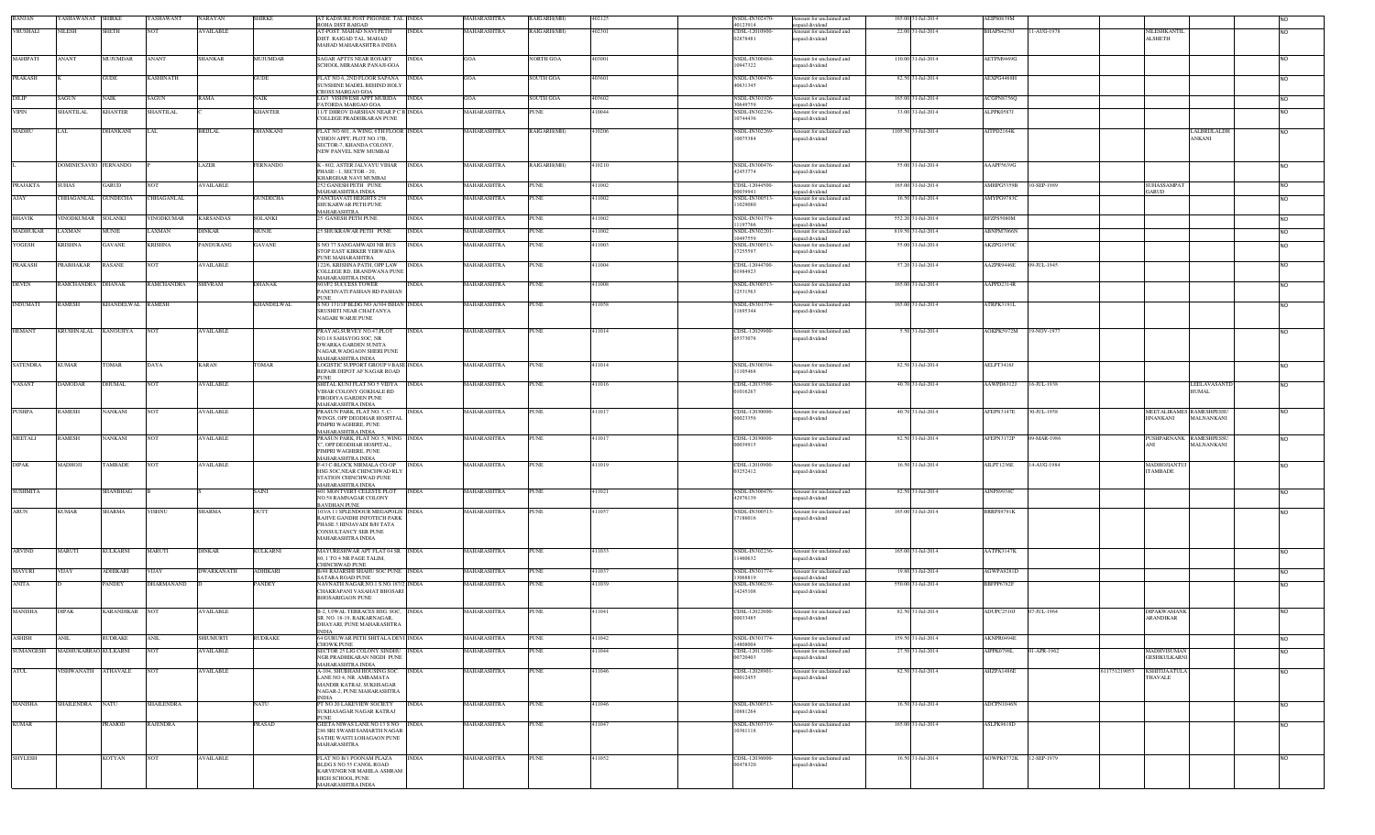| <b>RANJAN</b>    | ASHAWANAT SHIRKE      |                   | YASHAWANT         | NARAYAN          | HIRKE           | AT KADSURE POST PIGONDE TAL INDIA<br>ROHA DIST RAIGAD                      | MAHARASHTRA              | RAIGARH(MH)      | 102125 | NSDL-IN302470<br>40123914        | mount for unclaimed and<br>npaid dividend  | 165.00 31-Jul-2014  | AEIPS0839M             |             |              |                                        |                |
|------------------|-----------------------|-------------------|-------------------|------------------|-----------------|----------------------------------------------------------------------------|--------------------------|------------------|--------|----------------------------------|--------------------------------------------|---------------------|------------------------|-------------|--------------|----------------------------------------|----------------|
| VRUSHALI         | NILESH                | <b>SHETH</b>      | <b>NOT</b>        | <b>AVAILABLE</b> |                 | AT-POST. MAHAD NAVI PETH<br><b>INDIA</b>                                   | MAHARASHTRA              | RAIGARH(MH)      | 402301 | CDSL-12010900                    | Amount for unclaimed and                   | 22.00 31-Jul-2014   | BHAPS4278J             | 11-AUG-1978 |              | NILESHKANT                             | <b>NO</b>      |
|                  |                       |                   |                   |                  |                 | DIST. RAIGAD TAL. MAHAD<br><b>MAHAD MAHARASHTRA INDIA</b>                  |                          |                  |        | 02878481                         | inpaid dividend                            |                     |                        |             |              | <b>ALSHETH</b>                         |                |
| <b>MAHIPATI</b>  | ANANT                 | MUJUMDAR          | <b>ANANT</b>      | <b>SHANKAR</b>   | <b>MUJUMDAR</b> | SAGAR APTTS NEAR ROSARY<br>INDIA                                           | GOA                      | VORTH GOA        | 403001 | NSDL-IN300484                    | Amount for unclaimed and                   | 110.00 31-Jul-2014  | AETPM9469G             |             |              |                                        | <b>NO</b>      |
|                  |                       |                   |                   |                  |                 | SCHOOL MIRAMAR PANAJI-GOA                                                  |                          |                  |        | 10947322                         | apaid dividend                             |                     |                        |             |              |                                        |                |
| PRAKASH          |                       | <b>GUDE</b>       | <b>KASHINATH</b>  |                  | <b>GUDE</b>     | FLAT NO 6, 2ND FLOOR SAPANA<br><b>INDIA</b>                                | <b>GOA</b>               | <b>SOUTH GOA</b> | 103601 | NSDL-IN30047                     | mount for unclaimed and                    | 82.50 31-Jul-2014   | AEXPG4468H             |             |              |                                        | N <sub>O</sub> |
|                  |                       |                   |                   |                  |                 | SUNSHINE MADEL BEHIND HOLY<br><b>CROSS MARGAO GOA</b>                      |                          |                  |        | 40631345                         | apaid dividend                             |                     |                        |             |              |                                        |                |
| DILIP            | SAGUN                 | NAIK              | SAGUN             | RAMA             | NAIK            | LG/3 VISHWESH APPT MURIDA<br><b>INDIA</b><br>FATORDA MARGAO GOA            | GOA                      | <b>SOUTH GOA</b> | 103602 | NSDL-IN301926<br>30649759        | Amount for unclaimed and<br>apaid dividend | 165.00 31-Jul-2014  | ACGPN8756Q             |             |              |                                        | <b>NO</b>      |
| <b>VIPIN</b>     | HANTILAL              | KHANTER           | SHANTILAL         |                  | KHANTER         | 11/T DHROV DARSHAN NEAR PC B INDIA<br>COLLEGE PRADHIKARAN PUNE             | MAHARASHTRA              | <b>PUNE</b>      | 10044  | NSDL-IN302236<br>10744436        | mount for unclaimed and<br>paid dividend   | 33.00 31-Jul-2014   | ALPPK0587J             |             |              |                                        | <b>NO</b>      |
| MADHU            | LAL                   | DHANKANI          | LAL               | <b>BRIJLAL</b>   | DHANKANI        | FLAT NO 601, A WING, 6TH FLOOR INDIA                                       | MAHARASHTRA              | RAIGARH(MH)      | 410206 | NSDL-IN302269                    | Amount for unclaimed and                   | 1105.50 31-Jul-2014 | AITPD2164K             |             |              | LALBRIJLALDH                           |                |
|                  |                       |                   |                   |                  |                 | VISION APPT, PLOT NO.17B,                                                  |                          |                  |        | 10075384                         | npaid dividend                             |                     |                        |             |              | ANKANI                                 | <b>NO</b>      |
|                  |                       |                   |                   |                  |                 | SECTOR-7, KHANDA COLONY<br>NEW PANVEL NEW MUMBAI                           |                          |                  |        |                                  |                                            |                     |                        |             |              |                                        |                |
|                  | DOMINICSAVIO FERNANDO |                   |                   | LAZER            | FERNANDO        | <b>INDIA</b><br>K - 802, ASTER JALVAYU VIHAR                               | MAHARASHTRA              | RAIGARH(MH)      | 410210 | <b>NSDL-IN300476</b>             | Amount for unclaimed and                   | 55.00 31-Jul-2014   | AAAPF5639G             |             |              |                                        | N <sub>O</sub> |
|                  |                       |                   |                   |                  |                 | PHASE - 1. SECTOR - 20.<br>KHARGHAR NAVI MUMBAI                            |                          |                  |        | 42453774                         | apaid dividend                             |                     |                        |             |              |                                        |                |
| PRAJAKTA         | SUHAS                 | GARUD             | <b>NOT</b>        | <b>AVAILABLE</b> |                 | 52 GANESH PETH PUNE<br><b>INDIA</b>                                        | MAHARASHTRA              | <b>PUNE</b>      | 411002 | CDSL-12044500                    | mount for unclaimed and                    | 165.00 31-Jul-2014  | AMHPG5359B             | 10-SEP-1989 |              | SUHASSAMPAT                            | <b>NO</b>      |
| <b>AJAY</b>      | CHHAGANLAL            | <b>GUNDECHA</b>   | CHHAGANLAL        |                  | GUNDECHA        | MAHARASHTRA INDIA<br><b>INDIA</b><br>PANCHAVATI HEIGHTS 258                | MAHARASHTRA              | <b>PUNE</b>      | 411002 | 00039941<br>NSDL-IN300513        | npaid dividend<br>Amount for unclaimed and | 16.50 31-Jul-2014   | AMYPG9783C             |             |              | GARUD                                  | <b>NO</b>      |
|                  |                       |                   |                   |                  |                 | SHUKARWAR PETH PUNE<br>MAHARASHTRA                                         |                          |                  |        | 1029080                          | npaid dividend                             |                     |                        |             |              |                                        |                |
| <b>BHAVIK</b>    | <b>INODKUMAR</b>      | <b>SOLANKI</b>    | <b>VINODKUMAR</b> | <b>KARSANDAS</b> | SOLANKI         | 25 GANESH PETH PUNE<br><b>INDIA</b>                                        | MAHARASHTRA              | <b>PUNE</b>      | 411002 | <b>NSDL-IN301774</b><br>11197766 | Amount for unclaimed and<br>apaid dividend | 552.20 31-Jul-2014  | BFZPS5080M             |             |              |                                        | <b>NO</b>      |
| <b>MADHUKAR</b>  | <b>AXMAN</b>          | MUNJE             | LAXMAN            | DINKAR           | <b>MUNJE</b>    | 25 SHUKRAWAR PETH PUNE<br>INDIA                                            | MAHARASHTRA              | <b>PUNE</b>      | 11002  | NSDL-IN302201                    | mount for unclaimed and                    | 819.50 31-Jul-2014  | ABNPM7066N             |             |              |                                        | <b>NO</b>      |
| YOGESH           | <b>KRISHNA</b>        | GAVANE            | <b>KRISHNA</b>    | PANDURANG        | <b>GAVANE</b>   | S NO 77 SANGAMWADI NR BUS<br><b>INDIA</b>                                  | MAHARASHTRA              | <b>PUNE</b>      | 411003 | 10497559<br>NSDL-IN300513        | npaid dividend<br>Amount for unclaimed and | 55.00 31-Jul-2014   | AKZPG1950C             |             |              |                                        | N <sub>O</sub> |
|                  |                       |                   |                   |                  |                 | STOP EAST KIRKER YERWADA<br>PUNE MAHARASHTRA                               |                          |                  |        | 17255597                         | npaid dividend                             |                     |                        |             |              |                                        |                |
| <b>PRAKASH</b>   | PRABHAKAR             | RASANE            | <b>NOT</b>        | <b>AVAILABLE</b> |                 | 122/6, KRISHNA PATH, OPP LAW<br><b>INDIA</b><br>COLLEGE RD, ERANDWANA PUNE | MAHARASHTRA              | <b>PUNE</b>      | 411004 | CDSL-12044700<br>01984923        | Amount for unclaimed and<br>npaid dividend | 57.20 31-Jul-2014   | AAZPR9446E             | 09-JUL-1945 |              |                                        | <b>NO</b>      |
| <b>DEVEN</b>     | RAMCHANDRA            | <b>DHANAK</b>     | <b>RAMCHANDRA</b> | <b>SHIVRAM</b>   | <b>DHANAK</b>   | MAHARASHTRA INDIA<br>803/F2 SUCCESS TOWER<br><b>INDIA</b>                  | MAHARASHTRA              | <b>PUNE</b>      | 11008  | NSDL-IN30051.                    | Amount for unclaimed and                   | 165.00 31-Jul-2014  | AAPPD2314R             |             |              |                                        | <b>NO</b>      |
|                  |                       |                   |                   |                  |                 | PANCHVATI PASHAN RD PASHAN                                                 |                          |                  |        | 12531563                         | apaid dividend                             |                     |                        |             |              |                                        |                |
| <b>INDUMATI</b>  | <b>RAMESH</b>         | KHANDELWAL RAMESH |                   |                  | KHANDELWAL      | 'UNE<br>S NO 131/1P BLDG NO A/304 ISHAN INDIA                              | MAHARASHTRA              | <b>PUNE</b>      | 411058 | NSDL-IN301774                    | Amount for unclaimed and                   | 165.00 31-Jul-2014  | ATRPK3191L             |             |              |                                        | <b>NO</b>      |
|                  |                       |                   |                   |                  |                 | SRUSHITI NEAR CHAITANYA<br>NAGARI WARJE PUNE                               |                          |                  |        | 11695344                         | paid dividend                              |                     |                        |             |              |                                        |                |
| <b>HEMANT</b>    | KRUSHNALAL KANOUJIYA  |                   | <b>NOT</b>        | <b>AVAILABLE</b> |                 | PRAYAG, SURVEY NO.47, PLOT<br><b>INDIA</b>                                 | MAHARASHTRA              | <b>PUNE</b>      | 411014 | CDSL-12029900                    | Amount for unclaimed and                   | 5.50 31-Jul-2014    | AOKPK5972M 19-NOV-1977 |             |              |                                        | <b>NO</b>      |
|                  |                       |                   |                   |                  |                 | NO.18 SAHAYOG SOC, NR                                                      |                          |                  |        | 05373078                         | npaid dividend                             |                     |                        |             |              |                                        |                |
|                  |                       |                   |                   |                  |                 | DWARKA GARDEN SUNITA<br>NAGAR.WADGAON SHERI PUNE                           |                          |                  |        |                                  |                                            |                     |                        |             |              |                                        |                |
| <b>SATENDRA</b>  | <b>KUMAR</b>          | <b>TOMAR</b>      | DAYA              | <b>KARAN</b>     | TOMAR           | <b>MAHARASHTRA INDIA</b><br>LOGISTIC SUPPORT GROUP 9 BASE INDIA            | MAHARASHTRA              | <b>PUNE</b>      | 411014 | NSDL-IN300394                    | mount for unclaimed and                    | 82.50 31-Jul-2014   | AELPT3416J             |             |              |                                        | N <sub>O</sub> |
|                  |                       |                   |                   |                  |                 | REPAIR DEPOT AF NAGAR ROAD<br><b>PUNE</b>                                  |                          |                  |        | 11105468                         | npaid dividend                             |                     |                        |             |              |                                        |                |
| VASANT           | <b>DAMODAR</b>        | <b>DHUMAL</b>     | <b>NOT</b>        | <b>AVAILABLE</b> |                 | SHITAL KUNJ FLAT NO 5 VIDYA<br><b>INDIA</b><br>VIHAR COLONY GOKHALE RD     | MAHARASHTRA              | <b>PUNE</b>      | 11016  | CDSL-12033500<br>01016267        | mount for unclaimed and<br>npaid dividend  | 40.70 31-Jul-2014   | AAWPD6312J             | 16-JUL-1938 |              | LEELAVASANTE<br><b>HUMAL</b>           | <b>NO</b>      |
|                  |                       |                   |                   |                  |                 | FIRODIYA GARDEN PUNE                                                       |                          |                  |        |                                  |                                            |                     |                        |             |              |                                        |                |
| <b>PUSHPA</b>    | RAMESH                | NANKANI           | <b>NOT</b>        | <b>AVAILABLE</b> |                 | MAHARASHTRA INDIA<br><b>INDIA</b><br>PRASUN PARK, FLAT NO. 5, C-           | MAHARASHTRA              | <b>PUNE</b>      | 11017  | CDSL-12030000                    | mount for unclaimed and                    | 40.70 31-Jul-2014   | AFEPN3147E             | 30-JUL-1958 |              | MEETALIRAMES RAMESHPESSU               | <b>NO</b>      |
|                  |                       |                   |                   |                  |                 | WINGS, OPP DEODHAR HOSPITAL<br>PIMPRI WAGHERE, PUNE                        |                          |                  |        | 00023356                         | apaid dividend                             |                     |                        |             |              | <b>HNANKANI</b><br>MALNANKANI          |                |
| <b>MEETALI</b>   | RAMESH                | NANKANI           | <b>NOT</b>        | <b>AVAILABLE</b> |                 | <b>MAHARASHTRA INDIA</b><br>PRASUN PARK, FLAT NO. 5, WING INDIA            | MAHARASHTRA              | <b>PUNE</b>      | 11017  | CDSL-12030000                    | mount for unclaimed and                    | 82.50 31-Jul-2014   | AFEPN3172P             | 09-MAR-1986 |              | PUSHPARNANK RAMESHPESSU                | NO             |
|                  |                       |                   |                   |                  |                 | C', OPP DEODHAR HOSPITAL,<br>PIMPRI WAGHERE, PUNE                          |                          |                  |        | 00039915                         | npaid dividend                             |                     |                        |             |              | ANI<br>MALNANKANI                      |                |
|                  |                       |                   |                   |                  |                 | MAHARASHTRA INDIA                                                          |                          |                  |        |                                  |                                            |                     |                        |             |              |                                        |                |
| <b>DIPAK</b>     | МАДНОЛ                | TAMBADE           | <b>NOT</b>        | <b>AVAILABLE</b> |                 | F-43 C-BLOCK NIRMALA CO-OP<br><b>INDIA</b><br>HSG SOC, NEAR CHINCHWAD RLY  | MAHARASHTRA              | <b>PUNE</b>      | 411019 | CDSL-12010900<br>03252412        | Amount for unclaimed and<br>npaid dividend | 16.50 31-Jul-2014   | AILPT1236E             | 14-AUG-1984 |              | MADHOJIANTI<br><b>ITAMBADE</b>         | N <sub>O</sub> |
|                  |                       |                   |                   |                  |                 | STATION CHINCHWAD PUNE<br><b>MAHARASHTRA INDIA</b>                         |                          |                  |        |                                  |                                            |                     |                        |             |              |                                        |                |
| <b>SUSHMITA</b>  |                       | <b>HANBHAG</b>    |                   |                  | SAINI           | 401 MONTVERT CELESTE PLOT<br><b>INDIA</b><br>NO 58 RAMNAGAR COLONY         | MAHARASHTRA              | <b>PUNE</b>      | 411021 | <b>NSDL-IN300476</b><br>42976139 | Amount for unclaimed and<br>npaid dividend | 82.50 31-Jul-2014   | AINPS9938C             |             |              |                                        | N <sub>O</sub> |
| <b>ARUN</b>      | <b>KUMAR</b>          | <b>SHARMA</b>     | <b>VISHNU</b>     | <b>SHARMA</b>    | DUTT            | <b>BAVDHAN PUNE</b><br>103/A 11 SPLENDOUR MEGAPOLIS INDIA                  | MAHARASHTRA              | <b>PUNE</b>      | 411057 | NSDL-IN300513                    | Amount for unclaimed and                   | 165.00 31-Jul-2014  | BRRPS9791K             |             |              |                                        | <b>NO</b>      |
|                  |                       |                   |                   |                  |                 | RAJIVE GANDHI INFOTECH PARK                                                |                          |                  |        | 17186016                         | apaid dividend                             |                     |                        |             |              |                                        |                |
|                  |                       |                   |                   |                  |                 | PHASE 3 HINJAVADI B/H TATA<br><b>CONSULTANCY SER PUNE</b>                  |                          |                  |        |                                  |                                            |                     |                        |             |              |                                        |                |
|                  |                       |                   |                   |                  |                 | MAHARASHTRA INDIA                                                          |                          |                  |        |                                  |                                            |                     |                        |             |              |                                        |                |
| <b>ARVIND</b>    | MARUTI                | KULKARNI          | <b>MARUTI</b>     | <b>DINKAR</b>    | <b>KULKARNI</b> | MAYURESHWAR APT FLAT 04 SR INDIA<br>80. 1 TO 4 NR PAGE TALIM.              | MAHARASHTRA              | <b>PUNE</b>      | 411033 | NSDL-IN302236<br>11460632        | Amount for unclaimed and<br>npaid dividend | 165.00 31-Jul-2014  | AATPK3147K             |             |              |                                        | <b>NO</b>      |
| MAYURI           | VIJAY                 | ADHIKARI          | VIJAY             | DWARKANATH       | ADHIKARI        | CHINCHWAD PUNE<br>B/48 RAJARSHI SHAHU SOC PUNE INDIA                       | MAHARASHTRA              | <b>PUNE</b>      | 411037 | NSDL-IN301774                    | Amount for unclaimed and                   | 19.80 31-Jul-2014   | AGWPA9281D             |             |              |                                        |                |
|                  |                       |                   |                   |                  |                 | SATARA ROAD PUNE                                                           |                          |                  |        | 13068819                         | npaid dividend                             |                     |                        |             |              |                                        | N <sub>O</sub> |
| <b>ANITA</b>     |                       | PANDEY            | DHARMANAND        |                  | PANDEY          | NAVNATH NAGAR, NO.1 S.NO.187/2 INDIA<br>CHAKRAPANI VASAHAT BHOSARI         | MAHARASHTRA              | <b>PUNE</b>      | 411039 | <b>NSDL-IN300239</b><br>14245108 | Amount for unclaimed and<br>npaid dividend | 550.00 31-Jul-2014  | BBFPP6782F             |             |              |                                        | <b>NO</b>      |
|                  |                       |                   |                   |                  |                 | <b>BHOSARIGAON PUNE</b>                                                    |                          |                  |        |                                  |                                            |                     |                        |             |              |                                        |                |
| <b>MANISHA</b>   | <b>DIPAK</b>          | KARANDIKAR NOT    |                   | <b>AVAILABLE</b> |                 | <b>B-2. UJWAL TERRACES HSG. SOC. INDIA</b><br>SR. NO. 18-19, RAIKARNAGAR,  | <b>MAHARASHTRA</b>       | <b>PUNE</b>      | 411041 | CDSL-12022600<br>00033485        | Amount for unclaimed and<br>apaid dividend | 82.50 31-Jul-2014   | ADUPC2510J             | 07-JUL-1964 |              | <b>DIPAKWAMANK</b><br><b>ARANDIKAR</b> | N <sub>O</sub> |
|                  |                       |                   |                   |                  |                 | DHAYARI, PUNE MAHARASHTRA<br><b>INDIA</b>                                  |                          |                  |        |                                  |                                            |                     |                        |             |              |                                        |                |
| <b>ASHISH</b>    | <b>ANIL</b>           | RUDRAKE           | <b>ANIL</b>       | <b>SHIUMURTI</b> | RUDRAKE         | 64 GURUWAR PETH SHITALA DEVI INDIA                                         | MAHARASHTRA              | <b>PUNE</b>      | 11042  | NSDL-IN301774                    | Amount for unclaimed and                   | 159.50 31-Jul-2014  | AKNPR0494E             |             |              |                                        | <b>NO</b>      |
| <b>SUMANGESH</b> | MADHUKARRAO KULKARNI  |                   |                   | <b>WAILABLE</b>  |                 | CHOWK PUNE<br>SECTOR 25 LIG COLONY SINDHU<br><b>INDIA</b>                  | <i><b>AHARASHTRA</b></i> | PUNE             | 11044  | 14808004<br>CDSL-12013200        | npaid dividend<br>mount for unclaimed and  | 27.50 31-Jul-2014   | AIPPK0798L             | 01-APR-1962 |              | <b>MADHVISUMAN</b>                     | N <sub>O</sub> |
|                  |                       |                   |                   |                  |                 | NGR PRADHIKARAN NIGDI PUNE<br>MAHARASHTRA INDIA                            |                          |                  |        | 00720403                         | npaid dividend                             |                     |                        |             |              | <b>GESHKULKARNI</b>                    |                |
| <b>ATUL</b>      | VISHWANATH ATHAVALE   |                   | <b>NOT</b>        | <b>AVAILABLE</b> |                 | A-104, SHUBHAM HOUSING SOC.<br><b>INDIA</b><br>LANE NO 4, NR. AMBAMATA     | MAHARASHTRA              | <b>PUNE</b>      | 11046  | CDSL-12028901<br>00012455        | Amount for unclaimed and<br>npaid dividend | 82.50 31-Jul-2014   | AHZPA1486E             |             | 511751219053 | <b>KSHITIJAATULA</b><br>THAVALE        | <b>NO</b>      |
|                  |                       |                   |                   |                  |                 | MANDIR KATRAJ, SUKHSAGAR                                                   |                          |                  |        |                                  |                                            |                     |                        |             |              |                                        |                |
|                  |                       |                   |                   |                  |                 | NAGAR-2, PUNE MAHARASHTRA<br>NDIA                                          |                          |                  |        |                                  |                                            |                     |                        |             |              |                                        |                |
| <b>MANISHA</b>   | SHAILENDRA NATU       |                   | <b>SHAILENDRA</b> |                  | NATU            | PT NO 20 LAKEVIEW SOCIETY<br><b>INDIA</b><br>SUKHASAGAR NAGAR KATRAJ       | MAHARASHTRA              | <b>PUNE</b>      | 11046  | NSDL-IN300513<br>10881264        | Amount for unclaimed and<br>npaid dividend | 16.50 31-Jul-2014   | ADCPN1046N             |             |              |                                        | <b>NO</b>      |
| <b>KUMAR</b>     |                       | PRAMOD            | <b>RAJENDRA</b>   |                  | PRASAD          | PUNE.<br>GEETA NIWAS LANE NO 13 S NO INDIA                                 | MAHARASHTRA              | <b>PUNE</b>      | 411047 | NSDL-IN303719                    | Amount for unclaimed and                   | 165.00 31-Jul-2014  | ASLPK9618D             |             |              |                                        | <b>NO</b>      |
|                  |                       |                   |                   |                  |                 | 286 SRI SWAMI SAMARTH NAGAR                                                |                          |                  |        | 10361118                         | inpaid dividend                            |                     |                        |             |              |                                        |                |
|                  |                       |                   |                   |                  |                 | SATHE WASTI LOHAGAON PUNE<br>MAHARASHTRA                                   |                          |                  |        |                                  |                                            |                     |                        |             |              |                                        |                |
| <b>SHYLESH</b>   |                       | KOTYAN            | NOT               | <b>AVAILABLE</b> |                 | FLAT NO B/1 POONAM PLAZA<br><b>INDIA</b>                                   | MAHARASHTRA              | <b>PUNE</b>      | 411052 | CDSL-12036000-                   | Amount for unclaimed and                   | 16.50 31-Jul-2014   | AOWPK8772K 12-SEP-1979 |             |              |                                        | N <sub>O</sub> |
|                  |                       |                   |                   |                  |                 | BLDG S NO 55 CANOL ROAD<br>KARVENGR NR MAHILA ASHRAM                       |                          |                  |        | 00478320                         | npaid dividend                             |                     |                        |             |              |                                        |                |
|                  |                       |                   |                   |                  |                 | HIGH SCHOOL PUNE<br>MAHARASHTRA INDIA                                      |                          |                  |        |                                  |                                            |                     |                        |             |              |                                        |                |
|                  |                       |                   |                   |                  |                 |                                                                            |                          |                  |        |                                  |                                            |                     |                        |             |              |                                        |                |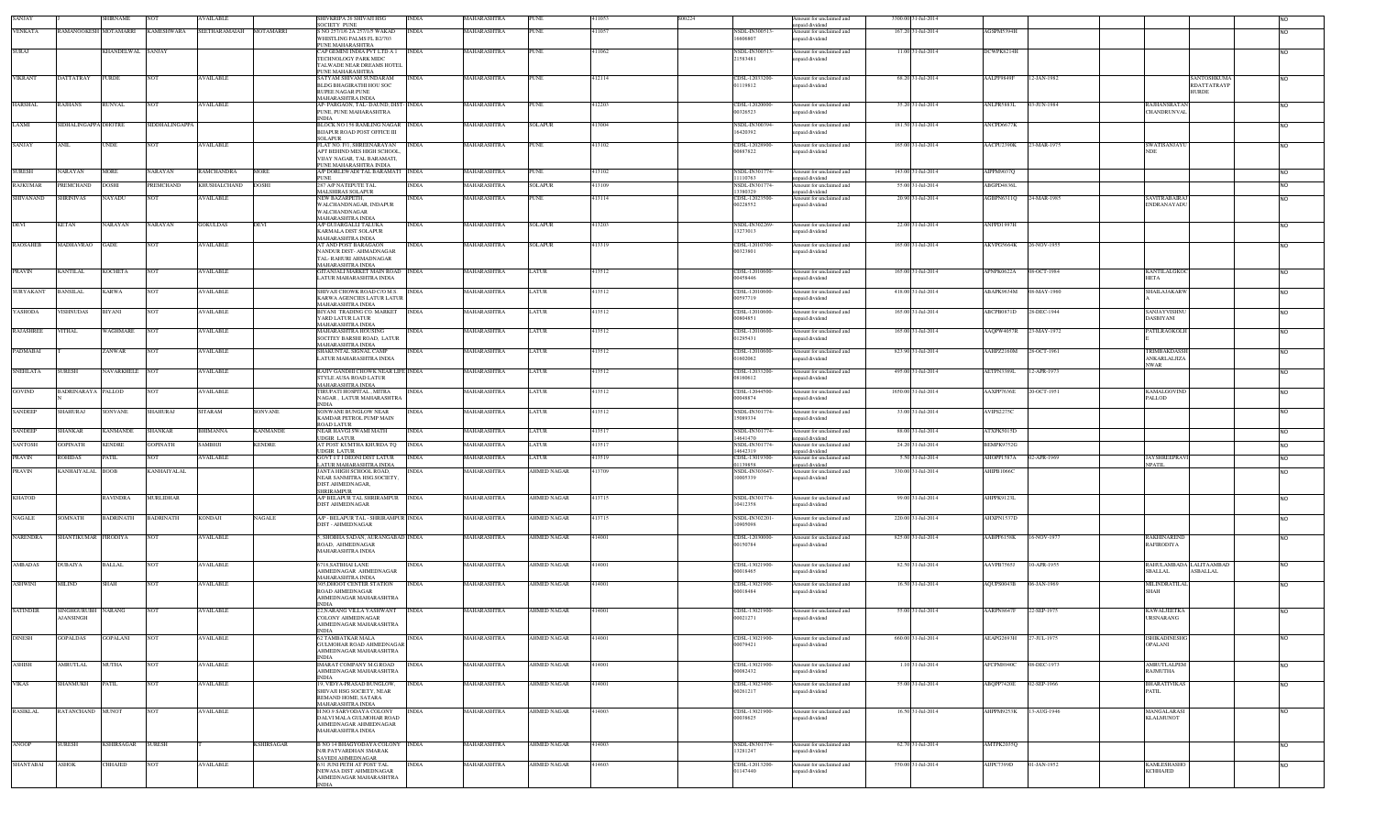| SANJAY           |                                    | <b>SHIRNAME</b>        |                                  | AVAILABLE         |                  | SHIVKRIPA 26 SHIVAJI HSG<br><b>SOCIETY PUNE</b>                                                                   | INDIA        | MAHARASHTRA        | <b>PUNE</b>        | 11053  | S00224 |                            | mount for unclaimed and<br>paid dividend                    | 3300.00 31-Jul-2014 |            |             |                                                              |                |
|------------------|------------------------------------|------------------------|----------------------------------|-------------------|------------------|-------------------------------------------------------------------------------------------------------------------|--------------|--------------------|--------------------|--------|--------|----------------------------|-------------------------------------------------------------|---------------------|------------|-------------|--------------------------------------------------------------|----------------|
| <b>VENKATA</b>   |                                    |                        | RAMANOOKESH MOTAMARRI KAMESHWARA | SEETHARAMAIAH     | <b>MOTAMARRI</b> | S NO 257/1/6 2A 257/1/5 WAKAD<br>WHISTLING PALMS FL B2/703                                                        | <b>INDIA</b> | MAHARASHTRA        | <b>PUNE</b>        | 11057  |        | NSDL-IN300513<br>16606807  | Amount for unclaimed and<br>npaid dividend                  | 167.20 31-Jul-2014  | AGSPM5394H |             |                                                              | <b>NO</b>      |
| <b>SURAJ</b>     |                                    | KHANDELWAL SANJAY      |                                  |                   |                  | PUNE MAHARASHTRA<br>CAP GEMINI INDIA PVT LTD A 1<br>TECHNOLOGY PARK MIDC                                          | <b>INDIA</b> | MAHARASHTRA        | <b>PUNE</b>        | 11062  |        | NSDL-IN30051<br>21583481   | Amount for unclaimed and<br>npaid dividend                  | 11.00 31-Jul-2014   | DCWPK8214H |             |                                                              | <b>NO</b>      |
|                  |                                    |                        |                                  |                   |                  | TALWADE NEAR DREAMS HOTEL<br>PUNE MAHARASHTRA                                                                     |              |                    |                    |        |        |                            |                                                             |                     |            |             |                                                              |                |
| <b>VIKRANT</b>   | DATTATRAY                          | <b>FURDE</b>           | <b>NOT</b>                       | <b>AVAILABLE</b>  |                  | SATYAM SHIVAM SUNDARAM<br>BLDG BHAGIR ATHLHOU SOC<br><b>RUPEE NAGAR PUNE</b><br>MAHARASHTRA INDIA                 | <b>INDIA</b> | MAHARASHTRA        | <b>PUNE</b>        | 412114 |        | CDSL-12033200<br>01119812  | mount for unclaimed and<br>npaid dividend                   | 68.20 31-Jul-2014   | AALPF9849F | 12-JAN-1982 | ANTOSHKUMA<br>RDATTATRAYP<br><b>HURDE</b>                    | N <sub>O</sub> |
| <b>HARSHAL</b>   | <b>RAJHANS</b>                     | RUNVAL                 | <b>NOT</b>                       | <b>AVAILABLE</b>  |                  | AP- PARGAON, TAL- DAUND, DIST- INDIA<br>PUNE, PUNE MAHARASHTRA<br><b>INDIA</b>                                    |              | MAHARASHTRA        | <b>PUNE</b>        | 412203 |        | CDSL-12020000<br>00326523  | Amount for unclaimed and<br>npaid dividend                  | 35.20 31-Jul-2014   | ANLPR5883L | 03-JUN-1984 | RAJHANSRATAN<br><b>CHANDRUNVAL</b>                           | <b>NO</b>      |
| LAXMI            | SIDHALINGAPPA DHOTRE               |                        | SIDDHALINGAPPA                   |                   |                  | BLOCK NO 156 RAMLING NAGAR INDIA<br>BIJAPUR ROAD POST OFFICE III<br><b>SOLAPUR</b>                                |              | MAHARASHTRA        | <b>SOLAPUR</b>     | 413004 |        | NSDL-IN300394<br>16420392  | mount for unclaimed and<br>npaid dividend                   | 181.50 31-Jul-2014  | ANCPD6677K |             |                                                              | N <sub>O</sub> |
| SANJAY           | ANIL                               | UNDE                   | NOT                              | <b>AVAILABLE</b>  |                  | FLAT NO. F/I, SHREENARAYAN<br>APT BEHIND MES HIGH SCHOOL,<br>VIJAY NAGAR, TAL BARAMATI,<br>PUNE MAHARASHTRA INDIA | <b>INDIA</b> | MAHARASHTRA        | <b>PUNE</b>        | 413102 |        | CDSL-12028900<br>00887822  | Amount for unclaimed and<br>apaid dividend                  | 165.00 31-Jul-2014  | AACPU2390K | 23-MAR-1975 | SWATISANJAYU<br><b>NDE</b>                                   | <b>NO</b>      |
| <b>SURESH</b>    | NARAYAN                            | <b>MORE</b>            | NARAYAN                          | <b>RAMCHANDRA</b> | <b>MORE</b>      | A/P DORLEWADI TAL BARAMATI INDIA                                                                                  |              | MAHARASHTRA        | <b>PUNE</b>        | 413102 |        | NSDL-IN301774              | Amount for unclaimed and                                    | 143.00 31-Jul-2014  | AIPPM9037Q |             |                                                              | <b>NO</b>      |
| <b>RAJKUMAR</b>  | <b>REMCHAND</b>                    | <b>HIZOC</b>           | PREMCHAND                        | KHUSHALCHAND      | DOSHI            | PUNE<br>287 A/P NATEPUTE TAL                                                                                      | INDIA        | MAHARASHTRA        | SOLAPUR            | 13109  |        | 1110763<br>NSDL-IN301774   | npaid dividend<br>mount for unclaimed and                   | 55.00 31-Jul-2014   | ABGPD4836L |             |                                                              | N <sub>O</sub> |
| SHIVANAND        | SHRINIVAS                          | NAYADU                 | <b>NOT</b>                       | AVAILABLE         |                  | MALSHIRAS SOLAPUR<br>NEW BAZARPETH,                                                                               | INDIA        | MAHARASHTRA        | <b>PUNE</b>        | 413114 |        | 13380329<br>CDSL-12023500  | npaid dividend<br>Amount for unclaimed and                  | 20.90 31-Jul-2014   | AGBPN6311Q | 24-MAR-1985 | <b>SAVITRABAIRA</b>                                          | <b>NO</b>      |
|                  |                                    |                        |                                  |                   |                  | WALCHANDNAGAR, INDAPUR<br>WALCHANDNAGAR<br>MAHARASHTRA INDIA                                                      |              |                    |                    |        |        | 00228552                   | npaid dividend                                              |                     |            |             | <b>ENDRANAYADU</b>                                           |                |
| <b>DEVI</b>      | <b>KETAN</b>                       | VARAYAN                | <b>NARAYAN</b>                   | <b>GOKULDAS</b>   | DEVI             | A/P GUJARGALLI TALUKA<br>KARMALA DIST SOLAPUR<br>MAHARASHTRA INDIA                                                | <b>INDIA</b> | MAHARASHTRA        | <b>SOLAPUR</b>     | 413203 |        | NSDL-IN302269<br>13273013  | Amount for unclaimed and<br>npaid dividend                  | 22.00 31-Jul-2014   | ANFPD1997H |             |                                                              | <b>NO</b>      |
| <b>RAOSAHEB</b>  | <b>MADHAVRAO</b>                   | GADE                   | <b>NOT</b>                       | <b>AVAILABLE</b>  |                  | AT AND POST BARAGAON<br>NANDUR DIST- AHMADNAGAR<br>TAL-RAHURI AHMADNAGAR<br>MAHARASHTRA INDIA                     | <b>INDIA</b> | MAHARASHTRA        | <b>SOLAPUR</b>     | 413319 |        | CDSL-12010700<br>00323801  | Amount for unclaimed and<br>npaid dividend                  | 165.00 31-Jul-2014  | AKVPG5664K | 26-NOV-1955 |                                                              | N <sub>O</sub> |
| <b>PRAVIN</b>    | <b>KANTILAL</b>                    | <b>KOCHETA</b>         | <b>NOT</b>                       | <b>AVAILABLE</b>  |                  | GITANJALI MARKET MAIN ROAD INDIA<br>LATUR MAHARASHTRA INDIA                                                       |              | MAHARASHTRA        | <b>LATUR</b>       | 413512 |        | CDSL-12010600<br>00458446  | Amount for unclaimed and<br>apaid dividend                  | 165.00 31-Jul-2014  | APNPK0622A | 08-OCT-1984 | <b>KANTILALGKOC</b><br><b>HETA</b>                           | N <sub>O</sub> |
| SURYAKANT        | <b>BANSILAL</b>                    | KARWA                  | <b>NOT</b>                       | <b>AVAILABLE</b>  |                  | SHIVAJI CHOWK ROAD C/O M.S.<br>KARWA AGENCIES LATUR LATUR<br><b>MAHARASHTRA INDIA</b>                             | <b>INDIA</b> | MAHARASHTRA        | LATUR              | 413512 |        | CDSL-12010600<br>00597719  | mount for unclaimed and<br>npaid dividend                   | 418.00 31-Jul-2014  | ABAPK9634M | 08-MAY-1960 | <b>SHAILAJAKARW</b>                                          | N <sub>O</sub> |
| YASHODA          | <b>ISHNUDAS</b>                    | BIYANI                 | <b>NOT</b>                       | <b>AVAILABLE</b>  |                  | BIYANI TRADING CO. MARKET<br>YARD LATUR LATUR<br>MAHARASHTRA INDIA                                                | <b>INDIA</b> | MAHARASHTRA        | LATUR              | 13512  |        | CDSL-12010600<br>00804851  | Amount for unclaimed and<br>npaid dividend                  | 165.00 31-Jul-2014  | ABCPB0871D | 28-DEC-1944 | SANJAYVISHN<br>DASBIYANI                                     | <b>NO</b>      |
| <b>RAJASHREE</b> | TTHAL                              | WAGHMARE               | <b>NOT</b>                       | <b>AVAILABLE</b>  |                  | <b>MAHARASHTRA HOUSING</b><br>SOCITEY BARSHI ROAD, LATUR<br>MAHARASHTRA INDIA                                     | <b>INDIA</b> | MAHARASHTRA        | LATUR              | 413512 |        | CDSL-12010600<br>01295431  | Amount for unclaimed and<br>apaid dividend                  | 165.00 31-Jul-2014  | AAQPW4057R | 23-MAY-1972 | <b>PATILRAOKOLH</b>                                          | N <sub>O</sub> |
| PADMABAI         |                                    | ZANWAR                 | <b>NOT</b>                       | <b>AVAILABLE</b>  |                  | SHAKUNTAL SIGNAL CAMP<br>LATUR MAHARASHTRA INDIA                                                                  | <b>INDIA</b> | MAHARASHTRA        | <b>LATUR</b>       | 113512 |        | CDSL-12010600<br>01602062  | Amount for unclaimed and<br>npaid dividend                  | 823.90 31-Jul-2014  | AAHPZ2160M | 28-OCT-1961 | TRIMBAKDASSI<br>ANKARLALJIZA<br><b>NWAR</b>                  | <b>NO</b>      |
| <b>SNEHLATA</b>  | SURESH                             | VAVARKHELE             | <b>NOT</b>                       | <b>AVAILABLE</b>  |                  | RAJIV GANDHI CHOWK NEAR LIFE INDIA<br>STYLE AUSA ROAD LATUR<br><b>MAHARASHTRA INDIA</b>                           |              | MAHARASHTRA        | LATUR              | 413512 |        | CDSL-12033200<br>08160612  | Amount for unclaimed and<br>npaid dividend                  | 495.00 31-Jul-2014  | AETPN3389L | 12-APR-1973 |                                                              | N <sub>O</sub> |
| <b>GOVIND</b>    | <b>BADRINARAYA PALLOD</b>          |                        | <b>NOT</b>                       | <b>AVAILABLE</b>  |                  | TIRUPATI HOSPITAL , MITRA<br>NAGAR, LATUR MAHARASHTRA<br><b>NDIA</b>                                              | <b>INDIA</b> | MAHARASHTRA        | LATUR              | 13512  |        | CDSL-12044500<br>00048874  | mount for unclaimed and<br>npaid dividend                   | 1650.00 31-Jul-2014 | AAXPP7636E | 0-OCT-1951  | KAMALGOVIN<br>PALLOD                                         | <b>NO</b>      |
| <b>SANDEEP</b>   | SHAHURAJ                           | SONVANE                | <b>SHAHURAJ</b>                  | <b>SITARAM</b>    | SONVANE          | <b>SONWANE BUNGLOW NEAR</b><br>KAMDAR PETROL PUMP MAIN<br>ROAD LATUR                                              | INDIA        | MAHARASHTRA        | LATUR              | 413512 |        | NSDL-IN301774-<br>15089334 | mount for unclaimed and<br>apaid dividend                   | 33.00 31-Jul-2014   | AVIPS2275C |             |                                                              | <b>NO</b>      |
| <b>SANDEEP</b>   | <b>SHANKAR</b>                     | <b><i>CANMANDE</i></b> | <b>SHANKAR</b>                   | <b>BHIMANNA</b>   | <b>ANMANDE</b>   | NEAR HAVGI SWAMI MATH<br><b>UDGIR LATUR</b>                                                                       | <b>INDIA</b> | MAHARASHTRA        | LATUR              | 113517 |        | NSDL-IN301774<br>14641470  | mount for unclaimed and<br>npaid dividend                   | 88.00 31-Jul-2014   | ATXPK5015D |             |                                                              | <b>NO</b>      |
| <b>SANTOSH</b>   | <b>GOPINATH</b>                    | KENDRE                 | <b>GOPINATH</b>                  | SAMBHJI           | <b>ENDRE</b>     | AT POST KUMTHA KHURDA TQ<br>UDGIR LATUR                                                                           | <b>INDIA</b> | MAHARASHTRA        | ATUR               | 113517 |        | NSDL-IN301774<br>14642319  | mount for unclaimed and<br>npaid dividend                   | 24.20 31-Jul-2014   | BEMPK9752G |             |                                                              | <b>NO</b>      |
| <b>PRAVIN</b>    | <b>ROHIDAS</b>                     | PATIL                  | <b>NOT</b>                       | <b>AVAILABLE</b>  |                  | <b>GOVT IT I DEONI DIST LATUR</b><br>ATUR MAHARASHTRA INDIA                                                       | <b>INDIA</b> | MAHARASHTRA        | LATUR              | 13519  |        | CDSL-13019300-<br>11139858 | Amount for unclaimed and                                    | 5.50 31-Jul-2014    | AHOPP1587A | 02-APR-1969 | <b>JAYSHREEPRAV</b><br><b>NPATIL</b>                         | <b>NO</b>      |
| <b>PRAVIN</b>    | <b>\NHAIYALAL</b>                  | <b>BOOB</b>            | KANHAIYALAL                      |                   |                  | ANTA HIGH SCHOOL ROAD,<br>NEAR SANMITRA HSG.SOCIETY,<br>DIST.AHMEDNAGAR,<br><b>SHRIRAMPUR</b>                     |              | IAHARASHTRA        | AHMED NAGAR        | 13709  |        | NSDL-IN30364<br>10005339   | npaid dividend<br>mount for unclaimed and<br>npaid dividend | 330.00 31-Jul-2014  | HIPB1066C  |             |                                                              | <b>NO</b>      |
| <b>KHATOD</b>    |                                    | RAVINDRA               | MURLIDHAR                        |                   |                  | A/P BELAPUR TAL SHRIRAMPUR INDIA<br>DIST AHMEDNAGAR                                                               |              | MAHARASHTRA        | <b>AHMED NAGAR</b> | 413715 |        | NSDL-IN301774<br>10412358  | Amount for unclaimed and<br>apaid dividend                  | 99.00 31-Jul-2014   | AHPPK9123L |             |                                                              | <b>NO</b>      |
| <b>NAGALE</b>    | SOMNATH                            | BADRINATH              | <b>BADRINATH</b>                 | <b>KONDAJI</b>    | NAGALE           | A/P - BELAPUR TAL - SHRIRAMPUR INDIA<br>DIST - AHMEDNAGAR                                                         |              | MAHARASHTRA        | <b>AHMED NAGAR</b> | 413715 |        | NSDL-IN30220<br>10905098   | Amount for unclaimed and<br>apaid dividend                  | 220.00 31-Jul-2014  | AHXPN1537D |             |                                                              | <b>NO</b>      |
| <b>NARENDRA</b>  | SHANTIKUMAR FIRODIYA               |                        | <b>NOT</b>                       | <b>AVAILABLE</b>  |                  | 5, SHOBHA SADAN, AURANGABAD INDIA<br>ROAD AHMEDNAGAR<br>MAHARASHTRA INDIA                                         |              | MAHARASHTRA        | <b>AHMED NAGAR</b> | 414001 |        | CDSL-12030000<br>00150784  | Amount for unclaimed and<br>apaid dividend                  | 825.00 31-Jul-2014  | AABPF6158K | 16-NOV-1977 | <b>RAKHINAREND</b><br><b>RAFIRODIYA</b>                      | <b>NO</b>      |
| AMBADAS          | DUBAIYA                            | BALLAL                 | <b>NOT</b>                       | <b>AVAILABLE</b>  |                  | 6718, SATBHAI LANE<br>AHMEDNAGAR AHMEDNAGAR                                                                       | <b>INDIA</b> | MAHARASHTRA        | <b>AHMED NAGAR</b> | 414001 |        | CDSL-13021900-<br>00018465 | Amount for unclaimed and<br>npaid dividend                  | 82.50 31-Jul-2014   | AAVPB7565J | 10-APR-1955 | RAHULAMBADA LALITAAMBAD<br><b>SBALLAL</b><br><b>ASBALLAL</b> | <b>NO</b>      |
| <b>ASHWINI</b>   | <b>MILIND</b>                      | SHAH                   | <b>NOT</b>                       | <b>AVAILABLE</b>  |                  | MAHARASHTRA INDIA<br>305, DHOOT CENTER STATION<br>ROAD AHMEDNAGAR                                                 | <b>INDIA</b> | <b>MAHARASHTRA</b> | <b>AHMED NAGAR</b> | 414001 |        | CDSL-13021900<br>00018484  | Amount for unclaimed and<br>npaid dividend                  | 16.50 31-Jul-2014   | AQUPS0043B | 06-JAN-1969 | MILINDRATILAL<br><b>SHAH</b>                                 | <b>NO</b>      |
| <b>SATINDER</b>  | SINGHGURUBH NARANG                 |                        | <b>NOT</b>                       | <b>AVAILABLE</b>  |                  | AHMEDNAGAR MAHARASHTRA<br><b>NDIA</b><br>22, NARANG VILLA YASHWANT<br>COLONY AHMEDNAGAR                           | <b>INDIA</b> | MAHARASHTRA        | <b>AHMED NAGAR</b> | 414001 |        | CDSL-13021900              | Amount for unclaimed and                                    | 55.00 31-Jul-2014   | AARPN8647F | 22-SEP-1975 | <b>KAWALJEETKA</b>                                           | N <sub>O</sub> |
| <b>DINESH</b>    | <b>MANSINGH</b><br><b>GOPALDAS</b> | <b>GOPALANI</b>        | <b>NOT</b>                       | <b>AVAILABLE</b>  |                  | AHMEDNAGAR MAHARASHTRA<br>INDIA<br><b>62 TAMBATKAR MALA</b>                                                       | <b>INDIA</b> | MAHARASHTRA        | <b>AHMED NAGAR</b> | 414001 |        | 00021271<br>CDSL-13021900  | apaid dividend<br>Amount for unclaimed and                  | 660.00 31-Jul-2014  | AEAPG2693H | 27-JUL-1975 | <b>URSNARANG</b><br>ISHIKADINESHG                            | <b>NO</b>      |
|                  |                                    |                        |                                  |                   |                  | <b>GULMOHAR ROAD AHMEDNAGAR</b><br>AHMEDNAGAR MAHARASHTRA<br><b>NDIA</b>                                          |              |                    |                    |        |        | 00079421                   | npaid dividend                                              |                     |            |             | OPALANI                                                      |                |
| <b>ASHISH</b>    | <b>MRUTLAL</b>                     | MUTHA                  | <b>NOT</b>                       | <b>AVAILABLE</b>  |                  | <b>IMARAT COMPANY M.G.ROAD</b><br>AHMEDNAGAR MAHARASHTRA<br>NDIA                                                  | <b>INDIA</b> | MAHARASHTRA        | <b>AHMED NAGAR</b> | 414001 |        | CDSL-13021900-<br>00082432 | mount for unclaimed and<br>apaid dividend                   | 1.10 31-Jul-2014    | AFCPM8940C | 08-DEC-1973 | AMRUTLALPEM<br>RAJMUTHA                                      | <b>NO</b>      |
| <b>VIKAS</b>     | HANMUKH                            | ATIL.                  | <b>NOT</b>                       | <b>AVAILABLE</b>  |                  | 19, VIDYA-PRASAD BUNGLOW,<br>SHIVAJI HSG SOCIETY, NEAR<br>REMAND HOME, SATARA                                     | <b>INDIA</b> | MAHARASHTRA        | <b>AHMED NAGAR</b> | 14001  |        | CDSL-13023400-<br>00261217 | Amount for unclaimed and<br>npaid dividend                  | 55.00 31-Jul-2014   | ABQPP7420E | 02-SEP-1966 | <b>BHARATIVIKAS</b><br>PATIL                                 | <b>NO</b>      |
| <b>RASIKLAL</b>  | RATANCHAND MUNOT                   |                        | <b>NOT</b>                       | <b>AVAILABLE</b>  |                  | <b>MAHARASHTRA INDIA</b><br>H.NO.9 SARVODAYA COLONY<br>DALVI MALA GULMOHAR ROAD<br>AHMEDNAGAR AHMEDNAGAR          | <b>INDIA</b> | MAHARASHTRA        | <b>AHMED NAGAR</b> | 414003 |        | CDSL-13021900<br>00038625  | Amount for unclaimed and<br>inpaid dividend                 | 16.50 31-Jul-2014   | AHPPM9253K | 13-AUG-1946 | <b>MANGALARAS</b><br><b>KLALMUNOT</b>                        | <b>NO</b>      |
| ANOOP            | <b>SURESH</b>                      | KSHIRSAGAR SURESH      |                                  |                   | KSHIRSAGAR       | MAHARASHTRA INDIA<br><b>B NO 14 BHAGYODAYA COLONY INDIA</b>                                                       |              | MAHARASHTRA        | <b>AHMED NAGAR</b> | 414003 |        | NSDL-IN301774              | Amount for unclaimed and                                    | 62.70 31-Jul-2014   | AMTPK2035Q |             |                                                              | <b>NO</b>      |
|                  |                                    |                        |                                  |                   |                  | N/R PATVARDHAN SMARAK<br>SAVEDI AHMEDNAGAR                                                                        |              |                    |                    |        |        | 13281247                   | npaid dividend                                              |                     |            |             |                                                              |                |
| SHANTABAI        | <b>ASHOK</b>                       | CHHAJED                | <b>NOT</b>                       | <b>AVAILABLE</b>  |                  | 631 JUNI PETH AT POST TAL<br>NEWASA DIST AHMEDNAGAR<br>AHMEDNAGAR MAHARASHTRA<br><b>NDIA</b>                      | <b>INDIA</b> | <b>MAHARASHTRA</b> | <b>AHMED NAGAR</b> | 414603 |        | CDSL-12013200<br>01147440  | Amount for unclaimed and<br>npaid dividend                  | 550.00 31-Jul-2014  | AIJPC7399D | 01-JAN-1952 | <b>KAMLESHASHO</b><br><b>KCHHAJED</b>                        | <b>NO</b>      |
|                  |                                    |                        |                                  |                   |                  |                                                                                                                   |              |                    |                    |        |        |                            |                                                             |                     |            |             |                                                              |                |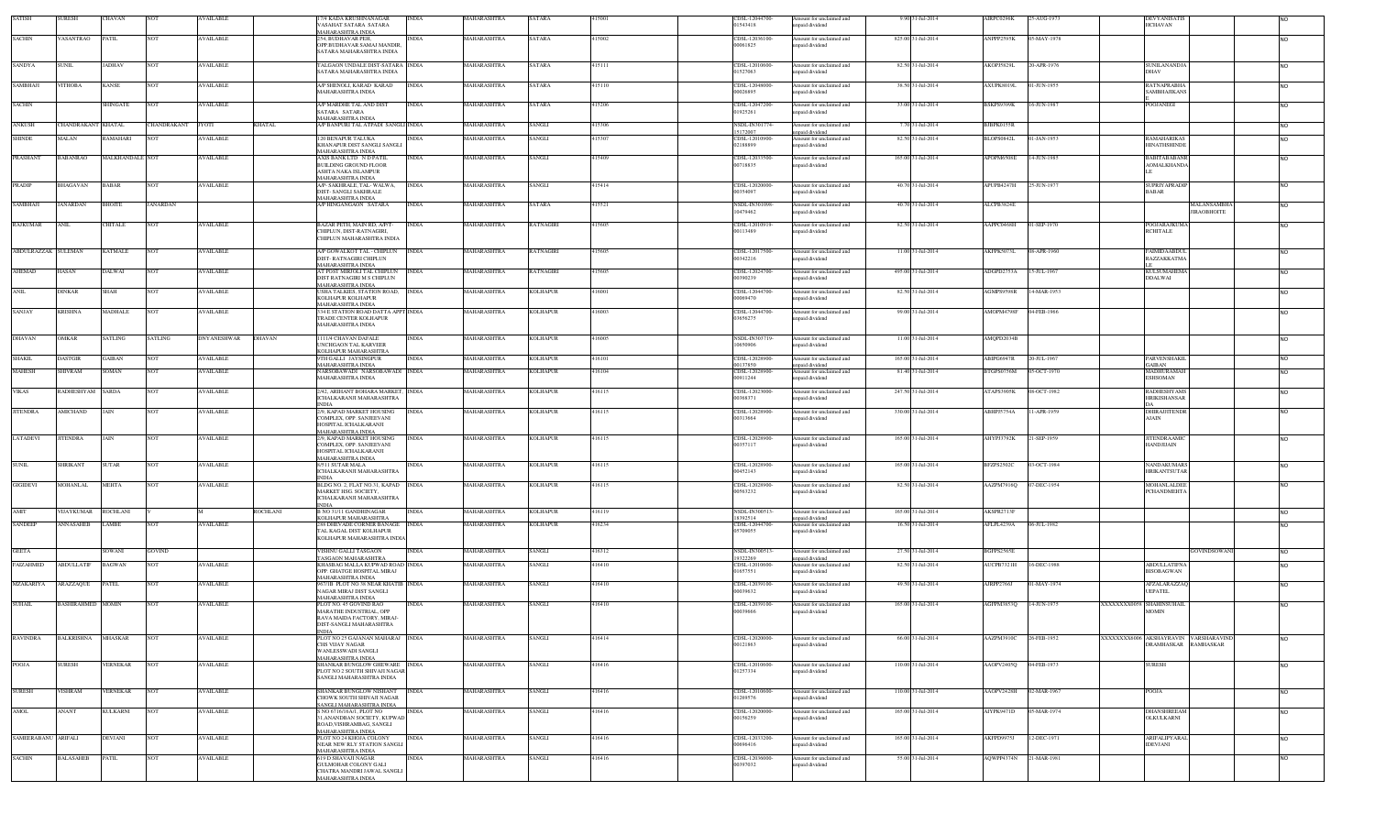| <b>SATISH</b>       | <b>SURESH</b>      | CHAVAN          | <b>NOT</b>      | <b>AVAILABLE</b>   |                 | <b>7/4 KADA KRUSHNANAGAR</b><br>VASAHAT SATARA SATARA                                                           | <b>INDIA</b> | MAHARASHTRA        | SATARA           | 415001 | CDSL-12044700-<br>01543418             | Amount for unclaimed and<br>npaid dividend                   | 9.90 31-Jul-2014   | AIRPC0296K             | 25-AUG-1973 |                          | <b>DEVYANISATIS</b><br><b>HCHAVAN</b>                                |                |
|---------------------|--------------------|-----------------|-----------------|--------------------|-----------------|-----------------------------------------------------------------------------------------------------------------|--------------|--------------------|------------------|--------|----------------------------------------|--------------------------------------------------------------|--------------------|------------------------|-------------|--------------------------|----------------------------------------------------------------------|----------------|
|                     |                    |                 |                 |                    |                 | <b>IAHARASHTRA INDIA</b>                                                                                        |              |                    |                  |        |                                        |                                                              |                    |                        |             |                          |                                                                      |                |
| <b>SACHIN</b>       | VASANTRAO          | <b>PATIL</b>    | NOT             | <b>AVAILABLE</b>   |                 | 254, BUDHAVAR PEH,<br>OPP.BUDHAVAR SAMAJ MANDIR                                                                 | <b>INDIA</b> | MAHARASHTRA        | <b>SATARA</b>    | 415002 | CDSL-12036100<br>00061825              | Amount for unclaimed and<br>npaid dividend                   | 825.00 31-Jul-2014 | ANPPP2595K             | 05-MAY-1978 |                          |                                                                      | <b>NO</b>      |
|                     |                    |                 |                 |                    |                 | SATARA MAHARASHTRA INDIA                                                                                        |              |                    |                  |        |                                        |                                                              |                    |                        |             |                          |                                                                      |                |
| <b>SANDYA</b>       | <b>SUNIL</b>       | <b>JADHAV</b>   | <b>NOT</b>      | <b>AVAILABLE</b>   |                 | TALGAON UNDALE DIST-SATARA INDIA<br>SATARA MAHARASHTRA INDIA                                                    |              | MAHARASHTRA        | <b>SATARA</b>    | 415111 | CDSL-12010600<br>01527063              | Amount for unclaimed and<br>npaid dividend                   | 82.50 31-Jul-2014  | AKOPJ5829L             | 20-APR-1976 |                          | <b>SUNILANANDJA</b><br>DHAV                                          | <b>NO</b>      |
| SAMBHAJI            | ІТНОВА             | KANSE           | NOT             | <b>VAILABLE</b>    |                 | A/P SHENOLI, KARAD KARAD<br>MAHARASHTRA INDIA                                                                   | <b>INDIA</b> | <b>AAHARASHTRA</b> | SATARA           | 115110 | CDSL-12048000-<br>00026895             | Amount for unclaimed and<br>npaid dividend                   | 38.50 31-Jul-2014  | AXUPK8019L             | 1-JUN-1955  |                          | <b>RATNAPRABHA</b><br><b>SAMBHAJIKANS</b>                            | <b>NO</b>      |
| <b>SACHIN</b>       |                    | SHINGATE        | NOT             | <b>AVAILABLE</b>   |                 | VP MARDHE TAL AND DIST<br>SATARA SATARA                                                                         | <b>INDIA</b> | MAHARASHTRA        | SATARA           | 115206 | CDSL-12047200<br>1925261               | mount for unclaimed and<br>npaid dividend                    | 33.00 31-Jul-2014  | BSKPS9399K             | 6-JUN-1987  |                          | POOJANEGI                                                            | N <sub>O</sub> |
| <b>ANKUSH</b>       | CHANDRAKANT KHATAL |                 | CHANDRAKANT     | <b>JYOTI</b>       | <b>KHATAL</b>   | MAHARASHTRA INDIA<br>A/P BANPURI TAL ATPADI SANGLI INDIA                                                        |              | MAHARASHTRA        | SANGLI           | 415306 | NSDL-IN301774<br>5172007               | Amount for unclaimed and<br>npaid dividend                   | 7.70 31-Jul-2014   | BJBPK0155R             |             |                          |                                                                      | <b>NO</b>      |
| SHINDE              | MALAN              | RAMAHARI        | ю               | <b>VAILABLE</b>    |                 | <b>20 BENAPUR TALUKA</b><br>KHANAPUR DIST SANGLI SANGLI                                                         | <b>INDIA</b> | <b>AAHARASHTRA</b> | SANGLI           | 115307 | CDSL-12010900<br>12188899              | mount for unclaimed and<br>npaid dividend                    | 82.50 31-Jul-2014  | BLOPS0842L             | 1-JAN-1953  |                          | <b>RAMAHARIKAS</b><br><b>HINATHSHINDE</b>                            | <b>NO</b>      |
| PRASHANT            | <b>BABANRAO</b>    | MALKHANDALE NOT |                 | <b>AVAILABLE</b>   |                 | <b>MAHARASHTRA INDIA</b><br>AXIS BANK LTD N D PATIL<br><b>BUILDING GROUND FLOOR</b><br>ASHTA NAKA ISLAMPUR      | <b>INDIA</b> | MAHARASHTRA        | SANGLI           | 415409 | CDSL-12033500<br>00718835              | mount for unclaimed and<br>npaid dividend                    | 165.00 31-Jul-2014 | APOPM6508E             | 14-JUN-1985 |                          | BABITABABANR<br><b>AOMALKHANDA</b>                                   | <b>NO</b>      |
| PRADIP              | BHAGAVAN           | <b>BABAR</b>    | NOT             | <b>AVAILABLE</b>   |                 | MAHARASHTRA INDIA<br>A/P- SAKHRALE, TAL- WALWA,<br>DIST- SANGLI SAKHRALE                                        | <b>INDIA</b> | MAHARASHTRA        | SANGLI           | 415414 | CDSL-12020000<br>00354097              | Amount for unclaimed and<br>apaid dividend                   | 40.70 31-Jul-2014  | APUPB4247H             | 25-JUN-1977 |                          | SUPRIYAPRADI<br>BABAR                                                | <b>NO</b>      |
| <b>SAMBHAJI</b>     | <b>JANARDAN</b>    | <b>BHOITE</b>   | <b>JANARDAN</b> |                    |                 | MAHARASHTRA INDIA<br>A/P HINGANGAON SATARA                                                                      | <b>INDIA</b> | MAHARASHTRA        | <b>SATARA</b>    | 415521 | NSDL-IN301098<br>10479462              | Amount for unclaimed and<br>paid dividend                    | 40.70 31-Jul-2014  | ALCPB3824E             |             |                          | MALANSAMBHA<br><b>JIRAOBHOITE</b>                                    | <b>NO</b>      |
| <b>RAJKUMAR</b>     | ANIL               | CHITALE         | NOT             | <b>AVAILABLE</b>   |                 | BAZAR PETH, MAIN RD, A/P/T-<br>CHIPLUN, DIST-RATNAGIRI,<br>CHIPLUN MAHARASHTRA INDIA                            | <b>INDIA</b> | MAHARASHTRA        | RATNAGIRI        | 415605 | CDSL-12010919<br>00113489              | Amount for unclaimed and<br>npaid dividend                   | 82.50 31-Jul-2014  | AAPPC0468H             | 01-SEP-1970 |                          | POOJARAJKUMA<br><b>RCHITALE</b>                                      | <b>NO</b>      |
| ABDULRAZZAK SULEMAN |                    | <b>KATMALE</b>  | <b>NOT</b>      | <b>AVAILABLE</b>   |                 | A/P GOWALKOT TAL - CHIPLUN INDIA<br>DIST-RATNAGIRI CHIPLUN                                                      |              | MAHARASHTRA        | <b>RATNAGIRI</b> | 415605 | CDSL-12017500<br>00342216              | Amount for unclaimed and<br>npaid dividend                   | 11.00 31-Jul-2014  | AKFPK5073L             | 08-APR-1960 |                          | FAIMIDAABDUL<br>RAZZAKKATMA                                          | <b>NO</b>      |
| AHEMAD              | HASAN              | <b>DALWAI</b>   | NOT             | <b>AVAILABLE</b>   |                 | MAHARASHTRA INDIA<br>AT POST MIRJOLI TAL CHIPLUN<br>DIST RATNAGIRI M S CHIPLUN                                  | <b>INDIA</b> | MAHARASHTRA        | <b>RATNAGIRI</b> | 415605 | CDSL-12024700-<br>00390239             | Amount for unclaimed and<br>npaid dividend                   | 495.00 31-Jul-2014 | ADGPD2753A             | 15-JUL-1967 |                          | <b>KULSUMAHEMA</b><br><b>DDALWAI</b>                                 | <b>NO</b>      |
| ANIL                | DINKAR             | SHAH            | NOT             | <b>AVAILABLE</b>   |                 | MAHARASHTRA INDIA<br>USHA TALKIES, STATION ROAD, INDIA<br>KOLHAPUR KOLHAPUR                                     |              | MAHARASHTRA        | <b>KOLHAPUR</b>  | 416001 | CDSL-12044700<br>00069470              | mount for unclaimed and<br>apaid dividend                    | 82.50 31-Jul-2014  | AGMPS9598R             | 14-MAR-1953 |                          |                                                                      | <b>NO</b>      |
| SANJAY              | <b>KRISHNA</b>     | MADHALE         | NOT             | AVAILABLE          |                 | MAHARASHTRA INDIA<br>334 E STATION ROAD DATTA APPT INDIA                                                        |              | MAHARASHTRA        | <b>KOLHAPUR</b>  | 416003 | CDSL-12044700                          | Amount for unclaimed and                                     | 99.00 31-Jul-2014  | AMOPM4798F             | 04-FEB-1966 |                          |                                                                      | <b>NO</b>      |
|                     |                    |                 |                 |                    |                 | TRADE CENTER KOLHAPUR<br>MAHARASHTRA INDIA                                                                      |              |                    |                  |        | 3656275                                | apaid dividend                                               |                    |                        |             |                          |                                                                      |                |
| DHAVAN              | OMKAR              | SATLING         | SATLING         | <b>DNYANESHWAR</b> | <b>DHAVAN</b>   | 111/4 CHAVAN DAFALE<br>UNCHGAON TAL KARVEER<br>KOLHAPUR MAHARASHTRA                                             | <b>INDIA</b> | MAHARASHTRA        | <b>KOLHAPUR</b>  | 416005 | NSDL-IN303719-<br>10650906             | Amount for unclaimed and<br>npaid dividend                   | 11.00 31-Jul-2014  | AMQPD2034B             |             |                          |                                                                      | <b>NO</b>      |
| <b>SHAKIL</b>       | <b>DASTGIR</b>     | <b>GAIBAN</b>   | NOT             | <b>AVAILABLE</b>   |                 | PTH GALLI JAYSINGPUR<br>MAHARASHTRA INDIA                                                                       | <b>INDIA</b> | MAHARASHTRA        | <b>KOLHAPUR</b>  | 416101 | CDSL-12028900<br>00137850              | Amount for unclaimed and<br>npaid dividend                   | 165.00 31-Jul-2014 | ABIPG6947R             | 20-JUL-1967 |                          | <b>PARVENSHAKIL</b><br>GAIRAN                                        | <b>NO</b>      |
| <b>MAHESH</b>       | <b>HIVRAM</b>      | SOMAN           | NOT             | <b>AVAILABLE</b>   |                 | NARSOBAWADI NARSOBAWADI INDIA<br><b>MAHARASHTRA INDIA</b>                                                       |              | MAHARASHTRA        | <b>KOLHAPUR</b>  | 116104 | CDSL-12028900<br>00911244              | mount for unclaimed and<br>npaid dividend                    | 81.40 31-Jul-2014  | BTGPS0756M             | 05-OCT-1970 |                          | MADHURAMAE<br><b>ESHSOMAN</b>                                        | <b>NO</b>      |
| <b>VIKAS</b>        | RADHESHYAM SARDA   |                 | <b>NOT</b>      | AVAILABLE          |                 | 2/42, ARIHANT BOHARA MARKET, INDIA<br>ICHALKARANJI MAHARASHTRA                                                  |              | MAHARASHTRA        | <b>KOLHAPUR</b>  | 416115 | CDSL-12023000<br>00368371              | Amount for unclaimed and<br>apaid dividend                   | 247.50 31-Jul-2014 | ATAPS3905K             | 08-OCT-1982 |                          | <b>RADHESHYAMS</b><br><b>HRIKISHANSAR</b>                            | <b>NO</b>      |
| <b>JITENDRA</b>     | AMICHAND           | <b>JAIN</b>     | <b>NOT</b>      | AVAILABLE          |                 | <b>NDIA</b><br>2/9, KAPAD MARKET HOUSING<br>COMPLEX, OPP. SANJEEVANI<br>HOSPITAL ICHALKARANJI                   | <b>INDIA</b> | MAHARASHTRA        | <b>KOLHAPUR</b>  | 416115 | CDSL-12028900<br>00313664              | Amount for unclaimed and<br>npaid dividend                   | 330.00 31-Jul-2014 | ABHPJ5754A             | 11-APR-1959 |                          | DHIRAJJITENDR<br><b>AJAIN</b>                                        | <b>NO</b>      |
| <b>LATADEVI</b>     | IITENDRA           | JAIN            | NOT             | AVAILABLE          |                 | MAHARASHTRA INDIA<br>2/9. KAPAD MARKET HOUSING<br>COMPLEX, OPP. SANJEEVANI<br>HOSPITAL ICHALKARANJI             | <b>INDIA</b> | MAHARASHTRA        | <b>KOLHAPUR</b>  | 416115 | CDSL-12028900-<br>00357117             | Amount for unclaimed and<br>npaid dividend                   | 165.00 31-Jul-2014 | AHYPJ3792K             | 21-SEP-1959 |                          | <b>JITENDRAAM</b><br><b>HANDJIJAIN</b>                               | <b>NO</b>      |
| <b>SUNIL</b>        | SHRIKANT           | <b>SUTAR</b>    | NOT             | <b>AVAILABLE</b>   |                 | MAHARASHTRA INDIA<br>8/511 SUTAR MALA<br>ICHALKARANJI MAHARASHTRA                                               | <b>INDIA</b> | MAHARASHTRA        | <b>KOLHAPUR</b>  | 416115 | CDSL-12028900<br>00452143              | Amount for unclaimed and<br>apaid dividend                   | 165.00 31-Jul-2014 | BFZPS2502C             | 03-OCT-1984 |                          | <b>NANDAKUMARS</b><br><b>HRIKANTSUTAR</b>                            | <b>NO</b>      |
| <b>GIGIDEVI</b>     | MOHANLAL           | <b>MEHTA</b>    | <b>NOT</b>      | <b>AVAILABLE</b>   |                 | <b>NDIA</b><br>BLDG NO. 2, FLAT NO.31, KAPAD INDIA<br>MARKET HSG. SOCIETY.<br>ICHALKARANJI MAHARASHTRA          |              | MAHARASHTRA        | <b>KOLHAPUR</b>  | 416115 | CDSL-12028900<br>00563232              | Amount for unclaimed and<br>npaid dividend                   | 82.50 31-Jul-2014  | AAZPM7916O             | 07-DEC-1954 |                          | MOHANLALDEE<br><b>PCHANDMEHTA</b>                                    | <b>NO</b>      |
| AMIT                | <b>TJAYKUMAR</b>   | <b>ROCHLANI</b> |                 |                    | <b>ROCHLANI</b> | <b>NDIA</b><br><b>B NO 31/11 GANDHINAGAR</b>                                                                    | <b>INDIA</b> | MAHARASHTRA        | <b>KOLHAPUR</b>  | 416119 | <b>NSDL-IN300513</b>                   | Amount for unclaimed and                                     | 165.00 31-Jul-2014 | AKSPR2713F             |             |                          |                                                                      | N <sub>O</sub> |
| SANDEEP             | ANNASAHEB          | LAMBE           | NOT             | <b>AVAILABLE</b>   |                 | KOLHAPUR MAHARASHTRA<br>288 DHEVADE CORNER BANAGE INDIA<br>TAL KAGAL DIST KOLHAPUR                              |              | MAHARASHTRA        | <b>KOLHAPUR</b>  | 116234 | 18392514<br>CDSL-12044700-<br>05709055 | apaid dividend<br>Amount for unclaimed and<br>npaid dividend | 16.50 31-Jul-2014  | AFLPL4239A             | 06-JUL-1982 |                          |                                                                      | <b>NO</b>      |
| <b>GEETA</b>        |                    | <b>SOWANI</b>   | GOVIND          |                    |                 | KOLHAPUR MAHARASHTRA INDIA<br>VISHNU GALLI TASGAON                                                              | <b>INDIA</b> | MAHARASHTRA        | SANGLI           | 116312 | NSDL-IN300513                          | mount for unclaimed and                                      | 27.50 31-Jul-2014  | BGFPS2565E             |             |                          | <b>GOVINDSOWANI</b>                                                  | <b>NO</b>      |
| FAIZAHMED           | ABDULLATIF         | BAGWAN          | NOT             | <b>AVAILABLE</b>   |                 | <b><i>FASGAON MAHARASHTRA</i></b><br>KHASBAG MALLA KUPWAD ROAD INDIA                                            |              | MAHARASHTRA        | SANGLI           | 416410 | 9322269<br>CDSL-12010600               | npaid dividend<br>Amount for unclaimed and                   | 82.50 31-Jul-2014  | AUCPB7321H             | 16-DEC-1988 |                          | <b>ABDULLATIFNA</b>                                                  | <b>NO</b>      |
|                     |                    |                 |                 |                    |                 | OPP. GHATGE HOSPITAL MIRAJ<br><b>MAHARASHTRA INDIA</b>                                                          |              |                    |                  |        | 01657551                               | npaid dividend                                               |                    |                        |             |                          | <b>BISOBAGWAN</b>                                                    |                |
| MZAKARIYA           | ARAZZAQUE          | PATEL           | <b>NOT</b>      | <b>AVAILABLE</b>   |                 | 967/1B PLOT NO 38 NEAR KHATIB INDIA<br>NAGAR MIRAJ DIST SANGLI<br>MAHARASHTRA INDIA                             |              | MAHARASHTRA        | SANGLI           | 416410 | CDSL-12039100-<br>00039632             | Amount for unclaimed and<br>npaid dividend                   | 49.50 31-Jul-2014  | AJRPP2766J             | 1-MAY-1974  |                          | AFZALARAZZAQ<br><b>UEPATEL</b>                                       | <b>NO</b>      |
| <b>SUHAIL</b>       | BASHIRAHMED MOMIN  |                 | NOT             | <b>AVAILABLE</b>   |                 | PLOT NO. 45 GOVIND RAO<br>MARATHE INDUSTRIAL, OPP<br>RAVA MAIDA FACTORY, MIRAJ-<br>DIST-SANGLI MAHARASHTRA      | <b>INDIA</b> | MAHARASHTRA        | SANGLI           | 416410 | CDSL-12039100<br>00039666              | mount for unclaimed and<br>npaid dividend                    | 165.00 31-Jul-2014 | AGFPM3853Q             | 14-JUN-1975 | XXXXXXX0058 SHAHINSUHAIL | <b>MOMIN</b>                                                         | <b>NO</b>      |
| <b>RAVINDRA</b>     | <b>BALKRISHNA</b>  | MHASKAR         | <b>NOT</b>      | <b>AVAILABLE</b>   |                 | <b>INDIA</b><br>PLOT NO 25 GAJANAN MAHARAJ NDIA<br>CHS VIJAY NAGAR<br><b>WANLESSWADI SANGLI</b>                 |              | MAHARASHTRA        | SANGLI           | 416414 | CDSL-12020000<br>00121863              | Amount for unclaimed and<br>npaid dividend                   | 66.00 31-Jul-2014  | AAZPM3910C             | 26-FEB-1952 |                          | <b>CXXXXXXX6006 AKSHAYRAVIN VARSHARAVIND</b><br>DRAMHASKAR RAMHASKAR | N <sub>O</sub> |
| POOJA               | SURESH             | <b>VERNEKAR</b> | <b>NOT</b>      | <b>AVAILABLE</b>   |                 | MAHARASHTRA INDIA<br>SHANKAR BUNGLOW GHEWARE INDIA<br>PLOT NO 2 SOUTH SHIVAJI NAGAR<br>SANGLI MAHARASHTRA INDIA |              | MAHARASHTRA        | SANGLI           | 116416 | CDSL-12010600<br>01257334              | Amount for unclaimed and<br>inpaid dividend                  | 110.00 31-Jul-2014 | AAOPV2405Q 04-FEB-1973 |             |                          | SURESH                                                               | <b>NO</b>      |
| <b>SURESH</b>       | VISHRAM            | <b>VERNEKAR</b> | NOT             | <b>AVAILABLE</b>   |                 | SHANKAR BUNGLOW NISHANT<br>CHOWK SOUTH SHIVAJI NAGAR                                                            | <b>INDIA</b> | MAHARASHTRA        | SANGLI           | 416416 | CDSL-12010600<br>1269576               | Amount for unclaimed and<br>npaid dividend                   | 110.00 31-Jul-2014 | AAOPV2428H             | 02-MAR-1967 |                          | POOJA                                                                | N <sub>O</sub> |
| <b>AMOL</b>         | ANANT              | <b>KULKARNI</b> | NOT             | <b>AVAILABLE</b>   |                 | SANGLI MAHARASHTRA INDIA<br>S NO 6716/16A/1, PLOT NO<br>31, ANANDBAN SOCIETY, KUPWAD                            | <b>INDIA</b> | MAHARASHTRA        | SANGLI           | 416416 | CDSL-12020000-<br>00156259             | Amount for unclaimed and<br>npaid dividend                   | 165.00 31-Jul-2014 | AIYPK9471D             | 05-MAR-1974 |                          | DHANSHREEAM<br><b>OLKULKARNI</b>                                     | N <sub>O</sub> |
| SAMEERABANU ARIFALI |                    | <b>DEVJANI</b>  | <b>NOT</b>      | <b>AVAILABLE</b>   |                 | ROAD.VISHRAMBAG, SANGLI<br>MAHARASHTRA INDIA<br>PLOT NO 24 KHOJA COLONY                                         | <b>INDIA</b> | MAHARASHTRA        | SANGLI           | 416416 | CDSL-12033200-                         | Amount for unclaimed and                                     | 165.00 31-Jul-2014 | AKFPD9975J             | 12-DEC-1971 |                          | ARIFALIPYARAL                                                        | <b>NO</b>      |
|                     |                    |                 |                 |                    |                 | NEAR NEW RLY STATION SANGLI<br>MAHARASHTRA INDIA                                                                |              |                    |                  |        | 0696416                                | npaid dividend<br>Amount for unclaimed and                   |                    |                        |             |                          | <b>IDEVJANI</b>                                                      |                |
| <b>SACHIN</b>       | <b>BALASAHEB</b>   | <b>PATIL</b>    | NOT             | <b>AVAILABLE</b>   |                 | 619 D SHAVAJI NAGAR<br><b>GULMOHAR COLONY GALI</b><br>CHATRA MANDRI JAWAL SANGLI<br>MAHARASHTRA INDIA           | <b>INDIA</b> | MAHARASHTRA        | SANGLI           | 416416 | CDSL-12036000<br>00397032              | npaid dividend                                               | 55.00 31-Jul-2014  | AQWPP4374N             | 21-MAR-1981 |                          |                                                                      | <b>NO</b>      |
|                     |                    |                 |                 |                    |                 |                                                                                                                 |              |                    |                  |        |                                        |                                                              |                    |                        |             |                          |                                                                      |                |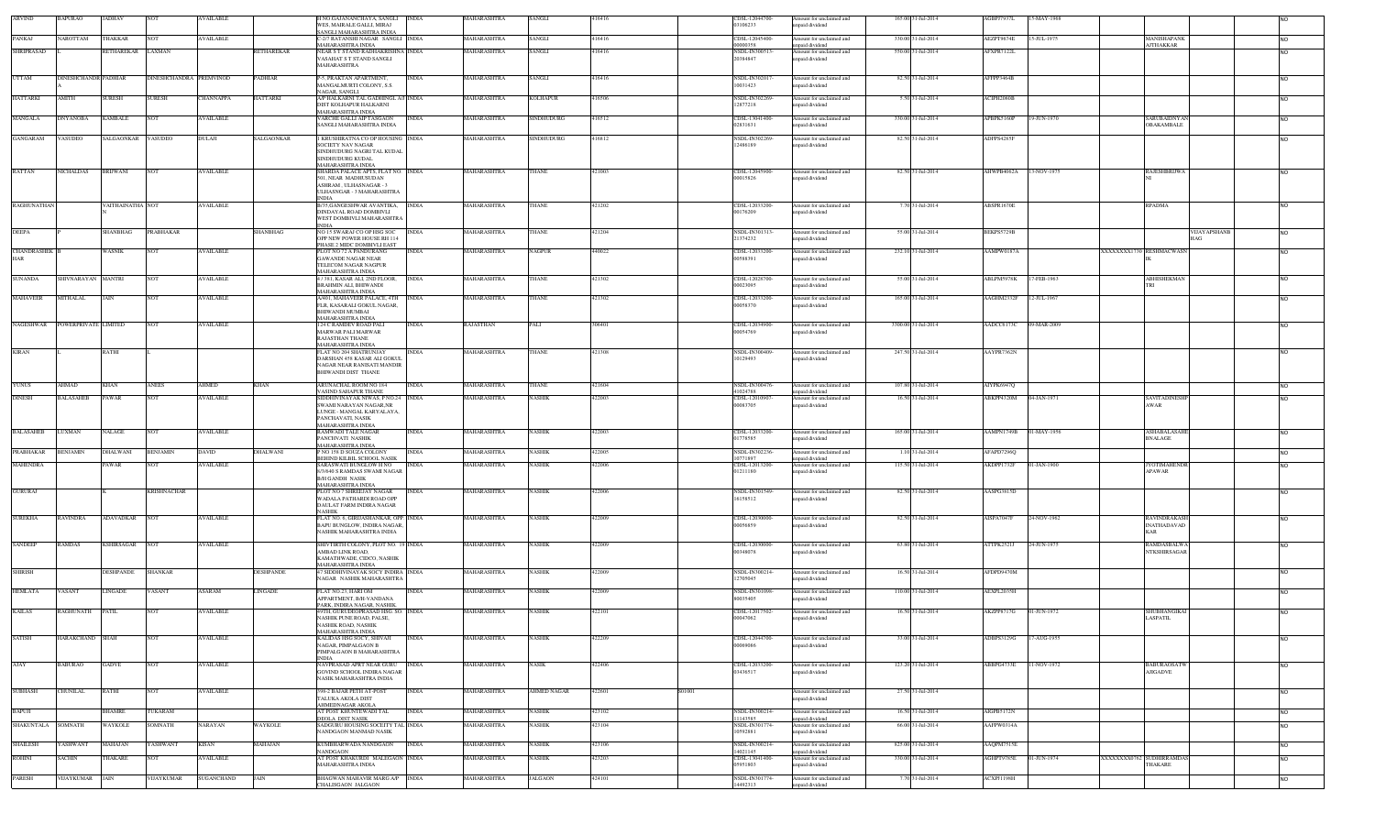| ARVIND             | <b>BAPURAO</b>       | <b>JADHAV</b>           |                         | <b>WAILABLE</b>  |                   | I NO.GAJANANCHAYA, SANGLI<br>WES, MAIRALE GALLI, MIRAJ                                                                            | <b>INDIA</b> | MAHARASHTRA        | SANGLI            | 416416 |        | CDSL-12044700-<br>03106233             | Amount for unclaimed and<br>inpaid dividend                   | 165.00 31-Jul-2014  | AGBPJ7937L        | 5-MAY-1968  |                           |                                           |              |                |
|--------------------|----------------------|-------------------------|-------------------------|------------------|-------------------|-----------------------------------------------------------------------------------------------------------------------------------|--------------|--------------------|-------------------|--------|--------|----------------------------------------|---------------------------------------------------------------|---------------------|-------------------|-------------|---------------------------|-------------------------------------------|--------------|----------------|
| PANKAJ             | VAROTTAM             |                         |                         | <b>AVAILABLE</b> |                   | SANGLI MAHARASHTRA INDIA<br>C-2/7 RATANSHI NAGAR SANGLI INDIA                                                                     |              | MAHARASHTRA        |                   | 416416 |        | CDSL-12045400                          |                                                               | 330.00 31-Jul-2014  |                   | 15-JUL-1975 |                           | MANISHAPANK                               |              |                |
|                    |                      | <b>HAKKAR</b>           |                         |                  |                   | MAHARASHTRA INDIA                                                                                                                 |              |                    | SANGLI            |        |        | 00000358                               | Amount for unclaimed and<br>apaid dividend                    |                     | AEZPT9674E        |             |                           | <b>AJTHAKKAR</b>                          |              | <b>NO</b>      |
| <b>SHRIPRASAD</b>  |                      | RETHAREKAR LAXMAN       |                         |                  | <b>ETHAREKAR</b>  | NEAR S T STAND RADHAKRISHNA INDIA<br>VASAHAT S T STAND SANGLI<br>MAHARASHTRA                                                      |              | MAHARASHTRA        | SANGLI            | 416416 |        | NSDL-IN300513-<br>20384847             | Amount for unclaimed and<br>inpaid dividend                   | 550.00 31-Jul-2014  | <b>AFXPR7122L</b> |             |                           |                                           |              |                |
| <b>UTTAM</b>       | DINESHCHANDR PADHIAR |                         | DINESHCHANDRA PREMVINOD |                  | PADHIAR           | P-5, PRAKTAN APARTMENT,<br>MANGALMURTI COLONY, S.S.                                                                               | <b>INDIA</b> | MAHARASHTRA        | SANGLI            | 416416 |        | NSDL-IN30201<br>10031423               | Amount for unclaimed and<br>inpaid dividend                   | 82.50 31-Jul-2014   | AFFPP3464B        |             |                           |                                           |              | <b>NO</b>      |
| <b>HATTARKI</b>    | AMITH                | SURESH                  | SURESH                  | CHANNAPPA        | <b>IATTARKI</b>   | NAGAR, SANGLI.<br>A/P HALKARNI TAL GADHINGL A/J INDIA                                                                             |              | MAHARASHTRA        | KOLHAPUR          | 416506 |        | NSDL-IN302269                          | Amount for unclaimed and                                      | 5.50 31-Jul-2014    | <b>ACIPH2080B</b> |             |                           |                                           |              | <b>NO</b>      |
| MANGALA            | DNYANOBA             | KAMBALE                 | $_{\rm NOT}$            | AVAILABLE        |                   | DIST KOLHAPUR HALKARNI<br>MAHARASHTRA INDIA<br>VARCHE GALLI AIP TASGAON                                                           | <b>INDIA</b> | MAHARASHTRA        | SINDHUDURG        | 416512 |        | 12877218<br>CDSL-13041400-             | inpaid dividend<br>Amount for unclaimed and                   | 330.00 31-Jul-2014  | APBPK5160P        | 19-JUN-1970 |                           | <b>SARUBAIDNYAN</b>                       |              | NO.            |
| <b>GANGARAM</b>    | VASUDEO              | SALGAONKAR VASUDEO      |                         | DULAJI           | <b>SALGAONKAR</b> | SANGLI MAHARASHTRA INDIA<br>1 KRUSHIRATNA CO OP HOUSING INDIA                                                                     |              | <b>MAHARASHTRA</b> | <b>SINDHUDURG</b> | 416812 |        | 02831631<br>NSDL-IN302269-             | npaid dividend<br>Amount for unclaimed and                    | 82.50 31-Jul-2014   | ADFPS42851        |             |                           | OBAKAMBALE                                |              | <b>NO</b>      |
|                    |                      |                         |                         |                  |                   | SOCIETY NAV NAGAR<br>SINDHUDURG NAGRI TAL KUDAL<br>SINDHUDURG KUDAL<br>MAHARASHTRA INDIA                                          |              |                    |                   |        |        | 12486189                               | npaid dividend                                                |                     |                   |             |                           |                                           |              |                |
| <b>RATTAN</b>      | NICHALDAS            | <b>BRUWANI</b>          | NOT                     | <b>AVAILABLE</b> |                   | SHARDA PALACE APTS, FLAT NO. INDIA<br>501, NEAR MADHUSUDAN<br>ASHRAM, ULHASNAGAR - 3<br>ULHASNGAR - 3 MAHARASHTRA<br><b>INDIA</b> |              | MAHARASHTRA        | THANE             | 421003 |        | CDSL-12045900-<br>00015826             | Amount for unclaimed and<br>inpaid dividend                   | 82.50 31-Jul-2014   | AHWPB4062A        | 13-NOV-1975 |                           | <b>RAJESHBRIJWA</b>                       |              | NO.            |
| <b>RAGHUNATHAN</b> |                      | <b>VAITHAINATHA NOT</b> |                         | <b>AVAILABLE</b> |                   | B/35, GANGESHWAR AVANTIKA, INDIA<br>DINDAYAL ROAD DOMBIVLI<br>WEST DOMBIVLI MAHARASHTRA                                           |              | MAHARASHTRA        | THANE             | 421202 |        | CDSL-12033200-<br>00176209             | Amount for unclaimed and<br>inpaid dividend                   | 7.70 31-Jul-2014    | <b>ABSPR1670E</b> |             |                           | <b>RPADMA</b>                             |              | N <sub>O</sub> |
| <b>DEEPA</b>       |                      | SHANBHAG                | PRABHAKAR               |                  | SHANBHAG          | <b>INDIA</b><br>NO 15 SWARAJ CO OP HSG SOC<br>OPP NEW POWER HOUSE RH 114                                                          | <b>INDIA</b> | MAHARASHTRA        | THANE             | 421204 |        | NSDL-IN301313<br>21374232              | Amount for unclaimed and<br>npaid dividend                    | 55.00 31-Jul-2014   | BEKPS5729B        |             |                           |                                           | VIJAYAPSHANB | NO.            |
| CHANDRASHEK        |                      | WASNIK                  |                         | <b>WAILABLE</b>  |                   | PHASE 2 MIDC DOMBIVLI EAST<br>PLOT NO 72 A PANDURANG                                                                              | INDIA        | MAHARASHTRA        | VAGPUR            | 440022 |        | CDSL-12033200                          | Amount for unclaimed and                                      | 232.10 31-Jul-2014  | AAMPW0187A        |             | XXXXXXXX1730 RESHMACWASN  |                                           |              | NO.            |
| <b>HAR</b>         |                      |                         |                         |                  |                   | GAWANDE NAGAR NEAR<br>TELECOM NAGAR NAGPUR<br>MAHARASHTRA INDIA                                                                   |              |                    |                   |        |        | 00588391                               | inpaid dividend                                               |                     |                   |             |                           |                                           |              |                |
| <b>SUNANDA</b>     | SHIVNARAYAN MANTRI   |                         | NOT                     | AVAILABLE        |                   | /381, KASAR ALI, 2ND FLOOR,<br>BRAHMIN ALI, BHIWANDI<br>MAHARASHTRA INDIA                                                         | <b>INDIA</b> | MAHARASHTRA        | THANE             | 421302 |        | CDSL-12028700-<br>00023095             | Amount for unclaimed and<br>npaid dividend                    | 55.00 31-Jul-2014   | ABLPM5978K        | 17-FEB-1963 |                           | ABHISHEKMAN                               |              | <b>NO</b>      |
| <b>MAHAVEER</b>    | <b>MITHALAL</b>      | JAIN                    | NOT                     | <b>AVAILABLE</b> |                   | A/401, MAHAVEER PALACE, 4TH INDIA<br>FLR, KASARALI GOKUL NAGAR,<br><b>BHIWANDI MUMBAI</b>                                         |              | MAHARASHTRA        | THANE             | 421302 |        | CDSL-12033200-<br>00058370             | Amount for unclaimed and<br>inpaid dividend                   | 165.00 31-Jul-2014  | AAGHM2332F        | 12-JUL-1967 |                           |                                           |              | <b>NO</b>      |
| NAGESHWAR          | POWERPRIVATE LIMITED |                         | <b>NOT</b>              | <b>AVAILABLE</b> |                   | MAHARASHTRA INDIA<br>124 C RAMDEV ROAD PALI                                                                                       | <b>INDIA</b> | RAJASTHAN          | PALI              | 306401 |        | CDSL-12034900-                         | Amount for unclaimed and                                      | 3300.00 31-Jul-2014 | AADCC6173C        | 09-MAR-2009 |                           |                                           |              | NO.            |
|                    |                      |                         |                         |                  |                   | MARWAR PALI MARWAR<br>RAJASTHAN THANE<br><b>MAHARASHTRA INDIA</b>                                                                 |              |                    |                   |        |        | 00054769                               | inpaid dividend                                               |                     |                   |             |                           |                                           |              |                |
| <b>KIRAN</b>       |                      | RATHI                   |                         |                  |                   | FLAT NO 204 SHATRUNJAY<br>DARSHAN 458 KASAR ALI GOKUL<br>NAGAR NEAR RANISATI MANDIR<br>BHIWANDI DIST THANE                        | <b>INDIA</b> | MAHARASHTRA        | THANE             | 421308 |        | NSDL-IN300409-<br>10129493             | Amount for unclaimed and<br>unpaid dividend                   | 247.50 31-Jul-2014  | AAYPR7362N        |             |                           |                                           |              | NO.            |
| <b>YUNUS</b>       | AHMAD                | KHAN                    | <b>ANEES</b>            | AHMED            | KHAN              | <b>ARUNACHAL ROOM NO 184</b><br>VASIND SAHAPUR THANE                                                                              | <b>INDIA</b> | MAHARASHTRA        | THANE             | 421604 |        | NSDL-IN300476<br>41024788              | Amount for unclaimed and<br>npaid dividend                    | 107.80 31-Jul-2014  | AIYPK6947Q        |             |                           |                                           |              | <b>NO</b>      |
| <b>DINESH</b>      | <b>BALASAHEB</b>     | PAWAR                   | <b>NOT</b>              | <b>AVAILABLE</b> |                   | SIDDHIVINAYAK NIWAS, P NO.24 INDIA<br>SWAMI NARAYAN NAGAR,NR<br>LUNGE - MANGAL KARYALAYA,<br>PANCHAVATI, NASIK                    |              | MAHARASHTRA        | <b>NASHIK</b>     | 422003 |        | CDSL-12010907<br>00083705              | Amount for unclaimed and<br>inpaid dividend                   | 16.50 31-Jul-2014   | ABKPP4320M        | 04-JAN-1971 |                           | SAVITADINESHF<br>AWAR                     |              | <b>NO</b>      |
| <b>BALASAHEB</b>   | <b>JUXMAN</b>        | VALAGE                  | NOT                     | AVAILABLE        |                   | MAHARASHTRA INDIA<br>RAMWADI TALE NAGAR<br>PANCHVATI NASHIK                                                                       | INDIA        | MAHARASHTRA        | VASHIK            | 422003 |        | CDSL-12033200<br>01778585              | Amount for unclaimed and<br>inpaid dividend                   | 165.00 31-Jul-2014  | <b>AAMPN1749B</b> | 01-MAY-1956 |                           | ASHABALASAH<br><b>BNALAGE</b>             |              | N <sub>O</sub> |
| PRABHAKAR          | <b>BENJAMIN</b>      | DHALWANI                | BENJAMIN                | DAVID            | <b>DHALWANI</b>   | MAHARASHTRA INDIA<br>NO 158 D SOUZA COLONY                                                                                        | INDIA        | MAHARASHTRA        | VASHIK            | 422005 |        | NSDL-IN302236                          | Amount for unclaimed and                                      | 1.10 31-Jul-2014    | <b>AFAPD7296Q</b> |             |                           |                                           |              | N <sub>O</sub> |
| <b>MAHENDRA</b>    |                      | 'AWAR                   | ют                      | <b>WAILABLE</b>  |                   | BEHIND KILBIL SCHOOL NASIK<br>SARASWATI BUNGLOW H NO<br>8/3/640 S RAMDAS SWAMI NAGAR<br><b>B/H GANDH NASIK</b>                    | INDIA        | MAHARASHTRA        | VASHIK            | 422006 |        | 10771897<br>CDSL-12013200-<br>01211180 | npaid dividend<br>Amount for unclaimed and<br>inpaid dividend | 115.50 31-Jul-2014  | AKDPP1732F        | 01-JAN-1900 |                           | <b>YOTIMAHENDE</b><br>APAWAR              |              | NO.            |
| <b>GURURAJ</b>     |                      |                         | <b>KRISHNACHAR</b>      |                  |                   | MAHARASHTRA INDIA<br>PLOT NO 7 SHREEJAY NAGAR<br>WADALA PATHARDI ROAD OPP                                                         | <b>INDIA</b> | MAHARASHTRA        | NASHIK            | 422006 |        | NSDL-IN301549-<br>16158512             | Amount for unclaimed and<br>inpaid dividend                   | 82.50 31-Jul-2014   | AASPG3815D        |             |                           |                                           |              | <b>NO</b>      |
| <b>SUREKHA</b>     | <b>RAVINDRA</b>      | ADAVADKAR NOT           |                         | <b>AVAILABLE</b> |                   | DAULAT FARM INDIRA NAGAR<br>NASHIK<br>FLAT NO. 6, GIRIJASHANKAR, OPP. INDIA                                                       |              | MAHARASHTRA        | NASHIK            | 422009 |        | CDSL-12030000-                         | Amount for unclaimed and                                      | 82.50 31-Jul-2014   | AISPA7047F        | 24-NOV-1962 |                           | <b>RAVINDRAKASH</b>                       |              | <b>NO</b>      |
|                    |                      |                         |                         |                  |                   | BAPU BUNGLOW, INDIRA NAGAR.<br>NASHIK MAHARASHTRA INDIA                                                                           |              |                    |                   |        |        | 00056859                               | npaid dividend                                                |                     |                   |             |                           | <b>INATHADAVAD</b><br>KAR                 |              |                |
| <b>SANDEEP</b>     | <b>RAMDAS</b>        | KSHIRSAGAR NOT          |                         | <b>AVAILABLE</b> |                   | SHIVTIRTH COLONY, PLOT NO. 19 INDIA<br>AMBAD LINK ROAD<br>KAMATHWADE, CIDCO, NASHIK<br>MAHARASHTRA INDIA                          |              | MAHARASHTRA        | <b>NASHIK</b>     | 422009 |        | CDSL-12030000-<br>00348078             | Amount for unclaimed and<br>unpaid dividend                   | 63.80 31-Jul-2014   | ATTPK2521J        | 24-JUN-1975 |                           | <b>RAMDASBALWA</b><br><b>NTKSHIRSAGAR</b> |              | <b>NO</b>      |
| <b>SHIRISH</b>     |                      | <b>DESHPANDE</b>        | <b>SHANKAR</b>          |                  | <b>DESHPANDE</b>  | 47 SIDDHIVINAYAK SOCY INDIRA INDIA<br>NAGAR NASHIK MAHARASHTR.                                                                    |              | MAHARASHTRA        | <b>NASHIK</b>     | 422009 |        | NSDL-IN300214-<br>12705045             | Amount for unclaimed and<br>apaid dividend                    | 16.50 31-Jul-2014   | AFDPD9470M        |             |                           |                                           |              | <b>NO</b>      |
| <b>HEMLATA</b>     | VASANT               | LINGADE                 | ASANT                   | ASARAM           | <b>INGADE</b>     | FLAT NO.23, HARI OM<br>APPARTMENT, B/H-VANDANA<br>PARK, INDIRA NAGAR, NASHIK                                                      | <b>INDIA</b> | MAHARASHTRA        | NASHIK            | 422009 |        | NSDL-IN301098-<br>80035405             | Amount for unclaimed and<br>npaid dividend                    | 110.00 31-Jul-2014  | AEXPL2035H        |             |                           |                                           |              | <b>NO</b>      |
| <b>KAILAS</b>      | RAGHUNATH            | <b>PATIL</b>            | <b>NOT</b>              | AVAILABLE        |                   | 49TH, GURUDEOPRASAD HSG. SO. INDIA<br>NASHIK PUNE ROAD, PALSE,<br><b>NASHIK ROAD, NASHIK</b><br><b>MAHARASHTRA INDIA</b>          |              | MAHARASHTRA        | NASHIK            | 422101 |        | CDSL-12017502-<br>00047062             | Amount for unclaimed and<br>inpaid dividend                   | 16.50 31-Jul-2014   | AKZPP8717G        | 01-JUN-1972 |                           | SHUBHANGIKAI<br>LASPATIL                  |              |                |
| <b>SATISH</b>      | HARAKCHAND           | <b>SHAH</b>             |                         | <b>WAILABLE</b>  |                   | KALIDAS HSG SOCY, SHIVAJI<br>NAGAR, PIMPALGAON B<br>PIMPALGAON B MAHARASHTRA<br><b>INDIA</b>                                      | <b>INDIA</b> | MAHARASHTRA        | NASHIK            | 422209 |        | CDSL-12044700-<br>00069086             | Amount for unclaimed and<br>inpaid dividend                   | 33.00 31-Jul-2014   | ADBPS3129G        | -AUG-1955   |                           |                                           |              | NO.            |
| AJAY               | BABURAO              | <b>GADVE</b>            | <b>NOT</b>              | AVAILABLE        |                   | NAVPRASAD APRT NEAR GURU<br>GOVIND SCHOOL INDIRA NAGAR<br>NASIK MAHARASHTRA INDIA                                                 | <b>INDIA</b> | MAHARASHTRA        | NASIK             | 422406 |        | CDSL-12033200-<br>03436517             | Amount for unclaimed and<br>unpaid dividend                   | 123.20 31-Jul-2014  | ABBPG4733E        | 11-NOV-1972 |                           | <b>BABURAOSATW</b><br><b>AJIGADVE</b>     |              | <b>NO</b>      |
| <b>SUBHASH</b>     | CHUNILAL             | RATHI                   | NOT                     | AVAILABLE        |                   | 398-2 BAJAR PETH AT-POST<br><b>TALUKA AKOLA DIST</b><br>AHMEDNAGAR AKOLA                                                          | <b>INDIA</b> | MAHARASHTRA        | AHMED NAGAR       | 422601 | S01001 |                                        | Amount for unclaimed and<br>inpaid dividend                   | 27.50 31-Jul-2014   |                   |             |                           |                                           |              | <b>NO</b>      |
| BAPUJI             |                      | BHAMRE                  | <b><i>FUKARAM</i></b>   |                  |                   | AT POST KHUNTEWADI TAL<br>DEOLA DIST NASIK                                                                                        | <b>INDIA</b> | MAHARASHTRA        | NASHIK            | 423102 |        | NSDL-IN300214-<br>11143585             | Amount for unclaimed and<br>npaid dividend                    | 16.50 31-Jul-2014   | AIGPB5172N        |             |                           |                                           |              | <b>NO</b>      |
| SHAKUNTALA SOMNATH |                      | WAYKOLE                 | SOMNATH                 | NARAYAN          | WAYKOLE           | SADGURU HOUSING SOCEITY TAL INDIA<br>NANDGAON MANMAD NASIK                                                                        |              | MAHARASHTRA        | NASHIK            | 423104 |        | NSDL-IN301774<br>10592881              | Amount for unclaimed and<br>inpaid dividend                   | 66.00 31-Jul-2014   | AAFPW0314A        |             |                           |                                           |              | <b>NO</b>      |
| <b>SHAILESH</b>    | YASHWANT             | MAHAJAN                 | <b>ASHWANT</b>          | KISAN            | MAHAJAN           | KUMBHARWADA NANDGAON                                                                                                              | <b>INDIA</b> | MAHARASHTRA        | NASHIK            | 423106 |        | NSDL-IN300214                          | Amount for unclaimed and                                      | 825.00 31-Jul-2014  | AAQPM7515E        |             |                           |                                           |              | <b>NO</b>      |
| <b>ROHINI</b>      | <b>SACHIN</b>        | <b>HAKARE</b>           | NOT                     | <b>AVAILABLE</b> |                   | NANDGAON<br>AT POST KHAKURDI MALEGAON INDIA<br>MAHARASHTRA INDIA                                                                  |              | MAHARASHTRA        | NASHIK            | 423203 |        | 14021145<br>CDSL-13041400-<br>05951803 | npaid dividend<br>Amount for unclaimed and<br>unpaid dividend | 330.00 31-Jul-2014  | AGHPT9785E        | 01-JUN-1974 | XXXXXXXX0762 SUDHIRRAMDAS | THAKARE                                   |              | <b>NO</b>      |
| PARESH             | VIJAYKUMAR           | JAIN                    | /IJAYKUMAR              | SUGANCHAND       | JAIN              | BHAGWAN MAHAVIR MARG A/P INDIA<br>CHALISGAON JALGAON                                                                              |              | MAHARASHTRA        | JALGAON           | 424101 |        | NSDL-IN301774-<br>14492313             | Amount for unclaimed and<br>npaid dividend                    | 7.70 31-Jul-2014    | <b>ACXPJ1198H</b> |             |                           |                                           |              | <b>NO</b>      |
|                    |                      |                         |                         |                  |                   |                                                                                                                                   |              |                    |                   |        |        |                                        |                                                               |                     |                   |             |                           |                                           |              |                |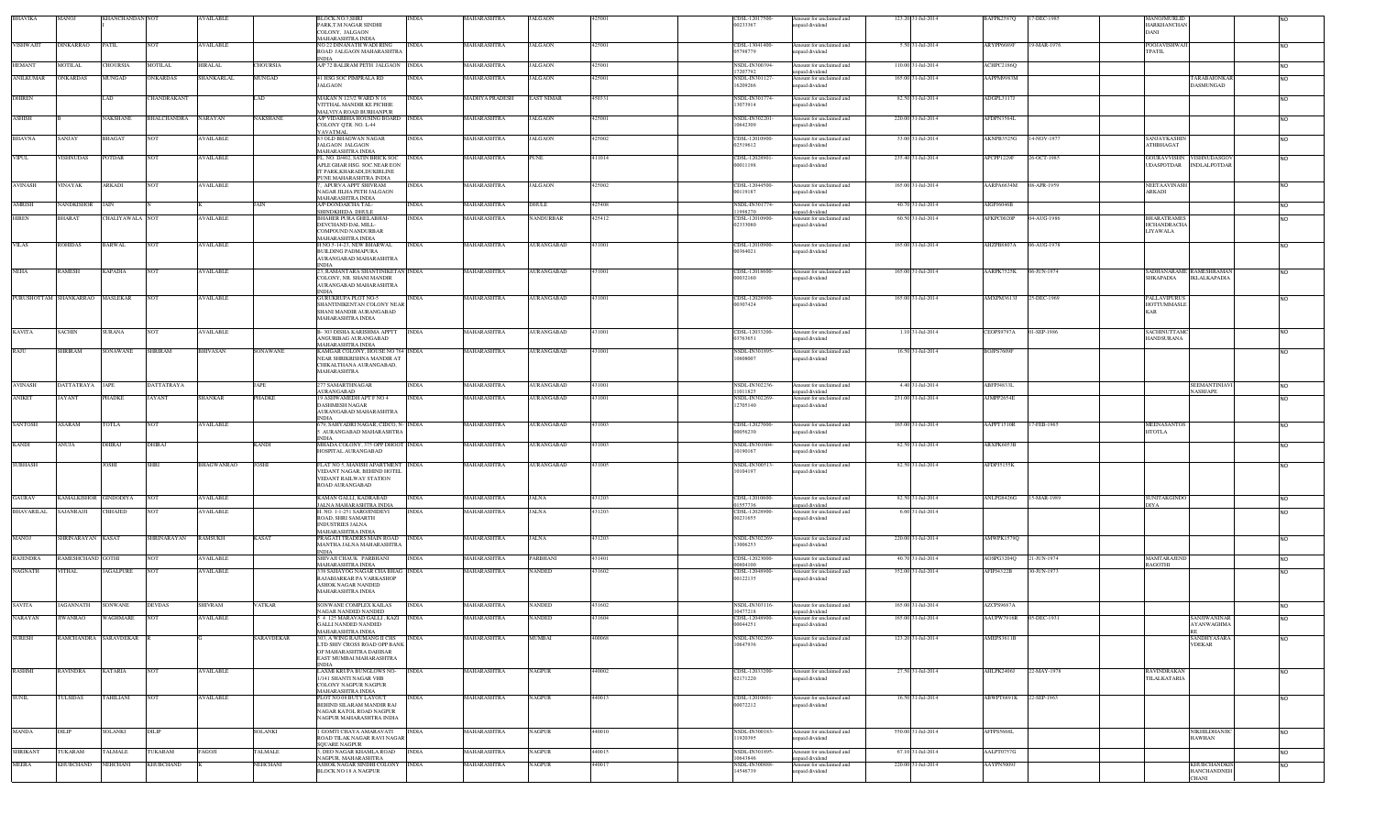| BHAVIKA           | MANOJ                           | <b>KHANCHANDAN NOT</b> |                    | <b>AVAILABLE</b>  |                   | BLOCK.NO.3.SHRI<br>PARK.T.M.NAGAR SINDHI<br>COLONY, JALGAON<br>MAHARASHTRA INDIA                                                      | <b>INDIA</b> | MAHARASHTRA        | <b>JALGAON</b>    | 425001 | CDSL-12017500-<br>00233367            | Amount for unclaimed and<br>inpaid dividend                   | 123.20 31-Jul-2014 | <b>BAFPK2587Q</b> | 17-DEC-1985            | <b>MANOJMURLID</b><br><b>HARKHANCHAN</b><br>DANI                        |                |
|-------------------|---------------------------------|------------------------|--------------------|-------------------|-------------------|---------------------------------------------------------------------------------------------------------------------------------------|--------------|--------------------|-------------------|--------|---------------------------------------|---------------------------------------------------------------|--------------------|-------------------|------------------------|-------------------------------------------------------------------------|----------------|
| <b>VISHWAJIT</b>  | <b>DINKARRAO</b>                | PATIL                  | <b>NOT</b>         | <b>AVAILABLE</b>  |                   | NO 22 DINANATH WADI RING<br>ROAD JALGAON MAHARASHTRA                                                                                  | <b>INDIA</b> | MAHARASHTRA        | <b>JALGAON</b>    | 425001 | CDSL-13041400<br>05798779             | mount for unclaimed and<br>apaid dividend                     | 5.50 31-Jul-2014   | ARYPP6689F        | 19-MAR-1976            | <b>POOJAVISHWAJ</b><br><b>TPATIL</b>                                    | N <sub>O</sub> |
| <b>HEMANT</b>     | MOTILAL                         | CHOURSIA               | <b>MOTILAL</b>     | <b>HIRALAL</b>    | <b>HOURSIA</b>    | A/P 72 BALIRAM PETH JALGAON                                                                                                           | <b>INDIA</b> | <b>MAHARASHTRA</b> | <b>JALGAON</b>    | 425001 | NSDL-IN300394                         | mount for unclaimed and                                       | 110.00 31-Jul-2014 | <b>ACHPC2186O</b> |                        |                                                                         | <b>NO</b>      |
| <b>ANILKUMAR</b>  | <b>ONKARDAS</b>                 | MUNGAD                 | <b>ONKARDAS</b>    | SHANKARLAL        | MUNGAD            | 41 HSG SOC PIMPRALA RD<br><b>JALGAON</b>                                                                                              | INDIA        | MAHARASHTRA        | <b>ALGAON</b>     | 125001 | 17207792<br>NSDL-IN30112<br>16209266  | npaid dividend<br>mount for unclaimed and<br>npaid dividend   | 165.00 31-Jul-2014 | AAPPM9983M        |                        | ARABAIONKA<br><b>DASMUNGAD</b>                                          | <b>NO</b>      |
| <b>DHIREN</b>     |                                 | AD                     | CHANDRAKANT        |                   | AD                | <b>MAKAN N 123/2 WARD N 16</b><br>VITTHAL MANDIR KE PICHHE                                                                            | <b>INDIA</b> | MADHYA PRADESH     | <b>EAST NIMAR</b> | 450331 | NSDL-IN301774<br>13073914             | Amount for unclaimed and<br>apaid dividend                    | 82.50 31-Jul-2014  | ADGPL3117J        |                        |                                                                         | <b>NO</b>      |
| <b>ASHISH</b>     |                                 | NAKSHANE               | <b>BHALCHANDRA</b> | <b>NARAYAN</b>    | <b>AKSHANE</b>    | MALVIYA ROAD BURHANPUR<br>A/P VIDARBHA HOUSING BOARD INDIA<br>COLONY QTR. NO. L-44                                                    |              | <b>MAHARASHTRA</b> | <b>JALGAON</b>    | 425001 | NSDL-IN302201<br>10642309             | Amount for unclaimed and<br>apaid dividend                    | 220.00 31-Jul-2014 | AFDPN3564L        |                        |                                                                         | <b>NO</b>      |
| <b>BHAVNA</b>     | SANJAY                          | BHAGAT                 | <b>NOT</b>         | <b>AVAILABLE</b>  |                   | YAVATMAL<br>83 OLD BHAGWAN NAGAR<br>JALGAON JALGAON                                                                                   | <b>INDIA</b> | MAHARASHTRA        | <b>JALGAON</b>    | 425002 | CDSL-12010900<br>02519612             | mount for unclaimed and<br>apaid dividend                     | 33.00 31-Jul-2014  | AKNPB3525G        | 4-NOV-1977             | SANJAYKASHIN<br><b>ATHBHAGAT</b>                                        | N <sub>O</sub> |
| <b>VIPUL</b>      | <b>ISHNUDAS</b>                 | POTDAR                 | <b>NOT</b>         | <b>AVAILABLE</b>  |                   | <b>AAHARASHTRA INDIA</b><br>FL. NO. D/402, SATIN BRICK SOC<br>APLE GHAR HSG. SOC.NEAR EON<br>IT PARK.KHARADI.DUKIRLINE                | <b>INDIA</b> | MAHARASHTRA        | <b>PUNE</b>       | 411014 | CDSL-12028901<br>00011198             | mount for unclaimed and<br>npaid dividend                     | 235.40 31-Jul-2014 | APCPP1229F        | 26-OCT-1985            | VISHNUDASGOV<br>GOURAVVISHN<br><b>INDLALPOTDAR</b><br><b>UDASPOTDAR</b> | <b>NO</b>      |
| <b>AVINASH</b>    | VINAYAK                         | ARKADI                 | <b>NOT</b>         | <b>AVAILABLE</b>  |                   | PUNE MAHARASHTRA INDIA<br>, APURVA APPT SHIVRAM<br>NAGAR JILHA PETH JALGAON                                                           | <b>INDIA</b> | MAHARASHTRA        | <b>JALGAON</b>    | 425002 | CDSL-12044500<br>00119187             | Amount for unclaimed and<br>npaid dividend                    | 165.00 31-Jul-2014 | AARPA6634M        | 08-APR-1959            | NEETAAVINASP<br>ARKADI                                                  | N <sub>O</sub> |
| <b>AMRISH</b>     | NANDKISHOR                      | JAIN                   |                    |                   | JAIN              | MAHARASHTRA INDIA<br>A/P-DONDAICHA TAL-                                                                                               | <b>INDIA</b> | MAHARASHTRA        | <b>DHULE</b>      | 425408 | NSDL-IN301774                         | Amount for unclaimed and                                      | 40.70 31-Jul-2014  | AIGPJ6046B        |                        |                                                                         | <b>NO</b>      |
| <b>HIREN</b>      | <b>BHARAT</b>                   | CHALIYAWALA NOT        |                    | <b>AVAILABLE</b>  |                   | HINDKHEDA DHULE<br>BHAHER PURA GHELABHAI-<br>DEVCHAND DAL MILL-                                                                       | <b>INDIA</b> | MAHARASHTRA        | <b>NANDURBAR</b>  | 425412 | 1998270<br>CDSL-12010900<br>02333080  | npaid dividend<br>Amount for unclaimed and<br>npaid dividend  | 60.50 31-Jul-2014  | AFKPC0020P        | 04-AUG-1986            | <b>BHARATRAMES</b><br><b>HCHANDRACHA</b>                                | <b>NO</b>      |
|                   |                                 |                        |                    |                   |                   | <b>COMPOUND NANDURBAR</b><br>MAHARASHTRA INDIA                                                                                        |              |                    |                   |        |                                       |                                                               |                    |                   |                        | LIYAWALA                                                                |                |
| <b>VILAS</b>      | ROHIDAS                         | BARWAL                 | <b>NOT</b>         | <b>AVAILABLE</b>  |                   | H NO.5-14-23, NEW BHARWAL<br><b>BUILDING PADMAPURA</b><br>AURANGABAD MAHARASHTRA<br>NDIA                                              | <b>INDIA</b> | MAHARASHTRA        | AURANGABAD        | 431001 | CDSL-12010900<br>00364021             | Amount for unclaimed and<br>npaid dividend                    | 165.00 31-Jul-2014 | AHZPB8807A        | 06-AUG-1978            |                                                                         | <b>NO</b>      |
| <b>NEHA</b>       | <b>RAMESH</b>                   | KAPADIA                | <b>NOT</b>         | <b>AVAILABLE</b>  |                   | 23, RAMANTARA SHANTINIKETAN INDIA<br>COLONY, NR. SHANI MANDIR<br>AURANGABAD MAHARASHTRA<br>NDIA                                       |              | MAHARASHTRA        | AURANGABAD        | 431001 | CDSL-12018600-<br>00032160            | Amount for unclaimed and<br>npaid dividend                    | 165.00 31-Jul-2014 | AARPK7525K        | 06-JUN-1974            | SADHANARAME RAMESHRAMAN<br>SHKAPADIA<br>IKLALKAPADIA                    | N <sub>O</sub> |
|                   | PURUSHOTTAM SHANKARRAO MASLEKAR |                        | <b>NOT</b>         | AVAILABLE         |                   | <b>GURUKRUPA PLOT NO-5</b><br>SHANTINIKENTAN COLONY NEAR<br>SHANI MANDIR AURANGABAD<br>MAHARASHTRA INDIA                              | INDIA        | MAHARASHTRA        | AURANGABAD        | 131001 | CDSL-12028900<br>00307424             | mount for unclaimed and<br>npaid dividend                     | 165.00 31-Jul-2014 | AMXPM3613J        | 25-DEC-1969            | PALLAVIPURUS<br><b>HOTTUMMASLE</b><br>KAR                               | <b>NO</b>      |
| <b>KAVITA</b>     | <b>SACHIN</b>                   | <b>SURANA</b>          | <b>NOT</b>         | <b>AVAILABLE</b>  |                   | B-303 DISHA KARISHMA APPTT<br>ANGURIBAG AURANGABAD<br>MAHARASHTRA INDIA                                                               | <b>INDIA</b> | MAHARASHTRA        | <b>AURANGABAD</b> | 431001 | CDSL-12033200<br>3763651              | Amount for unclaimed and<br>apaid dividend                    | 1.10 31-Jul-2014   | CEOPS9797A        | 01-SEP-1986            | <b>SACHINUTTAM</b><br><b>HANDSURANA</b>                                 | <b>NO</b>      |
| RAJU              | <b>SHRIRAM</b>                  | SONAWANE               | <b>SHRIRAM</b>     | <b>BHIVASAN</b>   | SONAWANE          | KAMGAR COLONY HOUSE NO 764 INDIA<br>NEAR SHRIKRISHNA MANDIR AT<br>CHIKALTHANA AURANGABAD,<br>MAHARASHTRA                              |              | <b>MAHARASHTRA</b> | <b>AURANGABAD</b> | 431001 | NSDL-IN301895<br>10608007             | Amount for unclaimed and<br>apaid dividend                    | 16.50 31-Jul-2014  | BOJPS7609F        |                        |                                                                         | <b>NO</b>      |
| <b>AVINASH</b>    | DATTATRAYA JAPE                 |                        | <b>DATTATRAYA</b>  |                   | JAPE              | <b>77 SAMARTHNAGAR</b><br>AURANGABAD                                                                                                  | <b>INDIA</b> | MAHARASHTRA        | AURANGABAD        | 431001 | NSDL-IN302236<br>11011825             | Amount for unclaimed and<br>npaid dividend                    | 4.40 31-Jul-2014   | ABFPJ4833L        |                        | SEEMANTINIAVI<br>NASHJAPE                                               | <b>NO</b>      |
| ANIKET            | <b>JAYANT</b>                   | PHADKE                 | <b>JAYANT</b>      | <b>SHANKAR</b>    | PHADKE            | 19 ASHWAMEDH APT F NO 4<br><b>DASHMESH NAGAR</b><br>AURANGABAD MAHARASHTRA<br><b>NDIA</b>                                             | <b>INDIA</b> | MAHARASHTRA        | AURANGABAD        | 431001 | NSDL-IN302269<br>12705140             | Amount for unclaimed and<br>npaid dividend                    | 231.00 31-Jul-2014 | AJMPP2654E        |                        |                                                                         | <b>NO</b>      |
| <b>SANTOSH</b>    | <b>ASARAM</b>                   | <b>FOTLA</b>           | <b>NOT</b>         | <b>AVAILABLE</b>  |                   | 679, SAHYADRI NAGAR, CIDCO, N- INDIA<br>5 AURANGABAD MAHARASHTRA<br>NDIA                                                              |              | MAHARASHTRA        | <b>AURANGABAD</b> | 431003 | CDSL-12027000-<br>00056230            | Amount for unclaimed and<br>npaid dividend                    | 165.00 31-Jul-2014 | AAPPT1510R        | 7-FEB-1965             | <b>MEENASANTOS</b><br><b>HTOTLA</b>                                     | N <sub>O</sub> |
| <b>KANDI</b>      | ANUJA                           | DHIRAJ                 | DHIRAJ             |                   | KANDI             | MHADA COLONY, 375 OPP DHOOT INDIA<br>HOSPITAL AURANGABAD                                                                              |              | MAHARASHTRA        | <b>AURANGABAD</b> | 431003 | NSDL-IN301604<br>10190167             | mount for unclaimed and<br>npaid dividend                     | 82.50 31-Jul-2014  | ARXPK6053B        |                        |                                                                         | <b>NO</b>      |
| <b>SUBHASH</b>    |                                 | JOSHI                  | <b>SHRI</b>        | <b>BHAGWANRAO</b> | <b>JOSHI</b>      | FLAT NO 5, MANISH APARTMENT INDIA<br>VEDANT NAGAR, BEHIND HOTEL<br>VEDANT RAILWAY STATION<br>ROAD AURANGABAD                          |              | MAHARASHTRA        | AURANGABAD        | 431005 | NSDL-IN300513<br>10104197             | Amount for unclaimed and<br>npaid dividend                    | 82.50 31-Jul-2014  | AFDPJ5155K        |                        |                                                                         | N <sub>O</sub> |
| <b>GAURAV</b>     | <b><i>AMALKISHOR</i></b>        | <b>GINDODIYA</b>       |                    | AVAILABLE         |                   | <b>(AMAN GALLI, KADRABAD</b><br>ALNA MAHARASHTRA INDIA                                                                                | <b>INDIA</b> | MAHARASHTRA        | JALNA             | 431203 | CDSL-12010600<br>01557736             | mount for unclaimed and<br>npaid dividend                     | 82.50 31-Jul-2014  | ANLPG8426G        | 15-MAR-1989            | <b>SUNITAKGINDO</b><br><b>DIYA</b>                                      | N <sub>O</sub> |
| <b>BHAVARILAL</b> | SAJANRAJJI                      | CHHAJED                | <b>NOT</b>         | <b>AVAILABLE</b>  |                   | H. NO. 1-1-251 SAROJINIDEVI<br>ROAD, SHRI SAMARTH<br>INDUSTRIES JALNA                                                                 | <b>INDIA</b> | MAHARASHTRA        | <b>JALNA</b>      | 431203 | CDSL-12028900<br>00231655             | Amount for unclaimed and<br>npaid dividend                    | 6.60 31-Jul-2014   |                   |                        |                                                                         | <b>NO</b>      |
| MANOJ             | SHRINARAYAN KASAT               |                        | SHRINARAYAN        | RAMSUKH           | KASAT             | MAHARASHTRA INDIA<br>PRAGATI TRADERS MAIN ROAD INDIA<br>MANTHA JALNA MAHARASHTRA                                                      |              | MAHARASHTRA        | <b>JALNA</b>      | 431203 | <b>NSDL-IN302269</b><br>13006253      | Amount for unclaimed and<br>npaid dividend                    | 220.00 31-Jul-2014 | AMWPK1579Q        |                        |                                                                         | <b>NO</b>      |
| <b>RAJENDRA</b>   | AMESHCHAND GOTHI                |                        | <b>NOT</b>         | AVAILABLE         |                   | <b>NDIA</b><br>SHIVAJI CHAUK PARBHANI<br>MAHARASHTRA INDIA                                                                            | INDIA        | MAHARASHTRA        | PARBHANI          | 131401 | CDSL-12023000<br>00604100             | Amount for unclaimed and<br>apaid dividend                    | 40.70 31-Jul-2014  | AOSPG3204Q        | 21-JUN-1974            | <b>MAMTARAJENE</b><br>RAGOTHI                                           | <b>NO</b>      |
| <b>NAGNATH</b>    | ITHAL                           | <b>JAGALPURE</b>       | <b>NOT</b>         | <b>AVAILABLE</b>  |                   | 338 SAHAYOG NAGAR CHA BHAG<br>RAJABIARKAR PA VARKASHOP<br>ASHOK NAGAR NANDED<br>MAHARASHTRA INDIA                                     | <b>INDIA</b> | MAHARASHTRA        | NANDED            | 431602 | CDSL-12048900<br>00122135             | Amount for unclaimed and<br>npaid dividend                    | 352.00 31-Jul-2014 | AFIPJ4322B        | 30-JUN-1973            |                                                                         | N <sub>O</sub> |
| <b>SAVITA</b>     | <b>AGANNATH</b>                 | SONWANE                | <b>DEVDAS</b>      | SHIVRAM           | ATKAR             | SONWANE COMPLEX KAILAS<br>NAGAR NANDED NANDED                                                                                         | INDIA        | MAHARASHTRA        | <b>NANDED</b>     | 431602 | NSDL-IN303116-                        | mount for unclaimed and                                       | 165.00 31-Jul-2014 | AZCPS9687A        |                        |                                                                         | N <sub>O</sub> |
| <b>NARAYAN</b>    | JIWANRAO                        | WAGHMARE               |                    | AVAILABLE         |                   | 5 4 125 MARAVAD GALLI , KAZI<br><b>GALLI NANDED NANDED</b>                                                                            | <b>INDIA</b> | MAHARASHTRA        | VANDED            | 431604 | 10477218<br>CDSL-12048900<br>00044251 | npaid dividend<br>Amount for unclaimed and<br>unpaid dividend | 165.00 31-Jul-2014 | AAUPW7916R        | 05-DEC-1931            | ANJIWANINAR<br><b>AYANWAGHMA</b>                                        |                |
| <b>SURESH</b>     | RAMCHANDRA SARAVDEKAR           |                        |                    |                   | <b>SARAVDEKAR</b> | MAHARASHTRA INDIA<br>303, A WING RAJUMANG II CHS<br>LTD SHIV CROSS ROAD OPP BANK<br>OF MAHARASHTRA DAHISAR<br>EAST MUMBAI MAHARASHTRA | <b>INDIA</b> | MAHARASHTRA        | MUMBAI            | 400068 | NSDL-IN302269-<br>10647936            | Amount for unclaimed and<br>npaid dividend                    | 123.20 31-Jul-2014 | AMEPS3611B        |                        | <b>SANDHYASARA</b><br><b>VDEKAR</b>                                     | N <sub>O</sub> |
| <b>RASHMI</b>     | <b>RAVINDRA</b>                 | KATARIA                | <b>NOT</b>         | <b>AVAILABLE</b>  |                   | NDIA<br>LAXMI KRUPA BUNGLOWS NO-<br>1/141 SHANTI NAGAR VHB<br>COLONY NAGPUR NAGPUR                                                    | <b>INDIA</b> | MAHARASHTRA        | <b>NAGPUR</b>     | 440002 | CDSL-12033200-<br>02171220            | Amount for unclaimed and<br>apaid dividend                    | 27.50 31-Jul-2014  | AHLPK2406J        | 22-MAY-1978            | <b>RAVINDRAKAN</b><br>TILALKATARIA                                      | <b>NO</b>      |
| SUNIL.            | <b>TULSIDAS</b>                 | TAHILIANI              | <b>NOT</b>         | <b>AVAILABLE</b>  |                   | MAHARASHTRA INDIA<br>PLOT NO 08 BUTY LAYOUT<br>BEHIND SILARAM MANDIR RAJ<br>NAGAR KATOL ROAD NAGPUR                                   | <b>INDIA</b> | <b>MAHARASHTRA</b> | <b>NAGPUR</b>     | 440013 | CDSL-12010601<br>00072212             | Amount for unclaimed and<br>inpaid dividend                   | 16.50 31-Jul-2014  |                   | ABWPT6891K 22-SEP-1963 |                                                                         | <b>NO</b>      |
| MANDA             | DILIP                           | SOLANKI                | DILIP              |                   | SOLANKI           | NAGPUR MAHARASHTRA INDIA<br>I GOMTI CHAYA AMARAVATI                                                                                   | <b>INDIA</b> | MAHARASHTRA        | NAGPUR            | 440010 | NSDL-IN300183                         | Amount for unclaimed and                                      | 550.00 31-Jul-2014 | AFFPS5668L        |                        | NIKHILDHANJIC                                                           | <b>NO</b>      |
|                   |                                 |                        |                    |                   |                   | ROAD TILAK NAGAR RAVI NAGAR<br><b>SQUARE NAGPUR</b>                                                                                   |              |                    |                   |        | 11920395                              | npaid dividend                                                |                    |                   |                        | <b>HAWHAN</b>                                                           |                |
| <b>SHRIKANT</b>   | <b><i>TUKARAM</i></b>           | TALMALE                | TUKARAM            | FAGOJI            | <b>ALMALE</b>     | 3. DEO NAGAR KHAMLA ROAD<br>NAGPUR MAHARASHTRA                                                                                        | <b>INDIA</b> | MAHARASHTRA        | <b>NAGPUR</b>     | 440015 | NSDL-IN301895<br>10643846             | Amount for unclaimed and<br>npaid dividend                    | 67.10 31-Jul-2014  | AALPT0757G        |                        |                                                                         | N <sub>O</sub> |
| <b>MEERA</b>      | KHUBCHAND                       | VEHCHANI               | <b>KHUBCHAND</b>   |                   | EHCHANI           | ASHOK NAGAR SINDHI COLONY<br><b>BLOCK NO 18 A NAGPUR</b>                                                                              | <b>INDIA</b> | <b>AAHARASHTRA</b> | VAGPUR            | 140017 | <b>NSDL-IN300888</b><br>14546739      | mount for unclaimed and<br>apaid dividend                     | 220.00 31-Jul-2014 | AAYPN5009J        |                        | <b>KHUBCHANDKIS</b><br><b>HANCHANDNEH</b><br><b>CHANI</b>               | N <sub>O</sub> |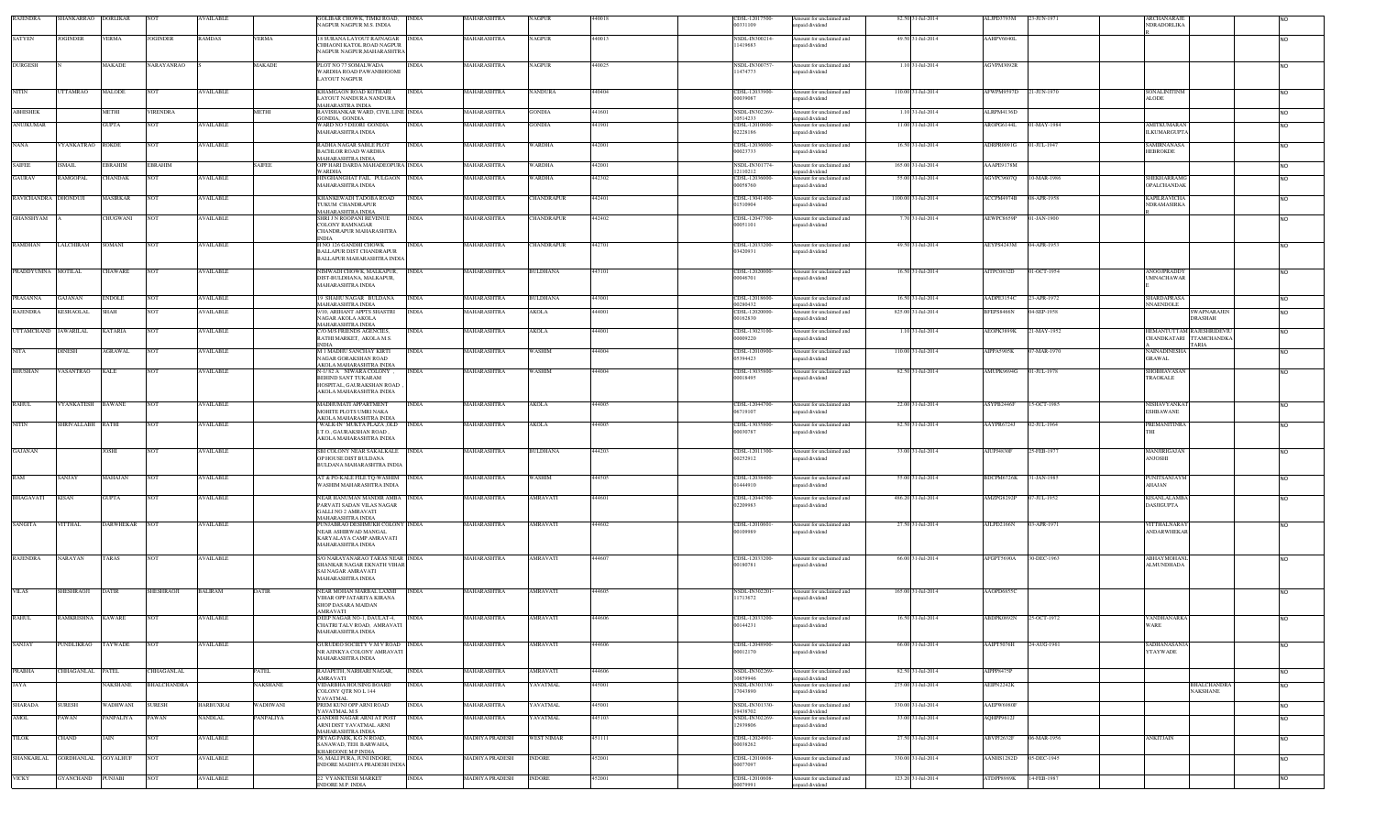| RAJENDRA             | HANKARRAO                | <b>DORLIKAR</b> | <b>NOT</b>         | VAILABLE         |                 | GOLIBAR CHOWK, TIMKI ROAD,<br><b>INDIA</b><br><b>AGPUR NAGPUR M.S. INDIA</b>                                               | MAHARASHTRA           | NAGPUR            | 440018 | CDSL-12017500<br>00331109             | Amount for unclaimed and<br>unpaid dividend                   | 82.50 31-Jul-2014   | ALJPD3793M        | 23-JUN-1971 | ARCHANARA.<br>NDRADORLIKA                |                                                                     |                        |
|----------------------|--------------------------|-----------------|--------------------|------------------|-----------------|----------------------------------------------------------------------------------------------------------------------------|-----------------------|-------------------|--------|---------------------------------------|---------------------------------------------------------------|---------------------|-------------------|-------------|------------------------------------------|---------------------------------------------------------------------|------------------------|
| <b>SATYEN</b>        | JOGINDER                 | <b>VERMA</b>    | <b>JOGINDER</b>    | <b>RAMDAS</b>    | <b>ERMA</b>     | 8 SURANA LAYOUT RAJNAGAR INDIA<br>CHHAONI KATOL ROAD NAGPUR<br><b>NAGPUR NAGPUR, MAHARASHTRA</b>                           | <b>MAHARASHTRA</b>    | <b>NAGPUR</b>     | 440013 | NSDL-IN300214<br>11419683             | Amount for unclaimed and<br>unpaid dividend                   | 49.50 31-Jul-2014   | AAHPV6040L        |             |                                          |                                                                     |                        |
| <b>DURGESH</b>       |                          | MAKADE          | NARAYANRAO         |                  | MAKADE          | PLOT NO 77 SOMALWADA<br><b>INDIA</b><br>WARDHA ROAD PAWANBHOOMI<br>LAYOUT NAGPUR                                           | MAHARASHTRA           | NAGPUR            | 140025 | NSDL-IN300757<br>1474773              | Amount for unclaimed and<br>unpaid dividend                   | 1.10 31-Jul-2014    | AGVPM3092R        |             |                                          |                                                                     |                        |
| <b>NITIN</b>         | <b>TTAMRAO</b>           | MALODE          | <b>NOT</b>         | <b>VAILABLE</b>  |                 | KHAMGAON ROAD KOTHARI<br><b>INDIA</b><br>AYOUT NANDURA NANDURA                                                             | MAHARASHTRA           | <b>VANDURA</b>    | 140404 | CDSL-12033900<br>00039087             | Amount for unclaimed and<br>unpaid dividend                   | 110.00 31-Jul-2014  | AFWPM9597D        | 21-JUN-1970 | SONALINITINM<br><b>ALODE</b>             |                                                                     |                        |
| <b>ABHISHEK</b>      |                          | <b>METHI</b>    | <b>VIRENDRA</b>    |                  | <b>METHI</b>    | <b>JAHARASTRA INDIA</b><br>RAVISHANKAR WARD, CIVIL LINE INDIA                                                              | MAHARASHTRA           | GONDIA            | 441601 | NSDL-IN302269                         | Amount for unclaimed and                                      | 1.10 31-Jul-2014    | ALRPM4136D        |             |                                          |                                                                     | <b>NO</b>              |
| <b>ANUJKUMAR</b>     |                          | GUPTA           | <b>NOT</b>         | VAILABLE         |                 | GONDIA, GONDIA<br>WARD NO 5 DEORI GONDIA<br><b>INDIA</b><br><b>MAHARASHTRA INDIA</b>                                       | <b>AAHARASHTRA</b>    | <b>GONDIA</b>     | 441901 | 0514233<br>CDSL-12010600-<br>02228186 | unpaid dividend<br>Amount for unclaimed and<br>npaid dividend | 11.00 31-Jul-2014   | AROPG6144L        | 1-MAY-1984  | <b>AMITKUMARAN</b><br><b>ILKUMARGUPT</b> |                                                                     | NΩ                     |
| <b>NANA</b>          | YANKATRAO                | <b>ROKDE</b>    | <b>NOT</b>         | <b>WAILABLE</b>  |                 | RADHA NAGAR SABLE PLOT<br><b>INDIA</b><br>BACHLOR ROAD WARDHA<br><b>JAHARASHTRA INDIA</b>                                  | MAHARASHTRA           | WARDHA            | 442001 | CDSL-12036000<br>00023733             | Amount for unclaimed and<br>unpaid dividend                   | 16.50 31-Jul-2014   | ADRPR0091G        | 01-JUL-1947 | <b>SAMIRNANASA</b><br><b>HEBROKDE</b>    |                                                                     | N <sub>O</sub>         |
| <b>SAIFEE</b>        | <b>ISMAIL</b>            | <b>EBRAHIM</b>  | <b>EBRAHIM</b>     |                  | <b>SAIFEE</b>   | OPP HARI DARDA MAHADEOPURA INDIA<br>WARDHA                                                                                 | MAHARASHTRA           | <b>WARDHA</b>     | 442001 | NSDL-IN301774<br>2110212              | Amount for unclaimed and<br>unpaid dividend                   | 165.00 31-Jul-2014  | AAAPE9178M        |             |                                          |                                                                     | <b>NO</b>              |
| <b>GAURAV</b>        | AMGOPAL                  | CHANDAK         | <b>NOT</b>         | <b>VAILABLE</b>  |                 | HINGHANGHAT FAIL PULGAON INDIA<br><b>MAHARASHTRA INDIA</b>                                                                 | MAHARASHTRA           | WARDHA            | 442302 | CDSL-12036000-<br>00058760            | Amount for unclaimed and<br>npaid dividend                    | 55.00 31-Jul-2014   | GVPC9607Q         | 10-MAR-1986 | SHEKHARRAMG<br>OPALCHANDAK               |                                                                     | N <sub>O</sub>         |
| RAVICHANDRA DHONDUJI |                          | MASIRKAR        | <b>NOT</b>         | AVAILABLE        |                 | KHANKEWADI TADOBA ROAD<br><b>INDIA</b><br><b>TUKUM CHANDRAPUR</b><br><b>MAHARASHTRA INDIA</b>                              | MAHARASHTRA           | CHANDRAPUR        | 442401 | CDSL-13041400-<br>01510904            | Amount for unclaimed and<br>npaid dividend                    | 1100.00 31-Jul-2014 | ACCPM4974B        | 08-APR-1958 | <b>KAPILRAVICHA</b><br>NDRAMASIRKA       |                                                                     | <b>NO</b>              |
| <b>GHANSHYAM</b>     |                          | CHUGWANI        | <b>NOT</b>         | <b>AVAILABLE</b> |                 | SHRI J N ROOPANI REVENUE<br><b>INDIA</b><br>COLONY RAMNAGAR                                                                | MAHARASHTRA           | <b>CHANDRAPUR</b> | 442402 | CDSL-12047700<br>00051101             | Amount for unclaimed and<br>unpaid dividend                   | 7.70 31-Jul-2014    | AEWPC8659P        | 01-JAN-1900 |                                          |                                                                     | <b>NO</b>              |
| <b>RAMDHAN</b>       | LALCHIRAM                | SOMANI          | NOT                | <b>AVAILABLE</b> |                 | CHANDRAPUR MAHARASHTRA<br>NDIA<br>H NO 126 GANDHI CHOWK<br><b>INDIA</b>                                                    | MAHARASHTRA           | CHANDRAPUR        | 442701 | CDSL-12033200-                        | Amount for unclaimed and                                      | 49.50 31-Jul-2014   | AEYPS4243M        | 04-APR-1953 |                                          |                                                                     | <b>NO</b>              |
|                      |                          |                 |                    |                  |                 | BALLAPUR DIST CHANDRAPUR<br>BALLAPUR MAHARASHTRA INDIA                                                                     |                       |                   |        | 03420931                              | unpaid dividend                                               |                     |                   |             |                                          |                                                                     |                        |
| PRADDYUMNA MOTILAL   |                          | <b>CHAWARE</b>  | <b>NOT</b>         | <b>AVAILABLE</b> |                 | <b>INDIA</b><br>NIMWADI CHOWK, MALKAPUR,<br>DIST-BULDHANA, MALKAPUR,<br><b>AAHARASHTRA INDIA</b>                           | MAHARASHTRA           | <b>BULDHANA</b>   | 443101 | CDSL-12020000-<br>00046701            | Amount for unclaimed and<br>unpaid dividend                   | 16.50 31-Jul-2014   | AITPC0832D        | 01-OCT-1954 | <b>ANOOJPRADDY</b><br><b>UMNACHAWAR</b>  |                                                                     | <b>NO</b>              |
| PRASANNA             | GAJANAN                  | ENDOLE          | <b>NOT</b>         | AVAILABLE        |                 | 9 SHAHU NAGAR BULDANA<br><b>INDIA</b>                                                                                      | MAHARASHTRA           | BULDHANA          | 443001 | CDSL-12018600-                        | Amount for unclaimed and                                      | 16.50 31-Jul-2014   | AADPE31540        | 23-APR-1972 | <b>HARDAPRASA</b>                        |                                                                     | NO.                    |
| RAJENDRA             | KESHAOLAL                | SHAH            | <b>NOT</b>         | <b>AVAILABLE</b> |                 | <b>MAHARASHTRA INDIA</b><br>/10, ARIHANT APPTS SHASTRI<br><b>INDIA</b>                                                     | MAHARASHTRA           | AKOLA             | 144001 | 00280432<br>CDSL-12020000             | inpaid dividend<br>Amount for unclaimed and                   | 825.00 31-Jul-2014  | BFEPS8466N        | 04-SEP-1958 | NNAENDOLE                                | <b>SWAPNARAJEN</b>                                                  | NO.                    |
|                      |                          |                 |                    |                  |                 | NAGAR AKOLA AKOLA<br><b>MAHARASHTRA INDIA</b>                                                                              |                       |                   |        | 00162830                              | unpaid dividend                                               |                     |                   |             |                                          | <b>DRASHAH</b>                                                      |                        |
| <b>UTTAMCHAND</b>    | <b>JAWARILAL</b>         | <b>KATARIA</b>  | <b>NOT</b>         | <b>AVAILABLE</b> |                 | C/O M/S FRIENDS AGENCIES,<br><b>INDIA</b><br>RATHI MARKET, AKOLA M.S.<br><b>INDIA</b>                                      | MAHARASHTRA           | AKOLA             | 444001 | CDSL-13023100<br>00009220             | Amount for unclaimed and<br>npaid dividend                    | 1.10 31-Jul-2014    | AEOPK3899K        | :1-MAY-1952 |                                          | HEMANTUTTAM RAJESHRIDEVI<br>CHANDKATARI TTAMCHANDKA<br><b>TARIA</b> | <b>NO</b>              |
| <b>NITA</b>          | <b>DINESH</b>            | AGRAWAL         | <b>NOT</b>         | <b>AVAILABLE</b> |                 | <b>M 1 MADHU SANCHAY KIRTI</b><br><b>INDIA</b><br>NAGAR GORAKSHAN ROAD<br>AKOLA MAHARASHTRA INDIA                          | MAHARASHTRA           | <b>WASHIM</b>     | 144004 | CDSL-12010900<br>05394423             | Amount for unclaimed and<br>npaid dividend                    | 110.00 31-Jul-2014  | AIPPA5905K        | 7-MAR-1970  | NAINADINESH/<br><b>GRAWAL</b>            |                                                                     | <b>NO</b>              |
| <b>BHUSHAN</b>       | VASANTRAO                | KALE            | <b>NOT</b>         | <b>AVAILABLE</b> |                 | <b>INDIA</b><br>N-1/82 A NIWARA COLONY.<br>BEHIND SANT TUKARAM<br>HOSPITAL, GAURAKSHAN ROAD<br>AKOLA MAHARASHTRA INDIA     | MAHARASHTRA           | WASHIM            | 444004 | CDSL-13035800<br>00018495             | Amount for unclaimed and<br>npaid dividend                    | 82.50 31-Jul-2014   | AMUPK9694G        | 01-JUL-1978 | <b>SHOBHAVASAN</b><br>TRAOKALE           |                                                                     | <b>NO</b>              |
| <b>RAHUL</b>         | VYANKATESH               | <b>BAWANE</b>   | NOT                | <b>AVAILABLE</b> |                 | MADHUMATI APPARTMENT<br><b>INDIA</b><br>MOHITE PLOTS UMRI NAKA                                                             | MAHARASHTRA           | AKOLA             | 444005 | CDSL-12044700-<br>06719107            | Amount for unclaimed and<br>npaid dividend                    | 22.00 31-Jul-2014   | ASYPB2446F        | 15-OCT-1985 | NISHAVYANKA7<br>ESHBAWANE                |                                                                     | <b>NO</b>              |
| <b>NITIN</b>         | <b>SHRIVALLABH RATHI</b> |                 | <b>NOT</b>         | <b>AVAILABLE</b> |                 | AKOLA MAHARASHTRA INDIA<br>WALK-IN' MUKTA PLAZA ,OLD<br><b>INDIA</b><br>LT.O., GAURAKSHAN ROAD,<br>AKOLA MAHARASHTRA INDIA | MAHARASHTRA           | AKOLA             | 444005 | CDSL-13035800-<br>00030787            | Amount for unclaimed and<br>unpaid dividend                   | 82.50 31-Jul-2014   | AAYPR6724J        | 02-JUL-1964 | <b>PREMANITINRA</b>                      |                                                                     | <b>NO</b>              |
| <b>GAJANAN</b>       |                          | JOSHI           | <b>NOT</b>         | <b>AVAILABLE</b> |                 | SBI COLONY NEAR SAKALKALE INDIA<br>OP HOUSE DIST BULDANA<br><b>SULDANA MAHARASHTRA INDIA</b>                               | MAHARASHTRA           | <b>BULDHANA</b>   | 444203 | CDSL-12011300-<br>00252912            | Amount for unclaimed and<br>unpaid dividend                   | 33.00 31-Jul-2014   | AIUPJ4830F        | 25-FEB-1977 | MANJIRIGAJAN<br>ANJOSHI                  |                                                                     | <b>NO</b>              |
| RAM                  | SANJAY                   | MAHAJAN         | <b>NOT</b>         | <b>AVAILABLE</b> |                 | AT & PO-KALE FILE TQ-WASHIM INDIA<br>WASHIM MAHARASHTRA INDIA                                                              | MAHARASHTRA           | WASHIM            | 144505 | CDSL-12038400<br>01444910             | Amount for unclaimed and<br>npaid dividend                    | 55.00 31-Jul-2014   | BDCPM6726K        | 31-JAN-1985 | <b>PUNITSANJAYM</b><br>AHAJAN            |                                                                     | <b>NO</b>              |
| <b>BHAGAVATI</b>     | <b>KISAN</b>             | <b>GUPTA</b>    | <b>NOT</b>         | <b>AVAILABLE</b> |                 | NEAR HANUMAN MANDIR AMBA INDIA                                                                                             | MAHARASHTRA           | AMRAVATI          | 144601 | CDSL-12044700                         | Amount for unclaimed and                                      | 486.20 31-Jul-2014  | AMZPG8292P        | 07-JUL-1952 | KISANLALAMB.                             |                                                                     | <b>NO</b>              |
|                      |                          |                 |                    |                  |                 | PARVATI SADAN VILAS NAGAR<br><b>GALLI NO 2 AMRAVATI</b><br><b>AAHARASHTRA INDIA</b>                                        |                       |                   |        | 02209983                              | npaid dividend                                                |                     |                   |             | <b>DASJIGUPTA</b>                        |                                                                     |                        |
| <b>SANGITA</b>       | <b>VITTHAL</b>           | DARWHEKAR NOT   |                    | <b>AVAILABLE</b> |                 | PUNJABRAO DESHMUKH COLONY INDIA<br>NEAR ASHIRWAD MANGAL<br>KARYALAYA CAMP AMRAVATI                                         | MAHARASHTRA           | <b>AMRAVATI</b>   | 144602 | CDSL-12010601<br>98990100             | Amount for unclaimed and<br>unpaid dividend                   | 27.50 31-Jul-2014   | AJLPD2166N        | 03-APR-1971 | VITTHALNARA<br><b>ANDARWHEKAI</b>        |                                                                     | <b>NO</b>              |
|                      |                          |                 |                    |                  |                 | MAHARASHTRA INDIA                                                                                                          |                       |                   |        |                                       |                                                               |                     |                   |             |                                          |                                                                     |                        |
| <b>RAJENDRA</b>      | NARAYAN                  | TARAS           | <b>NOT</b>         | <b>AVAILABLE</b> |                 | S/O NARAYANARAO TARAS NEAR INDIA<br>SHANKAR NAGAR EKNATH VIHAR<br>SAI NAGAR AMRAVATI<br><b>MAHARASHTRA INDIA</b>           | MAHARASHTRA           | AMRAVATI          | 144607 | CDSL-12033200<br>00180781             | Amount for unclaimed and<br>unpaid dividend                   | 66.00 31-Jul-2014   | AFGPT5690A        | 30-DEC-1963 | <b>ABHAYMOHAN</b><br><b>ALMUNDHADA</b>   |                                                                     | <b>NO</b>              |
| <b>VILAS</b>         | SHESHRAOJI               | <b>DATIR</b>    | SHESHRAOJI         | <b>BALIRAM</b>   | DATIR           | NEAR MOHAN MARBAL LAXMI<br><b>INDIA</b><br>VIHAR OPP JATARIYA KIRANA<br><b>SHOP DASARA MAIDAN</b>                          | MAHARASHTRA           | AMRAVATI          | 144605 | NSDL-IN302201<br>11713672             | Amount for unclaimed and<br>npaid dividend                    | 165.00 31-Jul-2014  | AAOPD6855C        |             |                                          |                                                                     | <b>NO</b>              |
| <b>RAHUL</b>         | <b>RAMKRISHNA</b>        | <b>KAWARE</b>   | <b>NOT</b>         | <b>AVAILABLE</b> |                 | <b>AMRAVATI</b><br>DEEP NAGAR NO-1, DAULAT-4,<br><b>INDIA</b><br>CHATRI TALV ROAD, AMRAVATI<br>MAHARASHTRA INDIA           | MAHARASHTRA           | AMRAVATI          | 144606 | CDSL-12033200-<br>00144231            | Amount for unclaimed and<br>unpaid dividend                   | 16.50 31-Jul-2014   | ABDPK0892N        | 25-OCT-1972 | <b>VANDHANARKA</b><br><b>WARE</b>        |                                                                     | <b>NO</b>              |
| SANJAY               | PUNDLIKRAO               | TAYWADE         | <b>NOT</b>         | <b>VAILABLE</b>  |                 | GURUDEO SOCIETY V.M.V ROAD INDIA<br>NR AJINKYA COLONY AMRAVATI<br><b>MAHARASHTRA INDIA</b>                                 | MAHARASHTRA           | AMRAVATI          | 44606  | CDSL-12048900-<br>00012170            | Amount for unclaimed and<br>npaid dividend                    | 66.00 31-Jul-2014   | AAIPT5076H        | 24-AUG-1961 | <b>SADHANASANJ</b><br><b>YTAYWADE</b>    |                                                                     | NO.                    |
| PRABHA               | CHHAGANLAL PATEL         |                 | CHHAGANLAL         |                  | PATEL           | RAJAPETH, NARHARI NAGAR,<br><b>INDIA</b>                                                                                   | MAHARASHTRA           | AMRAVATI          | 144606 | NSDL-IN302269                         | Amount for unclaimed and                                      | 82.50 31-Jul-2014   | <b>MPPP8475P</b>  |             |                                          |                                                                     | <b>NO</b>              |
| <b>JAYA</b>          |                          | <b>AKSHANE</b>  | <b>BHALCHANDRA</b> |                  | <b>NAKSHANE</b> | AMRAVATI<br>VIDARBHA HOUSING BOARD<br><b>INDIA</b><br>COLONY QTR NO L 144                                                  | MAHARASHTRA           | YAVATMAL          | 445001 | 0859946<br>NSDL-IN301330<br>17043890  | npaid dividend<br>Amount for unclaimed and<br>unpaid dividend | 275.00 31-Jul-2014  | AEIPN2242K        |             |                                          | <b>BHALCHANDRA</b><br><b>NAKSHANE</b>                               | <b>NO</b>              |
| <b>SHARADA</b>       | <b>SURESH</b>            | WADHWANI        | <b>SURESH</b>      | <b>HARBUXRAI</b> | <b>WADHWANI</b> | YAVATMAL<br>PREM KUNJ OPP ARNI ROAD<br><b>INDIA</b>                                                                        | <b>MAHARASHTRA</b>    | YAVATMAL          | 445001 | NSDL-IN301330                         | Amount for unclaimed and                                      | 330.00 31-Jul-2014  | AAEPW6980F        |             |                                          |                                                                     |                        |
| <b>AMOL</b>          | 'AWAN                    | ANPALIYA        | PAWAN              | <b>ANDLAL</b>    | <b>ANPALIYA</b> | YAVATMAL M S<br>GANDHI NAGAR ARNI AT POST<br><b>INDIA</b>                                                                  | <b>AAHARASHTRA</b>    | <b>AVATMAL</b>    | 445103 | 19438702<br>NSDL-IN302269             | unpaid dividend<br>Amount for unclaimed and                   | 33.00 31-Jul-2014   | QHPP9612J         |             |                                          |                                                                     | <b>NO</b><br><b>NO</b> |
|                      |                          |                 |                    |                  |                 | ARNI DIST YAVATMAL ARNI<br>MAHARASHTRA INDIA                                                                               |                       |                   |        | 12939806                              | unpaid dividend                                               |                     |                   |             |                                          |                                                                     |                        |
| TILOK                | <b>CHAND</b>             | JAIN            | <b>NOT</b>         | <b>AVAILABLE</b> |                 | <b>INDIA</b><br>PRYAG PARK, K.G.N ROAD,<br>SANAWAD, TEH. BARWAHA,<br><b>CHARGONE M.P INDIA</b>                             | <b>MADHYA PRADESH</b> | <b>WEST NIMAR</b> | 451111 | CDSL-12024901<br>00038262             | Amount for unclaimed and<br>unpaid dividend                   | 27.50 31-Jul-2014   | ABVPJ2632F        | 06-MAR-1956 | <b>ANKITJAIN</b>                         |                                                                     | <b>NO</b>              |
| <b>SHANKARLAL</b>    | <b>GORDHANLAL</b>        | <b>GOYALHUF</b> | <b>NOT</b>         | <b>AVAILABLE</b> |                 | 36, MALI PURA, JUNI INDORE, INDIA<br><b>NDORE MADHYA PRADESH INDIA</b>                                                     | <b>MADHYA PRADESH</b> | <b>INDORE</b>     | 452001 | CDSL-12010608<br>00077097             | Amount for unclaimed and<br>unpaid dividend                   | 330.00 31-Jul-2014  | AANHS1282D        | 05-DEC-1945 |                                          |                                                                     | <b>NO</b>              |
| <b>VICKY</b>         | <b>GYANCHAND</b>         | PUNJABI         | NO <sub>1</sub>    | AVAILABLE        |                 | 2 VYANKTESH MARKET<br><b>INDIA</b><br>NDORE M.P. INDIA                                                                     | MADHYA PRADESH        | <b>INDORE</b>     | 152001 | CDSL-12010608<br>00079991             | Amount for unclaimed and<br>npaid dividend                    | 123.20 31-Jul-2014  | <b>ATDPP8989K</b> | 14-FEB-1987 |                                          |                                                                     | <b>NO</b>              |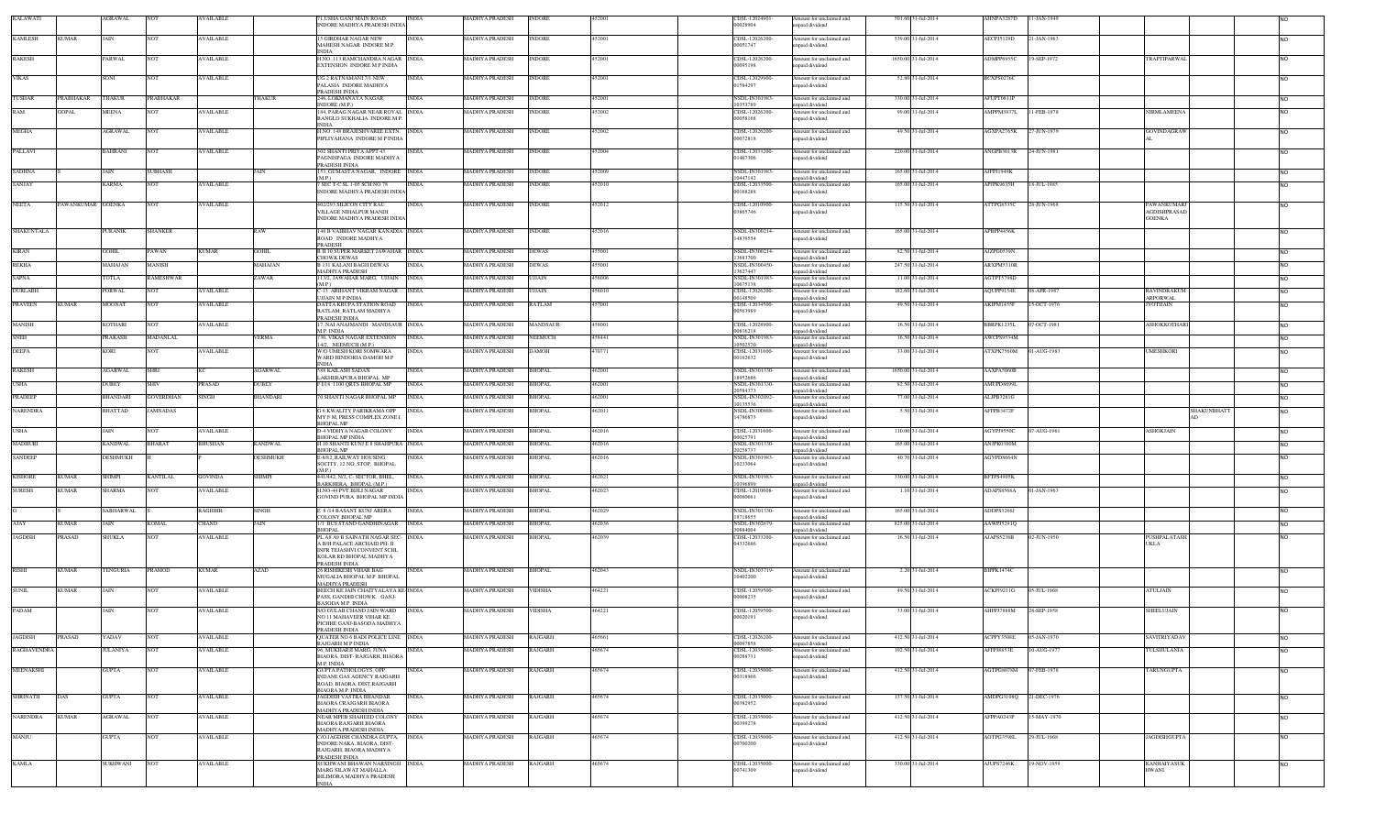| <b>KALAWATI</b>                  | AGRAWAL          |                 | <b>AVAILABLE</b> |                | 1.USHA GANJ MAIN ROAD.<br><b>INDIA</b><br>INDORE MADHYA PRADESH INDL             | <b>MADHYA PRADESH</b> | <b>INDORE</b>  | 5200   | CDSL-12024901<br>00028904        | Amount for unclaimed and<br>apaid dividend  | 501.60 31-Jul-2014  | AHNPA3287D             | 11-JAN-1949 |                                          |                    |                |  |
|----------------------------------|------------------|-----------------|------------------|----------------|----------------------------------------------------------------------------------|-----------------------|----------------|--------|----------------------------------|---------------------------------------------|---------------------|------------------------|-------------|------------------------------------------|--------------------|----------------|--|
|                                  |                  |                 |                  |                |                                                                                  |                       |                |        |                                  |                                             |                     |                        |             |                                          |                    |                |  |
| <b>KAMLESH</b><br><b>KUMAR</b>   | JAIN             | NOT             | <b>AVAILABLE</b> |                | <b>5 GIRDHAR NAGAR NEW</b><br><b>INDIA</b><br>MAHESH NAGAR INDORE M.P.           | <b>MADHYA PRADESH</b> | <b>INDORE</b>  | 452001 | CDSL-12026200<br>00051747        | Amount for unclaimed and<br>apaid dividend  | 539.00 31-Jul-2014  | AECPJ5129D             | 21-JAN-1963 |                                          |                    | <b>NO</b>      |  |
| <b>RAKESH</b>                    | PARWAL           | NOT             | AVAILABLE        |                | INDIA<br>H.NO. 113 RAMCHANDRA NAGAR INDIA                                        | MADHYA PRADESH        | <b>INDORE</b>  | 152001 | CDSL-12026200-                   | Amount for unclaimed and                    | 1650.00 31-Jul-2014 | ADMPP6955C             | 19-SEP-1972 | <b>TRAPTIPARWA</b>                       |                    | <b>NO</b>      |  |
|                                  |                  |                 |                  |                | <b>EXTENSION INDORE M P INDIA</b>                                                |                       |                |        | 00095198                         | apaid dividend                              |                     |                        |             |                                          |                    |                |  |
| <b>VIKAS</b>                     | SONI             | NOT             | <b>AVAILABLE</b> |                | UG 2 RATNAMANI 7/1 NEW<br><b>INDIA</b>                                           | MADHYA PRADESH        | <b>INDORE</b>  | 452001 | CDSL-12029900-                   | mount for unclaimed and                     | 52.80 31-Jul-2014   | BCXPS0276C             |             |                                          |                    | N <sub>O</sub> |  |
|                                  |                  |                 |                  |                | PALASIA INDORE MADHYA<br>PRADESH INDIA                                           |                       |                |        | 01584297                         | npaid dividend                              |                     |                        |             |                                          |                    |                |  |
| <b>TUSHAR</b><br><b>RABHAKAR</b> | THAKUR           | PRABHAKAR       |                  | HAKUR          | <b>INDIA</b><br>246, LOKMANAYA NAGAR                                             | MADHYA PRADESH        | <b>INDORE</b>  | 152001 | NSDL-IN301983                    | mount for unclaimed and                     | 330.00 31-Jul-2014  | AFUPT0811P             |             |                                          |                    | <b>NO</b>      |  |
| <b>OPAI</b>                      | <b>AEENA</b>     |                 | AVAILABLE        |                | NDORE (M.P.)<br><b>84, PARAG NAGAR NEAR ROYAL INDIA</b>                          | MADHYA PRADESH        | <b>NDORE</b>   | 52002  | 10353789<br>CDSL-12026200        | npaid dividend<br>mount for unclaimed and   | 99.00 31-Jul-2014   | AMPPM3837L             | 11-FEB-1978 | NIRMLAMEENA                              |                    | <b>NO</b>      |  |
|                                  |                  |                 |                  |                | BANGLO SUKHALIA INDORE M.P.                                                      |                       |                |        | 00058168                         | apaid dividend                              |                     |                        |             |                                          |                    |                |  |
| MEGHA                            | AGRAWAL          | NOT             | <b>AVAILABLE</b> |                | H.NO. 148 BRAJESHVAREE EXTN.<br><b>INDIA</b>                                     | MADHYA PRADESH        | INDORE         | 152002 | CDSL-12026200                    | mount for unclaimed and                     | 49.50 31-Jul-2014   | AGXPA2765K             | 27-JUN-1979 | GOVINDAGRAW                              |                    | N <sub>O</sub> |  |
|                                  |                  |                 |                  |                | PIPLIYAHANA INDORE M P INDIA                                                     |                       |                |        | 00072818                         | npaid dividend                              |                     |                        |             |                                          |                    |                |  |
| PALLAVI                          | <b>BAHRANI</b>   | vот             | <b>AVAILABLE</b> |                | 02 SHANTI PRIYA APPT 43                                                          | MADHYA PRADESH        | <b>NDORE</b>   | 152004 | CDSL-12033200                    | mount for unclaimed and                     | 220.00 31-Jul-2014  | ANGPB3013R             | 24-JUN-1981 |                                          |                    |                |  |
|                                  |                  |                 |                  |                | PAGNISPAGA INDORE MADHYA<br><b>RADESH INDIA</b>                                  |                       |                |        | 01467306                         | unpaid dividend                             |                     |                        |             |                                          |                    |                |  |
| <b>SADHNA</b>                    | JAIN             | SUBHASH         |                  | JAIN           | 153. GUMASTA NAGAR. INDORE INDIA<br>MP)                                          | <b>MADHYA PRADESH</b> | <b>INDORE</b>  | 452009 | NSDL-IN301983<br>10447142        | Amount for unclaimed and<br>inpaid dividend | 165.00 31-Jul-2014  | AJFPJ1949K             |             |                                          |                    | <b>NO</b>      |  |
| SANJAY                           | <b>CARMA</b>     |                 | AVAILABLE        |                | SEC T-C SL 1-05 SCH NO 78                                                        | IADHYA PRADESH        | NDORE          |        | CDSL-12033500                    | mount for unclaimed and                     | 165.00 31-Jul-2014  | PJPK9635H              | 18-JUL-1985 |                                          |                    | <b>NO</b>      |  |
|                                  |                  |                 |                  |                | INDORE MADHYA PRADESH INDIA                                                      |                       |                |        | 00168288                         | npaid dividend                              |                     |                        |             |                                          |                    |                |  |
| NEETA                            | AWANKUMAR GOENKA | NOT             | <b>AVAILABLE</b> |                | <b>02/293 SILICON CITY RAU</b><br>INDIA<br>VILLAGE NIHALPUR MANDI                | MADHYA PRADESH        | <b>NDORE</b>   | 152012 | CDSL-12010900<br>03865746        | Amount for unclaimed and<br>inpaid dividend | 115.50 31-Jul-2014  | ATTPG8535C             | 28-JUN-1968 | <b>PAWANKUMAI</b><br><b>AGDISHPRASAD</b> |                    | N <sub>O</sub> |  |
|                                  |                  |                 |                  |                | INDORE MADHYA PRADESH INDIA                                                      |                       |                |        |                                  |                                             |                     |                        |             | <b>GOENKA</b>                            |                    |                |  |
| SHAKUNTALA                       | PURANIK          | SHANKER         |                  | RAW            | 148 B VAIBHAV NAGAR KANADIA INDIA                                                | <b>MADHYA PRADESH</b> | <b>INDORE</b>  | 452016 | NSDL-IN300214                    | Amount for unclaimed and                    | 165.00 31-Jul-2014  | APBPP4456K             |             |                                          |                    | N <sub>O</sub> |  |
|                                  |                  |                 |                  |                | ROAD INDORE MADHYA<br><b>PRADESH</b>                                             |                       |                |        | 14839554                         | npaid dividend                              |                     |                        |             |                                          |                    |                |  |
| <b>KIRAN</b>                     | <b>GOHIL</b>     | PAWAN           | <b>KUMAR</b>     | <b>GOHIL</b>   | R II 10 SUPER MARKET JAWAHAR INDIA                                               | <b>MADHYA PRADESH</b> | <b>DEWAS</b>   | 455001 | NSDL-IN300214                    | Amount for unclaimed and                    | 82.50 31-Jul-2014   | AJZPG0539N             |             |                                          |                    | <b>NO</b>      |  |
| <b>REKHA</b>                     | MAHAJAN          | MANISH          |                  | MAHAJAN        | <b>HOWK DEWAS</b><br><b>B 131 KALANI BAGH DEWAS</b><br><b>INDIA</b>              | MADHYA PRADESH        | <b>DEWAS</b>   | 455001 | 13683700<br>NSDL-IN300450        | npaid dividend<br>Amount for unclaimed and  | 247.50 31-Jul-2014  | ARXPM5310R             |             |                                          |                    | <b>NO</b>      |  |
| <b>SAPNA</b>                     | TOTLA            | RAMESHWAR       |                  | ZAWAR          | <b>MADHYA PRADESH</b><br>113/2, JAWAHAR MARG, UJJAIN<br><b>INDIA</b>             | <b>MADHYA PRADESH</b> | UJJAIN         | 456006 | 13627447<br>NSDL-IN301983        | npaid dividend<br>Amount for unclaimed and  | 11.00 31-Jul-2014   | AGTPT5798D             |             |                                          |                    |                |  |
|                                  |                  |                 |                  |                | MP)                                                                              |                       |                |        | 10675138                         | unpaid dividend                             |                     |                        |             |                                          |                    | <b>NO</b>      |  |
| <b>DURLABH</b>                   | <b>ORWAL</b>     |                 | <b>AVAILABLE</b> |                | C-13 ARIHANT VIKRAM NAGAR<br><b>INDIA</b><br>UJJAIN M P INDIA                    | MADHYA PRADESH        | JJAIN          | 56010  | CDSL-12026200<br>00148509        | mount for unclaimed and<br>npaid dividend   | 182.60 31-Jul-2014  | AQUPP9154E             | 08-APR-1987 | <b>RAVINDRAKUM</b><br><b>ARPORWAL</b>    |                    | N <sub>O</sub> |  |
| <b>PRAVEEN</b><br><b>KUMAR</b>   | MOONAT           | NOT             | <b>AVAILABLE</b> |                | DATTA KRUPA STATION ROAD<br><b>INDIA</b><br>RATLAM RATLAM MADHYA                 | <b>MADHYA PRADESH</b> | RATLAM         | 457001 | CDSL-12034500-<br>00563989       | Amount for unclaimed and<br>npaid dividend  | 49.50 31-Jul-2014   | AKIPM1455F             | 15-OCT-1976 | <b>JYOTIJAIN</b>                         |                    | N <sub>O</sub> |  |
|                                  |                  |                 |                  |                | PRADESH INDIA                                                                    |                       |                |        |                                  |                                             |                     |                        |             |                                          |                    |                |  |
| MANISH                           | OTHARI           | <b>NOT</b>      | AVAILABLE        |                | 7, NAI ANAJMANDI MANDSAUR INDIA<br>M P-INDIA                                     | MADHYA PRADESH        | MANDSAUR       | 158001 | CDSL-12028900-<br>00816218       | mount for unclaimed and<br>npaid dividend   | 16.50 31-Jul-2014   | BBRPK1235L             | 7-OCT-1981  | <b>ASHOKKOTHARI</b>                      |                    | N <sub>O</sub> |  |
| <b>SNEH</b>                      | <b>PRAKASH</b>   | MADANLAL        |                  | /ERMA          | <b>30. VIKAS NAGAR EXTENSION</b><br><b>INDIA</b><br>14/2. NEEMUCH (M.P.)         | <b>MADHYA PRADESH</b> | NEEMUCH        | 458441 | NSDL-IN301983<br>10502570        | Amount for unclaimed and<br>apaid dividend  | 16.50 31-Jul-2014   | AWCPS9534M             |             |                                          |                    | N <sub>O</sub> |  |
| <b>DEEPA</b>                     | KORI             | NOT             | <b>AVAILABLE</b> |                | W/O UMESH KORI SOMWARA<br><b>INDIA</b>                                           | MADHYA PRADESH        | DAMOH          | 470771 | CDSL-12031600-                   | Amount for unclaimed and                    | 33.00 31-Jul-2014   | ATXPK7560M             | 01-AUG-1983 | <b>JMESHKORI</b>                         |                    | N <sub>O</sub> |  |
|                                  |                  |                 |                  |                | WARD HINDORIA DAMOH M.P<br><b>INDIA</b>                                          |                       |                |        | 00162632                         | npaid dividend                              |                     |                        |             |                                          |                    |                |  |
| <b>RAKESH</b>                    | <b>AGARWAL</b>   | SHRI            |                  | <b>GARWAL</b>  | 588 KAILASH SADAN<br>INDIA<br>AKHERAPURA BHOPAL MP                               | MADHYA PRADESH        | <b>BHOPAL</b>  | 462001 | NSDL-IN301330<br>18952686        | Amount for unclaimed and<br>apaid dividend  | 1650.00 31-Jul-2014 | AAXPA5060B             |             |                                          |                    | <b>NO</b>      |  |
| <b>USHA</b>                      | <b>DUBEY</b>     | SHIV            | <b>PRASAD</b>    | UBEY           | <b>INDIA</b><br><b>I/18 1100 QRTS BHOPAL MP</b>                                  | MADHYA PRADESH        | <b>BHOPAL</b>  | 462001 | NSDL-IN301330                    | Amount for unclaimed and                    | 82.50 31-Jul-2014   | AMUPD8699L             |             |                                          |                    | <b>NO</b>      |  |
|                                  |                  |                 |                  |                |                                                                                  |                       |                |        | 20584373                         | apaid dividend                              |                     |                        |             |                                          |                    |                |  |
|                                  |                  |                 | <b>SINGH</b>     |                | <b>INDIA</b>                                                                     |                       |                |        |                                  | mount for unclaimed and                     |                     |                        |             |                                          |                    |                |  |
| PRADEEP                          | HANDARI          | OVERDHAN        |                  | <b>HANDARI</b> | 0 SHANTI NAGAR BHOPAL MP                                                         | MADHYA PRADESH        | <b>BHOPAL</b>  | 162001 | NSDL-IN302092<br>10135536        | unpaid dividend                             | 77.00 31-Jul-2014   | LJPB3281G              |             |                                          |                    | <b>NO</b>      |  |
| <b>NARENDRA</b>                  | BHATTAD          | <b>JAMNADAS</b> |                  |                | <b>G 6 KWALITY PARIKRAMA OPP</b><br><b>INDIA</b><br>MY F M, PRESS COMPLEX ZONE I | <b>MADHYA PRADESH</b> | <b>BHOPAL</b>  | 462011 | <b>NSDL-IN300888</b><br>14786873 | Amount for unclaimed and<br>npaid dividend  | 5.50 31-Jul-2014    | AFFPB3472F             |             |                                          | <b>SHAKUNBHATT</b> | <b>NO</b>      |  |
|                                  | JAIN             |                 |                  |                | <b>BHOPAL MP</b>                                                                 |                       |                |        |                                  |                                             |                     |                        |             |                                          |                    |                |  |
| USHA                             |                  |                 | <b>AVAILABLE</b> |                | D-4 VIDHYA NAGAR COLONY<br><b>INDIA</b><br><b>BHOPAL MP INDIA</b>                | MADHYA PRADESH        | <b>BHOPAL</b>  | 462016 | CDSL-12031600-<br>00025791       | Amount for unclaimed and<br>npaid dividend  | 110.00 31-Jul-2014  | AGYPJ9550C             | -AUG-1961   | <b>ASHOKJAIN</b>                         |                    | N <sub>O</sub> |  |
| <b>MADHURI</b>                   | <b>KANDWAL</b>   | BHARAT          | <b>BHUSHAN</b>   | KANDWAL        | H 10 SHANTI KUNJ E 8 SHAHPURA NDIA<br>3HOPAL MP                                  | <b>MADHYA PRADESH</b> | <b>BHOPAL</b>  | 462016 | NSDL-IN301330<br>20258737        | Amount for unclaimed and<br>npaid dividend  | 165.00 31-Jul-2014  | ANJPK0380M             |             |                                          |                    | <b>NO</b>      |  |
| SANDEEP                          | DESHMUKH         |                 |                  | DESHMUKH       | E-8/82, RAILWAY HOUSING<br><b>INDIA</b>                                          | MADHYA PRADESH        | <b>BHOPAL</b>  | 462016 | NSDL-IN301983-<br>10233064       | Amount for unclaimed and<br>npaid dividend  | 40.70 31-Jul-2014   | AGVPD8664N             |             |                                          |                    | N <sub>O</sub> |  |
|                                  |                  |                 |                  |                | SOCITY, 12 NO. STOP, BHOPAL<br>(MP)                                              |                       |                |        |                                  |                                             |                     |                        |             |                                          |                    |                |  |
| <b>KISHORE</b><br><b>KUMAR</b>   | SHIMPI           | KANTILAL        | <b>GOVINDA</b>   | SHIMPI         | 441/442, N/2, C- SECTOR, BHEL,<br><b>INDIA</b><br>3ARKHERA, BHOPAL (M.P.)        | MADHYA PRADESH        | <b>BHOPAL</b>  | 462021 | NSDL-IN301983<br>10396899        | Amount for unclaimed and<br>npaid dividend  | 330.00 31-Jul-2014  | BFTPS4905K             |             |                                          |                    | <b>NO</b>      |  |
| <b>SURESH</b><br><b>KUMAR</b>    | <b>SHARMA</b>    | NOT             | <b>AVAILABLE</b> |                | <b>INDIA</b><br>H.NO-44 PVT.BIJLI NAGAR<br><b>GOVIND PURA BHOPAL MP INDIA</b>    | MADHYA PRADESH        | <b>BHOPAL</b>  | 462023 | CDSL-12010608-<br>00060661       | Amount for unclaimed and<br>npaid dividend  | 1.10 31-Jul-2014    | ADAPS8568A             | 01-JAN-1963 |                                          |                    | N <sub>O</sub> |  |
|                                  |                  |                 |                  |                |                                                                                  |                       |                |        |                                  |                                             |                     |                        |             |                                          |                    |                |  |
|                                  | SABHARWAL        |                 | <b>RAGHBIR</b>   | SINGH          | 3 8 /14 BASANT KUNJ ARERA<br><b>INDIA</b><br>COLONY BHOPAL MP                    | MADHYA PRADESH        | <b>BHOPAL</b>  | 462029 | NSDL-IN301330-<br>19718655       | Amount for unclaimed and<br>npaid dividend  | 165.00 31-Jul-2014  | ADDPS3266J             |             |                                          |                    | <b>NO</b>      |  |
| AJAY<br><b>KUMAR</b>             | JAIN             | KOMAL           | <b>CHAND</b>     | JAIN           | 1/1 BUS STAND GANDHINAGAR<br><b>INDIA</b><br><b>BHOPAL</b>                       | <b>MADHYA PRADESH</b> | <b>BHOPAL</b>  | 462036 | NSDL-IN302679<br>30884004        | Amount for unclaimed and                    | 825.00 31-Jul-2014  | AAWPJ5291Q             |             |                                          |                    | <b>NO</b>      |  |
| <b>JAGDISH</b><br><b>RASAD</b>   | SHUKLA           | VOT             | <b>AVAILABLE</b> |                | PL A8 A9 B SAINATH NAGAR SEC-<br><b>INDIA</b>                                    | <b>MADHYA PRADESH</b> | <b>BHOPAL</b>  | 62039  | CDSL-12033200-                   | unpaid dividend<br>Amount for unclaimed and | 16.50 31-Jul-2014   | <b>MAPS5238B</b>       | 02-JUN-1950 | PUSHPALATASH                             |                    |                |  |
|                                  |                  |                 |                  |                | A B/H PALACE ARCHAID PH- II<br><b>INFR TEJASHVI CONVENT SCHL</b>                 |                       |                |        | 04332686                         | inpaid dividend                             |                     |                        |             | <b>UKLA</b>                              |                    |                |  |
|                                  |                  |                 |                  |                | KOLAR RD BHOPAL MADHYA                                                           |                       |                |        |                                  |                                             |                     |                        |             |                                          |                    |                |  |
| RISHI<br><b>KUMAR</b>            | TENGURIA         | PRAMOD          | <b>KUMAR</b>     | AZAD           | PRADESH INDIA<br><b>26 RISHIKESH VIHAR BAG</b><br><b>INDIA</b>                   | <b>MADHYA PRADESH</b> | <b>BHOPAL</b>  | 462043 | NSDL-IN303719                    | Amount for unclaimed and                    | 2.20 31-Jul-2014    | BIPPK1474C             |             |                                          |                    | <b>NO</b>      |  |
|                                  |                  |                 |                  |                | MUGALIA BHOPAL M P BHOPAL<br>MADHYA PRADESH                                      |                       |                |        | 10402200                         | apaid dividend                              |                     |                        |             |                                          |                    |                |  |
| <b>SUNIL</b><br>KUMAR            | JAIN             | <b>NOT</b>      | <b>AVAILABLE</b> |                | BEECH KE JAIN CHAITY ALAYA KE-INDIA                                              | <b>MADHYA PRADESH</b> | <b>IDISHA</b>  | 464221 | CDSL-12059500-                   | Amount for unclaimed and                    | 49.50 31-Jul-2014   | ACKPJ9211G             | 05-JUL-1968 | <b>ATULJAIN</b>                          |                    | <b>NO</b>      |  |
|                                  |                  |                 |                  |                | PASS, GANDHI CHOWK. . GANJ-<br><b>RASODA M P INDIA</b>                           |                       |                |        | 00008235                         | npaid dividend                              |                     |                        |             |                                          |                    |                |  |
| PADAM                            | JAIN             | NOT             | <b>AVAILABLE</b> |                | S/O GULAB CHAND JAIN WARD<br><b>INDIA</b><br><b>VO 11 MAHAVEER VIHAR KE</b>      | <b>MADHYA PRADESH</b> | VIDISHA        | 464221 | CDSL-12059500-<br>00020191       | Amount for unclaimed and<br>id dividend     | 33.00 31-Jul-2014   | AHFPJ7888M             | 28-SEP-1958 | SHEELUJAIN                               |                    |                |  |
|                                  |                  |                 |                  |                | PICHHE GANJ-BASODA MADHYA<br>PRADESH INDIA                                       |                       |                |        |                                  |                                             |                     |                        |             |                                          |                    |                |  |
| <b>JAGDISH</b><br>PRASAD         | YADAV            | NOT             | <b>AVAILABLE</b> |                | <b>QUATER NO 6 BADI POLICE LINE INDIA</b>                                        | MADHYA PRADESH        | RAJGARH        | 465661 | CDSL-12026200-                   | Amount for unclaimed and                    | 412.50 31-Jul-2014  | ACPPY3508E             | 05-JAN-1970 | <b>SAVITRIYADA</b>                       |                    | <b>NO</b>      |  |
| <b>RAGHAVENDRA</b>               | JULANIYA         | <b>NOT</b>      | <b>AVAILABLE</b> |                | RAJGARH M P INDIA<br>96. MUKHARJI MARG. JUNA<br><b>INDIA</b>                     | MADHYA PRADESH        | <b>RAJGARH</b> | 465674 | 00097858<br>CDSL-12035000-       | paid dividend<br>Amount for unclaimed and   | 192.50 31-Jul-2014  | AFFPJ8853E             | 10-AUG-1977 | TULSIJULANIA                             |                    |                |  |
|                                  |                  |                 |                  |                | BIAORA, DIST-RAJGARH, BIAORA<br><b>MP INDIA</b>                                  |                       |                |        | 00288731                         | npaid dividend                              |                     |                        |             |                                          |                    | <b>NO</b>      |  |
| MEENAKSHI                        | GUPTA            | NOT             | <b>AVAILABLE</b> |                | GUPTA PATHOLOGYS, OPP.<br><b>INDIA</b>                                           | <b>MADHYA PRADESH</b> | RAJGARH        | 465674 | CDSL-12035000-                   | Amount for unclaimed and                    | 412.50 31-Jul-2014  | AGTPG8078M             | 07-FEB-1978 | <b><i>TARUNGUPTA</i></b>                 |                    | <b>NO</b>      |  |
|                                  |                  |                 |                  |                | INDANE GAS AGENCY RAJGARH<br>ROAD, BIAORA, DIST.RAJGARH                          |                       |                |        | 00318966                         | inpaid dividend                             |                     |                        |             |                                          |                    |                |  |
|                                  |                  |                 |                  |                | <b>BIAORA M.P. INDIA</b>                                                         |                       |                |        |                                  |                                             |                     |                        |             |                                          |                    |                |  |
| <b>SHRINATH</b><br><b>DAS</b>    | GUPTA            |                 | <b>AVAILABLE</b> |                | <b>AGDISH VASTRA BHANDAR</b><br><b>NDIA</b><br><b>BIAORA CRAJGARH BIAORA</b>     | <b>MADHYA PRADESH</b> | <b>RAJGARH</b> | 465674 | CDSL-12035000<br>00382952        | mount for unclaimed and<br>npaid dividend   | 137.50 31-Jul-2014  | AMDPG3108Q 21-DEC-1976 |             |                                          |                    | N <sub>O</sub> |  |
|                                  |                  |                 |                  |                | MADHYA PRADESH INDIA<br><b>INDIA</b>                                             |                       |                | 165674 |                                  | mount for unclaimed and                     |                     |                        |             |                                          |                    |                |  |
| <b>NARENDRA</b><br>KUMAR         | AGRAWAL          |                 | <b>AVAILABLE</b> |                | <b>NEAR MPEB SHAHEED COLONY</b><br><b>BIAORA RAJGARH BIAORA</b>                  | MADHYA PRADESH        | RAJGARH        |        | CDSL-12035000<br>00399278        | npaid dividend                              | 412.50 31-Jul-2014  | AFPPA0243P             | 15-MAY-1970 |                                          |                    | <b>NO</b>      |  |
| MANJU                            | GUPTA            | VOT             | <b>AVAILABLE</b> |                | MADHYA PRADESH INDIA<br>C/OJAGDISH CHANDRA GUPTA,<br><b>INDIA</b>                | <b>MADHYA PRADESH</b> | RAJGARH        | 165674 | CDSL-12035000                    | mount for unclaimed and                     | 412.50 31-Jul-2014  | AOTPG3598L             | 29-JUL-1968 | <b>JAGDISHGUPTA</b>                      |                    | <b>NO</b>      |  |
|                                  |                  |                 |                  |                | INDORE NAKA, BIAORA, DIST-                                                       |                       |                |        | 00700200                         | unpaid dividend                             |                     |                        |             |                                          |                    |                |  |
|                                  |                  |                 |                  |                | RAJGARH, BIAORA MADHYA<br>PRADESH INDIA                                          |                       |                |        |                                  |                                             |                     |                        |             |                                          |                    |                |  |
| <b>KAMLA</b>                     | SUKHWANI         | NOT             | <b>AVAILABLE</b> |                | SUKHWANI BHAWAN NARSINGH INDIA<br>MARG SILAWAT MAHALLA                           | <b>MADHYA PRADESH</b> | RAJGARH        | 465674 | CDSL-12035000-<br>00741309       | Amount for unclaimed and<br>npaid dividend  | 330.00 31-Jul-2014  | AJUPS7246K             | 19-NOV-1959 | <b>KANHAIYASUK</b><br><b>HWANI</b>       |                    | <b>NO</b>      |  |
|                                  |                  |                 |                  |                | BILIMORA MADHYA PRADESH<br><b>INDIA</b>                                          |                       |                |        |                                  |                                             |                     |                        |             |                                          |                    |                |  |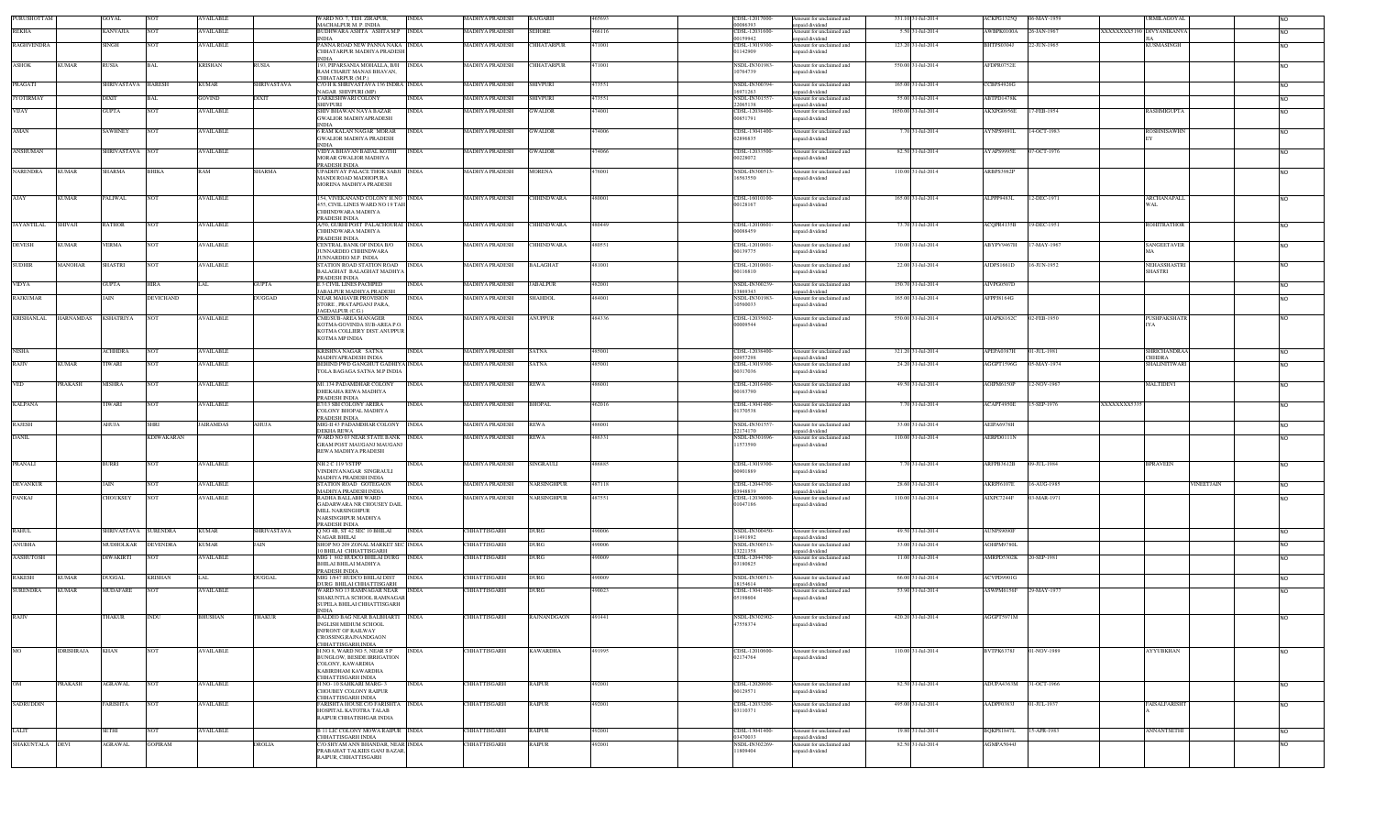| PURUSHOTTAM       |                  | GOYAL             | <b>NOT</b>        | <b>AVAILABLE</b> |                   | WARD NO. 7, TEH. ZIRAPUR,<br>MACHALPUR M P INDIA                                                         | <b>INDIA</b> | <b>MADHYA PRADESH</b> | <b>RAJGARH</b>     | 465693 | CDSL-12017000-<br>00086393       | Amount for unclaimed and<br>npaid dividend  | 331.10 31-Jul-2014  | ACKPG1325Q             | 06-MAY-1959                                    | <b>URMILAGOYAL</b>   |                |
|-------------------|------------------|-------------------|-------------------|------------------|-------------------|----------------------------------------------------------------------------------------------------------|--------------|-----------------------|--------------------|--------|----------------------------------|---------------------------------------------|---------------------|------------------------|------------------------------------------------|----------------------|----------------|
| REKHA             |                  | <b>CANVAJIA</b>   | NO <sub>1</sub>   | <b>AVAILABLE</b> |                   | BUDHWARA ASHTA ASHTA M.P INDIA                                                                           |              | <b>AADHYA PRADESH</b> | <b>SEHORE</b>      | 466116 | CDSL-12031600                    | mount for unclaimed and                     | 5.50 31-Jul-2014    | WBPK0100A              | 26-JAN-1967<br><b>XXXXXXXX5190 DIVYANIKANV</b> |                      | N <sub>O</sub> |
| <b>RAGHVENDRA</b> |                  | SINGH             | NOT               | <b>AVAILABLE</b> |                   | <b>INDIA</b><br>PANNA ROAD NEW PANNA NAKA INDIA                                                          |              | MADHYA PRADESH        | CHHATARPUR         | 471001 | 00159942<br>CDSL-13019300-       | npaid dividend<br>Amount for unclaimed and  | 123.20 31-Jul-2014  | <b>BHTPS0304J</b>      | 22-JUN-1965                                    | KUSMASINGH           | NΩ             |
|                   |                  |                   |                   |                  |                   | CHHATARPUR MADHYA PRADESI<br><b>INDIA</b>                                                                |              |                       |                    |        | 01142909                         | npaid dividend                              |                     |                        |                                                |                      |                |
| ASHOK             | UMAR             | RUSIA             | BAL               | <b>KRISHAN</b>   | ₹USIA             | 193, PIPARSANIA MOHALLA, B/H<br>RAM CHARIT MANAS BHAVAN.<br>CHHATARPUR (MP)                              | <b>INDIA</b> | <b>MADHYA PRADESH</b> | CHHATARPUR         | 471001 | NSDL-IN301983-<br>10764739       | Amount for unclaimed and<br>npaid dividend  | 550.00 31-Jul-2014  | AFDPR0752E             |                                                |                      | N <sub>O</sub> |
| PRAGATI           |                  | SHRIVASTAVA       | <b>HARESH</b>     | <b>KUMAR</b>     | HRIVASTAVA        | C/O H K SHRIVASTAVA 136 INDRA INDIA                                                                      |              | <b>MADHYA PRADESH</b> | SHIVPURI           | 73551  | NSDL-IN300394                    | mount for unclaimed and                     | 165.00 31-Jul-2014  | CBPS4926G              |                                                |                      | NO.            |
| <b>JYOTIRMAY</b>  |                  | DIXIT             |                   | <b>GOVIND</b>    |                   | NAGAR SHIVPURI (MP)<br><b>TARKESHWARI COLONY</b>                                                         | INDIA        | <b>AADHYA PRADESH</b> | SHIVPURI           | 73551  | 16971263<br>NSDL-IN30155         | npaid dividend<br>Amount for unclaimed and  | 55.00 31-Jul-2014   | ABTPD1478K             |                                                |                      | NO             |
| VIJAY             |                  | GUPTA             | NOT               | <b>AVAILABLE</b> |                   | <b>SHIVPURI</b><br>SHIV BHAWAN NAYA BAZAR                                                                | INDIA        | MADHYA PRADESH        | <b>GWALIOR</b>     | 474001 | 22065138<br>CDSL-12038400        | npaid dividend<br>Amount for unclaimed and  | 1650.00 31-Jul-2014 | AKXPG0956E             | 17-FEB-1954                                    | RASHMIGUPTA          | NO.            |
|                   |                  |                   |                   |                  |                   | <b>GWALIOR MADHYAPRADESH</b><br><b>INDIA</b>                                                             |              |                       |                    |        | 00851791                         | npaid dividend                              |                     |                        |                                                |                      |                |
| AMAN              |                  | SAWHNEY           | NOT               | <b>AVAILABLE</b> |                   | <b>6 RAM KALAN NAGAR MORAR</b><br><b>GWALIOR MADHYA PRADESH</b><br>INDIA                                 | <b>INDIA</b> | MADHYA PRADESH        | <b>GWALIOR</b>     | 474006 | CDSL-13041400<br>02896835        | Amount for unclaimed and<br>npaid dividend  | 7.70 31-Jul-2014    | AYNPS96911             | 14-OCT-1983                                    | ROSHNISAWHN          | NO.            |
| <b>ANSHUMAN</b>   |                  | SHRIVASTAVA NOT   |                   | <b>AVAILABLE</b> |                   | VIDY A BHAVAN BAILAL KOTHI<br><b>MORAR GWALIOR MADHYA</b><br>PRADESH INDIA                               | <b>INDIA</b> | <b>MADHYA PRADESH</b> | <b>GWALIOR</b>     | 474066 | CDSL-12033500<br>00228072        | Amount for unclaimed and<br>npaid dividend  | 82.50 31-Jul-2014   | AYAPS9995E             | 07-OCT-1976                                    |                      | <b>NO</b>      |
| NARENDRA          | UMAR             | SHARMA            | BHIKA             | <b>RAM</b>       | <b>SHARMA</b>     | UPADHYAY PALACE THOK SABJI INDIA<br>MANDI ROAD MADHOPURA<br><b>MORENA MADHYA PRADESH</b>                 |              | MADHYA PRADESH        | <b>MORENA</b>      | 476001 | NSDL-IN300513<br>16563550        | Amount for unclaimed and<br>npaid dividend  | 110.00 31-Jul-2014  | ARBPS3982P             |                                                |                      | NO.            |
| <b>AJAY</b>       | <b>KUMAR</b>     | <b>PALIWAL</b>    | NOT               | <b>AVAILABLE</b> |                   | 154, VIVEKANAND COLONY H.NO INDIA<br>455, CIVIL LINES WARD NO 19 TAH<br>CHHINDWARA MADHYA                |              | <b>MADHYA PRADESH</b> | <b>CHHINDWARA</b>  | 480001 | CDSL-16010100-<br>00128167       | Amount for unclaimed and<br>npaid dividend  | 165.00 31-Jul-2014  | ALPPP9483L             | 12-DEC-1971<br>WAL                             | ARCHANAPALL          | NO.            |
| <b>JAYANTILAL</b> | SHIVAJI          | RATHOR            | NOT               | <b>AVAILABLE</b> |                   | PRADESH INDIA<br>A/50, GURHI POST PALACHOURAI INDIA<br>CHHINDWARA MADHYA<br>PRADESH INDIA                |              | <b>MADHYA PRADESH</b> | <b>CHHINDWARA</b>  | 480449 | CDSL-12010601<br>00088459        | Amount for unclaimed and<br>npaid dividend  | 73.70 31-Jul-2014   | ACQPR4135B             | 19-DEC-1951                                    | ROHITRATHOR          | NO.            |
| <b>DEVESH</b>     | <b>KUMAR</b>     | VERMA             | NOT               | <b>AVAILABLE</b> |                   | CENTRAL BANK OF INDIA B/O<br>JUNNARDEO CHHINDWARA<br><b>IUNNARDEO M P INDIA</b>                          | <b>INDIA</b> | MADHYA PRADESH        | CHHINDWARA         | 480551 | CDSL-12010601<br>00139775        | Amount for unclaimed and<br>mpaid dividend  | 330.00 31-Jul-2014  | ABYPV9467H             | 7-MAY-1967                                     | SANGEETAVER          | NO.            |
| <b>SUDHIR</b>     | MANOHAR          | SHASTRI           | NOT               | <b>AVAILABLE</b> |                   | STATION ROAD STATION ROAD<br><b>BALAGHAT BALAGHAT MADHY</b>                                              | <b>INDIA</b> | MADHYA PRADESH        | <b>BALAGHAT</b>    | 481001 | CDSL-12010601<br>00116810        | Amount for unclaimed and<br>inpaid dividend | 22.00 31-Jul-2014   | AJDPS1661D             | 16-JUN-1952<br><b>SHASTRI</b>                  | NEHASSHASTRI         | N <sub>O</sub> |
| VIDYA             |                  | GUPTA             | HIRA              | LAL              | <b>GUPTA</b>      | PRADESH INDIA<br>E 3 CIVIL LINES PACHPED<br><b>JABALPUR MADHYA PRADESH</b>                               | <b>INDIA</b> | <b>MADHYA PRADESH</b> | <b>JABALPUR</b>    | 482001 | <b>NSDL-IN300239</b><br>23860343 | Amount for unclaimed and<br>unpaid dividend | 150.70 31-Jul-2014  | AIVPG0507D             |                                                |                      | <b>NO</b>      |
| <b>RAJKUMAR</b>   |                  | AIN               | <b>DEVICHAND</b>  |                  | <b>DUGGAD</b>     | NEAR MAHAVIR PROVISION<br>STORE, PRATAPGANJ PARA,                                                        | INDIA        | <b>MADHYA PRADESH</b> | <b>SHAHDOL</b>     | 484001 | NSDL-IN301983-<br>10560033       | Amount for unclaimed and<br>npaid dividend  | 165.00 31-Jul-2014  | AFPPJ8164G             |                                                |                      | N <sub>O</sub> |
| <b>KRISHANLAL</b> | <b>HARNAMDAS</b> | <b>KSHATRIYA</b>  | NOT               | <b>AVAILABLE</b> |                   | AGDALPUR (C.G.)<br>CME/SUB-AREA MANAGER                                                                  | <b>INDIA</b> | MADHYA PRADESH        | <b>ANUPPUR</b>     | 484336 | CDSL-12035602                    | Amount for unclaimed and                    | 550.00 31-Jul-2014  | AHAPK8162C             | 02-FEB-1950                                    | PUSHPAKSHATI         |                |
|                   |                  |                   |                   |                  |                   | KOTMA-GOVINDA SUB-AREA P.O.<br>KOTMA COLLIERY DIST.ANUPPUR<br>KOTMA MP INDIA                             |              |                       |                    |        | 00009544                         | npaid dividend                              |                     |                        |                                                |                      |                |
| <b>NISHA</b>      |                  | <b>CHHDRA</b>     | NO <sub>1</sub>   | <b>AVAILABLE</b> |                   | KRISHNA NAGAR SATNA<br>MADHYAPRADESH INDIA                                                               | <b>INDIA</b> | <b>MADHYA PRADESH</b> | <b>SATNA</b>       | 485001 | CDSL-12038400-<br>00957298       | Amount for unclaimed and<br>npaid dividend  | 321.20 31-Jul-2014  | APEPA0387H             | 01-JUL-1981<br><b>CHHDRA</b>                   | <b>SHRICHANDRAA</b>  | NO.            |
| RAJIV             | <b>KUMAR</b>     | TIWARI            | NOT               | <b>AVAILABLE</b> |                   | BEHIND PWD GANGHUT GADHIYA INDIA<br>TOLA BAGAGA SATNA M.P INDIA                                          |              | MADHYA PRADESH        | <b>SATNA</b>       | 485001 | CDSL-13019300<br>00317036        | Amount for unclaimed and<br>npaid dividend  | 24.20 31-Jul-2014   | AGGPT1596G             | 05-MAY-1974                                    | <b>SHALINITIWAR</b>  | NO             |
| <b>VED</b>        | PRAKASH          | MISHRA            | NOT               | <b>AVAILABLE</b> |                   | M1.134 PADAMDHAR COLONY<br>DHEKAHA REWA MADHYA                                                           | <b>INDIA</b> | <b>MADHYA PRADESH</b> | <b>REWA</b>        | 486001 | CDSL-12016400<br>00163790        | Amount for unclaimed and<br>npaid dividend  | 49.50 31-Jul-2014   | AOIPM6150F             | 2-NOV-1967                                     | MALTIDEVI            | NO.            |
| <b>KALPANA</b>    |                  | <b>IWARI</b>      | NOT               | <b>AVAILABLE</b> |                   | PRADESH INDIA<br>E7/13 SBI COLONY ARERA<br>COLONY BHOPAL MADHYA                                          | INDIA        | <b>MADHYA PRADESH</b> | <b>BHOPAL</b>      | 462016 | CDSL-13041400-<br>01370538       | Amount for unclaimed and<br>npaid dividend  | 7.70 31-Jul-2014    | ACAPT4950E             | 5-SEP-1976<br>XXXXXXXX533                      |                      | <b>NO</b>      |
| RAJESH            |                  | AHUJA             | SHRI              | <b>JAIRAMDAS</b> | AUJA              | PRADESH INDIA<br>MIG-II 43 PADAMDHAR COLONY<br><b>DEKHA REWA</b>                                         | <b>INDIA</b> | <b>MADHYA PRADESH</b> | <b>REWA</b>        | 486001 | NSDL-IN301557<br>2174170         | mount for unclaimed and<br>inpaid dividend  | 33.00 31-Jul-2014   | AEIPA6978H             |                                                |                      | <b>NO</b>      |
| <b>DANIL</b>      |                  |                   | <b>KDIWAKARAN</b> |                  |                   | WARD NO 03 NEAR STATE BANK INDIA<br><b>GRAM POST MAUGANJ MAUGANJ</b>                                     |              | <b>MADHYA PRADESH</b> | <b>REWA</b>        | 486331 | NSDL-IN301696<br>11573590        | Amount for unclaimed and<br>npaid dividend  | 110.00 31-Jul-2014  | AERPD0111N             |                                                |                      | NO.            |
| PRANALI           |                  | <b>BURRI</b>      | <b>NOT</b>        | <b>AVAILABLE</b> |                   | REWA MADHYA PRADESH<br>NH <sub>2</sub> C <sub>119</sub> VSTPP                                            | <b>INDIA</b> | <b>MADHYA PRADESH</b> | <b>SINGRAULI</b>   | 486885 | CDSL-13019300                    | Amount for unclaimed and                    | 7.70 31-Jul-2014    | ARFPB3612B             | 09-JUL-1984                                    | <b>BPRAVEEN</b>      | <b>NO</b>      |
| <b>DEVANKUR</b>   |                  | JAIN              | NOT               | <b>AVAILABLE</b> |                   | VINDHYANAGAR SINGRAULI<br>MADHYA PRADESH INDIA<br>STATION ROAD GOTEGAON                                  | <b>INDIA</b> | MADHYA PRADESH        | NARSINGHPUR        | 487118 | 00901889<br>CDSL-12044700-       | npaid dividend<br>Amount for unclaimed and  | 28.60 31-Jul-2014   | AKRPJ6107E             | 16-AUG-1985                                    | VINEETJAIN           | <b>NO</b>      |
|                   |                  |                   |                   |                  |                   | MADHYA PRADESH INDIA                                                                                     |              |                       |                    |        | 3948839                          | npaid dividend                              |                     |                        |                                                |                      |                |
| PANKAJ            |                  | CHOUKSEY          | <b>NOT</b>        | <b>AVAILABLE</b> |                   | RADHA BALLABH WARD<br>GADARWARA NR CHOUSEY DAIL<br>MILL NARSINGHPUR<br>NARSINGHPUR MADHYA                | <b>INDIA</b> | <b>MADHYA PRADESH</b> | <b>NARSINGHPUR</b> | 487551 | CDSL-12036000<br>01047186        | Amount for unclaimed and<br>npaid dividend  | 110.00 31-Jul-2014  | AIXPC7244F             | 03-MAR-1971                                    |                      | N <sub>O</sub> |
| <b>RAHUL</b>      |                  | <b>HRIVASTAVA</b> | URENDRA           | <b>KUMAR</b>     | <b>HRIVASTAVA</b> | PRADESH INDIA<br>Q NO 4B, ST 42 SEC 10 BHILAI                                                            |              | CHHATTISGARH          | DURG               | 90006  | NSDL-IN300450                    | mount for unclaimed and                     | 49.50 31-Jul-2014   | <b>AUNPS9090F</b>      |                                                |                      | NO.            |
| <b>ANUBHA</b>     |                  | <b>AUDHOLKAR</b>  | <b>DEVENDRA</b>   | <b>KUMAR</b>     |                   | NAGAR BHILAI<br>SHOP NO 209 ZONAL MARKET SEC INDIA                                                       |              | CHHATTISGARH          | DURG               | 490006 | 11491892<br>NSDL-IN300513        | inpaid dividend<br>mount for unclaimed and  | 33.00 31-Jul-2014   | AOHPM9780L             |                                                |                      | NO             |
| AASHUTOSH         |                  | DIWAKIRTI         | NOT               | <b>AVAILABLE</b> |                   | 10 BHILAI CHHATTISGARH<br>MIG 1 802 HUDCO BHILAI DURG                                                    | <b>INDIA</b> | CHHATTISGARH          | <b>DURG</b>        | 490009 | 13221358<br>CDSL-12044700-       | npaid dividend                              | 11.00 31-Jul-2014   | AMRPD5302K             | 20-SEP-1981                                    |                      |                |
|                   |                  |                   |                   |                  |                   | BHILAI BHILAI MADHYA<br>PRADESH INDIA                                                                    |              |                       |                    |        | 3180825                          | Amount for unclaimed and<br>npaid dividend  |                     |                        |                                                |                      | NO.            |
| <b>RAKESH</b>     | <b>KUMAR</b>     | DUGGAL            | KRISHAN           | LAL              | UGGAL             | MIG 1/847 HUDCO BHILAI DIST<br>DURG BHILAI CHHATTISGARH                                                  | <b>INDIA</b> | CHHATTISGARH          | DURG               | 490009 | NSDL-IN300513<br>18154614        | Amount for unclaimed and<br>npaid dividend  | 66.00 31-Jul-2014   | ACVPD9901G             |                                                |                      | <b>NO</b>      |
| <b>SURENDRA</b>   | <b>KUMAR</b>     | <b>MUDAFARE</b>   | NOT               | <b>AVAILABLE</b> |                   | WARD NO 13 RAMNAGAR NEAR<br>SHAKUNTLA SCHOOL RAMNAGAR<br>SUPELA BHILAI CHHATTISGARH<br><b>INDIA</b>      | <b>INDIA</b> | CHHATTISGARH          | <b>DURG</b>        | 490023 | CDSL-13041400-<br>05198604       | Amount for unclaimed and<br>npaid dividend  | 53.90 31-Jul-2014   | ASWPM6156F             | 29-MAY-1977                                    |                      | N <sub>O</sub> |
| RAJIV             |                  | HAKUR             | INDU              | <b>BHUSHAN</b>   | HAKUR             | <b>BALDEO BAG NEAR BALBHARTI</b><br>INGLISH MIDIUM SCHOOL<br>INFRONT OF RAILWAY<br>CROSSING, RAJNANDGAON | <b>INDIA</b> | CHHATTISGARH          | RAJNANDGAON        | 491441 | NSDL-IN302902<br>47558374        | Amount for unclaimed and<br>inpaid dividend | 420.20 31-Jul-2014  | AGGPT5971M             |                                                |                      | NO.            |
| <b>MO</b>         | IDRISHRAJA       | <b>KHAN</b>       | NOT               | <b>AVAILABLE</b> |                   | CHHATTISGARH, INDIA<br>H.NO 8. WARD NO 5. NEAR S P                                                       | <b>INDIA</b> | <b>CHHATTISGARH</b>   | <b>KAWARDHA</b>    | 491995 | CDSL-12010600                    | Amount for unclaimed and                    | 110.00 31-Jul-2014  | BVTPK6378J             | 01-NOV-1989                                    | <b>AYYUBKHAN</b>     |                |
|                   |                  |                   |                   |                  |                   | BUNGLOW, BESIDE IRRIGATION<br>COLONY, KAWARDHA<br>KABIRDHAM KAWARDHA<br>CHHATTISGARH INDIA               |              |                       |                    |        | 02174764                         | npaid dividend                              |                     |                        |                                                |                      | <b>NO</b>      |
| OM                | PRAKASH          | AGRAWAL           | NOT               | <b>AVAILABLE</b> |                   | H NO-10 SAHKARI MARG-3<br>CHOUBEY COLONY RAIPUR<br>CHHATTISGARH INDIA                                    | <b>INDIA</b> | CHHATTISGARH          | <b>RAIPUR</b>      | 492001 | CDSL-12020600-<br>00129571       | Amount for unclaimed and<br>npaid dividend  | 82.50 31-Jul-2014   | ADUPA4363M 31-OCT-1966 |                                                |                      | NO.            |
| <b>SADRUDDIN</b>  |                  | FARISHTA          | <b>NOT</b>        | <b>AVAILABLE</b> |                   | FARISHTA HOUSE C/O FARISHTA INDIA<br>HOSPITAL KATOTRA TALAB<br>RAIPUR CHHATISHGAR INDIA                  |              | CHHATTISGARH          | <b>RAIPUR</b>      | 492001 | CDSL-12033200-<br>03110371       | Amount for unclaimed and<br>inpaid dividend | 495.00 31-Jul-2014  | AADPF0383J             | 01-JUL-1937                                    | <b>FAISALFARISHT</b> | <b>NO</b>      |
| LALIT             |                  | SETHI             | NOT.              | <b>AVAILABLE</b> |                   | <b>B 11 LIC COLONY MOWA RAIPUR INDIA</b>                                                                 |              | CHHATTISGARH          | <b>RAIPUR</b>      | 492001 | CDSL-13041400-<br>03470033       | Amount for unclaimed and                    | 19.80 31-Jul-2014   | BOKPS1847L             | 15-APR-1983                                    | <b>ANNANTSETHI</b>   | <b>NO</b>      |
| SHAKUNTALA        | DEVI             | AGRAWAL           | GOPIRAM           |                  | DROLIA            | CHHATTISGARH INDIA<br>C/O SHYAM ANN BHANDAR, NEAR INDIA                                                  |              | <b>CHHATTISGARH</b>   | RAIPUR             | 492001 | NSDL-IN302269-                   | unpaid dividend<br>Amount for unclaimed and | 82.50 31-Jul-2014   | AGMPA5044J             |                                                |                      | NO.            |
|                   |                  |                   |                   |                  |                   | PRABAHAT TALKIES GANJ BAZAR,<br>RAIPUR. CHHATTISGARH                                                     |              |                       |                    |        | 11809404                         | inpaid dividend                             |                     |                        |                                                |                      |                |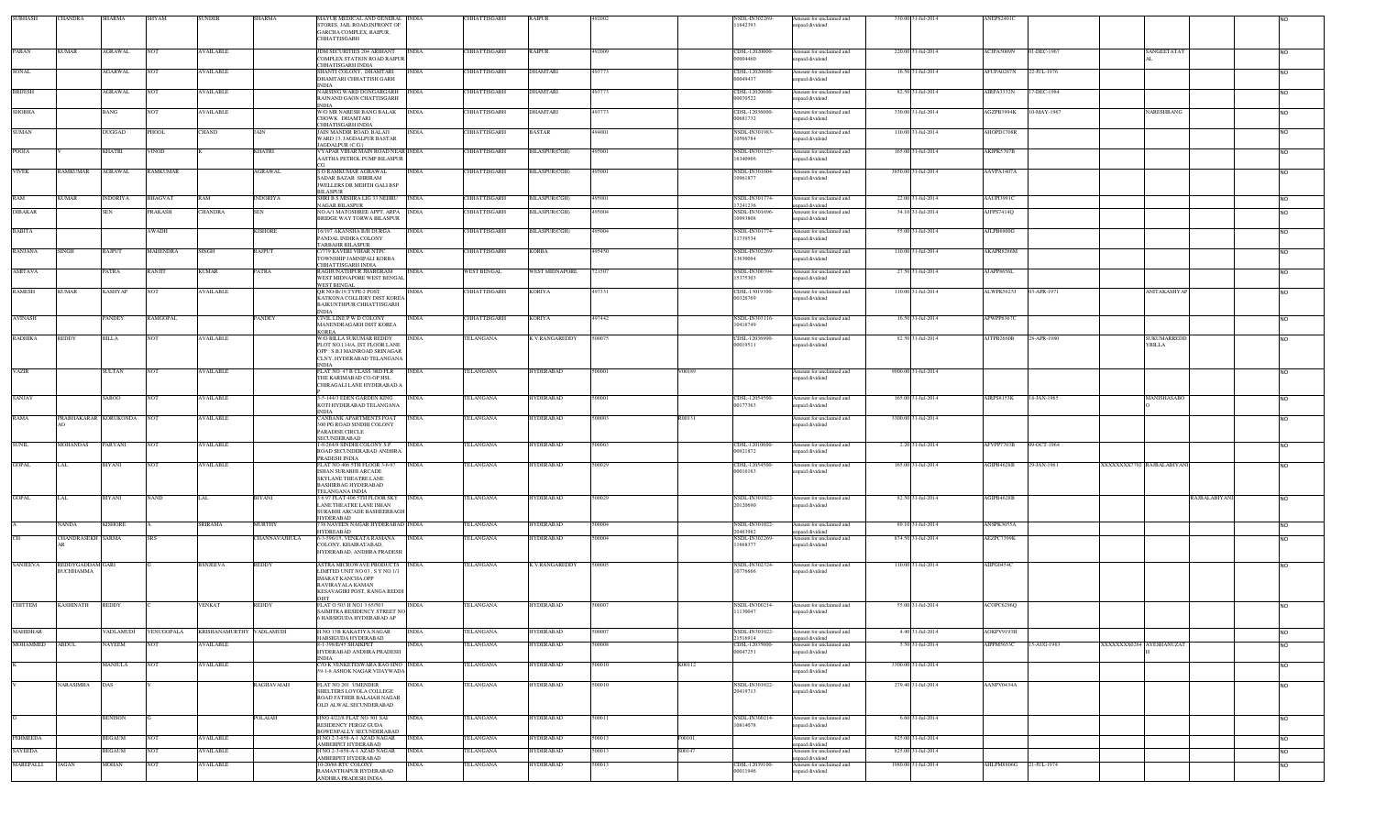| <b>SUBHASH</b>       | <b>CHANDRA</b>                | SHARMA                 | <b>SHYAM</b>    | <b>SUNDER</b>                       | <b>SHARMA</b>           | MAYUR MEDICAL AND GENERAL INDIA<br>STORES, JAIL ROAD, INFRONT OF<br>GARCHA COMPLEX, RAIPUR,<br>CHHATTISGARH                                       |                              | CHHATTISGARH                         | RAIPUR                               |                  |        | NSDL-IN302269<br>11642393        | Amount for unclaimed and<br>unpaid dividend                             | 330.00 31-Jul-2014                        | ANEPS2401C               |             |                           |               |                 |
|----------------------|-------------------------------|------------------------|-----------------|-------------------------------------|-------------------------|---------------------------------------------------------------------------------------------------------------------------------------------------|------------------------------|--------------------------------------|--------------------------------------|------------------|--------|----------------------------------|-------------------------------------------------------------------------|-------------------------------------------|--------------------------|-------------|---------------------------|---------------|-----------------|
| PABAN                | <b>KUMAR</b>                  | <b>AGRAWAL</b>         | <b>NOT</b>      | <b>AVAILABLE</b>                    |                         | JDM SECURITIES 204 ARIHANT<br>COMPLEX STATION ROAD RAIPUR                                                                                         | <b>INDIA</b>                 | CHHATTISGARH                         | <b>RAIPUR</b>                        | 492009           |        | CDSL-12020000-<br>00004460       | Amount for unclaimed and<br>npaid dividend                              | 220.00 31-Jul-2014                        | ACJPA5009N               | 01-DEC-1967 | SANGEETATAY               |               | <b>NO</b>       |
| SONAL                |                               | <b>AGARWAL</b>         | <b>NOT</b>      | <b>AVAILABLE</b>                    |                         | CHHATISGARH INDIA<br>SHANTI COLONY, DHAMTARI<br>DHAMTARI CHHATTISH GARH                                                                           | <b>INDIA</b>                 | CHHATTISGARH                         | DHAMTARI                             | 193773           |        | CDSL-12020600<br>00049437        | Amount for unclaimed and<br>inpaid dividend                             | 16.50 31-Jul-2014                         | AFUPA0287N               | 22-JUL-1976 |                           |               | <b>NO</b>       |
| <b>BRUESH</b>        |                               | <b>AGRAWAL</b>         | <b>NOT</b>      | <b>AVAILABLE</b>                    |                         | <b>INDIA</b><br>NARSING WARD DONGARGARH INDIA<br>RAJNAND GAON CHATTISGARH                                                                         |                              | CHHATTISGARH                         | DHAMTARI                             | 493773           |        | CDSL-12020600<br>00070522        | Amount for unclaimed and<br>inpaid dividend                             | 82.50 31-Jul-2014                         | AIRPA3332N               | 17-DEC-1984 |                           |               | <b>NO</b>       |
| <b>SHOBHA</b>        |                               | <b>BANG</b>            | <b>NOT</b>      | <b>AVAILABLE</b>                    |                         | <b>INDIA</b><br>W/O MR NARESH BANG BALAK<br>CHOWK DHAMTARI                                                                                        | <b>INDIA</b>                 | <b>CHHATTISGARH</b>                  | <b>DHAMTARI</b>                      | 493773           |        | CDSL-12036000<br>00681732        | Amount for unclaimed and<br>inpaid dividend                             | 330.00 31-Jul-2014                        | AGZPB3994K               | 10-MAY-1967 | NARESHBANG                |               | <b>NO</b>       |
| <b>SUMAN</b>         |                               | DUGGAD                 | PHOOL           | <b>CHAND</b>                        | JAIN                    | CHHATISGARH INDIA<br>JAIN MANDIR ROAD, BALAJI<br>WARD 13, JAGDALPUR BASTAR                                                                        | <b>INDIA</b>                 | CHHATTISGARH                         | <b>BASTAR</b>                        | 494001           |        | NSDL-IN301983-<br>10566784       | Amount for unclaimed and<br>inpaid dividend                             | 110.00 31-Jul-2014                        | AHOPD1708R               |             |                           |               | NO              |
| POOJA                |                               | KHATRI                 | VINOD           |                                     | KHATRI                  | IAGDALPUR (C.G.)<br>VYAPAR VIHAR MAIN ROAD NEAR INDIA<br>AASTHA PETROL PUMP BILASPUR                                                              |                              | CHHATTISGARH                         | BILASPUR(CGH)                        | 495001           |        | NSDL-IN301127-<br>16340966       | Amount for unclaimed and<br>inpaid dividend                             | 165.00 31-Jul-2014                        | AKJPK5707B               |             |                           |               | <b>NO</b>       |
| <b>VIVEK</b>         | <b>AMKUMAR</b>                | <b>AGRAWAL</b>         | <b>RAMKUMAR</b> |                                     | <b>AGRAWAL</b>          | S O RAMKUMAR AGRAWAL<br>SADAR BAZAR SHRIRAM<br>JWELLERS DR MEHTH GALI BSP                                                                         | <b>INDIA</b>                 | CHHATTISGARH                         | BILASPUR(CGH)                        | 495001           |        | NSDL-IN301604-<br>10961877       | Amount for unclaimed and<br>inpaid dividend                             | 3850.00 31-Jul-2014                       | AAVPA1407A               |             |                           |               | <b>NO</b>       |
| RAM                  | KUMAR                         | <b>INDORIYA</b>        | <b>BHAGVAT</b>  | RAM                                 | <b>INDORIYA</b>         | <b>BILASPUR</b><br>SHRI B S MISHRA LIG 33 NEHRU INDIA<br>NAGAR BILASPUR                                                                           |                              | CHHATTISGARH                         | <b>BILASPUR(CGH)</b>                 | 495001           |        | NSDL-IN301774-<br>7241236        | Amount for unclaimed and<br>unpaid dividend                             | 22.00 31-Jul-2014                         | AAUPI3991C               |             |                           |               | NO              |
| <b>DIBAKAR</b>       |                               | SEN                    | <b>RAKASH</b>   | CHANDRA                             | SEN                     | NO.A/I MATOSHREE APPT, ARPA INDIA<br><b>BRIDGE WAY TORWA BILASPUR</b>                                                                             |                              | <b>HHATTISGARH</b>                   | <b>BILASPUR(CGH)</b>                 | 95004            |        | NSDL-IN301696-<br>10993808       | Amount for unclaimed and<br>inpaid dividend                             | 34.10 31-Jul-2014                         | AJFPS7414Q               |             |                           |               | <b>NO</b>       |
| <b>BABITA</b>        |                               |                        | AWADH           |                                     | <b>KISHORE</b>          | 16/197 AKANSHA B/H DURGA<br>PANDAL INDIRA COLONY<br><b><i>FARBAHR BILASPUR</i></b>                                                                | <b>INDIA</b>                 | CHHATTISGARH                         | BILASPUR(CGH)                        | 95004            |        | NSDL-IN301774-<br>1739534        | Amount for unclaimed and<br>inpaid dividend                             | 55.00 31-Jul-2014                         | AJLPB6900G               |             |                           |               | <b>NO</b>       |
| <b>RANJANA</b>       | SINGH                         | <b>RAJPUT</b>          | <b>MAHENDRA</b> | <b>SINGH</b>                        | RAJPUT                  | <b>2/779 KAVERI VIHAR NTPC</b><br>TOWNSHIP JAMNIPALI KORBA<br><b>CHHATTISGARH INDIA</b>                                                           | <b>INDIA</b>                 | <b>CHHATTISGARH</b>                  | <b>KORBA</b>                         | 495450           |        | <b>NSDL-IN302269</b><br>13630094 | Amount for unclaimed and<br>npaid dividend                              | 110.00 31-Jul-2014                        | AKAPR8286M               |             |                           |               | NO              |
| <b>AMITAVA</b>       |                               | PATRA                  | <b>RANJIT</b>   | <b>KUMAR</b>                        | PATRA                   | RAGHUNATHPUR JHARGRAM INDIA<br>WEST MIDNAPORE WEST BENGAL<br>WEST BENGAL                                                                          |                              | <b>WEST BENGAL</b>                   | <b>WEST MIDNAPORE</b>                | 721507           |        | NSDL-IN300394<br>15375303        | Amount for unclaimed and<br>npaid dividend                              | 27.50 31-Jul-2014                         | AJAPP8656L               |             |                           |               | <b>NO</b>       |
| <b>RAMESH</b>        | <b>KUMAR</b>                  | <b>KASHYAP</b>         | NOT             | <b>AVAILABLE</b>                    |                         | QR NO-B/19, TYPE-2 POST<br>KATKONA COLLIERY DIST KOREA<br><b>BAIKUNTHPUR CHHATTISGARH</b><br><b>INDIA</b>                                         | <b>INDIA</b>                 | CHHATTISGARH                         | <b>KORIYA</b>                        | 497331           |        | CDSL-13019300-<br>00326769       | Amount for unclaimed and<br>inpaid dividend                             | 110.00 31-Jul-2014                        | ALWPK5625J               | 03-APR-1971 | ANITAKASHYAF              |               | <b>NO</b>       |
| <b>AVINASH</b>       |                               | PANDEY                 | <b>AMGOPAL</b>  |                                     | PANDEY                  | CIVIL LINE P W D COLONY<br>MANENDRAGARH DIST KOREA<br><b>KOREA</b>                                                                                | INDIA                        | CHHATTISGARH                         | KORIYA                               | 197442           |        | NSDL-IN303116<br>10416749        | Amount for unclaimed and<br>npaid dividend                              | 16.50 31-Jul-2014                         | APWPP6367C               |             |                           |               | <b>NO</b>       |
| <b>RADHIKA</b>       | REDDY                         | BILLA                  | <b>NOT</b>      | AVAILABLE                           |                         | W/O BILLA SUKUMAR REDDY<br>PLOT NO.114/A, IST FLOOR LANE<br>OPP · S B I MAINROAD SRINAGAR<br>CLNY, HYDERABAD TELANGANA                            | <b>INDIA</b>                 | TELANGANA                            | K.V.RANGAREDDY                       | 500075           |        | CDSL-12036900-<br>00019511       | mount for unclaimed and<br>inpaid dividend                              | 82.50 31-Jul-2014                         | AJTPB2660B               | 28-APR-1980 | SUKUMARREDD<br>YBILLA     |               | N <sub>O</sub>  |
| <b>VAZIR</b>         |                               | <b>SULTAN</b>          | <b>NOT</b>      | <b>AVAILABLE</b>                    |                         | NDIA<br>FLAT NO. 47 B CLASS 3RD FLR<br>THE KARIMABAD CO-OP HSL<br>CHIRAGALI LANE HYDERABAD A                                                      | <b>INDIA</b>                 | TELANGANA                            | <b>HYDERABAD</b>                     | 500001           | V00189 |                                  | Amount for unclaimed and<br>inpaid dividend                             | 9900.00 31-Jul-2014                       |                          |             |                           |               | <b>NO</b>       |
| <b>SANJAY</b>        |                               | <b>SABOO</b>           | <b>NOT</b>      | <b>AVAILABLE</b>                    |                         | 3-5-144/3 EDEN GARDEN KING<br>KOTI HYDERABAD TELANGANA<br>INDIA                                                                                   | <b>INDIA</b>                 | TELANGANA                            | <b>HYDERABAD</b>                     | 500001           |        | CDSL-12054500-<br>00177363       | Amount for unclaimed and<br>inpaid dividend                             | 165,00 31-Jul-2014                        | <b>AIRPS8153K</b>        | 18-JAN-1965 | MANISHASABO               |               | <b>NO</b>       |
| RAMA                 | PRABHAKARAR KORUKONDA         |                        | <b>NOT</b>      | <b>AVAILABLE</b>                    |                         | CANBANK APARTMENTS FOAT<br>300 PG ROAD SINDHI COLONY<br>PARADISE CIRCLE<br>SECUNDERABAD                                                           | <b>INDIA</b>                 | TELANGANA                            | HYDERABAD                            | 500003           | R00131 |                                  | Amount for unclaimed and<br>inpaid dividend                             | 3300.00 31-Jul-2014                       |                          |             |                           |               | <b>NO</b>       |
| <b>SUNIL</b>         | <b>AOHANDAS</b>               | PARYANI                | <b>NOT</b>      | <b>AVAILABLE</b>                    |                         | 1-8-264/9 SINDHI COLONY S.P.<br>ROAD SECUNDERABAD ANDHRA<br>PRADESH INDIA                                                                         | <b>INDIA</b>                 | <b>FELANGANA</b>                     | <b>IYDERABAD</b>                     | 500003           |        | CDSL-12010600-<br>00921872       | Amount for unclaimed and<br>npaid dividend                              | 2.20 31-Jul-2014                          | AFVPP7703B               | 09-OCT-1964 |                           |               | <b>NO</b>       |
| <b>GOPAL</b>         | .AL                           | BIYANI                 | NOT             | <b>AVAILABLE</b>                    |                         | FLAT NO 406 5TH FLOOR 3-6-97<br>ISHAN SURABHI ARCADE<br><b>SKYLANE THEATRE LANE</b><br><b>BASHIRBAG HYDERABAD</b>                                 | <b>INDIA</b>                 | TELANGANA                            | HYDERABAD                            | 500029           |        | CDSL-12054500<br>00016163        | Amount for unclaimed and<br>npaid dividend                              | 165.00 31-Jul-2014                        | AGIPB4628B               | 29-JAN-1961 | XXXXXXX7702 RAJBALABIYANI |               | <b>NO</b>       |
| <b>GOPAL</b>         | .AL                           | BIYANI                 | NAND            |                                     | BIYANI                  | TELANGANA INDIA<br>6 97 FLAT 406 5TH FLOOR SKY INDIA<br>LANE THEATRE LANE ISHAN<br>SURABHI ARCADE BASHEERBAGH<br><b>IYDERABAD</b>                 |                              | TELANGANA                            | HYDERABAD                            | 500029           |        | NSDL-IN301022-<br>20120690       | Amount for unclaimed and<br>npaid dividend                              | 82.50 31-Jul-2014                         | AGIPB4628B               |             |                           | RAJBALABIYANI | N <sub>O</sub>  |
|                      | NANDA                         | <b>KISHORE</b>         |                 | SRIRAMA                             | MURTHY<br>`HANNAVAJHULA | 38 NAVEEN NAGAR HYDERABAD INDIA<br><b>IYDREABAD</b>                                                                                               | <b>INDIA</b>                 | TELANGANA                            | <b>IYDERABAD</b><br><b>TYDERABAD</b> | 500004<br>500004 |        | NSDL-IN301022<br>0463982         | Amount for unclaimed and<br>inpaid dividend                             | 89.10 31-Jul-2014<br>874.50 31-Jul-2014   | ANSPK3055A<br>AEZPC7399K |             |                           |               | <b>NO</b>       |
|                      | CHANDRASEKH SARMA             |                        |                 |                                     |                         | 5-3-596/15, VENKATA RAMANA<br>COLONY, KHAIRATABAD,<br>HYDERABAD, ANDHRA PRADESH                                                                   |                              | TELANGANA                            |                                      |                  |        | NSDL-IN302269<br>11668377        | Amount for unclaimed and<br>inpaid dividend                             |                                           |                          |             |                           |               |                 |
| SANJEEVA             | REDDYGADDAM GARI<br>BUCHHAMMA |                        |                 | <b>BSNJEEVA</b>                     | REDDY                   | ASTRA MICROWAVE PRODUCTS INDIA<br>LIMITED UNIT NO 03 , S Y NO 1/1<br><b>IMARAT KANCHA.OPP</b><br>RAVIRAYALA KAMAN<br>KESAVAGIRI POST, RANGA REDDI |                              | TELANGANA                            | K.V.RANGAREDDY                       | 500005           |        | NSDL-IN302324-<br>10776666       | Amount for unclaimed and<br>unpaid dividend                             | 110.00 31-Jul-2014                        | AIIPG04540               |             |                           |               |                 |
| <b>CHITTEM</b>       | KASHINATH REDDY               |                        |                 | <b>VENKAT</b>                       | REDDY                   | FLAT O 503 H NO1 3 65/503<br>SAIMITRA RESIDENCY STREET NO<br>HABSIGUDA HYDERABAD AP                                                               | <b>INDIA</b>                 | TELANGANA                            | <b>HYDERABAD</b>                     | 500007           |        | NSDL-IN300214-<br>11130047       | Amount for unclaimed and<br>npaid dividend                              | 55.00 31-Jul-2014                         | ACOPC6296Q               |             |                           |               | <b>NO</b>       |
| <b>MAHIDHAR</b>      |                               | VADLAMUDI              | VENUGOPALA      | KRISHANAMURTHY VADLAMUDI            |                         | H NO 13B KAKATIYA NAGAR<br>HABSIGUDA HYDERABAD                                                                                                    | <b>INDIA</b>                 | TELANGANA                            | <b>HYDERABAD</b>                     | 500007           |        | NSDL-IN301022-<br>1516914        | Amount for unclaimed and<br>unpaid dividend                             | 4.40 31-Jul-2014                          | AOKPV9193H               |             |                           |               | N <sub>O</sub>  |
| MOHAMMED             | <b>ABDUL</b>                  | <b>NAYEEM</b>          | NOT             | <b>AVAILABLE</b>                    |                         | 8-1-398/E/45 SHAIKPET<br>HYDERABAD ANDHRA PRADESH<br>INDIA                                                                                        | <b>INDIA</b>                 | TELANGANA                            | HYDERABAD                            | 500008           |        | CDSL-12035000-<br>00047251       | Amount for unclaimed and<br>unpaid dividend                             | 5.50 31-Jul-2014                          | AIPPM5653C               | 15-AUG-1963 | XXXXXXX0264 AYESHANUZAT   |               | NO              |
|                      |                               | MANJULA                | <b>NOT</b>      | <b>AVAILABLE</b>                    |                         | C/O K VENKETESWARA RAO HNO INDIA<br>59-1-8 ASHOK NAGAR VIJAYWADA                                                                                  |                              | TELANGANA                            | <b>HYDERABAD</b>                     | 500010           | K00112 |                                  | Amount for unclaimed and<br>unpaid dividend                             | 3300.00 31-Jul-2014                       |                          |             |                           |               | NO <sub>1</sub> |
|                      | NARASIMHA                     | DAS                    |                 |                                     | RAGHAVAIAH              | FLAT NO 201 UMENDER<br>SHELTERS LOYOLA COLLEGE<br>ROAD FATHER BALAIAH NAGAR<br>OLD ALWAL SECUNDERABAD                                             | <b>INDIA</b>                 | TELANGANA                            | <b>HYDERABAD</b>                     | 500010           |        | NSDL-IN301022-<br>20419713       | Amount for unclaimed and<br>unpaid dividend                             | 279.40 31-Jul-2014                        | AANPV0434A               |             |                           |               | <b>NO</b>       |
|                      |                               | <b>BENISON</b>         |                 |                                     | POLAIAH                 | HNO 4/22/8 FLAT NO 301 SAI<br>RESIDENCY FEROZ GUDA<br>BOWENPALLY SECUNDERABAD                                                                     | <b>INDIA</b>                 | TELANGANA                            | <b>HYDERABAD</b>                     | 500011           |        | NSDL-IN300214-<br>10814078       | Amount for unclaimed and<br>unpaid dividend                             | 6.60 31-Jul-2014                          |                          |             |                           |               | NO              |
| <b>FEHMEEDA</b>      |                               | <b>BEGAUM</b>          | NOT             | <b>AVAILABLE</b>                    |                         | H NO 2-3-658-A-1 AZAD NAGAR<br>AMBERPET HYDERABAD                                                                                                 | <b>INDIA</b>                 | TELANGANA                            | <b>HYDERABAD</b>                     | 500013           | F00101 |                                  | Amount for unclaimed and<br>npaid dividend                              | 825.00 31-Jul-2014                        |                          |             |                           |               | NO <sub>1</sub> |
| SAYEEDA<br>MAREPALLI | <b>AGAN</b>                   | <b>BEGAUM</b><br>MOHAN | NOT<br>NOT      | <b>AVAILABLE</b><br><b>VAILABLE</b> |                         | H NO 2-3-658-A-1 AZAD NAGAR<br><b>AMBERPET HYDERABAD</b><br>0-20/86 RTC COLONY                                                                    | <b>INDIA</b><br><b>INDIA</b> | <b>TELANGANA</b><br><b>TELANGANA</b> | <b>IYDERABAD</b><br><b>HYDERABAD</b> | 500013<br>500013 | S00147 | CDSL-12039100-                   | Amount for unclaimed and<br>unpaid dividend<br>Amount for unclaimed and | 825.00 31-Jul-2014<br>1980.00 31-Jul-2014 | AHLPM8806G               | 21-JUL-1974 |                           |               | NO<br><b>NO</b> |
|                      |                               |                        |                 |                                     |                         | RAMANTHAPUR HYDERABAD<br>ANDHRA PRADESH INDIA                                                                                                     |                              |                                      |                                      |                  |        | 00011946                         | npaid dividend                                                          |                                           |                          |             |                           |               |                 |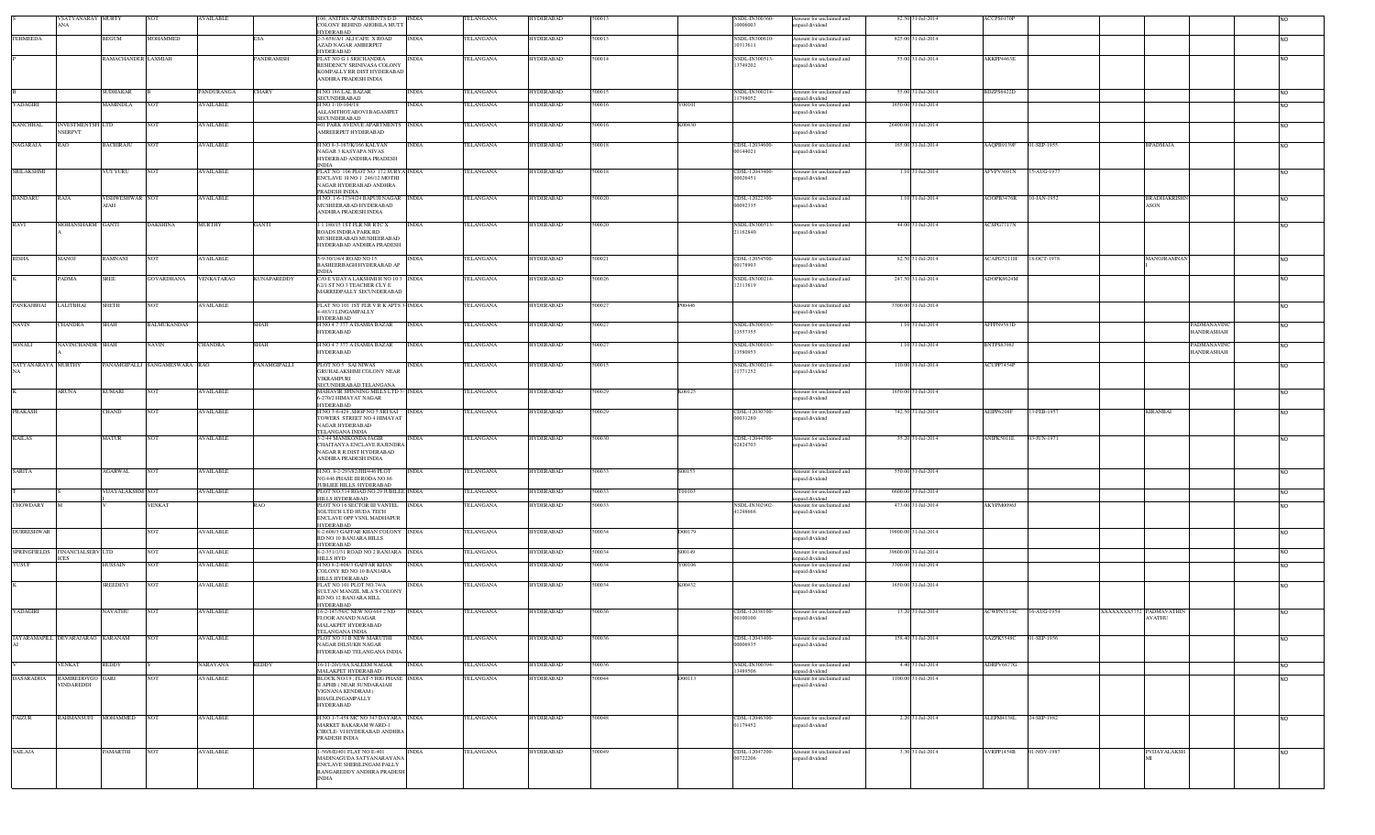|                    | VSATYANARAY MURTY<br>ANA               |                               | NOT                           | <b>AVAILABLE</b>               |                    | 106, ANITHA APARTMENTS D.D.<br>COLONY BEHIND AHOBILA MUTT                                                                                                | <b>INDIA</b>          | TELANGANA              | HYDERABAD                            | 500013           |        | NSDL-IN300360-<br>10006003      | Amount for unclaimed and<br>apaid dividend                            | 82.50 31-Jul-2014                        | ACCPS0170P        |                                                         |                |
|--------------------|----------------------------------------|-------------------------------|-------------------------------|--------------------------------|--------------------|----------------------------------------------------------------------------------------------------------------------------------------------------------|-----------------------|------------------------|--------------------------------------|------------------|--------|---------------------------------|-----------------------------------------------------------------------|------------------------------------------|-------------------|---------------------------------------------------------|----------------|
| <b>FEHMEEDA</b>    |                                        | BEGUM                         | MOHAMMED                      |                                | ESA                | HYDERABAD<br>-3-658/A/1 ALI CAFE X ROAD<br><b>AZAD NAGAR AMBERPET</b>                                                                                    | <b>INDIA</b>          | TELANGANA              | IYDERABAD                            | 600013           |        | NSDL-IN300610<br>0313611        | Amount for unclaimed and                                              | 825.00 31-Jul-2014                       |                   |                                                         | NO.            |
|                    |                                        | RAMACHANDER LAXMIAH           |                               |                                | PANDRAMISH         | <b>HYDERABAD</b><br>FLAT NO G 1 SRICHANDRA                                                                                                               | <b>INDIA</b>          | TELANGANA              | <b>IYDERABAD</b>                     | 00014            |        | NSDL-IN300513                   | apaid dividend<br>Amount for unclaimed and                            | 55.00 31-Jul-2014                        | AKKPP4463E        |                                                         | NO.            |
|                    |                                        |                               |                               |                                |                    | RESIDENCY SRINIVASA COLONY<br>KOMPALLY RR DIST HYDERABAD                                                                                                 |                       |                        |                                      |                  |        | 3749202                         | inpaid dividend                                                       |                                          |                   |                                                         |                |
|                    |                                        |                               |                               |                                |                    | ANDHRA PRADESH INDIA                                                                                                                                     |                       |                        |                                      |                  |        |                                 |                                                                       |                                          |                   |                                                         |                |
| YADAGIRI           |                                        | <b>SUDHAKAR</b><br>MAMINDLA   | NOT                           | PANDURANGA<br><b>AVAILABLE</b> | <b>HARY</b>        | H NO 186 LAL BAZAR<br><b>SECUNDERABAD</b><br>H NO 1-10-104/18                                                                                            | <b>INDIA</b><br>INDIA | TELANGANA<br>TELANGANA | <b>IYDERABAD</b><br><b>IYDERABAD</b> | 500015<br>500016 | Y00101 | <b>SDL-IN300214-</b><br>1798052 | mount for unclaimed and<br>apaid dividend<br>Amount for unclaimed and | 55.00 31-Jul-2014<br>1650.00 31-Jul-2014 | BDZPS6422D        |                                                         | NO.<br>NO.     |
|                    |                                        |                               |                               |                                |                    | ALLAMTHOTABOVI BAGAMPET<br><b>SECUNDERABAD</b>                                                                                                           |                       |                        |                                      |                  |        |                                 | npaid dividend                                                        |                                          |                   |                                                         |                |
| <b>KANCHHAL</b>    | INVESTMENTSFI LTD<br><b>NSERPVT</b>    |                               | NOT                           | <b>AVAILABLE</b>               |                    | 401 PARK AVENUE APARTMENTS INDIA<br>AMREERPET HYDERABAD                                                                                                  |                       | TELANGANA              | HYDERABAD                            | 500016           | K00430 |                                 | Amount for unclaimed and<br>apaid dividend                            | 26400.00 31-Jul-2014                     |                   |                                                         | NO.            |
| <b>NAGARAJA</b>    | RAO                                    | <b>BACHIRAJU</b>              | <b>NOT</b>                    | <b>AVAILABLE</b>               |                    | I NO 8-3-167/K/166 KALYAN<br>NAGAR 3 KASYAPA NIVAS<br>HYDERBAD ANDHRA PRADESH<br><b>NDIA</b>                                                             | <b>INDIA</b>          | TELANGANA              | <b>IYDERABAD</b>                     | 500018           |        | CDSL-12034600-<br>00144021      | Amount for unclaimed and<br>npaid dividend                            | 165.00 31-Jul-2014                       | AAQPB9139F        | 01-SEP-1955<br><b>BPADMAJA</b>                          | NO.            |
| <b>SRILAKSHMI</b>  |                                        | VUYYURU                       | <b>NOT</b>                    | <b>AVAILABLE</b>               |                    | FLAT NO 106 PLOT NO 172 SURYA INDIA<br>ENCLAVE H NO 1 246/12 MOTHI<br>NAGAR HYDERABAD ANDHRA<br>PRADESH INDIA                                            |                       | TELANGANA              | <b>HYDERABAD</b>                     | 500018           |        | CDSL-12043400<br>00026451       | Amount for unclaimed and<br>npaid dividend                            | 1.10 31-Jul-2014                         | AFVPV3691N        | 15-AUG-1977                                             | NO.            |
| <b>BANDARU</b>     | RAJA                                   | <b>ISHWESHWAR NOT</b><br>HAIA |                               | <b>AVAILABLE</b>               |                    | H NO. 1-6-173/4/24 BAPUJI NAGAR INDIA<br>MUSHEERABAD HYDERABAD<br>ANDHRA PRADESH INDIA                                                                   |                       | TELANGANA              | <b>IYDERABAD</b>                     | 500020           |        | CDSL-12022300-<br>00092335      | Amount for unclaimed and<br>npaid dividend                            | 1.10 31-Jul-2014                         | AOOPB3476R        | 10-JAN-1952<br><b>BRADHAKRISH</b><br>ASON               | <b>NO</b>      |
| RAVI               | MOHANSHARM GANTI                       |                               | <b>DAKSHINA</b>               | <b>MURTHY</b>                  | GANTI              | 11180/151ST FLR NR RTC X<br>ROADS INDIRA PARK RD<br>MUSHEERABAD MUSHEERABAD<br>HYDERABAD ANDHRA PRADESH                                                  | <b>INDIA</b>          | TELANGANA              | <b>HYDERABAD</b>                     | 500020           |        | NSDL-IN300513-<br>21162840      | Amount for unclaimed and<br>inpaid dividend                           | 44.00 31-Jul-2014                        | ACSPG7717N        |                                                         | <b>NO</b>      |
| <b>RISHA</b>       | MANOJ                                  | RAMNANI                       | NOT                           | <b>AVAILABLE</b>               |                    | 5-9-30/1/4/4 ROAD NO 15<br>BASHEERBAGH HYDERABAD AP<br><b>INDIA</b>                                                                                      | <b>INDIA</b>          | TELANGANA              | <b>IYDERABAD</b>                     | 500021           |        | CDSL-12054500-<br>00178903      | Amount for unclaimed and<br>npaid dividend                            | 82.50 31-Jul-2014                        | ACAPG5211H        | 18-OCT-1978<br>MANOJRAMNAN                              | <b>NO</b>      |
|                    | PADMA                                  | SREE                          | <b>GOVARDHANA</b>             | VENKATARAO                     | <b>CUNAPAREDDY</b> | C/O E VIJAYA LAKSHMI H NO 103 INDIA<br>62/1 ST NO 3 TEACHER CLY E                                                                                        |                       | <b>TELANGANA</b>       | HYDERABAD                            | 500026           |        | NSDL-IN300214-<br>12113819      | Amount for unclaimed and<br>inpaid dividend                           | 247.50 31-Jul-2014                       | ADOPK8624M        |                                                         | <b>NO</b>      |
| PANKAJBHAI         | LALITBHAI                              | SHETH                         | NOT                           | <b>AVAILABLE</b>               |                    | MARREDPALLY SECUNDERABAD<br>FLAT NO 101 1ST FLR V R K APTS 3-INDIA                                                                                       |                       | TELANGANA              | HYDERABAD                            | 500027           | P00446 |                                 | Amount for unclaimed and                                              | 3300.00 31-Jul-2014                      |                   |                                                         | <b>NO</b>      |
| <b>NAVIN</b>       | CHANDRA                                | SHAH                          | <b>BALMUKANDAS</b>            |                                | <b>SHAH</b>        | 4-483/1 LINGAMPALLY<br>HYDERABAD<br>H NO 4 7 377 A ISAMIA BAZAR                                                                                          | <b>INDIA</b>          | TELANGANA              | <b>HYDERABAD</b>                     | 500027           |        | NSDL-IN300183-                  | npaid dividend<br>Amount for unclaimed and                            | 1.10 31-Jul-2014                         | AFFPN9583D        | PADMANAVINC                                             | N <sub>O</sub> |
|                    |                                        |                               |                               |                                |                    | <b>HYDERABAD</b>                                                                                                                                         |                       |                        |                                      |                  |        | 13557355                        | npaid dividend                                                        |                                          |                   | HANDRASHAH                                              |                |
| SONALI             | <b>NAVINCHANDR SHAH</b>                |                               | NAVIN                         | <b>CHANDRA</b>                 | SHAH               | I NO 4 7 377 A ISAMIA BAZAR<br><b>HYDERABAD</b>                                                                                                          | <b>INDIA</b>          | TELANGANA              | <b>IYDERABAD</b>                     | 500027           |        | NSDL-IN300183-<br>13580953      | Amount for unclaimed and<br>npaid dividend                            | 1.10 31-Jul-2014                         | <b>BNTPS8398J</b> | <b>PADMANAVING</b><br>HANDRASHAH                        | NO.            |
| SATYANARAYA MURTHY |                                        |                               | PANAMGIPALLI SANGAMESWARA RAO |                                | PANAMGIPALLI       | PLOT NO 5 SAI NIWAS<br>GRUHALAKSHMI COLONY NEAR<br><b>VIKRAMPURI</b><br>SECUNDERABAD, TELANGANA                                                          | INDIA                 | TELANGANA              | HYDERABAD                            | 500015           |        | NSDL-IN300214-<br>1771252       | Amount for unclaimed and<br>npaid dividend                            | 110.00 31-Jul-2014                       | ACUPP7454P        |                                                         |                |
|                    | ARUNA                                  | KUMARI                        | NOT                           | <b>AVAILABLE</b>               |                    | MAHAVIR SPINNING MILLS LTD 3- INDIA<br>-270/2 HIMAYAT NAGAR                                                                                              |                       | TELANGANA              | HYDERABAD                            | 500029           | K00125 |                                 | Amount for unclaimed and<br>npaid dividend                            | 1650.00 31-Jul-2014                      |                   |                                                         | NO.            |
| <b>PRAKASH</b>     |                                        | CHAND                         | NOT                           | <b>AVAILABLE</b>               |                    | <b>HYDERABAD</b><br>H NO 3-6-429 , SHOP NO 5 SRI SAI INDIA<br>TOWERS STREET NO 4 HIMAYAT<br>NAGAR HYDERABAD                                              |                       | TELANGANA              | HYDERABAD                            | 500029           |        | CDSL-12030700-<br>00031280      | Amount for unclaimed and<br>apaid dividend                            | 742.50 31-Jul-2014                       | AEIPP6208F        | 13-FEB-1957<br><b>KIRANBAI</b>                          | NO.            |
| <b>KAILAS</b>      |                                        | MATUR                         | <b>NOT</b>                    | <b>AVAILABLE</b>               |                    | TELANGANA INDIA<br>3-2-44 MANIKONDA JAGIR<br>CHAITANYA ENCLAVE RAJENDRA<br>NAGAR R R DIST HYDERABAD                                                      | <b>INDIA</b>          | TELANGANA              | HYDERABAD                            | 500030           |        | CDSL-12044700<br>02824703       | Amount for unclaimed and<br>inpaid dividend                           | 35.20 31-Jul-2014                        | ANIPK5011E        | 03-JUN-1971                                             |                |
| <b>SARITA</b>      |                                        | AGARWAL                       | <b>NOT</b>                    | <b>AVAILABLE</b>               |                    | ANDHRA PRADESH INDIA<br>H.NO. 8-2-293/82/JIII/446 PLOT<br>NO.446 PHASE III RODA NO.86                                                                    | <b>INDIA</b>          | TELANGANA              | <b>IYDERABAD</b>                     | 500033           | S00153 |                                 | Amount for unclaimed and<br>mpaid dividend                            | 550.00 31-Jul-2014                       |                   |                                                         | NO.            |
|                    |                                        | <b>JUAYALAKSHM NOT</b>        |                               | <b>AVAILABLE</b>               |                    | UBLIEE HILLS, HYDERABAD<br>PLOT NO.514 ROAD.NO.29 JUBILEE INDIA                                                                                          |                       | TELANGANA              | <b>IYDERABAD</b>                     | 00033            | T00103 |                                 | Amount for unclaimed and                                              | 6600.00 31-Jul-2014                      |                   |                                                         | <b>NO</b>      |
| <b>CHOWDARY</b>    |                                        |                               | VENKAT                        |                                | AO.                | HILLS HYDERABAD<br>PLOT NO 16 SECTOR III VANTEL                                                                                                          | <b>INDIA</b>          | TELANGANA              | <b>IYDERABAD</b>                     | 00033            |        | NSDL-IN302902-                  | npaid dividend<br>Amount for unclaimed and                            | 473.00 31-Jul-2014                       | AKYPM0096J        |                                                         | NO.            |
|                    |                                        |                               |                               |                                |                    | <b>SOLTECH LTD HUDA TECH</b><br>ENCLAVE OPP VSNL MADHAPUR<br><b>IYDERABAD</b>                                                                            |                       |                        |                                      |                  |        | 1248666                         | npaid dividend                                                        |                                          |                   |                                                         |                |
| <b>DURRESHWAR</b>  |                                        |                               | <b>NOT</b>                    | <b>AVAILABLE</b>               |                    | 8-2-608/3 GAFFAR KHAN COLONY INDIA<br>RD NO 10 BANJARA HILLS                                                                                             |                       | TELANGANA              | <b>HYDERABAD</b>                     | 500034           | D00179 |                                 | Amount for unclaimed and<br>npaid dividend                            | 19800.00 31-Jul-2014                     |                   |                                                         | NO.            |
|                    | SPRINGFIELDS FINANCIALSERV LTD<br>ICES |                               | <b>NOT</b>                    | <b>AVAILABLE</b>               |                    | <b>HYDERABAD</b><br>8-2-351/1/31 ROAD NO 2 BANJARA INDIA<br>HILLS HYD                                                                                    |                       | TELANGANA              | <b>IYDERABAD</b>                     | 500034           | S00149 |                                 | Amount for unclaimed and<br>npaid dividend                            | 39600.00 31-Jul-2014                     |                   |                                                         | <b>NO</b>      |
| YUSUF              |                                        | HUSSAIN                       | <b>NOT</b>                    | <b>AVAILABLE</b>               |                    | H NO 8-2-608/3 GAFFAR KHAN<br>COLONY RD NO 10 BANJARA                                                                                                    | <b>INDIA</b>          | TELANGANA              | <b>IYDERABAD</b>                     | 500034           | Y00106 |                                 | Amount for unclaimed and<br>unpaid dividend                           | 3300.00 31-Jul-2014                      |                   |                                                         | NO.            |
|                    |                                        | SREEDEVI                      | <b>NOT</b>                    | <b>AVAILABLE</b>               |                    | HILLS HYDERABAD<br>FLAT NO 101 PLOT NO.74/A<br>SULTAN MANZIL MLA'S COLONY<br>RD NO.12 BANJARA HILL                                                       | <b>INDIA</b>          | TELANGANA              | <b>HYDERABAD</b>                     | 500034           | K00432 |                                 | Amount for unclaimed and<br>inpaid dividend                           | 1650.00 31-Jul-2014                      |                   |                                                         | NO.            |
| YADAGIRI           |                                        | NAVATHU                       | <b>NOT</b>                    | <b>AVAILABLE</b>               |                    | HYDERABAD<br>16-2-147/56/C NEW NO 669 2 ND<br><b>FLOOR ANAND NAGAR</b><br>MALAKPET HYDERABAD                                                             | <b>INDIA</b>          | TELANGANA              | <b>HYDERABAD</b>                     | 500036           |        | CDSL-12038100-<br>00100100      | Amount for unclaimed and<br>npaid dividend                            | 13.20 31-Jul-2014                        | ACWPN5114C        | 16-AUG-1954<br>XXXXXXX5752 PADMAVATHIN<br><b>AVATHU</b> | N <sub>0</sub> |
|                    | JAYARAMAPILL DEVARAJARAO KARANAM       |                               | <b>NOT</b>                    | <b>AVAILABLE</b>               |                    | TELANGANA INDIA<br>PLOT NO 31 B NEW MARUTHI<br>NAGAR DILSUKH NAGAR<br>HYDERABAD TELANGANA INDIA                                                          | <b>INDIA</b>          | TELANGANA              | <b>HYDERABAD</b>                     | 500036           |        | CDSL-12043400-<br>00006935      | Amount for unclaimed and<br>inpaid dividend                           | 158.40 31-Jul-2014                       | AAZPK5548C        | 01-SEP-1956                                             | NO.            |
|                    | <b>ENKAT</b>                           | REDDY                         |                               | <b>NARAYANA</b>                | REDDY              | 16-11-20/1/8A SALEEM NAGAR                                                                                                                               | <b>INDIA</b>          | <b>TELANGANA</b>       | <b>IYDERABAD</b>                     | 500036           |        | <b>SDL-IN300394-</b>            | Amount for unclaimed and                                              | 4.40 31-Jul-2014                         | ADRPV6877G        |                                                         | <b>NO</b>      |
| <b>DASARADHA</b>   | RAMIREDDYGO<br>VINDAREDDI              | GARI                          | NOT                           | <b>AVAILABLE</b>               |                    | MALAKPET HYDERABAD<br>BLOCK NO.19, FLAT-5 HIG PHASE INDIA<br><b>II APHB ( NEAR SUNDARAIAH</b><br>VIGNANA KENDRAM)<br>BHAGLINGAMPALLY<br><b>HYDERABAD</b> |                       | TELANGANA              | <b>IYDERABAD</b>                     | 500044           | D00113 | 3489506                         | apaid dividend<br>Amount for unclaimed and<br>inpaid dividend         | 1100.00 31-Jul-2014                      |                   |                                                         | NO.            |
| <b>FAIZUR</b>      | <b>RAHMANSUFI</b>                      | <b>MOHAMMED</b>               | <b>NOT</b>                    | <b>AVAILABLE</b>               |                    | H NO 1-7-458 MC NO 347 DAYARA INDIA<br><b>MARKET BAKARAM WARD-1</b><br>CIRCLE- VI HYDERABAD ANDHRA<br>PRADESH INDIA                                      |                       | TELANGANA              | <b>HYDERABAD</b>                     | 500048           |        | CDSL-12046300-<br>01179452      | Amount for unclaimed and<br>npaid dividend                            | 2.20 31-Jul-2014                         | ALEPM4138L        | 24-SEP-1982                                             | <b>NO</b>      |
| <b>SAILAJA</b>     |                                        | PAMARTHI                      | <b>NOT</b>                    | <b>AVAILABLE</b>               |                    | -56/6/E/401 FLAT NO E-401<br>MADINAGUDA SATYANARAYANA<br>ENCLAVE SHERILINGAM PALLY<br>RANGAREDDY ANDHRA PRADESH<br><b>INDIA</b>                          | INDIA                 | TELANGANA              | <b>HYDERABAD</b>                     | 500049           |        | CDSL-12047200-<br>00722206      | Amount for unclaimed and<br>npaid dividend                            | 3.30 31-Jul-2014                         | AVRPP1454B        | 01-NOV-1987<br>PVIJAYALAKSE                             | <b>NO</b>      |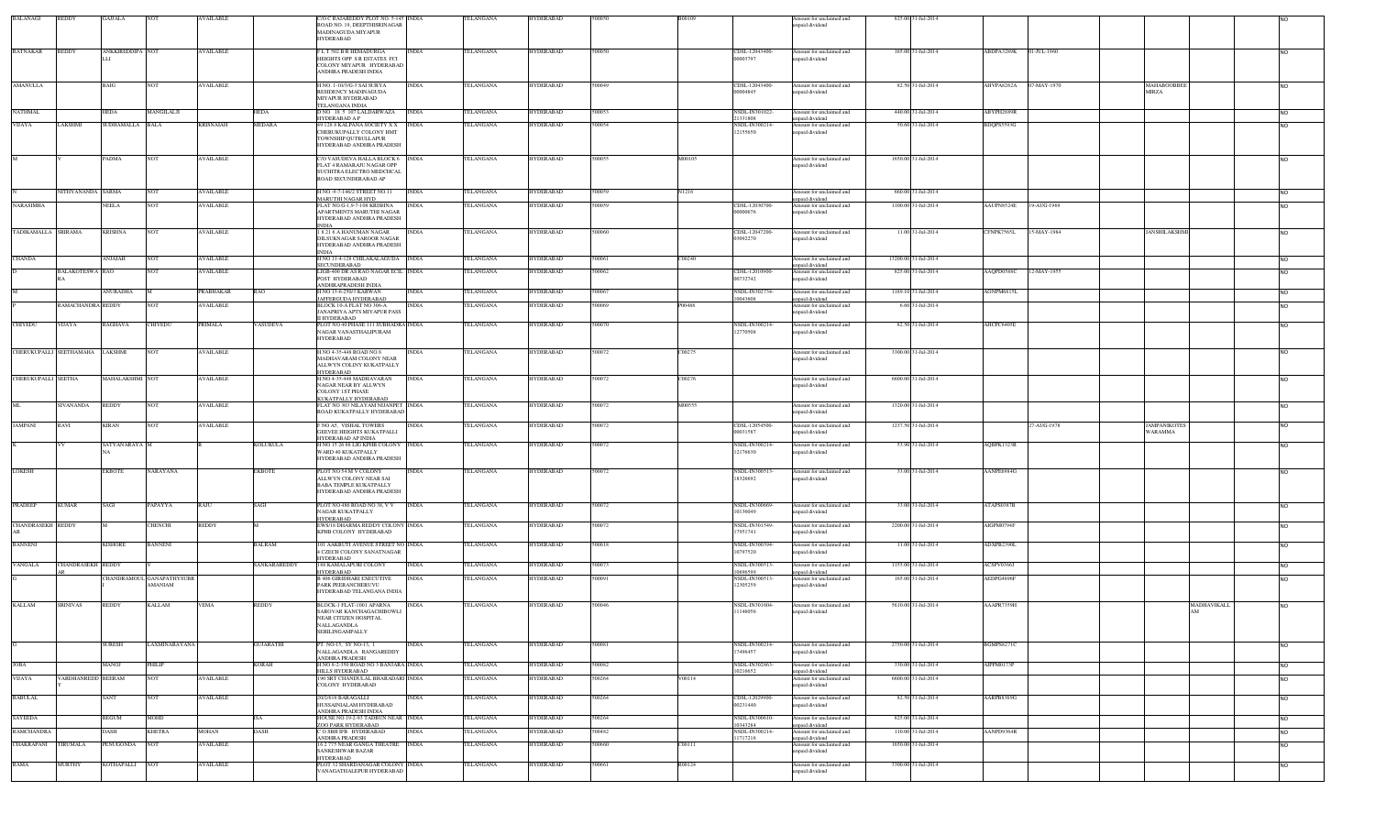| <b>BALANAGI</b>          | REDDY                           | GAJJALA          |                                      | <b>WAILABLE</b>  |                | /O C RAJAREDDY PLOT NO. 5-145 INDIA                              |              | TELANGANA | <b>HYDERABAD</b> | 500050 |        |                            | mount for unclaimed and                     | 825.00 31-Jul-2014   |                   |                             |                    |                |
|--------------------------|---------------------------------|------------------|--------------------------------------|------------------|----------------|------------------------------------------------------------------|--------------|-----------|------------------|--------|--------|----------------------------|---------------------------------------------|----------------------|-------------------|-----------------------------|--------------------|----------------|
|                          |                                 |                  |                                      |                  |                | ROAD NO. 19, DEEPTHISRINAGAR<br>MADINAGUDA MIYAPUR               |              |           |                  |        |        |                            | inpaid dividend                             |                      |                   |                             |                    |                |
|                          |                                 |                  |                                      |                  |                | HYDERABAD                                                        |              |           |                  |        |        |                            |                                             |                      |                   |                             |                    |                |
| RATNAKAR                 | <b>REDDY</b>                    | ANKKIREDDIPA NOT |                                      | <b>AVAILABLE</b> |                | FLT 502 BR HEMADURGA                                             | <b>INDIA</b> | TELANGANA | <b>HYDERABAD</b> | 500050 |        | CDSL-12043400-             | Amount for unclaimed and                    | 165.00 31-Jul-2014   | ABDPA3289K        | 01-JUL-1960                 |                    | NO.            |
|                          |                                 |                  |                                      |                  |                | HEIGHTS OPP S R ESTATES FCI                                      |              |           |                  |        |        | 00003797                   | npaid dividend                              |                      |                   |                             |                    |                |
|                          |                                 |                  |                                      |                  |                | COLONY MIYAPUR HYDERABAD<br>ANDHRA PRADESH INDIA                 |              |           |                  |        |        |                            |                                             |                      |                   |                             |                    |                |
|                          |                                 |                  |                                      |                  |                |                                                                  |              |           |                  |        |        |                            |                                             |                      |                   |                             |                    |                |
| <b>AMANULLA</b>          |                                 | BAIG             | <b>NOT</b>                           | <b>AVAILABLE</b> |                | H.NO. 1-10/3/G-3 SAI SURYA<br>RESIDENCY MADINAGUDA               | <b>INDIA</b> | TELANGANA | <b>HYDERABAD</b> | 500049 |        | CDSL-12043400-<br>00004845 | Amount for unclaimed and<br>npaid dividend  | 82.50 31-Jul-2014    | AHVPA8262A        | 07-MAY-1970<br><b>MIRZA</b> | MAHABOOBBE         | NO.            |
|                          |                                 |                  |                                      |                  |                | MIYAPUR HYDERABAD                                                |              |           |                  |        |        |                            |                                             |                      |                   |                             |                    |                |
| <b>NATHMAL</b>           |                                 | HEDA             | MANGILALJI                           |                  | HEDA           | TELANGANA INDIA<br>D NO 18 5 107 LALDARWAZA                      | <b>INDIA</b> | TELANGANA | HYDERABAD        | 500053 |        | NSDL-IN301022              | Amount for unclaimed and                    | 440.00 31-Jul-2014   | ABYPH2889R        |                             |                    | NO.            |
|                          |                                 |                  |                                      |                  |                | HYDERABAD A P                                                    |              |           |                  |        |        | 21331808                   | unpaid dividend                             |                      |                   |                             |                    |                |
| VIJAYA                   | AKSHMI                          | SUDHAMALLA BALA  |                                      | <b>KRISNAIAH</b> | MEDARA         | 49 128 8 KALPANA SOCIETY X X<br>CHERUKUPALLY COLONY HMT          | <b>INDIA</b> | TELANGANA | <b>IYDERABAD</b> | 600054 |        | NSDL-IN300214-<br>12155650 | Amount for unclaimed and<br>inpaid dividend | 50.60 31-Jul-2014    | BDQPS5593G        |                             |                    |                |
|                          |                                 |                  |                                      |                  |                | TOWNSHIP QUTBULLAPUR                                             |              |           |                  |        |        |                            |                                             |                      |                   |                             |                    |                |
|                          |                                 |                  |                                      |                  |                | HYDERABAD ANDHRA PRADESH                                         |              |           |                  |        |        |                            |                                             |                      |                   |                             |                    |                |
|                          |                                 | PADMA            | <b>NOT</b>                           | <b>AVAILABLE</b> |                | C/O VASUDEVA HALLA BLOCK 6 INDIA<br>FLAT 4 RAMARAIU NAGAR OPP    |              | TELANGANA | HYDERABAD        | 500055 | M00105 |                            | Amount for unclaimed and                    | 1650.00 31-Jul-2014  |                   |                             |                    | NO.            |
|                          |                                 |                  |                                      |                  |                | SUCHITRA ELECTRO MEDCHCAL                                        |              |           |                  |        |        |                            | inpaid dividend                             |                      |                   |                             |                    |                |
|                          |                                 |                  |                                      |                  |                | ROAD SECUNDERABAD AP                                             |              |           |                  |        |        |                            |                                             |                      |                   |                             |                    |                |
|                          | NITHYANANDA SARMA               |                  | <b>NOT</b>                           | <b>AVAILABLE</b> |                | H NO -9-7-146/2 STREET NO.11                                     | <b>INDIA</b> | TELANGANA | HYDERABAD        | 500059 | N1216  |                            | Amount for unclaimed and                    | 660.00 31-Jul-2014   |                   |                             |                    |                |
| <b>NARASIMHA</b>         |                                 | NEELA            | NO <sub>1</sub>                      | <b>AVAILABLE</b> |                | MARUTHI NAGAR HYD<br>FLAT NO.G-1,9-7-108 KRISHNA                 | <b>INDIA</b> | TELANGANA | <b>IYDERABAD</b> | 500059 |        | CDSL-12030700-             | npaid dividend<br>Amount for unclaimed and  | 1100.00 31-Jul-2014  | AAUPN8524E        | 19-AUG-1969                 |                    | N <sub>O</sub> |
|                          |                                 |                  |                                      |                  |                | APARTMENTS MARUTHI NAGAR                                         |              |           |                  |        |        | 00000676                   | unpaid dividend                             |                      |                   |                             |                    |                |
|                          |                                 |                  |                                      |                  |                | HYDERABAD ANDHRA PRADESH<br><b>NDIA</b>                          |              |           |                  |        |        |                            |                                             |                      |                   |                             |                    |                |
| TADIKAMALLA SRIRAMA      |                                 | <b>KRISHNA</b>   | <b>NOT</b>                           | <b>AVAILABLE</b> |                | 18216 A HANUMAN NAGAR                                            | <b>INDIA</b> | TELANGANA | <b>TYDERABAD</b> | 500060 |        | CDSL-12047200-             | Amount for unclaimed and                    | 11.00 31-Jul-2014    | CFNPK7565L        | 15-MAY-1984                 | <b>ANSHILAKSHM</b> | NO.            |
|                          |                                 |                  |                                      |                  |                | DILSUKNAGAR SAROOR NAGAR<br>HYDERABAD ANDHRA PRADESH             |              |           |                  |        |        | 03092270                   | npaid dividend                              |                      |                   |                             |                    |                |
|                          |                                 |                  |                                      |                  |                | NDIA                                                             |              |           |                  |        |        |                            |                                             |                      |                   |                             |                    |                |
| <b>CHANDA</b>            |                                 | <b>ANJAIAH</b>   | <b>NOT</b>                           | <b>AVAILABLE</b> |                | H NO 11-4-128 CHILAKALAGUDA INDIA<br>SECUNDERABAD                |              | TELANGANA | <b>HYDERABAD</b> | 500061 | C00240 |                            | Amount for unclaimed and<br>unpaid dividend | 13200.00 31-Jul-2014 |                   |                             |                    | NO.            |
|                          | <b>BALAKOTESWA RAO</b>          |                  |                                      | <b>AVAILABLE</b> |                | LIGB-400 DR AS RAO NAGAR ECIL INDIA                              |              | TELANGANA | <b>IYDERABAD</b> | 500062 |        | CDSL-12010900-             | Amount for unclaimed and                    | 825.00 31-Jul-2014   | AAQPD0588C        | 12-MAY-1955                 |                    |                |
|                          |                                 |                  |                                      |                  |                | POST HYDERABAD<br>ANDHRAPRADESH INDIA                            |              |           |                  |        |        | 00732742                   | inpaid dividend                             |                      |                   |                             |                    |                |
|                          |                                 | ANURADHA         |                                      | PRABHAKAR        | RAO            | H NO 13-6-250/3 KARWAN                                           | <b>INDIA</b> | TELANGANA | HYDERABAD        | 500067 |        | <b>NSDL-IN302734</b>       | Amount for unclaimed and                    | 1189.10 31-Jul-2014  | <b>AONPM68151</b> |                             |                    | NO.            |
|                          | RAMACHANDRA REDDY               |                  | <b>NOT</b>                           | <b>AVAILABLE</b> |                | AFFERGUDA HYDERABAD<br>BLOCK 10-A FLAT NO 306-A                  | <b>INDIA</b> | TELANGANA | <b>IYDERABAD</b> | 500069 | P00488 | 10043608                   | unpaid dividend<br>Amount for unclaimed and | 6.60 31-Jul-2014     |                   |                             |                    |                |
|                          |                                 |                  |                                      |                  |                | JANAPRIYA APTS MIYAPUR PASS                                      |              |           |                  |        |        |                            | inpaid dividend                             |                      |                   |                             |                    |                |
| CHIYEDU                  | <b>VIJAYA</b>                   | RAGHAVA          | CHIYEDU                              | PRIMALA          | <b>ASUDEVA</b> | II HYDERABAD<br>PLOT NO 40 PHASE 111 SUBHADRA INDIA              |              | TELANGANA | <b>TYDERABAD</b> | 500070 |        | NSDL-IN300214-             | Amount for unclaimed and                    | 82.50 31-Jul-2014    | AHCPC6405E        |                             |                    |                |
|                          |                                 |                  |                                      |                  |                | NAGAR VANASTHALIPURAM<br><b>HYDERABAD</b>                        |              |           |                  |        |        | 12770508                   | npaid dividend                              |                      |                   |                             |                    |                |
|                          |                                 |                  |                                      |                  |                |                                                                  |              |           |                  |        |        |                            |                                             |                      |                   |                             |                    |                |
|                          | CHERUKUPALLI SEETHAMAHA LAKSHMI |                  | <b>NOT</b>                           | <b>AVAILABLE</b> |                | H NO 4-35-448 ROAD NO 8<br>MADHAVARAM COLONY NEAR                | <b>INDIA</b> | TELANGANA | HYDERABAD        | 500072 | C00275 |                            | Amount for unclaimed and<br>inpaid dividend | 3300.00 31-Jul-2014  |                   |                             |                    | NO.            |
|                          |                                 |                  |                                      |                  |                | ALLWYN COLINY KUKATPALLY                                         |              |           |                  |        |        |                            |                                             |                      |                   |                             |                    |                |
| CHERUKUPALLI SEETHA      |                                 | MAHALAKSHMI NOT  |                                      | <b>AVAILABLE</b> |                | HYDERABAD<br>H NO 4-35-448 MADHAVARAN                            | <b>INDIA</b> | TELANGANA | HYDERABAD        | 500072 | C00276 |                            | Amount for unclaimed and                    | 6600.00 31-Jul-2014  |                   |                             |                    | NO.            |
|                          |                                 |                  |                                      |                  |                | NAGAR NEAR BY ALLWYN                                             |              |           |                  |        |        |                            | unpaid dividend                             |                      |                   |                             |                    |                |
|                          |                                 |                  |                                      |                  |                | COLONY 1ST PHASE<br>KUKATPALLY HYDERARAD                         |              |           |                  |        |        |                            |                                             |                      |                   |                             |                    |                |
|                          | SIVANANDA                       | REDDY            | <b>NOT</b>                           | <b>AVAILABLE</b> |                | FLAT NO 303 NILAYAM NIJANPET NDIA                                |              | TELANGANA | <b>TYDERABAD</b> | 500072 | M00555 |                            | Amount for unclaimed and                    | 1320.00 31-Jul-2014  |                   |                             |                    | NO.            |
|                          |                                 |                  |                                      |                  |                | ROAD KUKATPALLY HYDERABAD                                        |              |           |                  |        |        |                            | unpaid dividend                             |                      |                   |                             |                    |                |
| <b>JAMPANI</b>           | RAVI                            | <b>KIRAN</b>     | NOT                                  | <b>AVAILABLE</b> |                | NO A5. VISHAL TOWERS                                             | INDIA        | TELANGANA | <b>TYDERABAD</b> | 500072 |        | CDSL-12054500-             | Amount for unclaimed and                    | 1237.50 31-Jul-2014  |                   | 27-AUG-1978                 | <b>AMPANIKOTE</b>  | NO.            |
|                          |                                 |                  |                                      |                  |                | GEEVEE HEIGHTS KUKATPALLI<br>HYDERABAD AP INDIA                  |              |           |                  |        |        | 00031587                   | npaid dividend                              |                      |                   |                             | <b>WARAMMA</b>     |                |
|                          |                                 | SATYANARAYA N    |                                      |                  | KOLUKULA       | H NO 15 26 88 LIG KPHB COLONY INDIA                              |              | TELANGANA | <b>TYDERABAD</b> | 500072 |        | NSDL-IN300214-<br>12176630 | Amount for unclaimed and                    | 53.90 31-Jul-2014    | AQBPK1323R        |                             |                    | NO.            |
|                          |                                 |                  |                                      |                  |                | WARD 40 KUKATPALLY<br>HYDERABAD ANDHRA PRADESH                   |              |           |                  |        |        |                            | npaid dividend                              |                      |                   |                             |                    |                |
| <b>LOKESH</b>            |                                 | <b>EKBOTE</b>    | NARAYANA                             |                  | EKBOTE         | PLOT NO 54 M V COLONY                                            | <b>INDIA</b> | TELANGANA | HYDERABAD        | 500072 |        | NSDL-IN300513              | Amount for unclaimed and                    | 33.00 31-Jul-2014    | AANPE6984G        |                             |                    |                |
|                          |                                 |                  |                                      |                  |                | ALLWYN COLONY NEAR SAI                                           |              |           |                  |        |        | 18326692                   | unpaid dividend                             |                      |                   |                             |                    | NO.            |
|                          |                                 |                  |                                      |                  |                | BABA TEMPLE KUKATPALLY<br>HYDERABAD ANDHRA PRADESH               |              |           |                  |        |        |                            |                                             |                      |                   |                             |                    |                |
|                          |                                 |                  |                                      |                  |                |                                                                  |              |           |                  |        |        |                            |                                             |                      |                   |                             |                    |                |
| PRADEEP                  | <b>KUMAR</b>                    | SAGI             | PAPAYYA                              | RAJU             | SAGI           | PLOT NO 486 ROAD NO 38, V V<br>NAGAR KUKATPALLY                  | <b>INDIA</b> | TELANGANA | HYDERABAD        | 500072 |        | NSDL-IN300669-<br>10136049 | Amount for unclaimed and<br>npaid dividend  | 33.00 31-Jul-2014    | ATAPS0387B        |                             |                    | NO.            |
|                          |                                 |                  |                                      |                  |                | <b>HYDERABAD</b>                                                 |              |           |                  |        |        |                            |                                             |                      |                   |                             |                    |                |
| <b>CHANDRASEKH REDDY</b> |                                 |                  | <b>CHENCHI</b>                       | <b>REDDY</b>     |                | EWS/18 DHARMA REDDY COLONY INDIA<br>KPHB COLONY HYDERABAD        |              | TELANGANA | <b>HYDERABAD</b> | 500072 |        | NSDL-IN301549<br>17951741  | Amount for unclaimed and<br>unpaid dividend | 2200.00 31-Jul-2014  | AIGPM0794F        |                             |                    | <b>NO</b>      |
|                          |                                 |                  |                                      |                  |                |                                                                  |              |           |                  |        |        |                            |                                             |                      |                   |                             |                    |                |
| <b>BANNENI</b>           |                                 | <b>KISHORE</b>   | <b>BANNENI</b>                       |                  | <b>BALRAM</b>  | 101 AAKRUTI AVENUE STREET NO INDIA<br>4 CZECH COLONY SANATNAGAR  |              | TELANGANA | <b>HYDERABAD</b> | 500018 |        | NSDL-IN300394<br>10797520  | Amount for unclaimed and<br>unpaid dividend | 11.00 31-Jul-2014    | ADXPB2390L        |                             |                    | NO.            |
| VANGALA                  |                                 |                  |                                      |                  | SANKARAREDDY   | HYDERABAD<br>188 KAMALAPURI COLONY                               |              |           |                  |        |        |                            |                                             |                      |                   |                             |                    |                |
|                          | CHANDRASEKH REDDY               |                  |                                      |                  |                | HYDERABAD                                                        | <b>INDIA</b> | TELANGANA | <b>TYDERABAD</b> | 500073 |        | NSDL-IN300513-<br>10696599 | Amount for unclaimed and<br>npaid dividend  | 1155.00 31-Jul-2014  | ACSPV0366J        |                             |                    | <b>NO</b>      |
|                          |                                 |                  | CHANDRAMOUL GANAPATHYSUBR<br>AMANIAM |                  |                | B 406 GIRIDHARI EXECUTIVE<br>PARK PEERANCHERUVU                  | <b>INDIA</b> | TELANGANA | HYDERABAD        | 500091 |        | NSDL-IN300513-<br>12305259 | Amount for unclaimed and<br>inpaid dividend | 165.00 31-Jul-2014   | AEDPG4896F        |                             |                    | N <sub>O</sub> |
|                          |                                 |                  |                                      |                  |                | HYDERABAD TELANGANA INDIA                                        |              |           |                  |        |        |                            |                                             |                      |                   |                             |                    |                |
| <b>KALLAM</b>            | <b>SRINIVAS</b>                 | <b>REDDY</b>     | <b>KALLAM</b>                        | <b>VEMA</b>      | REDDY          | BLOCK-1 FLAT-1001 APARNA                                         | <b>INDIA</b> | TELANGANA | HYDERABAD        | 500046 |        | NSDL-IN301604-             | Amount for unclaimed and                    | 5610.00 31-Jul-2014  | AAAPR7359H        |                             | MADHAVIKALL        | <b>NO</b>      |
|                          |                                 |                  |                                      |                  |                | SAROVAR KANCHAGACHIBOWLI                                         |              |           |                  |        |        | 11146056                   | inpaid dividend                             |                      |                   |                             |                    |                |
|                          |                                 |                  |                                      |                  |                | NEAR CITIZEN HOSPITAL<br>NALLAGANDLA                             |              |           |                  |        |        |                            |                                             |                      |                   |                             |                    |                |
|                          |                                 |                  |                                      |                  |                | SERILINGAMPALLY                                                  |              |           |                  |        |        |                            |                                             |                      |                   |                             |                    |                |
|                          |                                 | <b>SURESH</b>    | LAXMINARAYANA                        |                  | GUJARATHI      | PT. NO-15, SY NO-13, 1                                           | <b>INDIA</b> | TELANGANA | <b>TYDERABAD</b> | 500081 |        | NSDL-IN300214-             | Amount for unclaimed and                    | 2750.00 31-Jul-2014  | GMPS8271C         |                             |                    | NO.            |
|                          |                                 |                  |                                      |                  |                | NALLAGANDLA RANGAREDDY                                           |              |           |                  |        |        | 17496457                   | npaid dividend                              |                      |                   |                             |                    |                |
| <b>JOBA</b>              |                                 | <b>IOWA</b>      | PHILIP                               |                  | KORAH          | <b>NDHRA PRADESH</b><br>I NO 8-2-350 ROAD NO 3 BANJARA INDIA     |              | TELANGANA | <b>TYDERABAD</b> | 500082 |        | NSDL-IN302863              | Amount for unclaimed and                    | 330.00 31-Jul-2014   | AIPPM0173P        |                             |                    | NO.            |
| VIJAYA                   | <b>VARDHANREDD BEERAM</b>       |                  |                                      | <b>AVAILABLE</b> |                | HILLS HYDERABAD<br>190 SRT CHANDULAL BHARADARI INDIA             |              | TELANGANA | <b>IYDERABAD</b> | 600264 | V00114 | 0216652                    | inpaid dividend                             | 6600.00 31-Jul-2014  |                   |                             |                    |                |
|                          |                                 |                  | <b>NOT</b>                           |                  |                | <b>COLONY HYDERABAD</b>                                          |              |           |                  |        |        |                            | Amount for unclaimed and<br>inpaid dividend |                      |                   |                             |                    | NO.            |
|                          |                                 |                  |                                      |                  |                |                                                                  | <b>NDIA</b>  |           |                  | 600264 |        |                            |                                             |                      |                   |                             |                    |                |
| <b>BABULAL</b>           |                                 | SANT             | NOT                                  | <b>VAILABLE</b>  |                | 20/2/616 BARAGALLI<br>HUSSAINIALAM HYDERABAD                     |              | TELANGANA | <b>IYDERABAD</b> |        |        | CDSL-12029900-<br>00231440 | Amount for unclaimed and<br>npaid dividend  | 82.50 31-Jul-2014    | ARPB8369G         |                             |                    | NO.            |
| SAYEEDA                  |                                 | BEGUM            | MOHD                                 |                  |                | <b>NDHRA PRADESH INDIA</b><br>HOUSE NO 19-2-93 TADBUN NEAR INDIA |              | TELANGANA | <b>IYDERABAD</b> | 500264 |        | NSDL-IN300610              | Amount for unclaimed and                    | 825.00 31-Jul-2014   |                   |                             |                    |                |
|                          |                                 |                  |                                      |                  |                | ZOO PARK HYDERABAD                                               |              |           |                  |        |        | 0343284                    | unpaid dividend                             |                      |                   |                             |                    | NO.            |
| <b>RAMCHANDRA</b>        |                                 | <b>DASH</b>      | <b>KHETRA</b>                        | MOHAN            | ASH            | COSBH IFB HYDERABAD<br><b>NDHRA PRADESH</b>                      | <b>INDIA</b> | TELANGANA | <b>IYDERABAD</b> | 600482 |        | NSDL-IN300214-<br>1717216  | Amount for unclaimed and<br>unpaid dividend | 110.00 31-Jul-2014   | ANPD9364R         |                             |                    | NO.            |
| CHAKRAPANI               | TIRUMALA                        | PENUGONDA        | <b>NOT</b>                           | <b>AVAILABLE</b> |                | 16 2 775 NEAR GANGA THEATRE                                      | <b>INDIA</b> | TELANGANA | <b>IYDERABAD</b> | 500660 | C00111 |                            | Amount for unclaimed and                    | 1650.00 31-Jul-2014  |                   |                             |                    | NO.            |
|                          |                                 |                  |                                      |                  |                | SANKESHWAR BAZAR<br>HYDERABAD                                    |              |           |                  |        |        |                            | unpaid dividend                             |                      |                   |                             |                    |                |
| RAMA                     | <b>MURTHY</b>                   | KOTHAPALLI       | <b>NOT</b>                           | <b>AVAILABLE</b> |                | PLOT 32 SHARDANAGAR COLONY INDIA                                 |              | TELANGANA | <b>HYDERABAD</b> | 500661 | R00124 |                            | Amount for unclaimed and                    | 3300.00 31-Jul-2014  |                   |                             |                    | <b>NO</b>      |
|                          |                                 |                  |                                      |                  |                | VANAGATHALEPUR HYDERABAD                                         |              |           |                  |        |        |                            | npaid dividend                              |                      |                   |                             |                    |                |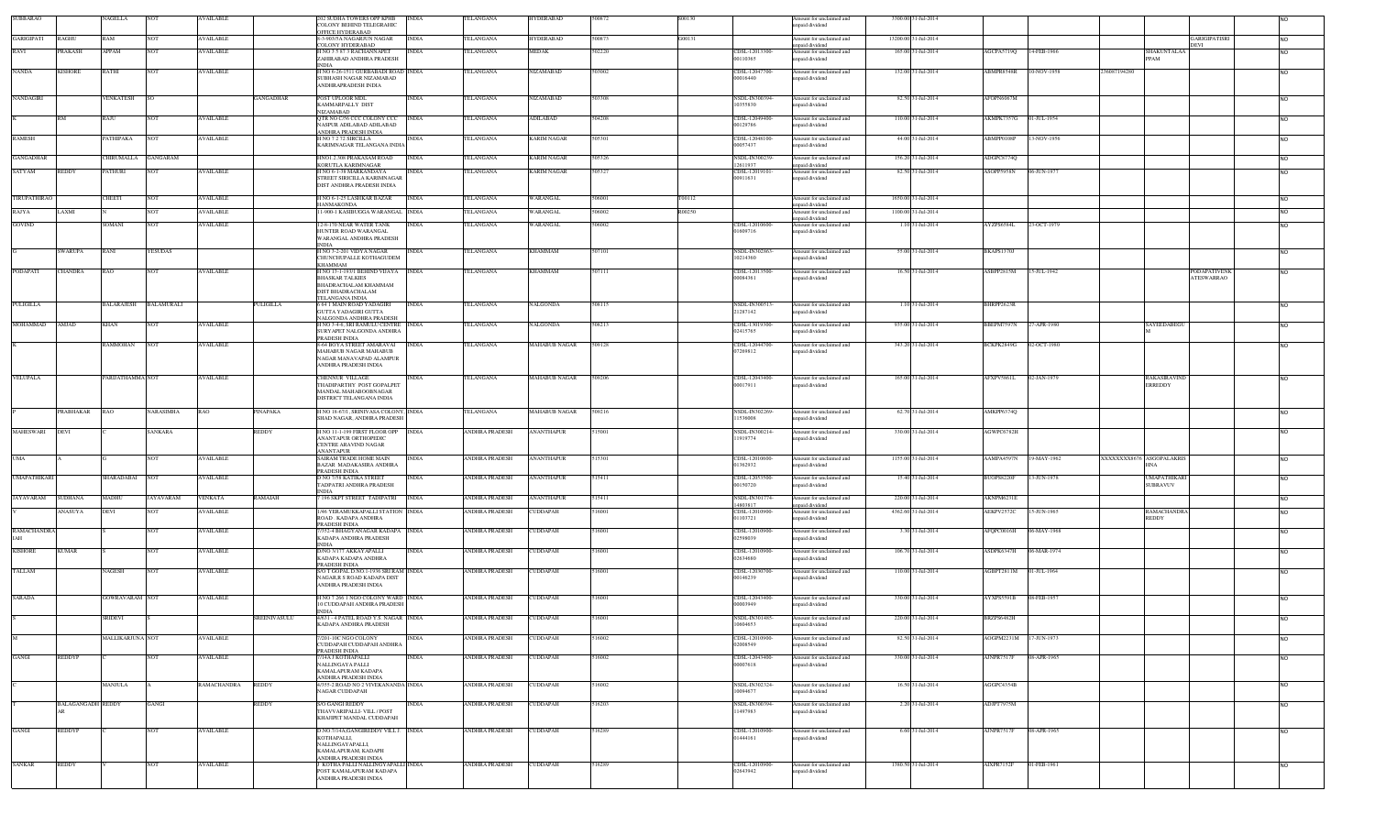| SUBBARAO            |                          | NAGELLA               | <b>NOT</b>        | <b>WAILABLE</b>  |              | 2 SUDHA TOWERS OPP KPHB<br>COLONY BEHIND TELEGRAHIC                                                                           | <b>INDIA</b> | <b>ELANGANA</b>         | HYDERABAE            | 500872 | S00130 |                                     | mount for unclaimed and<br>npaid dividend                     |                      | 3300.00 31-Jul-2014 |                        |             |                                       |                |
|---------------------|--------------------------|-----------------------|-------------------|------------------|--------------|-------------------------------------------------------------------------------------------------------------------------------|--------------|-------------------------|----------------------|--------|--------|-------------------------------------|---------------------------------------------------------------|----------------------|---------------------|------------------------|-------------|---------------------------------------|----------------|
| GARIGIPATI          | <b>RAGHU</b>             | <b>RAM</b>            | <b>NOT</b>        | <b>AVAILABLE</b> |              | OFFICE HYDERABAD<br>-3-903/5A NAGARJUN NAGAR                                                                                  | <b>INDIA</b> | <b><i>TELANGANA</i></b> | <b>IYDERABAD</b>     | 500873 | G00131 |                                     | Amount for unclaimed and                                      | 13200.00 31-Jul-2014 |                     |                        |             | <b>GARIGIPATISR</b>                   | NO.            |
| RAVI                | PRAKASH                  | APPAM                 | <b>NOT</b>        | AVAILABLE        |              | COLONY HYDERABAD<br>NO 3 5 87 3 RACHANNAPET                                                                                   | <b>INDIA</b> | TELANGANA               | MEDAK                | 502220 |        | CDSL-12013300-                      | npaid dividend<br>Amount for unclaimed and                    |                      | 165.00 31-Jul-2014  | AGCPA5719Q             | 14-FEB-1966 | DEVI<br>SHAKUNTALAA                   | NO.            |
|                     |                          |                       |                   |                  |              | ZAHIRABAD ANDHRA PRADESH<br><b>INDIA</b>                                                                                      |              |                         |                      |        |        | 00110365                            | npaid dividend                                                |                      |                     |                        |             | PPAM                                  |                |
| <b>NANDA</b>        | KISHORE                  | RATHI                 | NOT               | AVAILABLE        |              | I NO 6-26-1511 GURBABADI ROAD INDIA<br>SUBHASH NAGAR NIZAMABAD<br>ANDHRAPRADESH INDIA                                         |              | <b><i>TELANGANA</i></b> | VIZAMABAD            | 503002 |        | CDSL-12047700<br>00016440           | mount for unclaimed and<br>npaid dividend                     |                      | 132.00 31-Jul-2014  | ABMPR8548R             | 10-NOV-1958 | 236087194280                          |                |
| NANDAGIRI           |                          | <b>VENKATESH</b>      |                   |                  | GANGADHAR    | POST UPLOOR MDL<br>KAMMARPALLY DIST                                                                                           | <b>INDIA</b> | TELANGANA               | VIZAMABAD            | 503308 |        | VSDL-IN300394-<br>0355830           | Amount for unclaimed and<br>npaid dividend                    |                      | 82.50 31-Jul-2014   | AFOPN6067M             |             |                                       | NO.            |
|                     | <b>RM</b>                | RAJU                  | <b>NOT</b>        | <b>AVAILABLE</b> |              | NIZAMABAD<br>QTR NO C/56 CCC COLONY CCC<br><b>NASPUR ADILABAD ADILABAD</b>                                                    | <b>INDIA</b> | TELANGANA               | ADILABAD             | 504208 |        | CDSL-12049400<br>00129786           | mount for unclaimed and<br>npaid dividend                     |                      | 110.00 31-Jul-2014  | AKMPK7357G             | 01-JUL-1954 |                                       | NO.            |
| <b>RAMESH</b>       |                          | PATHIPAKA             | <b>NOT</b>        | <b>AVAILABLE</b> |              | ANDHRA PRADESH INDIA<br>H NO 7 2 72 SIRCILLA<br>KARIMNAGAR TELANGANA INDIA                                                    | <b>INDIA</b> | TELANGANA               | <b>KARIM NAGAR</b>   | 505301 |        | CDSL-12048100-<br>00057437          | Imount for unclaimed and<br>paid dividend                     |                      | 44.00 31-Jul-2014   | ABMPP0108P             | 13-NOV-1956 |                                       | <b>NO</b>      |
| <b>GANGADHAR</b>    |                          | CHIRUMALLA GANGARAM   |                   |                  |              | HNO1.2.308 PRAKASAM ROAD<br><b>CORUTLA KARIMNAGAR</b>                                                                         | <b>INDIA</b> | TELANGANA               | <b>KARIM NAGAR</b>   | 505326 |        | NSDL-IN300239-<br>2611937           | Amount for unclaimed and                                      |                      | 156.20 31-Jul-2014  | ADGPC8774Q             |             |                                       | NO.            |
| SATYAM              | <b>REDDY</b>             | PATHURI               | <b>NOT</b>        | <b>AVAILABLE</b> |              | I NO 6-1-38 MARKANDAYA<br><b>TREET SIRICILLA KARIMNAGAR</b><br>DIST ANDHRA PRADESH INDIA                                      | <b>INDIA</b> | TELANGANA               | <b>KARIM NAGAR</b>   | 505327 |        | CDSL-12019101-<br>00911631          | npaid dividend<br>Amount for unclaimed and<br>npaid dividend  |                      | 82.50 31-Jul-2014   | ASOPP5958N             | 06-JUN-1977 |                                       | NO.            |
| TIRUPATHIRAO        |                          | CHEETI                | <b>NOT</b>        | <b>AVAILABLE</b> |              | I NO 6-1-25 LASHKAR BAZAR                                                                                                     | <b>INDIA</b> | TELANGANA               | WARANGAL             | 506001 | T00112 |                                     | mount for unclaimed and                                       |                      | 1650.00 31-Jul-2014 |                        |             |                                       | NO.            |
| RAJYA               | LAXMI                    |                       | NOT               | <b>AVAILABLE</b> |              | <b>IANMAKONDA</b><br>1-900-1 KASIBUGGA WARANGAL INDIA                                                                         |              | TELANGANA               | WARANGAL             | 506002 | R00250 |                                     | inpaid dividend<br>mount for unclaimed and                    |                      | 1100.00 31-Jul-2014 |                        |             |                                       | NO.            |
| GOVIND              |                          | SOMANI                | <b>NOT</b>        | <b>AVAILABLE</b> |              | 12-8-170 NEAR WATER TANK<br>IUNTER ROAD WARANGAL                                                                              | <b>INDIA</b> | TELANGANA               | WARANGAL             | 506002 |        | CDSL-12010600-<br>1609716           | inpaid dividend<br>Amount for unclaimed and<br>npaid dividend |                      | 1.10 31-Jul-2014    | AYZPS6584L             | 23-OCT-1979 |                                       | NO.            |
|                     | <b>SWARUPA</b>           | RANI                  | YESUDAS           |                  |              | WARANGAL ANDHRA PRADESH<br><b>INDIA</b><br>H NO 3-2-201 VIDYA NAGAR                                                           | <b>INDIA</b> | TELANGANA               | KHAMMAM              | 507101 |        | NSDL-IN302863-                      | Amount for unclaimed and                                      |                      | 55.00 31-Jul-2014   | BKAPS1370J             |             |                                       | <b>NO</b>      |
| PODAPATI            | <b>CHANDRA</b>           | RAO                   | <b>NOT</b>        | <b>AVAILABLE</b> |              | CHUNCHUPALLE KOTHAGUDEM<br>KHAMMAM                                                                                            |              | TELANGANA               | <b>KHAMMAM</b>       | 507111 |        | 0214360                             | npaid dividend                                                |                      | 16.50 31-Jul-2014   | ASBPP2815M             |             | <b>PODAPATIVENI</b>                   | <b>NO</b>      |
|                     |                          |                       |                   |                  |              | H NO 13-1-193/1 BEHIND VIJAYA INDIA<br><b>BHASKAR TALKIES</b><br>BHADRACHALAM KHAMMAM<br>DIST BHADRACHALAM<br>TELANGANA INDIA |              |                         |                      |        |        | CDSL-12013500-<br>00084361          | Amount for unclaimed and<br>npaid dividend                    |                      |                     |                        | 15-JUL-1942 | <b>ATESWARRAO</b>                     |                |
| PULIGILLA           |                          | BALARAJESH            | <b>BALAMURALI</b> |                  | PULIGILLA    | 6 64 1 MAIN ROAD YADAGIRI<br>GUTTA YADAGIRI GUTTA<br>NALGONDA ANDHRA PRADESH                                                  | <b>INDIA</b> | TELANGANA               | NALGONDA             | 508115 |        | NSDL-IN300513-<br>21287142          | mount for unclaimed and<br>npaid dividend                     |                      | 1.10 31-Jul-2014    | BHRPP2623R             |             |                                       | NO.            |
| MOHAMMAD            | <b>AMJAD</b>             | <b>KHAN</b>           | <b>NOT</b>        | <b>AVAILABLE</b> |              | H NO 3-4-6, SRI RAMULU CENTRE INDIA<br>SURYAPET NALGONDA ANDHRA<br><b>RADESH INDIA</b>                                        |              | TELANGANA               | NALGONDA             | 508213 |        | CDSL-13019300<br>02415765           | Amount for unclaimed and<br>npaid dividend                    |                      | 935.00 31-Jul-2014  | BBEPM7597N             | 27-APR-1980 | SAYEEDABEGU                           | <b>NO</b>      |
|                     |                          | <b>RAMMOHAN</b>       | <b>NOT</b>        | <b>AVAILABLE</b> |              | 8-64 BOYA STREET AMARAVAI<br>MAHABUB NAGAR MAHABUB<br>NAGAR MANAVAPAD ALAMPUR<br>ANDHRA PRADESH INDIA                         | <b>INDIA</b> | TELANGANA               | <b>MAHABUB NAGAR</b> | 509128 |        | CDSL-12044700-<br>07269812          | Amount for unclaimed and<br>npaid dividend                    |                      | 343.20 31-Jul-2014  | BCKPK2849G             | 02-OCT-1980 |                                       | <b>NO</b>      |
| VELUPALA            |                          | PARIJATHAMMA NOT      |                   | <b>AVAILABLE</b> |              | CHENNUR VILLAGE<br>THADIPARTHY POST GOPALPET<br>MANDAL MAHABOOBNAGAR<br>DISTRICT TELANGANA INDIA                              | INDIA        | TELANGANA               | <b>MAHABUB NAGAR</b> | 509206 |        | CDSL-12043400-<br>00017911          | Amount for unclaimed and<br>npaid dividend                    |                      | 165.00 31-Jul-2014  | AFXPV5861L             | 02-JAN-1979 | <b>RAKASIRAVINE</b><br><b>ERREDDY</b> | <b>NO</b>      |
|                     | PRABHAKAR                | RAO                   | NARASIMHA         | RAO              | PINAPAKA     | I NO 18-67/1, SRINIVASA COLONY, INDIA<br>SHAD NAGAR, ANDHRA PRADESH                                                           |              | TELANGANA               | MAHABUB NAGAR        | 509216 |        | NSDL-IN302269-<br>1536008           | Amount for unclaimed and<br>npaid dividend                    |                      | 62.70 31-Jul-2014   | AMKPP6374Q             |             |                                       | <b>NO</b>      |
| <b>MAHESWARI</b>    | DEVI                     |                       | <b>SANKARA</b>    |                  | REDDY        | H NO 11-1-199 FIRST FLOOR OPP INDIA<br>ANANTAPUR ORTHOPEDIC<br>CENTRE ARAVIND NAGAR                                           |              | ANDHRA PRADESH          | <b>ANANTHAPUR</b>    | 515001 |        | NSDL-IN300214-<br>1919774           | mount for unclaimed and<br>npaid dividend                     |                      | 330.00 31-Jul-2014  | AGWPC6782H             |             |                                       | N <sub>O</sub> |
| UMA                 |                          |                       | <b>NOT</b>        | <b>AVAILABLE</b> |              | ANANTAPI IR<br>SAIRAM TRADE HOME MAIN<br><b>BAZAR MADAKASIRA ANDHRA</b>                                                       | <b>INDIA</b> | ANDHRA PRADESH          | <b>ANANTHAPUR</b>    | 515301 |        | CDSL-12010600-<br>1362932           | Amount for unclaimed and<br>npaid dividend                    |                      | 1155.00 31-Jul-2014 | AAMPA4597N             | 19-MAY-1962 | XXXXXXX8676 ASGOPALAKRIS<br>INA       | NO.            |
| <b>UMAPATHIKARI</b> |                          | SHARADABAI NOT        |                   | <b>AVAILABLE</b> |              | PRADESH INDIA<br>D NO 7/58 KATIKA STREET<br>TADPATRI ANDHRA PRADESH                                                           | <b>INDIA</b> | ANDHRA PRADESH          | <b>ANANTHAPUR</b>    | 515411 |        | CDSL-12053500-<br>00150720          | Amount for unclaimed and<br>npaid dividend                    |                      | 15.40 31-Jul-2014   | BUOPS8220F             | 13-JUN-1978 | UMAPATHIKAR<br><b>SUBRAVUV</b>        | <b>NO</b>      |
| <b>JAYAVARAM</b>    | <b>SUDHANA</b>           | MADHU                 | <b>JAYAVARAM</b>  | <b>VENKATA</b>   | RAMAIAH      | <b>INDIA</b><br>196 SKPT STREET TADIPATRI                                                                                     | <b>INDIA</b> | <b>ANDHRA PRADESH</b>   | <b>ANANTHAPUR</b>    | 515411 |        | NSDL-IN301774-                      | mount for unclaimed and                                       |                      | 220.00 31-Jul-2014  | AKNPM6231E             |             |                                       | <b>NO</b>      |
|                     | ANASUYA                  | DEVI                  | <b>NOT</b>        | <b>AVAILABLE</b> |              | 1/46 YERAMUKKAPALLI STATION INDIA<br>ROAD . KADAPA ANDHRA                                                                     |              | ANDHRA PRADESH          | <b>UDDAPAH</b>       | 516001 |        | 4803817<br>CDSL-12010900<br>1103721 | npaid dividend<br>mount for unclaimed and<br>npaid dividend   |                      | 4362.60 31-Jul-2014 | AEKPV2572C             | 15-JUN-1965 | RAMACHANDR/<br>REDDY                  |                |
| RAMACHANDRA         |                          |                       | <b>NOT</b>        | <b>AVAILABLE</b> |              | PRADESH INDIA<br>352-4 BHAGYANAGAR KADAPA INDIA                                                                               |              | ANDHRA PRADESH          | CUDDAPAH             | 516001 |        | CDSL-12010900-                      | mount for unclaimed and                                       |                      | 3.30 31-Jul-2014    | AFQPC0016H             | 06-MAY-1968 |                                       | <b>NO</b>      |
| <b>KISHORE</b>      | <b>KUMAR</b>             |                       | <b>NOT</b>        | <b>AVAILABLE</b> |              | KADAPA ANDHRA PRADESH<br>INDIA<br>D/NO 3/177 AKKAYAPALLI                                                                      | <b>INDIA</b> | <b>ANDHRA PRADESH</b>   | CUDDAPAH             | 516001 |        | 12598039<br>CDSL-12010900-          | paid dividend<br>Amount for unclaimed and                     |                      | 106.70 31-Jul-2014  | ASDPK6347H             | 06-MAR-1974 |                                       | <b>NO</b>      |
| TALLAM              |                          | NAGESH                | <b>NOT</b>        | AVAILABLE        |              | KADAPA KADAPA ANDHRA<br>PRADESH INDIA<br>S/O T GOPAL D.NO.1-1936 SRI RAM INDIA                                                |              | ANDHRA PRADESH          | <b>UDDAPAH</b>       | 16001  |        | 02634680<br>CDSL-12030700-          | paid dividend<br>mount for unclaimed and                      |                      | 110.00 31-Jul-2014  | AGBPT2811M             | 01-JUL-1964 |                                       | NO.            |
|                     |                          |                       |                   |                  |              | NAGAR.R S ROAD KADAPA DIST<br>ANDHRA PRADESH INDIA                                                                            |              |                         |                      |        |        | 00146239                            | npaid dividend                                                |                      |                     |                        |             |                                       |                |
| SARADA              |                          | <b>GOWRAVARAM NOT</b> |                   | <b>AVAILABLE</b> |              | I NO 7 266 1 NGO COLONY WARD INDIA<br>0 CUDDAPAH ANDHRA PRADESH<br><b>INDIA</b>                                               |              | <b>ANDHRA PRADESH</b>   | CUDDAPAH             | 516001 |        | CDSL-12043400-<br>00003949          | Amount for unclaimed and<br>paid dividend                     |                      | 330.00 31-Jul-2014  | AYXPS5591B             | 08-FEB-1957 |                                       | NO.            |
|                     |                          | <b>SRIDEVI</b>        |                   |                  | SREENIVASULU | 4/631 - 4 PATEL ROAD Y.S. NAGAR INDIA<br>KADAPA ANDHRA PRADESH                                                                |              | ANDHRA PRADESH          | CUDDAPAH             | 516001 |        | NSDL-IN301485-<br>10604653          | mount for unclaimed and<br>npaid dividend                     |                      | 220.00 31-Jul-2014  | BRZPS6482H             |             |                                       |                |
|                     |                          | MALLIKARJUNA NOT      |                   | AVAILABLE        |              | 201-10C NGO COLONY<br>CUDDAPAH CUDDAPAH ANDHRA<br>PRADESH INDIA                                                               | <b>INDIA</b> | <b>ANDHRA PRADESH</b>   | CUDDAPAH             | 16002  |        | DSL-12010900-<br>12008549           | mount for unclaimed and<br>paid dividend                      |                      | 82.50 31-Jul-2014   | AOGPM2231M 17-JUN-1973 |             |                                       |                |
| GANGI               | <b>REDDYP</b>            |                       | <b>NOT</b>        | AVAILABLE        |              | /14A J KOTHAPALLI<br>NALLINGAYA PALLI<br>KAMALAPURAM KADAPA                                                                   | <b>NDIA</b>  | <b>ANDHRA PRADESH</b>   | CUDDAPAH             | 16002  |        | CDSL-12043400-<br>00007618          | mount for unclaimed and<br>npaid dividend                     |                      | 330.00 31-Jul-2014  | AJNPR7517F             | 08-APR-1965 |                                       | NO.            |
|                     |                          | MANJULA               |                   | RAMACHANDRA      | <b>REDDY</b> | ANDHRA PRADESH INDIA<br>4/355-2 ROAD NO 2 VIVEKANANDA INDIA<br><b>AGAR CUDDAPAH</b>                                           |              | <b>ANDHRA PRADESH</b>   | CUDDAPAH             | 16002  |        | NSDL-IN302324-<br>10094677          | Amount for unclaimed and<br>npaid dividend                    |                      | 16.50 31-Jul-2014   | AGGPC4354B             |             |                                       | <b>NO</b>      |
|                     | <b>BALAGANGADH REDDY</b> |                       | GANGI             |                  | REDDY        | <b>VO GANGI REDDY</b><br>THAVVARIPALLI- VILL / POST<br>KHAJIPET MANDAL CUDDAPAH                                               | NDIA         | ANDHRA PRADESH          | <b>CUDDAPAH</b>      | 516203 |        | NSDL-IN300394-<br>1497983           | Amount for unclaimed and<br>inpaid dividend                   |                      | 2.20 31-Jul-2014    | ADJPT7975M             |             |                                       | NO.            |
| GANGI               | <b>REDDYP</b>            |                       | <b>NOT</b>        | <b>AVAILABLE</b> |              | D.NO.7/14A,GANGIREDDY VILL J. INDIA<br>KOTHAPALLI<br>NALLINGAYAPALLI,<br>KAMALAPURAM, KADAPH                                  |              | <b>ANDHRA PRADESH</b>   | CUDDAPAH             | 516289 |        | CDSL-12010900-<br>01444161          | Amount for unclaimed and<br>npaid dividend                    |                      | 6.60 31-Jul-2014    | <b>AJNPR7517F</b>      | 08-APR-1965 |                                       | NO.            |
| SANKAR              | <b>REDDY</b>             |                       | <b>NOT</b>        | <b>AVAILABLE</b> |              | ANDHRA PRADESH INDIA<br>KOTHA PALLI NALLINGYAPALLI INDIA                                                                      |              | <b>ANDHRA PRADESH</b>   | <b>CUDDAPAH</b>      | 516289 |        | CDSL-12010900-                      | Amount for unclaimed and                                      |                      | 1380.50 31-Jul-2014 | <b>AIXPR7152F</b>      | 01-FEB-1961 |                                       | <b>NO</b>      |
|                     |                          |                       |                   |                  |              | POST KAMALAPURAM KADAPA<br>ANDHRA PRADESH INDIA                                                                               |              |                         |                      |        |        | 02643942                            | npaid dividend                                                |                      |                     |                        |             |                                       |                |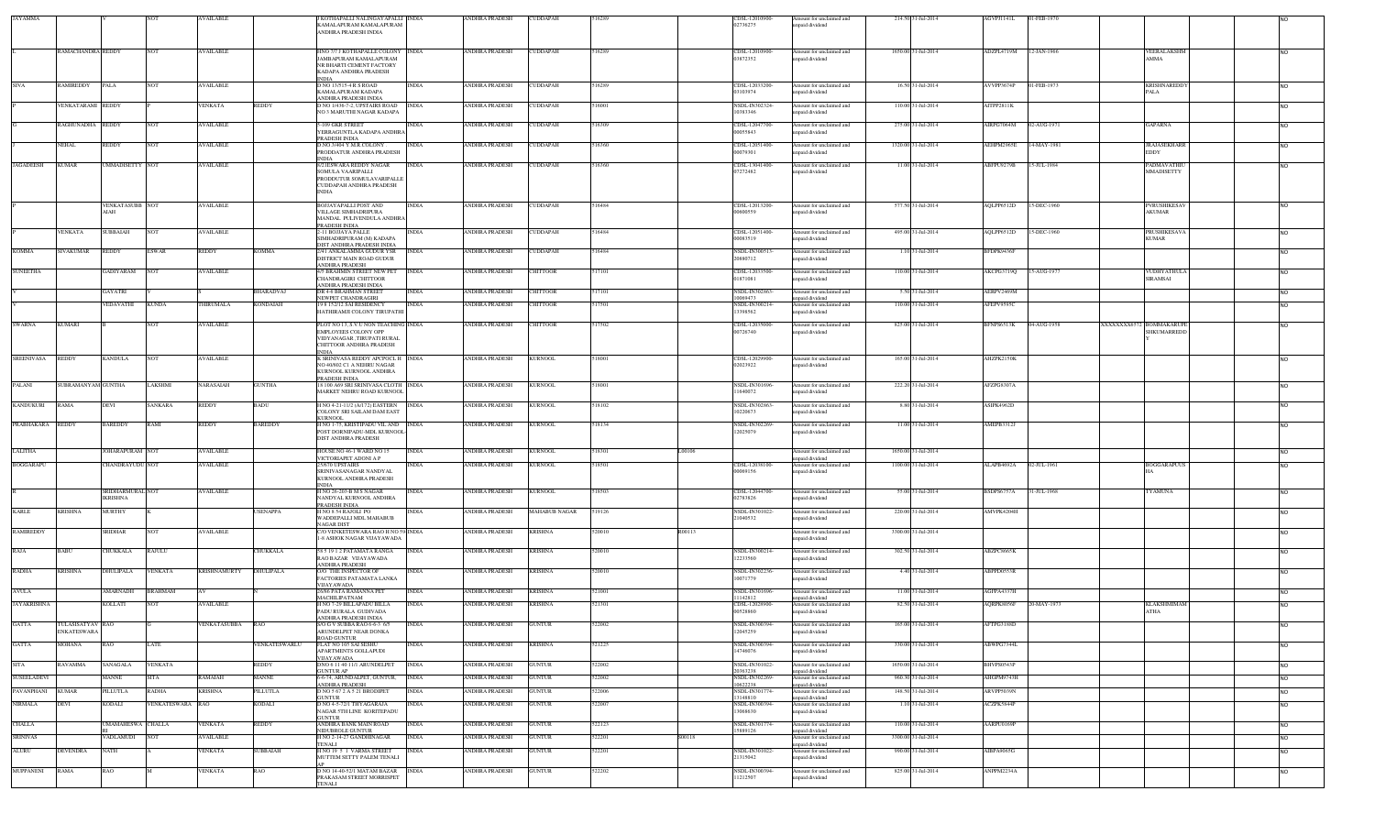| <b>JAYAMMA</b>    |                                        |                                     |                  | AVAILABLE           |                 | KOTHAPALLI NALINGAYAPALLI INDIA<br>KAMALAPURAM KAMALAPURAM<br>ANDHRA PRADESH INDIA                                                    | ANDHRA PRADESH                        | <b>CUDDAPAH</b> | 516289           | CDSL-12010900<br>02736275              | Amount for unclaimed and<br>inpaid dividend                  | 214.50 31-Jul-2014  | AGVPJ1141L | 01-FEB-1970                 |                                          |                 |
|-------------------|----------------------------------------|-------------------------------------|------------------|---------------------|-----------------|---------------------------------------------------------------------------------------------------------------------------------------|---------------------------------------|-----------------|------------------|----------------------------------------|--------------------------------------------------------------|---------------------|------------|-----------------------------|------------------------------------------|-----------------|
|                   |                                        |                                     | <b>NOT</b>       |                     |                 |                                                                                                                                       | ANDHRA PRADESH                        |                 |                  |                                        |                                                              |                     |            |                             |                                          |                 |
|                   | RAMACHANDRA REDDY                      |                                     |                  | <b>AVAILABLE</b>    |                 | HNO 7/7 J KOTHAPALLE COLONY<br>JAMBAPURAM KAMALAPURAM<br>NR BHARTI CEMENT FACTORY<br>KADAPA ANDHRA PRADESH                            | <b>INDIA</b>                          | CUDDAPAH        | 16289            | CDSL-12010900-<br>03872352             | Amount for unclaimed and<br>npaid dividend                   | 1650.00 31-Jul-2014 | ADZPL4719M | 12-JAN-1966                 | <b>EERALAKSHM</b><br>AMMA                | NO.             |
| <b>SIVA</b>       | RAMIREDDY                              | PALA                                | <b>NOT</b>       | <b>AVAILABLE</b>    |                 | INDIA<br>D NO 13/515-4 R S ROAD<br>KAMALAPURAM KADAPA<br>ANDHRA PRADESH INDIA                                                         | ANDHRA PRADESH<br><b>INDIA</b>        | CUDDAPAH        | 516289           | CDSL-12033200-<br>03103974             | Amount for unclaimed and<br>npaid dividend                   | 16.50 31-Jul-2014   | AVVPP3674P | 01-FEB-1973                 | <b>KRISHNAREDDY</b><br>PALA              | NO.             |
|                   | VENKATARAMI REDDY                      |                                     |                  | VENKATA             | REDDY           | NO 1/436-7-2, UPSTAIRS ROAD<br>NO 3 MARUTHI NAGAR KADAPA                                                                              | <b>INDIA</b><br>ANDHRA PRADESH        | CUDDAPAH        | 16001            | NSDL-IN302324-<br>10383346             | Amount for unclaimed and<br>npaid dividend                   | 110.00 31-Jul-2014  | AITPP2811K |                             |                                          | N <sub>O</sub>  |
|                   | RAGHUNADHA REDDY                       |                                     | <b>NOT</b>       | <b>AVAILABLE</b>    |                 | 5-109 GKR STREET<br>YERRAGUNTLA KADAPA ANDHRA<br>PRADESH INDIA                                                                        | ANDHRA PRADESH<br>INDIA               | CUDDAPAH        | 516309           | CDSL-12047700-<br>00055843             | Amount for unclaimed and<br>npaid dividend                   | 275.00 31-Jul-2014  | AIRPG7064M | 02-AUG-1971                 | GAPARNA                                  | <b>NO</b>       |
|                   | <b>NEHAL</b>                           | REDDY                               | <b>NOT</b>       | <b>AVAILABLE</b>    |                 | D.NO.3/404 Y.M.R.COLONY<br>PRODDATUR ANDHRA PRADESH<br><b>NDIA</b>                                                                    | <b>INDIA</b><br><b>ANDHRA PRADESH</b> | CUDDAPAH        | 516360           | CDSL-12051400-<br>00079301             | Amount for unclaimed and<br>npaid dividend                   | 1320.00 31-Jul-2014 | AEHPM2965E | 14-MAY-1981                 | <b>JRAJASEKHARR</b><br><b>EDDY</b>       | NO              |
| <b>JAGADEESH</b>  | <b>KUMAR</b>                           | <b>UMMADISETTY NOT</b>              |                  | <b>AVAILABLE</b>    |                 | 8/21ESWARA REDDY NAGAR<br>SOMULA VAARIPALLI<br>PRODDUTUR SOMULAVARIPALLE<br>CUDDAPAH ANDHRA PRADESH<br><b>INDIA</b>                   | <b>INDIA</b><br><b>ANDHRA PRADESH</b> | CUDDAPAH        | 516360           | CDSL-13041400-<br>07272482             | Amount for unclaimed and<br>npaid dividend                   | 11.00 31-Jul-2014   | ABFPU9279B | 15-JUL-1984                 | PADMAVATHI<br>MMADISETTY                 | <b>NO</b>       |
|                   |                                        | <b>VENKATASUBB NOT</b><br>AIAH      |                  | <b>AVAILABLE</b>    |                 | BOJJAYAPALLI POST AND<br>VILLAGE SIMHADRIPURA                                                                                         | INDIA<br>ANDHRA PRADESH               | CUDDAPAH        | 16484            | CDSL-12013200-<br>00600559             | Amount for unclaimed and<br>inpaid dividend                  | 577.50 31-Jul-2014  | AQLPP6512D | 15-DEC-1960                 | <b>PVRUSHIKESA</b><br>AKUMAR             | <b>NO</b>       |
|                   | <b>VENKATA</b>                         | <b>SUBBAIAH</b>                     | NO <sub>1</sub>  | AVAILABLE           |                 | MANDAL PULIVENDULA ANDHRA<br>PRADESH INDIA<br>-11 BOJJAYA PALLE                                                                       | ANDHRA PRADESH<br>NDIA                | CUDDAPAH        | 16484            | CDSL-12051400-                         | Amount for unclaimed and                                     | 495.00 31-Jul-2014  | AQLPP6512D | 15-DEC-1960                 | <b>PRUSHIKESAVA</b>                      | <b>NO</b>       |
| <b>KOMMA</b>      | SIVAKUMAR                              | REDDY                               | <b>ESWAR</b>     | <b>REDDY</b>        | KOMMA           | <b>SIMHADRIPURAM (M) KADAPA</b><br>DIST ANDHRA PRADESH INDIA<br>2/41 ANKALAMMA GUDUR YSR                                              | ANDHRA PRADESH<br><b>INDIA</b>        | <b>CUDDAPAH</b> | 16484            | 00083519<br>NSDL-IN30051.              | npaid dividend<br>Amount for unclaimed and                   | 1.10 31-Jul-2014    | BFDPK9436F |                             | <b>KUMAR</b>                             | <b>NO</b>       |
| <b>SUNEETHA</b>   |                                        | <b>GADIYARAM</b>                    | <b>NOT</b>       | <b>AVAILABLE</b>    |                 | DISTRICT MAIN ROAD GUDUR<br><b>ANDHRA PRADESH</b><br>4/5 BRAHMIN STREET NEW PET INDIA                                                 | <b>ANDHRA PRADESH</b>                 | CHITTOOR        | 517101           | 20880712<br>CDSL-12033500-             | apaid dividend<br>Amount for unclaimed and                   | 110.00 31-Jul-2014  | AKCPG3719Q | 15-AUG-1977                 | VUDHYATHULA                              |                 |
|                   |                                        |                                     |                  |                     |                 | CHANDRAGIRI CHITTOOR<br>ANDHRA PRADESH INDIA                                                                                          |                                       |                 |                  | 01871081                               | npaid dividend                                               |                     |            |                             | <b>SIRAMSAI</b>                          | NO <sub>1</sub> |
|                   |                                        | GAYATRI                             |                  |                     | BHARADVAJ       | DR 4-6 BRAHMAN STREET<br>NEWPET CHANDRAGIRI                                                                                           | <b>INDIA</b><br><b>ANDHRA PRADESH</b> | <b>HITTOOR</b>  | 517101           | NSDL-IN302863-<br>10069473             | Amount for unclaimed and<br>inpaid dividend                  | 5.50 31-Jul-2014    | AERPV2469M |                             |                                          | <b>INO</b>      |
|                   |                                        | VEDAVATHI                           | <b>KUNDA</b>     | THIRUMALA           | KONDAIAH        | 19 8 152/12 SAI RESIDENCY<br>HATHIRAMJI COLONY TIRUPATHI                                                                              | INDIA<br>ANDHRA PRADESH               | <b>HITTOOR</b>  | 17501            | NSDL-IN300214-<br>13398562             | Amount for unclaimed and<br>apaid dividend                   | 110.00 31-Jul-2014  | AFEPV9595C |                             |                                          |                 |
| SWARNA            | <b>KUMARI</b>                          |                                     | <b>NOT</b>       | <b>AVAILABLE</b>    |                 | PLOT NO 13, S.V.U NON TEACHING INDIA<br>EMPLOYEES COLONY OPP<br>VIDYANAGAR ,TIRUPATI RURAL<br>CHITTOOR ANDHRA PRADESH<br><b>INDIA</b> | <b>ANDHRA PRADESH</b>                 | CHITTOOR        | 517502           | CDSL-12035000-<br>00726740             | Amount for unclaimed and<br>unpaid dividend                  | 825.00 31-Jul-2014  | BFNPS6513K | 04-AUG-1958<br>XXXXXXXX6572 | <b>BOMMAKARUPE</b><br><b>SHKUMARREDD</b> | <b>NO</b>       |
| <b>SREENIVASA</b> | <b>REDDY</b>                           | <b>KANDULA</b>                      | <b>NOT</b>       | <b>AVAILABLE</b>    |                 | K SRINIVASA REDDY APCPOCL H INDIA<br>NO 40/802 C1 A NEHRU NAGAR<br>KURNOOL KURNOOL ANDHRA                                             | ANDHRA PRADESH                        | <b>KURNOOL</b>  | 18001            | CDSL-12029900-<br>02023922             | Amount for unclaimed and<br>apaid dividend                   | 165.00 31-Jul-2014  | AHZPK2150K |                             |                                          |                 |
| PALANI            | SUBRAMANYAM GUNTHA                     |                                     | LAKSHMI          | NARASAIAH           | <b>GUNTHA</b>   | PRADESH INDIA<br>18 100 A69 SRI SRINIVASA CLOTH INDIA<br>MARKET NEHRU ROAD KURNOOL                                                    | ANDHRA PRADESH                        | <b>KURNOOL</b>  | 18001            | NSDL-IN301696<br>11640072              | Amount for unclaimed and<br>apaid dividend                   | 222.20 31-Jul-2014  | AFZPG8307A |                             |                                          | <b>NO</b>       |
| <b>KANDUKURI</b>  | <b>RAMA</b>                            | <b>DEVI</b>                         | <b>SANKARA</b>   | <b>REDDY</b>        | <b>BADU</b>     | H NO 4-21-11/2 (A/172) EASTERN<br>COLONY SRI SAILAM DAM EAST<br>KURNOOL                                                               | ANDHRA PRADESH<br><b>INDIA</b>        | <b>KURNOOL</b>  | 518102           | NSDL-IN302863<br>10220673              | Amount for unclaimed and<br>apaid dividend                   | 8.80 31-Jul-2014    | ASIPK4962D |                             |                                          | <b>NO</b>       |
| PRABHAKARA REDDY  |                                        | <b>BAREDDY</b>                      | RAMI             | <b>REDDY</b>        | <b>BAREDDY</b>  | H NO 1-75, KRISTIPADU VIL AND INDIA<br>POST DORNIPADU-MDL KURNOOL<br>DIST ANDHRA PRADESH                                              | <b>ANDHRA PRADESH</b>                 | <b>KURNOOL</b>  | 518134           | <b>NSDL-IN302269</b><br>12025079       | Amount for unclaimed and<br>apaid dividend                   | 11.00 31-Jul-2014   | AMEPB3312J |                             |                                          | <b>NO</b>       |
| LALITHA           |                                        | JOHARAPURAM NOT                     |                  | <b>AVAILABLE</b>    |                 | HOUSE NO 46-1 WARD NO 15<br>VICTORIAPET ADONI A P                                                                                     | <b>INDIA</b><br><b>ANDHRA PRADESH</b> | <b>KURNOOL</b>  | L00106<br>518301 |                                        | Amount for unclaimed and<br>unpaid dividend                  | 1650.00 31-Jul-2014 |            |                             |                                          | NO <sub>1</sub> |
| <b>BOGGARAPU</b>  |                                        | CHANDRAYUDU NOT                     |                  | <b>AVAILABLE</b>    |                 | 25/670 UPSTAIRS<br>SRINIVASANAGAR NANDYAL<br>KURNOOL ANDHRA PRADESH<br><b>INDIA</b>                                                   | ANDHRA PRADESH<br>INDIA               | <b>KURNOOL</b>  | 18501            | CDSL-12038100-<br>00069156             | Amount for unclaimed and<br>apaid dividend                   | 1100.00 31-Jul-2014 | ALAPB4692A | 02-JUL-1961                 | <b>BOGGARAPUUS</b>                       | <b>NO</b>       |
|                   |                                        | SRIDHARMURAL NOT<br><b>IKRISHNA</b> |                  | <b>AVAILABLE</b>    |                 | H NO 26-203-B M S NAGAR<br>NANDYAL KURNOOL ANDHRA<br>PRADESH INDIA                                                                    | INDIA<br>ANDHRA PRADESH               | <b>KURNOOL</b>  | 18503            | CDSL-12044700-<br>02783826             | Amount for unclaimed and<br>npaid dividend                   | 55.00 31-Jul-2014   | BSDPS6757A | 31-JUL-1968                 | YAMUNA                                   | <b>NO</b>       |
| KARLE             | <b>KRISHNA</b>                         | <b>MURTHY</b>                       |                  |                     | <b>USENAPPA</b> | I NO 8 54 RAJOLI PO<br>WADDEPALLI MDL MAHABUB                                                                                         | <b>ANDHRA PRADESH</b><br>NDIA         | MAHABUB NAGAR   | 519126           | NSDL-IN301022<br>21040532              | mount for unclaimed and<br>apaid dividend                    | 220.00 31-Jul-2014  | AMVPK4204H |                             |                                          | <b>NO</b>       |
| <b>RAMIREDDY</b>  |                                        | <b>SRIDHAR</b>                      | NOT              | <b>AVAILABLE</b>    |                 | NAGAR DIST<br>C/O VENKETESWARA RAO H NO 59 INDIA<br>1-8 ASHOK NAGAR VIJAYAWADA                                                        | <b>ANDHRA PRADESH</b>                 | <b>KRISHNA</b>  | R00113<br>520010 |                                        | Amount for unclaimed and<br>npaid dividend                   | 3300.00 31-Jul-2014 |            |                             |                                          | <b>NO</b>       |
| RAJA              | BABU                                   | CHUKKALA                            | RAJULU           |                     | <b>HUKKALA</b>  | 58 5 19 1 2 PATAMATA RANGA<br>RAO BAZAR VIJAYAWADA                                                                                    | ANDHRA PRADESH<br><b>NDIA</b>         | <b>KRISHNA</b>  | 20010            | NSDL-IN300214-<br>12233560             | Amount for unclaimed and<br>npaid dividend                   | 302.50 31-Jul-2014  | ABZPC8665K |                             |                                          | <b>NO</b>       |
| RADHA             | KRISHNA                                | DHULIPALA                           | VENKATA          | <b>KRISHNAMURTY</b> | DHULIPALA       | <b>ANDHRA PRADESH</b><br>O/O THE INSPECTOR OF<br>FACTORIES PATAMATA LANKA                                                             | ANDHRA PRADESH<br>NDIA                | KRISHNA         | 20010            | NSDL-IN302236<br>10071779              | Amount for unclaimed and<br>inpaid dividend                  | 4.40 31-Jul-2014    | ABPPD0553R |                             |                                          | <b>NO</b>       |
| AVULA             |                                        | AMARNADH                            | <b>BRAHMAM</b>   |                     |                 | VIJAYAWADA<br>26/86 PATA RAMANNA PET                                                                                                  | ANDHRA PRADESH<br>INDIA               | KRISHNA         | 21001            | NSDL-IN30169                           | Amount for unclaimed and                                     | 11.00 31-Jul-2014   | AGFPA4337H |                             |                                          | <b>NO</b>       |
| JAYAKRISHNA       |                                        | KOLLATI                             | NOT              | AVAILABLE           |                 | <b>MACHILIPATNAM</b><br>NO 7-29 BILLAPADU BILLA<br>PADU RURALA GUDIVADA                                                               | <b>ANDHRA PRADESH</b><br>INDIA        | <b>KRISHNA</b>  | 521301           | 11142812<br>CDSL-12028900-<br>00528860 | npaid dividend<br>Amount for unclaimed and<br>npaid dividend | 82.50 31-Jul-2014   | AQRPK8056F | 20-MAY-1973                 | KLAKSHMIMAM<br>ATHA                      | <b>NO</b>       |
| <b>GATTA</b>      | TULASISATYAV RAO<br><b>ENKATESWARA</b> |                                     |                  | VENKATASUBBA        | RAC             | <b>ANDHRA PRADESH INDIA</b><br>S/O G V SUBBA RAO 6-6-3 6/5<br>ARUNDELPET NEAR DONKA                                                   | <b>INDIA</b><br>ANDHRA PRADESH        | <b>GUNTUR</b>   | 522002           | NSDL-IN300394-<br>12045259             | Amount for unclaimed and<br>unpaid dividend                  | 165.00 31-Jul-2014  | AFTPG3188D |                             |                                          | <b>NO</b>       |
| <b>GATTA</b>      | MOHANA                                 | RAO                                 | LATE             |                     | VENKATESWARLU   | ROAD GUNTUR<br>FLAT NO 105 SAI SESHI<br>APARTMENTS GOLLAPUDI                                                                          | ANDHRA PRADESH<br>INDIA               | <b>KRISHNA</b>  | 521225           | NSDL-IN300394<br>14746076              | Amount for unclaimed and<br>npaid dividend                   | 330.00 31-Jul-2014  | ABWPG7344L |                             |                                          | NO              |
| <b>SITA</b>       | <b>RAVAMMA</b>                         | SANAGALA                            | <b>VENKATA</b>   |                     | REDDY           | VIJAYAWADA<br>DNO 6 11 40 11/1 ARUNDELPET                                                                                             | <b>INDIA</b><br><b>ANDHRA PRADESH</b> | GUNTUR          | 522002           | NSDL-IN301022-                         | Amount for unclaimed and                                     | 1650.00 31-Jul-2014 | BHVPS0543P |                             |                                          | NO <sub>1</sub> |
| SUSEELADEVI       |                                        | MANNE                               | <b>SITA</b>      | RAMAIAH             | <b>MANNE</b>    | <b>GUNTUR AP</b><br>6-6-74, ARUNDALPET, GUNTUR,                                                                                       | <b>INDIA</b><br>ANDHRA PRADESH        | <b>GUNTUR</b>   | 522002           | 20363238<br>NSDL-IN302269              | npaid dividend<br>Amount for unclaimed and                   | 960.30 31-Jul-2014  | AHGPM9743H |                             |                                          | <b>NO</b>       |
| PAVANPHANI        | <b>KUMAR</b>                           | PILLUTLA                            | <b>RADHA</b>     | <b>KRISHNA</b>      | PILLUTLA        | ANDHRA PRADESH<br>ONO 5 67 2 A 5 21 BRODIPET                                                                                          | INDIA<br><b>ANDHRA PRADESH</b>        | <b>GUNTUR</b>   | 522006           | 10622238<br>NSDL-IN301774-             | apaid dividend<br>Amount for unclaimed and                   | 148.50 31-Jul-2014  | ARVPP5039N |                             |                                          | NO <sub>1</sub> |
| NIRMALA           | <b>DEVI</b>                            | <b>KODALI</b>                       | VENKATESWARA RAO |                     | KODALI          | <b>GUNTUR</b><br>D NO 4-5-72/1 THYAGARAJA<br>NAGAR 5TH LINE KORITEPADU                                                                | INDIA<br>ANDHRA PRADESH               | GUNTUR          | 522007           | 13148810<br>NSDL-IN300394-<br>13068630 | npaid dividend<br>Amount for unclaimed and<br>npaid dividend | 1.10 31-Jul-2014    | ACZPK5844P |                             |                                          | NO              |
| <b>CHALLA</b>     |                                        | JMAMAHESWA CHALLA                   |                  | <b>VENKATA</b>      | REDDY           | <b>GUNTUR</b><br>ANDHRA BANK MAIN ROAD                                                                                                | <b>ANDHRA PRADESH</b><br>INDIA        | <b>GUNTUR</b>   | 522123           | NSDL-IN301774-                         | Amount for unclaimed and                                     | 110.00 31-Jul-2014  | AARPU0169P |                             |                                          | <b>NO</b>       |
| <b>SRINIVAS</b>   |                                        | VADLAMUDI                           | <b>NOT</b>       | <b>AVAILABLE</b>    |                 | NIDUBROLE GUNTUR<br>H NO 2-14-27 GANDHINAGAR                                                                                          | <b>INDIA</b><br>ANDHRA PRADESH        | GUNTUR          | 522201<br>S00118 | 15889126                               | npaid dividend<br>Amount for unclaimed and                   | 3300.00 31-Jul-2014 |            |                             |                                          | <b>NO</b>       |
| <b>ALURU</b>      | <b>DEVENDRA</b>                        | <b>NATH</b>                         |                  | VENKATA             | <b>SUBBAIAH</b> | TENALI<br>H NO 19 5 1 VARMA STREET                                                                                                    | <b>INDIA</b><br><b>ANDHRA PRADESH</b> | <b>GUNTUR</b>   | 522201           | NSDL-IN301022                          | npaid dividend<br>Amount for unclaimed and                   | 990.00 31-Jul-2014  | AIBPA9065G |                             |                                          | NO              |
| MUPPANENI         | RAMA                                   | RAO                                 |                  | VENKATA             | RAO             | MUTTEM SETTY PALEM TENALI<br>D NO 14-40-52/1 MATAM BAZAR INDIA                                                                        | <b>ANDHRA PRADESH</b>                 | <b>GUNTUR</b>   | 522202           | 21315042<br>NSDL-IN300394-             | npaid dividend<br>Amount for unclaimed and                   | 825.00 31-Jul-2014  | ANPPM2234A |                             |                                          | NO <sub>1</sub> |
|                   |                                        |                                     |                  |                     |                 | PRAKASAM STREET MORRISPET<br>TENALI                                                                                                   |                                       |                 |                  | 11212507                               | apaid dividend                                               |                     |            |                             |                                          |                 |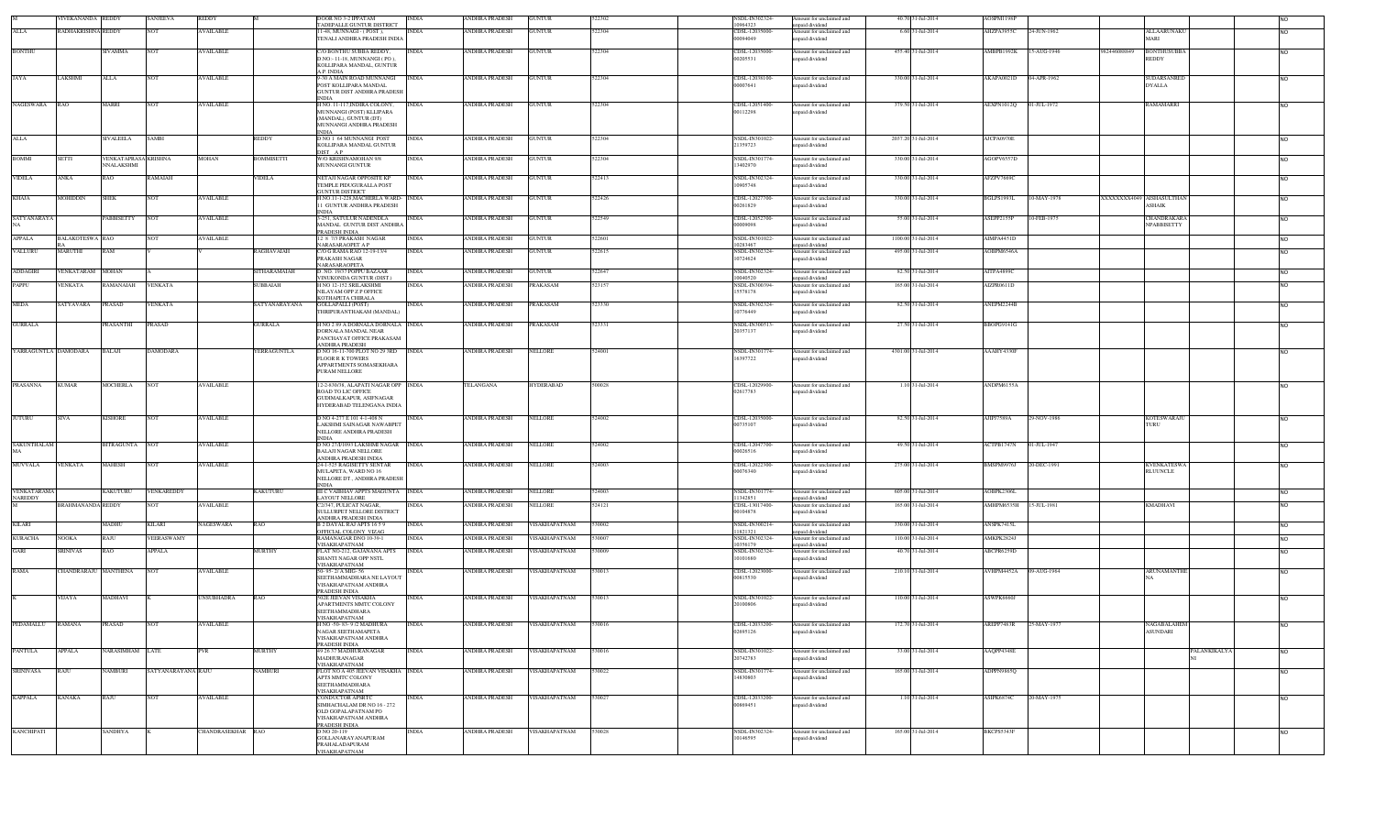|                      | VEKANANDA                | <b>REDDY</b>                       | SANJEEVA           | <b>REDDY</b>      |                   | <b>TADEPALLE GUNTUR DISTRICT</b>                                                                                   | INDIA        | ANDHRA PRADESH        | <b>GUNTUR</b>        |        | <b>SDL-IN302324</b><br>10964323       | mount for unclaimed and<br>npaid dividend                     | 40.70 31-Jul-2014   | AOSPM1198         |             |              |                                            | <b>NO</b>      |
|----------------------|--------------------------|------------------------------------|--------------------|-------------------|-------------------|--------------------------------------------------------------------------------------------------------------------|--------------|-----------------------|----------------------|--------|---------------------------------------|---------------------------------------------------------------|---------------------|-------------------|-------------|--------------|--------------------------------------------|----------------|
| ALLA                 | RADHAKRISHNA REDDY       |                                    | <b>NOT</b>         | <b>AVAILABLE</b>  |                   | 11-48, MUNNAGI - (POST),<br>TENALI ANDHRA PRADESH INDIA                                                            | <b>INDIA</b> | ANDHRA PRADESH        | <b>GUNTUR</b>        | 522304 | CDSL-12035000-<br>00094049            | Amount for unclaimed and<br>apaid dividend                    | 6.60 31-Jul-2014    | AHZPA3955C        | 24-JUN-1962 |              | <b>ALLAARUNAKU</b><br><b>MARI</b>          | <b>NO</b>      |
| <b>BONTHU</b>        |                          | SIVAMMA                            | <b>NOT</b>         | <b>AVAILABLE</b>  |                   | C/O BONTHU SUBBA REDDY,<br>D.NO:-11-18. MUNNANGI (PO).<br>KOLLIPARA MANDAL, GUNTUR                                 | <b>INDIA</b> | ANDHRA PRADESH        | <b>GUNTUR</b>        | 22304  | CDSL-12035000<br>00205531             | mount for unclaimed and<br>npaid dividend                     | 455.40 31-Jul-2014  | AMBPB1992K        | 15-AUG-1946 | 982446088849 | <b>BONTHUSUBBA</b><br><b>REDDY</b>         | N <sub>O</sub> |
| JAYA                 | LAKSHMI                  | ALLA                               | <b>NOT</b>         | <b>AVAILABLE</b>  |                   | A.P. INDIA<br>-30 A MAIN ROAD MUNNANGI<br>POST KOLLIPARA MANDAL<br><b>GUNTUR DIST ANDHRA PRADESH</b>               | <b>INDIA</b> | ANDHRA PRADESH        | <b>GUNTUR</b>        | 522304 | CDSL-12038100<br>00007641             | Amount for unclaimed and<br>npaid dividend                    | 330.00 31-Jul-2014  | AKAPA0021D        | 04-APR-1962 |              | SUDARSANRE<br><b>DYALLA</b>                | <b>NO</b>      |
| NAGESWARA            | RAO                      | MARRI                              | <b>NOT</b>         | <b>AVAILABLE</b>  |                   | H NO. 11-117.INDIRA COLONY.<br>MUNNANGI (POST) KLLIPARA<br>(MANDAL), GUNTUR (DT)<br>MUNNANGI ANDHRA PRADESH        | <b>INDIA</b> | ANDHRA PRADESH        | <b>GUNTUR</b>        | 522304 | CDSL-12051400<br>00112298             | Amount for unclaimed and<br>npaid dividend                    | 379.50 31-Jul-2014  | <b>AEXPN1012Q</b> | 01-JUL-1972 |              | <b>RAMAMARRI</b>                           |                |
| <b>ALLA</b>          |                          | SIVALEELA                          | <b>SAMBI</b>       |                   | <b>REDDY</b>      | <b>NDIA</b><br>D NO 1 64 MUNNANGI POST<br>KOLLIPARA MANDAL GUNTUR                                                  | INDIA        | ANDHRA PRADESH        | <b>GUNTUR</b>        | 522304 | NSDL-IN301022-<br>21359723            | Amount for unclaimed and<br>paid dividend                     | 2037.20 31-Jul-2014 | AJCPA0970E        |             |              |                                            | <b>NO</b>      |
| <b>BOMMI</b>         | <b>SETTI</b>             | VENKATAPRASA KRISHNA<br>NNALAKSHMI |                    | <b>MOHAN</b>      | <b>BOMMISETTI</b> | DIST AP<br>W/O KRISHNAMOHAN 9/8<br><b>MUNNANGI GUNTUR</b>                                                          | <b>INDIA</b> | <b>ANDHRA PRADESH</b> | <b>GUNTUR</b>        | 522304 | NSDL-IN301774-<br>13402970            | Amount for unclaimed and<br>apaid dividend                    | 330.00 31-Jul-2014  | AGOPV6557D        |             |              |                                            | N <sub>O</sub> |
| <b>VIDELA</b>        | ANKA                     | RAO                                | <b>RAMAIAH</b>     |                   | VIDELA            | NETAJI NAGAR OPPOSITE KP<br>TEMPLE PIDUGURALLA POST<br><b>JUNTUR DISTRICT</b>                                      | <b>INDIA</b> | ANDHRA PRADESH        | <b>GUNTUR</b>        | 522413 | NSDL-IN302324-<br>10905748            | Amount for unclaimed and<br>npaid dividend                    | 330.00 31-Jul-2014  | AFZPV7669C        |             |              |                                            | N <sub>O</sub> |
| <b>KHAJA</b>         | MOHIDDIN                 | SHEK                               | <b>NOT</b>         | <b>AVAILABLE</b>  |                   | H.NO.11-1-228, MACHERLA WARD- INDIA<br>1 GUNTUR ANDHRA PRADESH<br>NDIA                                             |              | ANDHRA PRADESH        | <b>GUNTUR</b>        | 522426 | CDSL-12027700<br>00261829             | Amount for unclaimed and<br>inpaid dividend                   | 330.00 31-Jul-2014  | BGLPS1993L        | 10-MAY-1978 |              | <b>CXXXXXXX4049</b> AISHASULTHAN<br>ASHAIK | <b>NO</b>      |
| SATYANARAYA          |                          | PABBISETTY                         | <b>NOT</b>         | <b>AVAILABLE</b>  |                   | 3-251, SATULUR NADENDLA<br>MANDAL GUNTUR DIST ANDHRA<br>PRADESH INDIA                                              | <b>INDIA</b> | <b>ANDHRA PRADESH</b> | <b>GUNTUR</b>        | 522549 | CDSL-12052700<br>00009098             | Amount for unclaimed and<br>npaid dividend                    | 55.00 31-Jul-2014   | ASEPP2155P        | 10-FEB-1975 |              | CHANDRAKARA<br><b>NPABBISETTY</b>          | <b>NO</b>      |
| <b>APPALA</b>        | <b>BALAKOTESWA RAO</b>   |                                    | <b>NOT</b>         | <b>AVAILABLE</b>  |                   | 12 8 7/3 PRAKASH NAGAR<br>NARASARAOPET A P                                                                         | <b>INDIA</b> | ANDHRA PRADESH        | <b>GUNTUR</b>        | 522601 | NSDL-IN301022<br>10283467             | Amount for unclaimed and<br>npaid dividend                    | 1100.00 31-Jul-2014 | AIMPA4451D        |             |              |                                            | <b>NO</b>      |
| VALLURU              | MARUTHI                  | RAM                                |                    |                   | RAGHAVAIAH        | C/O G RAMA RAO 12-19-13/4<br>PRAKASH NAGAR<br>NARASARAOPETA                                                        | <b>INDIA</b> | ANDHRA PRADESH        | <b>GUNTUR</b>        | 522615 | NSDL-IN302324<br>10724624             | Amount for unclaimed and<br>npaid dividend                    | 495.00 31-Jul-2014  | AOBPM6546A        |             |              |                                            | N <sub>O</sub> |
| <b>ADDAGIRI</b>      | VENKATARAM MOHAN         |                                    |                    |                   | SITHARAMAIAH      | D. NO. 19/37 POPPU BAZAAR                                                                                          | <b>INDIA</b> | <b>ANDHRA PRADESH</b> | <b>GUNTUR</b>        | 522647 | NSDL-IN302324<br>10040520             | Amount for unclaimed and                                      | 82.50 31-Jul-2014   | AITPA4899C        |             |              |                                            | <b>NO</b>      |
| PAPPU                | <b>ENKATA</b>            | RAMANAIAH                          | <b>VENKATA</b>     |                   | <b>SUBBAIAH</b>   | VINUKONDA GUNTUR (DIST.)<br>H NO 12-152 SRILAKSHMI<br>NILAYAM OPP Z P OFFICE<br>KOTHAPETA CHIRALA                  | <b>INDIA</b> | ANDHRA PRADESH        | PRAKASAM             | 523157 | NSDL-IN300394<br>15578178             | inpaid dividend<br>Amount for unclaimed and<br>npaid dividend | 165.00 31-Jul-2014  | AIZPR0611D        |             |              |                                            | N <sub>O</sub> |
| <b>MEDA</b>          | SATYAVARA                | PRASAD                             | <b>VENKATA</b>     |                   | SATYANARAYANA     | GOLLAPALLI (POST)<br>THRIPURANTHAKAM (MANDAL)                                                                      | <b>INDIA</b> | ANDHRA PRADESH        | PRAKASAM             | 523330 | NSDL-IN302324<br>10776449             | Amount for unclaimed and<br>npaid dividend                    | 82.50 31-Jul-2014   | ANEPM2244B        |             |              |                                            | <b>NO</b>      |
| <b>GURRALA</b>       |                          | PRASANTHI                          | PRASAD             |                   | <b>GURRALA</b>    | H NO 2 89 A DORNALA DORNALA INDIA<br>DORNALA MANDAL NEAR<br>PANCHAYAT OFFICE PRAKASAM<br>ANDHRA PRADESH            |              | <b>ANDHRA PRADESH</b> | PRAKASAM             | 523331 | NSDL-IN300513<br>20357137             | Amount for unclaimed and<br>npaid dividend                    | 27.50 31-Jul-2014   | BBOPG9141G        |             |              |                                            | <b>NO</b>      |
| YARRAGUNTLA DAMODARA |                          | BALAJI                             | <b>DAMODARA</b>    |                   | YERRAGUNTLA       | D NO 16-11-700 PLOT NO 29 3RD<br><b>FLOOR R K TOWERS</b><br>APPARTMENTS SOMASEKHARA<br>PURAM NELLORE               | <b>INDIA</b> | ANDHRA PRADESH        | <b>NELLORE</b>       | 524001 | NSDL-IN301774<br>16397722             | Amount for unclaimed and<br>npaid dividend                    | 4301.00 31-Jul-2014 | AAAHY4330F        |             |              |                                            | N <sub>O</sub> |
| PRASANNA             | <b>KUMAR</b>             | MOCHERLA                           | <b>NOT</b>         | <b>AVAILABLE</b>  |                   | 12-2-830/38, ALAPATI NAGAR OPP INDIA<br>ROAD TO LIC OFFICE<br>GUDIMALKAPUR, ASIFNAGAR<br>HYDERABAD TELENGANA INDIA |              | TELANGANA             | <b>HYDERABAD</b>     | 500028 | CDSL-12029900-<br>02617783            | Amount for unclaimed and<br>inpaid dividend                   | 1.10 31-Jul-2014    | ANDPM6155A        |             |              |                                            | <b>NO</b>      |
| <b>JUTURU</b>        | <b>SIVA</b>              | <b>KISHORE</b>                     | <b>NOT</b>         | <b>AVAILABLE</b>  |                   | D NO 4-277 E 101 4-1-408 N<br>LAKSHMI SAINAGAR NAWABPET<br>NELLORE ANDHRA PRADESH<br><b>NDIA</b>                   | <b>INDIA</b> | ANDHRA PRADESH        | NELLORE              | 524002 | CDSL-12035000-<br>00735107            | Amount for unclaimed and<br>npaid dividend                    | 82.50 31-Jul-2014   | AJIPJ7589A        | 29-NOV-1986 |              | <b>KOTESWARAJU</b><br>TURU                 | <b>NO</b>      |
| <b>SAKUNTHALAM</b>   |                          | BITRAGUNTA NOT                     |                    | <b>AVAILABLE</b>  |                   | D NO 27/I/1093 LAKSHMI NAGAR INDIA<br><b>BALAJI NAGAR NELLORE</b><br>ANDHRA PRADESH INDIA                          |              | ANDHRA PRADESH        | NELLORE              | 524002 | CDSL-12047700<br>00026516             | Amount for unclaimed and<br>apaid dividend                    | 49.50 31-Jul-2014   | ACTPB1747N        | 01-JUL-1947 |              |                                            | <b>NO</b>      |
| MUVVALA              | VENKATA                  | MAHESH                             | <b>NOT</b>         | <b>AVAILABLE</b>  |                   | 24-1-525 RAGISETTY SENTAR<br>MULAPETA. WARD NO 16<br>NELLORE DT., ANDHRA PRADESH<br><b>INDIA</b>                   | <b>INDIA</b> | ANDHRA PRADESH        | NELLORE              | 524003 | CDSL-12022300-<br>00076340            | Amount for unclaimed and<br>npaid dividend                    | 275.00 31-Jul-2014  | BMSPM9976J        | 20-DEC-1991 |              | <b>KVENKATESWA</b><br><b>RLUUNCLE</b>      | N <sub>O</sub> |
| VENKATARAMA          |                          | KAKUTURU                           | VENKAREDDY         |                   | KAKUTURU          | III C VAIBHAV APPTS MAGUNTA NDIA                                                                                   |              | ANDHRA PRADESH        | NELLORE              | 524003 | NSDL-IN30177                          | Amount for unclaimed and                                      | 605.00 31-Jul-2014  | AOBPK2306L        |             |              |                                            | <b>NO</b>      |
| <b>NAREDDY</b>       | <b>BRAHMANANDA REDDY</b> |                                    | NOT                | <b>AVAILABLE</b>  |                   | LAYOUT NELLORE<br>C2/347. PULICAT NAGAR<br>SULLURPET NELLORE DISTRICT                                              | <b>INDIA</b> | ANDHRA PRADESH        | <b>NELLORE</b>       | 524121 | 1342851<br>CDSL-13017400<br>00104878  | npaid dividend<br>Amount for unclaimed and<br>npaid dividend  | 165.00 31-Jul-2014  | AMHPM6535H        | 15-JUL-1981 |              | <b>KMADHAVI</b>                            | <b>NO</b>      |
| <b>KILARI</b>        |                          | MADHU                              | <b>KILARI</b>      | <b>NAGESWARA</b>  | RAO               | <b>NDHRA PRADESH INDIA</b><br>B 2 DAYAL RAJ APTS 1659                                                              | <b>INDIA</b> | <b>ANDHRA PRADESH</b> | <b>VISAKHAPATNAM</b> | 530002 | NSDL-IN300214                         | Amount for unclaimed and                                      | 330.00 31-Jul-2014  | ANSPK7415L        |             |              |                                            | <b>NO</b>      |
| <b>KURACHA</b>       | OOKA                     | :AJU                               | VEERASWAMY         |                   |                   | DFFICIAL COLONY VIZAG<br>RAMANAGAR DNO 10-39-1                                                                     | <b>INDIA</b> | ANDHRA PRADESH        | <b>ISAKHAPATNAM</b>  | 3000   | 11821321<br>NSDL-IN302324             | inpaid dividend<br>mount for unclaimed and                    | 110.00 31-Jul-2014  | MKPK2824J         |             |              |                                            | <b>NO</b>      |
| GARI                 | <b>SRINIVAS</b>          | RAO                                | APPALA             |                   | <b>MURTHY</b>     | VISAKHAPATNAM<br>FLAT NO-212, GAJANANA APTS                                                                        | <b>INDIA</b> | <b>ANDHRA PRADESH</b> | VISAKHAPATNAM        | 530009 | 10356179<br>NSDL-IN302324<br>10101680 | inpaid dividend<br>Amount for unclaimed and<br>npaid dividend | 40.70 31-Jul-2014   | ABCPR6259D        |             |              |                                            | <b>NO</b>      |
| RAMA                 | CHANDRARAJU MANTHENA     |                                    | <b>NOT</b>         | <b>AVAILABLE</b>  |                   | SHANTI NAGAR OPP NSTL<br>VISAKHAPATNAM<br>50-95-2/AMIG-56<br>SEETHAMMADHARA NE LAYOUT                              | <b>INDIA</b> | ANDHRA PRADESH        | VISAKHAPATNAM        | 530013 | CDSL-12023000<br>00815530             | Amount for unclaimed and<br>npaid dividend                    | 210.10 31-Jul-2014  | <b>AVHPM4452A</b> | 9-AUG-1964  |              | ARUNAMANTHE                                | N <sub>O</sub> |
|                      | VIJAYA                   | MADHAVI                            |                    | UNSUBHADRA        | <b>RAO</b>        | VISAKHAPATNAM ANDHRA<br>PRADESH INDIA<br>502E JEEVAN VISAKHA                                                       | INDIA        | ANDHRA PRADESH        | VISAKHAPATNAM        | 530013 | NSDL-IN301022                         | Amount for unclaimed and                                      | 110.00 31-Jul-2014  | ASWPK6660J        |             |              |                                            | N <sub>O</sub> |
|                      |                          |                                    |                    |                   |                   | <b>APARTMENTS MMTC COLONY</b><br><b>SEETHAMMADHARA</b><br>VISAKHAPATNAM                                            |              |                       |                      |        | 20100806                              | npaid dividend                                                |                     |                   |             |              |                                            |                |
| PEDAMALLU RAMANA     |                          | <b>PRASAD</b>                      | <b>NOT</b>         | <b>AVAILABLE</b>  |                   | H NO -50-83-9/2 MADHURA<br>NAGAR SEETHAMAPETA<br>VISAKHAPATNAM ANDHRA                                              | <b>INDIA</b> | <b>ANDHRA PRADESH</b> | VISAKHAPATNAM        |        | CDSL-12033200-<br>02695126            | Amount for unclaimed and<br>unpaid dividend                   | 172.70 31-Jul-2014  | AREPP7483R        | 25-MAY-1977 |              | NAGABALAHEM<br>ASUNDARI                    |                |
| <b>PANTULA</b>       | <b>APPALA</b>            | NARASIMHAM LATE                    |                    | <b>PVR</b>        | <b>MURTHY</b>     | PRADESH INDIA<br>49 26 37 MADHURANAGAR<br>MADHURANAGAR                                                             | <b>INDIA</b> | ANDHRA PRADESH        | VISAKHAPATNAM        | 530016 | NSDL-IN301022<br>20742783             | Amount for unclaimed and<br>npaid dividend                    | 33.00 31-Jul-2014   | AAQPP4348E        |             |              | <b>ALANKIKALYA</b>                         | N <sub>O</sub> |
| <b>SRINIVASA</b>     | RAJU                     | NAMBURI                            | SATYANARAYANA RAJU |                   | <b>NAMBURI</b>    | VISAKHAPATNAM<br>FLOT NO A 405 JEEVAN VISAKHA NDIA<br>APTS MMTC COLONY<br><b>SEETHAMMADHARA</b>                    |              | ANDHRA PRADESH        | VISAKHAPATNAM        | 530022 | NSDL-IN301774-<br>14830803            | Amount for unclaimed and<br>inpaid dividend                   | 165.00 31-Jul-2014  | ADPPN9865Q        |             |              |                                            | <b>NO</b>      |
| <b>KAPPALA</b>       | <b>KANAKA</b>            | RAJU                               | <b>NOT</b>         | <b>VAILABLE</b>   |                   | VISAKHAPATNAM<br><b>CONDUCTOR APSRTC</b>                                                                           | <b>INDIA</b> | ANDHRA PRADESH        | VISAKHAPATNAM        | 30027  | CDSL-12033200                         | mount for unclaimed and                                       | 1.10 31-Jul-2014    | ASIPK6874C        | 20-MAY-1975 |              |                                            | N <sub>O</sub> |
|                      |                          |                                    |                    |                   |                   | SIMHACHALAM DR NO 16 - 272<br>OLD GOPALAPATNAM PO<br>VISAKHAPATNAM ANDHRA<br>PRADESH INDIA                         |              |                       |                      |        | 00869451                              | npaid dividend                                                |                     |                   |             |              |                                            |                |
| <b>KANCHIPATI</b>    |                          | <b>SANDHYA</b>                     |                    | CHANDRASEKHAR RAO |                   | D NO 20-119<br><b>GOLLANARAYANAPURAM</b><br>PRAHALADAPURAM<br>VISAKHAPATNAM                                        | <b>INDIA</b> | <b>ANDHRA PRADESH</b> | VISAKHAPATNAM        | 530028 | <b>NSDL-IN302324</b><br>10146595      | Amount for unclaimed and<br>npaid dividend                    | 165.00 31-Jul-2014  | BKCPS5343F        |             |              |                                            | <b>NO</b>      |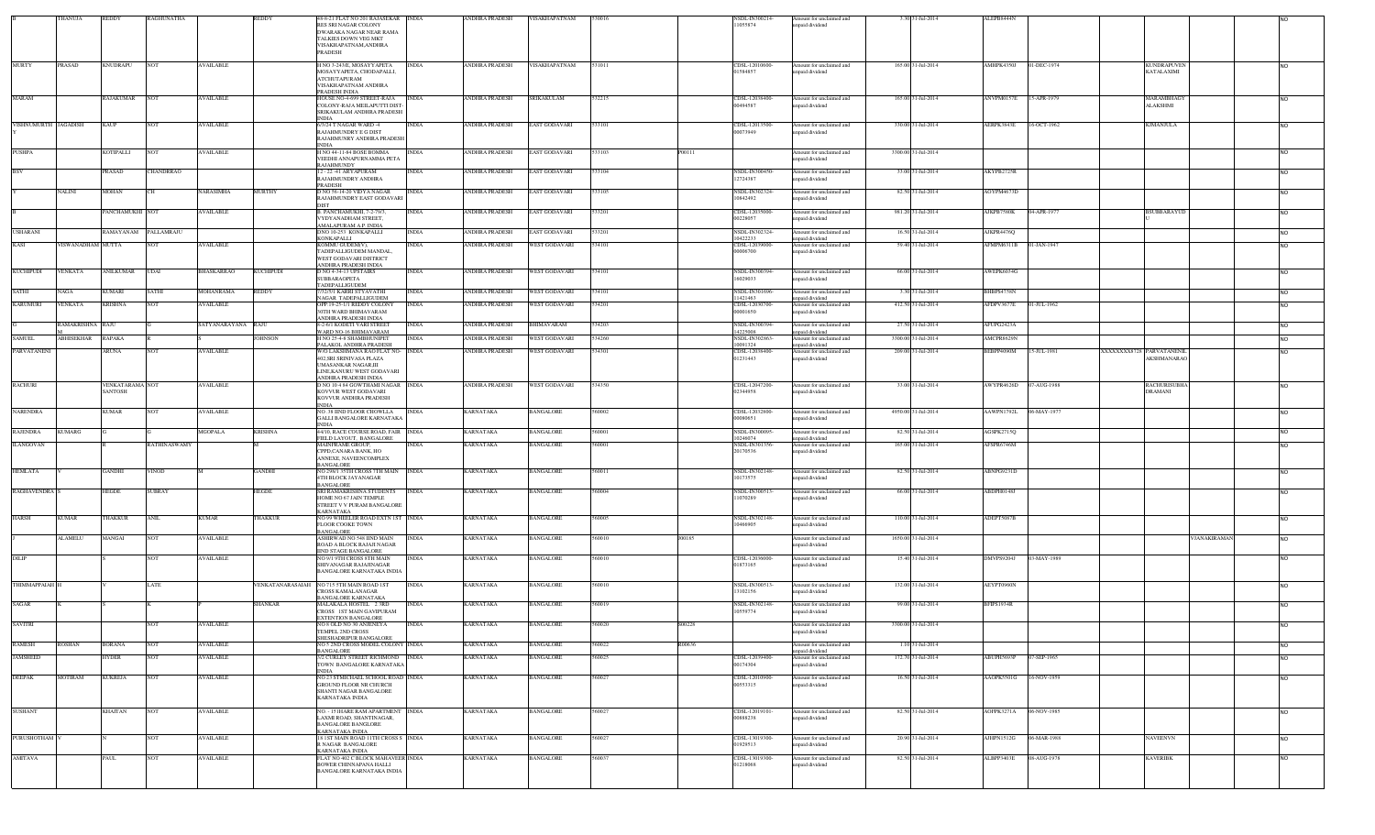|                      | THANUJA           | REDDY                      | <b>RAGHUNATHA</b>   |                    | REDDY                 | 48-8-21 FLAT NO 201 RAJASEKAR INDIA<br>RES SRI NAGAR COLONY              |              | ANDHRA PRADESH        | VISAKHAPATNAM        |        |        | <b>NSDL-IN300214</b><br>1055874  | Amount for unclaimed and<br>unpaid dividend | 3.30 31-Jul-2014    | ALEPB8444N             |             |                          |                                       |                    |                |
|----------------------|-------------------|----------------------------|---------------------|--------------------|-----------------------|--------------------------------------------------------------------------|--------------|-----------------------|----------------------|--------|--------|----------------------------------|---------------------------------------------|---------------------|------------------------|-------------|--------------------------|---------------------------------------|--------------------|----------------|
|                      |                   |                            |                     |                    |                       | DWARAKA NAGAR NEAR RAMA<br>TALKIES DOWN VEG MKT                          |              |                       |                      |        |        |                                  |                                             |                     |                        |             |                          |                                       |                    |                |
|                      |                   |                            |                     |                    |                       | VISAKHAPATNAM, ANDHRA<br><b>PRADESH</b>                                  |              |                       |                      |        |        |                                  |                                             |                     |                        |             |                          |                                       |                    |                |
| <b>MURTY</b>         | <b>PRASAD</b>     | <b>KNUDRAPU</b>            | <b>NOT</b>          | <b>AVAILABLE</b>   |                       | I NO 3-243/E, MOSAYYAPETA                                                | <b>INDIA</b> | ANDHRA PRADESH        | VISAKHAPATNAM        | 531011 |        | CDSL-12010600-                   | Amount for unclaimed and                    | 165.00 31-Jul-2014  | AMHPK4350J             | 01-DEC-1974 |                          | KUNDRAPUVEN                           |                    | <b>NO</b>      |
|                      |                   |                            |                     |                    |                       | MOSAYYAPETA, CHODAPALLI,<br><b>ATCHUTAPURAM</b>                          |              |                       |                      |        |        | 1584857                          | unpaid dividend                             |                     |                        |             |                          | <b>KATALAXIMI</b>                     |                    |                |
|                      |                   |                            |                     |                    |                       | VISAKHAPATNAM ANDHRA<br><b>RADESH INDIA</b>                              |              |                       |                      |        |        |                                  |                                             |                     |                        |             |                          |                                       |                    |                |
| MARAM                |                   | RAJAKUMAR                  | <b>NOT</b>          | <b>AVAILABLE</b>   |                       | HOUSE NO-4-699 STREET-RAJA<br>COLONY-RAJA MEILAPUTTI DIST-               | <b>INDIA</b> | ANDHRA PRADESH        | SRIKAKULAM           | 532215 |        | CDSL-12038400-<br>00494587       | Amount for unclaimed and<br>unpaid dividend | 165.00 31-Jul-2014  | ANVPM0157E             | 15-APR-1979 |                          | MARAMBHAGY<br><b>ALAKSHMI</b>         |                    | <b>NO</b>      |
|                      |                   |                            |                     |                    |                       | SRIKAKULAM ANDHRA PRADESH                                                |              |                       |                      |        |        |                                  |                                             |                     |                        |             |                          |                                       |                    |                |
| VISHNUMURTH JAGADISH |                   | KAUP                       | <b>NOT</b>          | <b>AVAILABLE</b>   |                       | 6/3/24 T NAGAR WARD 4<br>RAJAHMUNDRY E G DIST                            | <b>INDIA</b> | ANDHRA PRADESH        | <b>EAST GODAVARI</b> | 33101  |        | CDSL-12013500-<br>00073949       | Amount for unclaimed and<br>unpaid dividend | 330.00 31-Jul-2014  | AERPK3843E             | 16-OCT-1962 |                          | KJMANJULA                             |                    | <b>NO</b>      |
|                      |                   |                            |                     |                    |                       | RAJAHMUNRY ANDHRA PRADESH<br><b>INDIA</b>                                |              |                       |                      |        |        |                                  |                                             |                     |                        |             |                          |                                       |                    |                |
| PUSHPA               |                   | KOTIPALLI                  | <b>NOT</b>          | <b>AVAILABLE</b>   |                       | I NO 44-11-84 BOSE BOMMA<br>VEEDHI ANNAPURNAMMA PETA                     | <b>INDIA</b> | ANDHRA PRADESH        | EAST GODAVARI        | 33103  | P00111 |                                  | Amount for unclaimed and<br>unpaid dividend | 3300.00 31-Jul-2014 |                        |             |                          |                                       |                    | <b>NO</b>      |
| <b>BSV</b>           |                   |                            |                     |                    |                       | <b>RAJAHMUNDY</b>                                                        |              |                       |                      |        |        |                                  |                                             |                     |                        |             |                          |                                       |                    |                |
|                      |                   | PRASAD                     | <b>CHANDRRAO</b>    |                    |                       | 2 - 22 -41 ARYAPURAM<br>RAJAHMUNDRY ANDHRA<br><b>PRADESH</b>             | <b>INDIA</b> | ANDHRA PRADESH        | EAST GODAVARI        | 533104 |        | NSDL-IN300450-<br>2724387        | Amount for unclaimed and<br>inpaid dividend | 33.00 31-Jul-2014   | AKYPB2725R             |             |                          |                                       |                    | N <sub>O</sub> |
|                      | <b>NALINI</b>     | MOHAN                      | CН                  | <b>NARASIMHA</b>   | <b>MURTHY</b>         | 0 NO 56-14-20 VIDYA NAGAR                                                | <b>INDIA</b> | ANDHRA PRADESH        | EAST GODAVARI        | 33105  |        | NSDL-IN302324                    | Amount for unclaimed and                    | 82.50 31-Jul-2014   | AOYPM4673D             |             |                          |                                       |                    | <b>NO</b>      |
|                      |                   | PANCHAMUKHI NOT            |                     |                    |                       | RAJAHMUNDRY EAST GODAVARI<br><b>DIST</b>                                 |              |                       |                      |        |        | 10842492                         | unpaid dividend                             |                     |                        |             |                          |                                       |                    |                |
|                      |                   |                            |                     | <b>AVAILABLE</b>   |                       | B. PANCHAMUKHI, 7-2-79/3,<br>VYDYANADHAM STREET,                         | <b>INDIA</b> | ANDHRA PRADESH        | EAST GODAVARI        | 33201  |        | CDSL-12035000-<br>00228057       | Amount for unclaimed and<br>npaid dividend  | 981.20 31-Jul-2014  | AJKPB7580K             | 04-APR-1977 |                          | <b>BSUBBARAYUD</b>                    |                    | <b>NO</b>      |
| <b>USHARANI</b>      |                   | :AMAYANAM PALLAMRAJU       |                     |                    |                       | AMALAPURAM A.P. INDIA<br>NO 10-253 KONKAPALLI                            | <b>INDIA</b> | ANDHRA PRADESH        | AST GODAVARI         |        |        | <b>NSDL-IN302324</b>             | Amount for unclaimed and                    | 16.50 31-Jul-2014   | <b>UKPR4476Q</b>       |             |                          |                                       |                    | N <sub>O</sub> |
| KASI                 | VISWANADHAM MUTTA |                            |                     | <b>AVAILABLE</b>   |                       | KONKAPALLI<br><b>KOMMU GUDEM(V</b>                                       | INDIA        | ANDHRA PRADESH        | WEST GODAVARI        | 34101  |        | 0422233<br>CDSL-12039000-        | inpaid dividend<br>Amount for unclaimed and | 59.40 31-Jul-2014   | AFMPM6311B             | 01-JAN-1947 |                          |                                       |                    | <b>NO</b>      |
|                      |                   |                            |                     |                    |                       | TADEPALLIGUDEM MANDAL,<br>WEST GODAVARI DISTRICT                         |              |                       |                      |        |        | 00006700                         | unpaid dividend                             |                     |                        |             |                          |                                       |                    |                |
| <b>KUCHIPUDI</b>     | VENKATA           | ANILKUMAR                  | UDAI                | <b>BHASKARRAO</b>  | <b>KUCHIPUDI</b>      | <b>NDHRA PRADESH INDIA</b><br>) NO 4-34-13 UPSTAIRS                      | INDIA        | ANDHRA PRADESH        | WEST GODAVARI        | 34101  |        | NSDL-IN300394                    | Amount for unclaimed and                    | 66.00 31-Jul-2014   | AWEPK6034G             |             |                          |                                       |                    | N <sub>O</sub> |
|                      |                   |                            |                     |                    |                       | SUBBARAOPETA<br><b>ADEPALLIGUDEM</b>                                     |              |                       |                      |        |        | 16029033                         | unpaid dividend                             |                     |                        |             |                          |                                       |                    |                |
| <b>SATHI</b>         | <b>NAGA</b>       | KUMARI                     | <b>SATHI</b>        | MOHANRAMA          | REDDY                 | <b>/32/5/1 KARRI STYAVATHI</b><br>AGAR TADEPALLIGUDEM                    | <b>INDIA</b> | <b>ANDHRA PRADESH</b> | WEST GODAVARI        | 534101 |        | NSDL-IN301696<br>1421463         | Amount for unclaimed and<br>unpaid dividend | 3.30 31-Jul-2014    | BHBPS4758N             |             |                          |                                       |                    | <b>NO</b>      |
| KARUMURI             | <b>VENKATA</b>    | KRISHNA                    | NO.                 | <b>WAILABLE</b>    |                       | PP:19-25-1/1 REDDY COLONY<br>30TH WARD BHIMAVARAM                        | INDIA        | ANDHRA PRADESH        | VEST GODAVARI        | 34201  |        | CDSL-12030700<br>00001650        | Amount for unclaimed and<br>unpaid dividend | 412.50 31-Jul-2014  | AFDPV3677E             | 01-JUL-1962 |                          |                                       |                    | N <sub>O</sub> |
|                      | RAMAKRISHNA RAJU  |                            |                     | SATYANARAYANA RAJU |                       | <b>NDHRA PRADESH INDIA</b><br>-2-6/1 KODETI VARI STREET                  | <b>INDIA</b> | ANDHRA PRADESH        | <b>BHIMAVARAM</b>    | 34203  |        | NSDL-IN300394                    | Amount for unclaimed and                    | 27.50 31-Jul-2014   | AFUPG2423A             |             |                          |                                       |                    | N <sub>O</sub> |
| <b>SAMUEL</b>        | ABHISEKHAR        | <b>RAPAKA</b>              |                     |                    | JOHNSON               | WARD NO-16 BHIMAVARAM<br>I NO 25-4-8 SHAMBHUNIPET                        | INDIA        | ANDHRA PRADESH        | VEST GODAVARI        | 34260  |        | 14225008<br>NSDL-IN302863-       | unpaid dividend<br>Amount for unclaimed and | 3300.00 31-Jul-2014 | AMCPR8629N             |             |                          |                                       |                    | <b>NO</b>      |
| PARVATANENI          |                   | ARUNA                      | <b>NOT</b>          | <b>AVAILABLE</b>   |                       | ALAKOL ANDHRA PRADESH<br>W/O LAKSHMANA RAO FLAT NO- INDIA                |              | <b>ANDHRA PRADESH</b> | <b>WEST GODAVARI</b> | 534301 |        | 10091324<br>CDSL-12038400        | inpaid dividend<br>Amount for unclaimed and | 209.00 31-Jul-2014  | BEBPP4090M             | 15-JUL-1981 | XXXXXXX8728 PARVATANENIL |                                       |                    | N <sub>O</sub> |
|                      |                   |                            |                     |                    |                       | 402, SRI SRINIVASA PLAZA<br>UMASANKAR NAGAR,III                          |              |                       |                      |        |        | 01231443                         | unpaid dividend                             |                     |                        |             |                          | AKSHMANARAO                           |                    |                |
|                      |                   |                            |                     |                    |                       | LINE, KANURU WEST GODAVARI<br><b>NDHRA PRADESH INDIA</b>                 |              |                       |                      |        |        |                                  |                                             |                     |                        |             |                          |                                       |                    |                |
| <b>RACHURI</b>       |                   | VENKATARAMA NOT<br>SANTOSH |                     | <b>AVAILABLE</b>   |                       | NO 10 4 84 GOWTHAMI NAGAR INDIA<br>KOVVUR WEST GODAVARI                  |              | ANDHRA PRADESH        | <b>WEST GODAVARI</b> | 534350 |        | CDSL-12047200-<br>02344958       | Amount for unclaimed and<br>unpaid dividend | 33.00 31-Jul-2014   | AWYPR4626D             | 07-AUG-1988 |                          | <b>RACHURISUBHA</b><br><b>DRAMANI</b> |                    | <b>NO</b>      |
|                      |                   |                            |                     |                    |                       | KOVVUR ANDHRA PRADESH<br><b>INDIA</b>                                    |              |                       |                      |        |        |                                  |                                             |                     |                        |             |                          |                                       |                    |                |
| <b>NARENDRA</b>      |                   | <b>KUMAR</b>               | <b>NOT</b>          | <b>AVAILABLE</b>   |                       | NO .38 IIND FLOOR CHOWLLA<br><b>GALLI BANGALORE KARNATAKA</b>            | <b>INDIA</b> | <b>KARNATAKA</b>      | BANGALORE            | 60002  |        | CDSL-12032800-<br>00080651       | Amount for unclaimed and<br>inpaid dividend | 4950.00 31-Jul-2014 | AAWPN1792L             | 06-MAY-1977 |                          |                                       |                    | N <sub>O</sub> |
| RAJENDRA             | <b>KUMARG</b>     |                            |                     | <b>MGOPALA</b>     | <b>KRISHNA</b>        | INDIA<br>44/10, RACE COURSE ROAD, FAIR INDIA                             |              | <b>KARNATAKA</b>      | BANGALORE            | 560001 |        | NSDL-IN300095                    | Amount for unclaimed and                    | 82.50 31-Jul-2014   | AGSPK2715Q             |             |                          |                                       |                    | N <sub>O</sub> |
| <b>ILANGOVAN</b>     |                   |                            | <b>RATHINASWAMY</b> |                    |                       | TELD LAYOUT, BANGALORE<br>MAINFRAME GROUP.                               | <b>INDIA</b> | <b>KARNATAKA</b>      | BANGALORE            | 560001 |        | 0246074<br>NSDL-IN301356         | unpaid dividend<br>Amount for unclaimed and | 165.00 31-Jul-2014  | AFSPR6746M             |             |                          |                                       |                    | <b>NO</b>      |
|                      |                   |                            |                     |                    |                       | CPPD,CANARA BANK, HO<br>ANNEXE, NAVEENCOMPLEX<br>BANGALORE               |              |                       |                      |        |        | 20170536                         | inpaid dividend                             |                     |                        |             |                          |                                       |                    |                |
| <b>HEMLATA</b>       |                   | <b>GANDHI</b>              | <b>VINOD</b>        |                    | <b>GANDHI</b>         | NO 298/1 35TH CROSS 7TH MAIN INDIA<br>4TH BLOCK JAYANAGAR                |              | <b>KARNATAKA</b>      | <b>BANGALORE</b>     | 560011 |        | <b>NSDL-IN302148</b><br>10173575 | Amount for unclaimed and<br>unpaid dividend | 82.50 31-Jul-2014   | ABNPG9231D             |             |                          |                                       |                    | <b>NO</b>      |
| RAGHAVENDRA          |                   | HEGDE                      | <b>SUBRAY</b>       |                    | HEGDE                 | <b>BANGALORE</b><br>SRI RAMAKRISHNA STUDENTS                             | <b>INDIA</b> | KARNATAKA             | BANGALORE            | 60004  |        | NSDL-IN300513                    | Amount for unclaimed and                    | 66.00 31-Jul-2014   | ABDPH0148J             |             |                          |                                       |                    | N <sub>O</sub> |
|                      |                   |                            |                     |                    |                       | HOME NO 67 JAIN TEMPLE<br>STREET V V PURAM BANGALORE                     |              |                       |                      |        |        | 11070289                         | unpaid dividend                             |                     |                        |             |                          |                                       |                    |                |
| HARSH                | <b>KUMAR</b>      | <b>HAKKUR</b>              | <b>ANIL</b>         | <b>KUMAR</b>       | <b><i>THAKKUR</i></b> | <b><i>CARNATAKA</i></b><br>NO 99 WHEELER ROAD EXTN 1ST INDIA             |              | KARNATAKA             | <b>3ANGALORE</b>     | 60005  |        | <b>NSDL-IN302148-</b>            | Amount for unclaimed and                    | 110.00 31-Jul-2014  | ADEPT5087B             |             |                          |                                       |                    | N <sub>O</sub> |
|                      |                   |                            |                     |                    |                       | <b>FLOOR COOKE TOWN</b><br><b>BANGALORE</b>                              |              |                       |                      |        |        | 0466905                          | inpaid dividend                             |                     |                        |             |                          |                                       |                    |                |
|                      | <b>ALAMELU</b>    | MANGAI                     | <b>NOT</b>          | <b>VAILABLE</b>    |                       | ASHIRWAD NO 548 IIND MAIN<br>ROAD A BLOCK RAJAJI NAGAR                   | <b>INDIA</b> | KARNATAKA             | <b>3ANGALORE</b>     | 60010  | J00185 |                                  | Amount for unclaimed and<br>unpaid dividend | 1650.00 31-Jul-2014 |                        |             |                          |                                       | <b>JANAKIRAMAN</b> | <b>NO</b>      |
| DILIP                |                   |                            | <b>NOT</b>          | <b>AVAILABLE</b>   |                       | IND STAGE BANGALORE<br>NO 9/1 9TH CROSS 8TH MAIN                         | <b>INDIA</b> | <b>KARNATAKA</b>      | BANGALORE            | 560010 |        | CDSL-12036000                    | Amount for unclaimed and                    | 15.40 31-Jul-2014   | DMVPS9204J             | 03-MAY-1989 |                          |                                       |                    | <b>NO</b>      |
|                      |                   |                            |                     |                    |                       | SHIVANAGAR RAJAJINAGAR<br>BANGALORE KARNATAKA INDIA                      |              |                       |                      |        |        | 01873165                         | unpaid dividend                             |                     |                        |             |                          |                                       |                    |                |
| THIMMAPPAIAH         |                   |                            | LATE                |                    | VENKATANARASAIAH      | NO 715 5TH MAIN ROAD 1ST                                                 | <b>INDIA</b> | KARNATAKA             | BANGALORE            | 60010  |        | NSDL-IN300513                    | Amount for unclaimed and                    | 132.00 31-Jul-2014  | AEYPT0960N             |             |                          |                                       |                    | N <sub>O</sub> |
|                      |                   |                            |                     |                    |                       | CROSS KAMALANAGAR<br>BANGALORE KARNATAKA                                 |              |                       |                      |        |        | 13102156                         | inpaid dividend                             |                     |                        |             |                          |                                       |                    |                |
| SAGAR                |                   |                            |                     |                    | <b>SHANKAR</b>        | MALAKALA HOSTEL 23RD<br>CROSS IST MAIN GAVIPURAM                         | <b>INDIA</b> | <b>KARNATAKA</b>      | BANGALORE            | 60019  |        | NSDL-IN302148<br>0559774         | Amount for unclaimed and<br>npaid dividend  | 99.00 31-Jul-2014   | BFIPS1934R             |             |                          |                                       |                    | <b>NO</b>      |
| <b>SAVITRI</b>       |                   |                            | <b>NOT</b>          | <b>AVAILABLE</b>   |                       | EXTENTION RANGALORE<br>NO 8 OLD NO 30 ANJENEYA                           | <b>INDIA</b> | <b>KARNATAKA</b>      | <b>BANGALORE</b>     | 560020 | S00228 |                                  | Amount for unclaimed and                    | 3300.00 31-Jul-2014 |                        |             |                          |                                       |                    |                |
|                      |                   |                            |                     |                    |                       | TEMPEL 2ND CROSS<br>SHESHADRIPUR BANGALORE                               |              |                       |                      |        |        |                                  | unpaid dividend                             |                     |                        |             |                          |                                       |                    |                |
| RAMESH               | <b>ROSHAN</b>     | <b>BORANA</b>              |                     | AVAILABLE          |                       | NO 5 2ND CROSS MODEL COLONY INDIA<br>BANGALORE                           |              | KARNATAKA             | <b>BANGALORE</b>     | 60022  | R00636 |                                  | Amount for unclaimed and<br>unpaid dividend | 1.10 31-Jul-2014    |                        |             |                          |                                       |                    | NO.            |
| <b>JAMSHEED</b>      |                   | HYDER                      | <b>NOT</b>          | <b>AVAILABLE</b>   |                       | /2 CURLEY STREET RICHMOND INDIA<br>TOWN BANGALORE KARNATAKA              |              | KARNATAKA             | BANGALORE            | 60025  |        | CDSL-12039400-<br>00174304       | Amount for unclaimed and<br>inpaid dividend | 172.70 31-Jul-2014  | ABUPH5693P             | 07-SEP-1965 |                          |                                       |                    | N <sub>O</sub> |
| DEEPAK               | <b>MOTIRAM</b>    | <b>KUKREJA</b>             |                     | AVAILABLE          |                       | <b>INDIA</b><br>NO 23 STMICHAEL SCHOOL ROAD INDIA                        |              | KARNATAKA             | <b>BANGALORE</b>     |        |        | CDSL-12010900-                   | Amount for unclaimed and                    | 16.50 31-Jul-2014   | AAOPK5501G             | 16-NOV-1959 |                          |                                       |                    | N <sub>O</sub> |
|                      |                   |                            |                     |                    |                       | <b>GROUND FLOOR NR CHURCH</b><br>SHANTI NAGAR BANGALORE                  |              |                       |                      |        |        | 00553315                         | unpaid dividend                             |                     |                        |             |                          |                                       |                    |                |
|                      |                   |                            |                     |                    |                       | KARNATAKA INDIA                                                          |              |                       |                      |        |        |                                  |                                             |                     |                        |             |                          |                                       |                    |                |
| <b>SUSHANT</b>       |                   | <b>KHAITAN</b>             | <b>NOT</b>          | <b>AVAILABLE</b>   |                       | NO. - 151HARE RAM APARTMENT INDIA                                        |              | <b>KARNATAKA</b>      | <b>BANGALORE</b>     | 60027  |        | CDSL-12019101-                   | Amount for unclaimed and                    | 82.50 31-Jul-2014   | AOFPK3271A 06-NOV-1985 |             |                          |                                       |                    | <b>NO</b>      |
|                      |                   |                            |                     |                    |                       | LAXMI ROAD, SHANTINAGAR,<br>BANGALORE BANGLORE<br><b>CARNATAKA INDIA</b> |              |                       |                      |        |        | 00888238                         | unpaid dividend                             |                     |                        |             |                          |                                       |                    |                |
| PURUSHOTHAM \        |                   |                            | <b>NOT</b>          | <b>AVAILABLE</b>   |                       | 18 1ST MAIN ROAD 11TH CROSS S NDIA<br><b>NAGAR BANGALORE</b>             |              | <b>KARNATAKA</b>      | <b>BANGALORE</b>     | 560027 |        | CDSL-13019300-<br>01929513       | Amount for unclaimed and                    | 20.90 31-Jul-2014   | <b>AJHPN1512G</b>      | 06-MAR-1988 |                          | <b>NAVEENVN</b>                       |                    | <b>NO</b>      |
| <b>AMITAVA</b>       |                   | <b>PAUL</b>                | <b>NOT</b>          | <b>AVAILABLE</b>   |                       | <b>CARNATAKA INDIA</b><br>FLAT NO 402 C BLOCK MAHAVEER INDIA             |              | <b>KARNATAKA</b>      | <b>BANGALORE</b>     | 560037 |        | CDSL-13019300-                   | unpaid dividend<br>Amount for unclaimed and | 82.50 31-Jul-2014   | ALBPP3403E             | 08-AUG-1978 |                          | <b>KAVERIBK</b>                       |                    |                |
|                      |                   |                            |                     |                    |                       | <b>BOWER CHINNAPANA HALLI</b><br>BANGALORE KARNATAKA INDIA               |              |                       |                      |        |        | 01218068                         | unpaid dividend                             |                     |                        |             |                          |                                       |                    | <b>NO</b>      |
|                      |                   |                            |                     |                    |                       |                                                                          |              |                       |                      |        |        |                                  |                                             |                     |                        |             |                          |                                       |                    |                |
|                      |                   |                            |                     |                    |                       |                                                                          |              |                       |                      |        |        |                                  |                                             |                     |                        |             |                          |                                       |                    |                |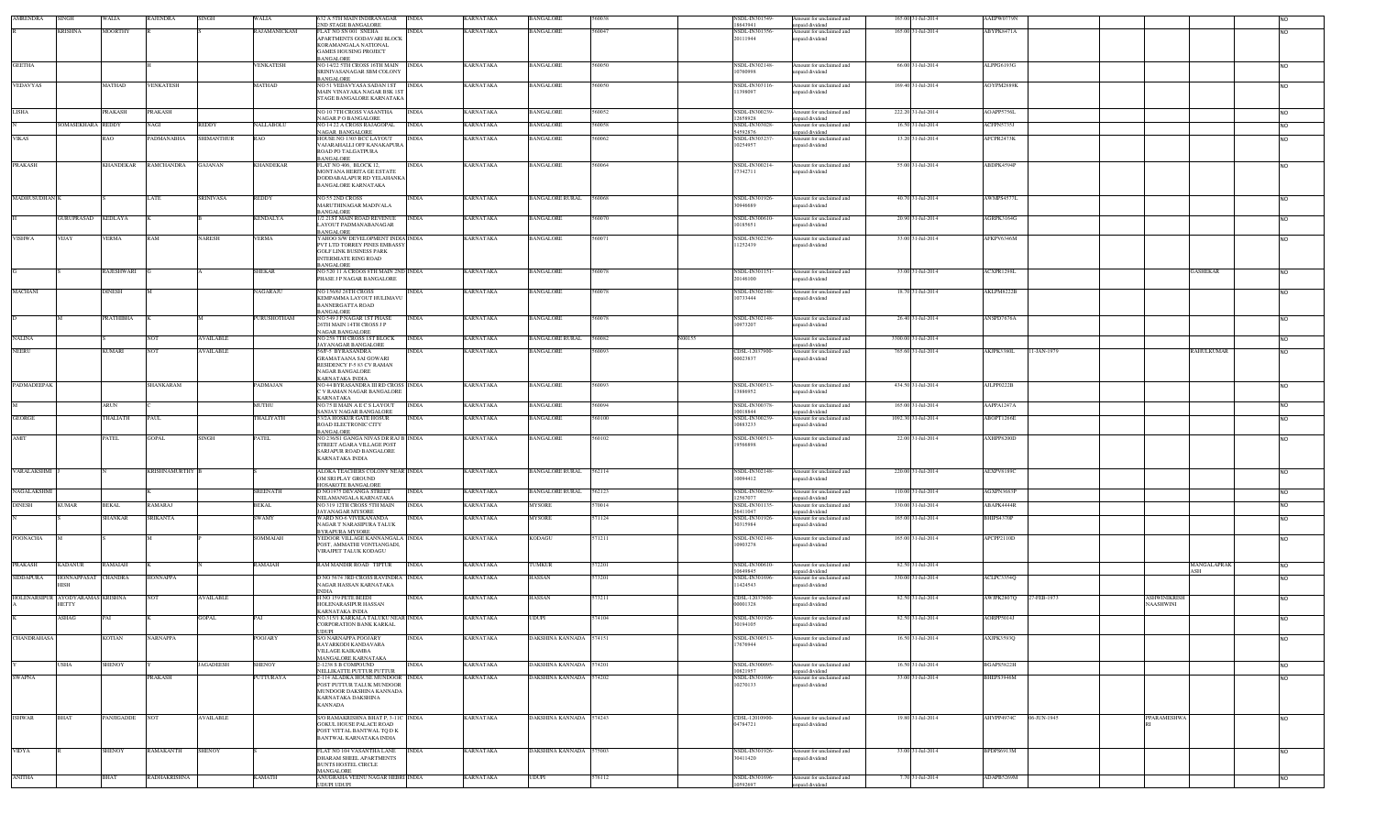| <b>AMRENDRA</b>    | INGH                                      | WALIA          | RAJENDRA             | <b>SINGH</b>      | WALIA            | 532 A 5TH MAIN INDIRANAGAR                                                         | <b>INDIA</b> | KARNATAKA        | BANGALORE               |        |        | <b>NSDL-IN301549</b><br>18643941 | Amount for unclaimed and                    | 165.00 31-Jul-2014  | AAEPW0779N        |             |                          |                    |                 |
|--------------------|-------------------------------------------|----------------|----------------------|-------------------|------------------|------------------------------------------------------------------------------------|--------------|------------------|-------------------------|--------|--------|----------------------------------|---------------------------------------------|---------------------|-------------------|-------------|--------------------------|--------------------|-----------------|
|                    | <b>KRISHNA</b>                            | <b>MOORTHY</b> |                      |                   | RAJAMANICKAM     | 2ND STAGE BANGALORE<br>FLAT NO SN 001 SNEHA                                        | <b>INDIA</b> | KARNATAKA        | <b>BANGALORE</b>        |        |        | NSDL-IN301356                    | inpaid dividend<br>Amount for unclaimed and | 165.00 31-Jul-2014  | ABYPK8471A        |             |                          |                    | NO.             |
|                    |                                           |                |                      |                   |                  | APARTMENTS GODAVARI BLOCK<br>KORAMANGALA NATIONAL                                  |              |                  |                         |        |        | 20111944                         | unpaid dividend                             |                     |                   |             |                          |                    |                 |
|                    |                                           |                |                      |                   |                  | <b>GAMES HOUSING PROJECT</b>                                                       |              |                  |                         |        |        |                                  |                                             |                     |                   |             |                          |                    |                 |
| <b>GEETHA</b>      |                                           |                |                      |                   | <b>VENKATESH</b> | BANGALORE<br>NO 14/22 5TH CROSS 16TH MAIN INDIA                                    |              | <b>KARNATAKA</b> | <b>BANGALORE</b>        | 560050 |        | NSDL-IN302148                    | Amount for unclaimed and                    | 66.00 31-Jul-2014   | ALPPG6193G        |             |                          |                    | <b>NO</b>       |
|                    |                                           |                |                      |                   |                  | SRINIVASANAGAR SBM COLONY                                                          |              |                  |                         |        |        | 10760998                         | inpaid dividend                             |                     |                   |             |                          |                    |                 |
| <b>VEDAVYAS</b>    |                                           | MATHAD         | <b>VENKATESH</b>     |                   | MATHAD           | BANGALORE<br>NO 51 VEDAVYASA SADAN IST                                             | <b>INDIA</b> | <b>KARNATAKA</b> | <b>BANGALORE</b>        | 560050 |        | NSDL-IN303116                    | Amount for unclaimed and                    | 169.40 31-Jul-2014  | <b>AOYPM2889K</b> |             |                          |                    | <b>INO</b>      |
|                    |                                           |                |                      |                   |                  | MAIN VINAYAKA NAGAR BSK 1ST<br>STAGE BANGALORE KARNATAKA                           |              |                  |                         |        |        | 11398097                         | unpaid dividend                             |                     |                   |             |                          |                    |                 |
|                    |                                           |                |                      |                   |                  |                                                                                    |              |                  |                         |        |        |                                  |                                             |                     |                   |             |                          |                    |                 |
| <b>LISHA</b>       |                                           | PRAKASH        | <b>PRAKASH</b>       |                   |                  | NO 10 7TH CROSS VASANTHA<br><b>NAGAR P O BANGALORE</b>                             | <b>INDIA</b> | <b>KARNATAKA</b> | <b>BANGALORE</b>        | 60052  |        | <b>NSDL-IN300239</b><br>12658928 | Amount for unclaimed and<br>npaid dividend  | 222.20 31-Jul-2014  | AOAPP5756L        |             |                          |                    | NO.             |
|                    | <b>SOMASEKHARA REDDY</b>                  |                | NAGI                 | REDDY             | <b>VALLABOLU</b> | NO 14 22 A CROSS RAJAGOPAL<br>NAGAR BANGALORE                                      | <b>INDIA</b> | <b>KARNATAKA</b> | BANGALORE               | 560058 |        | NSDL-IN303028<br>54592876        | Amount for unclaimed and<br>inpaid dividend | 16.50 31-Jul-2014   | ACFPN5735J        |             |                          |                    | <b>NO</b>       |
| <b>VIKAS</b>       |                                           | RAO            | PADMANABHA           | <b>SHIMANTHUR</b> | RAO              | HOUSE NO 1303 BCC LAYOUT                                                           | <b>INDIA</b> | <b>KARNATAKA</b> | <b>BANGALORE</b>        | 560062 |        | <b>NSDL-IN303237</b>             | Amount for unclaimed and                    | 13.20 31-Jul-2014   | AFCPR2473K        |             |                          |                    | NO.             |
|                    |                                           |                |                      |                   |                  | VAJARAHALLI OFF KANAKAPURA<br>ROAD PO TALGATPURA                                   |              |                  |                         |        |        | 10254957                         | unpaid dividend                             |                     |                   |             |                          |                    |                 |
| <b>PRAKASH</b>     |                                           | KHANDEKAR      | <b>RAMCHANDRA</b>    | <b>GAJANAN</b>    | KHANDEKAR        | BANGALORE<br>FLAT NO 406, BLOCK 12.                                                | <b>INDIA</b> | <b>KARNATAKA</b> | BANGALORE               | 60064  |        | NSDL-IN300214                    | Amount for unclaimed and                    | 55.00 31-Jul-2014   | ABDPK4594F        |             |                          |                    | NO.             |
|                    |                                           |                |                      |                   |                  | MONTANA HERITA GE ESTATE                                                           |              |                  |                         |        |        | 17342711                         | inpaid dividend                             |                     |                   |             |                          |                    |                 |
|                    |                                           |                |                      |                   |                  | DODDABALAPUR RD YELAHANKA<br><b>BANGALORE KARNATAKA</b>                            |              |                  |                         |        |        |                                  |                                             |                     |                   |             |                          |                    |                 |
|                    |                                           |                |                      |                   |                  |                                                                                    |              |                  |                         |        |        |                                  |                                             |                     |                   |             |                          |                    |                 |
| MADHUSUDHAN K      |                                           |                | LATE                 | <b>SRINIVASA</b>  | REDDY            | NO 55 2ND CROSS<br>MARUTHINAGAR MADIVALA                                           | INDIA        | KARNATAKA        | <b>BANGALORE RURAL</b>  | 560068 |        | NSDL-IN301926<br>30946689        | Amount for unclaimed and<br>npaid dividend  | 40.70 31-Jul-2014   | AWMPS4577L        |             |                          |                    | <b>NO</b>       |
|                    | <b>GURUPRASAD</b>                         | KEDLAYA        |                      |                   | KENDALYA         | BANGALORE<br>1/2 21ST MAIN ROAD REVENUE                                            | <b>INDIA</b> | KARNATAKA        | BANGALORE               | 60070  |        | NSDL-IN300610                    | Amount for unclaimed and                    | 20.90 31-Jul-2014   | AGRPK3164G        |             |                          |                    | <b>NO</b>       |
|                    |                                           |                |                      |                   |                  | LAYOUT PADMANABANAGAR                                                              |              |                  |                         |        |        | 0185651                          | paid dividend                               |                     |                   |             |                          |                    |                 |
| <b>VISHWA</b>      | VIJAY                                     | <b>/ERMA</b>   | RAM                  | NARESH            | <b>/ERMA</b>     | BANGALORE<br>YAHOO S/W DEVELOPMENT INDIA INDIA                                     |              | KARNATAKA        | <b>BANGALORE</b>        | 60071  |        | NSDL-IN302236                    | Amount for unclaimed and                    | 33.00 31-Jul-2014   | AFKPV6346M        |             |                          |                    | <b>NO</b>       |
|                    |                                           |                |                      |                   |                  | PVT LTD TORREY PINES EMBASSY<br><b>GOLF LINK BUSINESS PARK</b>                     |              |                  |                         |        |        | 11252439                         | inpaid dividend                             |                     |                   |             |                          |                    |                 |
|                    |                                           |                |                      |                   |                  | <b>INTERMIATE RING ROAD</b>                                                        |              |                  |                         |        |        |                                  |                                             |                     |                   |             |                          |                    |                 |
|                    |                                           | RAJESHWARI     |                      |                   | <b>SHEKAR</b>    | <b>BANGALORE</b><br>NO 520 11 A CROOS 8TH MAIN 2ND INDIA                           |              | <b>KARNATAKA</b> | <b>BANGALORE</b>        | 60078  |        | NSDL-IN301151                    | Amount for unclaimed and                    | 33.00 31-Jul-2014   | ACXPR1298L        |             |                          | GASHEKAR           | NO <sub>1</sub> |
|                    |                                           |                |                      |                   |                  | PHASE J P NAGAR BANGALORE                                                          |              |                  |                         |        |        | 20146100                         | npaid dividend                              |                     |                   |             |                          |                    |                 |
| <b>MACHANI</b>     |                                           | DINESH         |                      |                   | <b>AGARAJU</b>   | NO 156/6J 26TH CROSS                                                               | <b>INDIA</b> | KARNATAKA        | <b>BANGALORE</b>        | 60078  |        | NSDL-IN302148                    | Amount for unclaimed and                    | 18.70 31-Jul-2014   | AKLPM8222B        |             |                          |                    | NO.             |
|                    |                                           |                |                      |                   |                  | KEMPAMMA LAYOUT HULIMAVU<br><b>BANNERGATTA ROAD</b>                                |              |                  |                         |        |        | 10733444                         | npaid dividend                              |                     |                   |             |                          |                    |                 |
|                    |                                           |                |                      |                   |                  | BANGALORE                                                                          |              |                  |                         |        |        |                                  |                                             |                     |                   |             |                          |                    |                 |
|                    |                                           | PRATHIBHA      |                      |                   | PURUSHOTHAM      | NO 549 J P NAGAR 1ST PHASE<br>26TH MAIN 14TH CROSS J P                             | <b>INDIA</b> | <b>KARNATAKA</b> | <b>BANGALORE</b>        | 560078 |        | <b>NSDL-IN302148</b><br>10973207 | Amount for unclaimed and<br>npaid dividend  | 26.40 31-Jul-2014   | ANSPD7676A        |             |                          |                    | NO.             |
| <b>NALINA</b>      |                                           |                | <b>NOT</b>           | <b>AVAILABLE</b>  |                  | NAGAR BANGALORE<br>NO 258 7TH CROSS 1ST BLOCK                                      | <b>INDIA</b> | <b>KARNATAKA</b> | <b>BANGALORE RURAL</b>  | 560082 | N00155 |                                  | Amount for unclaimed and                    | 3300.00 31-Jul-2014 |                   |             |                          |                    | NO.             |
|                    |                                           |                |                      |                   |                  | JAYANAGAR BANGALORE                                                                |              |                  |                         |        |        |                                  | npaid dividend                              |                     |                   |             |                          |                    |                 |
| <b>NEERU</b>       |                                           | KUMARI         | NOT                  | <b>AVAILABLE</b>  |                  | 56/F-5 BYRASANDRA<br><b>GRAMATAANA SAI GOWARI</b>                                  | INDIA        | <b>KARNATAKA</b> | <b>BANGALORE</b>        | 60093  |        | CDSL-12037900-<br>00023837       | Amount for unclaimed and<br>unpaid dividend | 765.60 31-Jul-2014  | AKJPK3380L        | 11-JAN-1979 |                          | RAHULKUMAR         | <b>NO</b>       |
|                    |                                           |                |                      |                   |                  | RESIDENCY F-5 83 CV RAMAN<br><b>NAGAR BANGALORE</b>                                |              |                  |                         |        |        |                                  |                                             |                     |                   |             |                          |                    |                 |
|                    |                                           |                |                      |                   |                  | KARNATAKA INDIA                                                                    |              |                  |                         |        |        |                                  |                                             |                     |                   |             |                          |                    |                 |
| PADMADEEPAK        |                                           |                | SHANKARAM            |                   | PADMAJAN         | NO 44 BYRASANDRA III RD CROSS INDIA<br>C V RAMAN NAGAR BANGALORE                   |              | KARNATAKA        | BANGALORE               | 60093  |        | NSDL-IN300513<br>3886952         | Amount for unclaimed and<br>inpaid dividend | 434.50 31-Jul-2014  | AJLPP0222B        |             |                          |                    |                 |
|                    |                                           |                |                      |                   |                  | KARNATAKA                                                                          |              |                  |                         |        |        |                                  |                                             |                     |                   |             |                          |                    |                 |
|                    |                                           | ARIN           |                      |                   | MUTHU            | NO.75 II MAIN A E C S LAYOUT<br>SANJAY NAGAR BANGALORE                             | <b>INDIA</b> | <b>KARNATAKA</b> | BANGALORE               | 60094  |        | NSDL-IN300378<br>0018844         | Amount for unclaimed and<br>unpaid dividend | 165.00 31-Jul-2014  | AAPPA1247A        |             |                          |                    | <b>NO</b>       |
| <b>GEORGE</b>      |                                           | <b>HALIATH</b> | <b>PAUL</b>          |                   | <b>HALIYATH</b>  | 53/2A HOSKUR GATE HOSUR<br>ROAD ELECTRONIC CITY                                    | INDIA        | KARNATAKA        | <b>BANGALORE</b>        | 60100  |        | NSDL-IN300239<br>10883233        | Amount for unclaimed and<br>inpaid dividend | 1092.30 31-Jul-2014 | ABOPT1266E        |             |                          |                    |                 |
|                    |                                           |                |                      |                   |                  | BANGALORE                                                                          |              |                  |                         |        |        |                                  |                                             |                     |                   |             |                          |                    |                 |
| AMIT               |                                           | ATEL.          | <b>GOPAL</b>         | <b>SINGH</b>      | PATEL            | NO 236/S1 GANGA NIVAS DR RAJ B INDIA<br>STREET AGARA VILLAGE POST                  |              | KARNATAKA        | <b>BANGALORE</b>        | 60102  |        | NSDL-IN300513<br>19566898        | Amount for unclaimed and<br>inpaid dividend | 22.00 31-Jul-2014   | <b>XHPP8200D</b>  |             |                          |                    |                 |
|                    |                                           |                |                      |                   |                  | SARJAPUR ROAD BANGALORE<br><b>KARNATAKA INDIA</b>                                  |              |                  |                         |        |        |                                  |                                             |                     |                   |             |                          |                    |                 |
|                    |                                           |                |                      |                   |                  |                                                                                    |              |                  |                         |        |        |                                  |                                             |                     |                   |             |                          |                    |                 |
| VARALAKSHMI        |                                           |                | <b>KRISHNAMURTHY</b> |                   |                  | ALOKA TEACHERS COLONY NEAR INDIA<br>OM SRI PLAY GROUND                             |              | KARNATAKA        | <b>BANGALORE RURAL</b>  | 562114 |        | NSDL-IN302148-<br>10094412       | Amount for unclaimed and<br>npaid dividend  | 220.00 31-Jul-2014  | AEXPV8189C        |             |                          |                    | NO.             |
| NAGALAKSHMI        |                                           |                |                      |                   | <b>SREENATH</b>  | HOSAKOTE BANGALORE<br>D NO1975 DEVANGA STREET                                      | <b>INDIA</b> |                  |                         |        |        |                                  |                                             |                     |                   |             |                          |                    |                 |
|                    |                                           |                |                      |                   |                  |                                                                                    |              |                  |                         |        |        |                                  |                                             |                     |                   |             |                          |                    |                 |
| <b>DINESH</b>      |                                           |                |                      |                   |                  | NELAMANGALA KARNATAKA                                                              |              | <b>KARNATAKA</b> | BANGALORE RURAL         | 562123 |        | NSDL-IN300239<br>2567077         | Amount for unclaimed and<br>unpaid dividend | 110.00 31-Jul-2014  | AGXPN3683P        |             |                          |                    | <b>NO</b>       |
|                    | <b>KUMAR</b>                              | BEKAL          | RAMARAJ              |                   | BEKAL            | NO 319 12TH CROSS 5TH MAIN                                                         | <b>INDIA</b> | <b>KARNATAKA</b> | MYSORE                  | 570014 |        | NSDL-IN301135<br>26411047        | Amount for unclaimed and                    | 330.00 31-Jul-2014  | ABAPK4444R        |             |                          |                    | <b>NO</b>       |
|                    |                                           | SHANKAR        | <b>SRIKANTA</b>      |                   | SWAMY            | <b>JAYANAGAR MYSORE</b><br>WARD NO-6 VIVEKANANDA                                   | <b>INDIA</b> | <b>KARNATAKA</b> | <b>MYSORE</b>           | 571124 |        | NSDL-IN301926                    | unpaid dividend<br>Amount for unclaimed and | 165.00 31-Jul-2014  | BHIPS4370P        |             |                          |                    | N <sub>O</sub>  |
|                    |                                           |                |                      |                   |                  | NAGAR T NARASIPURA TALUK<br><b>BYRAPURA MYSORE</b>                                 |              |                  |                         |        |        | 30315984                         | inpaid dividend                             |                     |                   |             |                          |                    |                 |
| POONACHA           |                                           |                |                      |                   | SOMMAIAH         | YEDOOR VILLAGE KANNANGALA INDIA                                                    |              | <b>KARNATAKA</b> | <b>KODAGU</b>           | 571211 |        | NSDL-IN302148                    | Amount for unclaimed and                    | 165.00 31-Jul-2014  | APCPP2110D        |             |                          |                    | <b>NO</b>       |
|                    |                                           |                |                      |                   |                  | POST, AMMATHI VONTIANGADI,<br>VIRAJPET TALUK KODAGU                                |              |                  |                         |        |        | 10903278                         | inpaid dividend                             |                     |                   |             |                          |                    |                 |
|                    |                                           | RAMAIAH        |                      |                   | RAMAIAH          |                                                                                    | <b>INDIA</b> |                  | 'UMKUR                  | 72201  |        | NSDL-IN300610                    |                                             | 82.50 31-Jul-2014   |                   |             |                          |                    | <b>NO</b>       |
| PRAKASH            | <b>KADANUR</b>                            |                |                      |                   |                  | RAM MANDIR ROAD TIPTUR                                                             |              | KARNATAKA        |                         |        |        | 0649845                          | mount for unclaimed and<br>unpaid dividend  |                     |                   |             |                          | MANGALAPRAK<br>ASH |                 |
| SIDDAPURA          | HONNAPPASAT CHANDRA                       |                | <b>HONNAPPA</b>      |                   |                  | D NO 5674 3RD CROSS RAVINDRA INDIA<br>NAGAR HASSAN KARNATAKA                       |              | KARNATAKA        | HASSAN                  | 573201 |        | NSDL-IN301696<br>11424543        | Amount for unclaimed and<br>npaid dividend  | 330.00 31-Jul-2014  | ACLPC3354Q        |             |                          |                    | <b>NO</b>       |
|                    |                                           |                | NO <sub>1</sub>      |                   |                  | <b>INDIA</b>                                                                       | NDIA         |                  |                         | 73211  |        |                                  |                                             |                     |                   |             |                          |                    |                 |
|                    | HOLENARSIPUR AYODYARAMAS KRISHNA<br>HETTY |                |                      | AVAILABLE         |                  | H NO 159 PETE BEED!<br>HOLENARASIPUR HASSAN                                        |              | <b>ARNATAKA</b>  | HASSAN                  |        |        | CDSL-12037600<br>00001328        | mount for unclaimed and<br>inpaid dividend  | 82.50 31-Jul-2014   | WJPK2807Q         | 27-FEB-1973 | ASHWINIKRIS<br>NAASHWINI |                    | NO.             |
|                    | ASHAG                                     |                |                      | <b>GOPAL</b>      |                  | KARNATAKA INDIA<br>NO.315/1 KARKALA TALUKU NEAR INDIA                              |              | KARNATAKA        | JDUPI                   | 74104  |        | NSDL-IN301926                    | Amount for unclaimed and                    | 82.50 31-Jul-2014   | AORPP5014J        |             |                          |                    |                 |
|                    |                                           |                |                      |                   |                  | CORPORATION BANK KARKAL                                                            |              |                  |                         |        |        | 30194105                         | inpaid dividend                             |                     |                   |             |                          |                    |                 |
| <b>CHANDRAHASA</b> |                                           | KOTIAN         | <b>NARNAPPA</b>      |                   | <b>POOJARY</b>   | <b>UDUPI</b><br><b>S/O NARNAPPA POOJARY</b>                                        | <b>INDIA</b> | <b>KARNATAKA</b> | DAKSHINA KANNADA 574151 |        |        | NSDL-IN300513                    | Amount for unclaimed and                    | 16.50 31-Jul-2014   | AXJPK3593Q        |             |                          |                    | <b>NO</b>       |
|                    |                                           |                |                      |                   |                  | RAYARKODI KANDAVARA<br>VILLAGE KAIKAMBA                                            |              |                  |                         |        |        | 17676944                         | unpaid dividend                             |                     |                   |             |                          |                    |                 |
|                    | <b>JSHA</b>                               | SHENOY         |                      | <b>JAGADEESH</b>  | <b>HENOY</b>     | MANGALORE KARNATAKA<br>2-1238 S B COMPOUND                                         | <b>INDIA</b> | KARNATAKA        | <b>DAKSHINA KANNADA</b> | 574201 |        | NSDL-IN300095                    | Amount for unclaimed and                    | 16.50 31-Jul-2014   | BGAPS5822H        |             |                          |                    |                 |
|                    |                                           |                |                      |                   |                  | NELLIKATTE PUTTUR PUTTUR                                                           |              |                  |                         |        |        | 10821957                         | inpaid dividend                             |                     |                   |             |                          |                    | <b>NO</b>       |
| <b>SWAPNA</b>      |                                           |                | PRAKASH              |                   | <b>UTTURAYA</b>  | 2-114 ALADKA HOUSE MUNDOOR<br>POST PUTTUR TALUK MUNDOOR                            | <b>INDIA</b> | KARNATAKA        | DAKSHINA KANNADA        | 574202 |        | NSDL-IN301696<br>10270133        | Amount for unclaimed and<br>unpaid dividend | 33.00 31-Jul-2014   | BHEPS3946M        |             |                          |                    | <b>NO</b>       |
|                    |                                           |                |                      |                   |                  | MUNDOOR DAKSHINA KANNADA                                                           |              |                  |                         |        |        |                                  |                                             |                     |                   |             |                          |                    |                 |
|                    |                                           |                |                      |                   |                  | KARNATAKA DAKSHINA<br><b>KANNADA</b>                                               |              |                  |                         |        |        |                                  |                                             |                     |                   |             |                          |                    |                 |
| <b>ISHWAR</b>      | <b>BHAT</b>                               | PANJIGADDE NOT |                      | <b>AVAILABLE</b>  |                  | S/O RAMAKRISHNA BHAT P, 3-11C INDIA                                                |              | <b>KARNATAKA</b> | DAKSHINA KANNADA 574243 |        |        | CDSL-12010900                    | Amount for unclaimed and                    | 19.80 31-Jul-2014   | AHVPP4974C        | 06-JUN-1945 | PPARAMESHWA              |                    | NO <sub>1</sub> |
|                    |                                           |                |                      |                   |                  | <b>GOKUL HOUSE PALACE ROAD</b>                                                     |              |                  |                         |        |        | 04784721                         | inpaid dividend                             |                     |                   |             |                          |                    |                 |
|                    |                                           |                |                      |                   |                  | POST VITTAL BANTWAL TO DK<br>BANTWAL KARNATAKA INDIA                               |              |                  |                         |        |        |                                  |                                             |                     |                   |             |                          |                    |                 |
| <b>VIDYA</b>       |                                           | SHENOY         | RAMAKANTH            | <b>SHENOY</b>     |                  | FLAT NO 104 VASANTHA LANE                                                          | <b>INDIA</b> | KARNATAKA        | DAKSHINA KANNADA 575003 |        |        | NSDL-IN301926-                   | Amount for unclaimed and                    | 33.00 31-Jul-2014   | BPDPS6913M        |             |                          |                    | <b>NO</b>       |
|                    |                                           |                |                      |                   |                  | DHARAM SHEEL APARTMENTS                                                            |              |                  |                         |        |        | 30411420                         | inpaid dividend                             |                     |                   |             |                          |                    |                 |
| <b>ANITHA</b>      |                                           | BHAT           | RADHAKRISHNA         |                   | KAMATH           | <b>BUNTS HOSTEL CIRCLE</b><br><b>MANGALORE</b><br>ANUGRAHA VEENU NAGAR HEBRI INDIA |              | KARNATAKA        | UDUPI                   | 576112 |        | NSDL-IN301696                    | Amount for unclaimed and                    | 7.70 31-Jul-2014    | ADAPB5269M        |             |                          |                    |                 |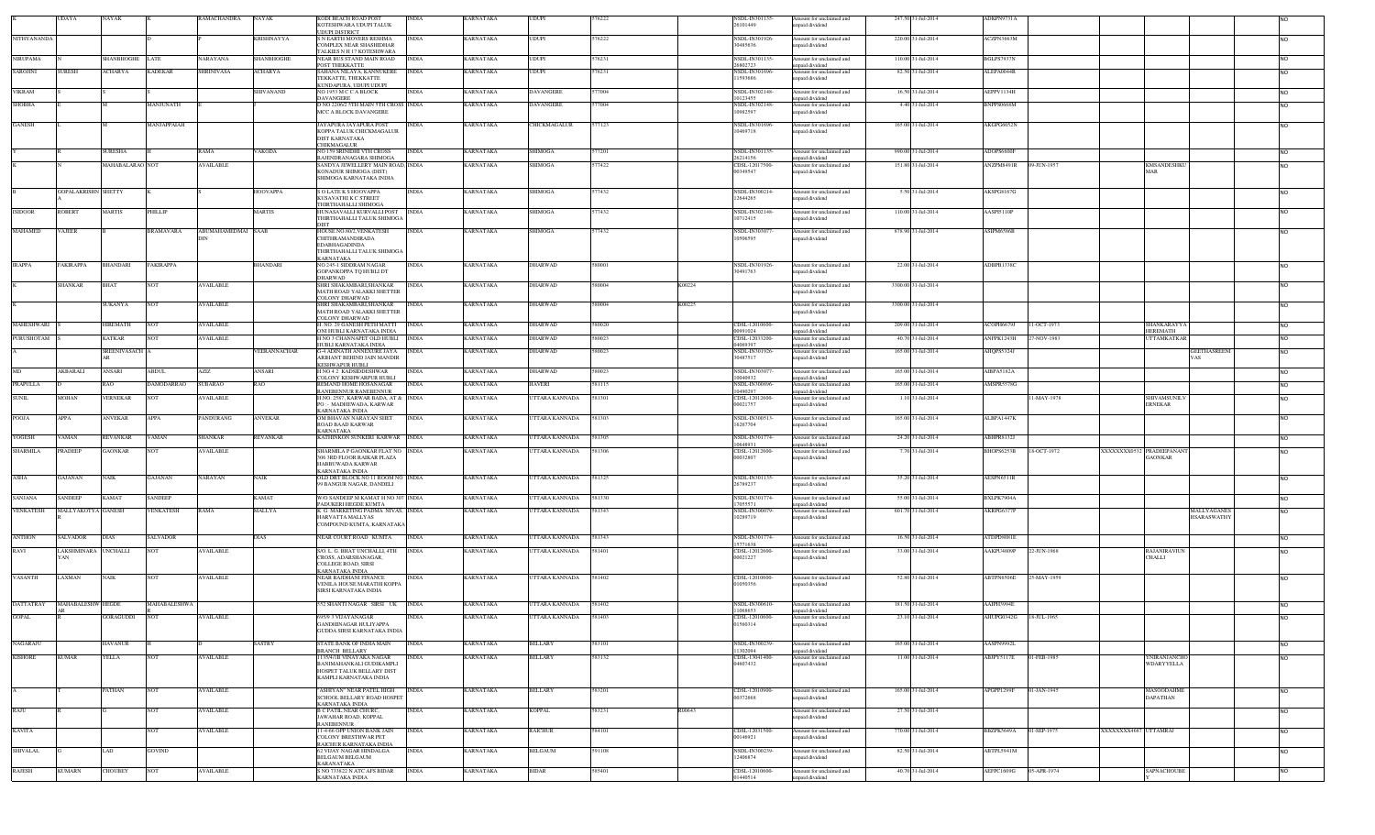|                     | UDAYA                      | NAYAK               |                   | RAMACHANDRA       | NAYAK         | KODI BEACH ROAD POST<br>KOTESHWARA UDUPI TALUK                 | INDIA        | KARNATAKA        | <b>UDUPI</b>          |        |        | NSDL-IN301135-<br>26101449 | Amount for unclaimed and<br>unpaid dividend | 247.50 31-Jul-2014  | ADKPN9731A        |             |                      |                               |                     |                |
|---------------------|----------------------------|---------------------|-------------------|-------------------|---------------|----------------------------------------------------------------|--------------|------------------|-----------------------|--------|--------|----------------------------|---------------------------------------------|---------------------|-------------------|-------------|----------------------|-------------------------------|---------------------|----------------|
|                     |                            |                     |                   |                   |               | <b>UDUPI DISTRICT</b>                                          |              |                  |                       |        |        |                            |                                             |                     |                   |             |                      |                               |                     |                |
| <b>NITHY ANANDA</b> |                            |                     |                   |                   | KRISHNAYYA    | S N EARTH MOVERS RESHMA<br>COMPLEX NEAR SHASHIDHAR             | <b>INDIA</b> | KARNATAKA        | <b>UDUPI</b>          | 576222 |        | NSDL-IN301926<br>30485636  | Amount for unclaimed and<br>unpaid dividend | 220.00 31-Jul-2014  | ACZPN3663M        |             |                      |                               |                     | <b>NO</b>      |
|                     |                            |                     |                   |                   |               | TALKIES N H 17 KOTESHWARA                                      |              |                  |                       |        |        |                            |                                             |                     |                   |             |                      |                               |                     |                |
| NIRUPAMA            |                            | SHANBHOGHE LATE     |                   | NARAYANA          | SHANBHOGHE    | NEAR BUS STAND MAIN ROAD<br>POST THEKKATTE                     | <b>INDIA</b> | KARNATAKA        | <b>UDUPI</b>          | 576231 |        | VSDL-IN301135-<br>26802723 | Amount for unclaimed and<br>unpaid dividend | 110.00 31-Jul-2014  | BGLPS7937N        |             |                      |                               |                     | <b>NO</b>      |
| SAROJINI            | <b>SURESH</b>              | ACHARYA             | <b>KADEKAR</b>    | <b>SHRINIVASA</b> | ACHARYA       | SAHANA NILAYA, KANNUKERE                                       | <b>INDIA</b> | <b>KARNATAKA</b> | UDUPI                 | 576231 |        | NSDL-IN301696              | Amount for unclaimed and                    | 82.50 31-Jul-2014   | ALEPA0044R        |             |                      |                               |                     | N <sub>O</sub> |
|                     |                            |                     |                   |                   |               | TEKKATTE, THEKKATTE<br>KUNDAPURA, UDUPI UDUPI                  |              |                  |                       |        |        | 11593686                   | inpaid dividend                             |                     |                   |             |                      |                               |                     |                |
| <b>VIKRAM</b>       |                            |                     |                   |                   | SHIVANAND     | NO 1953 M C C A BLOCK                                          | <b>INDIA</b> | <b>KARNATAKA</b> | <b>DAVANGERE</b>      | 577004 |        | NSDL-IN302148              | Amount for unclaimed and                    | 16.50 31-Jul-2014   | AEPPV1134H        |             |                      |                               |                     | <b>NO</b>      |
| SHOBHA              |                            |                     | MANJUNATH         |                   |               | <b>DAVANGERE</b><br>D NO 2206/2 5TH MAIN 5TH CROSS INDIA       |              | KARNATAKA        | DAVANGERE             | 77004  |        | 10123455<br>NSDL-IN302148- | npaid dividend<br>Amount for unclaimed and  | 4.40 31-Jul-2014    | BNPPS0668M        |             |                      |                               |                     | N <sub>O</sub> |
|                     |                            |                     |                   |                   |               | MCC A BLOCK DAVANGERE                                          |              |                  |                       |        |        | 10982597                   | inpaid dividend                             |                     |                   |             |                      |                               |                     |                |
| <b>GANESH</b>       |                            |                     | MANJAPPAIAH       |                   |               | JAYAPURA JAYAPURA POST                                         | <b>INDIA</b> | KARNATAKA        | CHICKMAGALUR          | 577123 |        | NSDL-IN301696-             | Amount for unclaimed and                    | 165.00 31-Jul-2014  | AKGPG6052N        |             |                      |                               |                     | <b>NO</b>      |
|                     |                            |                     |                   |                   |               | KOPPA TALUK CHICKMAGALUR                                       |              |                  |                       |        |        | 10469718                   | unpaid dividend                             |                     |                   |             |                      |                               |                     |                |
|                     |                            |                     |                   |                   |               | DIST KARNATAKA<br><b>CHIKMAGALUR</b>                           |              |                  |                       |        |        |                            |                                             |                     |                   |             |                      |                               |                     |                |
|                     |                            | URESHA              |                   | RAMA              | <b>/AKODA</b> | NO 159 SRINIDHI VTH CROSS                                      | <b>INDIA</b> | <b>KARNATAKA</b> | <b>SHIMOGA</b>        | 77201  |        | NSDL-IN301135-             | Amount for unclaimed and                    | 990.00 31-Jul-2014  | ADOPS6600F        |             |                      |                               |                     | <b>NO</b>      |
|                     |                            | MAHABALARAO NOT     |                   | <b>AVAILABLE</b>  |               | RAJENDRANAGARA SHIMOGA<br>SANDYA JEWELLERY MAIN ROAD, INDIA    |              | <b>KARNATAKA</b> | SHIMOGA               | 577422 |        | 26214156<br>CDSL-12017500- | inpaid dividend<br>Amount for unclaimed and | 151.80 31-Jul-2014  | ANZPM8491R        | 09-JUN-1957 |                      | KMSANDESHKU                   |                     | <b>NO</b>      |
|                     |                            |                     |                   |                   |               | KONADUR SHIMOGA (DIST)                                         |              |                  |                       |        |        | 00349547                   | unpaid dividend                             |                     |                   |             |                      | MAR                           |                     |                |
|                     |                            |                     |                   |                   |               | SHIMOGA KARNATAKA INDIA                                        |              |                  |                       |        |        |                            |                                             |                     |                   |             |                      |                               |                     |                |
|                     | <b>GOPALAKRISHN SHETTY</b> |                     |                   |                   | HOOVAPPA      | S O LATE K S HOOVAPPA<br><b>KUSAVATHI K C STREET</b>           | <b>INDIA</b> | <b>KARNATAKA</b> | <b>SHIMOGA</b>        | 577432 |        | NSDL-IN300214-             | Amount for unclaimed and<br>npaid dividend  | 5.50 31-Jul-2014    | AKSPG8167G        |             |                      |                               |                     | <b>NO</b>      |
|                     |                            |                     |                   |                   |               | THIRTHAHALLI SHIMOGA                                           |              |                  |                       |        |        | 12644265                   |                                             |                     |                   |             |                      |                               |                     |                |
| <b>ISIDOOR</b>      | ROBERT                     | <b>MARTIS</b>       | PHILLIP           |                   | MARTIS        | HUNASAVALLI KURVALLI POST<br>THIRTHAHALLI TALUK SHIMOGA        | <b>INDIA</b> | KARNATAKA        | SHIMOGA               | 577432 |        | NSDL-IN302148-<br>10712415 | Amount for unclaimed and<br>inpaid dividend | 110.00 31-Jul-2014  | AASPI5110P        |             |                      |                               |                     | <b>NO</b>      |
|                     |                            |                     |                   |                   |               | DIST                                                           |              |                  |                       |        |        |                            |                                             |                     |                   |             |                      |                               |                     |                |
| MAHAMED             | <b>VAJEER</b>              |                     | <b>BRAMAVARA</b>  | ABUMAHAMEDMAI     | SAAB          | HOUSE NO.80/2, VENKATESH<br>CHITHRAMANDIRADA                   | <b>INDIA</b> | <b>KARNATAKA</b> | SHIMOGA               | 77432  |        | NSDL-IN303077<br>10506595  | Amount for unclaimed and<br>unpaid dividend | 878.90 31-Jul-2014  | ASIPM6586B        |             |                      |                               |                     | N <sub>O</sub> |
|                     |                            |                     |                   |                   |               | EDABHAGADINDA                                                  |              |                  |                       |        |        |                            |                                             |                     |                   |             |                      |                               |                     |                |
|                     |                            |                     |                   |                   |               | THIRTHAHALLI TALUK SHIMOGA<br>KARNATAKA                        |              |                  |                       |        |        |                            |                                             |                     |                   |             |                      |                               |                     |                |
| <b>IRAPPA</b>       | AKIRAPPA                   | BHANDARI            | <b>AKIRAPPA</b>   |                   | BHANDARI      | NO 245-1 SIDDRAM NAGAR                                         | <b>INDIA</b> | <b>KARNATAKA</b> | DHARWAD               | 580001 |        | VSDL-IN301926-             | Amount for unclaimed and                    | 22.00 31-Jul-2014   | ADBPB1338C        |             |                      |                               |                     | N <sub>O</sub> |
|                     |                            |                     |                   |                   |               | GOPANKOPPA TQ HUBLI DT<br>DHARWAD                              |              |                  |                       |        |        | 30491763                   | inpaid dividend                             |                     |                   |             |                      |                               |                     |                |
|                     | <b>SHANKAR</b>             | BHAT                | NOT               | <b>AVAILABLE</b>  |               | SHRI SHAKAMBARI,SHANKAR                                        | <b>INDIA</b> | <b>KARNATAKA</b> | <b>DHARWAD</b>        | 580004 | K00224 |                            | Amount for unclaimed and                    | 3300.00 31-Jul-2014 |                   |             |                      |                               |                     | <b>NO</b>      |
|                     |                            |                     |                   |                   |               | MATH ROAD YALAKKI SHETTER<br>COLONY DHARWAD                    |              |                  |                       |        |        |                            | unpaid dividend                             |                     |                   |             |                      |                               |                     |                |
|                     |                            | <b>SUKANYA</b>      | <b>NOT</b>        | <b>AVAILABLE</b>  |               | SHRI SHAKAMBARI,SHANKAR<br>MATH ROAD YALAKKI SHETTER           | <b>INDIA</b> | <b>KARNATAKA</b> | <b>DHARWAD</b>        | 580004 | K00225 |                            | Amount for unclaimed and<br>unpaid dividend | 3300.00 31-Jul-2014 |                   |             |                      |                               |                     | <b>NO</b>      |
|                     |                            |                     |                   |                   |               | COLONY DHARWAD                                                 |              |                  |                       |        |        |                            |                                             |                     |                   |             |                      |                               |                     |                |
| MAHESHWARI          |                            | <b>HIREMATH</b>     | <b>NOT</b>        | <b>AVAILABLE</b>  |               | H. NO. 29 GANESH PETH MATTI INDIA<br>ONI HUBLI KARNATAKA INDIA |              | <b>KARNATAKA</b> | <b>DHARWAD</b>        | 580020 |        | CDSL-12010600-<br>00991024 | Amount for unclaimed and<br>unpaid dividend | 209.00 31-Jul-2014  | ACOPH6679J        | 11-OCT-1973 |                      | SHANKARAYYA<br>HEREMATH       |                     | <b>NO</b>      |
| PURUSHOTAM          |                            | <b>KATKAR</b>       | NOT               | <b>AVAILABLE</b>  |               | H NO 3 CHANNAPET OLD HUBLI                                     | <b>INDIA</b> | <b>KARNATAKA</b> | DHARWAD               | 580023 |        | CDSL-12033200-             | Amount for unclaimed and                    | 40.70 31-Jul-2014   | ANFPK1243H        | 27-NOV-1983 |                      | <b>JTTAMKATKAR</b>            |                     | <b>NO</b>      |
|                     |                            | <b>SREENIVASACH</b> |                   |                   | VEERANNACHAR  | HUBLI KARNATAKA INDIA<br>IG-4 ADINATH ANNEXURE JAYA            | <b>INDIA</b> | <b>KARNATAKA</b> | <b>DHARWAD</b>        | 580023 |        | 04069397<br>NSDL-IN301926- | inpaid dividend<br>Amount for unclaimed and | 165.00 31-Jul-2014  | AHQPS5324J        |             |                      |                               | <b>GEETHASREENI</b> | <b>NO</b>      |
|                     |                            | $\Delta R$          |                   |                   |               | ARIHANT BEHIND JAIN MANDIR                                     |              |                  |                       |        |        | 30487517                   | npaid dividend                              |                     |                   |             |                      |                               | VAS                 |                |
| <b>MD</b>           | AKBARALI                   | ANSARI              | <b>ABDUL</b>      | <b>AZIZ</b>       | ANSARI        | KESHWAPUR HUBLI<br>H NO 4 2 KADSIDDESHWAR                      | <b>INDIA</b> | <b>KARNATAKA</b> | DHARWAD               | 580023 |        | NSDL-IN303077-             | Amount for unclaimed and                    | 165.00 31-Jul-2014  | AIBPA5182A        |             |                      |                               |                     | <b>NO</b>      |
|                     |                            |                     |                   |                   |               | COLONY KESHWARPUR HUBLI                                        |              |                  |                       |        |        | 10040932                   | inpaid dividend                             |                     |                   |             |                      |                               |                     |                |
| PRAPULLA            |                            | RAO                 | <b>DAMODARRAO</b> | <b>SUBARAO</b>    | RAO           | REMAND HOME HOSANAGAR<br>RANEBENNUR RANEBENNUR                 | <b>INDIA</b> | <b>KARNATAKA</b> | <b>HAVERI</b>         | 581115 |        | NSDL-IN300896-<br>10490297 | Amount for unclaimed and<br>inpaid dividend | 165.00 31-Jul-2014  | AMSPR5578G        |             |                      |                               |                     | <b>NO</b>      |
| <b>SUNIL</b>        | <b>MOHAN</b>               | <b>VERNEKAR</b>     | <b>NOT</b>        | <b>AVAILABLE</b>  |               | H.NO. 2587, KARWAR BADA, AT & INDIA                            |              | <b>KARNATAKA</b> | UTTARA KANNADA        | 581301 |        | CDSL-12012600-             | Amount for unclaimed and                    | 1.10 31-Jul-2014    |                   | 11-MAY-1978 |                      | <b>SHIVAMSUNILV</b>           |                     | <b>NO</b>      |
|                     |                            |                     |                   |                   |               | PO:- MADHEWADA, KARWAR<br><b>KARNATAKA INDIA</b>               |              |                  |                       |        |        | 00021757                   | unpaid dividend                             |                     |                   |             |                      | <b>ERNEKAR</b>                |                     |                |
| POOJA               | APPA                       | <b>ANVEKAR</b>      | APPA              | PANDURANG         | ANVEKAR       | OM BHAVAN NARAYAN SHET<br>ROAD BAAD KARWAR                     | <b>INDIA</b> | <b>KARNATAKA</b> | UTTARA KANNADA        | 581303 |        | NSDL-IN300513-<br>16267704 | Amount for unclaimed and<br>inpaid dividend | 165.00 31-Jul-2014  | ALBPA1447K        |             |                      |                               |                     | <b>NO</b>      |
|                     |                            |                     |                   |                   |               | KARNATAKA                                                      |              |                  |                       |        |        |                            |                                             |                     |                   |             |                      |                               |                     |                |
| YOGESH              | VAMAN                      | <b>REVANKAR</b>     | VAMAN             | SHANKAR           | REVANKAR      | KATHINKON SUNKERI KARWAR INDIA                                 |              | <b>KARNATAKA</b> | UTTARA KANNADA        | 581305 |        | NSDL-IN301774-<br>10648931 | Amount for unclaimed and<br>inpaid dividend | 24.20 31-Jul-2014   | <b>ABHPR8132J</b> |             |                      |                               |                     | <b>NO</b>      |
| <b>SHARMILA</b>     | PRADEEP                    | GAONKAR             | NOT               | <b>AVAILABLE</b>  |               | SHARMILA P GAONKAR FLAT NO INDIA                               |              | <b>KARNATAKA</b> | <b>JTTARA KANNADA</b> | 581306 |        | CDSL-12012600-             | Amount for unclaimed and                    | 7.70 31-Jul-2014    | BHOPS6253B        | 18-OCT-1972 |                      | XXXXXXXX0532 PRADEEPANANT     |                     | <b>NO</b>      |
|                     |                            |                     |                   |                   |               | 306 3RD FLOOR RAIKAR PLAZA<br><b>HABBUWADA KARWAR</b>          |              |                  |                       |        |        | 00032807                   | unpaid dividend                             |                     |                   |             |                      | <b>GAONKAR</b>                |                     |                |
|                     |                            |                     |                   |                   |               | KARNATAKA INDIA                                                |              |                  |                       |        |        |                            |                                             |                     |                   |             |                      |                               |                     |                |
| <b>ASHA</b>         | GAJANAN                    | NAIK                | <b>GAJANAN</b>    | NARAYAN           | NAIK          | OLD DRT BLOCK NO 11 ROOM NO INDIA<br>99 BANGUR NAGAR, DANDELI  |              | <b>KARNATAKA</b> | <b>JTTARA KANNADA</b> | 581325 |        | NSDL-IN301135-<br>26789237 | Amount for unclaimed and<br>inpaid dividend | 35.20 31-Jul-2014   | AESPN6511R        |             |                      |                               |                     | <b>NO</b>      |
|                     |                            |                     |                   |                   |               |                                                                |              |                  |                       |        |        |                            |                                             |                     |                   |             |                      |                               |                     |                |
| SANJANA             | <b>SANDEEP</b>             | <b>KAMAT</b>        | SANDEEP           |                   | KAMAT         | W/O SANDEEP M KAMAT H NO 307 INDIA<br>PADUKERI HEGDE KUMTA     |              | <b>KARNATAKA</b> | <b>JTTARA KANNADA</b> | 581330 |        | NSDL-IN301774-<br>17055571 | Amount for unclaimed and<br>unpaid dividend | 55.00 31-Jul-2014   | BXLPK7904A        |             |                      |                               |                     | <b>NO</b>      |
| <b>VENKATESH</b>    | MALLYAKOTYA GANESH         |                     | VENKATESH         | RAMA              | MALLYA        | K G MARKETING PADMA NIVAS, INDIA                               |              | <b>KARNATAKA</b> | UTTARA KANNADA        | 581343 |        | <b>NSDL-IN300079</b>       | Amount for unclaimed and                    | 601.70 31-Jul-2014  | AKRPG6377F        |             |                      |                               | MALLYAGANES         | N <sub>O</sub> |
|                     |                            |                     |                   |                   |               | HARVATTA MALLYAS<br>COMPOUND KUMTA, KARNATAKA                  |              |                  |                       |        |        | 10289719                   | inpaid dividend                             |                     |                   |             |                      |                               | <b>HSARASWATHY</b>  |                |
|                     |                            |                     |                   |                   |               |                                                                |              |                  |                       |        |        |                            |                                             |                     |                   |             |                      |                               |                     |                |
| <b>ANTHON</b>       | <b>SALVADOR</b>            | <b>DIAS</b>         | <b>SALVADOR</b>   |                   | <b>DIAS</b>   | NEAR COURT ROAD KUMTA                                          | <b>INDIA</b> | <b>KARNATAKA</b> | UTTARA KANNADA        | 581343 |        | NSDL-IN301774-<br>5771638  | Amount for unclaimed and<br>unpaid dividend | 16.50 31-Jul-2014   | ATDPD8081E        |             |                      |                               |                     | <b>NO</b>      |
| RAVI                | AKSHMINARA UNCHALLI<br>YAN |                     | NOT               | <b>AVAILABLE</b>  |               | S/O. L. G. BHAT UNCHALLI, 4TH                                  | <b>INDIA</b> | <b>KARNATAKA</b> | <b>JTTARA KANNADA</b> | 581401 |        | CDSL-12012600-             | Amount for unclaimed and                    | 33.00 31-Jul-2014   | AAKPU4809P        | 22-JUN-1968 |                      | RAJANIRAVIUN                  |                     | N <sub>O</sub> |
|                     |                            |                     |                   |                   |               | CROSS, ADARSHANAGAR,<br>COLLEGE ROAD SIRSL                     |              |                  |                       |        |        | 00021227                   | unpaid dividend                             |                     |                   |             |                      | CHALLI                        |                     |                |
| VASANTH             | LAXMAN                     | NAIK                | <b>NOT</b>        | <b>AVAILABLE</b>  |               | KARNATAKA INDIA<br>NEAR RAJDHANI FINANCE                       | <b>INDIA</b> | KARNATAKA        | UTTARA KANNADA        | 581402 |        | CDSL-12010600-             | Amount for unclaimed and                    | 52.80 31-Jul-2014   | ABTPN6506E        | 25-MAY-1959 |                      |                               |                     |                |
|                     |                            |                     |                   |                   |               | VENILA HOUSE MARATHI KOPPA                                     |              |                  |                       |        |        | 01050356                   | unpaid dividend                             |                     |                   |             |                      |                               |                     | <b>NO</b>      |
|                     |                            |                     |                   |                   |               | SIRSI KARNATAKA INDIA                                          |              |                  |                       |        |        |                            |                                             |                     |                   |             |                      |                               |                     |                |
| <b>DATTATRAY</b>    | MAHABALESHW HEGDE          |                     | MAHABALESHWA      |                   |               | 52 SHANTI NAGAR SIRSI UK                                       | <b>INDIA</b> | KARNATAKA        | TTARA KANNADA         | 581402 |        | NSDL-IN300610              | Amount for unclaimed and                    | 181.50 31-Jul-2014  | AAIPH3994E        |             |                      |                               |                     | <b>NO</b>      |
| <b>GOPAL</b>        |                            | GORAGUDDI           |                   | <b>AVAILABLE</b>  |               | 695/9 3 VIJAYANAGAR                                            | INDIA        | <b>KARNATAKA</b> | UTTARA KANNADA        | 581403 |        | 11068653<br>CDSL-12010600- | inpaid dividend<br>Amount for unclaimed and | 23.10 31-Jul-2014   | AHUPG0342G        | 18-JUL-1965 |                      |                               |                     |                |
|                     |                            |                     |                   |                   |               | <b>GANDHINAGAR HULIYAPPA</b>                                   |              |                  |                       |        |        | 01560314                   | inpaid dividend                             |                     |                   |             |                      |                               |                     |                |
|                     |                            |                     |                   |                   |               | GUDDA SIRSI KARNATAKA INDIA                                    |              |                  |                       |        |        |                            |                                             |                     |                   |             |                      |                               |                     |                |
| NAGARAJU            |                            | <b>IAVANUR</b>      |                   |                   | SASTRY        | STATE BANK OF INDIA MAIN<br><b>BRANCH BELLARY</b>              | <b>INDIA</b> | <b>KARNATAKA</b> | BELLARY               | 583101 |        | <b>NSDL-IN300239</b>       | Amount for unclaimed and                    | 165.00 31-Jul-2014  | AASPN9992L        |             |                      |                               |                     | <b>NO</b>      |
| <b>KISHORE</b>      | <b>KUMAR</b>               | YELLA               |                   | <b>AVAILABLE</b>  |               | 135/4/1B VINAYAKA NAGAR                                        |              | KARNATAKA        | <b>BELLARY</b>        | 583132 |        | 11302094<br>CDSL-13041400- | npaid dividend<br>Amount for unclaimed and  | 11.00 31-Jul-2014   | ABJPY5117E        | 01-FEB-1985 |                      | YNIRANJANCHO                  |                     | NO.            |
|                     |                            |                     |                   |                   |               | BANIMAHANKALI GUDIKAMPLI                                       |              |                  |                       |        |        | 04607432                   | inpaid dividend                             |                     |                   |             |                      | <b>WDARYYELLA</b>             |                     |                |
|                     |                            |                     |                   |                   |               | HOSPET TALUK BELLARY DIST<br>KAMPLI KARNATAKA INDIA            |              |                  |                       |        |        |                            |                                             |                     |                   |             |                      |                               |                     |                |
|                     |                            |                     |                   |                   |               |                                                                |              |                  |                       |        |        |                            |                                             |                     |                   |             |                      |                               |                     |                |
|                     |                            | PATHAN              | <b>NOT</b>        | <b>AVAILABLE</b>  |               | 'ASHIYAN" NEAR PATEL HIGH<br>SCHOOL BELLARY ROAD HOSPET        | <b>INDIA</b> | <b>KARNATAKA</b> | <b>BELLARY</b>        | 583201 |        | CDSL-12010900-<br>00372668 | Amount for unclaimed and<br>npaid dividend  | 165.00 31-Jul-2014  | APGPP1299F        | 01-JAN-1945 |                      | MASOODAHME<br><b>DAPATHAN</b> |                     | <b>NO</b>      |
|                     |                            |                     |                   |                   |               | KARNATAKA INDIA                                                |              |                  |                       |        |        |                            |                                             |                     |                   |             |                      |                               |                     |                |
| RAJU                |                            |                     | <b>NOT</b>        | <b>AVAILABLE</b>  |               | <b>B C PATIL NEAR CHURC,</b><br>JAWAHAR ROAD, KOPPAL           | <b>NDIA</b>  | KARNATAKA        | <b>KOPPAL</b>         | 583231 | R00643 |                            | Amount for unclaimed and<br>unpaid dividend | 27.50 31-Jul-2014   |                   |             |                      |                               |                     | <b>NO</b>      |
|                     |                            |                     |                   |                   |               | <b>ANEBENNUR</b>                                               |              |                  |                       |        |        |                            |                                             |                     |                   |             |                      |                               |                     |                |
| <b>KAVITA</b>       |                            |                     | NOT               | AVAILABLE         |               | 1-4-66 OPP UNION BANK JAIN<br>COLONY BRESTHWAR PET             | <b>INDIA</b> | <b>KARNATAKA</b> | RAICHUR               | 584101 |        | CDSL-12031500-<br>00146921 | Amount for unclaimed and<br>inpaid dividend | 770.00 31-Jul-2014  | BBZPK5649A        | 01-SEP-1975 | XXXXXXX4687 UTTAMRAJ |                               |                     | <b>NO</b>      |
|                     |                            | LAD.                |                   |                   |               | <b>RAICHUR KARNATAKA INDIA</b>                                 | <b>INDIA</b> |                  |                       |        |        |                            |                                             |                     |                   |             |                      |                               |                     |                |
| <b>SHIVALAL</b>     |                            |                     | <b>GOVIND</b>     |                   |               | 62 VIJAY NAGAR HINDALGA<br>BELGAUM BELGAUM                     |              | KARNATAKA        | <b>BELGAUM</b>        | 591108 |        | NSDL-IN300239<br>12406874  | Amount for unclaimed and<br>npaid dividend  | 82.50 31-Jul-2014   | ABTPL5941M        |             |                      |                               |                     | <b>NO</b>      |
| <b>RAJESH</b>       |                            |                     | <b>NOT</b>        | <b>AVAILABLE</b>  |               | KARANATAKA                                                     | <b>INDIA</b> | <b>KARNATAKA</b> | <b>BIDAR</b>          |        |        | CDSL-12010600-             |                                             | 40.70 31-Jul-2014   | AEFPC1609G        | 05-APR-1974 |                      | <b>SAPNACHOUBE</b>            |                     |                |
|                     | <b>KUMARN</b>              | CHOUBEY             |                   |                   |               | S NO 733822 N ATC AFS BIDAR<br>KARNATAKA INDIA                 |              |                  |                       | 585401 |        | 01440514                   | Amount for unclaimed and<br>inpaid dividend |                     |                   |             |                      |                               |                     | <b>NO</b>      |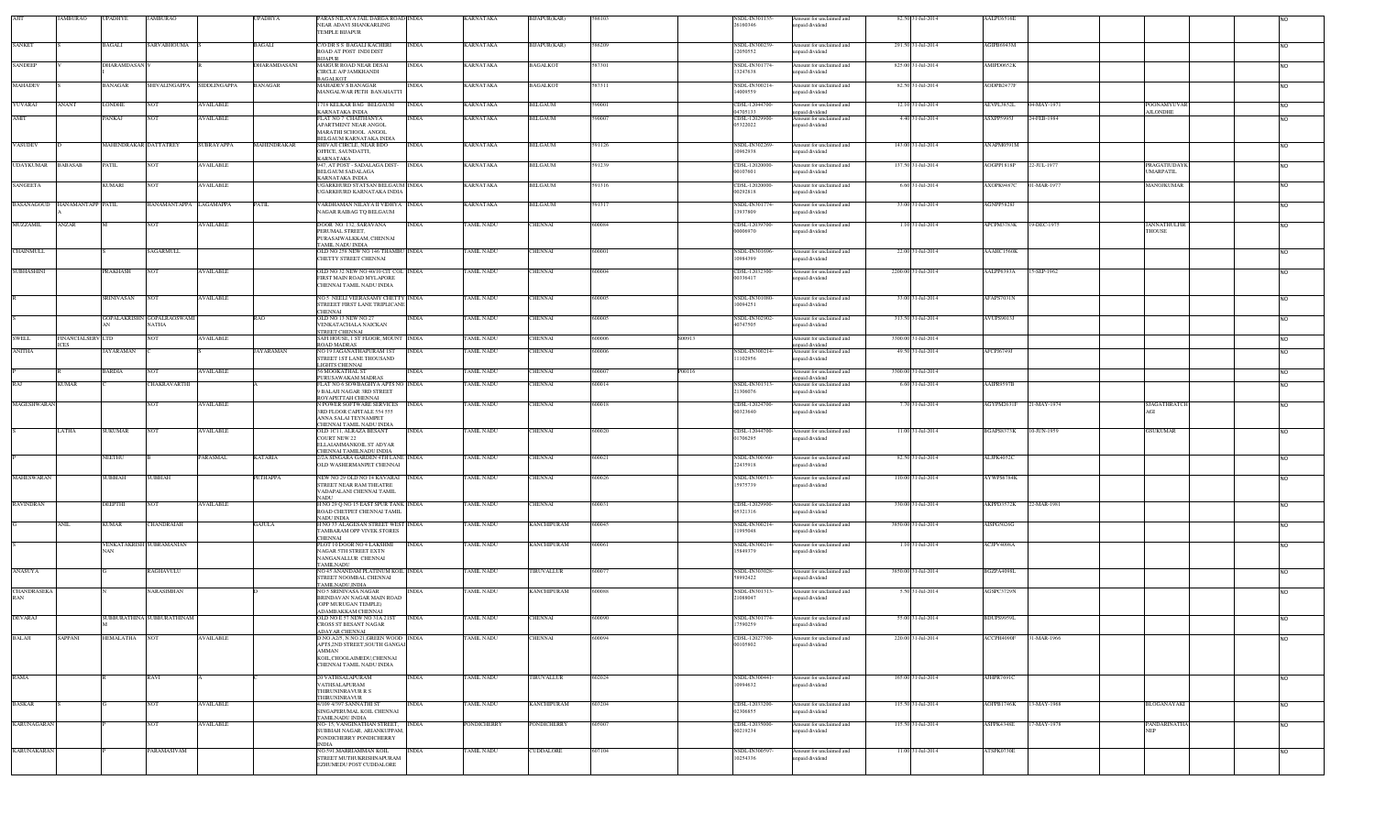|                    | <b>JAMBURAO</b>                  | <b>UPADHYE</b>           | <b>JAMBURAO</b>                            |                  | <b>UPADHYA</b> | PARAS NILAYA JAIL DARGA ROAD INDIA<br>NEAR ADAVI SHANKARLING<br>TEMPLE BUAPUR          |              | KARNATAKA                | BIJAPUR(KAR)       |        |        | NSDL-IN301135<br>26160346        | Amount for unclaimed and<br>inpaid dividend | 82.50 31-Jul-2014   | AALPU6516E        |             |                                  |                |
|--------------------|----------------------------------|--------------------------|--------------------------------------------|------------------|----------------|----------------------------------------------------------------------------------------|--------------|--------------------------|--------------------|--------|--------|----------------------------------|---------------------------------------------|---------------------|-------------------|-------------|----------------------------------|----------------|
| <b>SANKET</b>      |                                  | BAGALI                   | SARVABHOUMA                                |                  | BAGALI         | C/O DR S S BAGALI KACHERI                                                              | INDIA        | KARNATAKA                | BIJAPUR(KAR)       | 586209 |        | NSDL-IN300239                    | Amount for unclaimed and                    | 291.50 31-Jul-2014  | AGIPB6943M        |             |                                  | <b>NO</b>      |
| <b>SANDEEP</b>     |                                  | DHARAMDASAN <sup>1</sup> |                                            |                  | DHARAMDASANI   | ROAD AT POST INDI DIST<br>BIJAPUR<br><b>MAIGUR ROAD NEAR DESAI</b>                     | <b>INDIA</b> | <b>KARNATAKA</b>         | <b>BAGALKOT</b>    | 587301 |        | 12050552<br>NSDL-IN301774-       | npaid dividend<br>Amount for unclaimed and  | 825.00 31-Jul-2014  | AMIPD0652K        |             |                                  | <b>NO</b>      |
|                    |                                  |                          |                                            |                  |                | CIRCLE A/P JAMKHANDI<br>BAGALKOT                                                       |              |                          |                    |        |        | 13247638                         | apaid dividend                              |                     |                   |             |                                  |                |
| <b>MAHADEV</b>     |                                  | BANAGAR                  | SHIVALINGAPPA SIDDLINGAPPA                 |                  | <b>BANAGAR</b> | <b>MAHADEV S BANAGAR</b><br>MANGALWAR PETH BANAHATT                                    | <b>INDIA</b> | <b>KARNATAKA</b>         | <b>BAGALKOT</b>    | 587311 |        | <b>NSDL-IN300214</b><br>14009559 | Amount for unclaimed and<br>apaid dividend  | 82.50 31-Jul-2014   | AODPB2477F        |             |                                  | <b>NO</b>      |
| YUVARAJ            | <b>NANT</b>                      | LONDHE                   | <b>NOT</b>                                 | <b>AVAILABLE</b> |                | 718 KELKAR BAG BELGAUM<br>KARNATAKA INDIA                                              | <b>INDIA</b> | KARNATAKA                | <b>BELGAUM</b>     | 590001 |        | CDSL-12044700<br>04705133        | mount for unclaimed and<br>npaid dividend   | 12.10 31-Jul-2014   | AEVPL3852L        | 04-MAY-1971 | POONAMYUVAR<br><b>AJLONDHE</b>   | <b>NO</b>      |
| AMIT               |                                  | PANKAJ                   | <b>NOT</b>                                 | <b>AVAILABLE</b> |                | FLAT NO 7 CHAITHANYA<br>APARTMENT NEAR ANGOL                                           | INDIA        | <b>KARNATAKA</b>         | <b>BELGAUM</b>     | 590007 |        | CDSL-12029900<br>05322022        | Amount for unclaimed and<br>apaid dividend  | 4.40 31-Jul-2014    | ASXPP5995J        | 24-FEB-1984 |                                  | <b>NO</b>      |
|                    |                                  |                          |                                            |                  |                | MARATHI SCHOOL ANGOL<br>BELGAUM KARNATAKA INDIA                                        |              |                          |                    |        |        |                                  |                                             |                     |                   |             |                                  |                |
| VASUDEV            |                                  | MAHENDRAKAR DATTATREY    |                                            | SUBRAYAPPA       | MAHENDRAKAR    | SHIVAJI CIRCLE, NEAR BDO<br>OFFICE, SAUNDATTI,<br>KARNATAKA                            | <b>INDIA</b> | <b>KARNATAKA</b>         | <b>BELGAUM</b>     | 591126 |        | NSDL-IN302269<br>10962938        | Amount for unclaimed and<br>npaid dividend  | 143.00 31-Jul-2014  | ANAPM0591M        |             |                                  | <b>NO</b>      |
| <b>UDAYKUMAR</b>   | <b>BABASAB</b>                   | <b>PATIL</b>             | <b>NOT</b>                                 | <b>AVAILABLE</b> |                | 947, AT POST - SADALAGA DIST-<br><b>BELGAUM SADALAGA</b>                               | <b>INDIA</b> | <b>KARNATAKA</b>         | <b>BELGAUM</b>     | 591239 |        | CDSL-12020000<br>00107601        | Amount for unclaimed and<br>npaid dividend  | 137.50 31-Jul-2014  | AOGPP1818F        | 22-JUL-1977 | PRAGATIUDAYK<br><b>UMARPATIL</b> | <b>NO</b>      |
| SANGEETA           |                                  | KUMARI                   | <b>NOT</b>                                 | <b>AVAILABLE</b> |                | KARNATAKA INDIA<br>UGARKHURD STATSAN BELGAUM INDIA<br>UGARKHURD KARNATAKA INDIA        |              | <b>KARNATAKA</b>         | <b>BELGAUM</b>     | 591316 |        | CDSL-12020000<br>00292818        | Amount for unclaimed and<br>npaid dividend  | 6.60 31-Jul-2014    | AXOPK9487C        | 1-MAR-1977  | MANOJKUMAR                       | <b>NO</b>      |
| <b>BASANAGOUD</b>  | HANAMANTAPP PATIL                |                          | HANAMANTAPPA LAGAMAPPA                     |                  | PATIL          | VARDHAMAN NILAYA II VIDHYA INDIA<br>NAGAR RAIBAG TQ BELGAUM                            |              | KARNATAKA                | <b>BELGAUM</b>     | 591317 |        | NSDL-IN301774<br>13937809        | Amount for unclaimed and<br>apaid dividend  | 33.00 31-Jul-2014   | AGNPP5828J        |             |                                  | <b>NO</b>      |
| <b>MUZZAMIL</b>    | ANZAR                            |                          | <b>NOT</b>                                 | <b>AVAILABLE</b> |                | DOOR NO. 132, SARAVANA                                                                 | <b>INDIA</b> | <b>TAMIL NADU</b>        | <b>CHENNAI</b>     | 600084 |        | CDSL-12039700                    | mount for unclaimed and                     | 1.10 31-Jul-2014    | APCPM3783K        | 19-DEC-1975 | JANNATHULFIR                     | <b>NO</b>      |
|                    |                                  |                          |                                            |                  |                | PERUMAL STREET,<br>PURASAIWALKKAM, CHENNAI                                             |              |                          |                    |        |        | 00006970                         | apaid dividend                              |                     |                   |             | <b>THOUSE</b>                    |                |
| <b>CHAINMULL</b>   |                                  |                          | <b>SAGARMULL</b>                           |                  |                | AMIL NADU INDIA<br>OLD NO 258 NEW NO 146 THAMBU INDIA<br>CHETTY STREET CHENNAI         |              | <b><i>FAMIL NADU</i></b> | <b>CHENNAI</b>     | 600001 |        | NSDL-IN301696<br>10984399        | Amount for unclaimed and<br>apaid dividend  | 22.00 31-Jul-2014   | AAAHC1560K        |             |                                  | <b>NO</b>      |
| <b>SUBHASHINI</b>  |                                  | <b>PRAKHASH</b>          | <b>NOT</b>                                 | <b>AVAILABLE</b> |                | OLD NO 32 NEW NO 40/10 CIT COL INDIA                                                   |              | TAMIL NADU               | <b>CHENNAI</b>     | 600004 |        | CDSL-12032300                    | Amount for unclaimed and                    | 2200.00 31-Jul-2014 | AALPP6393A        | 15-SEP-1962 |                                  | <b>NO</b>      |
|                    |                                  |                          |                                            |                  |                | FIRST MAIN ROAD MYLAPORE<br>CHENNAI TAMIL NADU INDIA                                   |              |                          |                    |        |        | 00336417                         | npaid dividend                              |                     |                   |             |                                  |                |
|                    |                                  | SRINIVASAN               | <b>NOT</b>                                 | <b>AVAILABLE</b> |                | NO 5 NEELI VEERASAMY CHETTY INDIA<br>STREEET FIRST LANE TRIPLICANI                     |              | <b><i>FAMIL NADU</i></b> | <b>CHENNAI</b>     | 600005 |        | NSDL-IN301080-<br>10094251       | Amount for unclaimed and<br>apaid dividend  | 33.00 31-Jul-2014   | AFAPS7031N        |             |                                  | <b>NO</b>      |
|                    |                                  |                          | GOPALAKRISHN GOPALRAOSWAMI<br><b>NATHA</b> |                  | RAO            | <b>CHENNAI</b><br>OLD NO 13 NEW NO 27<br>VENKATACHALA NAICKAN                          | <b>INDIA</b> | <b><i>FAMIL NADU</i></b> | CHENNAI            | 600005 |        | <b>NSDL-IN302902</b><br>40747505 | mount for unclaimed and<br>apaid dividend   | 313.50 31-Jul-2014  | <b>AVUPS9013J</b> |             |                                  | N <sub>O</sub> |
| <b>SWELL</b>       | FINANCIALSERV LTD<br><b>ICES</b> |                          | NOT                                        | <b>AVAILABLE</b> |                | STREET CHENNAL<br>SAFI HOUSE, 1 ST FLOOR, MOUNT INDIA<br><b>ROAD MADRAS</b>            |              | <b><i>FAMIL NADU</i></b> | CHENNAI            | 600006 | S00913 |                                  | mount for unclaimed and<br>apaid dividend   | 3300.00 31-Jul-2014 |                   |             |                                  | <b>NO</b>      |
| <b>ANITHA</b>      |                                  | JAYARAMAN                |                                            |                  | AYARAMAN       | NO 19 JAGANATHAPURAM IST<br>STREET IST LANE THOUSAND                                   | <b>INDIA</b> | AMIL NADU                | CHENNAI            | 600006 |        | NSDL-IN300214<br>11102956        | mount for unclaimed and<br>apaid dividend   | 49.50 31-Jul-2014   | AFCPJ6749J        |             |                                  | <b>NO</b>      |
|                    |                                  | 3 ARDIA                  | NOT                                        | <b>WAILABLE</b>  |                | LIGHTS CHENNAI<br>6 MOOKATHAL ST                                                       | INDIA        | AMIL NADU                | CHENNAI            | 500007 | P00116 |                                  | mount for unclaimed and                     | 3300.00 31-Jul-2014 |                   |             |                                  | N <sub>O</sub> |
| <b>RAJ</b>         | KUMAR                            |                          | CHAKRAVARTH                                |                  |                | PURUSAWAKAM MADRAS<br>FLAT NO 6 SOWBAGHYA APTS NO INDIA                                |              | AMIL NADU                | CHENNAI            | 600014 |        | NSDL-IN301313                    | npaid dividend<br>mount for unclaimed and   | 6.60 31-Jul-2014    | AAIPR9597B        |             |                                  | <b>NO</b>      |
|                    |                                  |                          |                                            |                  |                | 9 BALAJI NAGAR 3RD STREET<br>ROYAPETTAH CHENNAI                                        |              |                          |                    |        |        | 21306076                         | apaid dividend                              |                     |                   |             |                                  |                |
| MAGESHWARAN        |                                  |                          | <b>NOT</b>                                 | <b>AVAILABLE</b> |                | N POWER SOFTWARE SERVICES<br>3RD FLOOR CAPITALE 554 555<br>ANNA SALAI TEYNAMPET        | <b>INDIA</b> | <b><i>FAMIL NADU</i></b> | <b>CHENNAI</b>     | 600018 |        | CDSL-12024700-<br>00323640       | Amount for unclaimed and<br>npaid dividend  | 7.70 31-Jul-2014    | AGYPM2631F        | 21-MAY-1974 | <b>SJAGATHRATCH</b><br>AGI       | <b>NO</b>      |
|                    | LATHA                            | SUKUMAR                  | <b>NOT</b>                                 | <b>AVAILABLE</b> |                | CHENNAI TAMIL NADU INDIA<br>OLD ICH, ALRAZA BESANT                                     | <b>INDIA</b> | TAMIL NADU               | <b>CHENNAI</b>     | 600020 |        | CDSL-12044700                    | Amount for unclaimed and                    | 11.00 31-Jul-2014   | BGAPS8373K        | 10-JUN-1959 | <b>GSUKUMAR</b>                  | <b>NO</b>      |
|                    |                                  |                          |                                            |                  |                | COURT NEW 22<br>ELLAIAMMANKOIL ST ADYAR<br>CHENNAI TAMILNADU INDIA                     |              |                          |                    |        |        | 01706295                         | inpaid dividend                             |                     |                   |             |                                  |                |
|                    |                                  | NEETHU                   |                                            | PARASMAL         | <b>KATARIA</b> | 2/2A SINGARA GARDEN 4TH LANE INDIA<br>OLD WASHERMANPET CHENNAI                         |              | TAMIL NADU               | <b>CHENNAI</b>     | 600021 |        | NSDL-IN300360<br>22435918        | Amount for unclaimed and<br>paid dividend   | 82.50 31-Jul-2014   | ALJPK4052C        |             |                                  | <b>NO</b>      |
| <b>MAHESWARAN</b>  |                                  | <b>SUBBIAH</b>           | <b>SUBBIAH</b>                             |                  | PETHAPPA       | NEW NO 29 OLD NO 14 KAVARAI INDIA<br>STREET NEAR RAM THEATRE                           |              | <b>TAMIL NADU</b>        | <b>CHENNAI</b>     | 600026 |        | NSDL-IN300513<br>15975739        | Amount for unclaimed and<br>npaid dividend  | 110.00 31-Jul-2014  | AYWPS6784K        |             |                                  | <b>NO</b>      |
|                    |                                  |                          |                                            |                  |                | VADAPALANI CHENNAI TAMIL<br>NADU                                                       |              |                          |                    |        |        |                                  |                                             |                     |                   |             |                                  |                |
| <b>RAVINDRAN</b>   |                                  | DEEPTHI                  | <b>NOT</b>                                 | <b>AVAILABLE</b> |                | H NO 29 Q NO 15 EAST SPUR TANK INDIA<br>ROAD CHETPET CHENNAI TAMIL<br>NADU INDIA       |              | <b>TAMIL NADU</b>        | <b>CHENNAI</b>     | 600031 |        | CDSL-12029900<br>05321316        | Amount for unclaimed and<br>npaid dividend  | 330.00 31-Jul-2014  | AKPPD3572K        | 22-MAR-1981 |                                  | <b>NO</b>      |
|                    | <b>ANIL</b>                      | <b>KUMAR</b>             | CHANDRAIAH                                 |                  | <b>GAJULA</b>  | H NO 33 ALAGESAN STREET WEST INDIA<br><b>TAMBARAM OPP VIVEK STORES</b>                 |              | TAMIL NADU               | <b>KANCHIPURAM</b> | 600045 |        | NSDL-IN300214<br>11995048        | Amount for unclaimed and<br>apaid dividend  | 3850.00 31-Jul-2014 | AISPG5026G        |             |                                  | <b>NO</b>      |
|                    |                                  |                          | VENKATAKRISH SUBRAMANIAN                   |                  |                | CHENNAI<br>PLOT 10 DOOR NO 4 LAKSHMI                                                   | <b>INDIA</b> | TAMIL NADU               | <b>KANCHIPURAM</b> | 600061 |        | NSDL-IN300214                    | mount for unclaimed and                     | 1.10 31-Jul-2014    | ACJPV4098A        |             |                                  | <b>NO</b>      |
|                    |                                  | NAN                      |                                            |                  |                | NAGAR 5TH STREET EXTN<br>NANGANALLUR CHENNAI<br><b>TAMILNADU</b>                       |              |                          |                    |        |        | 15849379                         | npaid dividend                              |                     |                   |             |                                  |                |
| ANASUYA            |                                  |                          | RAGHAVULU                                  |                  |                | NO 45 ANANDAM PLATINUM KOIL INDIA<br>STREET NOOMBAL CHENNAI<br><b>TAMILNADU.INDIA</b>  |              | <b><i>FAMIL NADU</i></b> | TIRUVALLUR         | 600077 |        | <b>NSDL-IN303028</b><br>58992422 | Amount for unclaimed and<br>npaid dividend  | 3850.00 31-Jul-2014 | BGZPA4098L        |             |                                  | <b>NO</b>      |
| CHANDRASEKA<br>RAN |                                  |                          | NARASIMHAN                                 |                  |                | NO 5 SRINIVASA NAGAR<br>BRINDAVAN NAGAR MAIN ROAD                                      | <b>INDIA</b> | TAMIL NADU               | <b>KANCHIPURAM</b> | 600088 |        | NSDL-IN301313-<br>21088047       | Amount for unclaimed and<br>npaid dividend  | 5.50 31-Jul-2014    | AGSPC3729N        |             |                                  | <b>NO</b>      |
| <b>DEVARAJ</b>     |                                  |                          | SUBBURATHINA SUBBURATHINAM                 |                  |                | OPP MURUGAN TEMPLE)<br><b>ADAMBAKKAM CHENNAI</b><br>OLD NO E 57 NEW NO 31A 21ST        | <b>INDIA</b> | <b>TAMIL NADU</b>        | <b>CHENNAI</b>     | 600090 |        | NSDL-IN301774                    | Amount for unclaimed and                    | 55.00 31-Jul-2014   | BDUPS9959L        |             |                                  | <b>NO</b>      |
|                    |                                  |                          |                                            |                  |                | CROSS ST BESANT NAGAR<br><b>ADAYAR CHENNAI</b>                                         |              |                          |                    |        |        | 17590259                         | npaid dividend                              |                     |                   |             |                                  |                |
| BALAJI             | SAPPANI                          | HEMALATHA                | <b>NOT</b>                                 | <b>AVAILABLE</b> |                | D.NO.A2/5, N.NO.21, GREEN WOOD INDIA<br>APTS, 2ND STREET, SOUTH GANGAI<br><b>AMMAN</b> |              | <b>TAMIL NADU</b>        | <b>CHENNAI</b>     |        |        | CDSL-12027700<br>00105802        | Amount for unclaimed and<br>npaid dividend  | 220.00 31-Jul-2014  | ACCPH4090F        | 31-MAR-1966 |                                  | <b>NO</b>      |
|                    |                                  |                          |                                            |                  |                | KOIL, CHOOLAIMEDU, CHENNAI<br>CHENNAI TAMIL NADU INDIA                                 |              |                          |                    |        |        |                                  |                                             |                     |                   |             |                                  |                |
| RAMA               |                                  |                          | RAVI                                       |                  |                | 20 VATHSALAPURAM                                                                       | INDIA        | TAMIL NADU               | TIRUVALLUR         | 602024 |        | NSDL-IN300441                    | Amount for unclaimed and                    | 165.00 31-Jul-2014  | AJHPR7691C        |             |                                  | <b>NO</b>      |
|                    |                                  |                          |                                            |                  |                | VATHSALAPURAM<br>THIRUNINRAVUR R S                                                     |              |                          |                    |        |        | 10994632                         | npaid dividend                              |                     |                   |             |                                  |                |
| <b>BASKAR</b>      |                                  |                          | NOT                                        | <b>AVAILABLE</b> |                | THIRUNINRAVUR<br>4/109 4/397 SANNATHI ST<br>SINGAPERUMAL KOIL CHENNAI                  | INDIA        | TAMIL NADU               | <b>KANCHIPURAM</b> | 603204 |        | CDSL-12033200-<br>02306855       | Amount for unclaimed and<br>npaid dividend  | 115.50 31-Jul-2014  | AOFPB1746K        | 13-MAY-1968 | BLOGANAYAKI                      | <b>NO</b>      |
| <b>KARUNAGARAN</b> |                                  |                          | <b>NOT</b>                                 | <b>AVAILABLE</b> |                | TAMILNADU INDIA<br>NO-15, VANGINATHAN STREET,                                          | <b>INDIA</b> | <b>PONDICHERRY</b>       | <b>PONDICHERRY</b> | 605007 |        | CDSL-12035000-                   | Amount for unclaimed and                    | 115.50 31-Jul-2014  | ASFPK4348E        | 17-MAY-1978 | PANDARINATHA                     | <b>NO</b>      |
|                    |                                  |                          |                                            |                  |                | SUBBIAH NAGAR, ARIANKUPPAM<br>PONDICHERRY PONDICHERRY<br><b>NDIA</b>                   |              |                          |                    |        |        | 00219234                         | npaid dividend                              |                     |                   |             | <b>NEP</b>                       |                |
| <b>KARUNAKARAN</b> |                                  |                          | PARAMASIVAM                                |                  |                | NO.591, MARRIAMMAN KOIL<br>STREET MUTHUKRISHNAPURAM                                    | <b>INDIA</b> | TAMIL NADU               | CUDDALORE          | 607104 |        | NSDL-IN300597<br>10254336        | Amount for unclaimed and<br>npaid dividend  | 11.00 31-Jul-2014   | ATSPK0730E        |             |                                  | <b>NO</b>      |
|                    |                                  |                          |                                            |                  |                | EZHUMEDU POST CUDDALORE                                                                |              |                          |                    |        |        |                                  |                                             |                     |                   |             |                                  |                |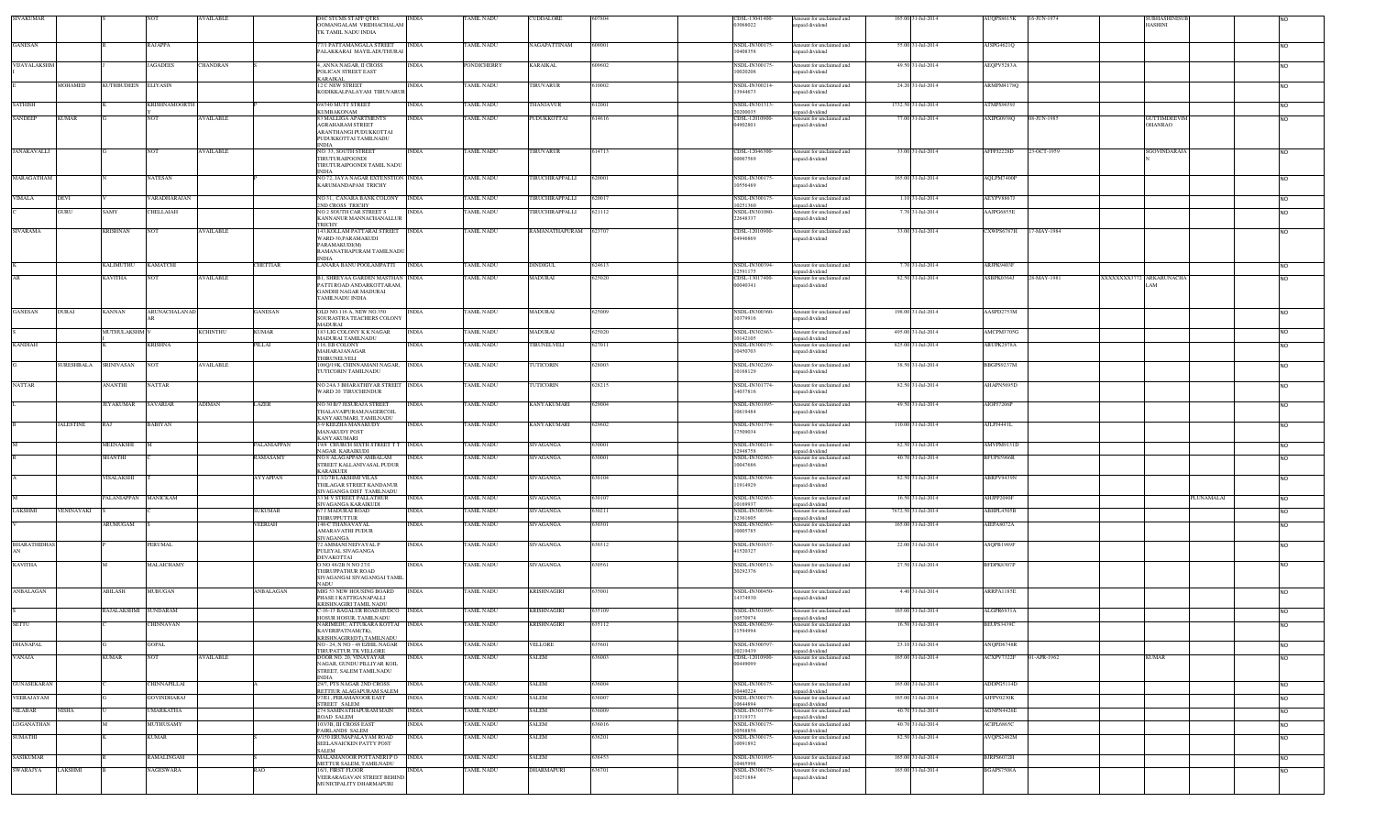| SIVAKUMAR          |                       |                             |                      | VAILABLE         |                                      | DOMANGALAM VRIDHACHALAM                                                                                               | INDIA        | TAMIL NADU               | CUDDALORE                     |                 | CDSL-13041400<br>03068022                   | Amount for unclaimed and<br>inpaid dividend                           | 165.00 31-Jul-2014                     | AUQPS8615K<br>16-JUN-1974       |                         | <b>SUBHASHINIS</b><br>HASHINI         |                  |
|--------------------|-----------------------|-----------------------------|----------------------|------------------|--------------------------------------|-----------------------------------------------------------------------------------------------------------------------|--------------|--------------------------|-------------------------------|-----------------|---------------------------------------------|-----------------------------------------------------------------------|----------------------------------------|---------------------------------|-------------------------|---------------------------------------|------------------|
|                    |                       |                             |                      |                  |                                      | IK TAMIL NADU INDIA                                                                                                   |              | <b>TAMIL NADU</b>        |                               | 609001          |                                             |                                                                       |                                        |                                 |                         |                                       |                  |
| <b>GANESAN</b>     |                       |                             | RAJAPPA              |                  |                                      | 77/1 PATTAMANGALA STREET<br>ALAKKARAI MAYILADUTHURAI                                                                  | <b>INDIA</b> |                          | NAGAPATTINAM                  |                 | NSDL-IN300175<br>10408358                   | Amount for unclaimed and<br>inpaid dividend                           | 55.00 31-Jul-2014                      | AJSPG4621Q                      |                         |                                       | NO.              |
| VIJAYALAKSHM       |                       |                             | <b>JAGADEES</b>      | CHANDRAN         |                                      | . ANNA NAGAR, II CROSS<br>POLICAN STREET EAST                                                                         | <b>INDIA</b> | PONDICHERRY              | KARAIKAL                      | 609602          | NSDL-IN300175-<br>10020208                  | Amount for unclaimed and<br>inpaid dividend                           | 49.50 31-Jul-2014                      | AEOPV5283A                      |                         |                                       | <b>NO</b>        |
|                    | MOHAMED               | KUTHBUDEEN ELIYASIN         |                      |                  |                                      | KARAIKAL<br>2 C NEW STREET                                                                                            | <b>INDIA</b> | TAMIL NADU               | TIRUVARUR                     | 610002          | NSDL-IN300214-                              | Amount for unclaimed and                                              | 24.20 31-Jul-2014                      | ARMPM4178Q                      |                         |                                       | NO.              |
|                    |                       |                             |                      |                  |                                      | KODIKKALPALAYAM TIRUVARUR                                                                                             |              |                          |                               |                 | 13944673                                    | npaid dividend                                                        |                                        |                                 |                         |                                       |                  |
| <b>SATHISH</b>     |                       |                             | <b>KRISHNAMOORTH</b> |                  |                                      | 9/340 MUTT STREET<br>KUMBAKONAM                                                                                       | <b>INDIA</b> | <b>FAMIL NADU</b>        | THANJAVUR                     | 12001           | NSDL-IN301313-<br>20200035                  | Amount for unclaimed and<br>mpaid dividend                            | 1732.50 31-Jul-2014                    | <b>ATMPS9659J</b>               |                         |                                       | NO.              |
| <b>SANDEEP</b>     | <b>KUMAR</b>          |                             | <b>NOT</b>           | <b>AVAILABLE</b> |                                      | 3 MALLIGA APARTMENTS<br><b>AGRAHARAM STREET</b><br>ARANTHANGI PUDUKKOTTAI<br>PUDUKKOTTAI TAMILNADU<br><b>NDIA</b>     | <b>INDIA</b> | <b>TAMIL NADU</b>        | PUDUKKOTTAI                   | 614616          | CDSL-12010900-<br>04902801                  | Amount for unclaimed and<br>npaid dividend                            | 77.00 31-Jul-2014                      | 08-JUN-1985<br>AXIPG0938Q       |                         | <b>GUTTIMDEEVIM</b><br><b>OHANRAO</b> | NO.              |
| <b>JANAKAVALLI</b> |                       |                             | NOT                  | AVAILABLE        |                                      | NO: 33, SOUTH STREET<br>TIRUTURAIPOONDI<br>TIRUTURAIPOONDI TAMIL NADU                                                 | <b>INDIA</b> | <b>TAMIL NADU</b>        | TIRUVARUR                     | 614713          | CDSL-12046300<br>00067569                   | Amount for unclaimed and<br>inpaid dividend                           | 33.00 31-Jul-2014                      | AFFPJ2228D<br>23-OCT-1959       |                         | SGOVINDARAJA                          |                  |
| MARAGATHAM         |                       |                             | <b>NATESAN</b>       |                  |                                      | NDIA<br>NO 72, JAYA NAGAR EXTENSTION INDIA<br>KARUMANDAPAM TRICHY                                                     |              | TAMIL NADU               | TIRUCHIRAPPALLI               | 620001          | NSDL-IN300175<br>10556489                   | Amount for unclaimed and<br>npaid dividend                            | 165.00 31-Jul-2014                     | AQLPM7400P                      |                         |                                       | NO.              |
| VIMALA             | DEVI                  |                             | VARADHARAJAN         |                  |                                      | NO 31, CANARA BANK COLONY NDIA<br>2ND CROSS TRICHY                                                                    |              | <b>TAMIL NADU</b>        | TIRUCHIRAPPALLI               | 620017          | NSDL-IN300175<br>0251360                    | Amount for unclaimed and                                              | 1.10 31-Jul-2014                       | AEYPV8867J                      |                         |                                       | <b>NO</b>        |
|                    | GURU                  | SAMY                        | CHELLAIAH            |                  |                                      | NO 2 SOUTH CAR STREET S<br>KANNANUR MANNACHANALLUR                                                                    | <b>INDIA</b> | <b>FAMIL NADU</b>        | TIRUCHIRAPPALLI               | 621112          | NSDL-IN301080-<br>22648337                  | unpaid dividend<br>Amount for unclaimed and<br>npaid dividend         | 7.70 31-Jul-2014                       | AAJPG6855E                      |                         |                                       | NO.              |
| <b>SIVARAMA</b>    |                       | <b>KRISHNAN</b>             | <b>NOT</b>           | AVAILABLE        |                                      | <b>TRICHY</b><br>43, KOLLAM PATTARAI STREET INDIA<br>WARD-30, PARAMAKUDI<br>PARAMAKUDI(M)<br>RAMANATHAPURAM TAMILNADU |              | <b>TAMIL NADU</b>        | RAMANATHAPURAM                | 623707          | CDSL-12010900-<br>04946869                  | mount for unclaimed and<br>inpaid dividend                            | 33.00 31-Jul-2014                      | CXWPS6787H<br>17-MAY-1984       |                         |                                       | NO.              |
|                    |                       | KALIMUTHU                   | <b>KAMATCHI</b>      |                  | CHETTIAR                             | NDIA<br>ANARA BANU POOLAMPATTI                                                                                        | <b>INDIA</b> | <b><i>FAMIL NADU</i></b> | DINDIGUL                      | 24613           | VSDL-IN300394-                              | mount for unclaimed and                                               | 7.70 31-Jul-2014                       | ARJPK9403F                      |                         |                                       | NO.              |
|                    |                       | <b>KAVITHA</b>              | <b>NOT</b>           | AVAILABLE        |                                      | 1, SHREYAA GARDEN MASTHAN INDIA                                                                                       |              | TAMIL NADU               | MADURAI                       | 25020           | 2591175<br>CDSL-13017400-                   | npaid dividend<br>Amount for unclaimed and                            | 82.50 31-Jul-2014                      | 28-MAY-1981<br>ASBPK0364J       | XXXXXXX3772 ARKARUNACHA |                                       | NO.              |
|                    |                       |                             |                      |                  |                                      | PATTI ROAD ANDARKOTTARAM,<br>GANDHI NAGAR MADURAI<br><b><i>TAMILNADU INDIA</i></b>                                    |              |                          |                               |                 | 00040341                                    | unpaid dividend                                                       |                                        |                                 |                         |                                       |                  |
| <b>GANESAN</b>     | DURAI                 | <b>KANNAN</b>               | ARUNACHALANAD        |                  | <b>GANESAN</b>                       | DLD NO.116 A, NEW NO.350<br>SOURASTRA TEACHERS COLONY<br>MADURAI                                                      | INDIA        | TAMIL NADU               | MADURAI                       | 625009          | NSDL-IN300360-<br>0379916                   | Amount for unclaimed and<br>npaid dividend                            | 198.00 31-Jul-2014                     | AASPD2753M                      |                         |                                       | NO.              |
|                    |                       | MUTHULAKSHM                 |                      | KCHINTHU         | <b>KUMAR</b>                         | 183 LIG COLONY K K NAGAR<br><b>AADURAI TAMILNADU</b>                                                                  | INDIA        | <b>TAMIL NADU</b>        | MADURAI                       | 625020          | NSDL-IN302863-<br>0142105                   | Amount for unclaimed and<br>npaid dividend                            | 495.00 31-Jul-2014                     | AMCPM3705C                      |                         |                                       | <b>NO</b>        |
| <b>KANDIAH</b>     |                       |                             | <b>KRISHNA</b>       |                  | PILLAI                               | 116, EB COLONY<br>MAHARAJANAGAR                                                                                       | INDIA        | TAMIL NADU               | TIRUNELVELI                   | 27011           | NSDL-IN300175<br>10450703                   | Amount for unclaimed and<br>inpaid dividend                           | 825.00 31-Jul-2014                     | ARUPK2978A                      |                         |                                       | NO.              |
|                    | SURESHBALA SRINIVASAN |                             | <b>NOT</b>           | AVAILABLE        |                                      | THIRUNELVELI<br>06Q/19K, CHINNAMANI NAGAR, INDIA<br>TUTICORIN TAMILNADU                                               |              | <b>TAMIL NADU</b>        | UTICORIN                      | 628003          | NSDL-IN302269<br>10168129                   | Amount for unclaimed and<br>inpaid dividend                           | 38.50 31-Jul-2014                      | BBGPS9237M                      |                         |                                       | <b>NO</b>        |
| <b>NATTAR</b>      |                       | <b>ANANTHI</b>              | <b>NATTAR</b>        |                  |                                      | NO 24A 3 BHARATHIYAR STREET INDIA<br>VARD 20 TIRUCHENDUR                                                              |              | <b>TAMIL NADU</b>        | UTICORIN                      | 628215          | NSDL-IN301774-<br>4037816                   | Amount for unclaimed and<br>npaid dividend                            | 82.50 31-Jul-2014                      | AHAPN5695E                      |                         |                                       | <b>NO</b>        |
|                    |                       | JEYAKUMAR                   | SAVARIAR             | ADIMAN           | LAZER                                | NO 30 B/7 JESURAJA STREET                                                                                             | <b>INDIA</b> | <b>TAMIL NADU</b>        | KANYAKUMARI                   | 629004          | NSDL-IN301895-                              | Amount for unclaimed and                                              | 49.50 31-Jul-2014                      | AIOPJ7206P                      |                         |                                       | NO.              |
|                    | <b>JALESTINE</b>      | RAJ                         | <b>BABIYAN</b>       |                  |                                      | THALAVAIPURAM, NAGERCOIL<br>KANYAKUMARI, TAMILNADU<br>-9 KEEZHA MANAKUDY                                              | <b>INDIA</b> | <b>FAMIL NADU</b>        | KANYAKUMARI                   | 629602          | 10619484<br>NSDL-IN301774-                  | inpaid dividend<br>Amount for unclaimed and                           | 110.00 31-Jul-2014                     | AJLPJ4441L                      |                         |                                       | NO.              |
|                    |                       |                             |                      |                  |                                      | <b>MANAKUDY POST</b><br>CANYAKUMARI                                                                                   |              |                          |                               |                 | 17509034                                    | apaid dividend                                                        |                                        |                                 |                         |                                       |                  |
|                    |                       | MEENAKSHI<br><b>SHANTHI</b> |                      |                  | <b>ALANIAPPAN</b><br><b>RAMASAMY</b> | 9/4 CHURCH SIXTH STREET T T INDIA<br><b>AGAR KARAIKUDI</b><br>NO 8 ALAGAPPAN AMBALAM                                  | <b>INDIA</b> | AMIL NADU<br>TAMIL NADU  | <b>SIVAGANGA</b><br>SIVAGANGA | 30001<br>630001 | NSDL-IN300214-<br>2948758<br>NSDL-IN302863- | mount for unclaimed and<br>npaid dividend<br>Amount for unclaimed and | 82.50 31-Jul-2014<br>40.70 31-Jul-2014 | AMVPM9131D<br><b>BFUPS5966R</b> |                         |                                       | NO.<br><b>NO</b> |
|                    |                       |                             |                      |                  |                                      | STREET KALLANIVASAL PUDUR<br>KARAIKUDI                                                                                |              |                          |                               |                 | 10047686                                    | apaid dividend                                                        |                                        |                                 |                         |                                       |                  |
|                    |                       | <b>VISALAKSHI</b>           |                      |                  | <b>AYYAPPAN</b>                      | 3/2/7B LAKSHMI VILAS<br>THILAGAR STREET KANDANUR<br>IVAGANGA DIST TAMILNADU                                           | <b>INDIA</b> | TAMIL NADU               | SIVAGANGA                     | 630104          | NSDL-IN300394-<br>11914929                  | Amount for unclaimed and<br>npaid dividend                            | 82.50 31-Jul-2014                      | ABRPV9439N                      |                         |                                       | NO.              |
|                    |                       | PALANIAPPAN MANICKAM        |                      |                  |                                      | <b>M V STREET PALLATHUR</b><br><b>IVAGANGA KARAIKUDI</b>                                                              | <b>INDIA</b> | <b>FAMIL NADU</b>        | SIVAGANGA                     | 30107           | NSDL-IN302863-<br>0169937                   | Amount for unclaimed and                                              | 16.50 31-Jul-2014                      | AHJPP2090F                      |                         | PLUNAMALAI                            | NO.              |
| LAKSHMI            | VENINAYAKI            |                             |                      |                  | <b>SUKUMAR</b>                       | 7 J MADURAI ROAD<br>HIRUPPUTTUR                                                                                       | <b>INDIA</b> | <b>TAMIL NADU</b>        | SIVAGANGA                     | 630211          | NSDL-IN300394-<br>2361605                   | inpaid dividend<br>Amount for unclaimed and                           | 7672.50 31-Jul-2014                    | ABHPL4505B                      |                         |                                       | <b>NO</b>        |
|                    |                       | ARUMUGAM                    |                      |                  | <b>VEERIAH</b>                       | 46-C THANAVAYAL<br>AMARAVATHI PUDUR                                                                                   | INDIA        | TAMIL NADU               | IVAGANGA                      | 630301          | NSDL-IN302863-<br>10005785                  | inpaid dividend<br>Amount for unclaimed and<br>inpaid dividend        | 165.00 31-Jul-2014                     | AIEPA8072A                      |                         |                                       | <b>NO</b>        |
| BHARATHIDHA<br>AN  |                       |                             | PERUMAL              |                  |                                      | SIVAGANGA<br>2 AMMANI NEIVAYAL P<br><b>ULEYAL SIVAGANGA</b>                                                           | INDIA        | TAMIL NADU               | SIVAGANGA                     | 630312          | NSDL-IN30163<br>41520327                    | Amount for unclaimed and<br>inpaid dividend                           | 22.00 31-Jul-2014                      | ASQPB1989F                      |                         |                                       | <b>NO</b>        |
| <b>KAVITHA</b>     |                       |                             | MALAICHAMY           |                  |                                      | DEVAKOTTAI<br>D NO 48/2B N NO 27/1                                                                                    | <b>INDIA</b> | <b>TAMIL NADU</b>        | SIVAGANGA                     | 630561          | NSDL-IN300513-                              | Amount for unclaimed and                                              | 27.50 31-Jul-2014                      | BFDPK8307P                      |                         |                                       | NO.              |
|                    |                       |                             |                      |                  |                                      | <b>THIRUPPATHUR ROAD</b><br>SIVAGANGAI SIVAGANGAI TAMIL<br>NADU                                                       |              |                          |                               |                 | 20292376                                    | inpaid dividend                                                       |                                        |                                 |                         |                                       |                  |
| ANBALAGAN          |                       | ABILASH                     | MUBUGAN              |                  | ANBALAGAN                            | MIG 53 NEW HOUSING BOARD<br>PHASE I KATTIGANAPALLI<br>KRISHNAGIRI TAMIL NADU                                          | <b>INDIA</b> | TAMIL NADU               | KRISHNAGIRI                   | 635001          | NSDL-IN300450-<br>14374930                  | Amount for unclaimed and<br>inpaid dividend                           | 4.40 31-Jul-2014                       | ARRPA1185E                      |                         |                                       | NO.              |
|                    |                       | RAJALAKSHMI SUNDARAM        |                      |                  |                                      | C-16-13 BAGALUR ROAD HUDCO INDIA<br>HOSUR HOSUR TAMILNADU                                                             |              | <b>TAMIL NADU</b>        | KRISHNAGIRI                   | 635109          | NSDL-IN301895-<br>0570974                   | Amount for unclaimed and<br>unpaid dividend                           | 165.00 31-Jul-2014                     | ALGPR6931A                      |                         |                                       | NO.              |
| <b>SETTU</b>       |                       |                             | <b>CHINNAVAN</b>     |                  |                                      | NARIMEDU, ATTUKARA KOTTAI INDIA<br>KAVERIPATNAM(TK)                                                                   |              | <b>TAMIL NADU</b>        | KRISHNAGIRI                   | 635112          | NSDL-IN300239-<br>1594994                   | Amount for unclaimed and<br>unpaid dividend                           | 16.50 31-Jul-2014                      | BEUPS3439C                      |                         |                                       |                  |
| <b>DHANAPAL</b>    |                       |                             | <b>GOPAL</b>         |                  |                                      | KRISHNAGIRI(DT),TAMILNADU<br>NO - 24, N NO - 48 EZHIL NAGAR NDIA                                                      |              | TAMIL NADU               | VELLORE                       | 635601          | NSDL-IN300597<br>0219439                    | Amount for unclaimed and                                              | 23.10 31-Jul-2014                      | ANQPD6748R                      |                         |                                       | <b>NO</b>        |
| VANAJA             |                       | KUMAR                       | NOT                  | <b>AVAILABLE</b> |                                      | TIRUPATTUR TK VELLORE<br>DOOR NO. 20, VINAYAYAR<br>NAGAR, GUNDU PILLIYAR KOIL<br>STREET, SALEM TAMILNADU              | <b>INDIA</b> | AMIL NADU                | <b>ALEM</b>                   | 36003           | CDSL-12010900-<br>00449099                  | unpaid dividend<br>Amount for unclaimed and<br>unpaid dividend        | 165.00 31-Jul-2014                     | ACXPV7322F<br>01-APR-1962       |                         | <b>KUMAR</b>                          | NO.              |
| <b>GUNASEKARAN</b> |                       |                             | CHINNAPILLAI         |                  |                                      | NDIA<br>29/7, PTS NAGAR 2ND CROSS<br>RETTIUR ALAGAPURAM SALEM                                                         | <b>INDIA</b> | <b>TAMIL NADU</b>        | SALEM                         | 636004          | NSDL-IN300175-<br>0440224                   | Amount for unclaimed and<br>unpaid dividend                           | 165.00 31-Jul-2014                     | ADDPG5114D                      |                         |                                       | NO.              |
| VEERAJAYAM         |                       |                             | GOVINDHARAJ          |                  |                                      | 97/E1, PERAMANOOR EAST<br>STREET SALEM                                                                                | <b>INDIA</b> | TAMIL NADU               | SALEM                         | 636007          | NSDL-IN300175-<br>10644894                  | Amount for unclaimed and<br>unpaid dividend                           | 165.00 31-Jul-2014                     | AJFPV0230K                      |                         |                                       | <b>NO</b>        |
| <b>NILABAR</b>     | NISHA                 |                             | UMARKATHA            |                  |                                      | 274 SAMINATHAPURAM MAIN<br>ROAD SALEM                                                                                 | <b>INDIA</b> | TAMIL NADU               | SALEM                         | 636009          | NSDL-IN301774-<br>13319373                  | Amount for unclaimed and<br>unpaid dividend                           | 40.70 31-Jul-2014                      | AGNPN4426E                      |                         |                                       | <b>NO</b>        |
| LOGANATHAN         |                       |                             | <b>MUTHUSAMY</b>     |                  |                                      | 103/3B. III CROSS EAST<br>AIRLANDS SALEM                                                                              | INDIA        | <b>TAMIL NADU</b>        | SALEM                         | 636016          | NSDL-IN300175-<br>0568856                   | Amount for unclaimed and<br>unpaid dividend                           | 40.70 31-Jul-2014                      | ACIPL6865C                      |                         |                                       | <b>NO</b>        |
| <b>SUMATHI</b>     |                       |                             | <b>KUMAR</b>         |                  |                                      | 9/150 ERUMAPALAYAM ROAD<br>SEELANAICKEN PATTY POST<br>SALEM.                                                          | INDIA        | TAMIL NADU               | SALEM                         | 636201          | NSDL-IN300175-<br>10091892                  | Amount for unclaimed and<br>unpaid dividend                           | 82.50 31-Jul-2014                      | AVQPS2482M                      |                         |                                       | <b>NO</b>        |
| <b>SASIKUMAR</b>   |                       |                             | <b>RAMALINGAM</b>    |                  |                                      | MALAMANOOR POTTANERIP O NDIA<br>METTUR SALEM, TAMILNADU                                                               |              | <b>TAMIL NADU</b>        | SALEM                         | 636453          | NSDL-IN301895-<br>0465998                   | Amount for unclaimed and<br>unpaid dividend                           | 165.00 31-Jul-2014                     | <b>BJRPS6072H</b>               |                         |                                       | <b>NO</b>        |
| SWARAJYA           | LAKSHMI               |                             | NAGESWARA            |                  | <b>RAO</b>                           | 16/1, FIRST FLOOR<br>VEERARAGAVAN STREET BEHIND<br>MUNICIPALITY DHARMAPURI                                            | <b>INDIA</b> | TAMIL NADU               | <b>DHARMAPURI</b>             | 636701          | NSDL-IN300175<br>10251884                   | Amount for unclaimed and<br>unpaid dividend                           | 165,00 31-Jul-2014                     | BGAPS7508A                      |                         |                                       | NO.              |
|                    |                       |                             |                      |                  |                                      |                                                                                                                       |              |                          |                               |                 |                                             |                                                                       |                                        |                                 |                         |                                       |                  |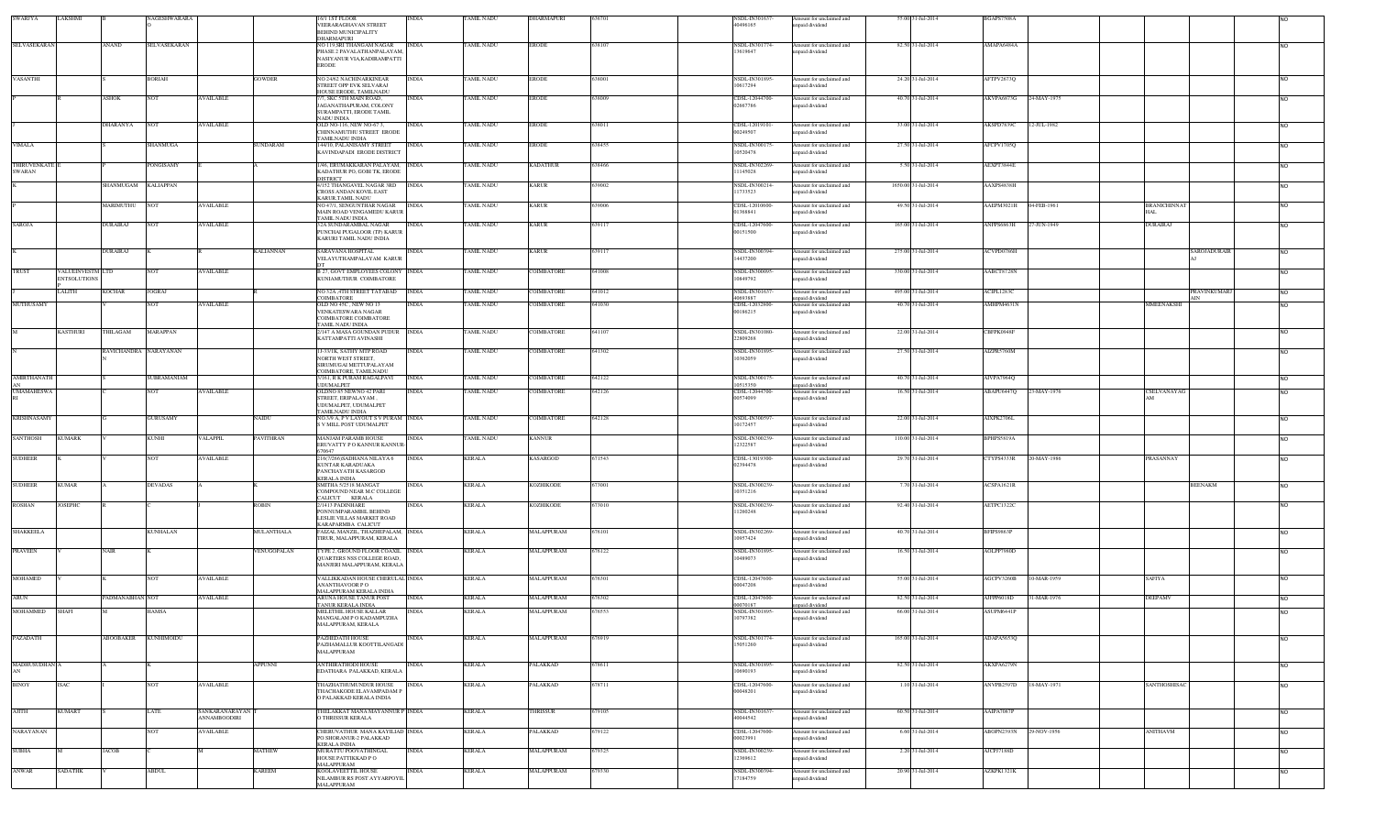| <b>SWARJYA</b>     | LAKSHMI             |                       | NAGESHWARARA    |                     |               | /1 IST FLOOR<br>VEERARAGHAVAN STREET                            | INDIA        | TAMIL NADU        | DHARMAPURI        | 636701 | NSDL-IN30163<br>40496165   | Amount for unclaimed and<br>npaid dividend  | 55.00 31-Jul-2014   | BGAPS7508A        |             |                     |              |                 |
|--------------------|---------------------|-----------------------|-----------------|---------------------|---------------|-----------------------------------------------------------------|--------------|-------------------|-------------------|--------|----------------------------|---------------------------------------------|---------------------|-------------------|-------------|---------------------|--------------|-----------------|
|                    |                     |                       |                 |                     |               | BEHIND MUNICIPALITY                                             |              |                   |                   |        |                            |                                             |                     |                   |             |                     |              |                 |
| SELVASEKARAN       |                     | <b>ANAND</b>          | SELVASEKARAN    |                     |               | <b>DHARMAPURI</b><br>NO 119,SRI THANGAM NAGAR                   | <b>INDIA</b> | TAMIL NADU        | ERODE             | 638107 | NSDL-IN301774-             | Amount for unclaimed and                    | 82.50 31-Jul-2014   | AMAPA6484A        |             |                     |              | <b>NO</b>       |
|                    |                     |                       |                 |                     |               | PHASE 2 PAVALATHANPALAYAM,                                      |              |                   |                   |        | 13619647                   | unpaid dividend                             |                     |                   |             |                     |              |                 |
|                    |                     |                       |                 |                     |               | NASIYANUR VIA, KADIRAMPATTI<br><b>ERODE</b>                     |              |                   |                   |        |                            |                                             |                     |                   |             |                     |              |                 |
| <b>VASANTHI</b>    |                     |                       | <b>BORIAH</b>   |                     | <b>GOWDER</b> | NO 24/62 NACHINARKINEAR                                         | <b>INDIA</b> | TAMIL NADU        | <b>ERODE</b>      | 638001 | NSDL-IN301895              | Amount for unclaimed and                    | 24.20 31-Jul-2014   | AFTPV2673Q        |             |                     |              | <b>NO</b>       |
|                    |                     |                       |                 |                     |               | STREET OPP EVK SELVARAL                                         |              |                   |                   |        | 10617294                   | inpaid dividend                             |                     |                   |             |                     |              |                 |
|                    |                     | <b>ASHOK</b>          | <b>NOT</b>      | <b>AVAILABLE</b>    |               | HOUSE ERODE, TAMILNADU<br>7, SKC 5TH MAIN ROAD,                 | INDIA        | TAMIL NADU        | <b>ERODE</b>      | 638009 | CDSL-12044700-             | Amount for unclaimed and                    | 40.70 31-Jul-2014   | AKVPA6873G        | 24-MAY-1975 |                     |              | <b>INO</b>      |
|                    |                     |                       |                 |                     |               | AGANATHAPURAM, COLONY                                           |              |                   |                   |        | 02667786                   | inpaid dividend                             |                     |                   |             |                     |              |                 |
|                    |                     |                       |                 |                     |               | SURAMPATTI, ERODE TAMIL<br><b>NADU INDIA</b>                    |              |                   |                   |        |                            |                                             |                     |                   |             |                     |              |                 |
|                    |                     | DHARANYA              | <b>NOT</b>      | <b>AVAILABLE</b>    |               | OLD NO-116, NEW NO-673,<br>CHINNAMUTHU STREET ERODE             | <b>INDIA</b> | <b>FAMIL NADU</b> | ERODE             | 538011 | CDSL-12019101-<br>00249507 | Amount for unclaimed and<br>apaid dividend  | 33.00 31-Jul-2014   | AKSPD7839C        | 12-JUL-1982 |                     |              | NO.             |
|                    |                     |                       |                 |                     |               | AMILNADU INDIA                                                  |              |                   |                   |        |                            |                                             |                     |                   |             |                     |              |                 |
| <b>VIMALA</b>      |                     |                       | SHANMUGA        |                     | SUNDARAM      | 144/10, PALANISAMY STREET<br>KAVINDAPADI ERODE DISTRICT         | <b>INDIA</b> | TAMIL NADU        | ERODE             | 638455 | NSDL-IN300175<br>10520478  | Amount for unclaimed and<br>apaid dividend  | 27.50 31-Jul-2014   | AFCPV1705Q        |             |                     |              | <b>NO</b>       |
| THIRUVENKATE       |                     |                       | PONGISAMY       |                     |               | 1/46, ERUMAKKARAN PALAYAM, INDIA                                |              | <b>TAMIL NADU</b> | <b>KADATHUR</b>   | 638466 | NSDL-IN302269              | Amount for unclaimed and                    | 5.50 31-Jul-2014    | AEXPT3844E        |             |                     |              |                 |
| <b>SWARAN</b>      |                     |                       |                 |                     |               | KADATHUR PO, GOBI TK, ERODE                                     |              |                   |                   |        | 11145028                   | npaid dividend                              |                     |                   |             |                     |              | NO              |
|                    |                     | SHANMUGAM KALIAPPAN   |                 |                     |               | DISTRICT<br>4/152 THANGAVEL NAGAR 3RD INDIA                     |              | TAMIL NADU        | <b>KARUR</b>      | 639002 | NSDL-IN300214              | Amount for unclaimed and                    | 1650.00 31-Jul-2014 | AAXPS4838H        |             |                     |              | NO <sub>1</sub> |
|                    |                     |                       |                 |                     |               | <b>CROSS ANDAN KOVIL EAST</b><br>KARUR TAMIL NADU               |              |                   |                   |        | 11733523                   | inpaid dividend                             |                     |                   |             |                     |              |                 |
|                    |                     | MARIMUTHU             | <b>NOT</b>      | <b>AVAILABLE</b>    |               | NO 47/1, SENGUNTHAR NAGAR                                       | <b>INDIA</b> | <b>TAMIL NADU</b> | <b>KARUR</b>      | 639006 | CDSL-12010600-             | Amount for unclaimed and                    | 49.50 31-Jul-2014   | AAEPM3021H        | 04-FEB-1961 | <b>BRANICHINNAT</b> |              | <b>NO</b>       |
|                    |                     |                       |                 |                     |               | MAIN ROAD VENGAMEDU KARUR<br>TAMIL NADLUNDIA                    |              |                   |                   |        | 01368841                   | npaid dividend                              |                     |                   |             | IAL.                |              |                 |
| SAROJA             |                     | <b>DURAIRAJ</b>       | NOT             | <b>AVAILABLE</b>    |               | 32A SUNDARAMBAL NAGAR                                           | INDIA        | <b>TAMIL NADU</b> | KARUR             | 639117 | CDSL-12047600-             | Amount for unclaimed and                    | 165.00 31-Jul-2014  | ANFPS6863H        | 27-JUN-1949 | DURAIRAJ            |              | <b>NO</b>       |
|                    |                     |                       |                 |                     |               | PUNCHAI PUGALOOR (TP) KARUR<br>KARURI TAMIL NADU INDIA          |              |                   |                   |        | 00151500                   | inpaid dividend                             |                     |                   |             |                     |              |                 |
|                    |                     | <b>DURAIRAJ</b>       |                 |                     | KALIANNAN     | SARAVANA HOSPITAL                                               | INDIA        | <b>TAMIL NADU</b> | KARUR             | 639117 | NSDL-IN300394              | Amount for unclaimed and                    | 275.00 31-Jul-2014  | ACVPD0786H        |             |                     | SAROJADURAIR |                 |
|                    |                     |                       |                 |                     |               | VELAYUTHAMPALAYAM KARUR                                         |              |                   |                   |        | 14437200                   | apaid dividend                              |                     |                   |             |                     |              | NO.             |
| TRUST              | VALUEINVESTM LTD    |                       | NOT             | <b>AVAILABLE</b>    |               | <b>B 27, GOVT EMPLOYEES COLONY INDIA</b>                        |              | TAMIL NADU        | <b>COIMBATORE</b> | 641008 | NSDL-IN300095              | Amount for unclaimed and                    | 330.00 31-Jul-2014  | AABCT8728N        |             |                     |              | <b>NO</b>       |
|                    | <b>ENTSOLUTIONS</b> |                       |                 |                     |               | KUNIAMUTHUR COIMBATORE                                          |              |                   |                   |        | 10849792                   | inpaid dividend                             |                     |                   |             |                     |              |                 |
|                    | LALITH              | <b>KOCHAR</b>         | <b>JOGRAJ</b>   |                     |               | NO 32A ,4TH STREET TATABAD                                      | <b>INDIA</b> | <b>TAMIL NADU</b> | <b>COIMBATORE</b> | 641012 | NSDL-IN301637              | Amount for unclaimed and                    | 495.00 31-Jul-2014  | ACIPLI283C        |             |                     | PRAVINKUMARJ | NO <sub>1</sub> |
| MUTHUSAMY          |                     |                       | NOT             | AVAILABLE           |               | COIMBATORE<br>DLD NO 45C , NEW NO 13                            | NDIA         | TAMIL NADU        | OIMBATORE         | 41030  | 40693887<br>CDSL-12032800  | inpaid dividend<br>Amount for unclaimed and | 40.70 31-Jul-2014   | AMHPM4631N        |             | MMEENAKSHI          |              |                 |
|                    |                     |                       |                 |                     |               | VENKATESWARA NAGAR                                              |              |                   |                   |        | 00186215                   | inpaid dividend                             |                     |                   |             |                     |              |                 |
|                    |                     |                       |                 |                     |               | COIMBATORE COIMBATORE<br>AMIL NADU INDIA                        |              |                   |                   |        |                            |                                             |                     |                   |             |                     |              |                 |
|                    | <b>KASTHURI</b>     | THILAGAM              | MARAPPAN        |                     |               | /147 A MASA GOUNDAN PUDUR NDIA                                  |              | TAMIL NADU        | <b>COIMBATORE</b> | 641107 | NSDL-IN301080<br>22809268  | Amount for unclaimed and<br>npaid dividend  | 22.00 31-Jul-2014   | CBFPK0948F        |             |                     |              | <b>NO</b>       |
|                    |                     |                       |                 |                     |               | KATTAMPATTI AVINASHI                                            |              |                   |                   |        |                            |                                             |                     |                   |             |                     |              |                 |
|                    |                     | RAVICHANDRA NARAYANAN |                 |                     |               | 1J-33/1K, SATHY MTP ROAD<br><b>NORTH WEST STREET,</b>           | <b>INDIA</b> | <b>TAMIL NADU</b> | COIMBATORE        | 641302 | NSDL-IN301895-<br>10362059 | Amount for unclaimed and<br>inpaid dividend | 27.50 31-Jul-2014   | AIZPR5760M        |             |                     |              | <b>NO</b>       |
|                    |                     |                       |                 |                     |               | SIRUMUGAI METTUPALAYAM                                          |              |                   |                   |        |                            |                                             |                     |                   |             |                     |              |                 |
| <b>AMIRTHANATH</b> |                     |                       | SUBRAMANIAM     |                     |               | COIMBATORE, TAMILNADU<br>3/161, R K PURAM RAGALPAVI             | <b>INDIA</b> | <b>TAMIL NADU</b> | COIMBATORE        | 642122 | NSDL-IN300175-             | Amount for unclaimed and                    | 40.70 31-Jul-2014   | AIVPA7964Q        |             |                     |              | <b>NO</b>       |
| <b>UMAMAHESWA</b>  |                     |                       | <b>NOT</b>      | <b>AVAILABLE</b>    |               | UDUMALPET<br>OLDNO 85 NEWNO 42 PARI                             | <b>INDIA</b> | <b>TAMIL NADU</b> | <b>COIMBATORE</b> | 642126 | 10515350<br>CDSL-12044700- | npaid dividend<br>Amount for unclaimed and  | 16.50 31-Jul-2014   | ABAPU6447Q        | 23-MAY-1976 | CSELVANAYAG         |              | NO.             |
|                    |                     |                       |                 |                     |               | STREET. ERIPALAYAM                                              |              |                   |                   |        | 00574099                   | apaid dividend                              |                     |                   |             |                     |              |                 |
|                    |                     |                       |                 |                     |               | UDUMALPET, UDUMALPET<br><b>FAMILNADU INDIA</b>                  |              |                   |                   |        |                            |                                             |                     |                   |             |                     |              |                 |
| <b>KRISHNASAMY</b> |                     |                       | <b>GURUSAMY</b> |                     | NAIDU         | NO.3/9 A, P V LAYOUT S V PURAM INDIA                            |              | TAMIL NADU        | COIMBATORE        | 642128 | NSDL-IN300597              | Amount for unclaimed and                    | 22.00 31-Jul-2014   | AIXPK2706L        |             |                     |              | <b>NO</b>       |
|                    |                     |                       |                 |                     |               | <b>S V MILL POST UDUMALPET</b>                                  |              |                   |                   |        | 10172457                   | npaid dividend                              |                     |                   |             |                     |              |                 |
| SANTHOSH           | <b>KUMARK</b>       |                       | <b>KUNHI</b>    | <b>VALAPPIL</b>     | PAVITHRAN     | MANJAM PARAMB HOUSE<br>ERUVATTY PO KANNUR KANNUR                | <b>INDIA</b> | <b>TAMIL NADU</b> | <b>KANNUR</b>     |        | NSDL-IN300239<br>12322587  | Amount for unclaimed and<br>inpaid dividend | 110.00 31-Jul-2014  | <b>BPHPS5819A</b> |             |                     |              | <b>NO</b>       |
|                    |                     |                       |                 |                     |               | 670647                                                          |              |                   |                   |        |                            |                                             |                     |                   |             |                     |              |                 |
| <b>SUDHEER</b>     |                     |                       | NOT             | <b>AVAILABLE</b>    |               | 216(7/266)SADHANA NILAYA 6<br>KUNTAR KARADUAKA                  | <b>INDIA</b> | <b>KERALA</b>     | KASARGOD          | 671543 | CDSL-13019300-<br>02394478 | Amount for unclaimed and<br>inpaid dividend | 29.70 31-Jul-2014   | CTYPS4333R        | 20-MAY-1986 | PRASANNAY           |              | <b>NO</b>       |
|                    |                     |                       |                 |                     |               | PANCHAYATH KASARGOD<br><b>KERALA INDIA</b>                      |              |                   |                   |        |                            |                                             |                     |                   |             |                     |              |                 |
| <b>SUDHEER</b>     | <b>KUMAR</b>        |                       | <b>DEVADAS</b>  |                     |               | SMITHA 5/2518 MANGAT                                            | INDIA        | <b>KERALA</b>     | KOZHIKODE         | 573001 | NSDL-IN300239-             | Amount for unclaimed and                    | 7.70 31-Jul-2014    | ACSPA1621R        |             |                     | BEENAKM      | <b>NO</b>       |
|                    |                     |                       |                 |                     |               | COMPOUND NEAR M.C COLLEGE<br>ALICUT KERALA                      |              |                   |                   |        | 10351216                   | npaid dividend                              |                     |                   |             |                     |              |                 |
| <b>ROSHAN</b>      | <b>JOSEPHC</b>      |                       |                 |                     | ROBIN         | 2/1413 PADINHARE                                                | <b>NDIA</b>  | <b>KERALA</b>     | KOZHIKODE         | 673010 | NSDL-IN300239              | Amount for unclaimed and                    | 92.40 31-Jul-2014   | AETPC1322C        |             |                     |              | <b>NO</b>       |
|                    |                     |                       |                 |                     |               | PONNUMPARAMBIL BEHIND<br>LESLIE VILLAS MARKET ROAD              |              |                   |                   |        | 11260248                   | npaid dividend                              |                     |                   |             |                     |              |                 |
| SHAKKEELA          |                     |                       | <b>KUNHALAN</b> |                     | MULANTHALA    | KARAPARMBA CALICUT<br>FAIZAL MANZIL, THAZHEPALAM, INDIA         |              | <b>KERALA</b>     | MALAPPURAM        | 676101 | NSDL-IN302269              | Amount for unclaimed and                    | 40.70 31-Jul-2014   | BFIPS9863P        |             |                     |              |                 |
|                    |                     |                       |                 |                     |               | TIRUR, MALAPPURAM, KERALA                                       |              |                   |                   |        | 10957424                   | paid dividend                               |                     |                   |             |                     |              | <b>NO</b>       |
| <b>PRAVEEN</b>     |                     | <b>NAIR</b>           |                 |                     | VENUGOPALAN   | TYPE 2, GROUND FLOOR COAXIL INDIA                               |              | <b>KERALA</b>     | MALAPPURAM        | 676122 | NSDL-IN301895-             | Amount for unclaimed and                    | 16.50 31-Jul-2014   | AOLPP7980D        |             |                     |              | NO <sub>1</sub> |
|                    |                     |                       |                 |                     |               | <b>OUARTERS NSS COLLEGE ROAD.</b><br>MANJERI MALAPPURAM, KERALA |              |                   |                   |        | 10489073                   | apaid dividend                              |                     |                   |             |                     |              |                 |
|                    |                     |                       |                 |                     |               |                                                                 |              |                   |                   |        |                            |                                             |                     |                   |             |                     |              |                 |
| <b>MOHAMED</b>     |                     |                       | <b>NOT</b>      | <b>AVAILABLE</b>    |               | VALLIKKADAN HOUSE CHERULAL INDIA<br>ANANTHAVOOR P O             |              | <b>KERALA</b>     | MALAPPURAM        | 676301 | CDSL-12047600-<br>00047208 | Amount for unclaimed and<br>inpaid dividend | 55.00 31-Jul-2014   | AGCPV3260B        | 10-MAR-1959 | SAFIYA              |              | NO <sub>1</sub> |
|                    |                     |                       |                 |                     |               | MALAPPURAM KERALA INDIA                                         |              |                   |                   |        |                            |                                             |                     |                   |             |                     |              |                 |
| ARUN               |                     | PADMANABHAN NOT       |                 | <b>AVAILABLE</b>    |               | ARUNA HOUSE TANUR POST<br>ANUR KERALA INDIA                     | <b>INDIA</b> | KERALA            | MALAPPURAM        | 676302 | CDSL-12047600-<br>10070187 | Amount for unclaimed and<br>apaid dividend  | 82.50 31-Jul-2014   | AJFPP6018D        | 31-MAR-1976 | DEEPAMV             |              | NO <sub>1</sub> |
| MOHAMMED           | <b>SHAFI</b>        |                       | HAMSA           |                     |               | MELETHIL HOUSE KALLAR<br>MANGALAM P O KADAMPUZHA                | <b>NDIA</b>  | <b>KERALA</b>     | MALAPPURAM        | 576553 | NSDL-IN301895<br>10797382  | Amount for unclaimed and<br>inpaid dividend | 66.00 31-Jul-2014   | ASUPM6441P        |             |                     |              |                 |
|                    |                     |                       |                 |                     |               | MALAPPURAM, KERALA                                              |              |                   |                   |        |                            |                                             |                     |                   |             |                     |              |                 |
| PAZADATH           |                     | ABOOBAKER             | KUNHIMOIDU      |                     |               | PAZHEDATH HOUSE                                                 | <b>NDIA</b>  | <b>KERALA</b>     | MALAPPURAM        | 576919 | NSDL-IN301774-             | Amount for unclaimed and                    | 165.00 31-Jul-2014  | ADAPA5653Q        |             |                     |              |                 |
|                    |                     |                       |                 |                     |               | PAZHAMALLUR KOOTTILANGADI<br>MALAPPURAM                         |              |                   |                   |        | 15051260                   | inpaid dividend                             |                     |                   |             |                     |              |                 |
|                    |                     |                       |                 |                     |               |                                                                 |              |                   |                   |        |                            |                                             |                     |                   |             |                     |              |                 |
| MADHUSUDHAN A      |                     |                       |                 |                     | APPUNNI       | ANTHIRATHODI HOUSE<br>EDATHARA PALAKKAD, KERALA                 | NDIA         | <b>KERALA</b>     | 'ALAKKAD          | 78611  | NSDL-IN301895-<br>10690193 | mount for unclaimed and<br>npaid dividend   | 82.50 31-Jul-2014   | AKXPA6279N        |             |                     |              | <b>NO</b>       |
|                    |                     |                       |                 |                     |               | THAZHATHUMUNDUR HOUSE                                           |              |                   |                   |        |                            |                                             |                     |                   |             |                     |              |                 |
| BINOY              | <b>ISAC</b>         |                       | <b>NOT</b>      | <b>AVAILABLE</b>    |               | THACHAKODE ELAVAMPADAM P                                        | <b>INDIA</b> | <b>KERALA</b>     | <b>PALAKKAD</b>   | 678711 | CDSL-12047600-<br>00048201 | Amount for unclaimed and<br>npaid dividend  | 1.10 31-Jul-2014    | ANVPB2597D        | 18-MAY-1971 | SANTHOSHISAC        |              | <b>NO</b>       |
|                    |                     |                       |                 |                     |               | ) PALAKKAD KERALA INDIA                                         |              |                   |                   |        |                            |                                             |                     |                   |             |                     |              |                 |
| AJITH              | <b>KUMART</b>       |                       | LATE            | SANKARANARAYAN      |               | HELAKKAT MANA MAYANNUR P INDIA                                  |              | <b>KERALA</b>     | <b>HRISSUR</b>    | 579105 | NSDL-IN301637              | Amount for unclaimed and                    | 60.50 31-Jul-2014   | AAIPA7087P        |             |                     |              | <b>NO</b>       |
|                    |                     |                       |                 | <b>ANNAMBOODIRI</b> |               | <b>O THRISSUR KERALA</b>                                        |              |                   |                   |        | 40044542                   | paid dividend                               |                     |                   |             |                     |              |                 |
| <b>NARAYANAN</b>   |                     |                       | <b>NOT</b>      | <b>AVAILABLE</b>    |               | CHERUVATHUR MANA KAYILIAD INDIA                                 |              | <b>KERALA</b>     | <b>ALAKKAD</b>    | 679122 | CDSL-12047600-             | Amount for unclaimed and                    | 6.60 31-Jul-2014    | ABOPN2393N        | 29-NOV-1956 | <b>NNITHAVM</b>     |              | <b>NO</b>       |
|                    |                     |                       |                 |                     |               | PO SHORANUR-2 PALAKKAD<br>KERALA INDIA                          |              |                   |                   |        | 00023991                   | npaid dividend                              |                     |                   |             |                     |              |                 |
| SUBHA              |                     | <b>JACOB</b>          |                 |                     | <b>MATHEW</b> | MURATTU POOVATHINGAL<br>HOUSE PATTIKKAD PO                      | <b>INDIA</b> | <b>KERALA</b>     | <b>AALAPPURAM</b> | 579325 | NSDL-IN300239-<br>12369612 | Amount for unclaimed and<br>npaid dividend  | 2.20 31-Jul-2014    | AJCPJ7188D        |             |                     |              | NO.             |
|                    |                     |                       |                 |                     |               | MALAPPURAM                                                      |              |                   |                   |        |                            |                                             |                     |                   |             |                     |              |                 |
| ANWAR              | SADATHK             |                       | <b>ABDUL</b>    |                     | KAREEM        | KOOLAVEETTIL HOUSE<br>NILAMBUR RS POST AYYARPOYIL               | <b>NDIA</b>  | <b>KERALA</b>     | MALAPPURAM        | 579330 | NSDL-IN300394-<br>17184759 | Amount for unclaimed and<br>paid dividend   | 20.90 31-Jul-2014   | AZKPK1321K        |             |                     |              | <b>NO</b>       |
|                    |                     |                       |                 |                     |               | MALAPPURAM                                                      |              |                   |                   |        |                            |                                             |                     |                   |             |                     |              |                 |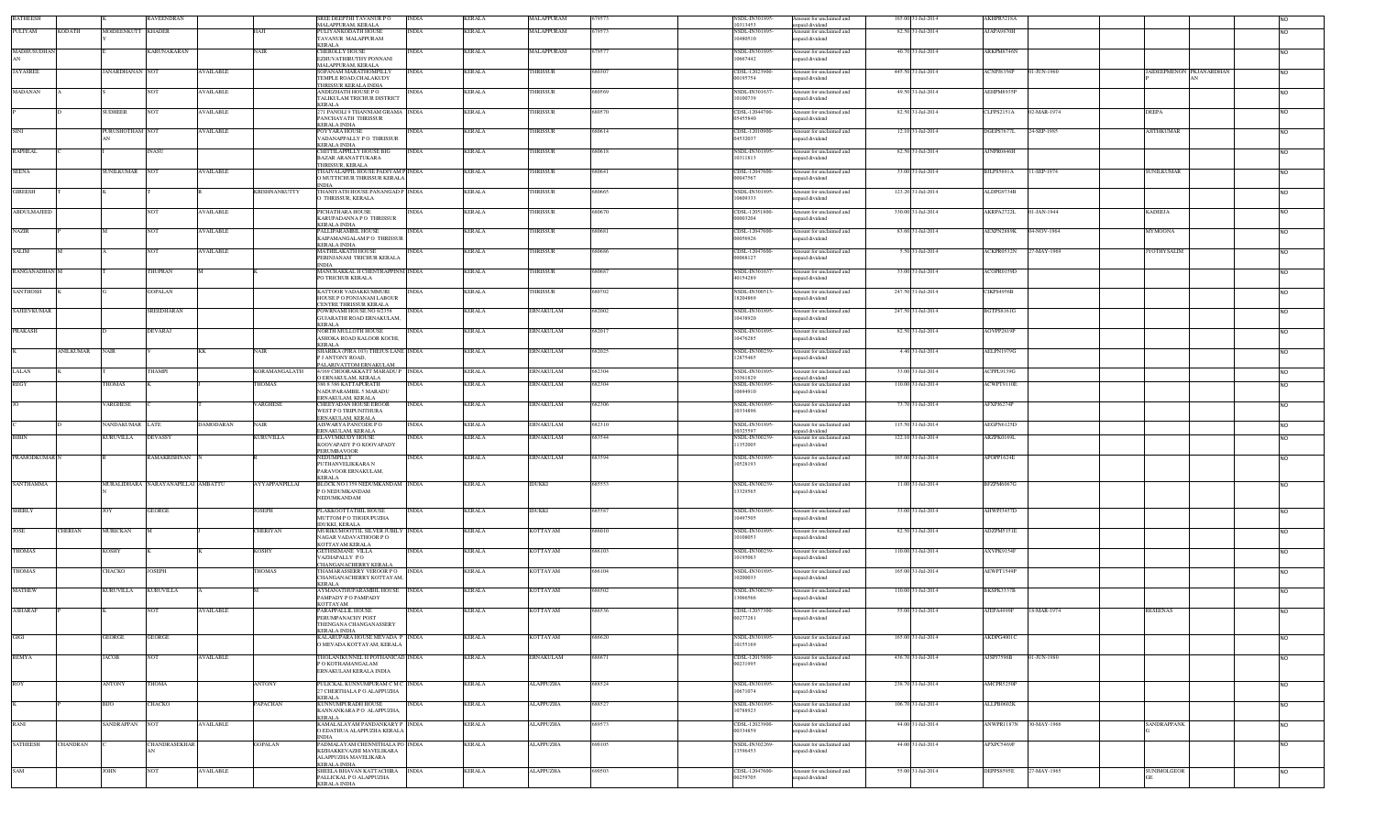| <b>RATHEESH</b>                    |                    | RAVEENDRAN                         |                  |                      | REE DEEPTHI TAVANUR PO<br>MALAPPURAM, KERALA                                                           | $\overline{\text{INDIA}}$ | <b>KERALA</b> | <b>IALAPPURAM</b> | 579573 | NSDL-IN301895-<br>10313453       | mount for unclaimed and<br>npaid dividend   | 165.00 31-Jul-2014 | AKHPR5218A                       |                    |                          |           |
|------------------------------------|--------------------|------------------------------------|------------------|----------------------|--------------------------------------------------------------------------------------------------------|---------------------------|---------------|-------------------|--------|----------------------------------|---------------------------------------------|--------------------|----------------------------------|--------------------|--------------------------|-----------|
| PULIYAM<br><b>KODATH</b>           | MOIDEENKUTT KHADER |                                    |                  | HAJI                 | PULIYANKODATH HOUSE<br>AVANUR MALAPPURAM<br>KERALA                                                     | <b>INDIA</b>              | KERALA        | MALAPPURAM        | 579573 | NSDL-IN301895<br>10480510        | Amount for unclaimed and<br>inpaid dividend | 82.50 31-Jul-2014  | AJAPA9870H                       |                    |                          | <b>NO</b> |
| MADHUSUDHAI                        |                    | KARUNAKARAN                        |                  | <b>NAIR</b>          | <b>CHEROLLY HOUSE</b><br>EZHUVATHIRUTHY PONNANI<br>MALAPPURAM, KERALA                                  | INDIA                     | <b>KERALA</b> | MALAPPURAM        | 79577  | NSDL-IN301895<br>10667442        | Amount for unclaimed and<br>npaid dividend  | 40.70 31-Jul-2014  | ARKPM8746N                       |                    |                          | <b>NO</b> |
| <b>JAYASREE</b>                    | JANARDHANAN NOT    |                                    | <b>AVAILABLE</b> |                      | SOPANAM MARATHOMPILLY<br><b>TEMPLE ROAD,CHALAKUDY</b><br><b>HRISSUR KERALA INDIA</b>                   | <b>INDIA</b>              | <b>KERALA</b> | <b>HRISSUR</b>    | 680307 | CDSL-12023900<br>00195754        | Amount for unclaimed and<br>paid dividend   | 445.50 31-Jul-2014 | ACNPJ8356P<br>01-JUN-1960        |                    | JAIDEEPMENON PKJANARDHAN | <b>NO</b> |
| <b>MADANAN</b>                     |                    | <b>NOT</b>                         | AVAILABLE        |                      | ANDEZHATH HOUSE PO<br><b>TALIKULAM TRICHUR DISTRICT</b><br><b>KERALA</b>                               | <b>INDIA</b>              | <b>KERALA</b> | HRISSUR           | 680569 | NSDL-IN301637<br>10100739        | Amount for unclaimed and<br>apaid dividend  | 49.50 31-Jul-2014  | AEHPM8935P                       |                    |                          | <b>NO</b> |
|                                    | SUDHEER            | <b>NOT</b>                         | AVAILABLE        |                      | 71 PANOLI 9 THANNIAM GRAMA INDIA<br>PANCHAYATH THRISSUR<br><b>KERALA INDIA</b>                         |                           | KERALA        | <b>HRISSUR</b>    | 680570 | CDSL-12044700-<br>05455840       | Amount for unclaimed and<br>paid dividend   | 82.50 31-Jul-2014  | <b>CLFPS2151A</b><br>02-MAR-1974 | DEEPA              |                          | <b>NO</b> |
| <b>SINI</b>                        | PURUSHOTHAM NOT    |                                    | AVAILABLE        |                      | POYYARA HOUSE<br>ADANAPPALLY PO THRISSUR<br>KERALA INDIA                                               | INDIA                     | <b>KERALA</b> | HRISSUR           | 580614 | CDSL-12010900-<br>04532037       | Amount for unclaimed and<br>mpaid dividend  | 12.10 31-Jul-2014  | DGEPS7677L<br>24-SEP-1985        | AJITHKUMAR         |                          | <b>NO</b> |
| <b>RAPHEAL</b>                     |                    | <b>INASU</b>                       |                  |                      | CHITTILAPPILLY HOUSE BIG<br>BAZAR ARANATTUKARA<br>HRISSUR, KERALA                                      | <b>INDIA</b>              | <b>KERALA</b> | <b>HRISSUR</b>    | 680618 | NSDL-IN301895<br>10311813        | Amount for unclaimed and<br>apaid dividend  | 82.50 31-Jul-2014  | AJNPR0846H                       |                    |                          |           |
| <b>SEENA</b>                       | SUNILKUMAR NOT     |                                    | <b>AVAILABLE</b> |                      | <b>THAIVALAPPIL HOUSE PADIYAM P INDIA</b><br><b>D MUTTICHUR THRISSUR KERALA</b><br><b>NDL</b>          |                           | <b>KERALA</b> | <b>HRISSUR</b>    | 680641 | CDSL-12047600<br>00047567        | Amount for unclaimed and<br>apaid dividend  | 33.00 31-Jul-2014  | 11-SEP-1974<br>BJLPS5691A        | <b>SUNILKUMAR</b>  |                          | <b>NO</b> |
| <b>GIREESH</b>                     |                    |                                    |                  | <b>KRISHNANKUTTY</b> | THANIYATH HOUSE PANANGAD P INDIA<br>THRISSUR, KERALA                                                   |                           | <b>KERALA</b> | <b>HRISSUR</b>    | 680665 | <b>NSDL-IN301895</b><br>10609333 | Amount for unclaimed and<br>npaid dividend  | 123.20 31-Jul-2014 | ALDPG9734B                       |                    |                          | <b>NO</b> |
| ABDULMAJEED                        |                    | <b>NOT</b>                         | <b>AVAILABLE</b> |                      | PICHATHARA HOUSE<br>KARUPADANNA PO THRISSUR<br>KERALA INDIA                                            | <b>INDIA</b>              | <b>KERALA</b> | HRISSUR           | 680670 | CDSL-12051800-<br>00003204       | Amount for unclaimed and<br>npaid dividend  | 330.00 31-Jul-2014 | AKRPA2722L<br>01-JAN-1944        | <b>KADEEJA</b>     |                          | <b>NO</b> |
| <b>NAZIR</b>                       |                    | <b>NOT</b>                         | <b>AVAILABLE</b> |                      | PALLIPARAMBIL HOUSE<br><b>CAIPAMANGALAM PO THRISSUR</b><br><b>KERALA INDIA</b>                         | <b>INDIA</b>              | <b>KERALA</b> | THRISSUR          | 680681 | CDSL-12047600<br>00056926        | Amount for unclaimed and<br>apaid dividend  | 83.60 31-Jul-2014  | AEXPN2889K<br>04-NOV-1964        | <b>MYMOONA</b>     |                          | <b>NO</b> |
| <b>SALIM</b>                       |                    | <b>NOT</b>                         | <b>AVAILABLE</b> |                      | <b>MATHILAKATH HOUSE</b><br>PERINJANAM TRICHUR KERALA<br>INDIA                                         | <b>INDIA</b>              | <b>KERALA</b> | THRISSUR          | 680686 | CDSL-12047600<br>00068127        | Amount for unclaimed and<br>paid dividend   | 5.50 31-Jul-2014   | ACKPR0532N<br>27-MAY-1969        | JYOTHYSALIM        |                          | <b>NO</b> |
| RANGANADHAN <sup>1</sup>           |                    | THUPRAN                            |                  |                      | MANCHAKKAL H CHENTRAPPINNI INDIA<br>PO TRICHUR KERALA                                                  |                           | <b>KERALA</b> | <b>HRISSUR</b>    | 680687 | NSDL-IN301637<br>40154289        | Amount for unclaimed and<br>apaid dividend  | 33.00 31-Jul-2014  | ACOPR0159D                       |                    |                          | <b>NO</b> |
| <b>SANTHOSH</b>                    |                    | <b>GOPALAN</b>                     |                  |                      | KATTOOR VADAKKUMMURI<br>HOUSE P O PONJANAM LABOUR<br>CENTRE THRISSUR KERALA                            | <b>INDIA</b>              | <b>KERALA</b> | <b>HRISSUR</b>    | 680702 | NSDL-IN300513-<br>18204869       | Amount for unclaimed and<br>npaid dividend  | 247.50 31-Jul-2014 | CIKPS4956B                       |                    |                          | <b>NO</b> |
| SAJEEVKUMAR                        |                    | SREEDHARAN                         |                  |                      | POWRNAMI HOUSE NO 8/2358<br><b>GUJARATHI ROAD ERNAKULAM,</b><br><b>KERALA</b>                          | <b>INDIA</b>              | <b>KERALA</b> | ERNAKULAM         | 682002 | NSDL-IN301895-<br>10438920       | Amount for unclaimed and<br>npaid dividend  | 247.50 31-Jul-2014 | <b>BGTPS8161G</b>                |                    |                          | <b>NO</b> |
| <b>PRAKASH</b>                     |                    | <b>DEVARAJ</b>                     |                  |                      | NORTH MULLOTH HOUSE<br>ASHOKA ROAD KALOOR KOCHI,<br>KERALA                                             | <b>INDIA</b>              | <b>KERALA</b> | ERNAKULAM         | 682017 | NSDL-IN301895<br>10476285        | Amount for unclaimed and<br>npaid dividend  | 82.50 31-Jul-2014  | AOVPP2819P                       |                    |                          | <b>NO</b> |
| <b>ANILKUMAR</b>                   | <b>NAIR</b>        |                                    |                  | <b>NAIR</b>          | SHARIKA (PJRA 103) THEJUS LANE INDIA<br>'J ANTONY ROAD.<br>ALARIVATTOM ERNAKULAM                       |                           | <b>KERALA</b> | <b>ERNAKULAM</b>  | 682025 | <b>NSDL-IN300239</b><br>12875465 | Amount for unclaimed and<br>apaid dividend  | 4.40 31-Jul-2014   | AELPN1979G                       |                    |                          | <b>NO</b> |
| <b>LALAN</b>                       |                    | THAMPI                             |                  | KORAMANGALATH        | 4/169 CHOORAKKATT MARADU P INDIA<br><b>ERNAKULAM KERALA</b>                                            |                           | <b>KERALA</b> | ERNAKULAM         | 682304 | NSDL-IN301895-<br>10361829       | Amount for unclaimed and<br>npaid dividend  | 33.00 31-Jul-2014  | ACPPL9139G                       |                    |                          | <b>NO</b> |
| <b>REGY</b>                        | THOMAS             |                                    |                  | THOMAS               | 386 8 386 KATTAPURATH<br>NADUPARAMBIL 5 MARADU                                                         | <b>INDIA</b>              | <b>KERALA</b> | ERNAKULAM         | 682304 | NSDL-IN301895-<br>10694910       | Amount for unclaimed and<br>npaid dividend  | 110.00 31-Jul-2014 | ACWPT9110E                       |                    |                          | <b>NO</b> |
|                                    | VARGHESE           |                                    |                  | VARGHESE             | RNAKULAM, KERALA<br><b>CHEEY ADAN HOUSE EROOR</b><br>WEST P O TRIPUNITHURA                             | <b>INDIA</b>              | <b>KERALA</b> | <b>ERNAKULAM</b>  | 682306 | <b>NSDL-IN301895</b><br>10334896 | Amount for unclaimed and<br>npaid dividend  | 73.70 31-Jul-2014  | AFXPJ6274P                       |                    |                          | <b>NO</b> |
|                                    | NANDAKUMAR LATE    |                                    | <b>DAMODARAN</b> | <b>NAIR</b>          | ERNAKULAM, KERALA<br>AISWARYA PANCODE PO<br>ERNAKULAM, KERALA                                          | <b>INDIA</b>              | <b>KERALA</b> | ERNAKULAM         | 682310 | NSDL-IN301895-<br>0325597        | Amount for unclaimed and<br>paid dividend   | 115.50 31-Jul-2014 | AEGPN6125D                       |                    |                          | <b>NO</b> |
| <b>BIBIN</b>                       | KURUVILLA          | <b>DEVASSY</b>                     |                  | KURUVILLA            | <b>ELAVUMKUDY HOUSE</b><br>KOOVAPADY P O KOOVAPADY<br>PERUMBAVOOR                                      | <b>INDIA</b>              | <b>KERALA</b> | ERNAKULAM         | 683544 | NSDL-IN300239-<br>11352005       | Amount for unclaimed and<br>apaid dividend  | 122.10 31-Jul-2014 | ARZPK0169L                       |                    |                          | <b>NO</b> |
| <b>PRAMODKUMAR</b>                 |                    | <b>RAMAKRISHNAN</b>                |                  |                      | NEDUMPILLY<br>PUTHANVELIKKARA N<br>PARAVOOR ERNAKULAM,                                                 | <b>INDIA</b>              | <b>KERALA</b> | <b>ERNAKULAM</b>  | 683594 | NSDL-IN301895-<br>10528193       | Amount for unclaimed and<br>npaid dividend  | 165.00 31-Jul-2014 | APOPP1624E                       |                    |                          | <b>NO</b> |
| <b>SANTHAMMA</b>                   |                    | MURALIDHARA NARAYANAPILLAI AMBATTU |                  | AYYAPPANPILLAI       | <b>KERALA</b><br>BLOCK NO 1359 NEDUMKANDAM INDIA<br>PO NEDUMKANDAM<br>NEDUMKANDAM                      |                           | <b>KERALA</b> | IDUKKI            | 685553 | <b>NSDL-IN300239</b><br>13329565 | Amount for unclaimed and<br>npaid dividend  | 11.00 31-Jul-2014  | BFZPM6067G                       |                    |                          | <b>NO</b> |
| <b>SHERLY</b>                      | <b>IOY</b>         | <b>GEORGE</b>                      |                  | <b>JOSEPH</b>        | PLAKKOOTTATHIL HOUSE<br>MUTTOM P O THODUPUZHA                                                          | <b>INDIA</b>              | KERALA        | DUKKI             | 685587 | NSDL-IN301895<br>10497505        | Amount for unclaimed and<br>npaid dividend  | 33.00 31-Jul-2014  | AHWPJ3457D                       |                    |                          | <b>NO</b> |
| CHERIAN<br><b>JOSE</b>             | <b>MURICKAN</b>    |                                    |                  | <b>CHERIYAN</b>      | <b>IDUKKI, KERALA</b><br>MURIKUMOOTTIL SILVER JUBILY NDIA<br><b>AGAR VADAVATHOOR PO</b>                |                           | <b>KERALA</b> | KOTTAYAM          |        | NSDL-IN301895<br>10108053        | Amount for unclaimed and<br>npaid dividend  | 82.50 31-Jul-2014  | ADZPM5151E                       |                    |                          | <b>NO</b> |
| <b>THOMAS</b>                      | <b>KOSHY</b>       |                                    |                  | <b>KOSHY</b>         | KOTTAYAM KERALA<br>GETHSEMANE VILLA<br>AZHAPALLY P.O                                                   | INDIA                     | <b>KERALA</b> | KOTTAYAM          | 686103 | NSDL-IN300239<br>10195063        | Amount for unclaimed and<br>apaid dividend  | 110.00 31-Jul-2014 | AXVPK9154F                       |                    |                          | <b>NO</b> |
| <b>THOMAS</b>                      | СНАСКО             | <b>JOSEPH</b>                      |                  | THOMAS               | CHANGANACHERRY KERALA<br>HAMARASSERRY VEROOR PO INDIA<br>CHANGANACHERRY KOTTAYAM,                      |                           | <b>KERALA</b> | KOTTAYAM          | 86104  | NSDL-IN301895<br>10200033        | Amount for unclaimed and<br>paid dividend   | 165.00 31-Jul-2014 | AEWPT1549F                       |                    |                          | <b>NO</b> |
| <b>MATHEW</b>                      | <b>KURUVILLA</b>   | <b>KURUVILLA</b>                   |                  |                      | <b>KERALA</b><br>AYMANATHUPARAMBIL HOUSE INDIA<br>PAMPADY PO PAMPADY                                   |                           | KERALA        | KOTTAYAM          | 686502 | NSDL-IN300239<br>13066566        | Amount for unclaimed and<br>npaid dividend  | 110.00 31-Jul-2014 | BKSPK3337B                       |                    |                          | <b>NO</b> |
| <b>ASHARAF</b>                     |                    | <b>NOT</b>                         | AVAILABLE        |                      | KOTTAYAM<br>ARAPPALLIL HOUSE<br>PERUMPANACHY POST<br>THENGANA CHANGANASSERY                            | <b>INDIA</b>              | KERALA        | KOTTAYAM          | 86536  | CDSL-12057300<br>00277281        | Amount for unclaimed and<br>npaid dividend  | 55.00 31-Jul-2014  | 18-MAR-1974<br>AJEPA4999F        | RESEENAS           |                          | NO.       |
| GIGI                               | <b>GEORGE</b>      | <b>GEORGE</b>                      |                  |                      | <b>KERALA INDIA</b><br>KALARUPARA HOUSE MEVADA P INDIA<br><b>D MEVADA KOTTAYAM, KERALA</b>             |                           | <b>KERALA</b> | KOTTAYAM          | 686620 | <b>NSDL-IN301895</b><br>10155169 | Amount for unclaimed and<br>npaid dividend  | 165.00 31-Jul-2014 | AKDPG4001C                       |                    |                          | <b>NO</b> |
| <b>REMYA</b>                       | <b>JACOB</b>       | <b>NOT</b>                         | <b>AVAILABLE</b> |                      | THOLANIKUNNEL H POTHANICAD INDIA<br>O KOTHAMANGALAM<br>ERNAKULAM KERALA INDIA                          |                           | <b>KERALA</b> | <b>ERNAKULAM</b>  | 686671 | CDSL-12015800-<br>00231995       | Amount for unclaimed and<br>inpaid dividend | 436.70 31-Jul-2014 | AJSPJ7596B<br>01-JUN-1980        |                    |                          | <b>NO</b> |
| ROY                                | ANTONY             | ГНОМА                              |                  | ANTONY               | PULICKAL KUNNUMPURAM C M C INDIA<br>27 CHERTHALA P O ALAPPUZHA                                         |                           | <b>KERALA</b> | <b>LAPPUZHA</b>   | 88524  | NSDL-IN301895-<br>10671074       | Amount for unclaimed and<br>apaid dividend  | 238.70 31-Jul-2014 | AMCPR5250P                       |                    |                          | <b>NO</b> |
|                                    | <b>BIJO</b>        | СНАСКО                             |                  | PAPACHAN             | CERALA<br>KUNNUMPURADH HOUSE<br>KANNANKARA PO ALAPPUZHA,<br>KERALA                                     | <b>INDIA</b>              | <b>KERALA</b> | <b>ALAPPUZHA</b>  | 88527  | NSDL-IN301895<br>10788923        | Amount for unclaimed and<br>npaid dividend  | 106.70 31-Jul-2014 | ALLPB0602K                       |                    |                          | <b>NO</b> |
| RANI                               | SANDRAPPAN NOT     |                                    | <b>AVAILABLE</b> |                      | KAMALALAYAM PANDANKARY PINDIA<br>O EDATHUA ALAPPUZHA KERALA<br>NDIA                                    |                           | <b>KERALA</b> | <b>ALAPPUZHA</b>  | 689573 | CDSL-12023900<br>00334859        | Amount for unclaimed and<br>apaid dividend  | 44.00 31-Jul-2014  | ANWPR1187N 30-MAY-1966           | <b>SANDRAPPANK</b> |                          | <b>NO</b> |
| <b>SATHEESH</b><br><b>CHANDRAN</b> |                    | CHANDRASEKHAR                      |                  | <b>GOPALAN</b>       | PADMALAYAM CHENNITHALA PO INDIA<br>KIZHAKKEVAZHI MAVELIKARA<br>ALAPPUZHA MAVELIKARA                    |                           | <b>KERALA</b> | <b>ALAPPUZHA</b>  | 690105 | <b>NSDL-IN302269</b><br>13596453 | Amount for unclaimed and<br>npaid dividend  | 44.00 31-Jul-2014  | APXPC5469F                       |                    |                          | <b>NO</b> |
| SAM                                | <b>JOHN</b>        | <b>NOT</b>                         | <b>AVAILABLE</b> |                      | <b>KERALA INDIA</b><br>SHEELA BHAVAN KATTACHIRA NDIA<br>PALLICKAL P O ALAPPUZHA<br><b>KERALA INDIA</b> |                           | <b>KERALA</b> | <b>ALAPPUZHA</b>  | 690503 | CDSL-12047600-<br>00259705       | Amount for unclaimed and<br>npaid dividend  | 55.00 31-Jul-2014  | DEPPS8595E<br>27-MAY-1965        | <b>SUNIMOLGEOR</b> |                          | <b>NO</b> |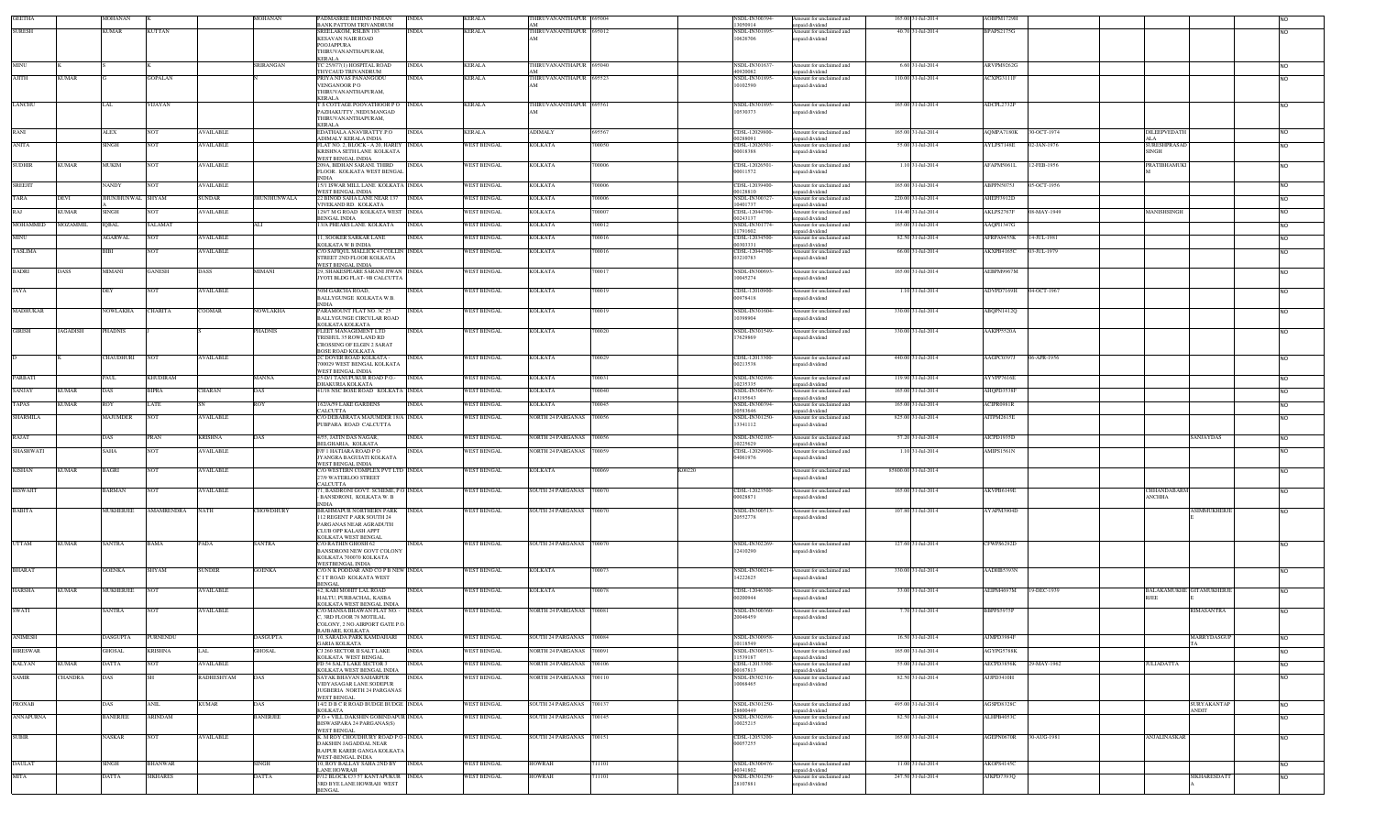| <b>GEETHA</b>    |                 | MOHANAN           |                   |                  | <b>IOHANAN</b>     | ADMASREE BEHIND INDIAN<br><b>BANK PATTOM TRIVANDRUM</b>                              | NDIA         | <b>KERALA</b>      | <b>HIRUVANANTHAPUR</b><br>AM  | 695004 |        | <b>SDL-IN300394</b><br>3050914  | nount for unclaimed and<br>apaid dividend   | 165.00 31-Jul-2014   | AOBPM1729H        |             |                                         |                |
|------------------|-----------------|-------------------|-------------------|------------------|--------------------|--------------------------------------------------------------------------------------|--------------|--------------------|-------------------------------|--------|--------|---------------------------------|---------------------------------------------|----------------------|-------------------|-------------|-----------------------------------------|----------------|
| <b>SURESH</b>    |                 | KUMAR             | <b>KUTTAN</b>     |                  |                    | SREELAKOM, RSLBN 183                                                                 | <b>INDIA</b> | KERALA             | THIRUVANANTHAPUR 695012<br>AM |        |        | NSDL-IN301895-                  | Amount for unclaimed and                    | 40.70 31-Jul-2014    | <b>BPAPS2175G</b> |             |                                         |                |
|                  |                 |                   |                   |                  |                    | <b>KESAVAN NAIR ROAD</b><br>POOJAPPURA                                               |              |                    |                               |        |        | 10626706                        | inpaid dividend                             |                      |                   |             |                                         |                |
|                  |                 |                   |                   |                  |                    | THIRUVANANTHAPURAM,<br><b>KERALA</b>                                                 |              |                    |                               |        |        |                                 |                                             |                      |                   |             |                                         |                |
| MINU             |                 |                   |                   |                  | SRIRANGAN          | TC 25/877(1) HOSPITAL ROAD<br><b>THYCAUD TRIVANDRUM</b>                              | <b>INDIA</b> | <b>KERALA</b>      | THIRUVANANTHAPUR 695040       |        |        | NSDL-IN301637<br>0920082        | Amount for unclaimed and<br>inpaid dividend | 6.60 31-Jul-2014     | ARVPM9262G        |             |                                         | NO.            |
| <b>AJITH</b>     | <b>KUMAR</b>    |                   | <b>GOPALAN</b>    |                  |                    | PRIYA NIVAS PANANGODU                                                                | <b>NDIA</b>  | <b>KERALA</b>      | THIRUVANANTHAPUR 695523       |        |        | NSDL-IN301895                   | Amount for unclaimed and                    | 110.00 31-Jul-2014   | ACXPG3111F        |             |                                         | <b>NO</b>      |
|                  |                 |                   |                   |                  |                    | VENGANOOR PO<br>THIRUVANANTHAPURAM,                                                  |              |                    | $\Delta M$                    |        |        | 10102590                        | npaid dividend                              |                      |                   |             |                                         |                |
| LANCHU           |                 | LAL               | VIJAYAN           |                  |                    | <b>KERALA</b><br>T S COTTAGE POOVATHOOR PO NDIA                                      |              | <b>KERALA</b>      | THIRUVANANTHAPUR 695561       |        |        | NSDL-IN301895-                  | Amount for unclaimed and                    | 165.00 31-Jul-2014   | ADCPL2732P        |             |                                         | NO.            |
|                  |                 |                   |                   |                  |                    | PAZHAKUTTY, NEDUMANGAD                                                               |              |                    | $\Delta M$                    |        |        | 10530373                        | npaid dividend                              |                      |                   |             |                                         |                |
|                  |                 |                   |                   |                  |                    | THIRUVANANTHAPURAM,<br><b>KERALA</b>                                                 |              |                    |                               |        |        |                                 |                                             |                      |                   |             |                                         |                |
| RANI             |                 | ALEX              | <b>NOT</b>        | <b>AVAILABLE</b> |                    | EDATHALA ANAVIRATTY.P.O<br>ADIMALY KERALA INDIA                                      | <b>INDIA</b> | <b>KERALA</b>      | <b>ADIMALY</b>                | 695567 |        | CDSL-12029800-<br>10288091      | Amount for unclaimed and<br>inpaid dividend | 165.00 31-Jul-2014   | AQMPA7180K        | 30-OCT-1974 | DILEEPVEDATE                            | <b>NO</b>      |
| <b>ANITA</b>     |                 | SINGH             | <b>NOT</b>        | AVAILABLE        |                    | FLAT NO. 2, BLOCK - A 20, HAREY<br>KRISHNA SETH LANE KOLKATA                         | <b>INDIA</b> | <b>WEST BENGAL</b> | <b>KOLKATA</b>                | 700050 |        | CDSL-12026501-<br>00018388      | Amount for unclaimed and<br>npaid dividend  | 55.00 31-Jul-2014    | AYLPS7148E        | 02-JAN-1976 | SURESHPRASAD<br><b>SINGH</b>            | NO.            |
| <b>SUDHIR</b>    | <b>KUMAR</b>    | MUKIM             | NOT               | <b>AVAILABLE</b> |                    | <b>WEST BENGAL INDIA</b><br>209A, BIDHAN SARANI. THIRD<br>FLOOR. KOLKATA WEST BENGAL | <b>INDIA</b> | <b>WEST BENGAL</b> | <b>KOLKATA</b>                | 700006 |        | CDSL-12026501<br>00011572       | mount for unclaimed and<br>npaid dividend   | 1.10 31-Jul-2014     | AFAPM5061L        | 12-FEB-1956 | PRATIBHAMUKI                            | <b>NO</b>      |
| <b>SREEJIT</b>   |                 | <b>NANDY</b>      | <b>NOT</b>        | <b>AVAILABLE</b> |                    | <b>INDIA</b><br>15/1 ISWAR MILL LANE KOLKATA INDIA                                   |              | <b>WEST BENGAL</b> | <b>KOLKATA</b>                | 700006 |        | CDSL-12039400                   | Amount for unclaimed and                    | 165.00 31-Jul-2014   | ABPPN5075J        | 05-OCT-1956 |                                         | <b>NO</b>      |
|                  |                 |                   |                   |                  |                    | WEST BENGAL INDIA                                                                    |              |                    |                               |        |        | 00128810                        | inpaid dividend                             |                      |                   |             |                                         |                |
| TARA             | DEVI            | <b>HUNJHUNWAL</b> | <b>SHYAM</b>      | SUNDAR           | <b>IUNJHUNWALA</b> | 2 BINOD SAHA LANE NEAR 137<br>VIVEKAND RD. KOLKATA                                   | <b>INDIA</b> | WEST BENGAL        | KOLKATA                       | 00006  |        | NSDL-IN300327-<br>10401737      | mount for unclaimed and<br>npaid dividend   | 220.00 31-Jul-2014   | AHEPJ3912D        |             |                                         | NO.            |
| <b>RAJ</b>       | <b>KUMAR</b>    | <b>SINGH</b>      | <b>NOT</b>        | AVAILABLE        |                    | 129/7 M G ROAD KOLKATA WEST<br>BENGAL INDIA                                          | <b>INDIA</b> | <b>WEST BENGAL</b> | <b>KOLKATA</b>                | 00007  |        | CDSL-12044700-<br>00243137      | Imount for unclaimed and<br>npaid dividend  | 114.40 31-Jul-2014   | AKLPS2767F        | 08-MAY-1949 | MANISHSINGH                             | NO.            |
| MOHAMMED         | <b>MOZAMMIL</b> | <b>IQBAL</b>      | SALAMAT           |                  | ALI                | 13/A PHEARS LANE KOLKATA                                                             | <b>INDIA</b> | WEST BENGAL        | <b>KOLKATA</b>                | 700012 |        | NSDL-IN301774-<br>1791602       | Amount for unclaimed and<br>upaid dividend  | 165.00 31-Jul-2014   | AAQPI1347G        |             |                                         | NO.            |
| <b>MINI</b>      |                 | <b>AGARWAL</b>    | <b>NOT</b>        | <b>AVAILABLE</b> |                    | <b>1. SOOKER SARKAR LANE</b>                                                         | <b>INDIA</b> | <b>WEST BENGAL</b> | <b>KOLKATA</b>                | 700016 |        | <b>DSL-12034500</b><br>10303331 | mount for unclaimed and                     | 82.50 31-Jul-2014    | AFRPA9455K        | 14-JUL-1981 |                                         | NO.            |
| TASLIMA          |                 |                   |                   | AVAILABLE        |                    | KOLKATA W B INDIA<br><b>7O SAFIQUL MALLICK 43 COLLIN</b>                             | <b>INDIA</b> | WEST BENGAL        | KOLKATA                       | 00016  |        | CDSL-12044700                   | npaid dividend<br>mount for unclaimed and   | 66.00 31-Jul-2014    | AKXPB4165C        | 03-JUL-1979 |                                         |                |
|                  |                 |                   |                   |                  |                    | STREET 2ND FLOOR KOLKATA<br>WEST BENGAL INDIA                                        |              |                    |                               |        |        | 03210783                        | npaid dividend                              |                      |                   |             |                                         |                |
| BADRI            | DASS            | MIMANI            | GANESH            | <b>DASS</b>      | <b>IIMANI</b>      | 29, SHAKESPEARE SARANI JIWAN INDIA<br>JYOTI BLDG FLAT- 9B CALCUTTA                   |              | <b>WEST BENGAL</b> | KOLKATA                       | 00017  |        | NSDL-IN300693<br>10045274       | Amount for unclaimed and<br>npaid dividend  | 165.00 31-Jul-2014   | AEBPM9967M        |             |                                         |                |
| JAYA             |                 | DEY               | <b>NOT</b>        | <b>AVAILABLE</b> |                    | 50M GARCHA ROAD,                                                                     | <b>NDIA</b>  | <b>WEST BENGAL</b> | <b>KOLKATA</b>                | 700019 |        | CDSL-12010900                   | Amount for unclaimed and                    | 1.10 31-Jul-2014     | ADVPD7169H        | 04-OCT-1967 |                                         | <b>NO</b>      |
|                  |                 |                   |                   |                  |                    | BALLYGUNGE KOLKATA W.B.<br><b>NDIA</b>                                               |              |                    |                               |        |        | 00978418                        | npaid dividend                              |                      |                   |             |                                         |                |
| MADHUKAR         |                 | NOWLAKHA          | <b>CHARITA</b>    | COOMAR           | VOWLAKHA           | PARAMOUNT FLAT NO. 3C 25<br>BALLYGUNGE CIRCULAR ROAD                                 | INDIA        | <b>WEST BENGAL</b> | <b>KOLKATA</b>                | 700019 |        | NSDL-IN301604-<br>10398904      | Amount for unclaimed and<br>npaid dividend  | 330.00 31-Jul-2014   | ABQPN1412Q        |             |                                         | NO.            |
| <b>GIRISH</b>    | <b>JAGADISH</b> | PHADNIS           |                   |                  | PHADNIS            | KOLKATA KOLKATA<br>FLEET MANAGEMENT LTD                                              | <b>INDIA</b> | WEST BENGAL        | <b>KOLKATA</b>                | 700020 |        | NSDL-IN301549-                  | Amount for unclaimed and                    | 330.00 31-Jul-2014   | AAKPP5520A        |             |                                         | NO.            |
|                  |                 |                   |                   |                  |                    | TRISHUL 35 ROWLAND RD<br><b>CROSSING OF ELGIN 2 SARAT</b>                            |              |                    |                               |        |        | 7629869                         | npaid dividend                              |                      |                   |             |                                         |                |
|                  |                 |                   |                   |                  |                    | BOSE ROAD KOLKATA                                                                    |              |                    |                               |        |        |                                 |                                             |                      |                   |             |                                         |                |
|                  |                 | CHAUDHURI         | <b>NOT</b>        | <b>AVAILABLE</b> |                    | 2C DOVER ROAD KOLKATA -<br>700029 WEST BENGAL KOLKATA                                | <b>INDIA</b> | WEST BENGAL        | <b>KOLKATA</b>                | 700029 |        | CDSL-12013300-<br>00213538      | Amount for unclaimed and<br>ipaid dividend  | 440.00 31-Jul-2014   | AAGPC0397J        | 06-APR-1956 |                                         | NO.            |
| PARBATI          |                 | PAUL              | <b>KHUDIRAM</b>   |                  | <b>MANNA</b>       | WEST BENGAL INDIA<br>25-D/1 TANUPUKUR ROAD P.O.-                                     | <b>INDIA</b> | <b>WEST BENGAL</b> | <b>KOLKATA</b>                | 700031 |        | NSDL-IN302898-                  | mount for unclaimed and                     | 119.90 31-Jul-2014   | AYVPP7616E        |             |                                         | NO.            |
| <b>SANJAY</b>    | <b>KUMAR</b>    | <b>DAS</b>        | <b>BIPRA</b>      | <b>CHARAN</b>    | DAS                | DHAKURIA KOLKATA<br>41/18 NSC BOSE ROAD KOLKATA INDIA                                |              | <b>WEST BENGAL</b> | <b>KOLKATA</b>                | 700040 |        | 0235335<br>NSDL-IN300476-       | unpaid dividend<br>Amount for unclaimed and | 165.00 31-Jul-2014   | AHOPD3538F        |             |                                         | NO.            |
| TAPAS            | <b>KUMAR</b>    | ROY               | LATE              |                  | ROY                | 162/A/59 LAKE GARDENS                                                                | INDIA        | <b>WEST BENGAL</b> | <b>KOLKATA</b>                | 700045 |        | 3195643<br>NSDL-IN300394-       | paid dividend                               | 165.00 31-Jul-2014   | ACIPR0981R        |             |                                         | NO.            |
|                  |                 |                   |                   |                  |                    | CALCUTTA                                                                             |              |                    |                               |        |        | 0583646                         | mount for unclaimed and<br>npaid dividend   |                      |                   |             |                                         |                |
| <b>SHARMILA</b>  |                 | <b>MAJUMDER</b>   | <b>NOT</b>        | <b>AVAILABLE</b> |                    | C/O DEBABRATA MAJUMDER 18/A INDIA<br>PUBPARA ROAD CALCUTTA                           |              | <b>WEST BENGAL</b> | NORTH 24 PARGANAS 700056      |        |        | NSDL-IN301250-<br>13341112      | Amount for unclaimed and<br>npaid dividend  | 825.00 31-Jul-2014   | AITPM2615E        |             |                                         | NO.            |
| RAJAT            |                 | DAS               | PRAN              | <b>KRISHNA</b>   | <b>DAS</b>         | 4/55, JATIN DAS NAGAR,                                                               | <b>INDIA</b> | <b>WEST BENGAL</b> | NORTH 24 PARGANAS 700056      |        |        | NSDL-IN302105-                  | Amount for unclaimed and                    | 57.20 31-Jul-2014    | AICPD1935D        |             | <b>SANJAYDAS</b>                        | <b>NO</b>      |
| <b>SHASHWATI</b> |                 | SAHA              | NOT               | <b>AVAILABLE</b> |                    | BELGHARIA, KOLKATA<br><b>F/F 1 HATIARA ROAD P O</b>                                  | INDIA        | <b>WEST BENGAL</b> | NORTH 24 PARGANAS 700059      |        |        | 0225629<br>CDSL-12029900-       | npaid dividend<br>Amount for unclaimed and  | 1.10 31-Jul-2014     | AMIPS1561N        |             |                                         | <b>NO</b>      |
|                  |                 |                   |                   |                  |                    | JYANGRA BAGUIATI KOLKATA<br>WEST BENGAL INDIA                                        |              |                    |                               |        |        | 04061976                        | inpaid dividend                             |                      |                   |             |                                         |                |
| KISHAN           | <b>KUMAR</b>    | BAGRI             | <b>NOT</b>        | <b>AVAILABLE</b> |                    | C/O WESTERN COMPLEX PVT LTD INDIA<br>27/9 WATERLOO STREET                            |              | <b>WEST BENGAL</b> | KOLKATA                       | 700069 | K00220 |                                 | Amount for unclaimed and<br>inpaid dividend | 85800.00 31-Jul-2014 |                   |             |                                         | NO.            |
| <b>BISWAJIT</b>  |                 | <b>BARMAN</b>     | NOT               | AVAILABLE        |                    | CALCUTTA<br>1, BASDRONI GOVT. SCHEME, P.O. INDIA                                     |              | <b>WEST BENGAL</b> | SOUTH 24 PARGANAS 700070      |        |        | CDSL-12023500-                  | Amount for unclaimed and                    | 165.00 31-Jul-2014   | AKVPB6149E        |             | <b>HHANDABARM</b>                       | NO.            |
|                  |                 |                   |                   |                  |                    | BANSDRONI, KOLKATA W. B                                                              |              |                    |                               |        |        | 00028871                        | npaid dividend                              |                      |                   |             | ANCHHA                                  |                |
| <b>BABITA</b>    |                 | MUKHERJEE         | <b>AMAMRENDRA</b> | NATH             | CHOWDHURY          | <b>INDIA</b><br>BRAHMAPUR NORTHERN PARK                                              | <b>INDIA</b> | <b>WEST BENGAL</b> | SOUTH 24 PARGANAS 700070      |        |        | NSDL-IN300513-                  | mount for unclaimed and                     | 107.80 31-Jul-2014   | AYAPM3904D        |             | <b>SIMMUKHERJI</b>                      |                |
|                  |                 |                   |                   |                  |                    | 112 REGENT P ARK SOUTH 24<br>PARGANAS NEAR AGRADUTH                                  |              |                    |                               |        |        | 20552778                        | npaid dividend                              |                      |                   |             |                                         |                |
|                  |                 |                   |                   |                  |                    | <b>CLUB OPP KALASH APPT</b><br>KOLKATA WEST BENGAL                                   |              |                    |                               |        |        |                                 |                                             |                      |                   |             |                                         |                |
| <b>UTTAM</b>     | <b>KUMAR</b>    | <b>SANTRA</b>     | BAMA              | PADA             | <b>SANTRA</b>      | C/O RATHIN GHOSH 62<br><b>BANSDRONI NEW GOVT COLONY</b>                              | <b>INDIA</b> | WEST BENGAL        | SOUTH 24 PARGANAS 700070      |        |        | NSDL-IN302269-<br>12410290      | Amount for unclaimed and                    | 127.60 31-Jul-2014   | CFWPS6292D        |             |                                         |                |
|                  |                 |                   |                   |                  |                    | KOLKATA 700070 KOLKATA                                                               |              |                    |                               |        |        |                                 | npaid dividend                              |                      |                   |             |                                         |                |
| <b>BHARAT</b>    |                 | <b>GOENKA</b>     | SHYAM             | SUNDER           | <b>GOENKA</b>      | WESTBENGAL INDIA<br>C/O N K PODDAR AND CO P B NEW INDIA                              |              | WEST BENGAL        | <b>KOLKATA</b>                | 700073 |        | NSDL-IN300214-                  | Amount for unclaimed and                    | 330.00 31-Jul-2014   | AADHB5393N        |             |                                         | NO.            |
|                  |                 |                   |                   |                  |                    | CITROAD KOLKATA WEST<br>ENGAI                                                        |              |                    |                               |        |        | 4222625                         | npaid dividend                              |                      |                   |             |                                         |                |
| <b>HARSHA</b>    | <b>KUMAR</b>    | MUKHERJEE         | <b>NOT</b>        | <b>AVAILABLE</b> |                    | 42, KABI MOHIT LAL ROAD<br>HALTU, PURBACHAL, KASBA                                   | NDIA         | <b>WEST BENGAL</b> | <b>KOLKATA</b>                | 700078 |        | CDSL-12046300-<br>00200944      | mount for unclaimed and<br>npaid dividend   | 33.00 31-Jul-2014    | AEIPM4697M        | 19-DEC-1939 | BALAKAMUKHE GITAMUKHERJI<br><b>RJEE</b> | NO.            |
| <b>SWATI</b>     |                 | <b>SANTRA</b>     | <b>NOT</b>        | <b>AVAILABLE</b> |                    | KOLKATA WEST BENGAL INDIA<br>C/O MANSA BHAWAN FLAT NO. -                             | <b>INDIA</b> | <b>WEST BENGAL</b> | NORTH 24 PARGANAS 700081      |        |        | NSDL-IN300360-                  | Amount for unclaimed and                    | 7.70 31-Jul-2014     | BBPPS5975F        |             | RIMASANTRA                              | N <sub>O</sub> |
|                  |                 |                   |                   |                  |                    | , 3RD FLOOR 78 MOTILAL<br>COLONY, 2 NO.AIRPORT GATE P.O.                             |              |                    |                               |        |        | 20046459                        | npaid dividend                              |                      |                   |             |                                         |                |
| <b>ANIMESH</b>   |                 | <b>DASGUPTA</b>   | PURNENDU          |                  | <b>DASGUPTA</b>    | RAJBARE, KOLKATA<br>10, SARADA PARK KAMDAHARI                                        | <b>INDIA</b> | <b>WEST BENGAL</b> | SOUTH 24 PARGANAS 700084      |        |        | <b>SDL-IN300958-</b>            | mount for unclaimed and                     | 16.50 31-Jul-2014    | AJMPD3984F        |             | MARRYDASGU                              |                |
|                  |                 | GHOSAL            |                   | LAI              |                    | <b>GARIA KOLKATA</b>                                                                 | <b>INDIA</b> |                    |                               |        |        | 10118549                        | paid dividend                               |                      | AGYPG5788K        |             |                                         |                |
| <b>BIRESWAR</b>  |                 |                   | <b>KRISHNA</b>    |                  | <b>GHOSAL</b>      | CJ 260 SECTOR II SALT LAKE<br>KOLKATA WEST BENGAL                                    |              | <b>WEST BENGAL</b> | NORTH 24 PARGANAS 700091      |        |        | NSDL-IN300513<br>1539187        | Amount for unclaimed and<br>inpaid dividend | 165.00 31-Jul-2014   |                   |             |                                         | <b>NO</b>      |
| <b>KALYAN</b>    | <b>KUMAR</b>    | <b>DATTA</b>      | <b>NOT</b>        | <b>AVAILABLE</b> |                    | FD 54 SALT LAKE SECTOR 3<br>KOLKATA WEST BENGAL INDIA                                | <b>INDIA</b> | <b>WEST BENGAL</b> | NORTH 24 PARGANAS 700106      |        |        | CDSL-12013300-<br>00167813      | Amount for unclaimed and<br>unpaid dividend | 55.00 31-Jul-2014    | AECPD3856K        | 29-MAY-1962 | <b>JULIADATTA</b>                       | <b>NO</b>      |
| <b>SAMIR</b>     | CHANDRA         | DAS               |                   | RADHESHYAM       |                    | SAYAK BHAVAN SAHARPUR<br>VIDYASAGAR LANE SODEPUR                                     | <b>INDIA</b> | <b>WEST BENGAL</b> | NORTH 24 PARGANAS 700110      |        |        | NSDL-IN302316-<br>10068465      | Amount for unclaimed and<br>npaid dividend  | 82.50 31-Jul-2014    | AJJPD3410H        |             |                                         | NO.            |
|                  |                 |                   |                   |                  |                    | JUGBERIA NORTH 24 PARGANAS<br>WEST BENGAL                                            |              |                    |                               |        |        |                                 |                                             |                      |                   |             |                                         |                |
| PRONAB           |                 | DAS               | <b>ANIL</b>       | <b>KUMAR</b>     | DAS                | 14/2 D B C R ROAD BUDGE BUDGE INDIA                                                  |              | <b>WEST BENGAL</b> | SOUTH 24 PARGANAS 700137      |        |        | NSDL-IN301250-                  | Amount for unclaimed and                    | 495.00 31-Jul-2014   | AGSPD8328C        |             | SURYAKANTAE                             | <b>NO</b>      |
| <b>ANNAPURNA</b> |                 | <b>BANERJEE</b>   | <b>ARINDAM</b>    |                  | <b>BANERJEE</b>    | <b>KOLKATA</b><br>P.O.+ VILL DAKSHIN GOBINDAPUR INDIA                                |              | WEST BENGAL        | SOUTH 24 PARGANAS 700145      |        |        | 8600449<br>NSDL-IN302898-       | npaid dividend<br>Amount for unclaimed and  | 82.50 31-Jul-2014    | ALHPB4053C        |             | ANDIT                                   | <b>NO</b>      |
|                  |                 |                   |                   |                  |                    | BISWASPARA 24 PARGANAS(S)<br><b>WEST BENGAL</b>                                      |              |                    |                               |        |        | 10025215                        | npaid dividend                              |                      |                   |             |                                         |                |
| <b>SUBIR</b>     |                 | NASKAR            | <b>NOT</b>        | AVAILABLE        |                    | K. M ROY CHOUDHURY ROAD P.O - INDIA<br>DAKSHIN JAGADDAL NEAR                         |              | <b>WEST BENGAL</b> | SOUTH 24 PARGANAS 700151      |        |        | CDSL-12053200<br>00057255       | Amount for unclaimed and<br>inpaid dividend | 165.00 31-Jul-2014   | AGEPN0670R        | 30-AUG-1981 | ANJALINASKAR                            | <b>NO</b>      |
|                  |                 |                   |                   |                  |                    | RAJPUR KARER GANGA KOLKATA<br>WEST-BENGAL INDIA                                      |              |                    |                               |        |        |                                 |                                             |                      |                   |             |                                         |                |
| <b>DAULAT</b>    |                 | <b>SINGH</b>      | <b>BHANWAR</b>    |                  | SINGH              | 10, ROY BALLAY SAHA 2ND BY                                                           | <b>INDIA</b> | <b>WEST BENGAL</b> | <b>HOWRAH</b>                 | 11101  |        | NSDL-IN300476-                  | Amount for unclaimed and                    | 11.00 31-Jul-2014    | AKOPS4145C        |             |                                         | <b>NO</b>      |
| <b>MITA</b>      |                 | DATTA             | <b>SIKHARES</b>   |                  | DATTA              | LANE HOWRAH<br>F/12 BLOCK C/3 57 KANTAPUKUR INDIA                                    |              | <b>WEST BENGAL</b> | HOWRAH                        | 11101  |        | 40341802<br>NSDL-IN301250-      | paid dividend<br>Amount for unclaimed and   | 247.50 31-Jul-2014   | AJKPD7393Q        |             | SIKHARESDAT.                            | <b>NO</b>      |
|                  |                 |                   |                   |                  |                    | 3RD BYE LANE HOWRAH WEST<br>BENGAL                                                   |              |                    |                               |        |        | 28107881                        | npaid dividend                              |                      |                   |             |                                         |                |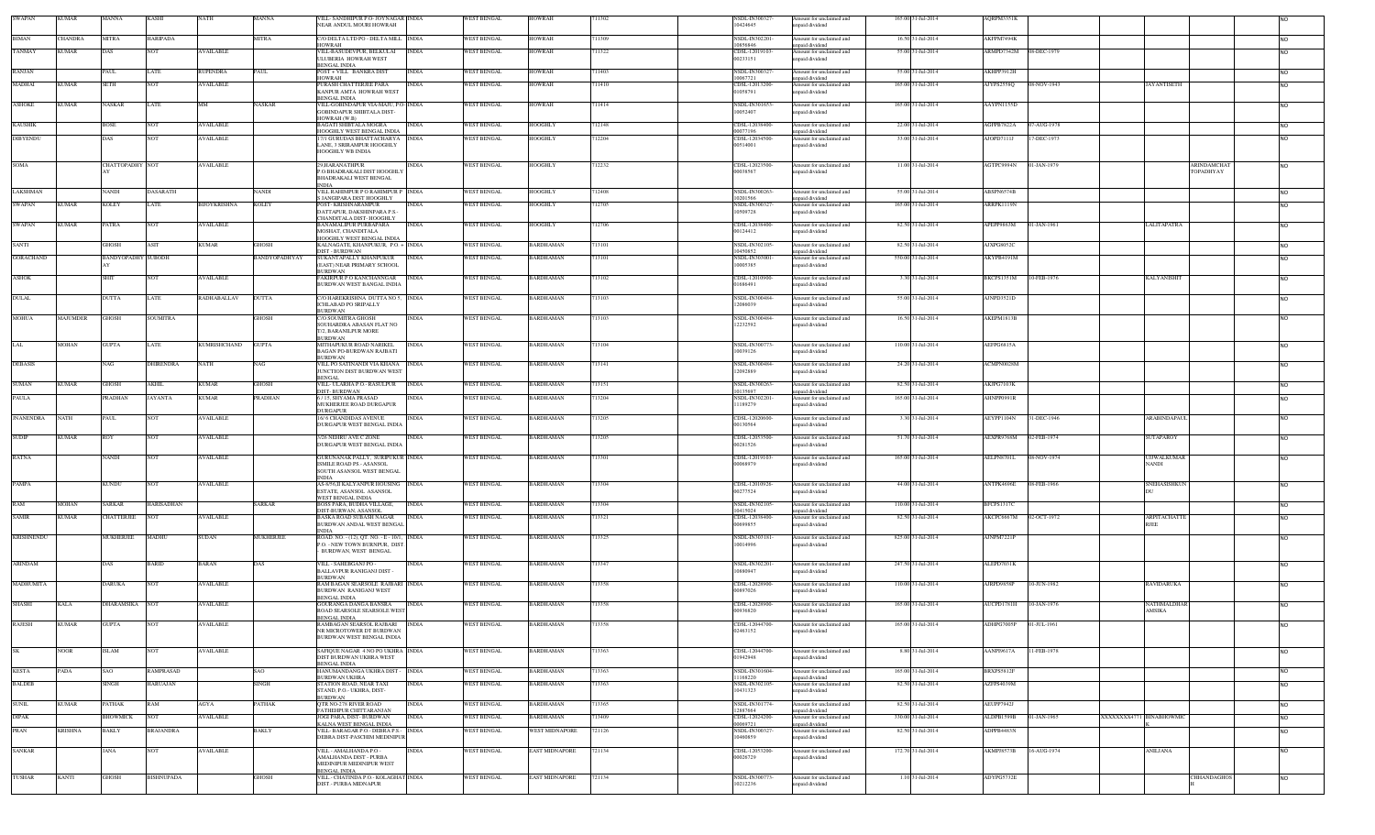| <b>SWAPAN</b>     | <b>KUMAR</b> | MANNA                     | <b>KASHI</b>         | VATH                | <b>MANNA</b>   | VILL- SANDHIPUR P.O- JOYNAGAR INDIA<br>NEAR ANDUL MOURI HOWRAH                                  |              | WEST BENGAL                       | <b>HOWRAH</b>    | '11302 | NSDL-IN300327<br>10424645              | Amount for unclaimed and<br>inpaid dividend                    | 165.00 31-Jul-2014 | AQRPM3351K             |             |                              |            |
|-------------------|--------------|---------------------------|----------------------|---------------------|----------------|-------------------------------------------------------------------------------------------------|--------------|-----------------------------------|------------------|--------|----------------------------------------|----------------------------------------------------------------|--------------------|------------------------|-------------|------------------------------|------------|
| BIMAN             | HANDRA       | MITRA                     | <b>IARIPADA</b>      |                     | MITRA          | C/O DELTA LTD PO - DELTA MILL NDIA                                                              |              | WEST BENGAL                       | <b>IOWRAH</b>    | 11309  | <b>NSDL-IN30220</b>                    | Amount for unclaimed and                                       | 16.50 31-Jul-2014  | AKFPM7494K             |             |                              | INO.       |
| <b>TANMAY</b>     | <b>KUMAR</b> | DAS                       | NOT                  | <b>AVAILABLE</b>    |                | HOWRAH<br>VILL-BASUDEVPUR. BELKULAI                                                             | <b>INDIA</b> | WEST BENGAL                       | HOWRAH           | 711322 | 10856846<br>CDSL-12019103              | unpaid dividend<br>Amount for unclaimed and                    | 55.00 31-Jul-2014  | ARMPD7342M 08-DEC-1979 |             |                              | <b>NO</b>  |
|                   |              |                           |                      |                     |                | ULUBERIA HOWRAH WEST<br>BENGAL INDIA                                                            |              |                                   |                  |        | 00233151                               | inpaid dividend                                                |                    |                        |             |                              |            |
| RANJAN            |              | AUL.                      | .ATE                 | RUPENDRA            | 'AUL           | POST + VILL BANKRA DIST<br>HOWRAH                                                               | <b>INDIA</b> | <b>WEST BENGAL</b>                | <b>IOWRAH</b>    | 11403  | NSDL-IN300327<br>10067721              | Amount for unclaimed and<br>unpaid dividend                    | 55.00 31-Jul-2014  | AKHPP3912H             |             |                              | <b>NO</b>  |
| <b>MADHAI</b>     | KUMAR        | <b>SETH</b>               | VOT                  | AVAILABLE           |                | PURASH CHATTERJEE PARA<br>KANPUR AMTA HOWRAH WEST                                               | <b>INDIA</b> | WEST BENGAL                       | <b>IOWRAH</b>    | 11410  | CDSL-12013200<br>01058791              | Amount for unclaimed and<br>unpaid dividend                    | 165.00 31-Jul-2014 | AJYPS2558Q             | 08-NOV-1943 | <b>JAYANTISETH</b>           | <b>NO</b>  |
| <b>ASHOKE</b>     | KUMAR        | <b>NASKAR</b>             | LATE                 | MМ                  | NASKAR         | BENGAL INDIA<br>VILL-GOBINDAPUR VIA-MAJU, P.O. INDIA                                            |              | <b>WEST BENGAL</b>                | HOWRAH           | 711414 | NSDL-IN301653                          | Amount for unclaimed and                                       | 165.00 31-Jul-2014 | AAYPN1155D             |             |                              | <b>NO</b>  |
|                   |              |                           |                      |                     |                | GOBINDAPUR SHIBTALA DIST-<br>HOWRAH (W.B)                                                       |              |                                   |                  |        | 10052407                               | npaid dividend                                                 |                    |                        |             |                              |            |
| <b>KAUSHIK</b>    |              | 3OSE                      |                      | VAILABLE            |                | BAGATI SHIBTALA MOGRA<br>HOOGHLY WEST BENGAL INDIA                                              | <b>INDIA</b> | WEST BENGAL<br><b>WEST BENGAL</b> | HOOGHLY          | '12148 | CDSL-12038400-<br>00077196             | Amount for unclaimed and<br>inpaid dividend                    | 22.00 31-Jul-2014  | AGFPB7822A             | 7-AUG-1978  |                              | <b>INO</b> |
| <b>DIBYENDU</b>   |              | DAS                       |                      | AVAILABLE           |                | 7/1 GURUDAS BHATTACHARYA   INDIA<br>LANE, 3 SRIRAMPUR HOOGHLY<br>HOOGHLY WB INDIA               |              |                                   | HOOGHLY          | 712204 | CDSL-12034500<br>00514001              | Amount for unclaimed and<br>unpaid dividend                    | 33.00 31-Jul-2014  | AJOPD7111J             | 7-DEC-1973  |                              | <b>NO</b>  |
| SOMA              |              | CHATTOPADHY NOT           |                      | <b>AVAILABLE</b>    |                | 29.HARANATHPUR<br>P.O.BHADRAKALI DIST HOOGHLY<br>BHADRAKALI WEST BENGAL<br><b>NDIA</b>          | <b>INDIA</b> | WEST BENGAL                       | HOOGHLY          | 12232  | CDSL-12023500<br>00038567              | Amount for unclaimed and<br>unpaid dividend                    | 11.00 31-Jul-2014  | AGTPC9994N             | 01-JAN-1979 | ARINDAMCHA<br>TOPADHYAY      | <b>NO</b>  |
| LAKSHMAN          |              | NANDI                     | <b>DASARATH</b>      |                     | NANDI          | VILL RAHIMPUR P O RAHIMPUR P INDIA<br>S JANGIPARA DIST HOOGHLY                                  |              | WEST BENGAL                       | HOOGHLY          | 712408 | NSDL-IN300263<br>0201566               | Amount for unclaimed and<br>inpaid dividend                    | 55.00 31-Jul-2014  | ABSPN6574B             |             |                              | <b>NO</b>  |
| <b>SWAPAN</b>     | KUMAR        | KOLEY                     | LATE                 | BIJOYKRISHNA        | <b>KOLEY</b>   | POST-KRISHNARAMPUR<br>DATTAPUR, DAKSHINPARA P.S.-                                               | <b>NDIA</b>  | WEST BENGAL                       | HOOGHLY          | 712705 | <b>NSDL-IN30032</b><br>10509728        | Amount for unclaimed and<br>inpaid dividend                    | 165.00 31-Jul-2014 | ARRPK1119N             |             |                              | <b>NO</b>  |
| <b>SWAPAN</b>     | <b>KUMAR</b> | PATRA                     | NOT                  | <b>AVAILABLE</b>    |                | CHANDITALA DIST-HOOGHLY<br><b>BANAMALIPUR PURBAPARA</b>                                         | <b>INDIA</b> | WEST BENGAL                       | <b>HOOGHLY</b>   | 712706 | CDSL-12038400-                         | Amount for unclaimed and                                       | 82.50 31-Jul-2014  | APEPP9863M             | 01-JAN-1961 | LALITAPATRA                  | INO.       |
|                   |              |                           |                      |                     |                | MOSHAT, CHANDITALA<br>HOOGHLY WEST BENGAL INDIA                                                 |              |                                   |                  |        | 00124412                               | unpaid dividend                                                |                    |                        |             |                              |            |
| <b>SANTI</b>      |              | GHOSH                     | $\operatorname{AST}$ | KUMAR               | <b>HOSH</b>    | KALNAGATE, KHANPUKUR, P.O. + INDIA<br>DIST - BURDWAN                                            |              | WEST BENGAL                       | BARDHAMAN        | 713101 | NSDL-IN302105<br>0450852               | Amount for unclaimed and<br>inpaid dividend                    | 82.50 31-Jul-2014  | AJXPG8052C             |             |                              | <b>NO</b>  |
| <b>GORACHAND</b>  |              | <b>BANDYOPADHY SUBODH</b> |                      |                     | BANDYOPADHYAY  | SUKANTAPALLY KHANPUKUR INDIA<br>(EAST) NEAR PRIMARY SCHOOL                                      |              | WEST BENGAL                       | BARDHAMAN        | 713101 | NSDL-IN303001<br>10005385              | Amount for unclaimed and<br>unpaid dividend                    | 550.00 31-Jul-2014 | AKYPB4191M             |             |                              | <b>NO</b>  |
| <b>ASHOK</b>      |              | <b>SHIT</b>               | NOT                  | <b>AVAILABLE</b>    |                | <b>BURDWAN</b><br>FAKIRPUR P.O KANCHANNGAR INDIA                                                |              | WEST BENGAL                       | <b>BARDHAMAN</b> | 713102 | CDSL-12010900-                         | Amount for unclaimed and                                       | 3.30 31-Jul-2014   | BKCPS1351M             | 10-FEB-1976 | KALYANISHIT                  | <b>INO</b> |
|                   |              |                           |                      |                     |                | BURDWAN WEST BANGAL INDIA                                                                       |              |                                   |                  |        | 01686491                               | inpaid dividend                                                |                    |                        |             |                              |            |
| DULAL             |              | <b>DUTTA</b>              | LATE                 | RADHABALLAV         | <b>DUTTA</b>   | C/O HAREKRISHNA DUTTA NO 5, INDIA<br>ICHLABAD PO SRIPALLY<br><b>BURDWAN</b>                     |              | WEST BENGAL                       | BARDHAMAN        | 713103 | <b>NSDL-IN300484</b><br>12086039       | Amount for unclaimed and<br>unpaid dividend                    | 55.00 31-Jul-2014  | AJNPD3521D             |             |                              | <b>NO</b>  |
| <b>MOHUA</b>      | MAJUMDER     | <b>GHOSH</b>              | <b>SOUMITRA</b>      |                     | <b>GHOSH</b>   | C/O SOUMITRA GHOSH<br>SOUHARDRA ABASAN FLAT NO<br>T/2, BARANILPUR MORE                          | <b>INDIA</b> | <b>WEST BENGAL</b>                | <b>BARDHAMAN</b> | 713103 | <b>NSDL-IN300484</b><br>12232592       | Amount for unclaimed and<br>unpaid dividend                    | 16.50 31-Jul-2014  | AKEPM1813B             |             |                              | <b>NO</b>  |
| LAL.              | MOHAN        | <b>GUPTA</b>              | LATE                 | <b>KUMRISHCHAND</b> | <b>GUPTA</b>   | BURDWAN<br>MITHAPUKUR ROAD NARIKEL<br>BAGAN PO-BURDWAN RAJBATI<br>BURDWAN                       | <b>INDIA</b> | <b>WEST BENGAL</b>                | <b>BARDHAMAN</b> | 713104 | NSDL-IN300773<br>10039126              | Amount for unclaimed and<br>unpaid dividend                    | 110.00 31-Jul-2014 | AEFPG6815A             |             |                              | <b>NO</b>  |
| <b>DEBASIS</b>    |              | NAG                       | <b>DHIRENDRA</b>     | <b>NATH</b>         | <b>NAG</b>     | VILL PO SATINANDI VIA KHANA INDIA<br>JUNCTION DIST BURDWAN WEST                                 |              | <b>WEST BENGAL</b>                | <b>BARDHAMAN</b> | 713141 | <b>NSDL-IN300484</b><br>12092889       | Amount for unclaimed and<br>unpaid dividend                    | 24.20 31-Jul-2014  | ACMPN0028M             |             |                              | <b>NO</b>  |
| <b>SUMAN</b>      | <b>KUMAR</b> | <b>GHOSH</b>              | <b>AKHIL</b>         | <b>KUMAR</b>        | <b>GHOSH</b>   | BENGAL<br>VILL- ULARHA P.O.- RASULPUR                                                           | <b>INDIA</b> | WEST BENGAL                       | <b>BARDHAMAN</b> | 713151 | NSDL-IN300263                          | Amount for unclaimed and                                       | 82.50 31-Jul-2014  | AKJPG7103K             |             |                              | <b>INO</b> |
| <b>PAULA</b>      |              | PRADHAN                   | <b>JAYANTA</b>       | <b>KUMAR</b>        | <b>PRADHAN</b> | DIST-BURDWAN<br>6/15, SHYAMA PRASAD                                                             | <b>INDIA</b> | <b>WEST BENGAL</b>                | <b>BARDHAMAN</b> | 713204 | 135697<br><b>NSDL-IN302201</b>         | inpaid dividend<br>Amount for unclaimed and                    | 165.00 31-Jul-2014 | AHNPP0991R             |             |                              | <b>NO</b>  |
|                   |              |                           |                      |                     |                | MUKHERJEE ROAD DURGAPUR<br>DURGAPUR                                                             |              |                                   |                  |        | 11189279                               | inpaid dividend                                                |                    |                        |             |                              |            |
| <b>JNANENDRA</b>  | NATH         | PAUL                      | <b>NOT</b>           | <b>AVAILABLE</b>    |                | 16/6 CHANDIDAS AVENUE<br>DURGAPUR WEST BENGAL INDIA                                             | <b>INDIA</b> | <b>WEST BENGAL</b>                | <b>BARDHAMAN</b> | 713205 | CDSL-12020600-<br>00130564             | Amount for unclaimed and<br>inpaid dividend                    | 3.30 31-Jul-2014   | AEYPP1104N             | 31-DEC-1946 | <b>ARABINDAPAUL</b>          | <b>NO</b>  |
| <b>SUDIP</b>      | KUMAR        | ROY                       | NOT                  | <b>AVAILABLE</b>    |                | 3/26 NEHRU AVE C ZONE<br>DURGAPUR WEST BENGAL INDIA                                             | <b>INDIA</b> | WEST BENGAL                       | <b>BARDHAMAN</b> | 713205 | CDSL-12053500-<br>00281526             | Amount for unclaimed and<br>unpaid dividend                    | 51.70 31-Jul-2014  | AEXPR9768M             | 02-FEB-1974 | SUTAPAROY                    | <b>INO</b> |
| RATNA             |              | NANDI                     | <b>NOT</b>           | <b>AVAILABLE</b>    |                | GURUNANAK PALLY, SURIPUKUR INDIA<br>ISMILE ROAD PS.- ASANSOL<br>SOUTH ASANSOL WEST BENGAL       |              | WEST BENGAL                       | BARDHAMAN        | 713301 | CDSL-12019103-<br>00068979             | Amount for unclaimed and<br>unpaid dividend                    | 165.00 31-Jul-2014 | AELPN8701L             | 08-NOV-1974 | <b>UJJWALKUMAR</b><br>VANDI  | <b>NO</b>  |
| PAMPA             |              | <b>KUNDU</b>              | <b>NOT</b>           | <b>AVAILABLE</b>    |                | <b>INDIA</b><br>AS-8/56, II KALYANPUR HOUSING INDIA<br>ESTATE, ASANSOL ASANSOL                  |              | WEST BENGAL                       | <b>BARDHAMAN</b> | 713304 | CDSL-12010926-<br>00277524             | Amount for unclaimed and<br>unpaid dividend                    | 44.00 31-Jul-2014  | ANTPK4696E             | 08-FEB-1966 | SNEHASISHKUN                 | <b>NO</b>  |
| RAM               | MOHAN        | <b>SARKAR</b>             | <b>HARISADHAN</b>    |                     | <b>SARKAR</b>  | WEST BENGAL INDIA<br><b>BOSS PARA, BUDHA VILLAGE,</b>                                           | <b>INDIA</b> | <b>WEST BENGAL</b>                | <b>BARDHAMAN</b> | 713304 | NSDL-IN302105                          | Amount for unclaimed and                                       | 110.00 31-Jul-2014 | BFCPS1317C             |             |                              | <b>NO</b>  |
| <b>SAMIR</b>      | KUMAR        | CHATTERJEE                | NOT                  | VAILABLE            |                | DIST-BURWAN, ASANSOL<br>BASKA ROAD SUBASH NAGAR<br>BURDWAN ANDAL WEST BENGAL                    | <b>INDIA</b> | WEST BENGAL                       | BARDHAMAN        | 713321 | 10415024<br>CDSL-12038400-<br>00699855 | unpaid dividend<br>Amount for unclaimed and<br>inpaid dividend | 82.50 31-Jul-2014  | AKCPC6667M             | 02-OCT-1972 | ARPITACHATTI<br><b>RJEE</b>  | <b>NO</b>  |
| <b>KRISHNENDL</b> |              | MUKHERJEE                 | MADHU                | SUDAN               | MUKHERJEE      | <b>INDIA</b><br>ROAD. NO. - (12), QT. NO. - E - 10/1, INDIA                                     |              | WEST BENGAL                       | BARDHAMAN        | 713325 | NSDL-IN303181                          | Amount for unclaimed and                                       | 825.00 31-Jul-2014 | AJNPM7221P             |             |                              | <b>NO</b>  |
|                   |              |                           |                      |                     |                | P.O. - NEW TOWN BURNPUR, DIST.<br><b>BURDWAN WEST BENGAL</b>                                    |              |                                   |                  |        | 10014996                               | inpaid dividend                                                |                    |                        |             |                              |            |
| <b>ARINDAM</b>    |              | DAS                       | BARID                | BARAN               | DAS            | VILL - SAHEBGANJ PO -<br>BALLAVPUR RANIGANJ DIST-                                               | INDIA        | <b>WEST BENGAL</b>                | BARDHAMAN        | 713347 | NSDL-IN302201<br>10880947              | Amount for unclaimed and<br>inpaid dividend                    | 247.50 31-Jul-2014 | ALEPD7031K             |             |                              | <b>NO</b>  |
| MADHUMITA         |              | DARUKA                    |                      | <b>AVAILABLE</b>    |                | <b>BURDWAN</b><br>RAM BAGAN SEARSOLE RAJBARI INDIA<br>BURDWAN RANIGANJ WEST                     |              | WEST BENGAL                       | BARDHAMAN        | 713358 | CDSL-12028900<br>00897026              | Amount for unclaimed and<br>inpaid dividend                    | 110.00 31-Jul-2014 | AJRPD9858P             | 10-JUN-1982 | RAVIDARUKA                   | <b>NO</b>  |
| <b>SHASHI</b>     | KALA         | DHARAMSIKA                | <b>NOT</b>           | <b>AVAILABLE</b>    |                | <b>BENGAL INDIA</b><br>GOURANGA DANGA BANSRA<br>ROAD SEARSOLE SEARSOLE WEST                     | <b>INDIA</b> | WEST BENGAL                       | BARDHAMAN        | 713358 | CDSL-12028900<br>00936820              | Amount for unclaimed and<br>paid dividend                      | 165.00 31-Jul-2014 | AUCPD1781H             | 10-JAN-1976 | <b>NATHMALDHAR</b><br>AMSIKA | <b>NO</b>  |
| RAJESH            | <b>KUMAR</b> | <b>GUPTA</b>              | <b>NOT</b>           | <b>AVAILABLE</b>    |                | <b>BENGAL INDIA</b><br>RAMBAGAN SEARSOL RAJBARI INDIA                                           |              | <b>WEST BENGAL</b>                | <b>BARDHAMAN</b> | 713358 | CDSL-12044700-                         | Amount for unclaimed and                                       | 165.00 31-Jul-2014 | ADHPG7005P             | 01-JUL-1961 |                              | <b>NO</b>  |
|                   |              |                           |                      |                     |                | NR MICROTOWER DT BURDWAN<br>BURDWAN WEST BENGAL INDIA                                           |              |                                   |                  |        | 02463152                               | unpaid dividend                                                |                    |                        |             |                              |            |
| <b>SK</b>         | NOOR         | ISLAM                     | NOT                  | <b>AVAILABLE</b>    |                | SAFIQUE NAGAR 4 NO PO UKHRA INDIA<br>DIST BURDWAN UKHRA WEST                                    |              | WEST BENGAL                       | BARDHAMAN        | 713363 | CDSL-12044700-<br>01942948             | Amount for unclaimed and<br>unpaid dividend                    | 8.80 31-Jul-2014   | AANPI9617A             | 11-FEB-1978 |                              | <b>NO</b>  |
| <b>KESTA</b>      | ADA          | SAO                       | <b>AMPRASAD</b>      |                     | SAO            | <b>BENGAL INDIA</b><br>HANUMANDANGA UKHRA DIST - INDIA<br>BURDWAN UKHRA                         |              | <b>WEST BENGAL</b>                | BARDHAMAN        | 713363 | NSDL-IN301604<br>11168220              | Amount for unclaimed and                                       | 165.00 31-Jul-2014 | <b>BRXPS5812F</b>      |             |                              | <b>NO</b>  |
| <b>BALDEB</b>     |              | SINGH                     | <b>IARUAJAN</b>      |                     | <b>SINGH</b>   | STATION ROAD, NEAR TAXI<br>STAND, P.O.- UKHRA, DIST-                                            | <b>INDIA</b> | WEST BENGAL                       | BARDHAMAN        | 713363 | <b>NSDL-IN302105</b><br>10431323       | inpaid dividend<br>Amount for unclaimed and<br>unpaid dividend | 82.50 31-Jul-2014  | AZFPS4039M             |             |                              | <b>NO</b>  |
| <b>SUNIL</b>      | KUMAR        | PATHAK                    | RAM                  | AGYA                | PATHAK         | <b>BURDWAN</b><br>QTR NO-278 RIVER ROAD                                                         | <b>INDIA</b> | WEST BENGAL                       | BARDHAMAN        | 713365 | NSDL-IN301774                          | Amount for unclaimed and                                       | 82.50 31-Jul-2014  | AEUPP7942J             |             |                              | <b>NO</b>  |
| <b>DIPAK</b>      |              | <b>BHOWMICK</b>           |                      | VAILABLE            |                | FATHEHPUR CHITTARANJAN<br><b>JOGI PARA DIST-BURDWAN</b>                                         | <b>INDIA</b> | WEST BENGAL                       | <b>BARDHAMAN</b> | 13409  | 12887664<br>CDSL-12024200              | inpaid dividend<br>Amount for unclaimed and                    | 330.00 31-Jul-2014 | ALDPB1599B             | 01-JAN-1965 | XXXXXXX4771 BINABHOWMIC      | <b>NO</b>  |
| <b>PRAN</b>       | KRISHNA      | BAKLY                     | <b>BRAJANDRA</b>     |                     | 3 AKLY         | KALNA WEST BENGAL INDIA<br>VILL-BARAGAR P.O.- DEBRA P.S.- INDIA<br>DEBRA DIST-PASCHIM MEDINIPUR |              | WEST BENGAL                       | VEST MIDNAPORE   | 721126 | 00069721<br>NSDL-IN300327<br>10460859  | unpaid dividend<br>Amount for unclaimed and<br>unpaid dividend | 82.50 31-Jul-2014  | ADPPB4483N             |             |                              | <b>NO</b>  |
| SANKAR            |              | <b>JANA</b>               |                      | <b>AVAILABLE</b>    |                | VILL - AMALHANDA P.O -                                                                          | <b>INDIA</b> | WEST BENGAL                       | EAST MIDNAPORE   | 721134 | CDSL-12053200-                         | Amount for unclaimed and                                       | 172.70 31-Jul-2014 | AKMPJ8573B             | 16-AUG-1974 | ANILJANA                     | <b>NO</b>  |
|                   |              |                           |                      |                     |                | AMALHANDA DIST - PURBA<br>MEDINIPUR MEDINIPUR WEST<br>BENGAL INDIA                              |              |                                   |                  |        | 00026729                               | unpaid dividend                                                |                    |                        |             |                              |            |
| TUSHAR            | KANTI        | <b>GHOSH</b>              | BISHNUPADA           |                     | <b>GHOSH</b>   | VILL.- CHATINDA P.O.- KOLAGHAT INDIA<br>DIST.- PURBA MIDNAPUR                                   |              | WEST BENGAL                       | EAST MIDNAPORE   | 721134 | NSDL-IN300773<br>10212236              | Amount for unclaimed and<br>inpaid dividend                    | 1.10 31-Jul-2014   | ADYPG5732E             |             | CHHANDAGHOS                  | <b>NO</b>  |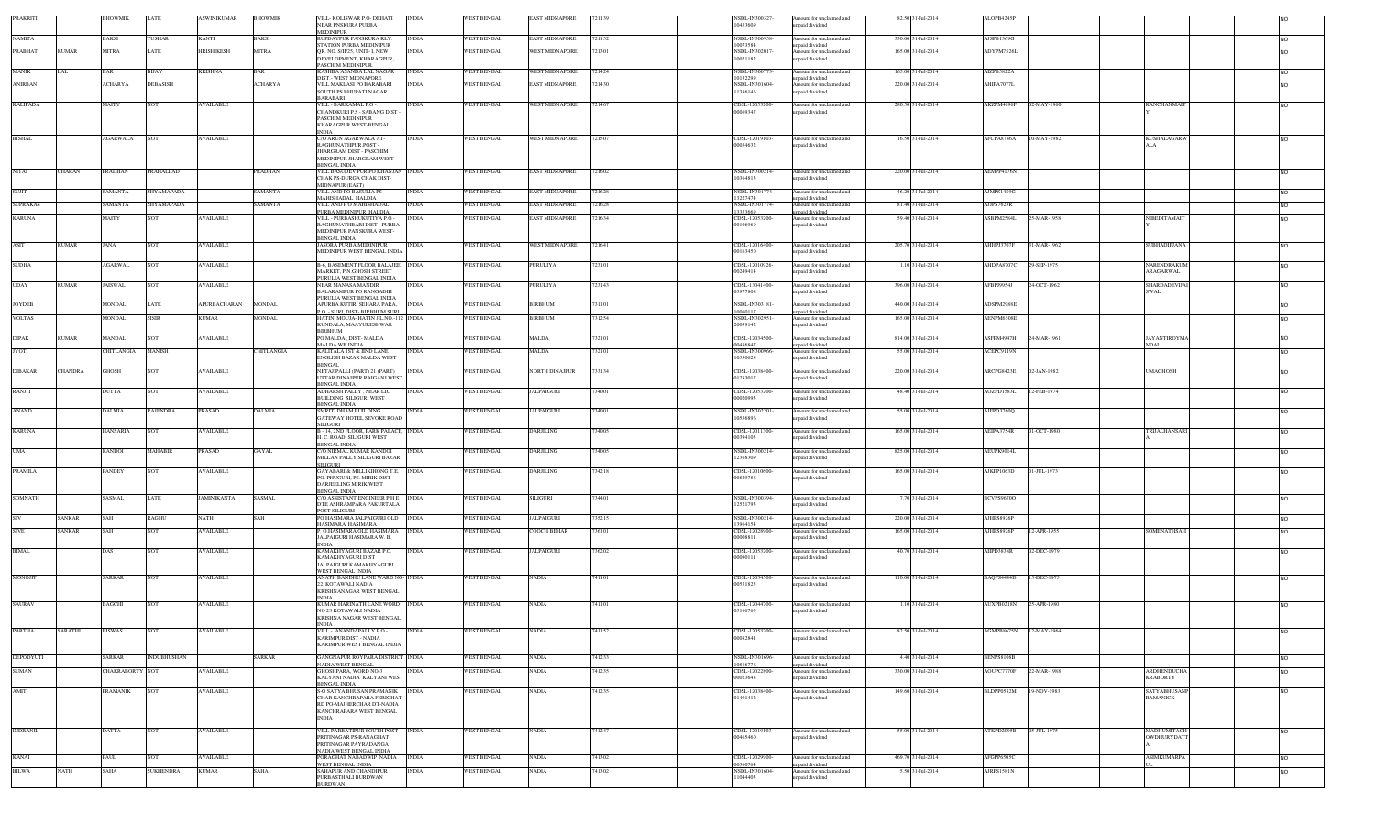| <b>PRAKRITI</b> |               | BHOWMIK         | LATE               | ASWINIKUMAR      | <b>BHOWMIK</b>    | VILL- KOLISWAR P.O- DEHATI<br><b>NEAR PNSKURA PURBA</b>                  | <b>INDIA</b> | <b>WEST BENGAL</b> | EAST MIDNAPORE        | 721139 | NSDL-IN300327<br>10453609  | Amount for unclaimed and<br>npaid dividend  | 82.50 31-Jul-2014  | ALOPB4245P        |             |                                       |                |
|-----------------|---------------|-----------------|--------------------|------------------|-------------------|--------------------------------------------------------------------------|--------------|--------------------|-----------------------|--------|----------------------------|---------------------------------------------|--------------------|-------------------|-------------|---------------------------------------|----------------|
| <b>NAMITA</b>   |               | BAKSI           | <b>TUSHAR</b>      | <b>KANTI</b>     | BAKSI             | <b>MEDINIPUR</b><br>RUPDAYPUR PANSKURA RLY.                              | <b>INDIA</b> | <b>WEST BENGAL</b> | <b>EAST MIDNAPORE</b> | 721152 | NSDL-IN300958              | mount for unclaimed and                     | 330.00 31-Jul-2014 | AJSPB1369G        |             |                                       | <b>NO</b>      |
| <b>PRABHAT</b>  | <b>KUMAR</b>  | <b>MITRA</b>    | LATE               | HRISHIKESH       | MITRA             | STATION PURBA MEDINIPUR<br>OR NO S/II/25 UNIT- I NEW                     | INDIA        | <b>WEST BENGAL</b> | <b>WEST MIDNAPORE</b> | 721301 | 10073584<br>NSDL-IN30201   | npaid dividend<br>Amount for unclaimed and  | 165.00 31-Jul-2014 | ADYPM7526L        |             |                                       |                |
|                 |               |                 |                    |                  |                   | DEVELOPMENT, KHARAGPUR,<br>PASCHIM MEDINIPUR.                            |              |                    |                       |        | 10021182                   | npaid dividend                              |                    |                   |             |                                       |                |
| <b>MANIK</b>    |               | BAR             | <b>BUAY</b>        | <b>KRISHNA</b>   | BAR               | KASHBA ASANDA LAL NAGAR<br>DIST - WEST MIDNAPORE                         | <b>INDIA</b> | <b>WEST BENGAL</b> | WEST MIDNAPORE        | 721424 | NSDL-IN300773<br>10132299  | Amount for unclaimed and<br>apaid dividend  | 165.00 31-Jul-2014 | AIZPB5822A        |             |                                       |                |
| <b>ANIRBAN</b>  |               | ACHARYA         | <b>DEBASISH</b>    |                  | ACHARYA           | VILL MAKLASI PO BARABARI<br>SOUTH PS BHUPATI NAGAR                       | <b>INDIA</b> | <b>WEST BENGAL</b> | EAST MIDNAPORE        | 721430 | NSDL-IN301604<br>11386146  | mount for unclaimed and<br>npaid dividend   | 220.00 31-Jul-2014 | AHIPA7077L        |             |                                       | <b>NO</b>      |
| <b>KALIPADA</b> |               | MAITY           | <b>NOT</b>         | <b>AVAILABLE</b> |                   | <b>BARABARI</b><br>VILL - BARKAMAL P.O -                                 | INDIA        | <b>WEST BENGAL</b> | <b>WEST MIDNAPORE</b> | 721467 | CDSL-12053200              | Amount for unclaimed and                    | 280.50 31-Jul-2014 | AKZPM4696F        | 02-MAY-1960 | KANCHANMAIT                           | <b>NO</b>      |
|                 |               |                 |                    |                  |                   | CHANDKURI P.S - SABANG DIST -<br>PASCHIM MEDINIPUR                       |              |                    |                       |        | 00069347                   | npaid dividend                              |                    |                   |             |                                       |                |
|                 |               |                 |                    |                  |                   | KHARAGPUR WEST-BENGAL                                                    |              |                    |                       |        |                            |                                             |                    |                   |             |                                       |                |
| <b>BISHAL</b>   |               | AGARWALA        | <b>NOT</b>         | <b>AVAILABLE</b> |                   | NDIA<br>C/O ARUN AGARWALA AT-<br>RAGHUNATHPUR.POST -                     | <b>INDIA</b> | <b>WEST BENGAL</b> | WEST MIDNAPORE        | 721507 | CDSL-12019103-<br>00054632 | Amount for unclaimed and<br>inpaid dividend | 16.50 31-Jul-2014  | AFCPA8746A        | 10-MAY-1982 | <b>KUSHALAGARW</b>                    | <b>NO</b>      |
|                 |               |                 |                    |                  |                   | <b>JHARGRAM DIST - PASCHIM</b>                                           |              |                    |                       |        |                            |                                             |                    |                   |             | ALA                                   |                |
|                 |               |                 |                    |                  |                   | MEDINIPUR JHARGRAM WEST<br>BENGAL INDIA                                  |              |                    |                       |        |                            |                                             |                    |                   |             |                                       |                |
| <b>NITAI</b>    | <b>CHARAN</b> | PRADHAN         | PRAHALLAD          |                  | PRADHAN           | VILL BASUDEV PUR PO KHANJAN INDIA<br>CHAK PS-DURGA CHAK DIST-            |              | WEST BENGAL        | <b>EAST MIDNAPORE</b> | 721602 | NSDL-IN300214-<br>10364813 | Amount for unclaimed and<br>npaid dividend  | 220.00 31-Jul-2014 | AEMPP4176N        |             |                                       | <b>NO</b>      |
| <b>SUJIT</b>    |               | SAMANTA         | SHYAMAPADA         |                  | SAMANTA           | <b>MIDNAPUR (EAST)</b><br>VILL AND PO BASULIA PS                         | <b>INDIA</b> | <b>WEST BENGAL</b> | EAST MIDNAPORE        | 721628 | NSDL-IN301774              | Amount for unclaimed and                    | 46.20 31-Jul-2014  | AJMPS1489G        |             |                                       | <b>NO</b>      |
| <b>SUPRAKAS</b> |               | SAMANTA         | SHYAMAPADA         |                  | SAMANTA           | MAHISHADAL HALDIA<br>VILL AND PO MAHISHADAI                              | <b>INDIA</b> | <b>WEST BENGAL</b> | <b>EAST MIDNAPORE</b> | 721628 | 13227474<br>NSDL-IN301774  | npaid dividend<br>Amount for unclaimed and  | 81.40 31-Jul-2014  | AJJPS7623R        |             |                                       | <b>NO</b>      |
| <b>KARUNA</b>   |               | MAITY           | <b>NOT</b>         | <b>AVAILABLE</b> |                   | PURBA MEDINIPUR HALDIA<br>VILL - PURBASHUKUTIYA P.O -                    | <b>INDIA</b> | WEST BENGAL        | EAST MIDNAPORE        | 721634 | 13353669<br>CDSL-12053200  | inpaid dividend<br>Amount for unclaimed and | 59.40 31-Jul-2014  | ASBPM2584L        | 25-MAR-1958 | NIBEDITAMAIT                          | <b>NO</b>      |
|                 |               |                 |                    |                  |                   | RAGHUNATHBARI DIST - PURBA<br>MEDINIPUR PANSKURA WEST-                   |              |                    |                       |        | 00106969                   | npaid dividend                              |                    |                   |             |                                       |                |
| ASIT            | <b>KUMAR</b>  | JANA            | <b>NOT</b>         | <b>AVAILABLE</b> |                   | <b>BENGAL INDIA</b><br>JASORA PURBA MEDINIPUR                            | <b>INDIA</b> | <b>WEST BENGAL</b> | WEST MIDNAPORE        | 721641 | CDSL-12016400-             | Amount for unclaimed and                    | 205.70 31-Jul-2014 | AHHPJ3707F        | 31-MAR-1962 | SUBHADIPJANA                          | <b>NO</b>      |
|                 |               |                 |                    |                  |                   | MEDINIPUR WEST BENGAL INDIA                                              |              |                    |                       |        | 00163450                   | npaid dividend                              |                    |                   |             |                                       |                |
| <b>SUDHA</b>    |               | <b>AGARWAL</b>  | <b>NOT</b>         | <b>AVAILABLE</b> |                   | B-6, BASEMENT FLOOR BALAJEE INDIA<br>MARKET, P.N.GHOSH STREET            |              | <b>WEST BENGAL</b> | PURULIYA              | 723101 | CDSL-12010926-<br>00249414 | Amount for unclaimed and<br>npaid dividend  | 1.10 31-Jul-2014   | AHDPA8707C        | 29-SEP-1975 | NARENDRAKUM<br><b>ARAGARWAL</b>       | <b>NO</b>      |
| <b>UDAY</b>     | <b>KUMAR</b>  | <b>JAISWAL</b>  | <b>NOT</b>         | <b>AVAILABLE</b> |                   | PURULIA WEST BENGAL INDIA<br>NEAR MANASA MANDIR                          | <b>INDIA</b> | <b>WEST BENGAL</b> | PURULIYA              | 723143 | CDSL-13041400-             | Amount for unclaimed and                    | 396.00 31-Jul-2014 | AFBPJ9954J        | 24-OCT-1962 | <b>SHARDADEVIJAI</b>                  | <b>NO</b>      |
|                 |               |                 |                    |                  |                   | <b>BALARAMPUR PO RANGADIH</b><br>PURULIA WEST BENGAL INDIA               |              |                    |                       |        | 3977808                    | apaid dividend                              |                    |                   |             | SWAL                                  |                |
| <b>JOYDEB</b>   |               | <b>MONDAL</b>   | LATE               | APURBACHARAN     | <b>MONDAL</b>     | APURBA KUTIR. SEHARA PARA.<br>P.O. - SURI, DIST- BIRBHUM SURI            | <b>INDIA</b> | <b>WEST BENGAL</b> | <b>BIRBHUM</b>        | 731101 | NSDL-IN303181<br>10060117  | Amount for unclaimed and<br>apaid dividend  | 440.00 31-Jul-2014 | ADSPM2988E        |             |                                       | <b>NO</b>      |
| <b>VOLTAS</b>   |               | <b>MONDAL</b>   | <b>SISIR</b>       | <b>KUMAR</b>     | <b>MONDAL</b>     | HATIN, MOUJA-HATIN J.L.NO.-112 INDIA<br>KUNDALA, MAAYURESHWAR            |              | WEST BENGAL        | <b>BIRBHUM</b>        | 731254 | NSDL-IN302951-<br>20039142 | Amount for unclaimed and<br>npaid dividend  | 165.00 31-Jul-2014 | AENPM6508E        |             |                                       | <b>NO</b>      |
| <b>DIPAK</b>    | <b>KUMAR</b>  | MANDAL          | <b>NOT</b>         | <b>AVAILABLE</b> |                   | BIRBHUM<br>PO MALDA , DIST- MALDA                                        | <b>INDIA</b> | WEST BENGAL        | MALDA                 | 32101  | CDSL-12034500-             | Amount for unclaimed and                    | 814.00 31-Jul-2014 | ASFPM4947H        | 24-MAR-1961 | <b>JAYANTIROYMA</b>                   | <b>NO</b>      |
| <b>JYOTI</b>    |               | CHITLANGIA      | <b>MANISH</b>      |                  | <b>CHITLANGIA</b> | <b>MALDA WB INDIA</b><br>KALITALA 1ST & IIND LANE                        | <b>INDIA</b> | WEST BENGAL        | <b>MALDA</b>          | 32101  | 00486847<br>NSDL-IN300966- | apaid dividend<br>Amount for unclaimed and  | 55.00 31-Jul-2014  | ACEPC9119N        |             | <b>NDAL</b>                           | <b>NO</b>      |
|                 |               |                 |                    |                  |                   | <b>ENGLISH BAZAR MALDA WEST</b><br><b>BENGAL</b>                         |              |                    |                       |        | 10530628                   | npaid dividend                              |                    |                   |             |                                       |                |
| <b>DIBAKAR</b>  | CHANDRA       | GHOSH           | <b>NOT</b>         | <b>AVAILABLE</b> |                   | NETAJIPALLI (PART) 21 (PART)<br>UTTAR DINAJPUR RAIGANJ WEST              | <b>INDIA</b> | <b>WEST BENGAL</b> | NORTH DINAJPUR        | 733134 | CDSL-12038400<br>01283017  | Amount for unclaimed and                    | 220.00 31-Jul-2014 | ARCPG8423E        | 02-JAN-1982 | <b>UMAGHOSH</b>                       | <b>NO</b>      |
|                 |               |                 |                    |                  |                   | <b>BENGAL INDIA</b>                                                      |              | <b>WEST BENGAL</b> | <b>JALPAIGURI</b>     | 734001 | CDSL-12053200              | npaid dividend                              | 48.40 31-Jul-2014  | AOZPD1583L        | 12-FEB-1974 |                                       |                |
| RANJIT          |               | DUTTA           | <b>NOT</b>         | <b>AVAILABLE</b> |                   | ADHARSH PALLY, NEAR LIC<br><b>BUILDING SILIGURI WEST</b><br>BENGAL INDIA | <b>INDIA</b> |                    |                       |        | 00020993                   | Amount for unclaimed and<br>apaid dividend  |                    |                   |             |                                       | <b>NO</b>      |
| <b>ANAND</b>    |               | DALMIA          | <b>RAJENDRA</b>    | <b>PRASAD</b>    | <b>DALMIA</b>     | <b>SMRITI DHAM BUILDING</b><br>GATEWAY HOTEL SEVOKE ROAD                 | <b>INDIA</b> | <b>WEST BENGAL</b> | <b>JALPAIGURI</b>     | 734001 | NSDL-IN302201<br>10556896  | Amount for unclaimed and<br>npaid dividend  | 55.00 31-Jul-2014  | AJFPD3760Q        |             |                                       | <b>NO</b>      |
|                 |               |                 |                    |                  |                   | SILIGURI                                                                 |              |                    |                       |        |                            |                                             |                    |                   |             | <b>TRIJALHANSAR</b>                   |                |
| <b>KARUNA</b>   |               | HANSARIA        | <b>NOT</b>         | <b>AVAILABLE</b> |                   | B-14, 2ND FLOOR, PARK PALACE, INDIA<br>H. C. ROAD, SILIGURI WEST         |              | WEST BENGAL        | DARJILING             | 34005  | CDSL-12011300-<br>00394105 | Amount for unclaimed and<br>npaid dividend  | 165.00 31-Jul-2014 | AEIPA3754R        | $-OCT-1980$ |                                       | N <sub>O</sub> |
| <b>UMA</b>      |               | KANDOI          | MAHABIR            | PRASAD           | <b>GAYAL</b>      | BENGAL INDIA<br>C/O NIRMAL KUMAR KANDOI                                  | <b>INDIA</b> | WEST BENGAL        | <b>DARJILING</b>      | 34005  | NSDL-IN300214              | mount for unclaimed and                     | 825.00 31-Jul-2014 | AEUPK9014L        |             |                                       | <b>NO</b>      |
|                 |               |                 |                    |                  |                   | MILLAN PALLY SILIGURI BAZAR<br><b>SILIGURI</b>                           |              |                    |                       |        | 12368309                   | npaid dividend                              |                    |                   |             |                                       |                |
| <b>PRAMILA</b>  |               | PANDEY          | <b>NOT</b>         | <b>AVAILABLE</b> |                   | <b>GAYABARI &amp; MILLIKIHONG T.E.</b><br>PO. PHUGURI, PS. MIRIK DIST-   | <b>INDIA</b> | <b>WEST BENGAL</b> | DARJILING             | 34218  | CDSL-12010600<br>00829788  | Amount for unclaimed and<br>npaid dividend  | 165.00 31-Jul-2014 | AJKPP1063D        | 01-JUL-1973 |                                       | <b>NO</b>      |
|                 |               |                 |                    |                  |                   | DARJEELING MIRIK WEST<br><b>BENGAL INDIA</b>                             |              |                    |                       |        |                            |                                             |                    |                   |             |                                       |                |
| <b>SOMNATH</b>  |               | <b>SASMAL</b>   | LATE               | JAMINIKANTA      | SASMAL            | C/O ASSISTANT ENGINEER PHE INDIA<br>DTE ASHRAMPARA PAKURTALA             |              | <b>WEST BENGAL</b> | SILIGURI              | 734401 | NSDL-IN300394<br>12521793  | Amount for unclaimed and<br>paid dividend   | 7.70 31-Jul-2014   | BCVPS9670Q        |             |                                       | <b>NO</b>      |
|                 | SANKAR        | <b>AH</b>       | <b>RAGHU</b>       | <b>NATH</b>      | AH                | POST SILIGURI<br>PO HASIMARA JALPAIGURI OLD                              | <b>INDIA</b> | <b>WEST BENGAL</b> | ALPAIGURI             | 35215  | NSDL-IN300214-             | mount for unclaimed and                     | 220.00 31-Jul-2014 | AJHPS8926P        |             |                                       | <b>NO</b>      |
| <b>SIVE</b>     | SANKAR        | SAH             | <b>NOT</b>         | <b>AVAILABLE</b> |                   | HASIMARA HASIMARA<br>. O.HASIMARA OLD HASIMARA                           | <b>INDIA</b> | WEST BENGAL        | <b>COOCH BEHAR</b>    | 736101 | 13964154<br>CDSL-12028900  | npaid dividend<br>mount for unclaimed and   | 165.00 31-Jul-2014 | AJHPS8926P        | 2-APR-1955  | <b>SOMENATHSAE</b>                    | <b>NO</b>      |
|                 |               |                 |                    |                  |                   | ALPAIGURI HASIMARA W.B.<br>INDIA                                         |              |                    |                       |        | 00008811                   | apaid dividend                              |                    |                   |             |                                       |                |
| <b>BIMAL</b>    |               | DAS             | <b>NOT</b>         | <b>AVAILABLE</b> |                   | KAMAKHYAGURI BAZAR P.O.<br>KAMAKHYAGURI DIST                             | INDIA        | <b>WEST BENGAL</b> | ALPAIGURI             | 36202  | CDSL-12053200<br>00090111  | mount for unclaimed and<br>npaid dividend   | 40.70 31-Jul-2014  | AIIPD3838R        | 02-DEC-1979 |                                       |                |
|                 |               |                 |                    |                  |                   | JALPAIGURI KAMAKHYAGURI<br>WEST BENGAL INDIA                             |              |                    |                       |        |                            |                                             |                    |                   |             |                                       |                |
| <b>MONOJIT</b>  |               | SARKAR          | <b>NOT</b>         | <b>AVAILABLE</b> |                   | ANATH BANDHU LANE WARD NO- INDIA<br>22, KOTAWALI NADIA                   |              | <b>WEST BENGAL</b> | VADIA                 | 741101 | CDSL-12034500<br>00551825  | Amount for unclaimed and<br>npaid dividend  | 110.00 31-Jul-2014 | BAQPS4444D        | 15-DEC-1975 |                                       |                |
|                 |               |                 |                    |                  |                   | KRISHNANAGAR WEST BENGAL<br><b>NDIA</b>                                  |              |                    |                       |        |                            |                                             |                    |                   |             |                                       |                |
| <b>SAURAV</b>   |               | BAGCHI          | <b>NOT</b>         | <b>AVAILABLE</b> |                   | KUMAR HARINATH LANE WORD INDIA<br>NO 23 KOTAWALI NADIA                   |              | WEST BENGAL        | <b>NADIA</b>          | 741101 | CDSL-12044700-<br>05166765 | Amount for unclaimed and<br>inpaid dividend | 1.10 31-Jul-2014   | AUXPB0218N        | 25-APR-1980 |                                       | <b>NO</b>      |
|                 |               |                 |                    |                  |                   | KRISHNA NAGAR WEST BENGAL<br><b>INDIA</b>                                |              |                    |                       |        |                            |                                             |                    |                   |             |                                       |                |
| PARTHA          | SARATHI       | <b>BISWAS</b>   | <b>NOT</b>         | <b>AVAILABLE</b> |                   | VILL - ANANDAPALLY P.O -<br>KARIMPUR DIST - NADIA                        | <b>INDIA</b> | WEST BENGAL        | <b>NADIA</b>          | 741152 | CDSL-12053200<br>00082841  | Amount for unclaimed and<br>inpaid dividend | 82.50 31-Jul-2014  | AGMPB8675N        | 12-MAY-1964 |                                       | <b>INO</b>     |
|                 |               |                 |                    |                  |                   | KARIMPUR WEST BENGAL INDIA                                               |              |                    |                       |        |                            |                                             |                    |                   |             |                                       |                |
| DEPODYUTI       |               | SARKAR          | <b>INDUBHUSHAN</b> |                  | SARKAR            | GANGNAPUR ROYPARA DISTRICT INDIA<br>NADIA WEST BENGAL                    |              | WEST BENGAL        | NADIA                 | 741233 | NSDL-IN301696-<br>10886778 | Amount for unclaimed and<br>npaid dividend  | 4.40 31-Jul-2014   | <b>BENPS8108B</b> |             |                                       | <b>NO</b>      |
| <b>SUMAN</b>    |               | CHAKRABORTY NOT |                    | <b>AVAILABLE</b> |                   | GHOSHPARA, WORD NO-3<br>KALYANI NADIA KALYANI WEST                       | <b>INDIA</b> | <b>WEST BENGAL</b> | <b>NADIA</b>          | 741235 | CDSL-12022800<br>00023648  | Amount for unclaimed and<br>npaid dividend  | 330.00 31-Jul-2014 | AOUPC7770F        | 22-MAR-1988 | <b>ARDHENDUCHA</b><br><b>KRABORTY</b> | <b>NO</b>      |
| AMIT            |               | <b>PRAMANIK</b> | <b>NOT</b>         | <b>AVAILABLE</b> |                   | <b>BENGAL INDIA</b><br>S-O SATYA BHUSAN PRAMANIK                         | <b>INDIA</b> | <b>WEST BENGAL</b> | <b>NADIA</b>          | 741235 | CDSL-12038400              | Amount for unclaimed and                    | 149.60 31-Jul-2014 | BLDPP0582M        | 19-NOV-1983 | SATYABHUSANF                          | <b>NO</b>      |
|                 |               |                 |                    |                  |                   | CHAR KANCHRAPARA FERIGHAT<br>RD PO-MAJHERCHAR DT-NADIA                   |              |                    |                       |        | 01491412                   | inpaid dividend                             |                    |                   |             | <b>RAMANICK</b>                       |                |
|                 |               |                 |                    |                  |                   | KANCHRAPARA WEST BENGAL<br>NDIA                                          |              |                    |                       |        |                            |                                             |                    |                   |             |                                       |                |
| <b>INDRANIL</b> |               |                 |                    |                  |                   | VILL-PARBATIPUR SOUTH POST- INDIA                                        |              |                    |                       |        |                            |                                             |                    | ATKPD2095B        |             | <b>MADHUMITACH</b>                    |                |
|                 |               | DATTA           | <b>NOT</b>         | <b>AVAILABLE</b> |                   | PRITINAGAR PS-RANAGHAT                                                   |              | WEST BENGAL        | <b>NADIA</b>          | 741247 | CDSL-12019103-<br>00465460 | Amount for unclaimed and<br>apaid dividend  | 55.00 31-Jul-2014  |                   | 05-JUL-1975 | OWDHURYDATT                           | <b>NO</b>      |
|                 |               |                 |                    |                  |                   | PRITINAGAR PAYRADANGA<br>NADIA WEST BENGAL INDIA                         |              |                    |                       |        |                            |                                             |                    |                   |             |                                       |                |
| KANAI           |               | PAUL            | NOT                | <b>AVAILABLE</b> |                   | PORAGHAT NABADWIP NADIA<br>WEST BENGAL INDIA                             | <b>INDIA</b> | WEST BENGAL        | VADIA                 | 741302 | CDSL-12029900<br>00360764  | Amount for unclaimed and<br>inpaid dividend | 469.70 31-Jul-2014 | AFGPP6505C        |             | <b>ASIMKUMARPA</b>                    | <b>NO</b>      |
| <b>BILWA</b>    | NATH          | SAHA            | <b>SUKHENDRA</b>   | <b>KUMAR</b>     | SAHA              | SAHAPUR AND CHANDIPUR<br>PURBASTHALI BURDWAN                             | <b>INDIA</b> | <b>WEST BENGAL</b> | <b>NADIA</b>          | 41302  | NSDL-IN301604-<br>11044403 | Amount for unclaimed and<br>inpaid dividend | 5.50 31-Jul-2014   | <b>URPS1581N</b>  |             |                                       | <b>NO</b>      |
|                 |               |                 |                    |                  |                   | <b>BURDWAN</b>                                                           |              |                    |                       |        |                            |                                             |                    |                   |             |                                       |                |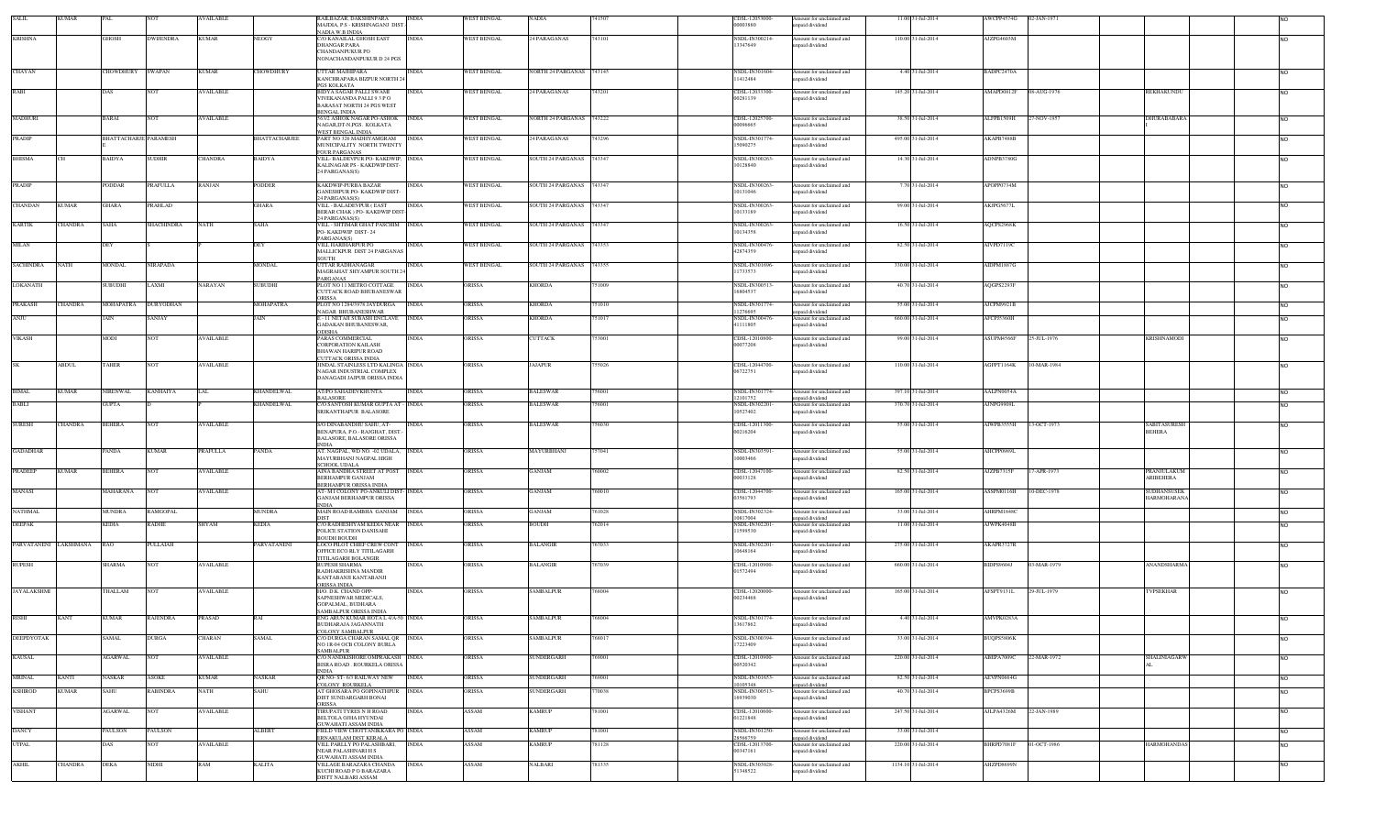| <b>SALIL</b>       | <b>KUMAR</b>              | <b>PAL</b>                   | <b>NOT</b>                       | <b>AVAILABLE</b> |                      | RAILBAZAR, DAKSHINPARA<br>MAJDIA, P.S - KRISHNAGANJ DIST.-                                                         | <b>INDIA</b>                 | <b>WEST BENGAL</b> | <b>NADIA</b>             | 741507          | CDSL-12053000-<br>00003880                | Amount for unclaimed and<br>inpaid dividend                            | 11.00 31-Jul-2014                       | AWCPP4574G               | 02-JAN-1971                       |                                                      |
|--------------------|---------------------------|------------------------------|----------------------------------|------------------|----------------------|--------------------------------------------------------------------------------------------------------------------|------------------------------|--------------------|--------------------------|-----------------|-------------------------------------------|------------------------------------------------------------------------|-----------------------------------------|--------------------------|-----------------------------------|------------------------------------------------------|
| <b>KRISHNA</b>     |                           | GHOSH                        | <b>DWIJENDRA</b>                 | <b>KUMAR</b>     | NEOGY                | NADIA W.B INDIA<br>C/O KANAILAL GHOSH EAST                                                                         | <b>INDIA</b>                 | <b>WEST BENGAL</b> | 24 PARAGANAS             | 743101          | NSDL-IN300214-                            | Amount for unclaimed and                                               | 110.00 31-Jul-2014                      | AJZPG4603M               |                                   | <b>NO</b>                                            |
|                    |                           |                              |                                  |                  |                      | <b>DHANGAR PARA</b><br>CHANDANPUKUR PO<br>NONACHANDANPUKUR D 24 PGS                                                |                              |                    |                          |                 | 13347649                                  | inpaid dividend                                                        |                                         |                          |                                   |                                                      |
| CHAYAN             |                           | CHOWDHURY                    | SWAPAN                           | <b>KUMAR</b>     | <b>HOWDHURY</b>      | <b>UTTAR MAJHIPARA</b><br>KANCHRAPARA BIZPUR NORTH 24                                                              | INDIA                        | <b>WEST BENGAL</b> | NORTH 24 PARGANAS 743145 |                 | NSDL-IN301604<br>11412484                 | Amount for unclaimed and<br>npaid dividend                             | 4.40 31-Jul-2014                        | BADPC2470A               |                                   | <b>NO</b>                                            |
| RABI               |                           | DAS                          | NOT                              | <b>AVAILABLE</b> |                      | <b>GS KOLKATA</b><br><b>BIDYA SAGAR PALLI SWAMI</b><br>VIVEKANANDA PALLI 93 PO<br><b>BARASAT NORTH 24 PGS WEST</b> | <b>INDIA</b>                 | <b>WEST BENGAL</b> | 24 PARAGANAS             | 743201          | CDSL-12033300-<br>00281139                | Amount for unclaimed and<br>inpaid dividend                            | 145.20 31-Jul-2014                      | AMAPD0812F               | 08-AUG-1976<br><b>REKHAKUNDU</b>  | <b>NO</b>                                            |
| <b>MADHURI</b>     |                           | BARAI                        | <b>NOT</b>                       | <b>AVAILABLE</b> |                      | BENGAL INDIA<br>563/2 ASHOK NAGAR PO-ASHOK INDIA<br>NAGAR.DT-N.PGS. KOLKATA                                        |                              | <b>WEST BENGAL</b> | NORTH 24 PARGANAS        | 743222          | CDSL-12025700-<br>00096665                | Amount for unclaimed and<br>npaid dividend                             | 38.50 31-Jul-2014                       | ALFPB1509H               | 7-NOV-1957                        | DHURABABARA<br><b>NO</b>                             |
| PRADIP             |                           | <b>BHATTACHARJE PARAMESH</b> |                                  |                  | <b>BHATTACHARJEE</b> | WEST BENGAL INDIA<br>PART NO 326 MADHY AMGRAM<br>MUNICIPALITY NORTH TWENTY                                         | <b>INDIA</b>                 | WEST BENGAL        | 4 PARAGANAS              | 743296          | NSDL-IN301774-<br>15090275                | Amount for unclaimed and<br>npaid dividend                             | 495.00 31-Jul-2014                      | AKAPB7488B               |                                   | <b>NO</b>                                            |
| <b>BHISMA</b>      |                           | BAIDYA                       | <b>SUDHIR</b>                    | <b>CHANDRA</b>   | BAIDYA               | <b>FOUR PARGANAS</b><br>VILL- BALDEVPUR PO- KAKDWIP, INDIA<br>KALINAGAR PS - KAKDWIP DIST-<br>24 PARGANAS(S)       |                              | WEST BENGAL        | SOUTH 24 PARGANAS        | 743347          | NSDL-IN300263-<br>10128840                | Amount for unclaimed and<br>inpaid dividend                            | 14.30 31-Jul-2014                       | ADNPB3780G               |                                   | NO                                                   |
| PRADIP             |                           | PODDAR                       | PRAFULLA                         | RANJAN           | PODDER               | KAKDWIP-PURBA BAZAR<br>GANESHPUR PO- KAKDWIP DIST-                                                                 | <b>INDIA</b>                 | WEST BENGAL        | SOUTH 24 PARGANAS        | 743347          | NSDL-IN300263-<br>10131046                | Amount for unclaimed and<br>npaid dividend                             | 7.70 31-Jul-2014                        | APOPP0734M               |                                   | <b>NO</b>                                            |
| CHANDAN            | KUMAR                     | GHARA                        | <b>PRAHLAD</b>                   |                  | GHARA                | 24 PARGANAS(S)<br>VILL - BALADEVPUR ( EAST<br>BERAR CHAK ) PO- KAKDWIP DIST-<br>24 PARGANAS(S)                     | <b>INDIA</b>                 | WEST BENGAL        | SOUTH 24 PARGANAS        | 743347          | NSDL-IN300263-<br>10133189                | Amount for unclaimed and<br>npaid dividend                             | 99.00 31-Jul-2014                       | AKJPG5677L               |                                   | <b>NO</b>                                            |
| <b>KARTIK</b>      | CHANDRA                   | SAHA                         | <b>SHACHINDRA</b>                | NATH             | SAHA                 | VILL - SHTIMAR GHAT PASCHIM INDIA<br>PO- KAKDWIP DIST-24<br>PARGANAS(S)                                            |                              | WEST BENGAL        | SOUTH 24 PARGANAS        | 743347          | NSDL-IN300263-<br>10134358                | Amount for unclaimed and<br>npaid dividend                             | 16.50 31-Jul-2014                       | AQCPS2968K               |                                   | <b>NO</b>                                            |
| MILAN              |                           | DEY                          |                                  |                  | DEY                  | VILL HARIHARPUR PO<br>MALLICKPUR DIST 24 PARGANAS<br>SOUTH                                                         | <b>INDIA</b>                 | WEST BENGAL        | SOUTH 24 PARGANAS        | 743353          | NSDL-IN300476-<br>42874359                | Amount for unclaimed and<br>npaid dividend                             | 82.50 31-Jul-2014                       | AIVPD7119C               |                                   | <b>NO</b>                                            |
| <b>SACHINDRA</b>   | NATH                      | <b>MONDAL</b>                | <b>IRAPADA</b>                   |                  | <b>MONDAL</b>        | UTTAR RADHANAGAR<br>MAGRAHAT SHYAMPUR SOUTH 24<br>PARGANAS                                                         | INDIA                        | WEST BENGAL        | <b>SOUTH 24 PARGANAS</b> | 743355          | NSDL-IN301696<br>11733573                 | Amount for unclaimed and<br>inpaid dividend                            | 330.00 31-Jul-2014                      | AIDPM1887G               |                                   | <b>NO</b>                                            |
| LOKANATH           |                           | SUBUDHI                      | LAXMI                            | NARAYAN          | SUBUDHI              | PLOT NO 11 METRO COTTAGE<br>CUTTACK ROAD BHUBANESWAR<br>ORISSA                                                     | <b>INDIA</b>                 | ORISSA             | KHORDA                   | 51009           | NSDL-IN300513<br>16804537                 | Amount for unclaimed and<br>inpaid dividend                            | 40.70 31-Jul-2014                       | AQGPS2293F               |                                   | <b>NO</b>                                            |
| PRAKASH<br>ANJU    | <b>CHANDRA</b>            | MOHAPATRA<br>IAIN            | <b>DURYODHAN</b><br><b>ANJAY</b> |                  | MOHAPATRA<br>AIN     | PLOT NO 1284/3978 JAYDURGA<br>NAGAR BHUBANESHWAR<br>- 11 NETAJI SUBASH ENCLAVE                                     | <b>INDIA</b><br><b>INDIA</b> | ORISSA<br>ORISSA   | <b>KHORDA</b><br>KHORDA  | 751010<br>51017 | NSDL-IN301774<br>1276695<br>NSDL-IN300476 | Amount for unclaimed and<br>npaid dividend<br>Amount for unclaimed and | 55.00 31-Jul-2014<br>660.00 31-Jul-2014 | AJCPM9921B<br>AFCPJ5360H |                                   | NO<br><b>NO</b>                                      |
| VIKASH             |                           | MODI                         | NOT                              | <b>AVAILABLE</b> |                      | <b>GADAKAN BHUBANESWAR,</b><br>ODISHA<br>PARAS COMMERCIAL                                                          | INDIA                        | ORISSA             | <b>UTTACK</b>            | 53001           | 41111805<br>CDSL-12010800                 | npaid dividend<br>Amount for unclaimed and                             | 99.00 31-Jul-2014                       | ASUPM4566F               | 25-JUL-1976<br><b>KRISHNAMODI</b> | <b>NO</b>                                            |
|                    |                           |                              |                                  |                  |                      | CORPORATION KAILASH<br><b>BHAWAN HARIPUR ROAD</b><br>CUTTACK ORISSA INDIA                                          |                              |                    |                          |                 | 00077208                                  | inpaid dividend                                                        |                                         |                          |                                   |                                                      |
| <b>SK</b>          | ABDUL                     | TAHER                        | NOT                              | <b>AVAILABLE</b> |                      | JINDAL STAINLESS LTD KALINGA INDIA<br>NAGAR INDUSTRIAL COMPLEX<br>DANAGADI JAJPUR ORISSA INDIA                     |                              | ORISSA             | <b>JAJAPUR</b>           | 755026          | CDSL-12044700<br>06722751                 | Amount for unclaimed and<br>inpaid dividend                            | 110.00 31-Jul-2014                      | AGFPT1164K               | 10-MAR-1984                       | <b>NO</b>                                            |
| <b>BIMAL</b>       | KUMAR                     | <b>NIRENWAL</b>              | KANHAIYA                         | LAL              | <b>KHANDELWAL</b>    | AT/PO SAHADEVKHUNTA<br>3ALASORE                                                                                    | <b>INDIA</b>                 | ORISSA             | <b>BALESWAR</b>          | 756001          | NSDL-IN301774-<br>2101752                 | Amount for unclaimed and<br>unpaid dividend                            | 397.10 31-Jul-2014                      | AALPN0054A               |                                   | <b>NO</b>                                            |
| <b>BABLI</b>       |                           | <b>GUPTA</b>                 |                                  |                  | <b>KHANDELWAL</b>    | C/O SANTOSH KUMAR GUPTA AT - INDIA<br>SRIKANTHAPUR BALASORE                                                        |                              | ORISSA             | <b>BALESWAR</b>          | 756001          | NSDL-IN302201<br>10527402                 | Amount for unclaimed and<br>npaid dividend                             | 370.70 31-Jul-2014                      | AJNPG9909L               |                                   | <b>NO</b>                                            |
| <b>SURESH</b>      | CHANDRA                   | <b>BEHERA</b>                | <b>NOT</b>                       | <b>AVAILABLE</b> |                      | S/O DINABANDHU SAHU, AT-<br>BENAPURA, P.O.-RAJGHAT, DIST<br><b>BALASORE, BALASORE ORISSA</b>                       | <b>INDIA</b>                 | ORISSA             | BALESWAR                 | 756030          | CDSL-12011300-<br>00216204                | Amount for unclaimed and<br>inpaid dividend                            | 55.00 31-Jul-2014                       | AIWPB3555H               | 13-OCT-1973<br><b>BEHERA</b>      | SABITASURESH<br><b>NO</b>                            |
| <b>GADADHAR</b>    |                           | PANDA                        | <b>KUMAR</b>                     | PRAFULLA         | PANDA                | <b>INDIA</b><br>AT. NAGPAL, WD NO. - 02 UDALA, INDIA<br>MAYURBHANJ NAGPAL HIGH<br>SCHOOL UDALA                     |                              | ORISSA             | MAYURBHANJ               | 757041          | NSDL-IN303591-<br>10003466                | Amount for unclaimed and<br>npaid dividend                             | 55.00 31-Jul-2014                       | AHCPP0989L               |                                   | <b>NO</b>                                            |
| PRADEEP            | KUMAR                     | BEHERA                       | NOT                              | <b>AVAILABLE</b> |                      | AINA BANDHA STREET AT POST INDIA<br>BERHAMPUR GANJAM<br>BERHAMPUR ORISSA INDIA                                     |                              | ORISSA             | GANJAM                   | 760002          | CDSL-12047100-<br>00033128                | Amount for unclaimed and<br>npaid dividend                             | 82.50 31-Jul-2014                       | AJZPB7315F               | 7-APR-1973<br>ARIBEHERA           | PRANJULAKUM<br><b>NO</b>                             |
| MANASI             |                           | MAHARANA                     | NOT                              | <b>AVAILABLE</b> |                      | AT- M I COLONY PO-ANKULI DIST- INDIA<br>GANJAM BERHAMPUR ORISSA<br>NDIA                                            |                              | ORISSA             | GANJAM                   | 760010          | CDSL-12044700-<br>03561793                | Amount for unclaimed and<br>npaid dividend                             | 165.00 31-Jul-2014                      | ASSPM0116H               | 0-DEC-1978                        | <b>UDHANSUSEK</b><br><b>NO</b><br><b>HARMOHARANA</b> |
| <b>NATHMAL</b>     |                           | <b>MUNDRA</b>                | <b>AMGOPAL</b>                   |                  | <b>MUNDRA</b>        | MAIN ROAD RAMBHA GANJAM<br><b>TPIC</b>                                                                             | <b>INDIA</b>                 | ORISSA             | GANJAM                   | 761028          | NSDL-IN302324-<br>10817004                | Amount for unclaimed and<br>npaid dividend                             | 33.00 31-Jul-2014                       | AHRPM1848C               |                                   | <b>NO</b>                                            |
| DEEPAK             |                           | KEDIA                        | RADHE                            | SHYAM            | <b>KEDIA</b>         | C/O RADHESHYAM KEDIA NEAR INDIA<br>POLICE STATION DANISAHI<br>BOUDH BOUDH                                          |                              | ORISSA             | BOUDH                    | 762014          | NSDL-IN302201<br>1599530                  | Amount for unclaimed and<br>npaid dividend                             | 11.00 31-Jul-2014                       | AJWPK4048B               |                                   | <b>NO</b>                                            |
|                    | PARVATANENI LAKSHMANA RAO |                              | PULLAIAH                         |                  | PARVATANENI          | LOCO PILOT CHIEF CREW CONT<br>OFFICE ECO RLY TITILAGARH<br>TITILAGARH BOLANGIR                                     | <b>INDIA</b>                 | ORISSA             | <b>BALANGIR</b>          | 767033          | NSDL-IN302201<br>10648164                 | Amount for unclaimed and<br>npaid dividend                             | 275.00 31-Jul-2014                      | AKAPR3727R               |                                   | <b>NO</b>                                            |
| <b>RUPESH</b>      |                           | <b>SHARMA</b>                | NOT                              | <b>AVAILABLE</b> |                      | <b>RUPESH SHARMA</b><br>RADHAKRISHNA MANDIR<br>KANTABANJI KANTABANJI                                               | <b>INDIA</b>                 | ORISSA             | <b>BALANGIR</b>          | 767039          | CDSL-12010900-<br>01572494                | Amount for unclaimed and<br>npaid dividend                             | 660.00 31-Jul-2014                      | BIDPS9604J               | 03-MAR-1979                       | ANANDSHARMA<br><b>NO</b>                             |
| <b>JAYALAKSHMI</b> |                           | THALLAM                      | <b>NOT</b>                       | <b>AVAILABLE</b> |                      | ORISSA INDIA<br>H/O. D.K. CHAND OPP-<br>SAPNESHWAR MEDICALS.<br>GOPALMAL, BUDHARA                                  | <b>INDIA</b>                 | ORISSA             | SAMBALPUR                | 768004          | CDSL-12020000-<br>00234468                | Amount for unclaimed and<br>npaid dividend                             | 165,00 31-Jul-2014                      | AFSPT9131L               | 29-JUL-1979<br><b>TVPSEKHAR</b>   | <b>NO</b>                                            |
| <b>RISHI</b>       | <b>KANT</b>               | KUMAR                        | RAJENDRA                         | PRASAD           |                      | SAMBALPUR ORISSA INDIA<br>ENG ARUN KUMAR HOTA L 4/A-50 INDIA<br>BUDHARAJA JAGANNATH                                |                              | ORISSA             | SAMBALPUR                | 768004          | NSDL-IN301774-<br>13617862                | Amount for unclaimed and<br>inpaid dividend                            | 4.40 31-Jul-2014                        | AMVPK0283A               |                                   |                                                      |
| DEEPDYOTAK         |                           | SAMAL                        | DURGA                            | CHARAN           | SAMAL                | COLONY SAMBALPUR<br>C/O DURGA CHARAN SAMAL QR INDIA<br>NO 1R-04 OCB COLONY BURLA<br>SAMBALPUR                      |                              | ORISSA             | SAMBALPUR                |                 | NSDL-IN300394-<br>17223409                | Amount for unclaimed and<br>npaid dividend                             | 33.00 31-Jul-2014                       | <b>BUQPS5806K</b>        |                                   | <b>NO</b>                                            |
| <b>KAUSAL</b>      |                           | <b>AGARWAL</b>               | <b>NOT</b>                       | AVAILABLE        |                      | C/O NANDKISHORE OMPRAKASH INDIA<br>BISRA ROAD . ROURKELA ORISSA<br><b>INDIA</b>                                    |                              | ORISSA             | <b>SUNDERGARH</b>        | 769001          | CDSL-12010900<br>00520342                 | Amount for unclaimed and<br>inpaid dividend                            | 220.00 31-Jul-2014                      | ABEPA7009C               | 22-MAR-1972                       | SHALINIAGARW<br><b>NO</b>                            |
| MRINAL             | KANTI                     | <b>JASKAR</b>                | SOKE                             | KUMAR            | JASKAR               | QR NO-ST-6/3 RAILWAY NEW<br>COLONY ROURKELA                                                                        | <b>INDIA</b>                 | ORISSA             | <b>SUNDERGARH</b>        | 69001           | NSDL-IN301653<br>10105348                 | Amount for unclaimed and<br>unpaid dividend                            | 82.50 31-Jul-2014                       | AEVPN0664G               |                                   | <b>NO</b>                                            |
| <b>KSHIROD</b>     | KUMAR                     | SAHU                         | :ABINDRA                         | NATH             | AHU.                 | AT GHOSARA PO GOPINATHPUR INDIA<br>DIST SUNDARGARH BONAI<br>ORISSA                                                 |                              | ORISSA             | <b>SUNDERGARH</b>        | 70038           | NSDL-IN300513-<br>16939030                | Amount for unclaimed and<br>inpaid dividend                            | 40.70 31-Jul-2014                       | BPCPS3699B               |                                   | NO.                                                  |
| VISHANT            |                           | <b>AGARWAL</b>               | VОТ                              | <b>AVAILABLE</b> |                      | TIRUPATI TYRES N H ROAD<br>BELTOLA OJHA HYUNDAI<br>GUWAHATI ASSAM INDIA                                            | INDIA                        | ASSAM              | <b>CAMRUP</b>            | 781001          | CDSL-12010600<br>01221848                 | Amount for unclaimed and<br>unpaid dividend                            | 247.50 31-Jul-2014                      | AJLPA4326M               | 22-JAN-1989                       | <b>NO</b>                                            |
| DANCY              |                           | PAULSON                      | PAULSON                          |                  | ALBERT               | FIELD VIEW CHOTTANIKKARA PO INDIA<br>ERNAKULAM DIST KERALA                                                         |                              | ASSAM              | KAMRUP                   | 781001          | NSDL-IN301250-<br>28566759                | Amount for unclaimed and                                               | 33.00 31-Jul-2014                       |                          |                                   | <b>NO</b>                                            |
| <b>UTPAL</b>       |                           | DAS                          | ЮT                               | <b>AVAILABLE</b> |                      | VILL PARLLY PO PALASHBARI,<br>NEAR PALASHNARI H S                                                                  | <b>INDIA</b>                 | ASSAM              | CAMRUP                   | 781128          | CDSL-12013700-<br>00347161                | inpaid dividend<br>Amount for unclaimed and<br>inpaid dividend         | 220.00 31-Jul-2014                      | BHRPD7081F               | 01-OCT-1986                       | <b>ARMOHANDAS</b><br><b>INO</b>                      |
| <b>AKHIL</b>       | <b>HANDRA</b>             | DEKA                         | NIDHI                            | RAM              | KALITA               | GUWAHATI ASSAM INDIA<br>VILLAGE BARAZARA CHANDA<br>KUCHI ROAD P O BARAZARA<br>DISTT NALBARI ASSAM                  | <b>INDIA</b>                 | ASSAM              | VALBARI                  | 81335           | NSDL-IN303028<br>1348522                  | Amount for unclaimed and<br>inpaid dividend                            | 1134.10 31-Jul-2014                     | AHZPD8699N               |                                   | <b>NO</b>                                            |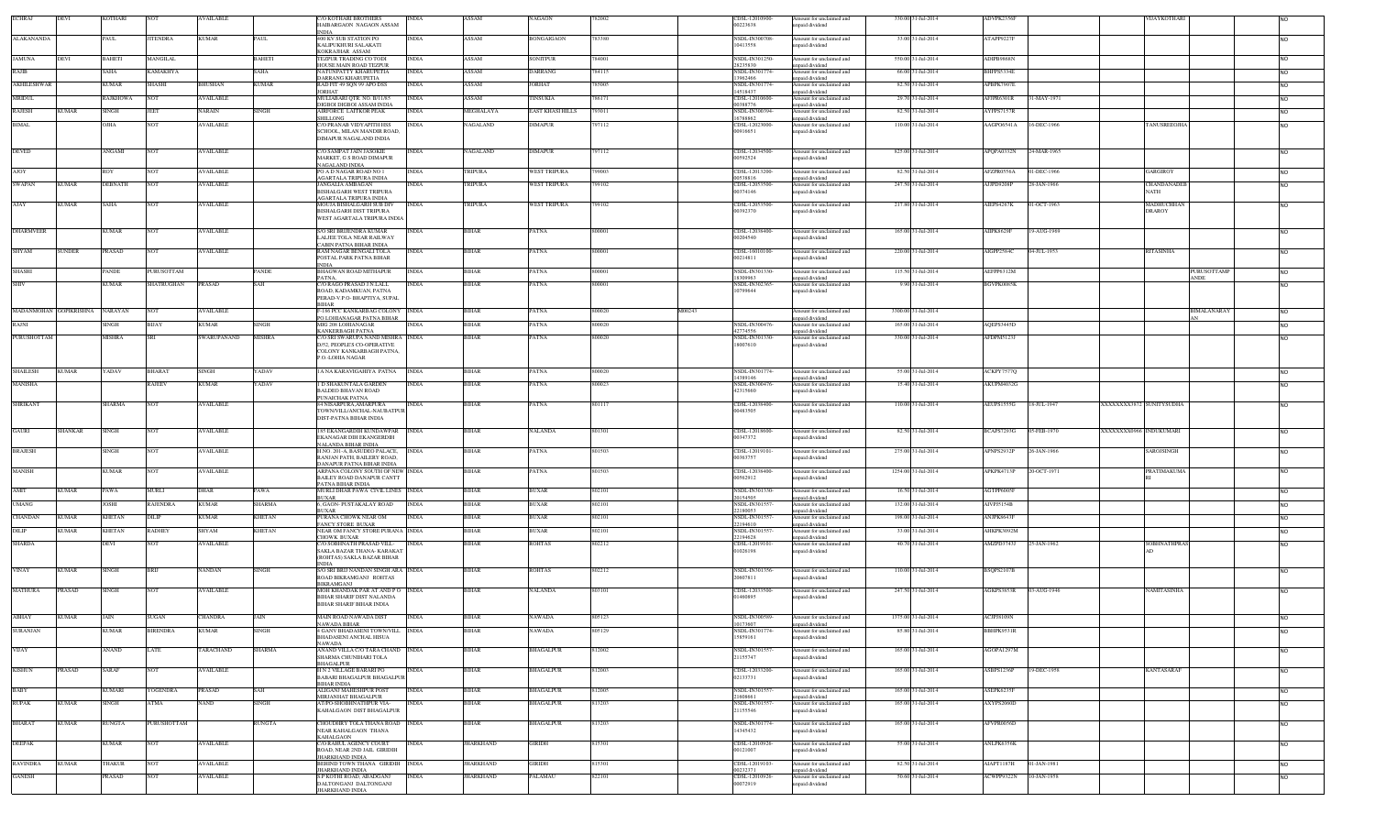| <b>ECHRAJ</b>      | DEVI                   | COTHARI        |                 | AVAILABLE        |               | <b>C/O KOTHARI BROTHERS</b><br>HAIBARGAON NAGAON ASSAM         | INDIA        | ASSAM            | VAGAON                  |        |        | CDSL-12010900<br>00223638        | Amount for unclaimed and<br>inpaid dividend | 330.00 31-Jul-2014  | ADVPK2356I        |             |                         | VIJAYKOTHAR                |                                      |                |
|--------------------|------------------------|----------------|-----------------|------------------|---------------|----------------------------------------------------------------|--------------|------------------|-------------------------|--------|--------|----------------------------------|---------------------------------------------|---------------------|-------------------|-------------|-------------------------|----------------------------|--------------------------------------|----------------|
| ALAKANANDA         |                        | PAUL           | ITENDRA         | <b>KUMAR</b>     | PAUL.         | <b>NDIA</b><br>400 KV SUB STATION PO                           | INDIA        | ASSAM            | BONGAIGAON              | 83380  |        | <b>NSDL-IN300708</b>             | mount for unclaimed and                     | 33.00 31-Jul-2014   | ATAPP9227F        |             |                         |                            |                                      | <b>NO</b>      |
|                    |                        |                |                 |                  |               | KALIPUKHURI SALAKATI                                           |              |                  |                         |        |        | 10413558                         | inpaid dividend                             |                     |                   |             |                         |                            |                                      |                |
| <b>JAMUNA</b>      | DEVI                   | <b>BAHETI</b>  | MANGILAL        |                  | BAHETI        | <b>KOKRAJHAR ASSAM</b><br><b>FEZPUR TRADING CO TODI</b>        | <b>INDIA</b> | ASSAM            | SONITPUR                | 84001  |        | NSDL-IN301250                    | Amount for unclaimed and                    | 550.00 31-Jul-2014  | ADIPB9868N        |             |                         |                            |                                      | N <sub>O</sub> |
| RAJIB              |                        | SAHA           | AMAKHYA.        |                  | AHA.          | HOUSE MAIN ROAD TEZPUR<br>NATUNPATTY KHARUPETIA                | INDIA        | ASSAM            | <b>DARRANG</b>          | 84115  |        | 28235830<br>NSDL-IN301774        | npaid dividend<br>mount for unclaimed and   | 66.00 31-Jul-2014   | BHFPS5334E        |             |                         |                            |                                      | <b>NO</b>      |
| <b>AKHILESHWAR</b> |                        | <b>KUMAR</b>   | SHASHI          | <b>BHUSHAN</b>   | KUMAR         | DARRANG KHARUPETIA<br>RAD FIT 49 SQN 99 APO DSS                | <b>INDIA</b> | ASSAM            | <b>ORHAT</b>            | 785005 |        | 13962466<br><b>NSDL-IN301774</b> | npaid dividend<br>Amount for unclaimed and  | 82.50 31-Jul-2014   | APBPK7907E        |             |                         |                            |                                      | N <sub>O</sub> |
| <b>MRIDUL</b>      |                        | RAJKHOWA       | NOT             | <b>AVAILABLE</b> |               | <b>JORHAT</b><br>MULIABARI QTR. NO. B/11/85                    | <b>INDIA</b> | ASSAM            | TINSUKIA                | 786171 |        | 14518437<br>CDSL-12010600-       | npaid dividend<br>Amount for unclaimed and  | 29.70 31-Jul-2014   | AFJPR6301R        | 31-MAY-1971 |                         |                            |                                      |                |
|                    |                        |                |                 |                  |               | DIGBOI DIGBOI ASSAM INDIA                                      |              |                  |                         |        |        | 00388776                         | npaid dividend                              |                     |                   |             |                         |                            |                                      | <b>NO</b>      |
| <b>RAJESH</b>      | <b>KUMAR</b>           | SINGH          | JEET            | <b>NARAIN</b>    | <b>SINGH</b>  | AIRFORCE LAITKOR PEAK<br>HILLONG                               | <b>INDIA</b> | MEGHALAYA        | <b>EAST KHASI HILLS</b> | 793011 |        | NSDL-IN300394<br>16788862        | Amount for unclaimed and<br>unpaid dividend | 82.50 31-Jul-2014   | AYFPS7157R        |             |                         |                            |                                      | N <sub>O</sub> |
| <b>BIMAL</b>       |                        | AHIC           | NOT             | <b>AVAILABLE</b> |               | <b>C/O PRANAB VIDY APITH HSS</b><br>SCHOOL. MILAN MANDIR ROAD. | <b>INDIA</b> | <b>NAGALAND</b>  | DIMAPUR                 | 97112  |        | CDSL-12023000-<br>00916651       | Amount for unclaimed and<br>inpaid dividend | 110.00 31-Jul-2014  | AAGPO6541A        | 16-DEC-1966 |                         | <b>TANUSREEOJHA</b>        |                                      | <b>NO</b>      |
|                    |                        |                |                 |                  |               | DIMAPUR NAGALAND INDIA                                         |              |                  |                         |        |        |                                  |                                             |                     |                   |             |                         |                            |                                      |                |
| DEVED              |                        | ANGAMI         | NOT             | <b>AVAILABLE</b> |               | <b>C/O SAMPAT JAIN JASOKIE</b><br>MARKET. G S ROAD DIMAPUR     | <b>INDIA</b> | NAGALAND         | <b>DIMAPUR</b>          | 797112 |        | CDSL-12034500-<br>00592524       | Amount for unclaimed and<br>npaid dividend  | 825.00 31-Jul-2014  | APQPA0332N        | 24-MAR-1965 |                         |                            |                                      | <b>NO</b>      |
|                    |                        |                |                 |                  |               | NAGAL AND INDIA<br>PO A D NAGAR ROAD NO 1                      |              |                  |                         | 799003 |        |                                  | Amount for unclaimed and                    |                     |                   |             |                         |                            |                                      |                |
| <b>AJOY</b>        |                        | ROY            | NOT             | <b>AVAILABLE</b> |               | AGARTALA TRIPURA INDIA                                         | <b>INDIA</b> | TRIPURA          | <b>WEST TRIPURA</b>     |        |        | CDSL-12013200-<br>00538816       | apaid dividend                              | 82.50 31-Jul-2014   | AFZPR0556A        | 01-DEC-1966 |                         | GARGIROY                   |                                      | <b>NO</b>      |
| <b>SWAPAN</b>      | <b>KUMAR</b>           | <b>DEBNATH</b> | <b>NOT</b>      | <b>AVAILABLE</b> |               | <b>JANGALIA AMBAGAN</b><br><b>BISHALGARH WEST TRIPURA</b>      | <b>INDIA</b> | TRIPURA          | WEST TRIPURA            | 799102 |        | CDSL-12053500-<br>00374146       | Amount for unclaimed and<br>npaid dividend  | 247.50 31-Jul-2014  | AJJPD9208P        | 28-JAN-1966 |                         | CHANDANADEB<br><b>NATH</b> |                                      | <b>NO</b>      |
| AJAY               | KUMAR                  | SAHA           | NO <sub>1</sub> | <b>AVAILABLE</b> |               | <b>AGARTALA TRIPURA INDIA</b><br>MOUJA BISHALGARH SUB DIV      | <b>INDIA</b> | TRIPURA          | <b>WEST TRIPURA</b>     | 99102  |        | CDSL-12053500-                   | Amount for unclaimed and                    | 217.80 31-Jul-2014  | AIEPS4267K        | 01-OCT-1963 |                         | MADHUCHHAN                 |                                      | N <sub>O</sub> |
|                    |                        |                |                 |                  |               | <b>BISHALGARH DIST TRIPURA</b><br>WEST AGARTALA TRIPURA INDIA  |              |                  |                         |        |        | 00392370                         | inpaid dividend                             |                     |                   |             |                         | <b>DRAROY</b>              |                                      |                |
| <b>DHARMVEER</b>   |                        | CUMAR          | vот             | AVAILABLE        |               | S/O SRI BRIJENDRA KUMAR                                        | <b>NDIA</b>  | BIHAR            | 'ATNA                   |        |        | CDSL-12038400-                   | Amount for unclaimed and                    | 165.00 31-Jul-2014  | <b>AIIPK8629F</b> | 19-AUG-1969 |                         |                            |                                      | N <sub>O</sub> |
|                    |                        |                |                 |                  |               | LALJEE TOLA NEAR RAILWAY                                       |              |                  |                         |        |        | 00204540                         | npaid dividend                              |                     |                   |             |                         |                            |                                      |                |
| SHYAM              | UNDER                  | PRASAD         | NOT             | <b>AVAILABLE</b> |               | CABIN PATNA BIHAR INDIA<br>RAM NAGAR BENGALI TOLA              | INDIA        | BIHAR            | PATNA                   | 0000   |        | CDSL-16010100                    | mount for unclaimed and                     | 220.00 31-Jul-2014  | AIGPP2584C        | 4-JUL-1953  |                         | RITASINHA                  |                                      | <b>NO</b>      |
|                    |                        |                |                 |                  |               | POSTAL PARK PATNA BIHAR                                        |              |                  |                         |        |        | 00214811                         | inpaid dividend                             |                     |                   |             |                         |                            |                                      |                |
| SHASHI             |                        | PANDE          | PURUSOTTAM      |                  | PANDE         | BHAGWAN ROAD MITHAPUR                                          | <b>INDIA</b> | BIHAR            | PATNA                   | 300001 |        | NSDL-IN301330<br>18309963        | mount for unclaimed and<br>npaid dividend   | 115.50 31-Jul-2014  | AEFPP6312M        |             |                         |                            | PURUSOTTAMP<br>$\operatorname{ANDE}$ | N <sub>O</sub> |
|                    |                        | KUMAR          | SHATRUGHAN      | <b>PRASAD</b>    |               | C/O RAGO PRASAD J.N.LALL<br>ROAD, KADAMKUAN, PATNA             | INDIA        | <b>IHAR</b>      | PATNA                   | 0000   |        | NSDL-IN302365<br>10799644        | Amount for unclaimed and<br>inpaid dividend | 9.90 31-Jul-2014    | BGVPK0085K        |             |                         |                            |                                      | N <sub>O</sub> |
|                    |                        |                |                 |                  |               | PERAD-V.P.O- BHAPTIYA, SUPAL<br>3IHAR                          |              |                  |                         |        |        |                                  |                                             |                     |                   |             |                         |                            |                                      |                |
|                    | MADANMOHAN GOPIKRISHNA | <b>NARAYAN</b> | NO <sub>1</sub> | <b>AVAILABLE</b> |               | -186 PCC KANKARBAG COLONY INDIA                                |              | BIHAR            | PATNA                   | 800020 | M00243 |                                  | Amount for unclaimed and                    | 3300.00 31-Jul-2014 |                   |             |                         |                            | BIMALANARAY                          | <b>NO</b>      |
| RAJNI              |                        | <b>SINGH</b>   | BIJAY           | <b>KUMAR</b>     | <b>INGH</b>   | O LOHIANAGAR PATNA BIHAR<br>MIG 208 LOHIANAGAR                 |              | <b>BIHAR</b>     | PATNA                   | 800020 |        | NSDL-IN300476                    | unpaid dividend<br>nount for unclaimed and  | 165.00 31-Jul-2014  | AQEPS3445D        |             |                         |                            |                                      | <b>NO</b>      |
| PURUSHOTTAM        |                        | MISHRA         |                 | SWARUPANAND      | <b>AISHRA</b> | KANKERBAGH PATNA<br><b>C/O SRI SWARUPA NAND MISHRA</b> INDIA   |              | 3IHAR            | PATNA                   | 300020 |        | 42774556<br>NSDL-IN301330        | inpaid dividend<br>Amount for unclaimed and | 330.00 31-Jul-2014  | AFDPM5123J        |             |                         |                            |                                      | <b>NO</b>      |
|                    |                        |                |                 |                  |               | D/52, PEOPLE'S CO-OPERATIVE<br>COLONY KANKARBAGH PATNA,        |              |                  |                         |        |        | 18007610                         | unpaid dividend                             |                     |                   |             |                         |                            |                                      |                |
|                    |                        |                |                 |                  |               | P.O.-LOHIA NAGAR                                               |              |                  |                         |        |        |                                  |                                             |                     |                   |             |                         |                            |                                      |                |
| <b>SHAILESH</b>    | <b>KUMAR</b>           | YADAV          | BHARAT          | <b>SINGH</b>     | YADAV         | 1A NA KARAVIGAHIYA PATNA                                       | <b>INDIA</b> | <b>BIHAR</b>     | PATNA                   | 800020 |        | NSDL-IN301774-<br>14389146       | Amount for unclaimed and<br>npaid dividend  | 55.00 31-Jul-2014   | ACKPY7577Q        |             |                         |                            |                                      | <b>NO</b>      |
| <b>MANISHA</b>     |                        |                | RAJEEV          | <b>KUMAR</b>     | YADAV         | 1 D SHAKUNTALA GARDEN<br><b>BALDEO BHAVAN ROAD</b>             | <b>INDIA</b> | <b>BIHAR</b>     | PATNA                   | 800023 |        | NSDL-IN300476<br>42315660        | Amount for unclaimed and                    | 15.40 31-Jul-2014   | AKUPM4032G        |             |                         |                            |                                      | <b>NO</b>      |
|                    |                        |                |                 |                  |               | PUNAICHAK PATNA                                                |              |                  |                         |        |        |                                  | npaid dividend                              |                     |                   |             |                         |                            |                                      |                |
| <b>SHRIKANT</b>    |                        | SHARMA         | NOT             | <b>AVAILABLE</b> |               | 84 NISARPURA, AMARPURA<br>TOWN/VILL/ANCHAL-NAUBATPUR           | <b>INDIA</b> | <b>BIHAR</b>     | PATNA                   | 801117 |        | CDSL-12038400-<br>00483505       | Amount for unclaimed and<br>npaid dividend  | 110.00 31-Jul-2014  | AEUPS1555G        | 18-JUL-1947 | XXXXXXX3872 SUNITYSUDHA |                            |                                      | N <sub>O</sub> |
|                    |                        |                |                 |                  |               | DIST-PATNA BIHAR INDIA                                         |              |                  |                         |        |        |                                  |                                             |                     |                   |             |                         |                            |                                      |                |
| GAURI              | HANKAR                 | <b>SINGH</b>   | NOT             | <b>AVAILABLE</b> |               | 185 EKANGARDIH KUNDAWPAR<br>EKANAGAR DIH EKANGERDIH            | <b>INDIA</b> | <b>BIHAR</b>     | NALANDA                 | 801301 |        | CDSL-12018600-<br>00347372       | Amount for unclaimed and<br>npaid dividend  | 82.50 31-Jul-2014   | BCAPS7293G        | 05-FEB-1970 | XXXXXXX0966 INDUKUMARI  |                            |                                      | <b>NO</b>      |
| <b>BRAJESH</b>     |                        | <b>SINGH</b>   | NOT             | <b>AVAILABLE</b> |               | NALANDA BIHAR INDIA<br>H.NO. 201-A, BASUDEO PALACE,            | <b>INDIA</b> | <b>BIHAR</b>     | PATNA                   | 801503 |        | CDSL-12019101                    | Amount for unclaimed and                    | 275.00 31-Jul-2014  | APNPS2932P        | 26-JAN-1966 |                         | SAROJSINGH                 |                                      | <b>NO</b>      |
|                    |                        |                |                 |                  |               | RANJAN PATH, BAILERY ROAD,                                     |              |                  |                         |        |        | 00363757                         | inpaid dividend                             |                     |                   |             |                         |                            |                                      |                |
| <b>MANISH</b>      |                        | <b>KUMAR</b>   | <b>NOT</b>      | <b>AVAILABLE</b> |               | DANAPUR PATNA BIHAR INDIA<br>ARPANA COLONY SOUTH OF NEW INDIA  |              | <b>BIHAR</b>     | PATNA                   | 801503 |        | CDSL-12038400                    | Amount for unclaimed and                    | 1254.00 31-Jul-2014 | APKPK4713P        | 20-OCT-1971 |                         | <b>PRATIMAKUMA</b>         |                                      | <b>NO</b>      |
|                    |                        |                |                 |                  |               | <b>BAILEY ROAD DANAPUR CANTT</b><br>PATNA BIHAR INDIA          |              |                  |                         |        |        | 00562912                         | inpaid dividend                             |                     |                   |             |                         |                            |                                      |                |
| AMIT               | KUMAR                  | PAWA           | MURLI           | <b>DHAR</b>      | PAWA          | MURLI DHAR PAWA CIVIL LINES INDIA<br><b>BUXAR</b>              |              | <b>BIHAR</b>     | <b>BUXAR</b>            | 802101 |        | NSDL-IN301330-<br>20154505       | Amount for unclaimed and<br>npaid dividend  | 16.50 31-Jul-2014   | AGTPP6005F        |             |                         |                            |                                      | <b>NO</b>      |
| <b>UMANG</b>       |                        | JOSHI          | <b>RAJENDRA</b> | <b>KUMAR</b>     | SHARMA        | 6, GAON- PUSTAKALAY ROAD<br>3UXAR                              | <b>INDIA</b> | <b>BIHAR</b>     | <b>BUXAR</b>            | 802101 |        | NSDL-IN301557<br>22180053        | Amount for unclaimed and<br>unpaid dividend | 132.00 31-Jul-2014  | AIVPJ5154B        |             |                         |                            |                                      | <b>NO</b>      |
| CHANDAN            | <b>CUMAR</b>           | KHETAN         | DILIP           | <b>KUMAR</b>     | <b>CHETAN</b> | PURANA CHOWK NEAR OM<br><b>FANCY STORE BUXAR</b>               | <b>NDIA</b>  | 3IHAR            | 3UXAR                   | 802101 |        | NSDL-IN301557<br>22194610        | Amount for unclaimed and<br>inpaid dividend | 198.00 31-Jul-2014  | ANJPK8643F        |             |                         |                            |                                      | <b>NO</b>      |
| DILIP              | KUMAR                  | KHETAN         | RADHEY          | <b>SHYAM</b>     | <b>CHETAN</b> | NEAR OM FANCY STORE PURANA INDIA                               |              | BIHAR            | <b>BUXAR</b>            | 802101 |        | NSDL-IN301557<br>22194628        | Amount for unclaimed and                    | 33.00 31-Jul-2014   | AHKPK3092M        |             |                         |                            |                                      | <b>NO</b>      |
| <b>SHARDA</b>      |                        | DEVI           | NOT             | <b>AVAILABLE</b> |               | CHOWK BUXAR<br>C/O SOBHNATH PRASAD VILL-                       | <b>INDIA</b> | <b>BIHAR</b>     | <b>ROHTAS</b>           | 802212 |        | CDSL-12019101-                   | npaid dividend<br>Amount for unclaimed and  | 40.70 31-Jul-2014   | AMZPD3743J        | 25-JAN-1962 |                         | <b>SOBHNATHPRAS</b>        |                                      | <b>NO</b>      |
|                    |                        |                |                 |                  |               | SAKLA BAZAR THANA- KARAKAT<br>(ROHTAS) SAKLA BAZAR BIHAR       |              |                  |                         |        |        | 01026198                         | inpaid dividend                             |                     |                   |             |                         |                            |                                      |                |
| <b>VINAY</b>       | <b>CUMAR</b>           | SINGH          | BRIJ            | <b>NANDAN</b>    | <b>INGH</b>   | <b>INDIA</b><br>S/O SRI BRIJ NANDAN SINGH ARA INDIA            |              | BIHAR            | ROHTAS                  | 302212 |        | NSDL-IN301356-                   | Amount for unclaimed and                    | 110.00 31-Jul-2014  | BSQPS2107B        |             |                         |                            |                                      | <b>NO</b>      |
|                    |                        |                |                 |                  |               | ROAD BIKRAMGANJ ROHTAS<br>BIKRAMGANJ                           |              |                  |                         |        |        | 20607811                         | npaid dividend                              |                     |                   |             |                         |                            |                                      |                |
| <b>MATHURA</b>     | PRASAD                 | SINGH          | NOT             | <b>AVAILABLE</b> |               | MOH KHANDAK PAR AT AND PO<br>BIHAR SHARIF DIST NALANDA         | <b>INDIA</b> | <b>BIHAR</b>     | <b>NALANDA</b>          | 303101 |        | CDSL-12033500-<br>01460895       | mount for unclaimed and<br>npaid dividend   | 247.50 31-Jul-2014  | AGKPS3853R        | 03-AUG-1946 |                         | NAMITASINHA                |                                      | <b>NO</b>      |
|                    |                        |                |                 |                  |               | <b>BIHAR SHARIF BIHAR INDIA</b>                                |              |                  |                         |        |        |                                  |                                             |                     |                   |             |                         |                            |                                      |                |
| ABHAY              | <b>KUMAR</b>           | JAIN           | SUGAN           | <b>CHANDRA</b>   | JAIN          | MAIN ROAD NAWADA DIST                                          | <b>INDIA</b> | <b>BIHAR</b>     | NAWADA                  | 805123 |        | NSDL-IN300589-                   | Amount for unclaimed and                    | 1375.00 31-Jul-2014 | ACJPJ8109N        |             |                         |                            |                                      |                |
| <b>SURANJAN</b>    |                        | <b>KUMAR</b>   | <b>BIRENDRA</b> | <b>KUMAR</b>     | <b>SINGH</b>  | NAWADA BIHAR<br>4 GANV BHADASENI TOWN/VILL INDIA               |              | <b>BIHAR</b>     | <b>NAWADA</b>           | 805129 |        | 0173607<br>NSDL-IN301774-        | paid dividend<br>Amount for unclaimed and   | 85.80 31-Jul-2014   | BBHPK9531R        |             |                         |                            |                                      | <b>NO</b>      |
|                    |                        |                |                 |                  |               | <b>BHADASENI ANCHAL HISUA</b><br>NAWADA                        |              |                  |                         |        |        | 15859161                         | unpaid dividend                             |                     |                   |             |                         |                            |                                      |                |
| <b>VIJAY</b>       |                        | ANAND          | LATE            | <b>TARACHAND</b> | <b>SHARMA</b> | ANAND VILLA C/O TARA CHAND INDIA<br>SHARMA CHUNIHARI TOLA      |              | <b>BIHAR</b>     | <b>BHAGALPUR</b>        | 812002 |        | NSDL-IN301557<br>21155747        | Amount for unclaimed and<br>inpaid dividend | 165.00 31-Jul-2014  | AGOPA1297M        |             |                         |                            |                                      | <b>NO</b>      |
| <b>KISHUN</b>      | PRASAD                 | SARAF          | NOT             | <b>AVAILABLE</b> |               | <b>BHAGALPUR</b><br>H N 2 VILLAGE BARARI PO                    | <b>INDIA</b> | <b>BIHAR</b>     | BHAGALPUR               | 812003 |        | CDSL-12033200-                   | Amount for unclaimed and                    | 165.00 31-Jul-2014  | ASBPS1236P        | 19-DEC-1958 |                         | <b>KANTASARAF</b>          |                                      | <b>NO</b>      |
|                    |                        |                |                 |                  |               | BABARI BHAGALPUR BHAGALPUR                                     |              |                  |                         |        |        | 02133731                         | npaid dividend                              |                     |                   |             |                         |                            |                                      |                |
| BABY               |                        | KUMARI         | YOGENDRA        | PRASAD           | SAH           | <b>BIHAR INDIA</b><br>ALIGANJ MAHESHPUR POST                   | <b>INDIA</b> | <b>BIHAR</b>     | <b>BHAGALPUR</b>        | 812005 |        | NSDL-IN301557                    | Amount for unclaimed and                    | 165.00 31-Jul-2014  | ASEPK6235F        |             |                         |                            |                                      | <b>NO</b>      |
| <b>RUPAK</b>       | <b>KUMAR</b>           | <b>SINGH</b>   | ATMA            | <b>NAND</b>      | SINGH         | MIRJANHAT BHAGALPUR<br>AT/PO-SHOBHNATHPUR VIA-                 | <b>INDIA</b> | <b>BIHAR</b>     | <b>BHAGALPUR</b>        | 813203 |        | 21608661<br>NSDL-IN301557        | inpaid dividend<br>Amount for unclaimed and | 165.00 31-Jul-2014  | AXYPS2060D        |             |                         |                            |                                      | <b>NO</b>      |
|                    |                        |                |                 |                  |               | KAHALGAON DIST BHAGALPUR                                       |              |                  |                         |        |        | 21155546                         | inpaid dividend                             |                     |                   |             |                         |                            |                                      |                |
| <b>BHARAT</b>      | <b>KUMAR</b>           | RUNGTA         | PURUSHOTTAM     |                  | RUNGTA        | CHOUDHRY TOLA THANA ROAD INDIA<br>NEAR KAHALGAON THANA         |              | <b>BIHAR</b>     | BHAGALPUR               | 813203 |        | NSDL-IN301774-<br>14345432       | Amount for unclaimed and<br>unpaid dividend | 165.00 31-Jul-2014  | AFVPR0056D        |             |                         |                            |                                      | <b>NO</b>      |
| <b>DEEPAK</b>      |                        | KUMAR          | NOT             | <b>AVAILABLE</b> |               | <b>KAHALGAON</b><br>C/O RAHUL AGENCY COURT                     | <b>INDIA</b> | <b>JHARKHAND</b> | GIRIDH                  | 815301 |        | CDSL-12010926-                   | Amount for unclaimed and                    | 55.00 31-Jul-2014   | ANLPK6356K        |             |                         |                            |                                      | <b>NO</b>      |
|                    |                        |                |                 |                  |               | ROAD, NEAR 2ND JAIL GIRIDIH                                    |              |                  |                         |        |        | 00121007                         | npaid dividend                              |                     |                   |             |                         |                            |                                      |                |
| <b>RAVINDRA</b>    | KUMAR                  | <b>HAKUR</b>   | NOT             | <b>AVAILABLE</b> |               | JHARKHAND INDIA<br>BEHIND TOWN THANA GIRIDIH INDIA             |              | <b>HARKHAND</b>  | <b>GIRIDH</b>           | 815301 |        | CDSL-12019103-                   | Amount for unclaimed and                    | 82.50 31-Jul-2014   | AIAPT1187H        | 01-JAN-1981 |                         |                            |                                      | <b>NO</b>      |
| <b>GANESH</b>      |                        | PRASAD         | NOT             | <b>AVAILABLE</b> |               | JHARKHAND INDIA<br>S.P KOTHI ROAD, ABADGANJ                    | <b>INDIA</b> | <b>JHARKHAND</b> | <b>PALAMAU</b>          | 822101 |        | 00232371<br>CDSL-12010926-       | apaid dividend<br>Amount for unclaimed and  | 50.60 31-Jul-2014   | ACWPP9322N        | 10-JAN-1958 |                         |                            |                                      | <b>NO</b>      |
|                    |                        |                |                 |                  |               | DALTONGANJ DALTONGANJ<br><b>JHARKHAND INDIA</b>                |              |                  |                         |        |        | 00072919                         | npaid dividend                              |                     |                   |             |                         |                            |                                      |                |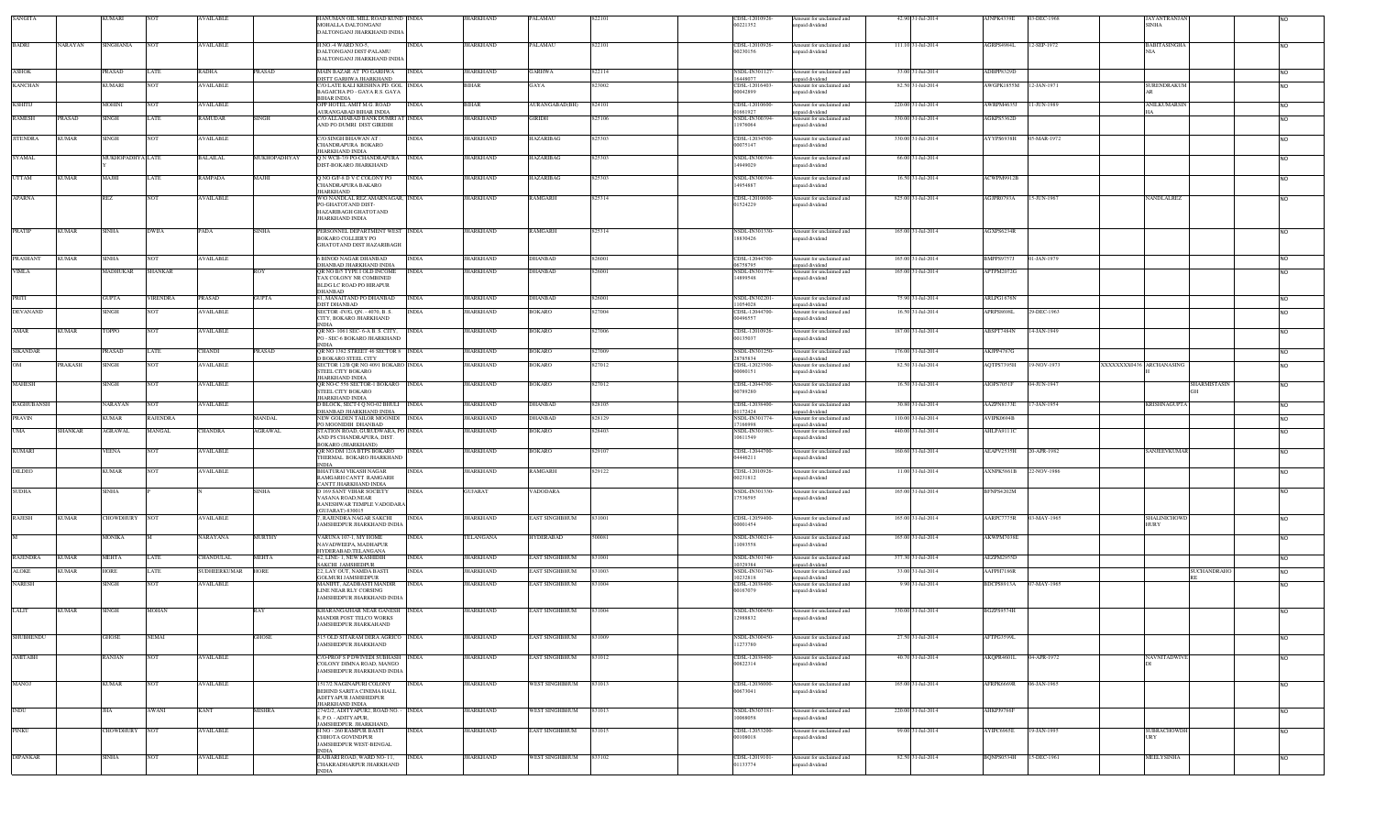| SANGITA                         | KUMARI                           |                 | <b>AVAILABLE</b> |               | HANUMAN OIL MILL ROAD KUND  INDIA<br>MOHALLA DALTONGANJ<br>DALTONGANJ JHARKHAND INDIA     |              | JHARKHAND        | PALAMAU          | 822101 | CDSL-12010926-<br>00221352 | Amount for unclaimed and<br>unpaid dividend | 42.90 31-Jul-2014  | AJNPK4339E             | 03-DEC-1968 | JAYANTRANJAN<br><b>SINHA</b>    |                |
|---------------------------------|----------------------------------|-----------------|------------------|---------------|-------------------------------------------------------------------------------------------|--------------|------------------|------------------|--------|----------------------------|---------------------------------------------|--------------------|------------------------|-------------|---------------------------------|----------------|
| <b>BADRI</b>                    | NARAYAN<br><b>SINGHANIA</b>      | <b>NOT</b>      | AVAILABLE        |               | H.NO.-4 WARD NO-5,                                                                        | <b>INDIA</b> | JHARKHAND        | PALAMAU          | 822101 | CDSL-12010926-             | Amount for unclaimed and                    | 111.10 31-Jul-2014 | AGRPS4984L             | 12-SEP-1972 | <b>BABITASINGHA</b>             | <b>NO</b>      |
|                                 |                                  |                 |                  |               | DALTONGANI DIST-PALAMI<br>DALTONGANJ JHARKHAND INDIA                                      |              |                  |                  |        | 00230156                   | npaid dividend                              |                    |                        |             | <b>NIA</b>                      |                |
| <b>ASHOK</b>                    | <b>PRASAD</b>                    | LATE            | RADHA            | PRASAD        | MAIN BAZAR AT PO GARHWA                                                                   | <b>INDIA</b> | <b>JHARKHAND</b> | GARHWA           | 822114 | NSDL-IN301127-             | Amount for unclaimed and                    | 33.00 31-Jul-2014  | ADBPP8329D             |             |                                 | <b>NO</b>      |
| <b>KANCHAN</b>                  | <b>KUMARI</b>                    | <b>NOT</b>      | AVAILABLE        |               | DISTT GARHWA JHARKHAND<br>C/O LATE KALI KRISHNA PD. GOL INDIA                             |              | BIHAR            | GAYA             | 823002 | 16448077<br>CDSL-12016403- | inpaid dividend<br>Amount for unclaimed and | 82.50 31-Jul-2014  | AWGPK1855M 12-JAN-1971 |             | SURENDRAKUM                     |                |
|                                 |                                  |                 |                  |               | BAGAICHA PO - GAYA R.S. GAYA                                                              |              |                  |                  |        | 00042899                   | inpaid dividend                             |                    |                        |             |                                 | <b>NO</b>      |
| KSHITIJ                         | <b>MOHINI</b>                    | <b>NOT</b>      | <b>AVAILABLE</b> |               | <b>BIHAR INDIA</b><br>OPP HOTEL AMIT M.G. ROAD                                            | <b>INDIA</b> | <b>BIHAR</b>     | AURANGABAD(BH)   | 824101 | CDSL-12010600              | Amount for unclaimed and                    | 220.00 31-Jul-2014 | AWRPM4635J             | 11-JUN-1989 | <b>ANILKUMARSIN</b>             | <b>NO</b>      |
| <b>RAMESH</b>                   | <b>SINGH</b><br>PRASAD           | LATE            | RAMUDAR          | SINGH         | AURANGABAD BIHAR INDIA<br>C/O ALLAHABAD BANK DUMRI AT INDIA                               |              | <b>HARKHAND</b>  | GIRIDH           | 825106 | 01661927<br>NSDL-IN300394- | inpaid dividend<br>Amount for unclaimed and | 330.00 31-Jul-2014 | AGKPS5362D             |             |                                 | <b>NO</b>      |
|                                 |                                  |                 |                  |               | AND PO DUMRI DIST GIRIDIH                                                                 |              |                  |                  |        | 11976064                   | inpaid dividend                             |                    |                        |             |                                 |                |
| <b>JITENDRA</b><br><b>KUMAR</b> | <b>SINGH</b>                     | NOT             | <b>AVAILABLE</b> |               | C/O SINGH BHAWAN AT:<br>CHANDRAPURA BOKARO<br>HARKHAND INDIA                              | <b>INDIA</b> | <b>JHARKHAND</b> | HAZARIBAG        | 825303 | CDSL-12034500<br>00075147  | Amount for unclaimed and<br>npaid dividend  | 330.00 31-Jul-2014 | AYYPS6938H             | 05-MAR-1972 |                                 | <b>NO</b>      |
| <b>SYAMAL</b>                   | MUKHOPADHYA LATE                 |                 | <b>BALAILAL</b>  | MUKHOPADHYAY  | <b>Q N WCB-7/9 PO-CHANDRAPURA INDIA</b><br>DIST-BOKARO JHARKHAND                          |              | <b>JHARKHAND</b> | <b>HAZARIBAG</b> | 825303 | NSDL-IN300394-<br>14949029 | Amount for unclaimed and<br>inpaid dividend | 66.00 31-Jul-2014  |                        |             |                                 | <b>NO</b>      |
| <b>UTTAM</b><br><b>KUMAR</b>    | MAJHI                            | LATE            | <b>RAMPADA</b>   | MAJHI         | O NO G/F-8 D V C COLONY PO<br>CHANDRAPURA BAKARO<br>JHARKHAND                             | <b>INDIA</b> | <b>JHARKHAND</b> | HAZARIBAG        | 825303 | NSDL-IN300394<br>14954887  | Amount for unclaimed and<br>inpaid dividend | 16.50 31-Jul-2014  | ACWPM9912B             |             |                                 | <b>NO</b>      |
| APARNA                          | <b>REZ</b>                       | NOT             | <b>AVAILABLE</b> |               | WO NANDLAL REZ AMARNAGAR, INDIA<br>PO-GHATOTAND DIST-                                     |              | <b>JHARKHAND</b> | RAMGARH          | 825314 | CDSL-12010600-             | Amount for unclaimed and                    | 825.00 31-Jul-2014 | AGJPR0793A             | 15-JUN-1967 | NANDLALREZ                      | <b>NO</b>      |
|                                 |                                  |                 |                  |               | HAZARIBAGH GHATOTAND                                                                      |              |                  |                  |        | 01524229                   | inpaid dividend                             |                    |                        |             |                                 |                |
|                                 |                                  |                 |                  |               | JHARKHAND INDIA                                                                           |              |                  |                  |        |                            |                                             |                    |                        |             |                                 |                |
| <b>PRATIP</b><br><b>KUMAR</b>   | <b>SINHA</b>                     | <b>DWIJA</b>    | PADA             | <b>SINHA</b>  | PERSONNEL DEPARTMENT WEST INDIA<br><b>BOKARO COLLIERY PO</b><br>GHATOTAND DIST HAZARIBAGH |              | <b>JHARKHAND</b> | RAMGARH          | 825314 | NSDL-IN301330-<br>18830426 | Amount for unclaimed and<br>inpaid dividend | 165.00 31-Jul-2014 | AGXPS6234R             |             |                                 | <b>NO</b>      |
| <b>PRASHANT</b><br>KUMAR        | <b>SINHA</b>                     | VОТ             | <b>AVAILABLE</b> |               | <b>6 BINOD NAGAR DHANBAD</b>                                                              | <b>INDIA</b> | <b>HARKHAND</b>  | DHANBAD          | 826001 | CDSL-12044700-             | mount for unclaimed and                     | 165.00 31-Jul-2014 | BMPPS9757J             | 01-JAN-1979 |                                 | <b>NO</b>      |
| <b>VIMLA</b>                    | MADHUKAR                         | <b>SHANKAR</b>  |                  | ROY           | DHANBAD JHARKHAND INDIA<br>QR NO B/5 TYPE I OLD INCOME                                    | <b>INDIA</b> | <b>JHARKHAND</b> | DHANBAD          | 826001 | 06758795<br>NSDL-IN301774- | npaid dividend<br>Amount for unclaimed and  | 165.00 31-Jul-2014 | APTPM2072G             |             |                                 | <b>NO</b>      |
|                                 |                                  |                 |                  |               | <b>TAX COLONY NR COMBINED</b><br>BLDG LC ROAD PO HIRAPUR                                  |              |                  |                  |        | 14899548                   | inpaid dividend                             |                    |                        |             |                                 |                |
|                                 |                                  |                 |                  |               | DHANRAD                                                                                   |              |                  |                  |        |                            |                                             |                    |                        |             |                                 |                |
| PRITI                           | <b>GUPTA</b>                     | <b>/IRENDRA</b> | PRASAD           | <b>GUPTA</b>  | 81, MANAITAND PO DHANBAD<br>DIST DHANBAD                                                  | <b>INDIA</b> | <b>HARKHAND</b>  | DHANBAD          | 826001 | NSDL-IN302201<br>1054028   | mount for unclaimed and<br>apaid dividend   | 75.90 31-Jul-2014  | ARLPG1676N             |             |                                 | <b>NO</b>      |
| <b>DEVANAND</b>                 | SINGH                            | VOT             | AVAILABLE        |               | SECTOR -IV/G, QN. - 4070, B. S.<br>CITY, BOKARO JHARKHAND<br><b>INDIA</b>                 | <b>INDIA</b> | <b>HARKHAND</b>  | BOKARO           | 827004 | CDSL-12044700-<br>00496557 | Amount for unclaimed and<br>npaid dividend  | 16.50 31-Jul-2014  | APRPS8698L             | 29-DEC-1963 |                                 | <b>NO</b>      |
| AMAR<br><b>CUMAR</b>            | TOPPO                            |                 | <b>AVAILABLE</b> |               | QR NO-1061 SEC-6-A B. S. CITY, INDIA<br>PO - SEC-6 BOKARO JHARKHAND<br>INDIA              |              | <b>HARKHAND</b>  | BOKARO           | 27006  | CDSL-12010926<br>00135037  | Amount for unclaimed and<br>npaid dividend  | 187.00 31-Jul-2014 | ABSPT7484N             | 14-JAN-1949 |                                 | <b>NO</b>      |
| <b>SIKANDAR</b>                 | <b>RASAD</b>                     | .ATE            | CHANDI           | PRASAD        | QR NO 1382 STREET 46 SECTOR 8 INDIA<br>D BOKARO STEEL CITY                                |              | <b>HARKHAND</b>  | BOKARO           | 827009 | NSDL-IN301250<br>28785834  | mount for unclaimed and<br>apaid dividend   | 176.00 31-Jul-2014 | AKJPP4787G             |             |                                 | <b>NO</b>      |
| $^{OM}$                         | <b>PRAKASH</b><br>SINGH          | VOT             | <b>AVAILABLE</b> |               | SECTOR 12/B QR NO 4091 BOKARO INDIA<br>STEEL CITY BOKARO                                  |              | <b>HARKHAND</b>  | BOKARO           | 827012 | CDSL-12023500-<br>00060151 | mount for unclaimed and<br>npaid dividend   | 82.50 31-Jul-2014  | AQTPS7395H             | 19-NOV-1973 | <b>XXXXXXXX0436 ARCHANASING</b> | <b>NO</b>      |
| <b>MAHESH</b>                   | SINGH                            | vот             | AVAILABLE        |               | JHARKHAND INDIA<br>QR NO-C 556 SECTOR-1 BOKARO INDIA<br>STEEL CITY BOKARO                 |              | JHARKHAND        | BOKARO           | 827012 | CDSL-12044700<br>00789280  | Amount for unclaimed and<br>npaid dividend  | 16.50 31-Jul-2014  | AIOPS7051F             | 04-JUN-1947 | SHARMISTASIN                    | <b>NO</b>      |
| <b>RAGHUBANSH</b>               | <b>JARAYAN</b>                   | VOT             | <b>AVAILABLE</b> |               | <b>IHARKHAND INDIA</b><br>D BLOCK, SECT-I Q NO-02 BHULI INDIA                             |              | <b>HARKHAND</b>  | DHANBAD          | 828105 | CDSL-12038400              | mount for unclaimed and                     | 30.80 31-Jul-2014  | AAZPN8173E             | 17-JAN-1954 | KRISHNAGUPTA                    | <b>NO</b>      |
| <b>PRAVIN</b>                   | KUMAR                            | RAJENDRA        |                  | MANDAL        | DHANBAD JHARKHAND INDIA<br>NEW GOLDEN TAILOR MOONIDI                                      | <b>INDIA</b> | HARKHAND         | DHANBAD          | 828129 | 01172424<br>NSDL-IN301774- | apaid dividend<br>mount for unclaimed and   | 110.00 31-Jul-2014 | <b>VIPK0694B</b>       |             |                                 | <b>NO</b>      |
| <b>UMA</b>                      | <b>SHANKAR</b><br><b>AGRAWAL</b> | MANGAL          | CHANDRA          | AGRAWAL       | PO MOONIDIH DHANBAD<br>STATION ROAD, GURUDWARA, PO INDIA                                  |              | <b>JHARKHAND</b> | BOKARO           | 828403 | 17166998<br>NSDL-IN301983- | apaid dividend<br>Amount for unclaimed and  | 440.00 31-Jul-2014 | AHLPA9111C             |             |                                 | <b>NO</b>      |
|                                 |                                  |                 |                  |               | AND PS CHANDRAPURA, DIST.<br>BOKARO (JHARKHAND)                                           |              |                  |                  |        | 10611549                   | inpaid dividend                             |                    |                        |             |                                 |                |
| <b>KUMARI</b>                   | <b>VEENA</b>                     | <b>NOT</b>      | <b>AVAILABLE</b> |               | QR NO DM 12/A BTPS BOKARO INDIA                                                           |              | <b>JHARKHAND</b> | <b>BOKARO</b>    | 829107 | CDSL-12044700-             | Amount for unclaimed and                    | 160.60 31-Jul-2014 | AEAPV2535H             | 20-APR-1982 | <b>SANJEEVKUMAR</b>             | <b>NO</b>      |
|                                 |                                  |                 |                  |               | THERMAL BOKARO JHARKHAND<br><b>INDIA</b>                                                  |              |                  |                  |        | 04446211                   | apaid dividend                              |                    |                        |             |                                 |                |
| <b>DILDEO</b>                   | KUMAR                            |                 | AVAILABLE        |               | BHATURAI VIKASH NAGAR<br>RAMGARH CANTT RAMGARH<br>CANTT JHARKHAND INDIA                   | <b>INDIA</b> | JHARKHAND        | RAMGARH          | 829122 | CDSL-12010926<br>00231812  | Amount for unclaimed and<br>npaid dividend  | 11.00 31-Jul-2014  | AXNPK5861B             | 22-NOV-1986 |                                 | <b>NO</b>      |
| <b>SUDHA</b>                    | SINHA                            |                 |                  | <b>INHA</b>   | 169 SANT VIHAR SOCIETY<br>VASANA ROAD.NEAR<br>RANESHWAR TEMPLE VADODARA                   | <b>INDIA</b> | <b>GUJARAT</b>   | VADODARA         |        | NSDL-IN301330-<br>17536595 | Amount for unclaimed and<br>inpaid dividend | 165.00 31-Jul-2014 | BFNPS4202M             |             |                                 | N <sub>O</sub> |
| <b>RAJESH</b><br><b>KUMAR</b>   | CHOWDHURY                        |                 | <b>AVAILABLE</b> |               | GUJARAT)-830015<br>, RAJENDRA NAGAR SAKCHI                                                | <b>INDIA</b> | JHARKHAND        | EAST SINGHBHUM   | 831001 | CDSL-12059400              | Amount for unclaimed and                    | 165.00 31-Jul-2014 | AARPC7775R             | 03-MAY-1965 | SHALINICHOWD                    | <b>NO</b>      |
|                                 |                                  |                 |                  |               | JAMSHEDPUR JHARKHAND INDIA                                                                |              |                  |                  |        | 00001454                   | npaid dividend                              |                    |                        |             | <b>HURY</b>                     |                |
|                                 | MONIKA                           |                 | NARAYANA         | MURTHY        | VARUNA 107-1, MY HOME<br>NAVADWEEPA, MADHAPUR                                             | <b>INDIA</b> | TELANGANA        | HYDERABAD        | 500081 | NSDL-IN300214-<br>1093558  | mount for unclaimed and<br>inpaid dividend  | 165.00 31-Jul-2014 | AKWPM7038E             |             |                                 | <b>NO</b>      |
| <b>RAJENDRA</b><br><b>CUMAR</b> | <b>MEHTA</b>                     | .ATE            | <b>HANDULAL</b>  | MEHTA         | HYDERABAD.TELANGANA<br>42, LINE- 1, NEW KASHIDIH                                          | <b>INDIA</b> | HARKHAND         | EAST SINGHBHUM   | 831001 | NSDL-IN301740-             | mount for unclaimed and                     | 377.30 31-Jul-2014 | AEZPM2955D             |             |                                 | <b>NO</b>      |
| <b>ALOKE</b><br>KUMAR           | HORE                             | .ATE            | UDHEERKUMAR      | HORE          | SAKCHI JAMSHEDPUR<br>22, LAY OUT, NAMDA BASTI                                             | <b>INDIA</b> | HARKHAND         | EAST SINGHBHUM   | 831003 | 0329384<br>NSDL-IN301740   | apaid dividend<br>Amount for unclaimed and  | 33.00 31-Jul-2014  | AAFPH7186R             |             | SUCHANDRAHO                     | <b>NO</b>      |
| <b>NARESH</b>                   | SINGH                            |                 | <b>AVAILABLE</b> |               | GOLMURI JAMSHEDPUR<br>MANIFIT, AZADBASTI MANDIR                                           | <b>INDIA</b> | HARKHAND         | EAST SINGHBHUM   | 831004 | 10232818<br>CDSL-12038400  | npaid dividend<br>mount for unclaimed and   | 9.90 31-Jul-2014   | BDCPS8913A             | 07-MAY-1965 |                                 |                |
|                                 |                                  |                 |                  |               | LINE NEAR RLY CORSING<br><b>JAMSHEDPUR JHARKHAND INDIA</b>                                |              |                  |                  |        | 00167079                   | inpaid dividend                             |                    |                        |             |                                 |                |
| LALIT<br><b>KUMAR</b>           | SINGH                            | MOHAN           |                  | RAY           | KHARANGAJHAR NEAR GANESH                                                                  | <b>INDIA</b> | JHARKHAND        | EAST SINGHBHUM   | 831004 | NSDL-IN300450-             | mount for unclaimed and                     | 330.00 31-Jul-2014 | BGZPS9574H             |             |                                 | <b>NO</b>      |
|                                 |                                  |                 |                  |               | MANDIR POST TELCO WORKS<br><b>JAMSHEDPUR IHARKAHAND</b>                                   |              |                  |                  |        | 12988832                   | unpaid dividend                             |                    |                        |             |                                 |                |
| <b>SHUBHENDU</b>                | <b>GHOSE</b>                     | NEMAI           |                  | <b>GHOSE</b>  | 515 OLD SITARAM DERA AGRICO INDIA<br>JAMSHEDPUR JHARKHAND                                 |              | <b>JHARKHAND</b> | EAST SINGHBHUM   | 831009 | NSDL-IN300450-<br>11273780 | mount for unclaimed and<br>inpaid dividend  | 27.50 31-Jul-2014  | AFTPG3599L             |             |                                 | <b>NO</b>      |
| AMITABH                         | RANJAN                           | <b>NOT</b>      | <b>AVAILABLE</b> |               | C/O-PROF S P DWIVEDI SUBHASH INDIA                                                        |              | <b>JHARKHAND</b> | EAST SINGHBHUM   | 831012 | CDSL-12038400              | Amount for unclaimed and                    | 40.70 31-Jul-2014  | AKOPR4601L             | 04-APR-1972 | NAVNITADWIVE                    | <b>NO</b>      |
|                                 |                                  |                 |                  |               | COLONY DIMNA ROAD, MANGO<br>JAMSHEDPUR JHARKHAND INDIA                                    |              |                  |                  |        | 00822314                   | inpaid dividend                             |                    |                        |             |                                 |                |
| <b>MANOJ</b>                    | <b>KUMAR</b>                     | NOT             | <b>AVAILABLE</b> |               | 1517/2 NAGINAPURI COLONY<br>BEHIND SARITA CINEMA HALL                                     | <b>INDIA</b> | <b>JHARKHAND</b> | WEST SINGHBHUM   | 831013 | CDSL-12036000-<br>00673041 | mount for unclaimed and<br>npaid dividend   | 165.00 31-Jul-2014 | AFRPK6669R             | 06-JAN-1965 |                                 | <b>NO</b>      |
|                                 |                                  |                 |                  |               | ADITY APUR JAMSHEDPUR<br><b>JHARKHAND INDIA</b>                                           |              |                  |                  |        |                            |                                             |                    |                        |             |                                 |                |
| <b>INDU</b>                     | <b>JHA</b>                       | AWANI           | KANT             | <b>MISHRA</b> | 274/2/2, ADITYAPUR2, ROAD NO. - INDIA<br>8, P.O. - ADITYAPUR,                             |              | <b>JHARKHAND</b> | WEST SINGHBHUM   | 831013 | NSDL-IN303181-<br>10068058 | Amount for unclaimed and<br>npaid dividend  | 220.00 31-Jul-2014 | AHKPJ9786F             |             |                                 | <b>NO</b>      |
| PINKU                           | CHOWDHURY                        | <b>NOT</b>      | <b>AVAILABLE</b> |               | AMSHEDPUR. JHARKHAND,                                                                     | <b>INDIA</b> | <b>JHARKHAND</b> | EAST SINGHBHUM   | 831015 | CDSL-12053200-             | Amount for unclaimed and                    | 99.00 31-Jul-2014  | AYIPC6965E             | 19-JAN-1995 | <b>SUBRACHOWDH</b>              |                |
|                                 |                                  |                 |                  |               | H NO - 260 RAMPUR BASTI<br>CHHOTA GOVINDPUR<br>JAMSHEDPUR WEST-BENGAL                     |              |                  |                  |        | 00108018                   | inpaid dividend                             |                    |                        |             | <b>URY</b>                      | <b>NO</b>      |
| <b>DIPANKAR</b>                 | SINHA                            | vот             | AVAILABLE        |               | <b>INDIA</b><br>RAJBARI ROAD, WARD NO- 11,<br>CHAKRADHARPUR JHARKHAND                     | <b>INDIA</b> | JHARKHAND        | WEST SINGHBHUM   | 833102 | CDSL-12019101-<br>01133774 | Amount for unclaimed and<br>npaid dividend  | 82.50 31-Jul-2014  | BQNPS0534H             | 15-DEC-1961 | MEELYSINHA                      | <b>NO</b>      |
|                                 |                                  |                 |                  |               | INDIA                                                                                     |              |                  |                  |        |                            |                                             |                    |                        |             |                                 |                |